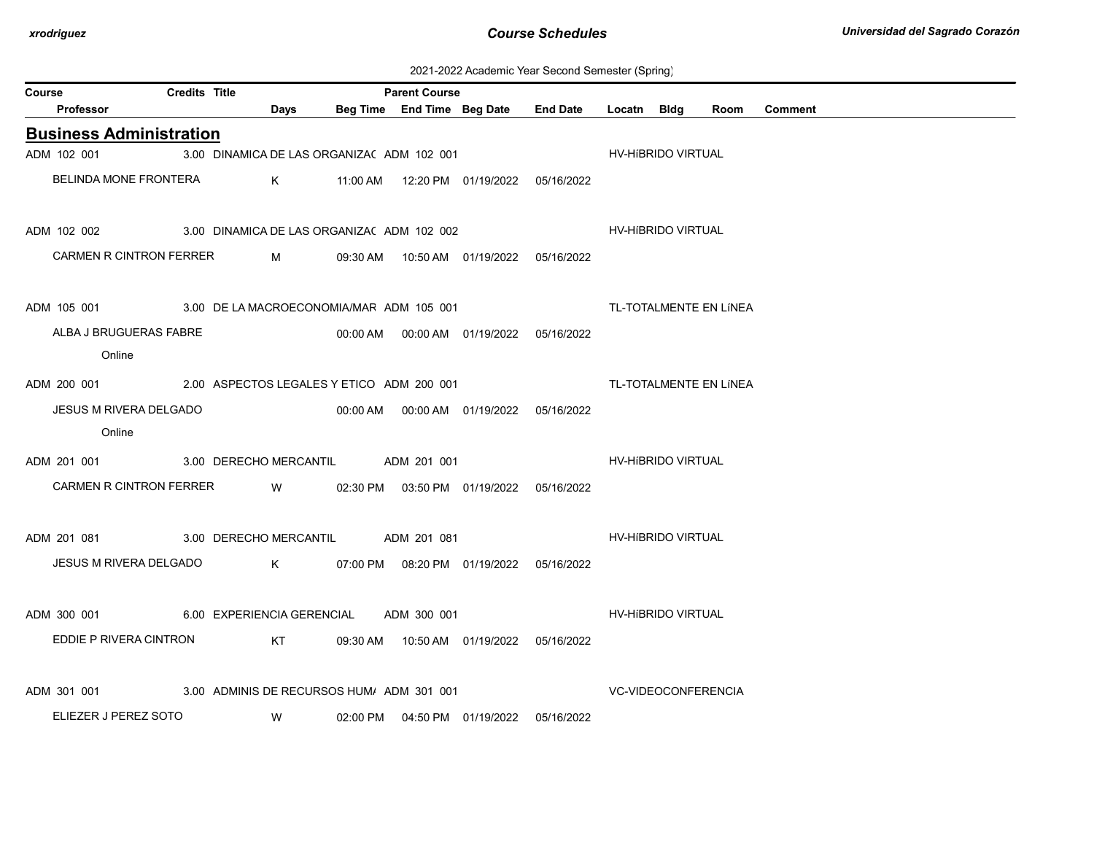| 2021-2022 Academic Year Second Semester (Spring) |  |  |  |  |  |
|--------------------------------------------------|--|--|--|--|--|
|--------------------------------------------------|--|--|--|--|--|

| Course |                                                       | <b>Credits Title</b> |                                            |      | <b>Parent Course</b> |                                            |                        |                            |                           |                        |                |
|--------|-------------------------------------------------------|----------------------|--------------------------------------------|------|----------------------|--------------------------------------------|------------------------|----------------------------|---------------------------|------------------------|----------------|
|        | Professor                                             |                      |                                            | Days |                      | Beg Time End Time Beg Date End Date        |                        | Locatn Bldg                |                           | Room                   | <b>Comment</b> |
|        | <b>Business Administration</b>                        |                      |                                            |      |                      |                                            |                        |                            |                           |                        |                |
|        | ADM 102 001                                           |                      | 3.00 DINAMICA DE LAS ORGANIZA( ADM 102 001 |      |                      |                                            |                        |                            | HV-HIBRIDO VIRTUAL        |                        |                |
|        | BELINDA MONE FRONTERA                                 |                      |                                            |      |                      |                                            |                        |                            |                           |                        |                |
|        | ADM 102 002                                           |                      | 3.00 DINAMICA DE LAS ORGANIZA( ADM 102 002 |      |                      |                                            |                        |                            | <b>HV-HIBRIDO VIRTUAL</b> |                        |                |
|        | CARMEN R CINTRON FERRER                               |                      |                                            |      |                      | M 09:30 AM 10:50 AM 01/19/2022 05/16/2022  |                        |                            |                           |                        |                |
|        | ADM 105 001 3.00 DE LA MACROECONOMIA/MAF ADM 105 001  |                      |                                            |      |                      |                                            | TL-TOTALMENTE EN LÍNEA |                            |                           |                        |                |
|        | ALBA J BRUGUERAS FABRE<br>Online                      |                      |                                            |      |                      | 00:00 AM  00:00 AM  01/19/2022  05/16/2022 |                        |                            |                           |                        |                |
|        | ADM 200 001 2.00 ASPECTOS LEGALES Y ETICO ADM 200 001 |                      |                                            |      |                      |                                            |                        |                            |                           | TL-TOTALMENTE EN LÍNEA |                |
|        | JESUS M RIVERA DELGADO<br>Online                      |                      |                                            |      |                      | 00:00 AM  00:00 AM  01/19/2022  05/16/2022 |                        |                            |                           |                        |                |
|        | ADM 201 001                                           |                      | 3.00 DERECHO MERCANTIL ADM 201 001         |      |                      |                                            |                        |                            | <b>HV-HIBRIDO VIRTUAL</b> |                        |                |
|        | <b>CARMEN R CINTRON FERRER</b>                        |                      |                                            |      |                      | W 02:30 PM 03:50 PM 01/19/2022 05/16/2022  |                        |                            |                           |                        |                |
|        | ADM 201 081                                           |                      | 3.00 DERECHO MERCANTIL ADM 201 081         |      |                      |                                            |                        |                            | HV-HIBRIDO VIRTUAL        |                        |                |
|        | JESUS M RIVERA DELGADO                                |                      |                                            |      |                      | K 07:00 PM 08:20 PM 01/19/2022 05/16/2022  |                        |                            |                           |                        |                |
|        | ADM 300 001 6.00 EXPERIENCIA GERENCIAL                |                      |                                            |      | ADM 300 001          |                                            |                        |                            | HV-HIBRIDO VIRTUAL        |                        |                |
|        | EDDIE P RIVERA CINTRON                                |                      |                                            |      |                      | KT 09:30 AM 10:50 AM 01/19/2022 05/16/2022 |                        |                            |                           |                        |                |
|        | ADM 301 001                                           |                      | 3.00 ADMINIS DE RECURSOS HUM/ADM 301 001   |      |                      |                                            |                        | <b>VC-VIDEOCONFERENCIA</b> |                           |                        |                |
|        | ELIEZER J PEREZ SOTO                                  |                      |                                            | W    |                      | 02:00 PM  04:50 PM  01/19/2022  05/16/2022 |                        |                            |                           |                        |                |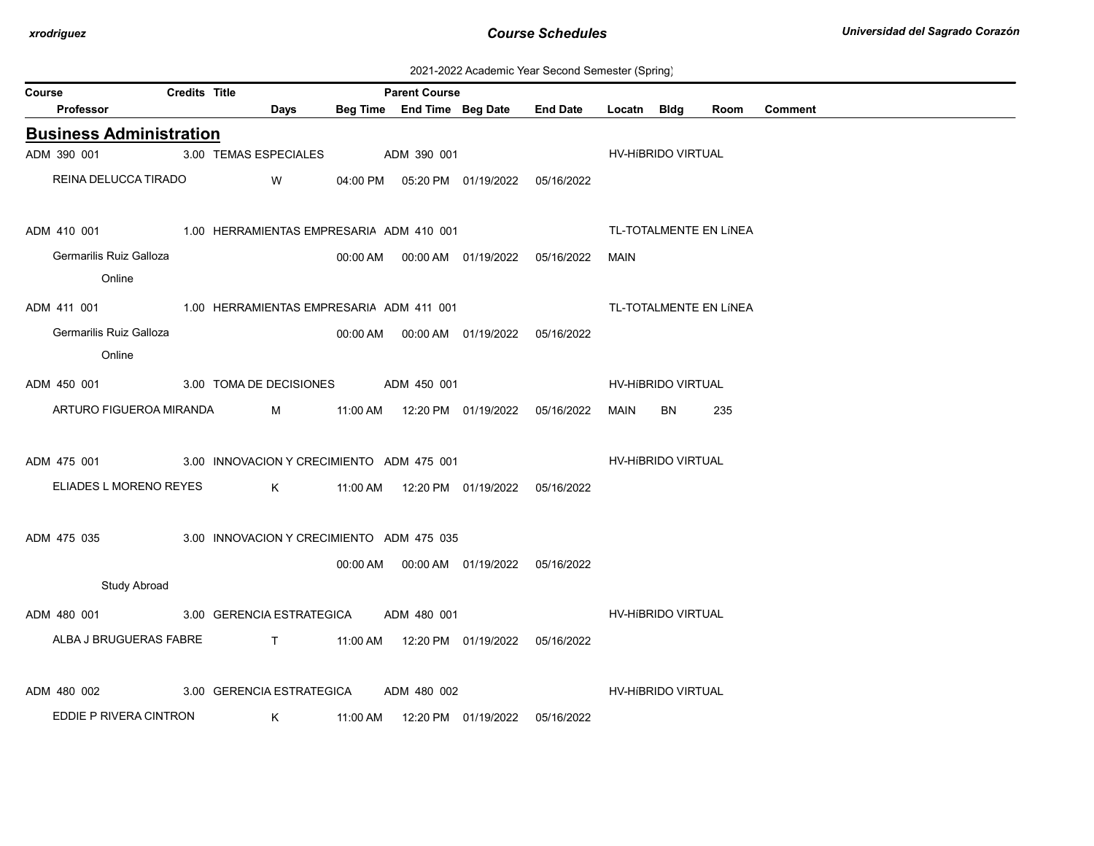2021-2022 Academic Year Second Semester (Spring)

|        | <b>Credits Title</b><br><b>Parent Course</b> |  |                                                                                                                                                                                                                                     |  |             |                                              |                 |             |                    |                        |                |
|--------|----------------------------------------------|--|-------------------------------------------------------------------------------------------------------------------------------------------------------------------------------------------------------------------------------------|--|-------------|----------------------------------------------|-----------------|-------------|--------------------|------------------------|----------------|
| Course | Professor                                    |  | Days                                                                                                                                                                                                                                |  |             | Beg Time End Time Beg Date                   | <b>End Date</b> | Locatn Bldg |                    | Room                   | <b>Comment</b> |
|        | <b>Business Administration</b>               |  |                                                                                                                                                                                                                                     |  |             |                                              |                 |             |                    |                        |                |
|        | ADM 390 001                                  |  | 3.00 TEMAS ESPECIALES                                                                                                                                                                                                               |  | ADM 390 001 |                                              |                 |             | HV-HIBRIDO VIRTUAL |                        |                |
|        | REINA DELUCCA TIRADO                         |  | <b>W</b> and the set of the set of the set of the set of the set of the set of the set of the set of the set of the set of the set of the set of the set of the set of the set of the set of the set of the set of the set of the s |  |             | 04:00 PM  05:20 PM  01/19/2022  05/16/2022   |                 |             |                    |                        |                |
|        |                                              |  |                                                                                                                                                                                                                                     |  |             |                                              |                 |             |                    | TL-TOTALMENTE EN LÍNEA |                |
|        | Germarilis Ruiz Galloza                      |  |                                                                                                                                                                                                                                     |  |             | 00:00 AM   00:00 AM   01/19/2022  05/16/2022 |                 | MAIN        |                    |                        |                |
|        | Online                                       |  |                                                                                                                                                                                                                                     |  |             |                                              |                 |             |                    |                        |                |
|        |                                              |  | ADM 411 001 1.00 HERRAMIENTAS EMPRESARIA ADM 411 001                                                                                                                                                                                |  |             |                                              |                 |             |                    | TL-TOTALMENTE EN LÍNEA |                |
|        | Germarilis Ruiz Galloza                      |  |                                                                                                                                                                                                                                     |  |             | 00:00 AM  00:00 AM  01/19/2022  05/16/2022   |                 |             |                    |                        |                |
|        | Online                                       |  |                                                                                                                                                                                                                                     |  |             |                                              |                 |             |                    |                        |                |
|        | ADM 450 001                                  |  | 3.00 TOMA DE DECISIONES ADM 450 001                                                                                                                                                                                                 |  |             |                                              |                 |             | HV-HIBRIDO VIRTUAL |                        |                |
|        | ARTURO FIGUEROA MIRANDA                      |  |                                                                                                                                                                                                                                     |  |             |                                              |                 | MAIN        | <b>BN</b>          | 235                    |                |
|        | ADM 475 001                                  |  | 3.00 INNOVACION Y CRECIMIENTO ADM 475 001                                                                                                                                                                                           |  |             |                                              |                 |             | HV-HIBRIDO VIRTUAL |                        |                |
|        | ELIADES L MORENO REYES                       |  |                                                                                                                                                                                                                                     |  |             |                                              |                 |             |                    |                        |                |
|        | ADM 475 035                                  |  | 3.00 INNOVACION Y CRECIMIENTO ADM 475 035                                                                                                                                                                                           |  |             |                                              |                 |             |                    |                        |                |
|        |                                              |  |                                                                                                                                                                                                                                     |  |             | 00:00 AM  00:00 AM  01/19/2022  05/16/2022   |                 |             |                    |                        |                |
|        | <b>Study Abroad</b>                          |  |                                                                                                                                                                                                                                     |  |             |                                              |                 |             |                    |                        |                |
|        |                                              |  | ADM 480 001 3.00 GERENCIA ESTRATEGICA                                                                                                                                                                                               |  | ADM 480 001 |                                              |                 |             | HV-HIBRIDO VIRTUAL |                        |                |
|        | ALBA J BRUGUERAS FABRE                       |  |                                                                                                                                                                                                                                     |  |             |                                              |                 |             |                    |                        |                |
|        | ADM 480 002                                  |  | 3.00 GERENCIA ESTRATEGICA                                                                                                                                                                                                           |  | ADM 480 002 |                                              |                 |             | HV-HIBRIDO VIRTUAL |                        |                |
|        | EDDIE P RIVERA CINTRON                       |  | $\mathsf K$ and $\mathsf K$ and $\mathsf K$ and $\mathsf K$ and $\mathsf K$ and $\mathsf K$                                                                                                                                         |  |             | 11:00 AM  12:20 PM  01/19/2022  05/16/2022   |                 |             |                    |                        |                |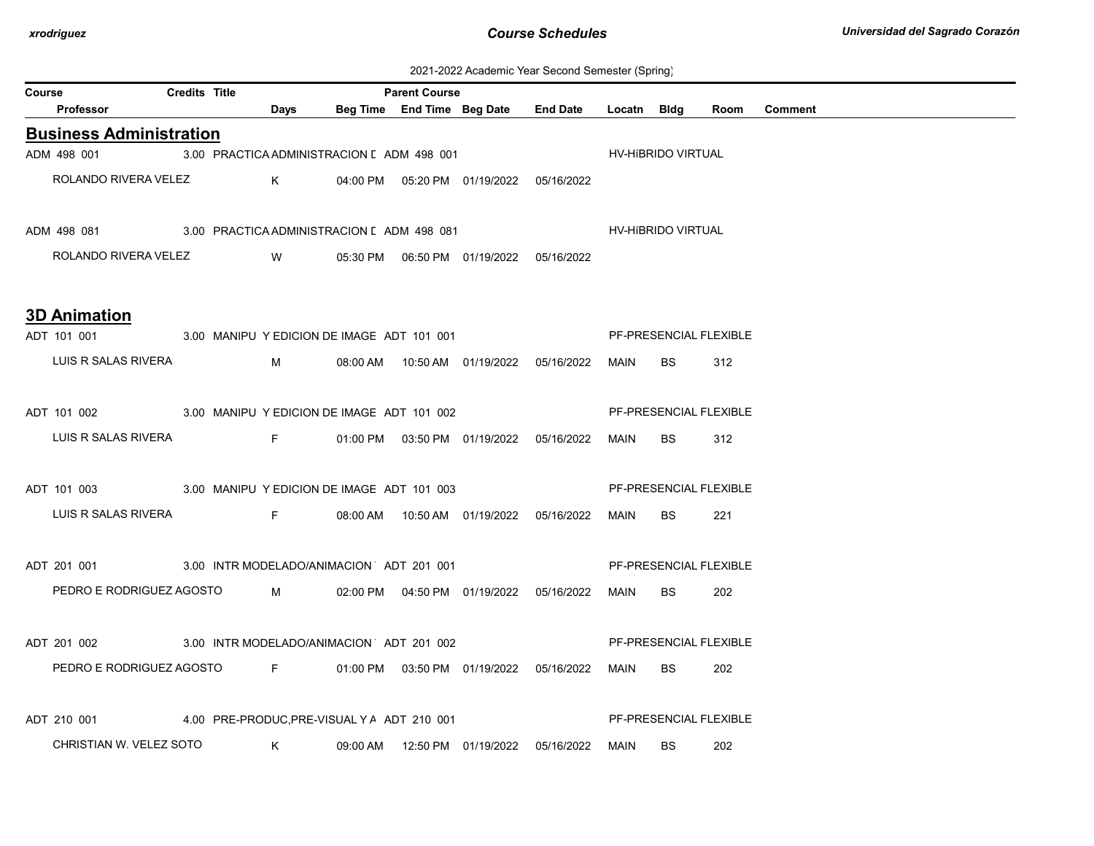| 2021-2022 Academic Year Second Semester (Spring) |  |  |  |  |  |
|--------------------------------------------------|--|--|--|--|--|
|--------------------------------------------------|--|--|--|--|--|

| Course |                                                                                   | <b>Credits Title</b> |                                                                                                                       | <b>Parent Course</b> |                                                  |                                                 |      |                               |      |         |
|--------|-----------------------------------------------------------------------------------|----------------------|-----------------------------------------------------------------------------------------------------------------------|----------------------|--------------------------------------------------|-------------------------------------------------|------|-------------------------------|------|---------|
|        | Professor                                                                         |                      | <u>no base de la propincia de la propincia de la propincia de la propincia de la propincia de la propincia de la </u> |                      |                                                  | Beg Time End Time Beg Date End Date Locatn Bldg |      |                               | Room | Comment |
|        | <b>Business Administration</b>                                                    |                      |                                                                                                                       |                      |                                                  |                                                 |      |                               |      |         |
|        | ADM 498 001                                                                       |                      | 3.00 PRACTICA ADMINISTRACION [ ADM 498 001                                                                            |                      |                                                  |                                                 |      | HV-HíBRIDO VIRTUAL            |      |         |
|        | ROLANDO RIVERA VELEZ                                                              |                      |                                                                                                                       |                      | K     04:00 PM  05:20 PM  01/19/2022  05/16/2022 |                                                 |      |                               |      |         |
|        | ADM 498 081 3.00 PRACTICA ADMINISTRACION [ ADM 498 081 498 081 HV-HIBRIDO VIRTUAL |                      |                                                                                                                       |                      |                                                  |                                                 |      |                               |      |         |
|        | ROLANDO RIVERA VELEZ W 05:30 PM 06:50 PM 01/19/2022 05/16/2022                    |                      |                                                                                                                       |                      |                                                  |                                                 |      |                               |      |         |
|        | <b>3D Animation</b>                                                               |                      |                                                                                                                       |                      |                                                  |                                                 |      |                               |      |         |
|        | ADT 101 001                                                                       |                      |                                                                                                                       |                      |                                                  | 3.00 MANIPU Y EDICION DE IMAGE ADT 101 001      |      | PF-PRESENCIAL FLEXIBLE        |      |         |
|        | LUIS R SALAS RIVERA                                                               |                      |                                                                                                                       |                      |                                                  |                                                 | MAIN | BS                            | 312  |         |
|        | ADT 101 002 3.00 MANIPU Y EDICION DE IMAGE ADT 101 002                            |                      |                                                                                                                       |                      |                                                  |                                                 |      | PF-PRESENCIAL FLEXIBLE        |      |         |
|        | LUIS R SALAS RIVERA                                                               |                      |                                                                                                                       |                      |                                                  |                                                 | MAIN | <b>BS</b>                     | 312  |         |
|        | ADT 101 003 3.00 MANIPU Y EDICION DE IMAGE ADT 101 003                            |                      |                                                                                                                       |                      |                                                  |                                                 |      | <b>PF-PRESENCIAL FLEXIBLE</b> |      |         |
|        | LUIS R SALAS RIVERA F                                                             |                      |                                                                                                                       |                      |                                                  |                                                 | MAIN | BS.                           | 221  |         |
|        | ADT 201 001 3.00 INTR MODELADO/ANIMACION ADT 201 001                              |                      |                                                                                                                       |                      |                                                  |                                                 |      | PF-PRESENCIAL FLEXIBLE        |      |         |
|        | PEDRO E RODRIGUEZ AGOSTO M 02:00 PM 04:50 PM 01/19/2022 05/16/2022                |                      |                                                                                                                       |                      |                                                  |                                                 | MAIN | <b>BS</b>                     | 202  |         |
|        | ADT 201 002 3.00 INTR MODELADO/ANIMACION ADT 201 002                              |                      |                                                                                                                       |                      |                                                  |                                                 |      | PF-PRESENCIAL FLEXIBLE        |      |         |
|        | PEDRO E RODRIGUEZ AGOSTO F 01:00 PM 03:50 PM 01/19/2022 05/16/2022                |                      |                                                                                                                       |                      |                                                  |                                                 | MAIN | <b>BS</b>                     | 202  |         |
|        | ADT 210 001 4.00 PRE-PRODUC, PRE-VISUAL Y A ADT 210 001                           |                      |                                                                                                                       |                      |                                                  |                                                 |      | PF-PRESENCIAL FLEXIBLE        |      |         |
|        | CHRISTIAN W. VELEZ SOTO                                                           |                      | $\mathsf K$                                                                                                           |                      | 09:00 AM  12:50 PM  01/19/2022  05/16/2022       |                                                 | MAIN | <b>BS</b>                     | 202  |         |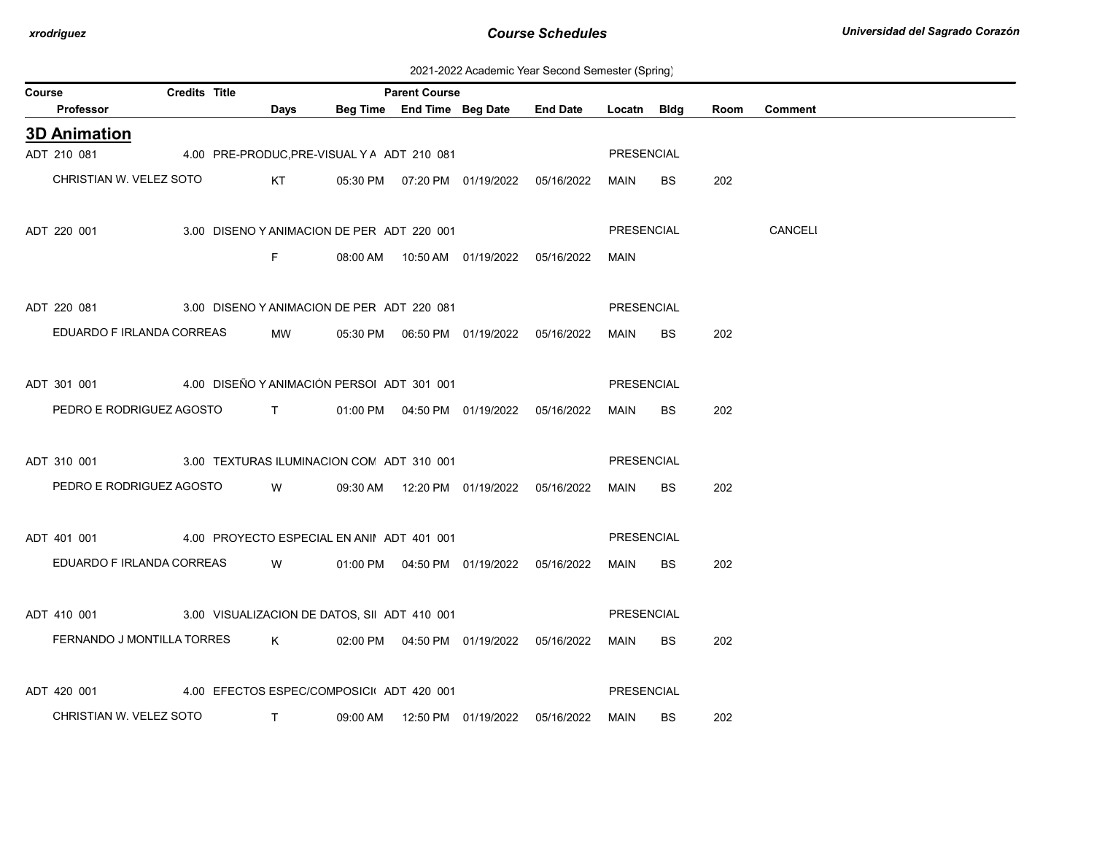2021-2022 Academic Year Second Semester (Spring)

| Course |                                                                    | Credits Title |                                                                                                                                                                                                                                                                                                                               |                                             | <b>Parent Course</b> |                                            |                                            |                   |           |      |                |
|--------|--------------------------------------------------------------------|---------------|-------------------------------------------------------------------------------------------------------------------------------------------------------------------------------------------------------------------------------------------------------------------------------------------------------------------------------|---------------------------------------------|----------------------|--------------------------------------------|--------------------------------------------|-------------------|-----------|------|----------------|
|        | Professor                                                          |               | Days                                                                                                                                                                                                                                                                                                                          |                                             |                      |                                            | Beg Time End Time Beg Date End Date        | Locatn Bldg       |           | Room | <b>Comment</b> |
|        | <b>3D Animation</b>                                                |               |                                                                                                                                                                                                                                                                                                                               |                                             |                      |                                            |                                            |                   |           |      |                |
|        | ADT 210 081                                                        |               |                                                                                                                                                                                                                                                                                                                               | 4.00 PRE-PRODUC, PRE-VISUAL Y A ADT 210 081 |                      |                                            |                                            | PRESENCIAL        |           |      |                |
|        | CHRISTIAN W. VELEZ SOTO                                            |               |                                                                                                                                                                                                                                                                                                                               |                                             |                      |                                            | KT 05:30 PM 07:20 PM 01/19/2022 05/16/2022 | MAIN              | BS        | 202  |                |
|        |                                                                    |               |                                                                                                                                                                                                                                                                                                                               |                                             |                      |                                            |                                            |                   |           |      |                |
|        | ADT 220 001                                                        |               |                                                                                                                                                                                                                                                                                                                               | 3.00 DISENO Y ANIMACION DE PER ADT 220 001  |                      |                                            |                                            | <b>PRESENCIAL</b> |           |      | <b>CANCELI</b> |
|        |                                                                    |               | F.                                                                                                                                                                                                                                                                                                                            |                                             |                      | 08:00 AM  10:50 AM  01/19/2022  05/16/2022 |                                            | MAIN              |           |      |                |
|        |                                                                    |               |                                                                                                                                                                                                                                                                                                                               |                                             |                      |                                            |                                            |                   |           |      |                |
|        | ADT 220 081 3.00 DISENO Y ANIMACION DE PER ADT 220 081             |               |                                                                                                                                                                                                                                                                                                                               |                                             |                      |                                            |                                            | <b>PRESENCIAL</b> |           |      |                |
|        | EDUARDO F IRLANDA CORREAS                                          |               | <b>MW</b>                                                                                                                                                                                                                                                                                                                     |                                             |                      |                                            |                                            | MAIN              | <b>BS</b> | 202  |                |
|        |                                                                    |               |                                                                                                                                                                                                                                                                                                                               |                                             |                      |                                            |                                            |                   |           |      |                |
|        | ADT 301 001 4.00 DISEÑO Y ANIMACIÓN PERSOI ADT 301 001             |               |                                                                                                                                                                                                                                                                                                                               |                                             |                      |                                            |                                            | <b>PRESENCIAL</b> |           |      |                |
|        | PEDRO E RODRIGUEZ AGOSTO T 01:00 PM 04:50 PM 01/19/2022 05/16/2022 |               |                                                                                                                                                                                                                                                                                                                               |                                             |                      |                                            |                                            | MAIN              | BS.       | 202  |                |
|        |                                                                    |               |                                                                                                                                                                                                                                                                                                                               |                                             |                      |                                            |                                            |                   |           |      |                |
|        | ADT 310 001 300 3.00 TEXTURAS ILUMINACION CON ADT 310 001          |               |                                                                                                                                                                                                                                                                                                                               |                                             |                      |                                            |                                            | <b>PRESENCIAL</b> |           |      |                |
|        | PEDRO E RODRIGUEZ AGOSTO                                           |               | <b>W</b>                                                                                                                                                                                                                                                                                                                      |                                             |                      | 09:30 AM  12:20 PM  01/19/2022  05/16/2022 |                                            | MAIN              | <b>BS</b> | 202  |                |
|        |                                                                    |               |                                                                                                                                                                                                                                                                                                                               |                                             |                      |                                            |                                            |                   |           |      |                |
|        | ADT 401 001 4.00 PROYECTO ESPECIAL EN ANII ADT 401 001             |               |                                                                                                                                                                                                                                                                                                                               |                                             |                      |                                            |                                            | PRESENCIAL        |           |      |                |
|        | EDUARDO F IRLANDA CORREAS                                          |               | <b>W</b>                                                                                                                                                                                                                                                                                                                      |                                             |                      |                                            |                                            | MAIN              | BS.       | 202  |                |
|        |                                                                    |               |                                                                                                                                                                                                                                                                                                                               |                                             |                      |                                            |                                            |                   |           |      |                |
|        | ADT 410 001 3.00 VISUALIZACION DE DATOS, SI ADT 410 001            |               |                                                                                                                                                                                                                                                                                                                               |                                             |                      |                                            |                                            | <b>PRESENCIAL</b> |           |      |                |
|        | FERNANDO J MONTILLA TORRES                                         |               | $K$ and $K$                                                                                                                                                                                                                                                                                                                   |                                             |                      | 02:00 PM  04:50 PM  01/19/2022  05/16/2022 |                                            | MAIN              | BS.       | 202  |                |
|        |                                                                    |               |                                                                                                                                                                                                                                                                                                                               |                                             |                      |                                            |                                            |                   |           |      |                |
|        | ADT 420 001                                                        |               |                                                                                                                                                                                                                                                                                                                               | 4.00 EFECTOS ESPEC/COMPOSICI ADT 420 001    |                      |                                            |                                            | PRESENCIAL        |           |      |                |
|        |                                                                    |               |                                                                                                                                                                                                                                                                                                                               |                                             |                      |                                            |                                            |                   |           |      |                |
|        | CHRISTIAN W. VELEZ SOTO                                            |               | $\mathbf{T}$ and $\mathbf{T}$ and $\mathbf{T}$ and $\mathbf{T}$ and $\mathbf{T}$ and $\mathbf{T}$ and $\mathbf{T}$ and $\mathbf{T}$ and $\mathbf{T}$ and $\mathbf{T}$ and $\mathbf{T}$ and $\mathbf{T}$ and $\mathbf{T}$ and $\mathbf{T}$ and $\mathbf{T}$ and $\mathbf{T}$ and $\mathbf{T}$ and $\mathbf{T}$ and $\mathbf{T$ |                                             |                      | 09:00 AM  12:50 PM  01/19/2022  05/16/2022 |                                            | MAIN              | BS        | 202  |                |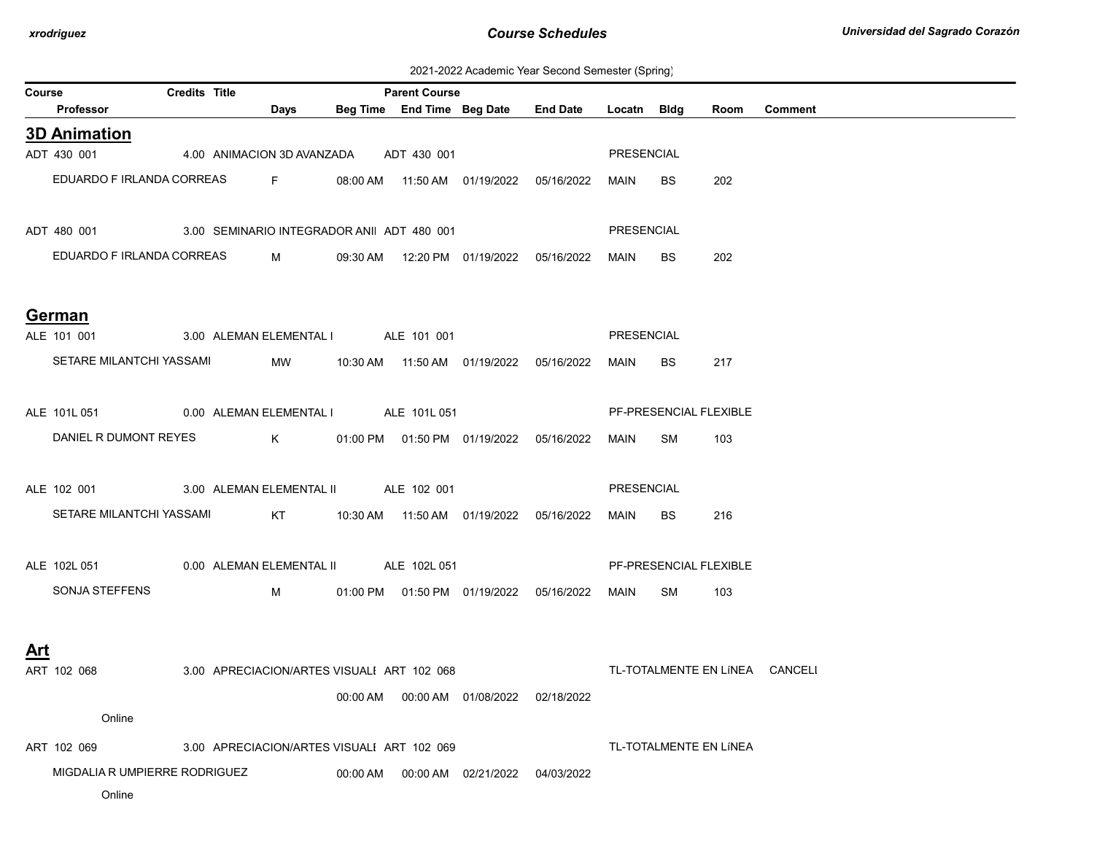| Course     |                                                        | <b>Credits Title</b> |            |          | <b>Parent Course</b>                       |                                            |                                                 |            |     |                        |         |
|------------|--------------------------------------------------------|----------------------|------------|----------|--------------------------------------------|--------------------------------------------|-------------------------------------------------|------------|-----|------------------------|---------|
|            | Professor                                              |                      | Days       |          |                                            |                                            | Beg Time End Time Beg Date End Date Locatn Bldg |            |     | Room                   | Comment |
|            | <b>3D Animation</b>                                    |                      |            |          |                                            |                                            |                                                 |            |     |                        |         |
|            | ADT 430 001                                            |                      |            |          | 4.00 ANIMACION 3D AVANZADA ADT 430 001     |                                            |                                                 | PRESENCIAL |     |                        |         |
|            | EDUARDO F IRLANDA CORREAS F                            |                      |            |          |                                            |                                            |                                                 | MAIN       | BS. | 202                    |         |
|            |                                                        |                      |            |          |                                            |                                            |                                                 |            |     |                        |         |
|            | ADT 480 001 3.00 SEMINARIO INTEGRADOR ANII ADT 480 001 |                      |            |          |                                            |                                            |                                                 | PRESENCIAL |     |                        |         |
|            | EDUARDO F IRLANDA CORREAS M                            |                      |            |          |                                            |                                            | 09:30 AM  12:20 PM  01/19/2022  05/16/2022      | MAIN       | BS. | 202                    |         |
|            |                                                        |                      |            |          |                                            |                                            |                                                 |            |     |                        |         |
|            | German                                                 |                      |            |          |                                            |                                            |                                                 |            |     |                        |         |
|            | ALE 101 001                                            |                      |            |          | 3.00 ALEMAN ELEMENTAL I ALE 101 001        |                                            |                                                 | PRESENCIAL |     |                        |         |
|            | SETARE MILANTCHI YASSAMI                               |                      |            |          |                                            | MW 10:30 AM 11:50 AM 01/19/2022 05/16/2022 |                                                 | MAIN       | BS  | 217                    |         |
|            |                                                        |                      |            |          |                                            |                                            |                                                 |            |     |                        |         |
|            | ALE 101L 051 0.00 ALEMAN ELEMENTAL I ALE 101L 051      |                      |            |          |                                            |                                            |                                                 |            |     | PF-PRESENCIAL FLEXIBLE |         |
|            | DANIEL R DUMONT REYES                                  |                      |            |          |                                            |                                            |                                                 | MAIN SM    |     | 103                    |         |
|            |                                                        |                      |            |          |                                            |                                            |                                                 |            |     |                        |         |
|            | ALE 102 001 3.00 ALEMAN ELEMENTAL II ALE 102 001       |                      |            |          |                                            |                                            |                                                 | PRESENCIAL |     |                        |         |
|            | SETARE MILANTCHI YASSAMI                               |                      |            |          |                                            |                                            |                                                 | MAIN       | BS  | 216                    |         |
|            |                                                        |                      |            |          |                                            |                                            |                                                 |            |     |                        |         |
|            | ALE 102L 051 0.00 ALEMAN ELEMENTAL II ALE 102L 051     |                      |            |          |                                            |                                            |                                                 |            |     | PF-PRESENCIAL FLEXIBLE |         |
|            | SONJA STEFFENS                                         |                      | $M \sim 1$ |          |                                            | 01:00 PM  01:50 PM  01/19/2022  05/16/2022 |                                                 | MAIN       | SM  | 103                    |         |
|            |                                                        |                      |            |          |                                            |                                            |                                                 |            |     |                        |         |
| <u>Art</u> |                                                        |                      |            |          |                                            |                                            |                                                 |            |     |                        |         |
|            | ART 102 068                                            |                      |            |          | 3.00 APRECIACION/ARTES VISUALI ART 102 068 |                                            | TL-TOTALMENTE EN LINEA CANCELI                  |            |     |                        |         |
|            |                                                        |                      |            |          |                                            | 00:00 AM  00:00 AM  01/08/2022  02/18/2022 |                                                 |            |     |                        |         |
|            | Online                                                 |                      |            |          |                                            |                                            |                                                 |            |     |                        |         |
|            | ART 102 069                                            |                      |            |          | 3.00 APRECIACION/ARTES VISUALI ART 102 069 |                                            |                                                 |            |     | TL-TOTALMENTE EN LÍNEA |         |
|            | MIGDALIA R UMPIERRE RODRIGUEZ                          |                      |            | 00:00 AM |                                            | 00:00 AM 02/21/2022 04/03/2022             |                                                 |            |     |                        |         |
|            | Online                                                 |                      |            |          |                                            |                                            |                                                 |            |     |                        |         |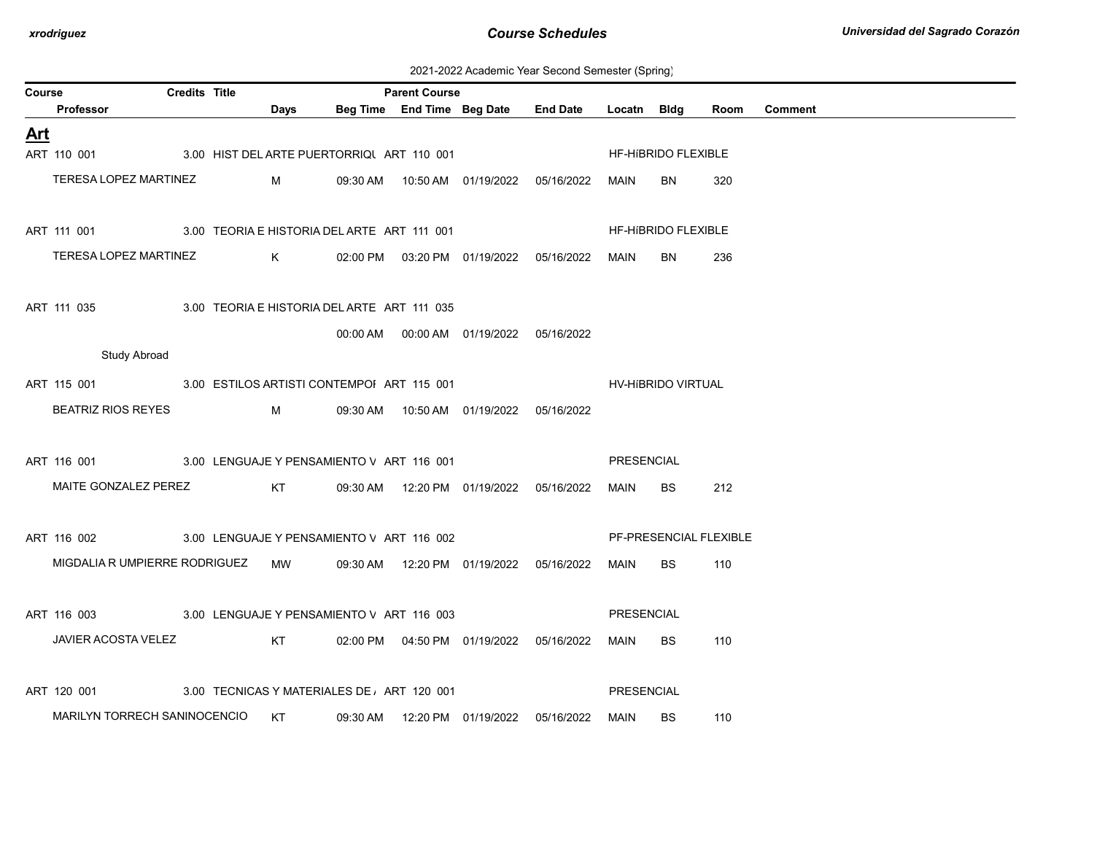2021-2022 Academic Year Second Semester (Spring)

| Course |                                                        | <b>Credits Title</b> |             |                                             | <b>Parent Course</b> |                                            |                 |                   |                            |      |                |
|--------|--------------------------------------------------------|----------------------|-------------|---------------------------------------------|----------------------|--------------------------------------------|-----------------|-------------------|----------------------------|------|----------------|
|        | Professor                                              |                      | Days        |                                             |                      | Beg Time End Time Beg Date                 | <b>End Date</b> | Locatn Bldg       |                            | Room | <b>Comment</b> |
| Art    |                                                        |                      |             |                                             |                      |                                            |                 |                   |                            |      |                |
|        | ART 110 001                                            |                      |             | 3.00 HIST DEL ARTE PUERTORRIQUART 110 001   |                      |                                            |                 |                   | <b>HF-HIBRIDO FLEXIBLE</b> |      |                |
|        | TERESA LOPEZ MARTINEZ                                  |                      | M           |                                             |                      | 09:30 AM  10:50 AM  01/19/2022  05/16/2022 |                 | MAIN              | BN.                        | 320  |                |
|        |                                                        |                      |             |                                             |                      |                                            |                 |                   |                            |      |                |
|        | ART 111 001                                            |                      |             | 3.00 TEORIA E HISTORIA DEL ARTE ART 111 001 |                      |                                            |                 |                   | HF-HIBRIDO FLEXIBLE        |      |                |
|        | TERESA LOPEZ MARTINEZ                                  |                      | $K$ and $K$ |                                             |                      | 02:00 PM  03:20 PM  01/19/2022  05/16/2022 |                 | MAIN              | BN.                        | 236  |                |
|        |                                                        |                      |             |                                             |                      |                                            |                 |                   |                            |      |                |
|        | ART 111 035                                            |                      |             | 3.00 TEORIA E HISTORIA DEL ARTE ART 111 035 |                      |                                            |                 |                   |                            |      |                |
|        |                                                        |                      |             |                                             |                      | 00:00 AM  00:00 AM  01/19/2022  05/16/2022 |                 |                   |                            |      |                |
|        | <b>Study Abroad</b>                                    |                      |             |                                             |                      |                                            |                 |                   |                            |      |                |
|        | ART 115 001 3.00 ESTILOS ARTISTI CONTEMPOI ART 115 001 |                      |             |                                             |                      |                                            |                 |                   | HV-HIBRIDO VIRTUAL         |      |                |
|        | <b>BEATRIZ RIOS REYES</b>                              |                      | M           |                                             |                      | 09:30 AM  10:50 AM  01/19/2022  05/16/2022 |                 |                   |                            |      |                |
|        |                                                        |                      |             |                                             |                      |                                            |                 |                   |                            |      |                |
|        | ART 116 001 3.00 LENGUAJE Y PENSAMIENTO V ART 116 001  |                      |             |                                             |                      |                                            |                 | PRESENCIAL        |                            |      |                |
|        | MAITE GONZALEZ PEREZ                                   |                      | KT          |                                             |                      | 09:30 AM  12:20 PM  01/19/2022  05/16/2022 |                 | MAIN              | <b>BS</b>                  | 212  |                |
|        |                                                        |                      |             |                                             |                      |                                            |                 |                   |                            |      |                |
|        | ART 116 002                                            |                      |             | 3.00 LENGUAJE Y PENSAMIENTO V ART 116 002   |                      |                                            |                 |                   | PF-PRESENCIAL FLEXIBLE     |      |                |
|        | MIGDALIA R UMPIERRE RODRIGUEZ                          |                      | MW          |                                             |                      | 09:30 AM  12:20 PM  01/19/2022  05/16/2022 |                 | MAIN              | BS                         | 110  |                |
|        |                                                        |                      |             |                                             |                      |                                            |                 |                   |                            |      |                |
|        | ART 116 003 3.00 LENGUAJE Y PENSAMIENTO V ART 116 003  |                      |             |                                             |                      |                                            |                 | <b>PRESENCIAL</b> |                            |      |                |
|        | JAVIER ACOSTA VELEZ                                    |                      | KT          |                                             |                      | 02:00 PM  04:50 PM  01/19/2022  05/16/2022 |                 | MAIN              | <b>BS</b>                  | 110  |                |
|        |                                                        |                      |             |                                             |                      |                                            |                 |                   |                            |      |                |
|        | ART 120 001                                            |                      |             | 3.00 TECNICAS Y MATERIALES DE ART 120 001   |                      |                                            |                 | PRESENCIAL        |                            |      |                |
|        | MARILYN TORRECH SANINOCENCIO                           |                      | KT          | 09:30 AM                                    |                      |                                            |                 | MAIN              | <b>BS</b>                  | 110  |                |
|        |                                                        |                      |             |                                             |                      |                                            |                 |                   |                            |      |                |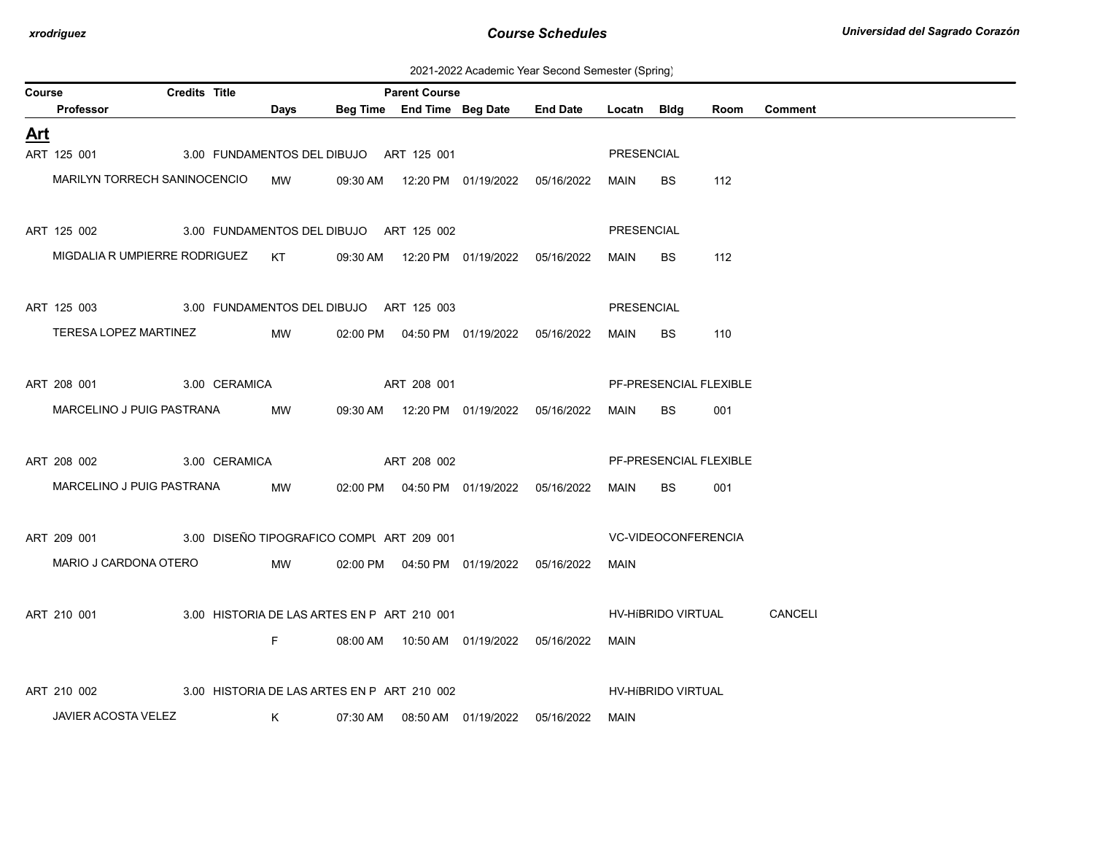2021-2022 Academic Year Second Semester (Spring)

| Course     |                               | <b>Credits Title</b> |               |           | <b>Parent Course</b>                        |                            |                                            |                 |             |                           |                        |                            |
|------------|-------------------------------|----------------------|---------------|-----------|---------------------------------------------|----------------------------|--------------------------------------------|-----------------|-------------|---------------------------|------------------------|----------------------------|
|            | Professor                     |                      |               | Days      |                                             | Beg Time End Time Beg Date |                                            | <b>End Date</b> | Locatn Bldg |                           | Room                   | <b>Comment</b>             |
| <u>Art</u> |                               |                      |               |           |                                             |                            |                                            |                 |             |                           |                        |                            |
|            | ART 125 001                   |                      |               |           | 3.00 FUNDAMENTOS DEL DIBUJO ART 125 001     |                            |                                            |                 | PRESENCIAL  |                           |                        |                            |
|            | MARILYN TORRECH SANINOCENCIO  |                      |               | <b>MW</b> |                                             |                            | 09:30 AM  12:20 PM  01/19/2022  05/16/2022 |                 | MAIN        | <b>BS</b>                 | 112                    |                            |
|            | ART 125 002                   |                      |               |           | 3.00 FUNDAMENTOS DEL DIBUJO ART 125 002     |                            |                                            |                 | PRESENCIAL  |                           |                        |                            |
|            | MIGDALIA R UMPIERRE RODRIGUEZ |                      |               | KT        |                                             |                            | 09:30 AM  12:20 PM  01/19/2022  05/16/2022 |                 | MAIN        | <b>BS</b>                 | 112                    |                            |
|            | ART 125 003                   |                      |               |           | 3.00 FUNDAMENTOS DEL DIBUJO ART 125 003     |                            |                                            |                 | PRESENCIAL  |                           |                        |                            |
|            | TERESA LOPEZ MARTINEZ         |                      |               | MW        |                                             |                            | 02:00 PM  04:50 PM  01/19/2022  05/16/2022 |                 | MAIN        | <b>BS</b>                 | 110                    |                            |
|            | ART 208 001                   |                      | 3.00 CERAMICA |           |                                             | ART 208 001                |                                            |                 |             |                           | PF-PRESENCIAL FLEXIBLE |                            |
|            | MARCELINO J PUIG PASTRANA     |                      |               | MW        |                                             |                            | 09:30 AM  12:20 PM  01/19/2022  05/16/2022 |                 | MAIN        | BS.                       | 001                    |                            |
|            | ART 208 002<br>3.00 CERAMICA  |                      |               |           |                                             | ART 208 002                |                                            |                 |             |                           | PF-PRESENCIAL FLEXIBLE |                            |
|            | MARCELINO J PUIG PASTRANA     |                      |               | MW        |                                             |                            | 02:00 PM  04:50 PM  01/19/2022  05/16/2022 |                 | MAIN        | <b>BS</b>                 | 001                    |                            |
|            | ART 209 001                   |                      |               |           | 3.00 DISEÑO TIPOGRAFICO COMPL ART 209 001   |                            |                                            |                 |             | VC-VIDEOCONFERENCIA       |                        |                            |
|            | MARIO J CARDONA OTERO         |                      |               | MW        |                                             |                            | 02:00 PM  04:50 PM  01/19/2022  05/16/2022 |                 | MAIN        |                           |                        |                            |
|            | ART 210 001                   |                      |               |           | 3.00 HISTORIA DE LAS ARTES EN P ART 210 001 |                            |                                            |                 |             |                           |                        | HV-HIBRIDO VIRTUAL CANCELI |
|            |                               |                      |               | F.        |                                             |                            | 08:00 AM  10:50 AM  01/19/2022  05/16/2022 |                 | MAIN        |                           |                        |                            |
|            | ART 210 002                   |                      |               |           | 3.00 HISTORIA DE LAS ARTES EN P ART 210 002 |                            |                                            |                 |             | <b>HV-HIBRIDO VIRTUAL</b> |                        |                            |
|            | JAVIER ACOSTA VELEZ           |                      |               | K         |                                             |                            | 07:30 AM  08:50 AM  01/19/2022  05/16/2022 |                 | MAIN        |                           |                        |                            |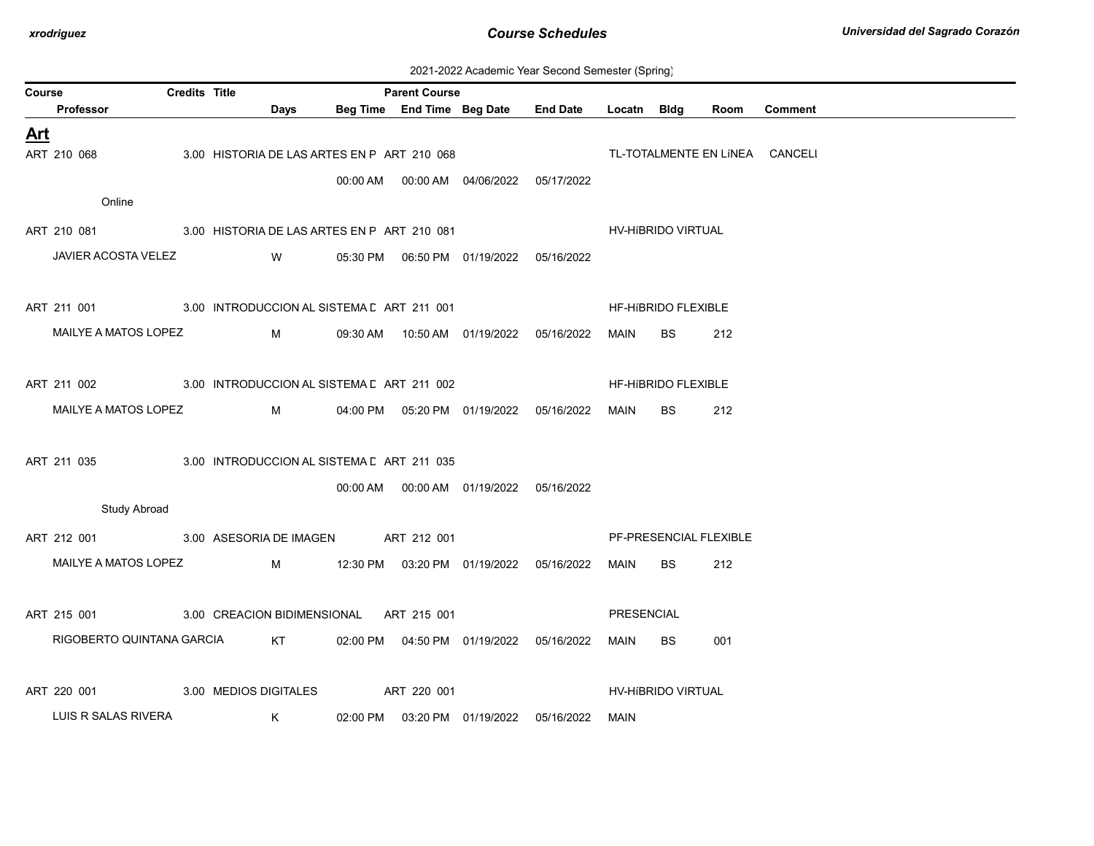| 2021-2022 Academic Year Second Semester (Spring) |  |  |  |  |  |
|--------------------------------------------------|--|--|--|--|--|
|--------------------------------------------------|--|--|--|--|--|

| Course     |                                                         | <b>Credits Title</b> |                       |                                             | <b>Parent Course</b> |                                            |                                            |                    |                     |                        |                                |
|------------|---------------------------------------------------------|----------------------|-----------------------|---------------------------------------------|----------------------|--------------------------------------------|--------------------------------------------|--------------------|---------------------|------------------------|--------------------------------|
|            | Professor                                               |                      | Days                  |                                             |                      |                                            | Beg Time End Time Beg Date End Date        | Locatn Bldg        |                     | Room                   | <b>Comment</b>                 |
| <b>Art</b> |                                                         |                      |                       |                                             |                      |                                            |                                            |                    |                     |                        |                                |
|            | ART 210 068                                             |                      |                       | 3.00 HISTORIA DE LAS ARTES EN P ART 210 068 |                      |                                            |                                            |                    |                     |                        | TL-TOTALMENTE EN LÍNEA CANCELI |
|            |                                                         |                      |                       |                                             |                      | 00:00 AM  00:00 AM  04/06/2022  05/17/2022 |                                            |                    |                     |                        |                                |
|            | Online                                                  |                      |                       |                                             |                      |                                            |                                            |                    |                     |                        |                                |
|            | ART 210 081 3.00 HISTORIA DE LAS ARTES EN P ART 210 081 |                      |                       |                                             |                      |                                            |                                            | HV-HíBRIDO VIRTUAL |                     |                        |                                |
|            | JAVIER ACOSTA VELEZ                                     |                      | <b>W</b>              |                                             |                      | 05:30 PM  06:50 PM  01/19/2022  05/16/2022 |                                            |                    |                     |                        |                                |
|            |                                                         |                      |                       |                                             |                      |                                            |                                            |                    |                     |                        |                                |
|            |                                                         |                      |                       |                                             |                      |                                            |                                            |                    |                     |                        |                                |
|            | ART 211 001 3.00 INTRODUCCION AL SISTEMA E ART 211 001  |                      |                       |                                             |                      |                                            |                                            |                    | HF-HIBRIDO FLEXIBLE |                        |                                |
|            | MAILYE A MATOS LOPEZ                                    |                      | $M_{\rm H}$           |                                             |                      |                                            |                                            | MAIN               | BS                  | 212                    |                                |
|            |                                                         |                      |                       |                                             |                      |                                            |                                            |                    |                     |                        |                                |
|            | ART 211 002 3.00 INTRODUCCION AL SISTEMA E ART 211 002  |                      |                       |                                             |                      |                                            |                                            |                    | HF-HIBRIDO FLEXIBLE |                        |                                |
|            | MAILYE A MATOS LOPEZ                                    |                      | $M \sim 1$            |                                             |                      |                                            | 04:00 PM  05:20 PM  01/19/2022  05/16/2022 | MAIN               | <b>BS</b>           | 212                    |                                |
|            |                                                         |                      |                       |                                             |                      |                                            |                                            |                    |                     |                        |                                |
|            | ART 211 035 3.00 INTRODUCCION AL SISTEMA E ART 211 035  |                      |                       |                                             |                      |                                            |                                            |                    |                     |                        |                                |
|            |                                                         |                      |                       |                                             |                      | 00:00 AM  00:00 AM  01/19/2022  05/16/2022 |                                            |                    |                     |                        |                                |
|            | <b>Study Abroad</b>                                     |                      |                       |                                             |                      |                                            |                                            |                    |                     |                        |                                |
|            |                                                         |                      |                       |                                             |                      |                                            |                                            |                    |                     | PF-PRESENCIAL FLEXIBLE |                                |
|            | ART 212 001 3.00 ASESORIA DE IMAGEN ART 212 001         |                      |                       |                                             |                      |                                            |                                            |                    |                     |                        |                                |
|            | MAILYE A MATOS LOPEZ                                    |                      | $M \sim 1$            |                                             |                      |                                            | 12:30 PM  03:20 PM  01/19/2022  05/16/2022 | MAIN               | <b>BS</b>           | 212                    |                                |
|            |                                                         |                      |                       |                                             |                      |                                            |                                            |                    |                     |                        |                                |
|            | ART 215 001 3.00 CREACION BIDIMENSIONAL ART 215 001     |                      |                       |                                             |                      |                                            |                                            | PRESENCIAL         |                     |                        |                                |
|            | RIGOBERTO QUINTANA GARCIA KT                            |                      |                       |                                             |                      |                                            | 02:00 PM  04:50 PM  01/19/2022  05/16/2022 | MAIN BS            |                     | 001                    |                                |
|            |                                                         |                      |                       |                                             |                      |                                            |                                            |                    |                     |                        |                                |
|            | ART 220 001                                             |                      | 3.00 MEDIOS DIGITALES |                                             | ART 220 001          |                                            |                                            |                    | HV-HIBRIDO VIRTUAL  |                        |                                |
|            | LUIS R SALAS RIVERA                                     |                      | K                     | 02:00 PM                                    |                      |                                            | 03:20 PM 01/19/2022 05/16/2022             | MAIN               |                     |                        |                                |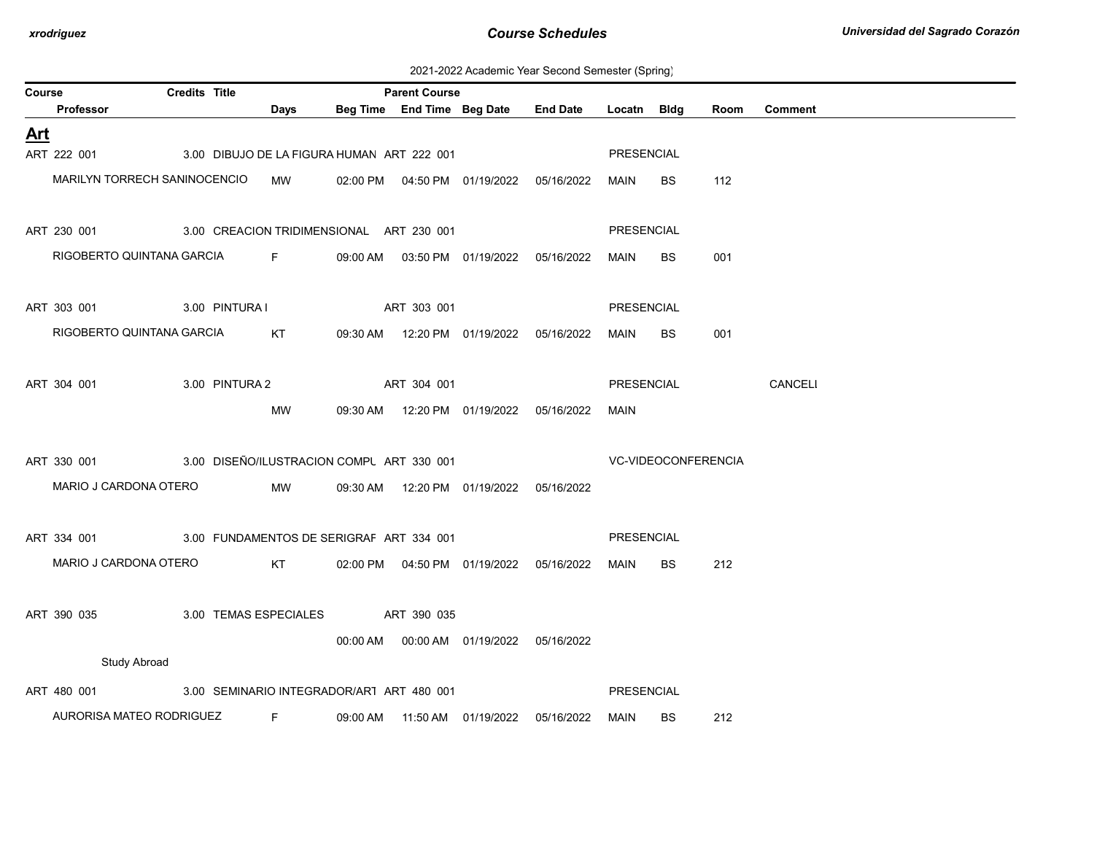2021-2022 Academic Year Second Semester (Spring)

| Course     |                                                       | <b>Credits Title</b> |                |                       |                                            | <b>Parent Course</b> |                                            |                 |                   |                     |      |                |
|------------|-------------------------------------------------------|----------------------|----------------|-----------------------|--------------------------------------------|----------------------|--------------------------------------------|-----------------|-------------------|---------------------|------|----------------|
|            | Professor                                             |                      |                | Days                  |                                            |                      | Beg Time End Time Beg Date                 | <b>End Date</b> | Locatn Bldg       |                     | Room | <b>Comment</b> |
| <u>Art</u> |                                                       |                      |                |                       |                                            |                      |                                            |                 |                   |                     |      |                |
|            | ART 222 001                                           |                      |                |                       | 3.00 DIBUJO DE LA FIGURA HUMAN ART 222 001 |                      |                                            |                 | PRESENCIAL        |                     |      |                |
|            | MARILYN TORRECH SANINOCENCIO                          |                      |                | MW                    |                                            |                      | 02:00 PM  04:50 PM  01/19/2022  05/16/2022 |                 | MAIN              | <b>BS</b>           | 112  |                |
|            |                                                       |                      |                |                       |                                            |                      |                                            |                 |                   |                     |      |                |
|            | ART 230 001                                           |                      |                |                       | 3.00 CREACION TRIDIMENSIONAL ART 230 001   |                      |                                            |                 | <b>PRESENCIAL</b> |                     |      |                |
|            | RIGOBERTO QUINTANA GARCIA F                           |                      |                |                       |                                            |                      | 09:00 AM  03:50 PM  01/19/2022  05/16/2022 |                 | MAIN              | <b>BS</b>           | 001  |                |
|            | ART 303 001                                           |                      |                |                       | 3.00 PINTURA I ART 303 001                 |                      |                                            |                 | <b>PRESENCIAL</b> |                     |      |                |
|            | RIGOBERTO QUINTANA GARCIA                             |                      |                | KT                    |                                            |                      |                                            |                 |                   |                     |      |                |
|            |                                                       |                      |                |                       |                                            |                      | 09:30 AM  12:20 PM  01/19/2022  05/16/2022 |                 | MAIN              | <b>BS</b>           | 001  |                |
|            | ART 304 001                                           |                      | 3.00 PINTURA 2 |                       |                                            | ART 304 001          |                                            |                 | PRESENCIAL        |                     |      | CANCELI        |
|            |                                                       |                      |                | МW                    |                                            |                      | 09:30 AM  12:20 PM  01/19/2022  05/16/2022 |                 | MAIN              |                     |      |                |
|            |                                                       |                      |                |                       |                                            |                      |                                            |                 |                   |                     |      |                |
|            | ART 330 001                                           |                      |                |                       | 3.00 DISEÑO/ILUSTRACION COMPL ART 330 001  |                      |                                            |                 |                   | VC-VIDEOCONFERENCIA |      |                |
|            | MARIO J CARDONA OTERO                                 |                      |                | MW                    |                                            |                      | 09:30 AM  12:20 PM  01/19/2022  05/16/2022 |                 |                   |                     |      |                |
|            |                                                       |                      |                |                       |                                            |                      |                                            |                 |                   |                     |      |                |
|            | ART 334 001                                           |                      |                |                       | 3.00 FUNDAMENTOS DE SERIGRAF ART 334 001   |                      |                                            |                 | PRESENCIAL        |                     |      |                |
|            | MARIO J CARDONA OTERO                                 |                      |                | KT                    |                                            |                      | 02:00 PM  04:50 PM  01/19/2022  05/16/2022 |                 | MAIN              | BS.                 | 212  |                |
|            |                                                       |                      |                |                       |                                            |                      |                                            |                 |                   |                     |      |                |
|            | ART 390 035                                           |                      |                | 3.00 TEMAS ESPECIALES |                                            | ART 390 035          |                                            |                 |                   |                     |      |                |
|            |                                                       |                      |                |                       |                                            |                      | 00:00 AM  00:00 AM  01/19/2022  05/16/2022 |                 |                   |                     |      |                |
|            | <b>Study Abroad</b>                                   |                      |                |                       |                                            |                      |                                            |                 |                   |                     |      |                |
|            | ART 480 001 3.00 SEMINARIO INTEGRADOR/AR1 ART 480 001 |                      |                |                       |                                            |                      |                                            |                 | <b>PRESENCIAL</b> |                     |      |                |
|            | AURORISA MATEO RODRIGUEZ                              |                      |                | F                     | 09:00 AM                                   |                      |                                            | 05/16/2022      | MAIN              | <b>BS</b>           | 212  |                |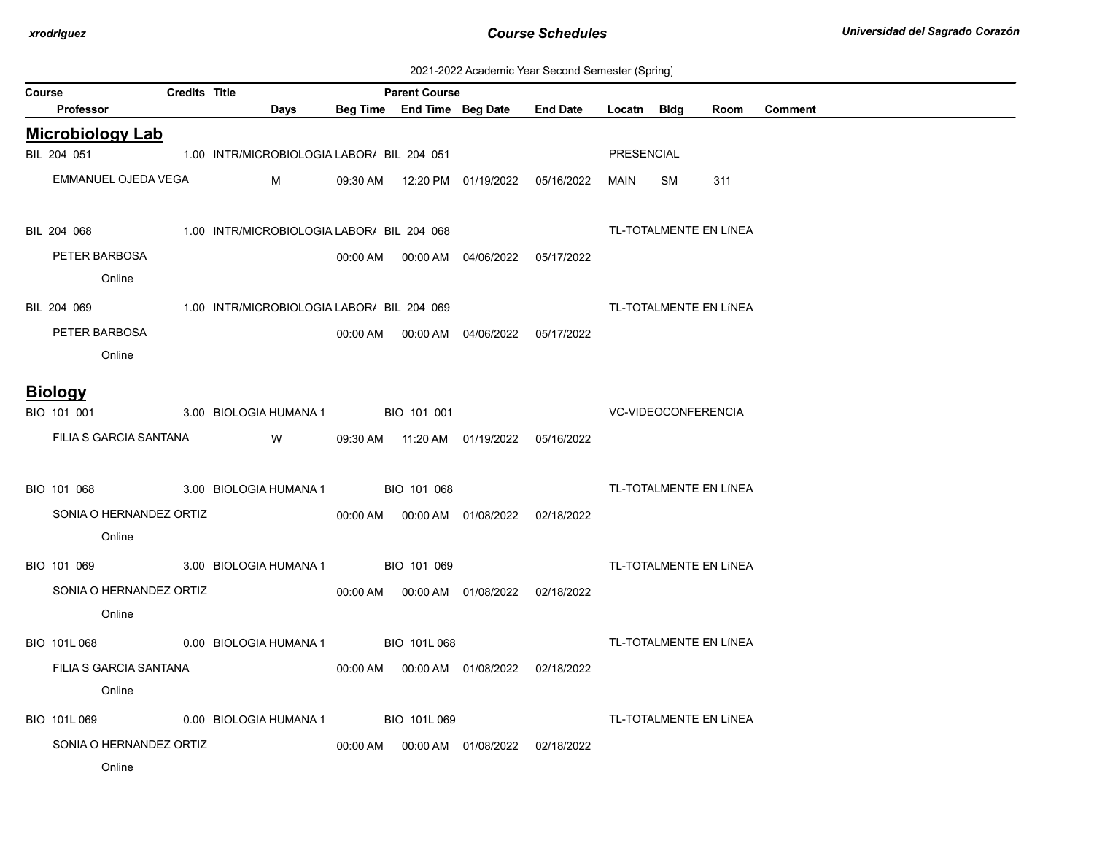2021-2022 Academic Year Second Semester (Spring)

| Course | <b>Professor</b>        | <b>Credits Title</b> | Days                                                   |          | <b>Parent Course</b> | Beg Time End Time Beg Date                 | <b>End Date</b>                            | Locatn Bidg |    | Room                   | <b>Comment</b> |
|--------|-------------------------|----------------------|--------------------------------------------------------|----------|----------------------|--------------------------------------------|--------------------------------------------|-------------|----|------------------------|----------------|
|        |                         |                      |                                                        |          |                      |                                            |                                            |             |    |                        |                |
|        | <b>Microbiology Lab</b> |                      |                                                        |          |                      |                                            |                                            |             |    |                        |                |
|        | BIL 204 051             |                      | 1.00 INTR/MICROBIOLOGIA LABOR/ BIL 204 051             |          |                      |                                            |                                            | PRESENCIAL  |    |                        |                |
|        | EMMANUEL OJEDA VEGA     |                      | M                                                      | 09:30 AM |                      | 12:20 PM 01/19/2022                        | 05/16/2022                                 | MAIN        | SM | 311                    |                |
|        | BIL 204 068             |                      | 1.00 INTR/MICROBIOLOGIA LABOR/ BIL 204 068             |          |                      |                                            |                                            |             |    | TL-TOTALMENTE EN LÍNEA |                |
|        | PETER BARBOSA           |                      |                                                        |          |                      |                                            | 05/17/2022                                 |             |    |                        |                |
|        | Online                  |                      |                                                        |          |                      |                                            |                                            |             |    |                        |                |
|        |                         |                      | BIL 204 069 1.00 INTR/MICROBIOLOGIA LABOR/ BIL 204 069 |          |                      |                                            |                                            |             |    | TL-TOTALMENTE EN LÍNEA |                |
|        | PETER BARBOSA           |                      |                                                        |          |                      |                                            | 00:00 AM  00:00 AM  04/06/2022  05/17/2022 |             |    |                        |                |
|        | Online                  |                      |                                                        |          |                      |                                            |                                            |             |    |                        |                |
|        |                         |                      |                                                        |          |                      |                                            |                                            |             |    |                        |                |
|        | <b>Biology</b>          |                      |                                                        |          |                      |                                            |                                            |             |    |                        |                |
|        | BIO 101 001             |                      | 3.00 BIOLOGIA HUMANA 1                                 |          | BIO 101 001          |                                            | <b>VC-VIDEOCONFERENCIA</b>                 |             |    |                        |                |
|        | FILIA S GARCIA SANTANA  |                      | W                                                      |          |                      | 09:30 AM  11:20 AM  01/19/2022  05/16/2022 |                                            |             |    |                        |                |
|        |                         |                      |                                                        |          |                      |                                            |                                            |             |    |                        |                |
|        | BIO 101 068             |                      | 3.00 BIOLOGIA HUMANA 1 BIO 101 068                     |          |                      |                                            |                                            |             |    | TL-TOTALMENTE EN LÍNEA |                |
|        | SONIA O HERNANDEZ ORTIZ |                      |                                                        |          |                      |                                            | 02/18/2022                                 |             |    |                        |                |
|        | Online                  |                      |                                                        |          |                      |                                            |                                            |             |    |                        |                |
|        | BIO 101 069             |                      | 3.00 BIOLOGIA HUMANA 1 BIO 101 069                     |          |                      |                                            |                                            |             |    | TL-TOTALMENTE EN LÍNEA |                |
|        |                         |                      |                                                        |          |                      |                                            |                                            |             |    |                        |                |
|        | SONIA O HERNANDEZ ORTIZ |                      |                                                        |          |                      | 00:00 AM  00:00 AM  01/08/2022  02/18/2022 |                                            |             |    |                        |                |
|        | Online                  |                      |                                                        |          |                      |                                            |                                            |             |    |                        |                |
|        |                         |                      | BIO 101L 068 0.00 BIOLOGIA HUMANA 1 BIO 101L 068       |          |                      |                                            |                                            |             |    | TL-TOTALMENTE EN LÍNEA |                |
|        | FILIA S GARCIA SANTANA  |                      |                                                        |          |                      |                                            | 02/18/2022                                 |             |    |                        |                |
|        | Online                  |                      |                                                        |          |                      |                                            |                                            |             |    |                        |                |
|        | BIO 101L 069            |                      | 0.00 BIOLOGIA HUMANA 1                                 |          | BIO 101L069          |                                            |                                            |             |    | TL-TOTALMENTE EN LÍNEA |                |
|        | SONIA O HERNANDEZ ORTIZ |                      |                                                        |          |                      |                                            |                                            |             |    |                        |                |
|        | Online                  |                      |                                                        |          |                      |                                            |                                            |             |    |                        |                |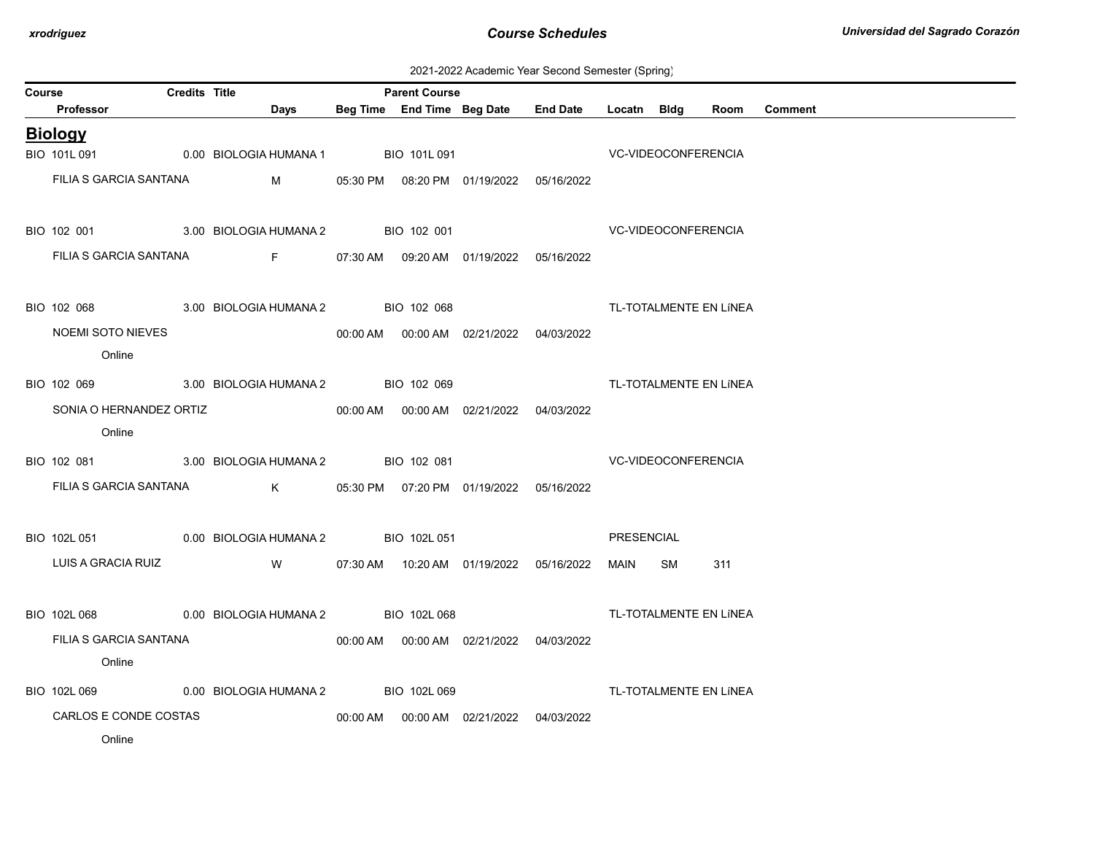| 2021-2022 Academic Year Second Semester (Spring) |  |  |  |
|--------------------------------------------------|--|--|--|
|--------------------------------------------------|--|--|--|

| Course | readonne Tear Second Sonicolor (Spinig)<br><b>Credits Title</b><br><b>Parent Course</b> |  |                                                                            |  |              |                                            |                                                 |                            |    |                        |                |  |
|--------|-----------------------------------------------------------------------------------------|--|----------------------------------------------------------------------------|--|--------------|--------------------------------------------|-------------------------------------------------|----------------------------|----|------------------------|----------------|--|
|        | Professor                                                                               |  | Days                                                                       |  |              |                                            | Beg Time End Time Beg Date End Date Locatn Bldg |                            |    | Room                   | <b>Comment</b> |  |
|        | <b>Biology</b>                                                                          |  |                                                                            |  |              |                                            |                                                 |                            |    |                        |                |  |
|        | BIO 101L 091                                                                            |  | 0.00 BIOLOGIA HUMANA 1                                                     |  | BIO 101L 091 |                                            |                                                 | <b>VC-VIDEOCONFERENCIA</b> |    |                        |                |  |
|        | FILIA S GARCIA SANTANA                                                                  |  | M                                                                          |  |              | 05:30 PM  08:20 PM  01/19/2022  05/16/2022 |                                                 |                            |    |                        |                |  |
|        | BIO 102 001                                                                             |  | 3.00 BIOLOGIA HUMANA 2 BIO 102 001                                         |  |              |                                            | <b>VC-VIDEOCONFERENCIA</b>                      |                            |    |                        |                |  |
|        | FILIA S GARCIA SANTANA                                                                  |  | $\mathsf{F}$ and $\mathsf{F}$ and $\mathsf{F}$ are the set of $\mathsf{F}$ |  |              | 07:30 AM  09:20 AM  01/19/2022  05/16/2022 |                                                 |                            |    |                        |                |  |
|        | BIO 102 068                                                                             |  | 3.00 BIOLOGIA HUMANA 2 BIO 102 068                                         |  |              |                                            | TL-TOTALMENTE EN LÍNEA                          |                            |    |                        |                |  |
|        | <b>NOEMI SOTO NIEVES</b><br>Online                                                      |  |                                                                            |  |              |                                            |                                                 |                            |    |                        |                |  |
|        |                                                                                         |  | BIO 102 069 3.00 BIOLOGIA HUMANA 2 BIO 102 069                             |  |              |                                            |                                                 |                            |    | TL-TOTALMENTE EN LÍNEA |                |  |
|        | SONIA O HERNANDEZ ORTIZ<br>Online                                                       |  |                                                                            |  |              | 00:00 AM  00:00 AM  02/21/2022  04/03/2022 |                                                 |                            |    |                        |                |  |
|        |                                                                                         |  | BIO 102 081 3.00 BIOLOGIA HUMANA 2 BIO 102 081                             |  |              |                                            |                                                 | <b>VC-VIDEOCONFERENCIA</b> |    |                        |                |  |
|        |                                                                                         |  | FILIA S GARCIA SANTANA K                                                   |  |              | 05:30 PM  07:20 PM  01/19/2022  05/16/2022 |                                                 |                            |    |                        |                |  |
|        | BIO 102L 051                                                                            |  | 0.00 BIOLOGIA HUMANA 2 BIO 102L 051                                        |  |              |                                            |                                                 | PRESENCIAL                 |    |                        |                |  |
|        | LUIS A GRACIA RUIZ                                                                      |  | <b>W</b>                                                                   |  |              |                                            |                                                 | MAIN                       | SM | 311                    |                |  |
|        |                                                                                         |  | BIO 102L 068 0.00 BIOLOGIA HUMANA 2 BIO 102L 068                           |  |              |                                            |                                                 |                            |    | TL-TOTALMENTE EN LÍNEA |                |  |
|        | FILIA S GARCIA SANTANA<br>Online                                                        |  |                                                                            |  |              |                                            |                                                 |                            |    |                        |                |  |
|        | BIO 102L 069                                                                            |  | 0.00 BIOLOGIA HUMANA 2                                                     |  | BIO 102L 069 |                                            |                                                 |                            |    | TL-TOTALMENTE EN LÍNEA |                |  |
|        | CARLOS E CONDE COSTAS<br>Online                                                         |  |                                                                            |  |              |                                            | 04/03/2022                                      |                            |    |                        |                |  |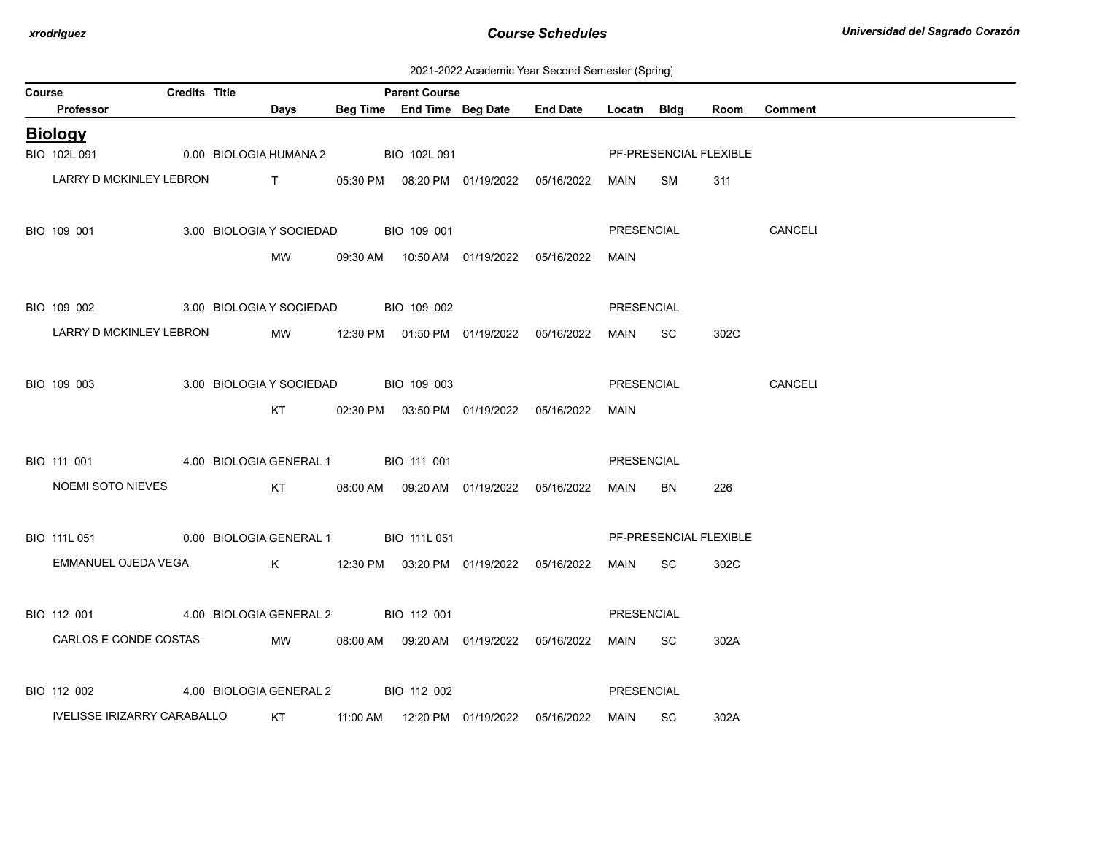2021-2022 Academic Year Second Semester (Spring)

| Course |                                                   | <b>Credits Title</b> |                                                                                                                                                                                                                                                                                                                               | <b>Parent Course</b> |                                            |                                            |             |                        |      |                |
|--------|---------------------------------------------------|----------------------|-------------------------------------------------------------------------------------------------------------------------------------------------------------------------------------------------------------------------------------------------------------------------------------------------------------------------------|----------------------|--------------------------------------------|--------------------------------------------|-------------|------------------------|------|----------------|
|        | Professor                                         |                      | Days                                                                                                                                                                                                                                                                                                                          |                      |                                            | Beg Time End Time Beg Date End Date        | Locatn Bldg |                        | Room | <b>Comment</b> |
|        | <b>Biology</b>                                    |                      |                                                                                                                                                                                                                                                                                                                               |                      |                                            |                                            |             |                        |      |                |
|        | BIO 102L 091                                      |                      | 0.00 BIOLOGIA HUMANA 2 BIO 102L 091                                                                                                                                                                                                                                                                                           |                      |                                            |                                            |             | PF-PRESENCIAL FLEXIBLE |      |                |
|        | LARRY D MCKINLEY LEBRON                           |                      | $\mathbf{T}$ and $\mathbf{T}$ and $\mathbf{T}$ and $\mathbf{T}$ and $\mathbf{T}$ and $\mathbf{T}$ and $\mathbf{T}$ and $\mathbf{T}$ and $\mathbf{T}$ and $\mathbf{T}$ and $\mathbf{T}$ and $\mathbf{T}$ and $\mathbf{T}$ and $\mathbf{T}$ and $\mathbf{T}$ and $\mathbf{T}$ and $\mathbf{T}$ and $\mathbf{T}$ and $\mathbf{T$ |                      |                                            | 05:30 PM  08:20 PM  01/19/2022  05/16/2022 | MAIN        | SM                     | 311  |                |
|        |                                                   |                      |                                                                                                                                                                                                                                                                                                                               |                      |                                            |                                            |             |                        |      |                |
|        | BIO 109 001                                       |                      | 3.00 BIOLOGIA Y SOCIEDAD BIO 109 001                                                                                                                                                                                                                                                                                          |                      |                                            |                                            | PRESENCIAL  |                        |      | CANCELI        |
|        |                                                   |                      | <b>MW</b>                                                                                                                                                                                                                                                                                                                     |                      | 09:30 AM  10:50 AM  01/19/2022  05/16/2022 |                                            | <b>MAIN</b> |                        |      |                |
|        |                                                   |                      |                                                                                                                                                                                                                                                                                                                               |                      |                                            |                                            |             |                        |      |                |
|        | BIO 109 002                                       |                      | 3.00 BIOLOGIA Y SOCIEDAD BIO 109 002                                                                                                                                                                                                                                                                                          |                      |                                            |                                            | PRESENCIAL  |                        |      |                |
|        | LARRY D MCKINLEY LEBRON                           |                      | MW                                                                                                                                                                                                                                                                                                                            |                      | 12:30 PM  01:50 PM  01/19/2022  05/16/2022 |                                            | MAIN SC     |                        | 302C |                |
|        |                                                   |                      |                                                                                                                                                                                                                                                                                                                               |                      |                                            |                                            |             |                        |      |                |
|        | BIO 109 003                                       |                      | 3.00 BIOLOGIA Y SOCIEDAD BIO 109 003                                                                                                                                                                                                                                                                                          |                      |                                            |                                            | PRESENCIAL  |                        |      | CANCELI        |
|        |                                                   |                      | KT                                                                                                                                                                                                                                                                                                                            |                      | 02:30 PM  03:50 PM  01/19/2022  05/16/2022 |                                            | MAIN        |                        |      |                |
|        |                                                   |                      |                                                                                                                                                                                                                                                                                                                               |                      |                                            |                                            |             |                        |      |                |
|        | BIO 111 001 4.00 BIOLOGIA GENERAL 1 BIO 111 001   |                      |                                                                                                                                                                                                                                                                                                                               |                      |                                            |                                            | PRESENCIAL  |                        |      |                |
|        | <b>NOEMI SOTO NIEVES</b>                          |                      |                                                                                                                                                                                                                                                                                                                               |                      | KT 08:00 AM 09:20 AM 01/19/2022 05/16/2022 |                                            | MAIN        | BN                     | 226  |                |
|        |                                                   |                      |                                                                                                                                                                                                                                                                                                                               |                      |                                            |                                            |             |                        |      |                |
|        | BIO 111L 051 0.00 BIOLOGIA GENERAL 1 BIO 111L 051 |                      |                                                                                                                                                                                                                                                                                                                               |                      |                                            |                                            |             | PF-PRESENCIAL FLEXIBLE |      |                |
|        | EMMANUEL OJEDA VEGA                               |                      |                                                                                                                                                                                                                                                                                                                               |                      | K 12:30 PM 03:20 PM 01/19/2022 05/16/2022  |                                            | MAIN SC     |                        | 302C |                |
|        |                                                   |                      |                                                                                                                                                                                                                                                                                                                               |                      |                                            |                                            |             |                        |      |                |
|        | BIO 112 001                                       |                      | 4.00 BIOLOGIA GENERAL 2 BIO 112 001                                                                                                                                                                                                                                                                                           |                      |                                            |                                            | PRESENCIAL  |                        |      |                |
|        | CARLOS E CONDE COSTAS                             |                      | MW                                                                                                                                                                                                                                                                                                                            |                      | 08:00 AM  09:20 AM  01/19/2022  05/16/2022 |                                            | MAIN        | -SC                    | 302A |                |
|        |                                                   |                      |                                                                                                                                                                                                                                                                                                                               |                      |                                            |                                            |             |                        |      |                |
|        | BIO 112 002                                       |                      | 4.00 BIOLOGIA GENERAL 2 BIO 112 002                                                                                                                                                                                                                                                                                           |                      |                                            |                                            | PRESENCIAL  |                        |      |                |
|        | IVELISSE IRIZARRY CARABALLO                       |                      |                                                                                                                                                                                                                                                                                                                               |                      |                                            |                                            | MAIN SC     |                        | 302A |                |
|        |                                                   |                      |                                                                                                                                                                                                                                                                                                                               |                      |                                            |                                            |             |                        |      |                |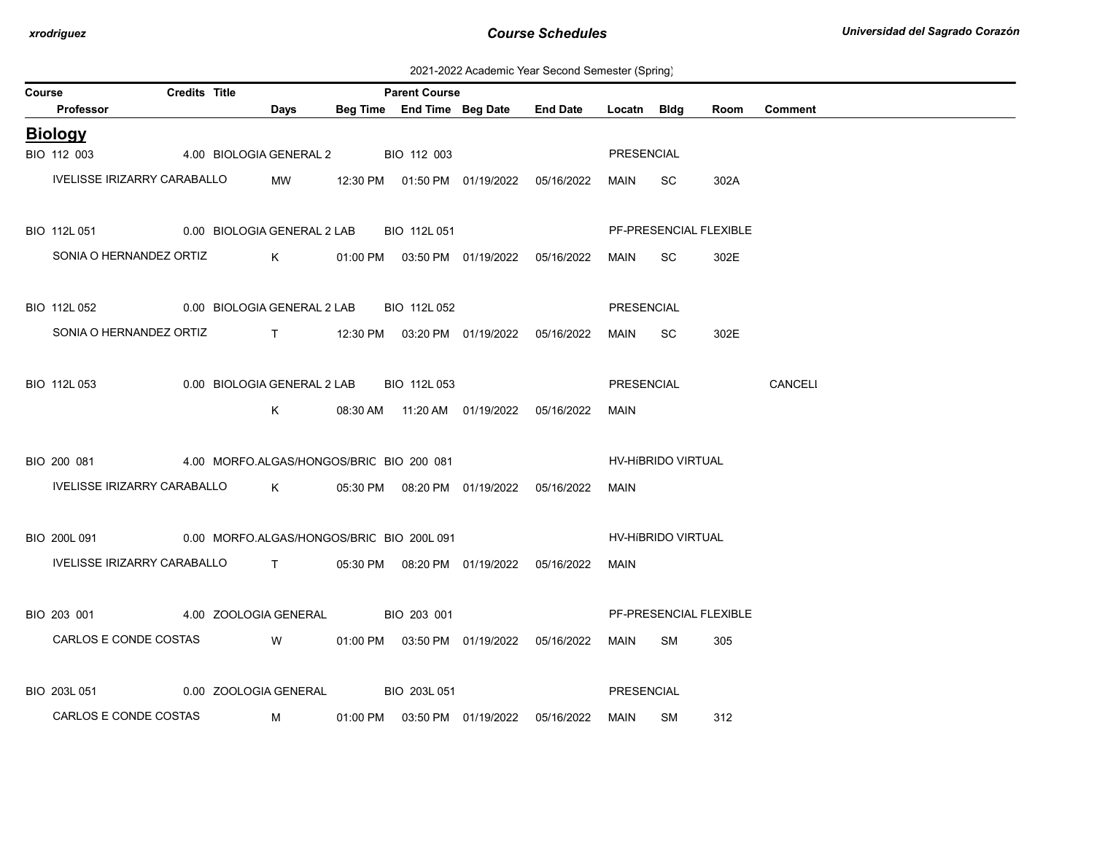2021-2022 Academic Year Second Semester (Spring)

| Course |                                                                       | <b>Credits Title</b> |                                                                                                                         |                                                                                                                                                                                                                                     | <b>Parent Course</b> |                                            |             |                           |      |                |
|--------|-----------------------------------------------------------------------|----------------------|-------------------------------------------------------------------------------------------------------------------------|-------------------------------------------------------------------------------------------------------------------------------------------------------------------------------------------------------------------------------------|----------------------|--------------------------------------------|-------------|---------------------------|------|----------------|
|        | Professor                                                             |                      |                                                                                                                         | Days                                                                                                                                                                                                                                |                      | Beg Time End Time Beg Date End Date        | Locatn Bldg |                           | Room | <b>Comment</b> |
|        | <b>Biology</b>                                                        |                      |                                                                                                                         |                                                                                                                                                                                                                                     |                      |                                            |             |                           |      |                |
|        | BIO 112 003                                                           |                      |                                                                                                                         | 4.00 BIOLOGIA GENERAL 2 BIO 112 003                                                                                                                                                                                                 |                      |                                            | PRESENCIAL  |                           |      |                |
|        | IVELISSE IRIZARRY CARABALLO                                           |                      |                                                                                                                         | MW                                                                                                                                                                                                                                  |                      |                                            | MAIN SC     |                           | 302A |                |
|        |                                                                       |                      |                                                                                                                         |                                                                                                                                                                                                                                     |                      |                                            |             |                           |      |                |
|        | BIO 112L 051                                                          |                      |                                                                                                                         | 0.00 BIOLOGIA GENERAL 2 LAB                                                                                                                                                                                                         | BIO 112L 051         |                                            |             | PF-PRESENCIAL FLEXIBLE    |      |                |
|        | SONIA O HERNANDEZ ORTIZ                                               |                      |                                                                                                                         | $K$ and $K$                                                                                                                                                                                                                         |                      | 01:00 PM  03:50 PM  01/19/2022  05/16/2022 | MAIN        | SC.                       | 302E |                |
|        |                                                                       |                      |                                                                                                                         |                                                                                                                                                                                                                                     |                      |                                            |             |                           |      |                |
|        | BIO 112L 052                                                          |                      |                                                                                                                         | 0.00 BIOLOGIA GENERAL 2 LAB                                                                                                                                                                                                         | BIO 112L 052         |                                            | PRESENCIAL  |                           |      |                |
|        | SONIA O HERNANDEZ ORTIZ                                               |                      |                                                                                                                         |                                                                                                                                                                                                                                     |                      |                                            | MAIN SC     |                           | 302E |                |
|        |                                                                       |                      |                                                                                                                         |                                                                                                                                                                                                                                     |                      |                                            |             |                           |      |                |
|        | BIO 112L 053                                                          |                      |                                                                                                                         | 0.00 BIOLOGIA GENERAL 2 LAB BIO 112L 053                                                                                                                                                                                            |                      |                                            | PRESENCIAL  |                           |      | CANCELI        |
|        |                                                                       |                      |                                                                                                                         | K                                                                                                                                                                                                                                   |                      | 08:30 AM  11:20 AM  01/19/2022  05/16/2022 | MAIN        |                           |      |                |
|        |                                                                       |                      |                                                                                                                         |                                                                                                                                                                                                                                     |                      |                                            |             |                           |      |                |
|        | BIO 200 081                                                           |                      |                                                                                                                         | 4.00 MORFO.ALGAS/HONGOS/BRIC BIO 200 081                                                                                                                                                                                            |                      |                                            |             | <b>HV-HIBRIDO VIRTUAL</b> |      |                |
|        | IVELISSE IRIZARRY CARABALLO                                           |                      |                                                                                                                         | $K$ and $K$                                                                                                                                                                                                                         |                      | 05:30 PM  08:20 PM  01/19/2022  05/16/2022 | MAIN        |                           |      |                |
|        |                                                                       |                      |                                                                                                                         |                                                                                                                                                                                                                                     |                      |                                            |             |                           |      |                |
|        | BIO 200L 091                                                          |                      |                                                                                                                         | 0.00 MORFO.ALGAS/HONGOS/BRIC BIO 200L 091                                                                                                                                                                                           |                      |                                            |             | <b>HV-HIBRIDO VIRTUAL</b> |      |                |
|        | IVELISSE IRIZARRY CARABALLO T 05:30 PM 08:20 PM 01/19/2022 05/16/2022 |                      |                                                                                                                         |                                                                                                                                                                                                                                     |                      |                                            | MAIN        |                           |      |                |
|        |                                                                       |                      |                                                                                                                         |                                                                                                                                                                                                                                     |                      |                                            |             |                           |      |                |
|        | BIO 203 001                                                           |                      |                                                                                                                         | 4.00 ZOOLOGIA GENERAL                                                                                                                                                                                                               | BIO 203 001          |                                            |             | PF-PRESENCIAL FLEXIBLE    |      |                |
|        | CARLOS E CONDE COSTAS                                                 |                      | <b>Solution</b> Service Service Service Service Service Service Service Service Service Service Service Service Service |                                                                                                                                                                                                                                     |                      | 01:00 PM  03:50 PM  01/19/2022  05/16/2022 | MAIN        | SM                        | 305  |                |
|        |                                                                       |                      |                                                                                                                         |                                                                                                                                                                                                                                     |                      |                                            |             |                           |      |                |
|        | BIO 203L 051                                                          |                      |                                                                                                                         | 0.00 ZOOLOGIA GENERAL                                                                                                                                                                                                               | BIO 203L 051         |                                            | PRESENCIAL  |                           |      |                |
|        | CARLOS E CONDE COSTAS                                                 |                      |                                                                                                                         | <b>M</b> and the state of the state of the state of the state of the state of the state of the state of the state of the state of the state of the state of the state of the state of the state of the state of the state of the st |                      | 01:00 PM  03:50 PM  01/19/2022  05/16/2022 | MAIN        | SM                        | 312  |                |
|        |                                                                       |                      |                                                                                                                         |                                                                                                                                                                                                                                     |                      |                                            |             |                           |      |                |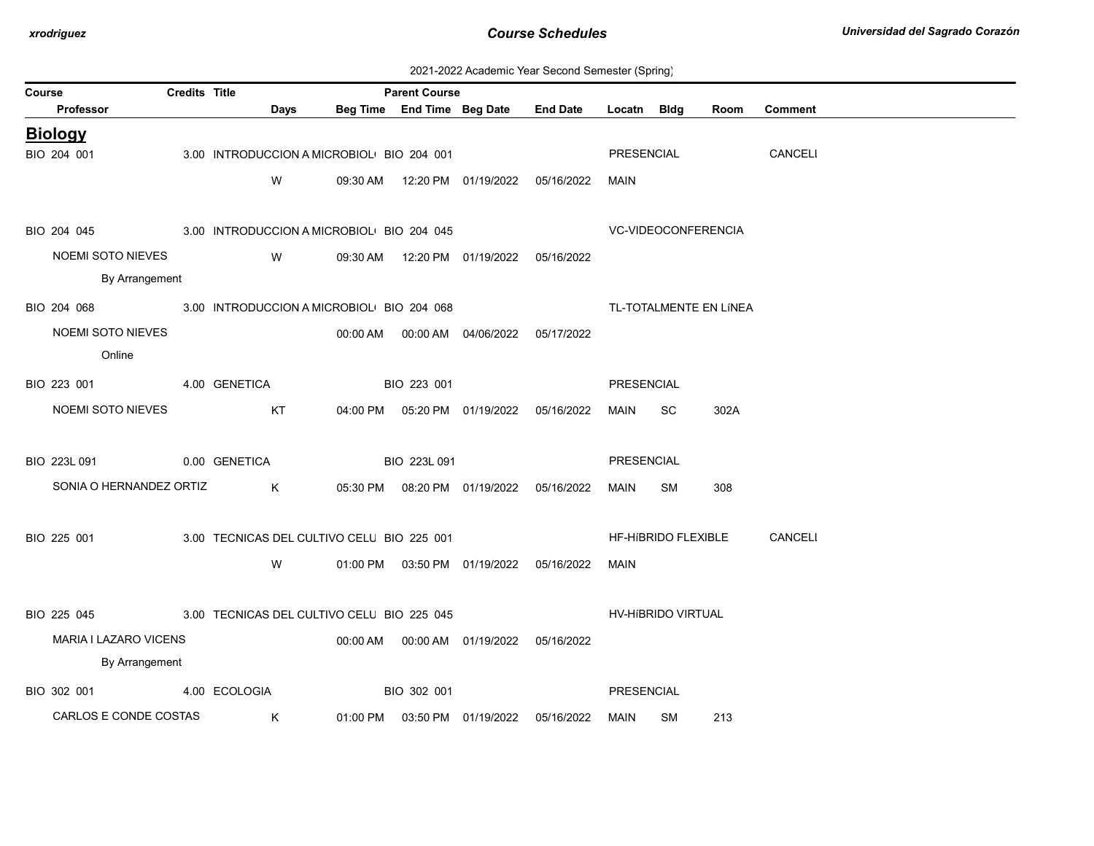| 2021-2022 Academic Year Second Semester (Spring) |  |  |  |
|--------------------------------------------------|--|--|--|
|--------------------------------------------------|--|--|--|

| Course |                                                        | <b>Credits Title</b> |               |             |                                            | <b>Parent Course</b> |                                            |                                     |                   |                     |                        |                |
|--------|--------------------------------------------------------|----------------------|---------------|-------------|--------------------------------------------|----------------------|--------------------------------------------|-------------------------------------|-------------------|---------------------|------------------------|----------------|
|        | Professor                                              |                      |               | <b>Days</b> |                                            |                      |                                            | Beg Time End Time Beg Date End Date | Locatn Bldg       |                     | Room                   | <b>Comment</b> |
|        | <b>Biology</b>                                         |                      |               |             |                                            |                      |                                            |                                     |                   |                     |                        |                |
|        | BIO 204 001                                            |                      |               |             | 3.00 INTRODUCCION A MICROBIOL BIO 204 001  |                      |                                            |                                     | PRESENCIAL        |                     |                        | CANCELI        |
|        |                                                        |                      |               | W           |                                            |                      | 09:30 AM  12:20 PM  01/19/2022  05/16/2022 |                                     | MAIN              |                     |                        |                |
|        |                                                        |                      |               |             |                                            |                      |                                            |                                     |                   |                     |                        |                |
|        | BIO 204 045                                            |                      |               |             | 3.00 INTRODUCCION A MICROBIOL BIO 204 045  |                      |                                            |                                     |                   | VC-VIDEOCONFERENCIA |                        |                |
|        | NOEMI SOTO NIEVES                                      |                      |               | <b>W</b>    |                                            |                      | 09:30 AM  12:20 PM  01/19/2022  05/16/2022 |                                     |                   |                     |                        |                |
|        | By Arrangement                                         |                      |               |             |                                            |                      |                                            |                                     |                   |                     |                        |                |
|        | BIO 204 068 3.00 INTRODUCCION A MICROBIOL BIO 204 068  |                      |               |             |                                            |                      |                                            |                                     |                   |                     | TL-TOTALMENTE EN LÍNEA |                |
|        | NOEMI SOTO NIEVES                                      |                      |               |             |                                            |                      | 00:00 AM  00:00 AM  04/06/2022  05/17/2022 |                                     |                   |                     |                        |                |
|        | Online                                                 |                      |               |             |                                            |                      |                                            |                                     |                   |                     |                        |                |
|        | BIO 223 001<br>4.00 GENETICA                           |                      |               |             |                                            | BIO 223 001          |                                            |                                     | PRESENCIAL        |                     |                        |                |
|        | NOEMI SOTO NIEVES                                      |                      |               | KT          |                                            |                      | 04:00 PM  05:20 PM  01/19/2022  05/16/2022 |                                     | MAIN              | SC.                 | 302A                   |                |
|        |                                                        |                      |               |             |                                            |                      |                                            |                                     |                   |                     |                        |                |
|        | BIO 223L 091                                           |                      | 0.00 GENETICA |             |                                            | BIO 223L 091         |                                            |                                     | PRESENCIAL        |                     |                        |                |
|        | SONIA O HERNANDEZ ORTIZ K                              |                      |               |             |                                            |                      | 05:30 PM  08:20 PM  01/19/2022  05/16/2022 |                                     | MAIN              | SM                  | 308                    |                |
|        |                                                        |                      |               |             |                                            |                      |                                            |                                     |                   |                     |                        |                |
|        | BIO 225 001                                            |                      |               |             | 3.00 TECNICAS DEL CULTIVO CELU BIO 225 001 |                      |                                            |                                     |                   |                     | HF-HIBRIDO FLEXIBLE    | CANCELI        |
|        |                                                        |                      |               |             |                                            |                      |                                            |                                     |                   |                     |                        |                |
|        |                                                        |                      |               | W           |                                            |                      | 01:00 PM  03:50 PM  01/19/2022  05/16/2022 |                                     | MAIN              |                     |                        |                |
|        |                                                        |                      |               |             |                                            |                      |                                            |                                     |                   |                     |                        |                |
|        | BIO 225 045 3.00 TECNICAS DEL CULTIVO CELU BIO 225 045 |                      |               |             |                                            |                      |                                            |                                     |                   | HV-HIBRIDO VIRTUAL  |                        |                |
|        | MARIA I LAZARO VICENS                                  |                      |               |             |                                            |                      | 00:00 AM  00:00 AM  01/19/2022  05/16/2022 |                                     |                   |                     |                        |                |
|        | By Arrangement                                         |                      |               |             |                                            |                      |                                            |                                     |                   |                     |                        |                |
|        | BIO 302 001                                            |                      | 4.00 ECOLOGIA |             |                                            | BIO 302 001          |                                            |                                     | <b>PRESENCIAL</b> |                     |                        |                |
|        | CARLOS E CONDE COSTAS                                  |                      | $\mathsf K$   |             |                                            |                      | 01:00 PM  03:50 PM  01/19/2022  05/16/2022 |                                     | MAIN              | SM                  | 213                    |                |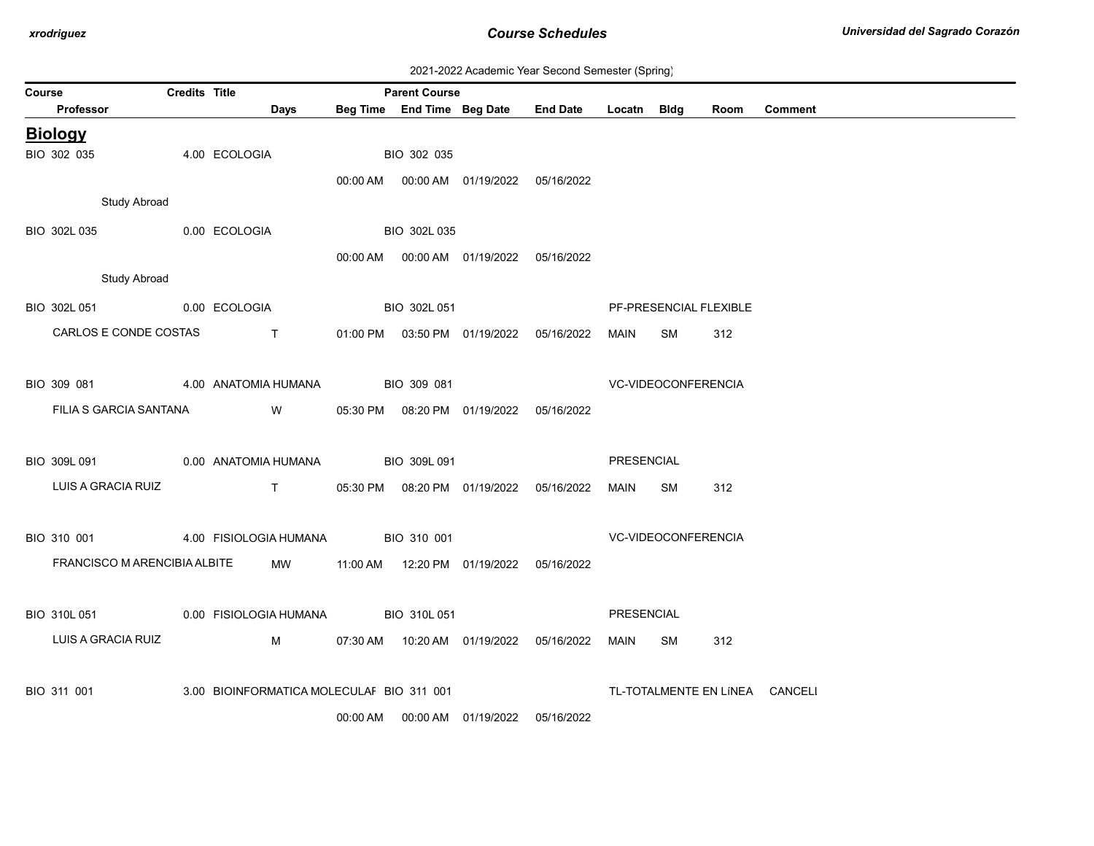| 2021-2022 Academic Year Second Semester (Spring) |  |
|--------------------------------------------------|--|
|--------------------------------------------------|--|

| Course |                              | <b>Credits Title</b> |                                                                                                                         |          | <b>Parent Course</b> |                                            |                 |                   |                        |      |                                |
|--------|------------------------------|----------------------|-------------------------------------------------------------------------------------------------------------------------|----------|----------------------|--------------------------------------------|-----------------|-------------------|------------------------|------|--------------------------------|
|        | Professor                    |                      | <b>Days</b>                                                                                                             |          |                      | Beg Time End Time Beg Date                 | <b>End Date</b> | Locatn            | Bldg                   | Room | <b>Comment</b>                 |
|        | <b>Biology</b>               |                      |                                                                                                                         |          |                      |                                            |                 |                   |                        |      |                                |
|        | BIO 302 035                  |                      | 4.00 ECOLOGIA                                                                                                           |          | BIO 302 035          |                                            |                 |                   |                        |      |                                |
|        |                              |                      |                                                                                                                         |          |                      | 00:00 AM  00:00 AM  01/19/2022  05/16/2022 |                 |                   |                        |      |                                |
|        | <b>Study Abroad</b>          |                      |                                                                                                                         |          |                      |                                            |                 |                   |                        |      |                                |
|        | BIO 302L 035                 |                      | 0.00 ECOLOGIA                                                                                                           |          | BIO 302L 035         |                                            |                 |                   |                        |      |                                |
|        |                              |                      |                                                                                                                         |          |                      | 00:00 AM  00:00 AM  01/19/2022  05/16/2022 |                 |                   |                        |      |                                |
|        | <b>Study Abroad</b>          |                      |                                                                                                                         |          |                      |                                            |                 |                   |                        |      |                                |
|        | BIO 302L 051 0.00 ECOLOGIA   |                      |                                                                                                                         |          | BIO 302L 051         |                                            |                 |                   | PF-PRESENCIAL FLEXIBLE |      |                                |
|        | CARLOS E CONDE COSTAS        |                      | <b>The Contract of Contract Contract of Contract Contract Contract Oriental</b>                                         |          |                      | 01:00 PM  03:50 PM  01/19/2022  05/16/2022 |                 | MAIN              | SM                     | 312  |                                |
|        |                              |                      |                                                                                                                         |          |                      |                                            |                 |                   |                        |      |                                |
|        | BIO 309 081                  |                      | 4.00 ANATOMIA HUMANA                                                                                                    |          | BIO 309 081          |                                            |                 |                   | VC-VIDEOCONFERENCIA    |      |                                |
|        | FILIA S GARCIA SANTANA       |                      | <b>Solution</b> Service Service Service Service Service Service Service Service Service Service Service Service Service |          |                      | 05:30 PM  08:20 PM  01/19/2022  05/16/2022 |                 |                   |                        |      |                                |
|        |                              |                      |                                                                                                                         |          |                      |                                            |                 |                   |                        |      |                                |
|        | BIO 309L 091                 |                      | 0.00 ANATOMIA HUMANA                                                                                                    |          | BIO 309L 091         |                                            |                 | PRESENCIAL        |                        |      |                                |
|        | LUIS A GRACIA RUIZ           |                      | $\mathsf{T}$ and $\mathsf{T}$                                                                                           |          |                      | 05:30 PM  08:20 PM  01/19/2022  05/16/2022 |                 | MAIN              | SM                     | 312  |                                |
|        |                              |                      |                                                                                                                         |          |                      |                                            |                 |                   |                        |      |                                |
|        | BIO 310 001                  |                      | 4.00 FISIOLOGIA HUMANA BIO 310 001                                                                                      |          |                      |                                            |                 |                   | VC-VIDEOCONFERENCIA    |      |                                |
|        | FRANCISCO M ARENCIBIA ALBITE |                      | MW                                                                                                                      |          |                      | 11:00 AM  12:20 PM  01/19/2022  05/16/2022 |                 |                   |                        |      |                                |
|        |                              |                      |                                                                                                                         |          |                      |                                            |                 |                   |                        |      |                                |
|        | BIO 310L 051                 |                      | 0.00 FISIOLOGIA HUMANA BIO 310L 051                                                                                     |          |                      |                                            |                 | <b>PRESENCIAL</b> |                        |      |                                |
|        |                              |                      |                                                                                                                         |          |                      |                                            |                 |                   |                        |      |                                |
|        | LUIS A GRACIA RUIZ           |                      | M                                                                                                                       |          |                      | 07:30 AM  10:20 AM  01/19/2022  05/16/2022 |                 | MAIN              | SM                     | 312  |                                |
|        |                              |                      |                                                                                                                         |          |                      |                                            |                 |                   |                        |      |                                |
|        | BIO 311 001                  |                      | 3.00 BIOINFORMATICA MOLECULAI BIO 311 001                                                                               |          |                      |                                            |                 |                   |                        |      | TL-TOTALMENTE EN LÍNEA CANCELI |
|        |                              |                      |                                                                                                                         | 00:00 AM |                      | 00:00 AM 01/19/2022                        | 05/16/2022      |                   |                        |      |                                |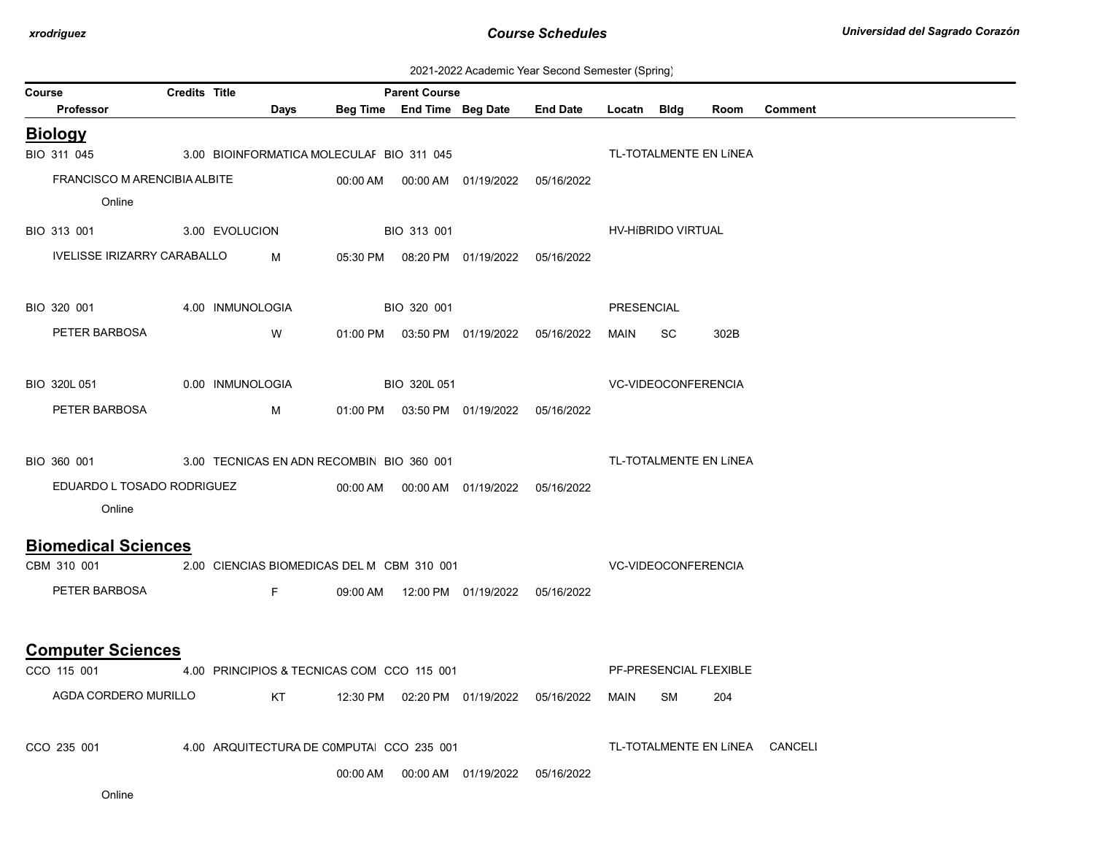| 2021-2022 Academic Year Second Semester (Spring) |  |  |  |
|--------------------------------------------------|--|--|--|
|--------------------------------------------------|--|--|--|

|                                                       | zuz i-zuzz Adalemic Tear Second Semester (Spring) |                                            |                                            |                      |                                            |                                            |                            |                     |                        |                                |
|-------------------------------------------------------|---------------------------------------------------|--------------------------------------------|--------------------------------------------|----------------------|--------------------------------------------|--------------------------------------------|----------------------------|---------------------|------------------------|--------------------------------|
| Course<br><b>Professor</b>                            | <b>Credits Title</b>                              | Days                                       |                                            | <b>Parent Course</b> | Beg Time End Time Beg Date End Date        |                                            | Locatn Bldg                |                     | Room                   | <b>Comment</b>                 |
| <b>Biology</b>                                        |                                                   |                                            |                                            |                      |                                            |                                            |                            |                     |                        |                                |
| BIO 311 045                                           |                                                   | 3.00 BIOINFORMATICA MOLECULAI BIO 311 045  |                                            |                      |                                            |                                            |                            |                     | TL-TOTALMENTE EN LÍNEA |                                |
| FRANCISCO M ARENCIBIA ALBITE                          |                                                   |                                            |                                            |                      | 00:00 AM  00:00 AM  01/19/2022  05/16/2022 |                                            |                            |                     |                        |                                |
| Online                                                |                                                   |                                            |                                            |                      |                                            |                                            |                            |                     |                        |                                |
|                                                       |                                                   |                                            |                                            |                      |                                            |                                            |                            |                     |                        |                                |
| BIO 313 001 3.00 EVOLUCION                            |                                                   |                                            |                                            | BIO 313 001          |                                            |                                            | HV-HIBRIDO VIRTUAL         |                     |                        |                                |
| IVELISSE IRIZARRY CARABALLO                           |                                                   | M                                          |                                            |                      | 05:30 PM  08:20 PM  01/19/2022  05/16/2022 |                                            |                            |                     |                        |                                |
| BIO 320 001 4.00 INMUNOLOGIA                          |                                                   |                                            |                                            | BIO 320 001          |                                            |                                            | <b>PRESENCIAL</b>          |                     |                        |                                |
| PETER BARBOSA                                         |                                                   | W                                          |                                            |                      |                                            | 01:00 PM  03:50 PM  01/19/2022  05/16/2022 | MAIN                       | SC.                 | 302B                   |                                |
|                                                       |                                                   |                                            |                                            |                      |                                            |                                            |                            |                     |                        |                                |
| BIO 320L 051 0.00 INMUNOLOGIA                         |                                                   |                                            |                                            | BIO 320L 051         |                                            |                                            |                            | VC-VIDEOCONFERENCIA |                        |                                |
| PETER BARBOSA                                         |                                                   | M                                          |                                            |                      | 01:00 PM  03:50 PM  01/19/2022  05/16/2022 |                                            |                            |                     |                        |                                |
|                                                       |                                                   |                                            |                                            |                      |                                            |                                            |                            |                     |                        |                                |
| BIO 360 001 3.00 TECNICAS EN ADN RECOMBIN BIO 360 001 |                                                   |                                            |                                            |                      |                                            |                                            |                            |                     | TL-TOTALMENTE EN LÍNEA |                                |
| EDUARDO L TOSADO RODRIGUEZ                            |                                                   |                                            |                                            |                      | 00:00 AM  00:00 AM  01/19/2022  05/16/2022 |                                            |                            |                     |                        |                                |
| Online                                                |                                                   |                                            |                                            |                      |                                            |                                            |                            |                     |                        |                                |
| <b>Biomedical Sciences</b>                            |                                                   |                                            |                                            |                      |                                            |                                            |                            |                     |                        |                                |
| CBM 310 001                                           |                                                   | 2.00 CIENCIAS BIOMEDICAS DEL M CBM 310 001 |                                            |                      |                                            |                                            | <b>VC-VIDEOCONFERENCIA</b> |                     |                        |                                |
| PETER BARBOSA                                         |                                                   | Fig. 1997                                  |                                            |                      | 09:00 AM  12:00 PM  01/19/2022  05/16/2022 |                                            |                            |                     |                        |                                |
|                                                       |                                                   |                                            |                                            |                      |                                            |                                            |                            |                     |                        |                                |
| <b>Computer Sciences</b>                              |                                                   |                                            |                                            |                      |                                            |                                            |                            |                     |                        |                                |
| CCO 115 001                                           |                                                   | 4.00 PRINCIPIOS & TECNICAS COM CCO 115 001 |                                            |                      |                                            |                                            |                            |                     | PF-PRESENCIAL FLEXIBLE |                                |
| AGDA CORDERO MURILLO                                  |                                                   |                                            | KT 12:30 PM 02:20 PM 01/19/2022 05/16/2022 |                      |                                            |                                            | <b>MAIN</b>                | SM                  | 204                    |                                |
| CCO 235 001                                           |                                                   | 4.00 ARQUITECTURA DE COMPUTA CCO 235 001   |                                            |                      |                                            |                                            |                            |                     |                        | TL-TOTALMENTE EN LÍNEA CANCELI |
|                                                       |                                                   |                                            |                                            |                      |                                            |                                            |                            |                     |                        |                                |

00:00 AM 00:00 AM 01/19/2022 05/16/2022

Online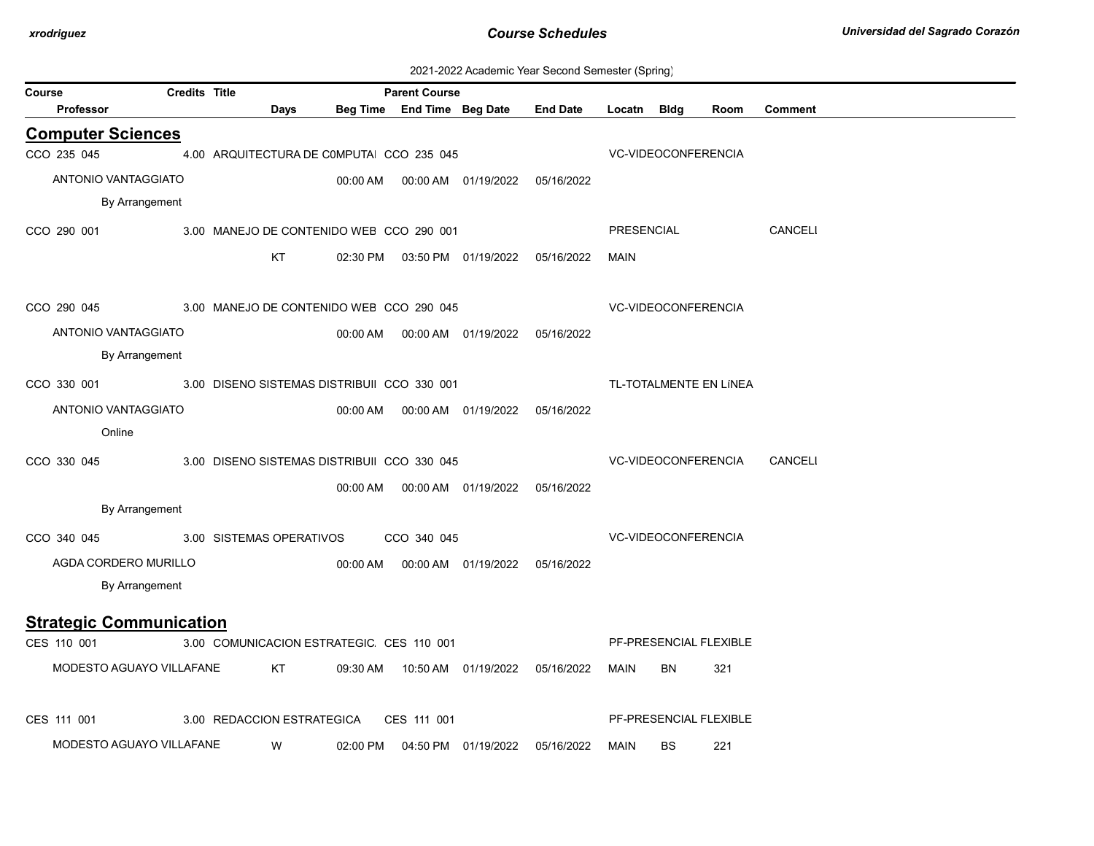| 2021-2022 Academic Year Second Semester (Spring) |  |  |  |
|--------------------------------------------------|--|--|--|
|--------------------------------------------------|--|--|--|

| Course                         | adoona donnootor (apring<br><b>Credits Title</b><br><b>Parent Course</b> |                                             |          |                            |                                            |                                            |             |                            |                        |                |  |  |
|--------------------------------|--------------------------------------------------------------------------|---------------------------------------------|----------|----------------------------|--------------------------------------------|--------------------------------------------|-------------|----------------------------|------------------------|----------------|--|--|
| Professor                      |                                                                          | Days                                        |          | Beg Time End Time Beg Date |                                            | <b>End Date</b>                            | Locatn Bldg |                            | Room                   | <b>Comment</b> |  |  |
| <b>Computer Sciences</b>       |                                                                          |                                             |          |                            |                                            |                                            |             |                            |                        |                |  |  |
| CCO 235 045                    |                                                                          | 4.00 ARQUITECTURA DE COMPUTA CCO 235 045    |          |                            |                                            |                                            |             | VC-VIDEOCONFERENCIA        |                        |                |  |  |
| ANTONIO VANTAGGIATO            |                                                                          |                                             | 00:00 AM |                            | 00:00 AM  01/19/2022  05/16/2022           |                                            |             |                            |                        |                |  |  |
| By Arrangement                 |                                                                          |                                             |          |                            |                                            |                                            |             |                            |                        |                |  |  |
| CCO 290 001                    |                                                                          | 3.00 MANEJO DE CONTENIDO WEB CCO 290 001    |          |                            |                                            |                                            | PRESENCIAL  |                            |                        | <b>CANCELI</b> |  |  |
|                                |                                                                          | KT                                          |          |                            |                                            | 02:30 PM  03:50 PM  01/19/2022  05/16/2022 | <b>MAIN</b> |                            |                        |                |  |  |
| CCO 290 045                    |                                                                          | 3.00 MANEJO DE CONTENIDO WEB CCO 290 045    |          |                            |                                            |                                            |             | VC-VIDEOCONFERENCIA        |                        |                |  |  |
| ANTONIO VANTAGGIATO            |                                                                          |                                             |          |                            | 00:00 AM  00:00 AM  01/19/2022  05/16/2022 |                                            |             |                            |                        |                |  |  |
| By Arrangement                 |                                                                          |                                             |          |                            |                                            |                                            |             |                            |                        |                |  |  |
| CCO 330 001                    |                                                                          | 3.00 DISENO SISTEMAS DISTRIBUII CCO 330 001 |          |                            |                                            |                                            |             |                            | TL-TOTALMENTE EN LÍNEA |                |  |  |
| ANTONIO VANTAGGIATO            |                                                                          |                                             |          |                            |                                            |                                            |             |                            |                        |                |  |  |
| Online                         |                                                                          |                                             |          |                            |                                            |                                            |             |                            |                        |                |  |  |
| CCO 330 045                    |                                                                          | 3.00 DISENO SISTEMAS DISTRIBUII CCO 330 045 |          |                            |                                            |                                            |             |                            | VC-VIDEOCONFERENCIA    | CANCELI        |  |  |
|                                |                                                                          |                                             |          |                            | 00:00 AM  00:00 AM  01/19/2022  05/16/2022 |                                            |             |                            |                        |                |  |  |
| By Arrangement                 |                                                                          |                                             |          |                            |                                            |                                            |             |                            |                        |                |  |  |
| CCO 340 045                    |                                                                          | 3.00 SISTEMAS OPERATIVOS                    |          | CCO 340 045                |                                            |                                            |             | <b>VC-VIDEOCONFERENCIA</b> |                        |                |  |  |
| AGDA CORDERO MURILLO           |                                                                          |                                             | 00:00 AM |                            | 00:00 AM  01/19/2022  05/16/2022           |                                            |             |                            |                        |                |  |  |
| By Arrangement                 |                                                                          |                                             |          |                            |                                            |                                            |             |                            |                        |                |  |  |
| <b>Strategic Communication</b> |                                                                          |                                             |          |                            |                                            |                                            |             |                            |                        |                |  |  |
| CES 110 001                    |                                                                          | 3.00 COMUNICACION ESTRATEGIC CES 110 001    |          |                            |                                            |                                            |             |                            | PF-PRESENCIAL FLEXIBLE |                |  |  |
| MODESTO AGUAYO VILLAFANE       |                                                                          | KT                                          | 09:30 AM |                            |                                            |                                            | MAIN        | BN                         | 321                    |                |  |  |
| CES 111 001                    |                                                                          | 3.00 REDACCION ESTRATEGICA                  |          | CES 111 001                |                                            |                                            |             |                            | PF-PRESENCIAL FLEXIBLE |                |  |  |
| MODESTO AGUAYO VILLAFANE       |                                                                          | W                                           | 02:00 PM |                            | 04:50 PM 01/19/2022                        | 05/16/2022                                 | MAIN        | BS                         | 221                    |                |  |  |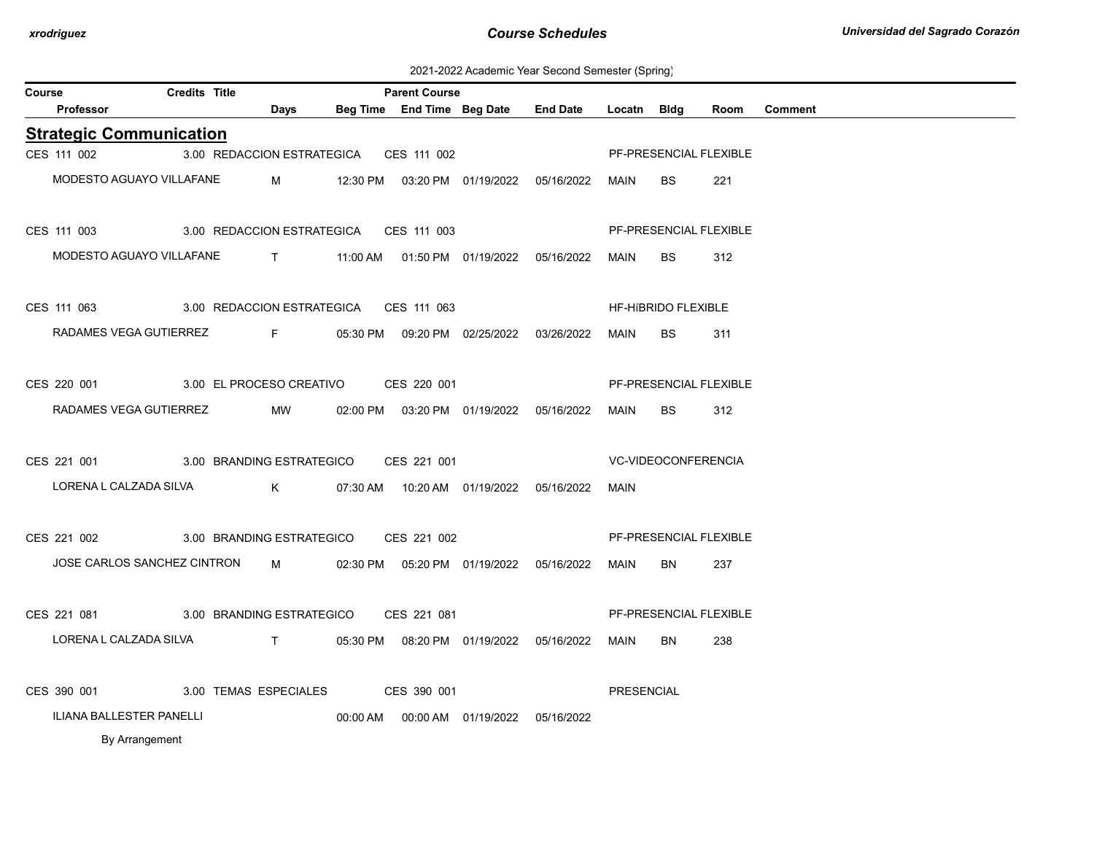2021-2022 Academic Year Second Semester (Spring)

| Course                         | <b>Credits Title</b>                   |                                                                 |          | <b>Parent Course</b>       |                                            |                 |                   |                            |      |                |
|--------------------------------|----------------------------------------|-----------------------------------------------------------------|----------|----------------------------|--------------------------------------------|-----------------|-------------------|----------------------------|------|----------------|
| <b>Professor</b>               |                                        | Days                                                            |          | Beg Time End Time Beg Date |                                            | <b>End Date</b> | Locatn            | <b>Bldg</b>                | Room | <b>Comment</b> |
| <b>Strategic Communication</b> |                                        |                                                                 |          |                            |                                            |                 |                   |                            |      |                |
| CES 111 002                    | 3.00 REDACCION ESTRATEGICA             |                                                                 |          | CES 111 002                |                                            |                 |                   | PF-PRESENCIAL FLEXIBLE     |      |                |
| MODESTO AGUAYO VILLAFANE       |                                        | M                                                               |          |                            | 12:30 PM  03:20 PM  01/19/2022             | 05/16/2022      | <b>MAIN</b>       | <b>BS</b>                  | 221  |                |
| CES 111 003                    | 3.00 REDACCION ESTRATEGICA CES 111 003 |                                                                 |          |                            |                                            |                 |                   | PF-PRESENCIAL FLEXIBLE     |      |                |
| MODESTO AGUAYO VILLAFANE       |                                        | $\mathbf{T}$                                                    |          |                            | 11:00 AM  01:50 PM  01/19/2022  05/16/2022 |                 | MAIN              | <b>BS</b>                  | 312  |                |
| CES 111 063                    | 3.00 REDACCION ESTRATEGICA CES 111 063 |                                                                 |          |                            |                                            |                 |                   | <b>HF-HIBRIDO FLEXIBLE</b> |      |                |
| RADAMES VEGA GUTIERREZ         |                                        | $F = 1$                                                         |          |                            | 05:30 PM  09:20 PM  02/25/2022             | 03/26/2022      | MAIN              | BS.                        | 311  |                |
| CES 220 001                    | 3.00 EL PROCESO CREATIVO               |                                                                 |          | CES 220 001                |                                            |                 |                   | PF-PRESENCIAL FLEXIBLE     |      |                |
| RADAMES VEGA GUTIERREZ         |                                        | MW                                                              | 02:00 PM |                            | 03:20 PM 01/19/2022 05/16/2022             |                 | MAIN              | <b>BS</b>                  | 312  |                |
| CES 221 001                    | 3.00 BRANDING ESTRATEGICO              |                                                                 |          | CES 221 001                |                                            |                 |                   | VC-VIDEOCONFERENCIA        |      |                |
| LORENA L CALZADA SILVA         |                                        | $\mathsf{K}$                                                    |          |                            |                                            |                 | MAIN              |                            |      |                |
| CES 221 002                    | 3.00 BRANDING ESTRATEGICO              |                                                                 |          | CES 221 002                |                                            |                 |                   | PF-PRESENCIAL FLEXIBLE     |      |                |
|                                | JOSE CARLOS SANCHEZ CINTRON M          |                                                                 |          |                            | 02:30 PM  05:20 PM  01/19/2022  05/16/2022 |                 | MAIN              | BN                         | 237  |                |
| CES 221 081                    | 3.00 BRANDING ESTRATEGICO              |                                                                 |          | CES 221 081                |                                            |                 |                   | PF-PRESENCIAL FLEXIBLE     |      |                |
| LORENA L CALZADA SILVA         |                                        | $\mathbf{T}$ and $\mathbf{T}$ and $\mathbf{T}$ and $\mathbf{T}$ |          |                            | 05:30 PM  08:20 PM  01/19/2022  05/16/2022 |                 | MAIN              | BN                         | 238  |                |
| CES 390 001                    | 3.00 TEMAS ESPECIALES CES 390 001      |                                                                 |          |                            |                                            |                 | <b>PRESENCIAL</b> |                            |      |                |
| ILIANA BALLESTER PANELLI       |                                        |                                                                 |          |                            | 00:00 AM  00:00 AM  01/19/2022  05/16/2022 |                 |                   |                            |      |                |
| By Arrangement                 |                                        |                                                                 |          |                            |                                            |                 |                   |                            |      |                |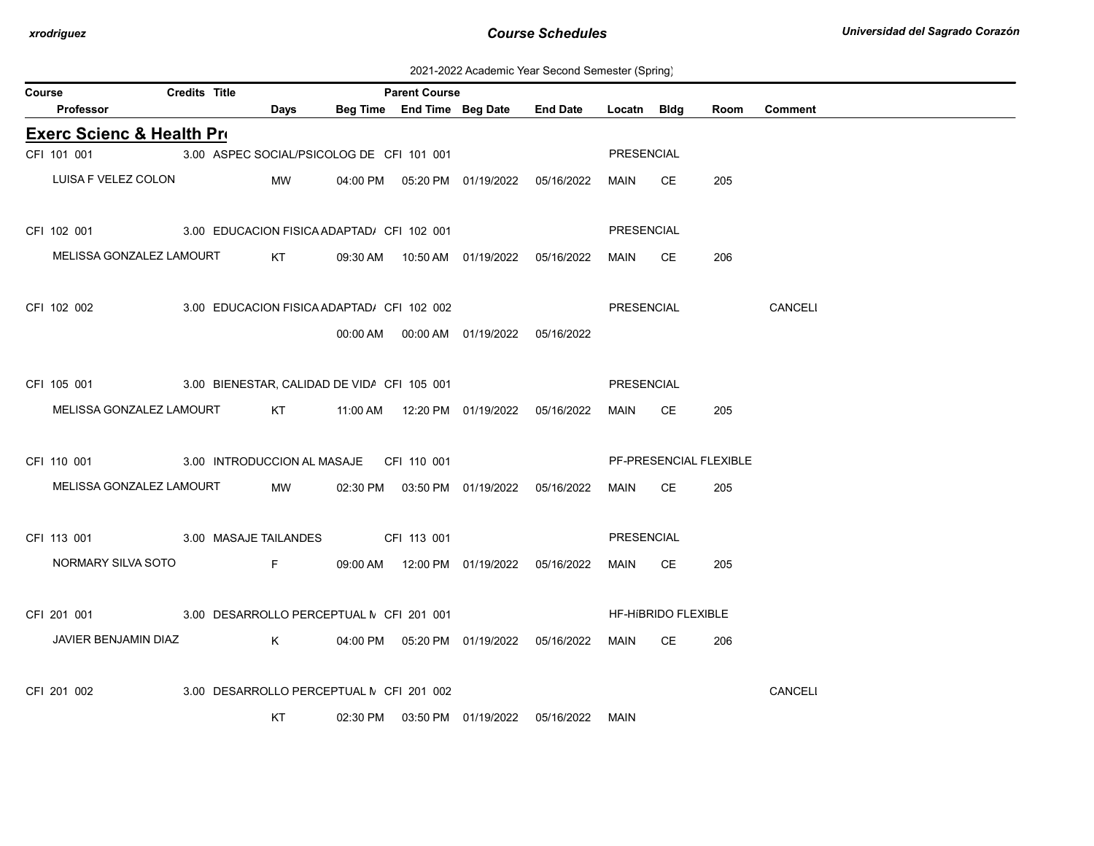2021-2022 Academic Year Second Semester (Spring)

| Course |                                                           | <b>Credits Title</b> |                                                                 |             | <b>Parent Course</b> |                                            |                 |             |                        |      |                |
|--------|-----------------------------------------------------------|----------------------|-----------------------------------------------------------------|-------------|----------------------|--------------------------------------------|-----------------|-------------|------------------------|------|----------------|
|        | Professor                                                 |                      | Days                                                            |             |                      | Beg Time End Time Beg Date                 | <b>End Date</b> | Locatn Bldg |                        | Room | <b>Comment</b> |
|        | <b>Exerc Scienc &amp; Health Pro</b>                      |                      |                                                                 |             |                      |                                            |                 |             |                        |      |                |
|        | CFI 101 001 3.00 ASPEC SOCIAL/PSICOLOG DE CFI 101 001     |                      |                                                                 |             |                      |                                            |                 | PRESENCIAL  |                        |      |                |
|        | LUISA F VELEZ COLON                                       |                      | MW                                                              |             |                      | 04:00 PM  05:20 PM  01/19/2022  05/16/2022 |                 | MAIN CE     |                        | 205  |                |
|        | CFI 102 001 3.00 EDUCACION FISICA ADAPTAD/ CFI 102 001    |                      |                                                                 |             |                      |                                            |                 | PRESENCIAL  |                        |      |                |
|        | MELISSA GONZALEZ LAMOURT                                  |                      | KT                                                              |             |                      |                                            |                 | MAIN        | CE.                    | 206  |                |
|        | CFI 102 002<br>3.00 EDUCACION FISICA ADAPTAD/ CFI 102 002 |                      |                                                                 |             |                      |                                            |                 | PRESENCIAL  |                        |      | CANCELI        |
|        |                                                           |                      |                                                                 |             |                      | 00:00 AM  00:00 AM  01/19/2022  05/16/2022 |                 |             |                        |      |                |
|        | CFI 105 001 3.00 BIENESTAR, CALIDAD DE VIDA CFI 105 001   |                      |                                                                 |             |                      |                                            |                 | PRESENCIAL  |                        |      |                |
|        | MELISSA GONZALEZ LAMOURT KT                               |                      |                                                                 |             |                      |                                            |                 | MAIN        | CE.                    | 205  |                |
|        | CFI 110 001 3.00 INTRODUCCION AL MASAJE CFI 110 001       |                      |                                                                 |             |                      |                                            |                 |             | PF-PRESENCIAL FLEXIBLE |      |                |
|        | MELISSA GONZALEZ LAMOURT                                  |                      | <b>MW</b>                                                       |             |                      | 02:30 PM  03:50 PM  01/19/2022  05/16/2022 |                 | MAIN        | CE.                    | 205  |                |
|        | 3.00 MASAJE TAILANDES<br>CFI 113 001                      |                      |                                                                 | CFI 113 001 |                      |                                            |                 | PRESENCIAL  |                        |      |                |
|        | NORMARY SILVA SOTO                                        |                      | $\mathsf{F}$ and $\mathsf{F}$ and $\mathsf{F}$ and $\mathsf{F}$ |             |                      | 09:00 AM  12:00 PM  01/19/2022  05/16/2022 |                 | MAIN        | CE                     | 205  |                |
|        | CFI 201 001 3.00 DESARROLLO PERCEPTUAL N CFI 201 001      |                      |                                                                 |             |                      |                                            |                 |             | HF-HIBRIDO FLEXIBLE    |      |                |
|        | JAVIER BENJAMIN DIAZ                                      |                      | K <sub>k</sub>                                                  |             |                      | 04:00 PM  05:20 PM  01/19/2022  05/16/2022 |                 | MAIN        | CE.                    | 206  |                |
|        | CFI 201 002                                               |                      | 3.00 DESARROLLO PERCEPTUAL N CFI 201 002                        |             |                      |                                            |                 |             |                        |      | CANCELI        |
|        |                                                           |                      | KT                                                              |             |                      | 02:30 PM  03:50 PM  01/19/2022  05/16/2022 |                 | MAIN        |                        |      |                |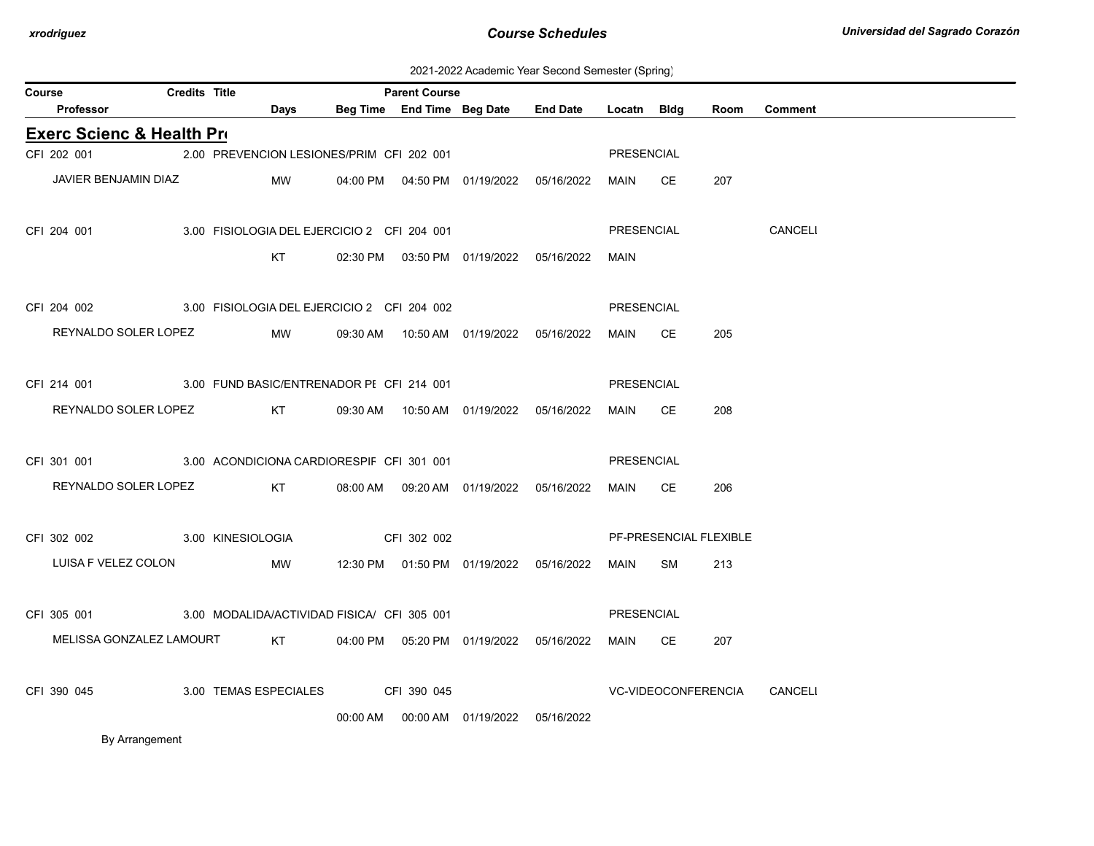2021-2022 Academic Year Second Semester (Spring)

| Course                                                  | <b>Credits Title</b> |                       |                                                                                                                | <b>Parent Course</b>                       |  |                   |                            |                        |                |
|---------------------------------------------------------|----------------------|-----------------------|----------------------------------------------------------------------------------------------------------------|--------------------------------------------|--|-------------------|----------------------------|------------------------|----------------|
| <b>Professor</b>                                        |                      | Days                  |                                                                                                                | Beg Time End Time Beg Date End Date        |  | Locatn Bldg       |                            | Room                   | <b>Comment</b> |
| <b>Exerc Scienc &amp; Health Pro</b>                    |                      |                       |                                                                                                                |                                            |  |                   |                            |                        |                |
| CFI 202 001                                             |                      |                       | 2.00 PREVENCION LESIONES/PRIM CFI 202 001                                                                      |                                            |  | PRESENCIAL        |                            |                        |                |
| JAVIER BENJAMIN DIAZ                                    |                      | MW                    |                                                                                                                | 04:00 PM  04:50 PM  01/19/2022  05/16/2022 |  | MAIN CE           |                            | 207                    |                |
|                                                         |                      |                       |                                                                                                                |                                            |  |                   |                            |                        |                |
| CFI 204 001                                             |                      |                       | 3.00 FISIOLOGIA DEL EJERCICIO 2 CFI 204 001                                                                    |                                            |  | PRESENCIAL        |                            |                        | <b>CANCELI</b> |
|                                                         |                      | KT                    |                                                                                                                | 02:30 PM  03:50 PM  01/19/2022  05/16/2022 |  | MAIN              |                            |                        |                |
|                                                         |                      |                       |                                                                                                                |                                            |  |                   |                            |                        |                |
| CFI 204 002                                             |                      |                       | 3.00 FISIOLOGIA DEL EJERCICIO 2 CFI 204 002                                                                    |                                            |  | PRESENCIAL        |                            |                        |                |
| REYNALDO SOLER LOPEZ                                    |                      | MW                    |                                                                                                                | 09:30 AM  10:50 AM  01/19/2022  05/16/2022 |  | MAIN              | CE.                        | 205                    |                |
|                                                         |                      |                       |                                                                                                                |                                            |  |                   |                            |                        |                |
| CFI 214 001 3.00 FUND BASIC/ENTRENADOR PI CFI 214 001   |                      |                       |                                                                                                                |                                            |  | PRESENCIAL        |                            |                        |                |
| REYNALDO SOLER LOPEZ                                    |                      |                       | KT                                                                                                             | 09:30 AM  10:50 AM  01/19/2022  05/16/2022 |  | MAIN CE           |                            | 208                    |                |
|                                                         |                      |                       |                                                                                                                |                                            |  |                   |                            |                        |                |
| CFI 301 001 3.00 ACONDICIONA CARDIORESPIF CFI 301 001   |                      |                       |                                                                                                                |                                            |  | PRESENCIAL        |                            |                        |                |
| REYNALDO SOLER LOPEZ                                    |                      |                       | KT                                                                                                             | 08:00 AM  09:20 AM  01/19/2022  05/16/2022 |  | MAIN              | CE.                        | 206                    |                |
|                                                         |                      |                       |                                                                                                                |                                            |  |                   |                            |                        |                |
| CFI 302 002                                             |                      | 3.00 KINESIOLOGIA     |                                                                                                                | CFI 302 002                                |  |                   |                            | PF-PRESENCIAL FLEXIBLE |                |
| LUISA F VELEZ COLON                                     |                      | MW                    |                                                                                                                | 12:30 PM  01:50 PM  01/19/2022  05/16/2022 |  | MAIN              | SM                         | 213                    |                |
|                                                         |                      |                       |                                                                                                                |                                            |  |                   |                            |                        |                |
| CFI 305 001 3.00 MODALIDA/ACTIVIDAD FISICA/ CFI 305 001 |                      |                       |                                                                                                                |                                            |  | <b>PRESENCIAL</b> |                            |                        |                |
| MELISSA GONZALEZ LAMOURT                                |                      |                       | KT to the set of the set of the set of the set of the set of the set of the set of the set of the set of the s | 04:00 PM  05:20 PM  01/19/2022  05/16/2022 |  | MAIN CE           |                            | 207                    |                |
|                                                         |                      |                       |                                                                                                                |                                            |  |                   |                            |                        |                |
| CFI 390 045                                             |                      | 3.00 TEMAS ESPECIALES |                                                                                                                | CFI 390 045                                |  |                   | <b>VC-VIDEOCONFERENCIA</b> |                        | <b>CANCELI</b> |
|                                                         |                      |                       |                                                                                                                | 00:00 AM  00:00 AM  01/19/2022  05/16/2022 |  |                   |                            |                        |                |
| By Arrangement                                          |                      |                       |                                                                                                                |                                            |  |                   |                            |                        |                |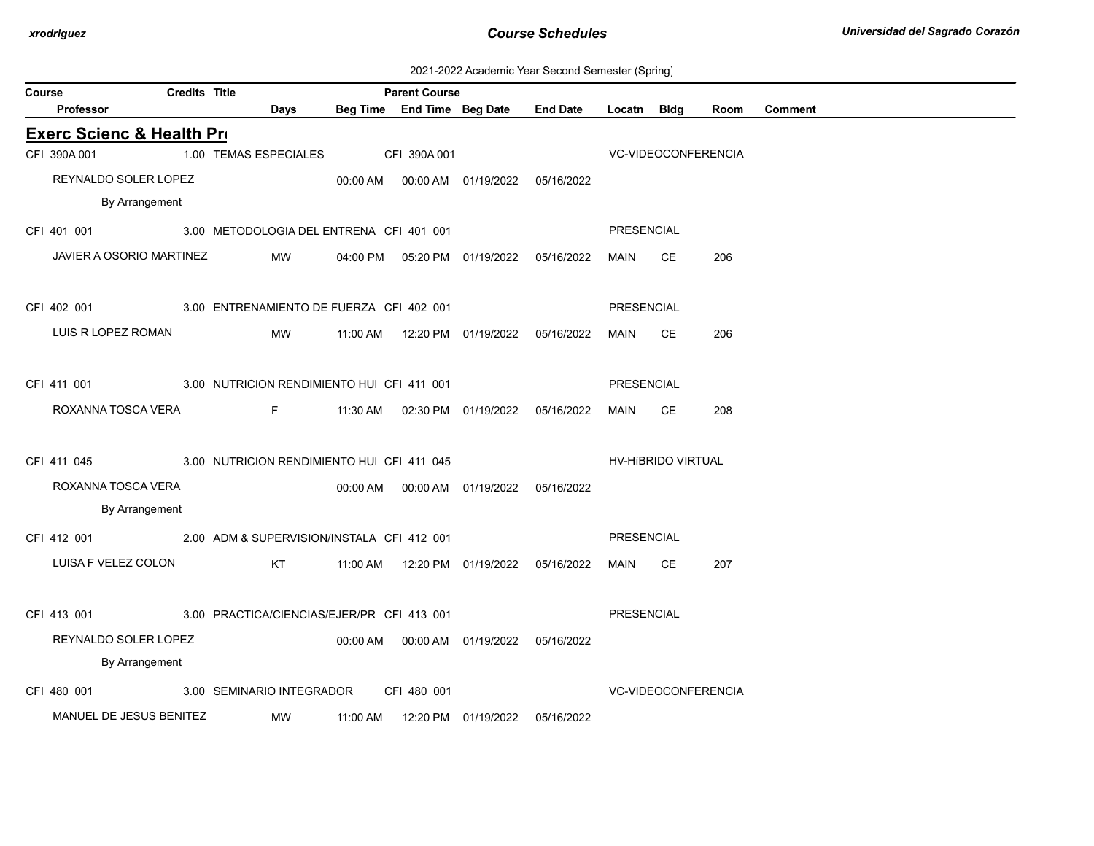| 2021-2022 Academic Year Second Semester (Spring) |  |  |  |  |  |
|--------------------------------------------------|--|--|--|--|--|
|--------------------------------------------------|--|--|--|--|--|

| Course                                                 |                                           | <b>Credits Title</b> |                                          | <b>Parent Course</b> |                                              |                 |                   |                            |      |                |
|--------------------------------------------------------|-------------------------------------------|----------------------|------------------------------------------|----------------------|----------------------------------------------|-----------------|-------------------|----------------------------|------|----------------|
| Professor                                              |                                           |                      | <b>Days</b>                              |                      | Beg Time End Time Beg Date                   | <b>End Date</b> | Locatn Bldg       |                            | Room | <b>Comment</b> |
| <b>Exerc Scienc &amp; Health Pro</b>                   |                                           |                      |                                          |                      |                                              |                 |                   |                            |      |                |
| CFI 390A 001                                           |                                           |                      | 1.00 TEMAS ESPECIALES CFI 390A 001       |                      |                                              |                 |                   | VC-VIDEOCONFERENCIA        |      |                |
|                                                        | REYNALDO SOLER LOPEZ                      |                      |                                          |                      | 00:00 AM  00:00 AM  01/19/2022  05/16/2022   |                 |                   |                            |      |                |
|                                                        | By Arrangement                            |                      |                                          |                      |                                              |                 |                   |                            |      |                |
| CFI 401 001                                            |                                           |                      | 3.00 METODOLOGIA DEL ENTRENA CFI 401 001 |                      |                                              |                 | PRESENCIAL        |                            |      |                |
|                                                        | JAVIER A OSORIO MARTINEZ                  |                      | <b>MW</b>                                |                      | 04:00 PM  05:20 PM  01/19/2022  05/16/2022   |                 | MAIN              | CE.                        | 206  |                |
|                                                        |                                           |                      |                                          |                      |                                              |                 |                   |                            |      |                |
| CFI 402 001 3.00 ENTRENAMIENTO DE FUERZA CFI 402 001   |                                           |                      |                                          |                      |                                              |                 | PRESENCIAL        |                            |      |                |
| LUIS R LOPEZ ROMAN                                     |                                           |                      | MW                                       |                      |                                              |                 | MAIN              | CE.                        | 206  |                |
|                                                        |                                           |                      |                                          |                      |                                              |                 |                   |                            |      |                |
| CFI 411 001                                            | 3.00 NUTRICION RENDIMIENTO HU CFI 411 001 |                      |                                          |                      |                                              |                 | <b>PRESENCIAL</b> |                            |      |                |
|                                                        |                                           |                      |                                          |                      |                                              |                 |                   |                            |      |                |
| ROXANNA TOSCA VERA                                     |                                           |                      | <b>Figure 1999</b>                       |                      | 11:30 AM  02:30 PM  01/19/2022  05/16/2022   |                 | MAIN              | CE                         | 208  |                |
|                                                        |                                           |                      |                                          |                      |                                              |                 |                   |                            |      |                |
| CFI 411 045                                            | 3.00 NUTRICION RENDIMIENTO HU CFI 411 045 |                      |                                          |                      |                                              |                 |                   | HV-HIBRIDO VIRTUAL         |      |                |
| ROXANNA TOSCA VERA                                     |                                           |                      |                                          |                      | 00:00 AM   00:00 AM   01/19/2022  05/16/2022 |                 |                   |                            |      |                |
|                                                        | By Arrangement                            |                      |                                          |                      |                                              |                 |                   |                            |      |                |
| CFI 412 001 2.00 ADM & SUPERVISION/INSTALA CFI 412 001 |                                           |                      |                                          |                      |                                              |                 | PRESENCIAL        |                            |      |                |
|                                                        | LUISA F VELEZ COLON                       |                      |                                          |                      |                                              |                 | MAIN CE           |                            | 207  |                |
|                                                        |                                           |                      |                                          |                      |                                              |                 |                   |                            |      |                |
| CFI 413 001 3.00 PRACTICA/CIENCIAS/EJER/PR CFI 413 001 |                                           |                      |                                          |                      |                                              |                 | PRESENCIAL        |                            |      |                |
|                                                        | REYNALDO SOLER LOPEZ                      |                      |                                          |                      | 00:00 AM   00:00 AM   01/19/2022  05/16/2022 |                 |                   |                            |      |                |
|                                                        | By Arrangement                            |                      |                                          |                      |                                              |                 |                   |                            |      |                |
| CFI 480 001                                            |                                           |                      | 3.00 SEMINARIO INTEGRADOR                | CFI 480 001          |                                              |                 |                   | <b>VC-VIDEOCONFERENCIA</b> |      |                |
|                                                        | MANUEL DE JESUS BENITEZ                   |                      | MW                                       |                      | 11:00 AM  12:20 PM  01/19/2022  05/16/2022   |                 |                   |                            |      |                |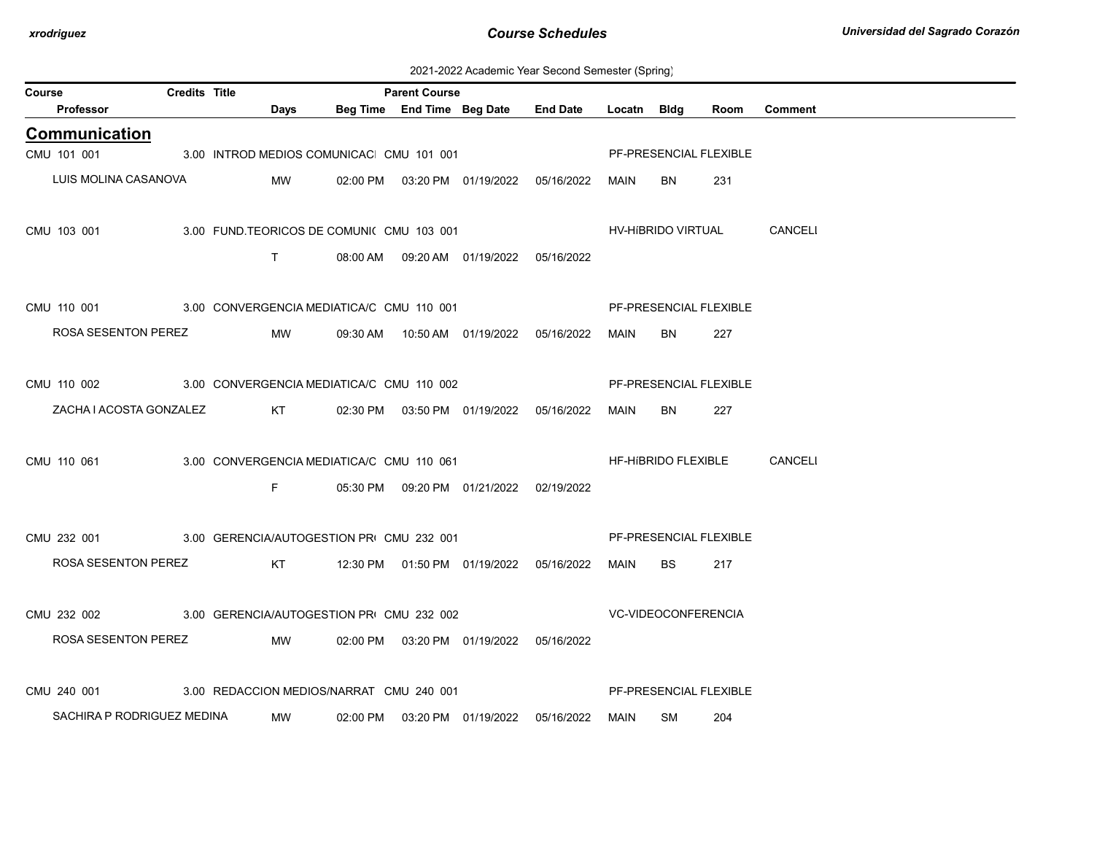| Course                                                | <b>Credits Title</b> |                 |                                          | <b>Parent Course</b> |                                            |                                                  |             |           |                        |                             |
|-------------------------------------------------------|----------------------|-----------------|------------------------------------------|----------------------|--------------------------------------------|--------------------------------------------------|-------------|-----------|------------------------|-----------------------------|
| Professor                                             |                      | Days            |                                          |                      |                                            | Beg Time End Time Beg Date End Date              | Locatn Bldg |           | Room                   | <b>Comment</b>              |
| <b>Communication</b>                                  |                      |                 |                                          |                      |                                            |                                                  |             |           |                        |                             |
| CMU 101 001 3.00 INTROD MEDIOS COMUNICAC CMU 101 001  |                      |                 |                                          |                      |                                            |                                                  |             |           | PF-PRESENCIAL FLEXIBLE |                             |
| LUIS MOLINA CASANOVA                                  |                      | MW              |                                          |                      |                                            | 02:00 PM  03:20 PM  01/19/2022  05/16/2022  MAIN |             | BN        | 231                    |                             |
|                                                       |                      |                 |                                          |                      |                                            |                                                  |             |           |                        |                             |
| CMU 103 001                                           |                      |                 | 3.00 FUND.TEORICOS DE COMUNI(CMU 103 001 |                      |                                            |                                                  |             |           |                        | HV-HIBRIDO VIRTUAL CANCELI  |
|                                                       |                      | T               |                                          |                      | 08:00 AM  09:20 AM  01/19/2022  05/16/2022 |                                                  |             |           |                        |                             |
|                                                       |                      |                 |                                          |                      |                                            |                                                  |             |           |                        |                             |
| CMU 110 001 3.00 CONVERGENCIA MEDIATICA/C CMU 110 001 |                      |                 |                                          |                      |                                            |                                                  |             |           | PF-PRESENCIAL FLEXIBLE |                             |
| ROSA SESENTON PEREZ                                   |                      | MW              |                                          |                      |                                            | 09:30 AM  10:50 AM  01/19/2022  05/16/2022       | MAIN        | BN        | 227                    |                             |
|                                                       |                      |                 |                                          |                      |                                            |                                                  |             |           |                        |                             |
| CMU 110 002 3.00 CONVERGENCIA MEDIATICA/C CMU 110 002 |                      |                 |                                          |                      |                                            |                                                  |             |           |                        |                             |
|                                                       |                      |                 |                                          |                      |                                            |                                                  |             |           | PF-PRESENCIAL FLEXIBLE |                             |
| ZACHA I ACOSTA GONZALEZ                               |                      | <b>KT</b>       |                                          |                      | 02:30 PM  03:50 PM  01/19/2022  05/16/2022 |                                                  | MAIN        | <b>BN</b> | 227                    |                             |
|                                                       |                      |                 |                                          |                      |                                            |                                                  |             |           |                        |                             |
| CMU 110 061                                           |                      |                 |                                          |                      |                                            | 3.00 CONVERGENCIA MEDIATICA/C CMU 110 061        |             |           |                        | HF-HIBRIDO FLEXIBLE CANCELI |
|                                                       |                      | F.              |                                          |                      | 05:30 PM  09:20 PM  01/21/2022  02/19/2022 |                                                  |             |           |                        |                             |
|                                                       |                      |                 |                                          |                      |                                            |                                                  |             |           |                        |                             |
| CMU 232 001 3.00 GERENCIA/AUTOGESTION PR CMU 232 001  |                      |                 |                                          |                      |                                            |                                                  |             |           | PF-PRESENCIAL FLEXIBLE |                             |
| ROSA SESENTON PEREZ                                   |                      | KT <sub>N</sub> |                                          |                      |                                            | 12:30 PM  01:50 PM  01/19/2022  05/16/2022       | MAIN        | BS.       | 217                    |                             |
|                                                       |                      |                 |                                          |                      |                                            |                                                  |             |           |                        |                             |
| CMU 232 002 3.00 GERENCIA/AUTOGESTION PRI CMU 232 002 |                      |                 |                                          |                      |                                            | <b>VC-VIDEOCONFERENCIA</b>                       |             |           |                        |                             |
| ROSA SESENTON PEREZ                                   |                      | <b>MW</b>       |                                          |                      | 02:00 PM  03:20 PM  01/19/2022  05/16/2022 |                                                  |             |           |                        |                             |
|                                                       |                      |                 |                                          |                      |                                            |                                                  |             |           |                        |                             |
| CMU 240 001                                           |                      |                 | 3.00 REDACCION MEDIOS/NARRAT CMU 240 001 |                      |                                            |                                                  |             |           | PF-PRESENCIAL FLEXIBLE |                             |
| SACHIRA P RODRIGUEZ MEDINA                            |                      |                 |                                          |                      |                                            |                                                  |             |           |                        |                             |
|                                                       |                      | MW              | 02:00 PM                                 |                      |                                            | 03:20 PM 01/19/2022 05/16/2022                   | MAIN        | SM        | 204                    |                             |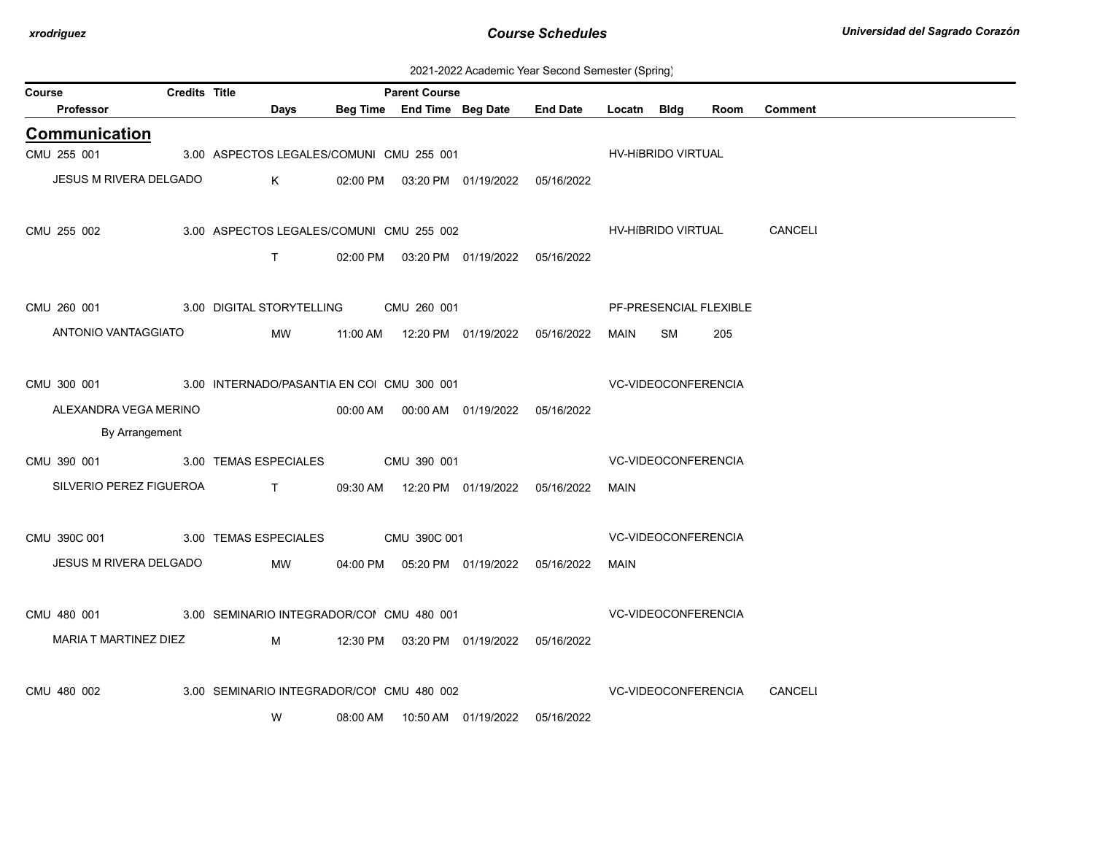| 2021-2022 Academic Year Second Semester (Spring) |  |  |  |  |  |
|--------------------------------------------------|--|--|--|--|--|
|--------------------------------------------------|--|--|--|--|--|

| Course |                         | <b>Credits Title</b> |                                                                                                                                                                                                                                                                                                                               |                                            | <b>Parent Course</b> |                                            |                            |                     |                            |                        |                |
|--------|-------------------------|----------------------|-------------------------------------------------------------------------------------------------------------------------------------------------------------------------------------------------------------------------------------------------------------------------------------------------------------------------------|--------------------------------------------|----------------------|--------------------------------------------|----------------------------|---------------------|----------------------------|------------------------|----------------|
|        | Professor               |                      | Days                                                                                                                                                                                                                                                                                                                          |                                            |                      | Beg Time End Time Beg Date                 | <b>End Date</b>            | Locatn Bidg         |                            | Room                   | <b>Comment</b> |
|        | <b>Communication</b>    |                      |                                                                                                                                                                                                                                                                                                                               |                                            |                      |                                            |                            |                     |                            |                        |                |
|        | CMU 255 001             |                      | 3.00 ASPECTOS LEGALES/COMUNI CMU 255 001                                                                                                                                                                                                                                                                                      |                                            |                      |                                            |                            |                     | HV-HIBRIDO VIRTUAL         |                        |                |
|        | JESUS M RIVERA DELGADO  |                      | $K$ and $K$                                                                                                                                                                                                                                                                                                                   |                                            |                      | 02:00 PM  03:20 PM  01/19/2022  05/16/2022 |                            |                     |                            |                        |                |
|        |                         |                      |                                                                                                                                                                                                                                                                                                                               |                                            |                      |                                            |                            |                     |                            |                        |                |
|        | CMU 255 002             |                      | 3.00 ASPECTOS LEGALES/COMUNI CMU 255 002                                                                                                                                                                                                                                                                                      |                                            |                      |                                            |                            |                     | HV-HíBRIDO VIRTUAL         |                        | CANCELI        |
|        |                         |                      | T                                                                                                                                                                                                                                                                                                                             |                                            |                      | 02:00 PM  03:20 PM  01/19/2022  05/16/2022 |                            |                     |                            |                        |                |
|        |                         |                      |                                                                                                                                                                                                                                                                                                                               |                                            |                      |                                            |                            |                     |                            |                        |                |
|        | CMU 260 001             |                      | 3.00 DIGITAL STORYTELLING CMU 260 001                                                                                                                                                                                                                                                                                         |                                            |                      |                                            |                            |                     |                            | PF-PRESENCIAL FLEXIBLE |                |
|        | ANTONIO VANTAGGIATO     |                      | MW                                                                                                                                                                                                                                                                                                                            |                                            |                      | 11:00 AM  12:20 PM  01/19/2022  05/16/2022 |                            | MAIN                | SM                         | 205                    |                |
|        |                         |                      |                                                                                                                                                                                                                                                                                                                               |                                            |                      |                                            |                            |                     |                            |                        |                |
|        |                         |                      | CMU 300 001 3.00 INTERNADO/PASANTIA EN COI CMU 300 001                                                                                                                                                                                                                                                                        |                                            |                      |                                            |                            | VC-VIDEOCONFERENCIA |                            |                        |                |
|        | ALEXANDRA VEGA MERINO   |                      |                                                                                                                                                                                                                                                                                                                               |                                            |                      | 00:00 AM  00:00 AM  01/19/2022  05/16/2022 |                            |                     |                            |                        |                |
|        | By Arrangement          |                      |                                                                                                                                                                                                                                                                                                                               |                                            |                      |                                            |                            |                     |                            |                        |                |
|        |                         |                      | CMU 390 001 3.00 TEMAS ESPECIALES CMU 390 001                                                                                                                                                                                                                                                                                 |                                            |                      |                                            |                            |                     | VC-VIDEOCONFERENCIA        |                        |                |
|        | SILVERIO PEREZ FIGUEROA |                      | $\mathbf{T}$ and $\mathbf{T}$ and $\mathbf{T}$ and $\mathbf{T}$ and $\mathbf{T}$ and $\mathbf{T}$ and $\mathbf{T}$ and $\mathbf{T}$ and $\mathbf{T}$ and $\mathbf{T}$ and $\mathbf{T}$ and $\mathbf{T}$ and $\mathbf{T}$ and $\mathbf{T}$ and $\mathbf{T}$ and $\mathbf{T}$ and $\mathbf{T}$ and $\mathbf{T}$ and $\mathbf{T$ |                                            |                      | 09:30 AM  12:20 PM  01/19/2022  05/16/2022 |                            | MAIN                |                            |                        |                |
|        |                         |                      |                                                                                                                                                                                                                                                                                                                               |                                            |                      |                                            |                            |                     |                            |                        |                |
|        | CMU 390C 001            |                      | 3.00 TEMAS ESPECIALES CMU 390C 001                                                                                                                                                                                                                                                                                            |                                            |                      |                                            |                            |                     | <b>VC-VIDEOCONFERENCIA</b> |                        |                |
|        | JESUS M RIVERA DELGADO  |                      |                                                                                                                                                                                                                                                                                                                               | MW 04:00 PM 05:20 PM 01/19/2022 05/16/2022 |                      |                                            |                            | MAIN                |                            |                        |                |
|        |                         |                      |                                                                                                                                                                                                                                                                                                                               |                                            |                      |                                            |                            |                     |                            |                        |                |
|        |                         |                      | CMU 480 001 3.00 SEMINARIO INTEGRADOR/COI CMU 480 001                                                                                                                                                                                                                                                                         |                                            |                      |                                            |                            |                     | VC-VIDEOCONFERENCIA        |                        |                |
|        |                         |                      | MARIA T MARTINEZ DIEZ M                                                                                                                                                                                                                                                                                                       |                                            |                      | 12:30 PM  03:20 PM  01/19/2022  05/16/2022 |                            |                     |                            |                        |                |
|        |                         |                      |                                                                                                                                                                                                                                                                                                                               |                                            |                      |                                            |                            |                     |                            |                        |                |
|        | CMU 480 002             |                      | 3.00 SEMINARIO INTEGRADOR/COI CMU 480 002                                                                                                                                                                                                                                                                                     |                                            |                      |                                            | <b>VC-VIDEOCONFERENCIA</b> |                     |                            |                        | CANCELI        |
|        |                         |                      |                                                                                                                                                                                                                                                                                                                               |                                            |                      |                                            |                            |                     |                            |                        |                |
|        |                         |                      | W                                                                                                                                                                                                                                                                                                                             | 08:00 AM                                   |                      |                                            | 05/16/2022                 |                     |                            |                        |                |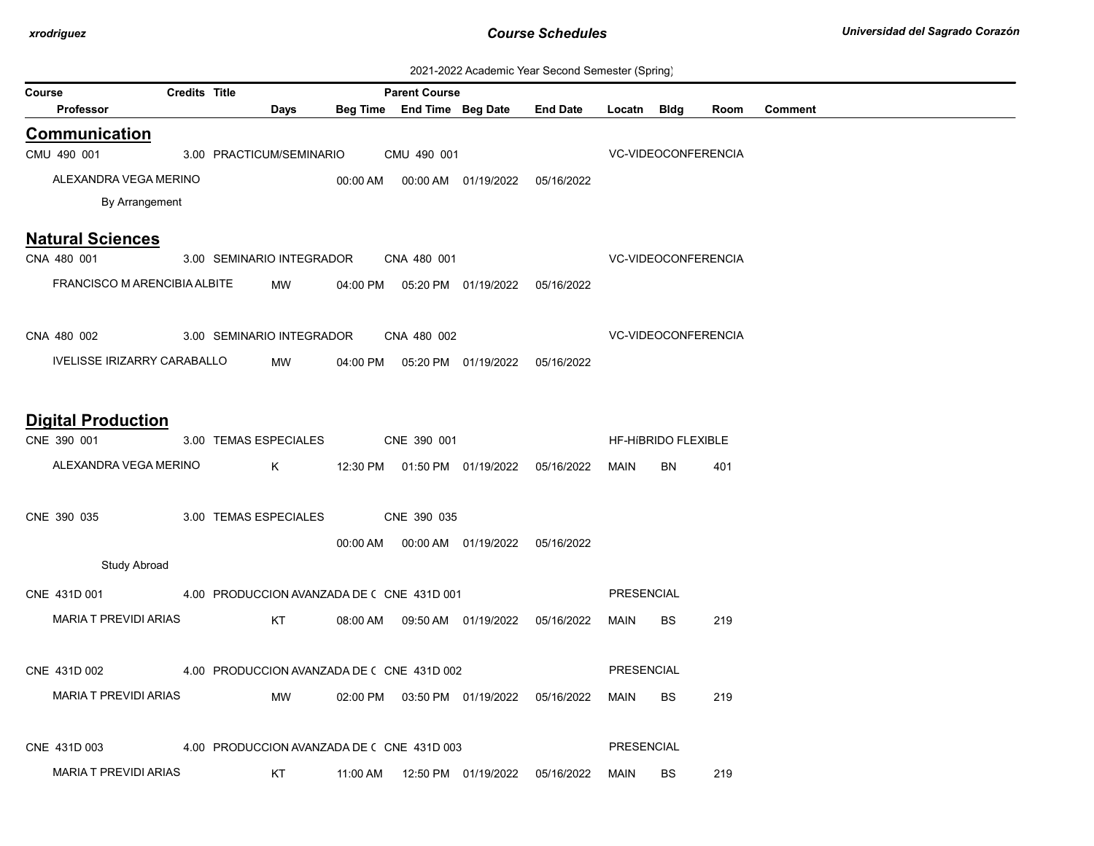| 2021-2022 Academic Year Second Semester (Spring) |  |  |  |
|--------------------------------------------------|--|--|--|
|--------------------------------------------------|--|--|--|

|                                    | 2021-2022 Academic Teal Second Semester (Spring) |                                            |      |          |                            |                                            |                 |                   |                            |      |                |
|------------------------------------|--------------------------------------------------|--------------------------------------------|------|----------|----------------------------|--------------------------------------------|-----------------|-------------------|----------------------------|------|----------------|
| Course                             | <b>Credits Title</b>                             |                                            |      |          | <b>Parent Course</b>       |                                            |                 |                   |                            |      |                |
| <b>Professor</b>                   |                                                  |                                            | Days |          | Beg Time End Time Beg Date |                                            | <b>End Date</b> | Locatn Bldg       |                            | Room | <b>Comment</b> |
| <b>Communication</b>               |                                                  |                                            |      |          |                            |                                            |                 |                   |                            |      |                |
| CMU 490 001                        |                                                  | 3.00 PRACTICUM/SEMINARIO                   |      |          | CMU 490 001                |                                            |                 |                   | <b>VC-VIDEOCONFERENCIA</b> |      |                |
| ALEXANDRA VEGA MERINO              |                                                  |                                            |      | 00:00 AM |                            | 00:00 AM  01/19/2022  05/16/2022           |                 |                   |                            |      |                |
| By Arrangement                     |                                                  |                                            |      |          |                            |                                            |                 |                   |                            |      |                |
| <b>Natural Sciences</b>            |                                                  |                                            |      |          |                            |                                            |                 |                   |                            |      |                |
| CNA 480 001                        |                                                  | 3.00 SEMINARIO INTEGRADOR                  |      |          | CNA 480 001                |                                            |                 |                   | <b>VC-VIDEOCONFERENCIA</b> |      |                |
| FRANCISCO M ARENCIBIA ALBITE       |                                                  |                                            | MW   | 04:00 PM |                            | 05:20 PM 01/19/2022 05/16/2022             |                 |                   |                            |      |                |
|                                    |                                                  |                                            |      |          |                            |                                            |                 |                   |                            |      |                |
| CNA 480 002                        |                                                  | 3.00 SEMINARIO INTEGRADOR                  |      |          | CNA 480 002                |                                            |                 |                   | VC-VIDEOCONFERENCIA        |      |                |
| <b>IVELISSE IRIZARRY CARABALLO</b> |                                                  |                                            | MW   | 04:00 PM |                            | 05:20 PM 01/19/2022 05/16/2022             |                 |                   |                            |      |                |
|                                    |                                                  |                                            |      |          |                            |                                            |                 |                   |                            |      |                |
| <b>Digital Production</b>          |                                                  |                                            |      |          |                            |                                            |                 |                   |                            |      |                |
| CNE 390 001                        |                                                  | 3.00 TEMAS ESPECIALES                      |      |          | CNE 390 001                |                                            |                 |                   | HF-HIBRIDO FLEXIBLE        |      |                |
| ALEXANDRA VEGA MERINO              |                                                  | K                                          |      |          |                            | 12:30 PM  01:50 PM  01/19/2022  05/16/2022 |                 | MAIN              | BN                         | 401  |                |
|                                    |                                                  |                                            |      |          |                            |                                            |                 |                   |                            |      |                |
| CNE 390 035                        |                                                  | 3.00 TEMAS ESPECIALES                      |      |          | CNE 390 035                |                                            |                 |                   |                            |      |                |
|                                    |                                                  |                                            |      |          |                            | 00:00 AM  00:00 AM  01/19/2022  05/16/2022 |                 |                   |                            |      |                |
| <b>Study Abroad</b>                |                                                  |                                            |      |          |                            |                                            |                 |                   |                            |      |                |
| CNE 431D 001                       |                                                  | 4.00 PRODUCCION AVANZADA DE ( CNE 431D 001 |      |          |                            |                                            |                 | <b>PRESENCIAL</b> |                            |      |                |
| <b>MARIA T PREVIDI ARIAS</b>       |                                                  |                                            | KT   |          |                            | 08:00 AM  09:50 AM  01/19/2022  05/16/2022 |                 | MAIN              | BS                         | 219  |                |
|                                    |                                                  |                                            |      |          |                            |                                            |                 |                   |                            |      |                |
| CNE 431D 002                       |                                                  | 4.00 PRODUCCION AVANZADA DE ( CNE 431D 002 |      |          |                            |                                            |                 | <b>PRESENCIAL</b> |                            |      |                |
| <b>MARIA T PREVIDI ARIAS</b>       |                                                  |                                            | MW   |          |                            | 02:00 PM  03:50 PM  01/19/2022  05/16/2022 |                 | MAIN              | <b>BS</b>                  | 219  |                |
|                                    |                                                  |                                            |      |          |                            |                                            |                 |                   |                            |      |                |
| CNE 431D 003                       |                                                  | 4.00 PRODUCCION AVANZADA DE ( CNE 431D 003 |      |          |                            |                                            |                 | <b>PRESENCIAL</b> |                            |      |                |
| <b>MARIA T PREVIDI ARIAS</b>       |                                                  | KT                                         |      | 11:00 AM |                            | 12:50 PM 01/19/2022                        | 05/16/2022      | <b>MAIN</b>       | BS                         | 219  |                |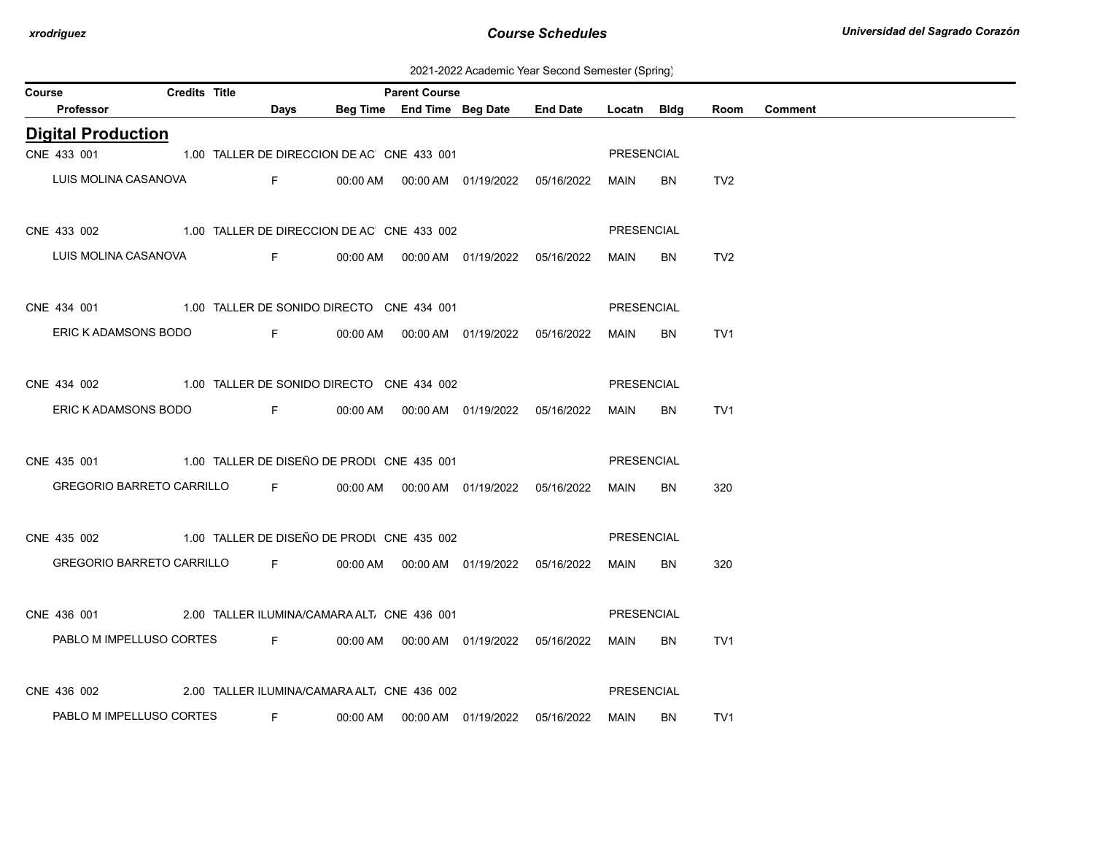2021-2022 Academic Year Second Semester (Spring)

| Course |                                                                     | <b>Credits Title</b> |                                                     | <b>Parent Course</b> |                                           |                 |             |     |                 |                |
|--------|---------------------------------------------------------------------|----------------------|-----------------------------------------------------|----------------------|-------------------------------------------|-----------------|-------------|-----|-----------------|----------------|
|        | Professor                                                           |                      | Days                                                |                      | Beg Time End Time Beg Date                | <b>End Date</b> | Locatn Bldg |     | Room            | <b>Comment</b> |
|        | <b>Digital Production</b>                                           |                      |                                                     |                      |                                           |                 |             |     |                 |                |
|        | CNE 433 001                                                         |                      | 1.00 TALLER DE DIRECCION DE AC CNE 433 001          |                      |                                           |                 | PRESENCIAL  |     |                 |                |
|        | LUIS MOLINA CASANOVA                                                |                      | and the Figure 1999 and the Party of the State 1999 |                      |                                           |                 | MAIN        | BN. | TV2             |                |
|        | CNE 433 002 1.00 TALLER DE DIRECCION DE AC CNE 433 002              |                      |                                                     |                      |                                           |                 | PRESENCIAL  |     |                 |                |
|        | LUIS MOLINA CASANOVA                                                |                      |                                                     |                      | F 00:00 AM 00:00 AM 01/19/2022 05/16/2022 |                 | MAIN        | BN  | TV <sub>2</sub> |                |
|        | CNE 434 001 1.00 TALLER DE SONIDO DIRECTO CNE 434 001               |                      |                                                     |                      |                                           |                 | PRESENCIAL  |     |                 |                |
|        | ERIC K ADAMSONS BODO                                                |                      |                                                     |                      | F 00:00 AM 00:00 AM 01/19/2022 05/16/2022 |                 | MAIN        | BN. | TV1             |                |
|        | CNE 434 002 1.00 TALLER DE SONIDO DIRECTO CNE 434 002               |                      |                                                     |                      |                                           |                 | PRESENCIAL  |     |                 |                |
|        | ERIC K ADAMSONS BODO F                                              |                      |                                                     |                      |                                           |                 | MAIN        | BN  | TV <sub>1</sub> |                |
|        | CNE 435 001 1.00 TALLER DE DISEÑO DE PRODI CNE 435 001              |                      |                                                     |                      |                                           |                 | PRESENCIAL  |     |                 |                |
|        | GREGORIO BARRETO CARRILLO F 00:00 AM 00:00 AM 01/19/2022 05/16/2022 |                      |                                                     |                      |                                           |                 | MAIN        | BN  | 320             |                |
|        | CNE 435 002 1.00 TALLER DE DISEÑO DE PRODI CNE 435 002              |                      |                                                     |                      |                                           |                 | PRESENCIAL  |     |                 |                |
|        | GREGORIO BARRETO CARRILLO F 00:00 AM 00:00 AM 01/19/2022 05/16/2022 |                      |                                                     |                      |                                           |                 | MAIN        | BN. | 320             |                |
|        | CNE 436 001 2.00 TALLER ILUMINA/CAMARA ALT. CNE 436 001             |                      |                                                     |                      |                                           |                 | PRESENCIAL  |     |                 |                |
|        | PABLO M IMPELLUSO CORTES F 00:00 AM 00:00 AM 01/19/2022 05/16/2022  |                      |                                                     |                      |                                           |                 | MAIN        | BN  | TV <sub>1</sub> |                |
|        | CNE 436 002 2.00 TALLER ILUMINA/CAMARA ALT. CNE 436 002             |                      |                                                     |                      |                                           |                 | PRESENCIAL  |     |                 |                |
|        | PABLO M IMPELLUSO CORTES                                            |                      | <b>Example 20</b>                                   |                      |                                           |                 | MAIN        | BN  | TV1             |                |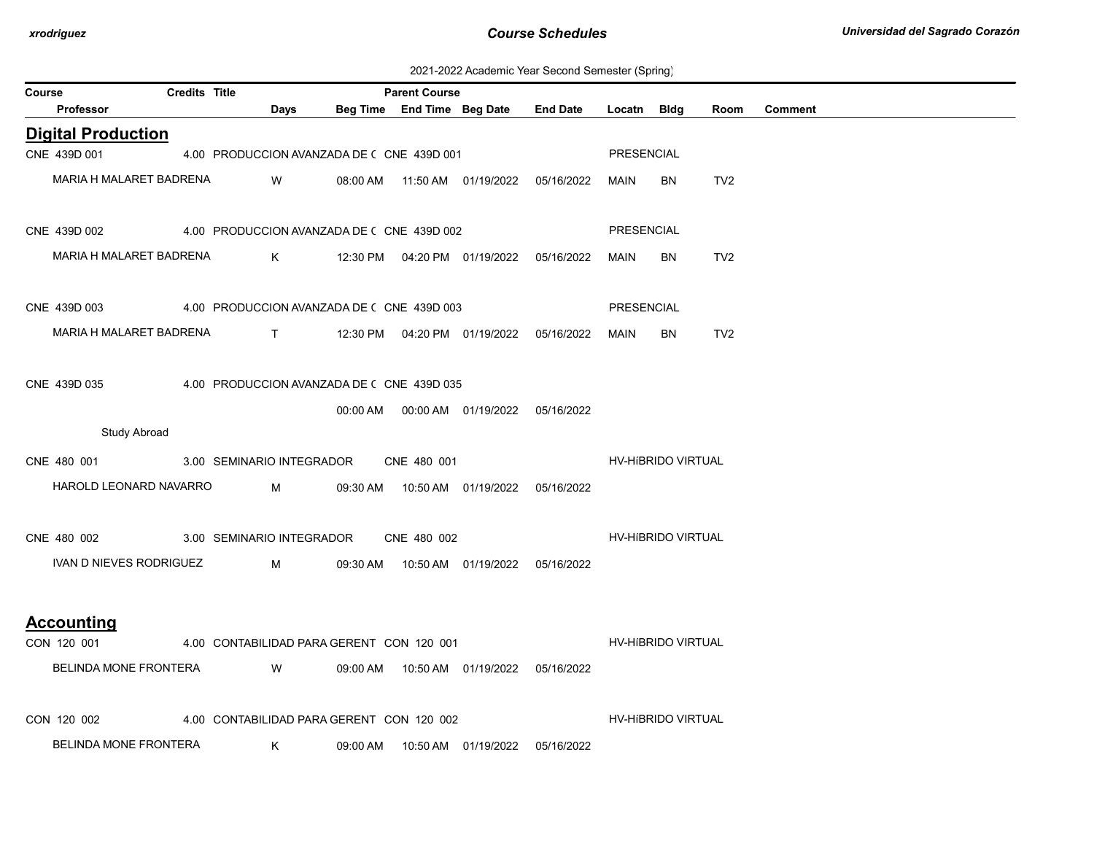| 2021-2022 Academic Year Second Semester (Spring) |  |  |  |  |  |
|--------------------------------------------------|--|--|--|--|--|
|--------------------------------------------------|--|--|--|--|--|

| ---------- (-r----- <del>-</del> )<br><b>Credits Title</b><br><b>Course</b><br><b>Parent Course</b> |                                                                   |  |                                            |          |  |                                            |                                     |             |                    |                 |                |
|-----------------------------------------------------------------------------------------------------|-------------------------------------------------------------------|--|--------------------------------------------|----------|--|--------------------------------------------|-------------------------------------|-------------|--------------------|-----------------|----------------|
|                                                                                                     | Professor                                                         |  | <b>Days</b>                                |          |  |                                            | Beg Time End Time Beg Date End Date | Locatn Bldg |                    | Room            | <b>Comment</b> |
|                                                                                                     | <b>Digital Production</b>                                         |  |                                            |          |  |                                            |                                     |             |                    |                 |                |
|                                                                                                     | CNE 439D 001                                                      |  | 4.00 PRODUCCION AVANZADA DE ( CNE 439D 001 |          |  |                                            |                                     | PRESENCIAL  |                    |                 |                |
|                                                                                                     | MARIA H MALARET BADRENA                                           |  | <b>W</b>                                   |          |  | 08:00 AM  11:50 AM  01/19/2022  05/16/2022 |                                     | MAIN        | BN                 | TV <sub>2</sub> |                |
|                                                                                                     | CNE 439D 002 4.00 PRODUCCION AVANZADA DE (CNE 439D 002            |  |                                            |          |  |                                            |                                     | PRESENCIAL  |                    |                 |                |
|                                                                                                     | MARIA H MALARET BADRENA                                           |  |                                            |          |  |                                            |                                     | MAIN        | BN.                | TV <sub>2</sub> |                |
|                                                                                                     | CNE 439D 003 4.00 PRODUCCION AVANZADA DE (CNE 439D 003            |  |                                            |          |  |                                            |                                     | PRESENCIAL  |                    |                 |                |
|                                                                                                     | MARIA H MALARET BADRENA T 12:30 PM 04:20 PM 01/19/2022 05/16/2022 |  |                                            |          |  |                                            |                                     | MAIN        | <b>BN</b>          | TV <sub>2</sub> |                |
|                                                                                                     | CNE 439D 035                                                      |  | 4.00 PRODUCCION AVANZADA DE (CNE 439D 035  |          |  |                                            |                                     |             |                    |                 |                |
|                                                                                                     |                                                                   |  |                                            |          |  | 00:00 AM  00:00 AM  01/19/2022  05/16/2022 |                                     |             |                    |                 |                |
|                                                                                                     | <b>Study Abroad</b>                                               |  |                                            |          |  |                                            |                                     |             |                    |                 |                |
|                                                                                                     | CNE 480 001 3.00 SEMINARIO INTEGRADOR CNE 480 001                 |  |                                            |          |  |                                            |                                     |             | HV-HIBRIDO VIRTUAL |                 |                |
|                                                                                                     | HAROLD LEONARD NAVARRO                                            |  |                                            |          |  |                                            |                                     |             |                    |                 |                |
|                                                                                                     | CNE 480 002 3.00 SEMINARIO INTEGRADOR CNE 480 002                 |  |                                            |          |  |                                            |                                     |             | HV-HIBRIDO VIRTUAL |                 |                |
|                                                                                                     | IVAN D NIEVES RODRIGUEZ M                                         |  |                                            |          |  | 09:30 AM  10:50 AM  01/19/2022  05/16/2022 |                                     |             |                    |                 |                |
|                                                                                                     | <b>Accounting</b>                                                 |  |                                            |          |  |                                            |                                     |             |                    |                 |                |
|                                                                                                     | CON 120 001 4.00 CONTABILIDAD PARA GERENT CON 120 001             |  |                                            |          |  |                                            |                                     |             | HV-HIBRIDO VIRTUAL |                 |                |
|                                                                                                     | BELINDA MONE FRONTERA                                             |  | <b>Example 19 YO MARK</b>                  |          |  | 09:00 AM  10:50 AM  01/19/2022  05/16/2022 |                                     |             |                    |                 |                |
|                                                                                                     | CON 120 002                                                       |  | 4.00 CONTABILIDAD PARA GERENT CON 120 002  |          |  |                                            |                                     |             | HV-HIBRIDO VIRTUAL |                 |                |
|                                                                                                     | BELINDA MONE FRONTERA                                             |  | K .                                        | 09:00 AM |  | 10:50 AM  01/19/2022                       | 05/16/2022                          |             |                    |                 |                |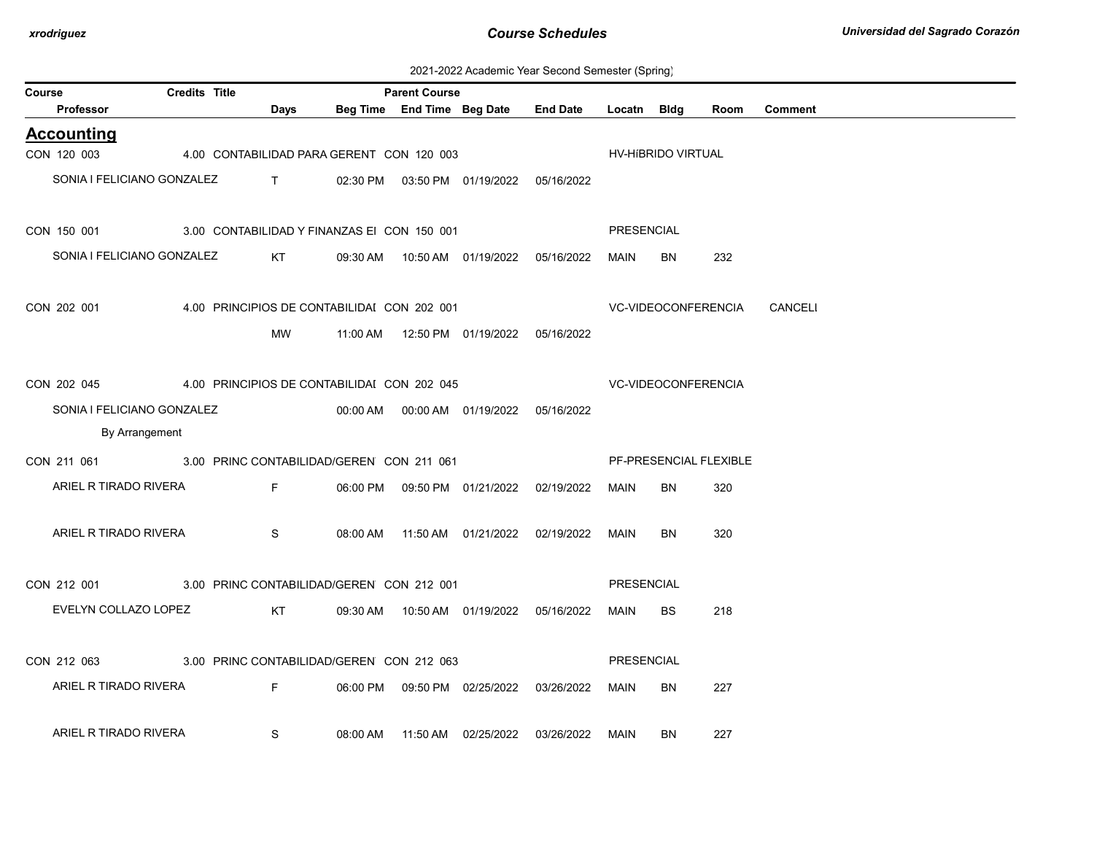| 2021-2022 Academic Year Second Semester (Spring) |  |  |  |  |  |
|--------------------------------------------------|--|--|--|--|--|
|--------------------------------------------------|--|--|--|--|--|

| Course |                                                       | Credits Title |                                             |          | <b>Parent Course</b> | Beg Time End Time Beg Date                 |                                            |             |                     |                        |                             |
|--------|-------------------------------------------------------|---------------|---------------------------------------------|----------|----------------------|--------------------------------------------|--------------------------------------------|-------------|---------------------|------------------------|-----------------------------|
|        | Professor                                             |               | Days                                        |          |                      |                                            | <b>End Date</b>                            | Locatn Bldg |                     | Room                   | <b>Comment</b>              |
|        | <b>Accounting</b>                                     |               |                                             |          |                      |                                            |                                            |             |                     |                        |                             |
|        | CON 120 003 4.00 CONTABILIDAD PARA GERENT CON 120 003 |               |                                             |          |                      |                                            |                                            |             | HV-HIBRIDO VIRTUAL  |                        |                             |
|        | SONIA I FELICIANO GONZALEZ                            |               | $\mathbf{T}$ and $\mathbf{T}$               |          |                      | 02:30 PM  03:50 PM  01/19/2022  05/16/2022 |                                            |             |                     |                        |                             |
|        |                                                       |               |                                             |          |                      |                                            |                                            |             |                     |                        |                             |
|        | CON 150 001                                           |               | 3.00 CONTABILIDAD Y FINANZAS EI CON 150 001 |          |                      |                                            |                                            | PRESENCIAL  |                     |                        |                             |
|        | SONIA I FELICIANO GONZALEZ                            |               | KT.                                         |          |                      |                                            | 09:30 AM  10:50 AM  01/19/2022  05/16/2022 | MAIN        | BN                  | 232                    |                             |
|        |                                                       |               |                                             |          |                      |                                            |                                            |             |                     |                        |                             |
|        | CON 202 001                                           |               | 4.00 PRINCIPIOS DE CONTABILIDAI CON 202 001 |          |                      |                                            |                                            |             |                     |                        | VC-VIDEOCONFERENCIA CANCELI |
|        |                                                       |               | MW                                          |          |                      |                                            |                                            |             |                     |                        |                             |
|        |                                                       |               |                                             |          |                      |                                            |                                            |             |                     |                        |                             |
|        |                                                       |               |                                             |          |                      |                                            |                                            |             |                     |                        |                             |
|        | CON 202 045                                           |               | 4.00 PRINCIPIOS DE CONTABILIDAI CON 202 045 |          |                      |                                            |                                            |             | VC-VIDEOCONFERENCIA |                        |                             |
|        | SONIA I FELICIANO GONZALEZ                            |               |                                             |          |                      |                                            |                                            |             |                     |                        |                             |
|        | By Arrangement                                        |               |                                             |          |                      |                                            |                                            |             |                     |                        |                             |
|        | CON 211 061 3.00 PRINC CONTABILIDAD/GEREN CON 211 061 |               |                                             |          |                      |                                            |                                            |             |                     | PF-PRESENCIAL FLEXIBLE |                             |
|        | ARIEL R TIRADO RIVERA                                 |               | F <sub>a</sub>                              |          |                      |                                            | 06:00 PM  09:50 PM  01/21/2022  02/19/2022 | <b>MAIN</b> | <b>BN</b>           | 320                    |                             |
|        |                                                       |               |                                             |          |                      |                                            |                                            |             |                     |                        |                             |
|        | ARIEL R TIRADO RIVERA                                 |               | S                                           |          |                      |                                            | 08:00 AM  11:50 AM  01/21/2022  02/19/2022 | MAIN        | BN                  | 320                    |                             |
|        |                                                       |               |                                             |          |                      |                                            |                                            |             |                     |                        |                             |
|        | CON 212 001 3.00 PRINC CONTABILIDAD/GEREN CON 212 001 |               |                                             |          |                      |                                            |                                            | PRESENCIAL  |                     |                        |                             |
|        | EVELYN COLLAZO LOPEZ                                  |               | KT                                          |          |                      |                                            | 09:30 AM  10:50 AM  01/19/2022  05/16/2022 | MAIN        | <b>BS</b>           | 218                    |                             |
|        |                                                       |               |                                             |          |                      |                                            |                                            |             |                     |                        |                             |
|        |                                                       |               |                                             |          |                      |                                            |                                            |             |                     |                        |                             |
|        | CON 212 063                                           |               | 3.00 PRINC CONTABILIDAD/GEREN CON 212 063   |          |                      |                                            |                                            | PRESENCIAL  |                     |                        |                             |
|        | ARIEL R TIRADO RIVERA                                 |               | F                                           |          |                      | 06:00 PM  09:50 PM  02/25/2022             | 03/26/2022                                 | MAIN        | BN                  | 227                    |                             |
|        |                                                       |               |                                             |          |                      |                                            |                                            |             |                     |                        |                             |
|        | ARIEL R TIRADO RIVERA                                 |               | S                                           | 08:00 AM |                      | 11:50 AM 02/25/2022                        | 03/26/2022                                 | MAIN        | BN                  | 227                    |                             |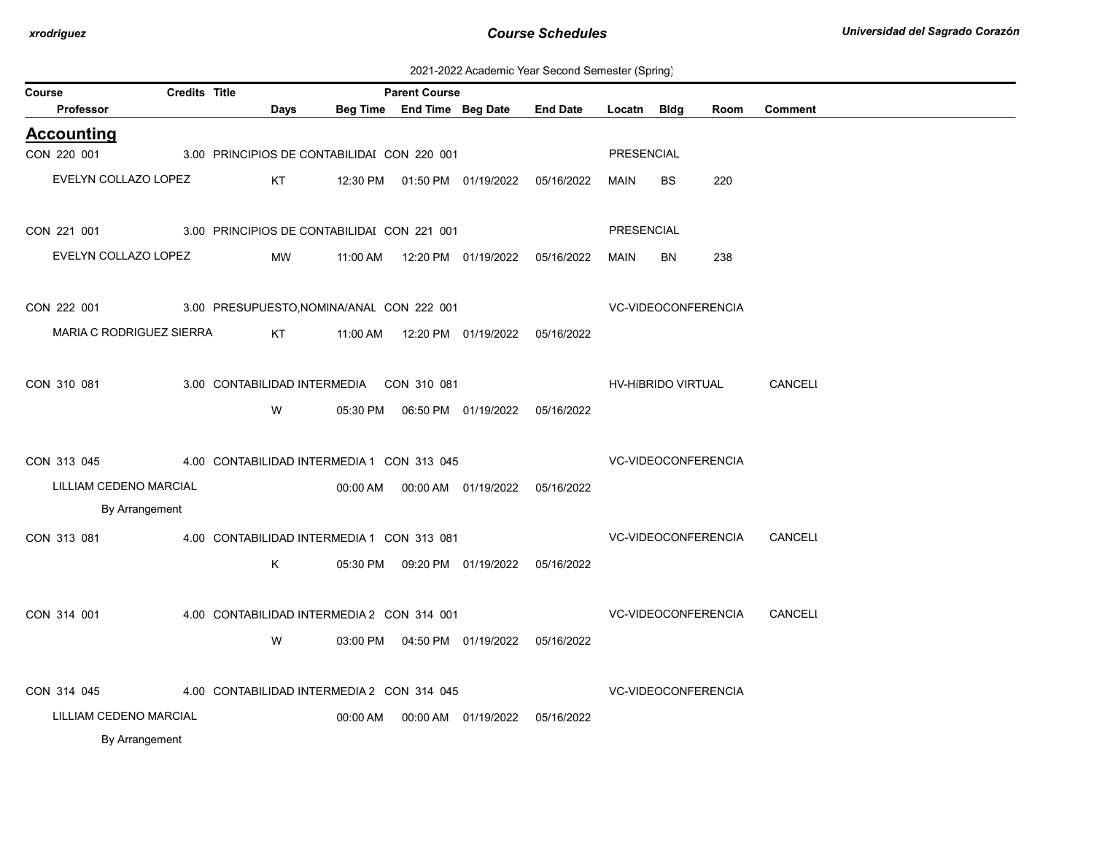| 2021-2022 Academic Year Second Semester (Spring) |  |  |
|--------------------------------------------------|--|--|
|                                                  |  |  |

| Course                   | <b>Credits Title</b> |                                           |                                             | <b>Parent Course</b>       |  |                                            |                   |                            |      |                |  |  |
|--------------------------|----------------------|-------------------------------------------|---------------------------------------------|----------------------------|--|--------------------------------------------|-------------------|----------------------------|------|----------------|--|--|
| Professor                |                      | Days                                      |                                             | Beg Time End Time Beg Date |  | <b>End Date</b>                            | Locatn Bldg       |                            | Room | <b>Comment</b> |  |  |
| <b>Accounting</b>        |                      |                                           |                                             |                            |  |                                            |                   |                            |      |                |  |  |
| CON 220 001              |                      |                                           | 3.00 PRINCIPIOS DE CONTABILIDAI CON 220 001 |                            |  |                                            | PRESENCIAL        |                            |      |                |  |  |
| EVELYN COLLAZO LOPEZ     |                      | KT                                        |                                             |                            |  | 12:30 PM  01:50 PM  01/19/2022  05/16/2022 | MAIN              | <b>BS</b>                  | 220  |                |  |  |
|                          |                      |                                           |                                             |                            |  |                                            |                   |                            |      |                |  |  |
| CON 221 001              |                      |                                           | 3.00 PRINCIPIOS DE CONTABILIDAI CON 221 001 |                            |  |                                            | <b>PRESENCIAL</b> |                            |      |                |  |  |
| EVELYN COLLAZO LOPEZ     |                      | MW                                        | 11:00 AM                                    |                            |  | 12:20 PM  01/19/2022  05/16/2022           | MAIN              | BN                         | 238  |                |  |  |
|                          |                      |                                           |                                             |                            |  |                                            |                   |                            |      |                |  |  |
| CON 222 001              |                      | 3.00 PRESUPUESTO, NOMINA/ANAL CON 222 001 |                                             |                            |  |                                            |                   | VC-VIDEOCONFERENCIA        |      |                |  |  |
| MARIA C RODRIGUEZ SIERRA |                      | KT                                        |                                             |                            |  |                                            |                   |                            |      |                |  |  |
|                          |                      |                                           |                                             |                            |  |                                            |                   |                            |      |                |  |  |
| CON 310 081              |                      |                                           | 3.00 CONTABILIDAD INTERMEDIA CON 310 081    |                            |  |                                            |                   | HV-HIBRIDO VIRTUAL         |      | <b>CANCELI</b> |  |  |
|                          |                      | W                                         |                                             |                            |  |                                            |                   |                            |      |                |  |  |
|                          |                      |                                           |                                             |                            |  |                                            |                   |                            |      |                |  |  |
| CON 313 045              |                      |                                           | 4.00 CONTABILIDAD INTERMEDIA 1 CON 313 045  |                            |  |                                            |                   | <b>VC-VIDEOCONFERENCIA</b> |      |                |  |  |
| LILLIAM CEDENO MARCIAL   |                      |                                           |                                             |                            |  | 00:00 AM  00:00 AM  01/19/2022  05/16/2022 |                   |                            |      |                |  |  |
| By Arrangement           |                      |                                           |                                             |                            |  |                                            |                   |                            |      |                |  |  |
| CON 313 081              |                      |                                           | 4.00 CONTABILIDAD INTERMEDIA 1 CON 313 081  |                            |  |                                            |                   | VC-VIDEOCONFERENCIA        |      | <b>CANCELI</b> |  |  |
|                          |                      | K                                         |                                             |                            |  | 05:30 PM  09:20 PM  01/19/2022  05/16/2022 |                   |                            |      |                |  |  |
|                          |                      |                                           |                                             |                            |  |                                            |                   |                            |      |                |  |  |
| CON 314 001              |                      |                                           | 4.00 CONTABILIDAD INTERMEDIA 2 CON 314 001  |                            |  |                                            |                   | VC-VIDEOCONFERENCIA        |      | CANCELI        |  |  |
|                          |                      | W                                         |                                             |                            |  | 03:00 PM  04:50 PM  01/19/2022  05/16/2022 |                   |                            |      |                |  |  |
|                          |                      |                                           |                                             |                            |  |                                            |                   |                            |      |                |  |  |
| CON 314 045              |                      |                                           | 4.00 CONTABILIDAD INTERMEDIA 2 CON 314 045  |                            |  |                                            |                   | VC-VIDEOCONFERENCIA        |      |                |  |  |
|                          |                      |                                           |                                             |                            |  |                                            |                   |                            |      |                |  |  |
| LILLIAM CEDENO MARCIAL   |                      |                                           | 00:00 AM                                    |                            |  | 00:00 AM  01/19/2022  05/16/2022           |                   |                            |      |                |  |  |
| By Arrangement           |                      |                                           |                                             |                            |  |                                            |                   |                            |      |                |  |  |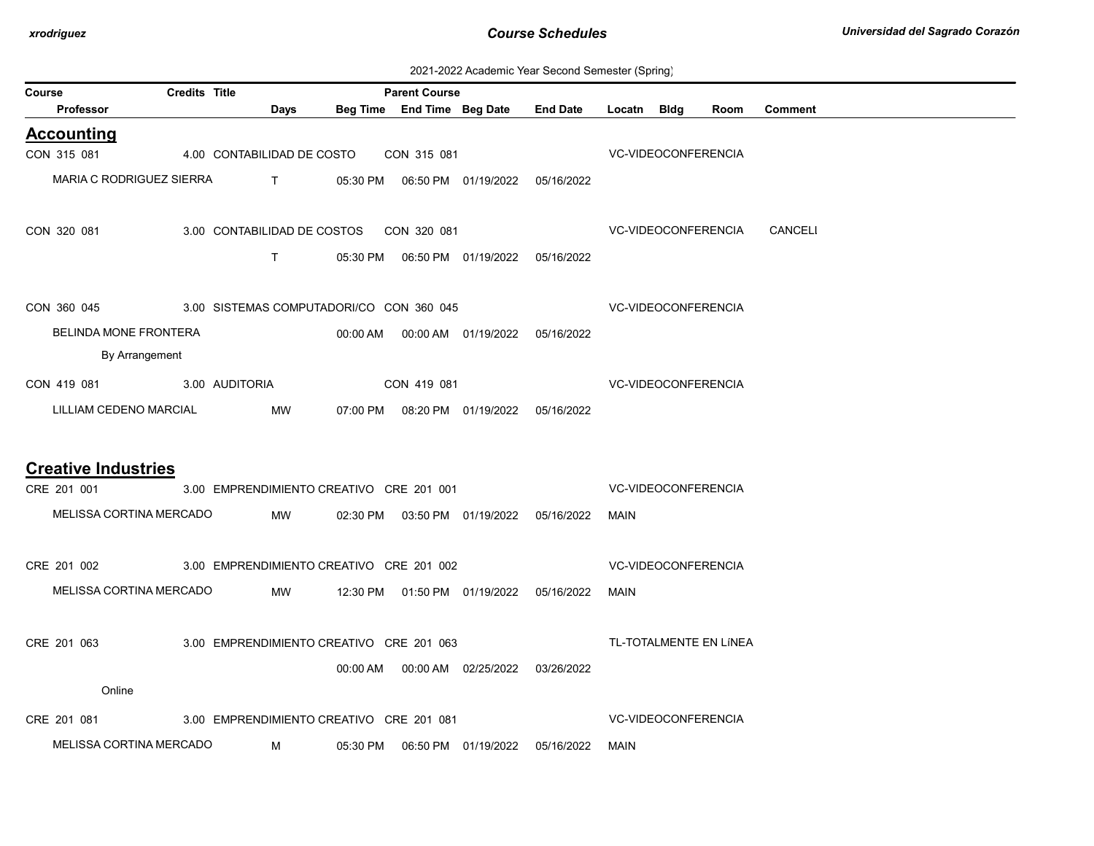| 2021-2022 Academic Year Second Semester (Spring) |  |  |  |  |  |
|--------------------------------------------------|--|--|--|--|--|
|--------------------------------------------------|--|--|--|--|--|

| Course | <b>Credits Title</b><br><b>Parent Course</b>         |  |                                          |          |             |                                            |                                            |                     |                            |                        |                |  |
|--------|------------------------------------------------------|--|------------------------------------------|----------|-------------|--------------------------------------------|--------------------------------------------|---------------------|----------------------------|------------------------|----------------|--|
|        | Professor                                            |  | Days                                     |          |             | Beg Time End Time Beg Date End Date        |                                            | Locatn Bldg         |                            | Room                   | <b>Comment</b> |  |
|        | <b>Accounting</b>                                    |  |                                          |          |             |                                            |                                            |                     |                            |                        |                |  |
|        | CON 315 081                                          |  | 4.00 CONTABILIDAD DE COSTO               |          | CON 315 081 |                                            |                                            | VC-VIDEOCONFERENCIA |                            |                        |                |  |
|        | MARIA C RODRIGUEZ SIERRA                             |  | $\mathsf{T}$ and $\mathsf{T}$            |          |             |                                            | 05:30 PM  06:50 PM  01/19/2022  05/16/2022 |                     |                            |                        |                |  |
|        | CON 320 081                                          |  | 3.00 CONTABILIDAD DE COSTOS CON 320 081  |          |             |                                            |                                            |                     |                            | VC-VIDEOCONFERENCIA    | CANCELI        |  |
|        |                                                      |  | T                                        |          |             |                                            | 05:30 PM  06:50 PM  01/19/2022  05/16/2022 |                     |                            |                        |                |  |
|        | CON 360 045 3.00 SISTEMAS COMPUTADORI/CO CON 360 045 |  |                                          |          |             |                                            |                                            | VC-VIDEOCONFERENCIA |                            |                        |                |  |
|        | BELINDA MONE FRONTERA                                |  |                                          |          |             | 00:00 AM  00:00 AM  01/19/2022  05/16/2022 |                                            |                     |                            |                        |                |  |
|        | By Arrangement                                       |  |                                          |          |             |                                            |                                            |                     |                            |                        |                |  |
|        | CON 419 081 3.00 AUDITORIA                           |  |                                          |          | CON 419 081 |                                            |                                            |                     | VC-VIDEOCONFERENCIA        |                        |                |  |
|        | LILLIAM CEDENO MARCIAL                               |  | MW                                       |          |             | 07:00 PM  08:20 PM  01/19/2022  05/16/2022 |                                            |                     |                            |                        |                |  |
|        |                                                      |  |                                          |          |             |                                            |                                            |                     |                            |                        |                |  |
|        | <b>Creative Industries</b><br>CRE 201 001            |  | 3.00 EMPRENDIMIENTO CREATIVO CRE 201 001 |          |             |                                            |                                            |                     | VC-VIDEOCONFERENCIA        |                        |                |  |
|        | MELISSA CORTINA MERCADO                              |  |                                          |          |             |                                            |                                            |                     |                            |                        |                |  |
|        |                                                      |  | MW                                       |          |             |                                            | 02:30 PM  03:50 PM  01/19/2022  05/16/2022 | MAIN                |                            |                        |                |  |
|        | CRE 201 002                                          |  | 3.00 EMPRENDIMIENTO CREATIVO CRE 201 002 |          |             |                                            |                                            |                     | <b>VC-VIDEOCONFERENCIA</b> |                        |                |  |
|        | MELISSA CORTINA MERCADO                              |  | <b>MW</b>                                |          |             |                                            | 12:30 PM  01:50 PM  01/19/2022  05/16/2022 | MAIN                |                            |                        |                |  |
|        | CRE 201 063                                          |  | 3.00 EMPRENDIMIENTO CREATIVO CRE 201 063 |          |             |                                            |                                            |                     |                            | TL-TOTALMENTE EN LÍNEA |                |  |
|        |                                                      |  |                                          |          |             | 00:00 AM  00:00 AM  02/25/2022  03/26/2022 |                                            |                     |                            |                        |                |  |
|        | Online                                               |  |                                          |          |             |                                            |                                            |                     |                            |                        |                |  |
|        | CRE 201 081                                          |  | 3.00 EMPRENDIMIENTO CREATIVO CRE 201 081 |          |             |                                            |                                            |                     | <b>VC-VIDEOCONFERENCIA</b> |                        |                |  |
|        | MELISSA CORTINA MERCADO                              |  | M                                        | 05:30 PM |             | 06:50 PM 01/19/2022                        | 05/16/2022                                 | MAIN                |                            |                        |                |  |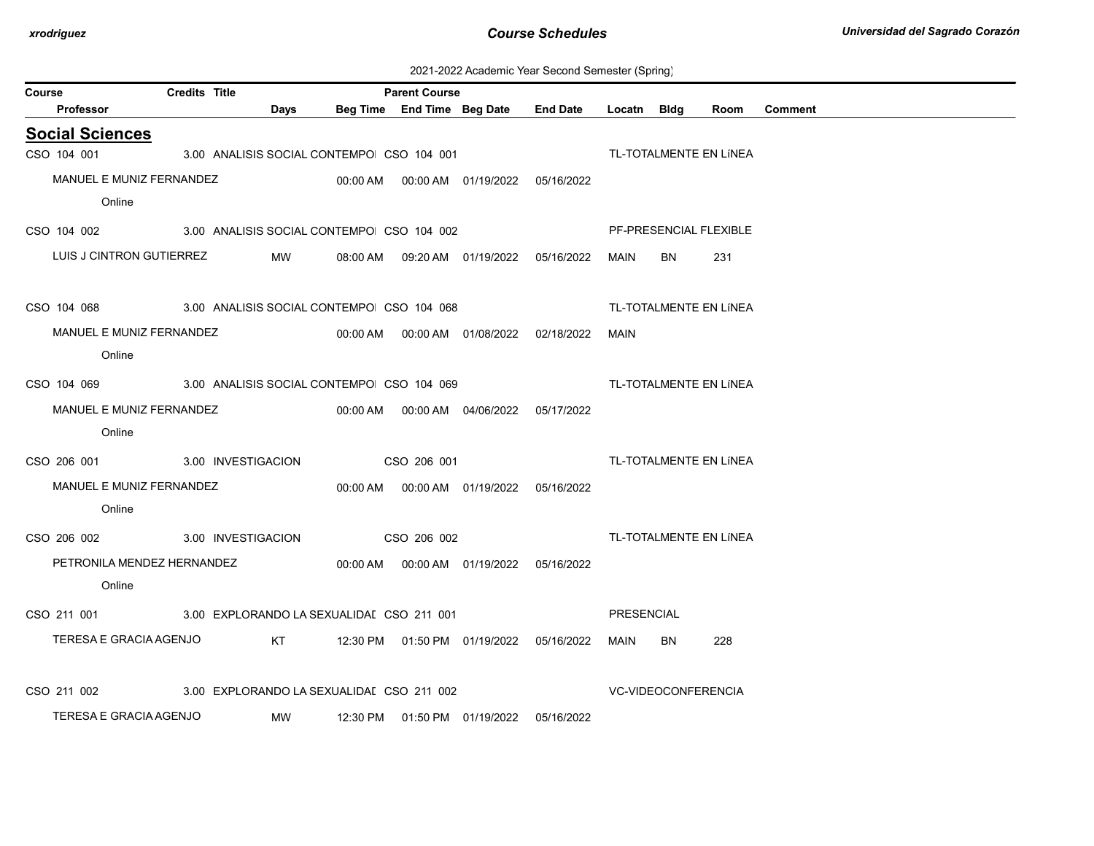| 2021-2022 Academic Year Second Semester (Spring) |  |  |  |  |  |
|--------------------------------------------------|--|--|--|--|--|
|--------------------------------------------------|--|--|--|--|--|

| Course                 | <b>Credits Title</b>                                               |                                           |             | <b>Parent Course</b> |                                            |                                                  |            |                            |                        |                |
|------------------------|--------------------------------------------------------------------|-------------------------------------------|-------------|----------------------|--------------------------------------------|--------------------------------------------------|------------|----------------------------|------------------------|----------------|
| Professor              |                                                                    | Days                                      |             |                      |                                            | Beg Time End Time Beg Date End Date Locatn Bldg  |            |                            | Room                   | <b>Comment</b> |
| <b>Social Sciences</b> |                                                                    |                                           |             |                      |                                            |                                                  |            |                            |                        |                |
| CSO 104 001            |                                                                    | 3.00 ANALISIS SOCIAL CONTEMPO CSO 104 001 |             |                      |                                            |                                                  |            |                            | TL-TOTALMENTE EN LÍNEA |                |
|                        | MANUEL E MUNIZ FERNANDEZ                                           |                                           |             |                      | 00:00 AM  00:00 AM  01/19/2022  05/16/2022 |                                                  |            |                            |                        |                |
| Online                 |                                                                    |                                           |             |                      |                                            |                                                  |            |                            |                        |                |
| CSO 104 002            | 3.00 ANALISIS SOCIAL CONTEMPO CSO 104 002                          |                                           |             |                      |                                            |                                                  |            |                            | PF-PRESENCIAL FLEXIBLE |                |
|                        | LUIS J CINTRON GUTIERREZ                                           | <b>MW</b>                                 |             |                      |                                            | 08:00 AM  09:20 AM  01/19/2022  05/16/2022       | MAIN       | BN.                        | 231                    |                |
|                        | CSO 104 068 3.00 ANALISIS SOCIAL CONTEMPO CSO 104 068              |                                           |             |                      |                                            |                                                  |            |                            | TL-TOTALMENTE EN LÍNEA |                |
|                        | MANUEL E MUNIZ FERNANDEZ                                           |                                           |             |                      |                                            | 00:00 AM  00:00 AM  01/08/2022  02/18/2022  MAIN |            |                            |                        |                |
| Online                 |                                                                    |                                           |             |                      |                                            |                                                  |            |                            |                        |                |
|                        | CSO 104 069 3.00 ANALISIS SOCIAL CONTEMPO CSO 104 069              |                                           |             |                      |                                            |                                                  |            |                            | TL-TOTALMENTE EN LÍNEA |                |
|                        | MANUEL E MUNIZ FERNANDEZ                                           |                                           |             |                      |                                            |                                                  |            |                            |                        |                |
| Online                 |                                                                    |                                           |             |                      |                                            |                                                  |            |                            |                        |                |
| CSO 206 001            | 3.00 INVESTIGACION                                                 |                                           | CSO 206 001 |                      |                                            |                                                  |            |                            | TL-TOTALMENTE EN LÍNEA |                |
|                        | MANUEL E MUNIZ FERNANDEZ                                           |                                           |             |                      | 00:00 AM  00:00 AM  01/19/2022  05/16/2022 |                                                  |            |                            |                        |                |
| Online                 |                                                                    |                                           |             |                      |                                            |                                                  |            |                            |                        |                |
|                        | CSO 206 002 3.00 INVESTIGACION                                     |                                           | CSO 206 002 |                      |                                            |                                                  |            |                            | TL-TOTALMENTE EN LÍNEA |                |
|                        | PETRONILA MENDEZ HERNANDEZ 00:00 AM 00:00 AM 01/19/2022 05/16/2022 |                                           |             |                      |                                            |                                                  |            |                            |                        |                |
| Online                 |                                                                    |                                           |             |                      |                                            |                                                  |            |                            |                        |                |
| CSO 211 001            | 3.00 EXPLORANDO LA SEXUALIDAI CSO 211 001                          |                                           |             |                      |                                            |                                                  | PRESENCIAL |                            |                        |                |
| TERESA E GRACIA AGENJO |                                                                    |                                           |             |                      |                                            |                                                  | MAIN       | BN.                        | 228                    |                |
| CSO 211 002            | 3.00 EXPLORANDO LA SEXUALIDAI CSO 211 002                          |                                           |             |                      |                                            |                                                  |            | <b>VC-VIDEOCONFERENCIA</b> |                        |                |
| TERESA E GRACIA AGENJO |                                                                    | MW                                        |             |                      | 12:30 PM   01:50 PM   01/19/2022           | 05/16/2022                                       |            |                            |                        |                |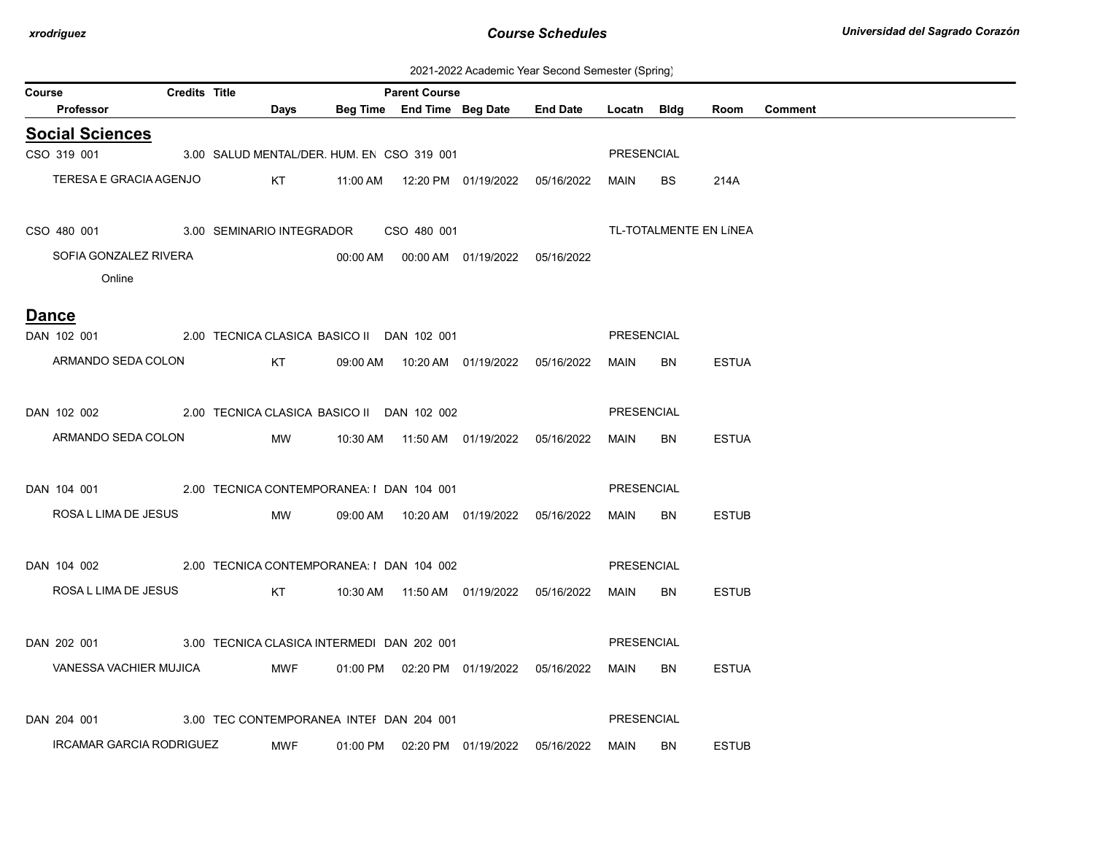2021-2022 Academic Year Second Semester (Spring)

|        |                                                                        |                      |             |                                               |                      |                            |                                            | $\sqrt{1}$ | ັບ        |              |         |
|--------|------------------------------------------------------------------------|----------------------|-------------|-----------------------------------------------|----------------------|----------------------------|--------------------------------------------|------------|-----------|--------------|---------|
| Course | Professor                                                              | <b>Credits Title</b> | <b>Days</b> |                                               | <b>Parent Course</b> | Beg Time End Time Beg Date | End Date Locatn Bldg                       |            |           | Room         | Comment |
|        | <b>Social Sciences</b>                                                 |                      |             |                                               |                      |                            |                                            |            |           |              |         |
|        | CSO 319 001 3.00 SALUD MENTAL/DER. HUM. EN CSO 319 001                 |                      |             |                                               |                      |                            |                                            | PRESENCIAL |           |              |         |
|        | TERESA E GRACIA AGENJO                                                 |                      |             |                                               |                      |                            |                                            | MAIN       | BS        | 214A         |         |
|        |                                                                        |                      |             |                                               |                      |                            |                                            |            |           |              |         |
|        | CSO 480 001 3.00 SEMINARIO INTEGRADOR CSO 480 001                      |                      |             |                                               |                      |                            | TL-TOTALMENTE EN LÍNEA                     |            |           |              |         |
|        | SOFIA GONZALEZ RIVERA                                                  |                      |             |                                               |                      |                            | 00:00 AM  00:00 AM  01/19/2022  05/16/2022 |            |           |              |         |
|        | Online                                                                 |                      |             |                                               |                      |                            |                                            |            |           |              |         |
|        |                                                                        |                      |             |                                               |                      |                            |                                            |            |           |              |         |
|        | <b>Dance</b><br>DAN 102 001 2.00 TECNICA CLASICA BASICO II DAN 102 001 |                      |             |                                               |                      |                            |                                            | PRESENCIAL |           |              |         |
|        | ARMANDO SEDA COLON                                                     |                      |             | KT 09:00 AM  10:20 AM  01/19/2022  05/16/2022 |                      |                            |                                            | MAIN       | BN        | <b>ESTUA</b> |         |
|        |                                                                        |                      |             |                                               |                      |                            |                                            |            |           |              |         |
|        | DAN 102 002 2.00 TECNICA CLASICA BASICO II DAN 102 002                 |                      |             |                                               |                      |                            |                                            | PRESENCIAL |           |              |         |
|        |                                                                        |                      |             |                                               |                      |                            |                                            |            |           |              |         |
|        | ARMANDO SEDA COLON MW 10:30 AM 11:50 AM 01/19/2022 05/16/2022          |                      |             |                                               |                      |                            |                                            | MAIN       | BN        | <b>ESTUA</b> |         |
|        |                                                                        |                      |             |                                               |                      |                            |                                            |            |           |              |         |
|        | DAN 104 001 2.00 TECNICA CONTEMPORANEA: I DAN 104 001                  |                      |             |                                               |                      |                            |                                            | PRESENCIAL |           |              |         |
|        | ROSA L LIMA DE JESUS MW                                                |                      |             |                                               |                      |                            |                                            | MAIN       | BN        | <b>ESTUB</b> |         |
|        |                                                                        |                      |             |                                               |                      |                            |                                            |            |           |              |         |
|        | DAN 104 002 2.00 TECNICA CONTEMPORANEA: I DAN 104 002                  |                      |             |                                               |                      |                            |                                            | PRESENCIAL |           |              |         |
|        | ROSA L LIMA DE JESUS                                                   |                      |             | KT 10:30 AM 11:50 AM 01/19/2022 05/16/2022    |                      |                            |                                            | MAIN       | <b>BN</b> | <b>ESTUB</b> |         |
|        |                                                                        |                      |             |                                               |                      |                            |                                            |            |           |              |         |
|        | DAN 202 001 3.00 TECNICA CLASICA INTERMEDI DAN 202 001                 |                      |             |                                               |                      |                            |                                            | PRESENCIAL |           |              |         |
|        | VANESSA VACHIER MUJICA                                                 |                      | <b>MWF</b>  |                                               |                      |                            | 01:00 PM  02:20 PM  01/19/2022  05/16/2022 | MAIN       | BN        | <b>ESTUA</b> |         |
|        |                                                                        |                      |             |                                               |                      |                            |                                            |            |           |              |         |
|        | DAN 204 001                                                            |                      |             | 3.00 TEC CONTEMPORANEA INTEI DAN 204 001      |                      |                            |                                            | PRESENCIAL |           |              |         |
|        | <b>IRCAMAR GARCIA RODRIGUEZ</b>                                        |                      | <b>MWF</b>  |                                               |                      |                            | 01:00 PM  02:20 PM  01/19/2022  05/16/2022 | MAIN       | BN        | <b>ESTUB</b> |         |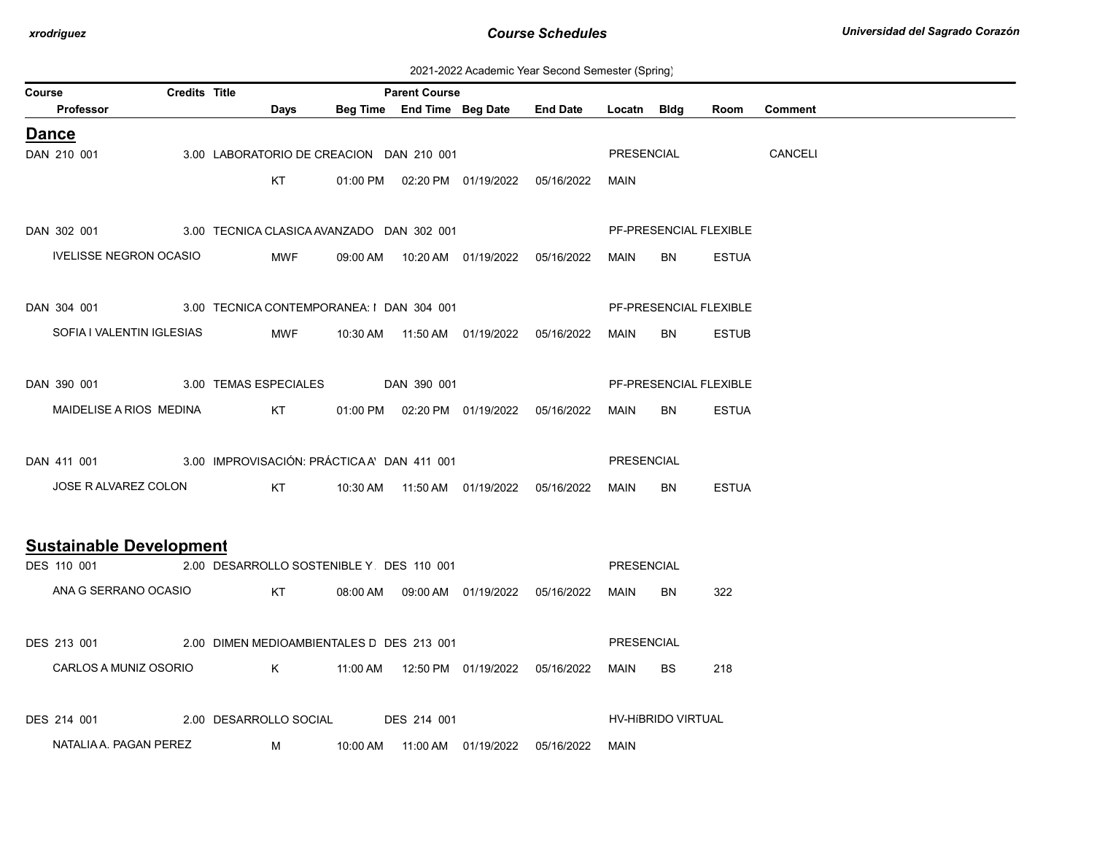| 2021-2022 Academic Year Second Semester (Spring) |  |  |  |
|--------------------------------------------------|--|--|--|
|--------------------------------------------------|--|--|--|

| Course                                                 | Credits Title |                                          | <b>Parent Course</b> |                                            |                                            |                   |                           |                        |                |  |
|--------------------------------------------------------|---------------|------------------------------------------|----------------------|--------------------------------------------|--------------------------------------------|-------------------|---------------------------|------------------------|----------------|--|
| Professor                                              |               | Days                                     |                      |                                            | Beg Time End Time Beg Date End Date        | Locatn Bldg       |                           | Room                   | <b>Comment</b> |  |
| <b>Dance</b>                                           |               |                                          |                      |                                            |                                            |                   |                           |                        |                |  |
| DAN 210 001                                            |               | 3.00 LABORATORIO DE CREACION DAN 210 001 |                      |                                            |                                            | PRESENCIAL        |                           |                        | CANCELI        |  |
|                                                        |               | KT                                       |                      | 01:00 PM  02:20 PM  01/19/2022  05/16/2022 |                                            | MAIN              |                           |                        |                |  |
|                                                        |               |                                          |                      |                                            |                                            |                   |                           |                        |                |  |
| DAN 302 001 3.00 TECNICA CLASICA AVANZADO DAN 302 001  |               |                                          |                      |                                            |                                            |                   |                           | PF-PRESENCIAL FLEXIBLE |                |  |
| <b>IVELISSE NEGRON OCASIO</b>                          |               | <b>MWF</b>                               |                      |                                            |                                            | MAIN              | BN                        | <b>ESTUA</b>           |                |  |
|                                                        |               |                                          |                      |                                            |                                            |                   |                           |                        |                |  |
| DAN 304 001 3.00 TECNICA CONTEMPORANEA: I DAN 304 001  |               |                                          |                      |                                            |                                            |                   |                           | PF-PRESENCIAL FLEXIBLE |                |  |
| SOFIA I VALENTIN IGLESIAS                              |               | <b>MWF</b>                               |                      | 10:30 AM  11:50 AM  01/19/2022  05/16/2022 |                                            | MAIN              | <b>BN</b>                 | <b>ESTUB</b>           |                |  |
|                                                        |               |                                          |                      |                                            |                                            |                   |                           |                        |                |  |
| DAN 390 001 3.00 TEMAS ESPECIALES                      |               |                                          | DAN 390 001          |                                            |                                            |                   |                           | PF-PRESENCIAL FLEXIBLE |                |  |
| MAIDELISE A RIOS MEDINA                                |               | KT                                       |                      |                                            | 01:00 PM  02:20 PM  01/19/2022  05/16/2022 | MAIN              | BN                        | <b>ESTUA</b>           |                |  |
|                                                        |               |                                          |                      |                                            |                                            |                   |                           |                        |                |  |
| DAN 411 001 3.00 IMPROVISACIÓN: PRÁCTICAA' DAN 411 001 |               |                                          |                      |                                            |                                            | PRESENCIAL        |                           |                        |                |  |
| JOSE R ALVAREZ COLON                                   |               |                                          |                      |                                            |                                            | MAIN              | <b>BN</b>                 | <b>ESTUA</b>           |                |  |
|                                                        |               |                                          |                      |                                            |                                            |                   |                           |                        |                |  |
| <b>Sustainable Development</b>                         |               |                                          |                      |                                            |                                            |                   |                           |                        |                |  |
| DES 110 001 2.00 DESARROLLO SOSTENIBLE Y DES 110 001   |               |                                          |                      |                                            |                                            | PRESENCIAL        |                           |                        |                |  |
| ANA G SERRANO OCASIO                                   |               | KT                                       |                      |                                            |                                            | MAIN              | BN                        | 322                    |                |  |
|                                                        |               |                                          |                      |                                            |                                            |                   |                           |                        |                |  |
| DES 213 001 2.00 DIMEN MEDIOAMBIENTALES D DES 213 001  |               |                                          |                      |                                            |                                            | <b>PRESENCIAL</b> |                           |                        |                |  |
| CARLOS A MUNIZ OSORIO                                  |               |                                          |                      |                                            |                                            | <b>MAIN</b>       | <b>BS</b>                 | 218                    |                |  |
|                                                        |               |                                          |                      |                                            |                                            |                   |                           |                        |                |  |
| DES 214 001                                            |               | 2.00 DESARROLLO SOCIAL                   | DES 214 001          |                                            |                                            |                   | <b>HV-HIBRIDO VIRTUAL</b> |                        |                |  |
|                                                        |               |                                          |                      |                                            |                                            |                   |                           |                        |                |  |
| NATALIA A. PAGAN PEREZ                                 |               | M                                        |                      |                                            |                                            | MAIN              |                           |                        |                |  |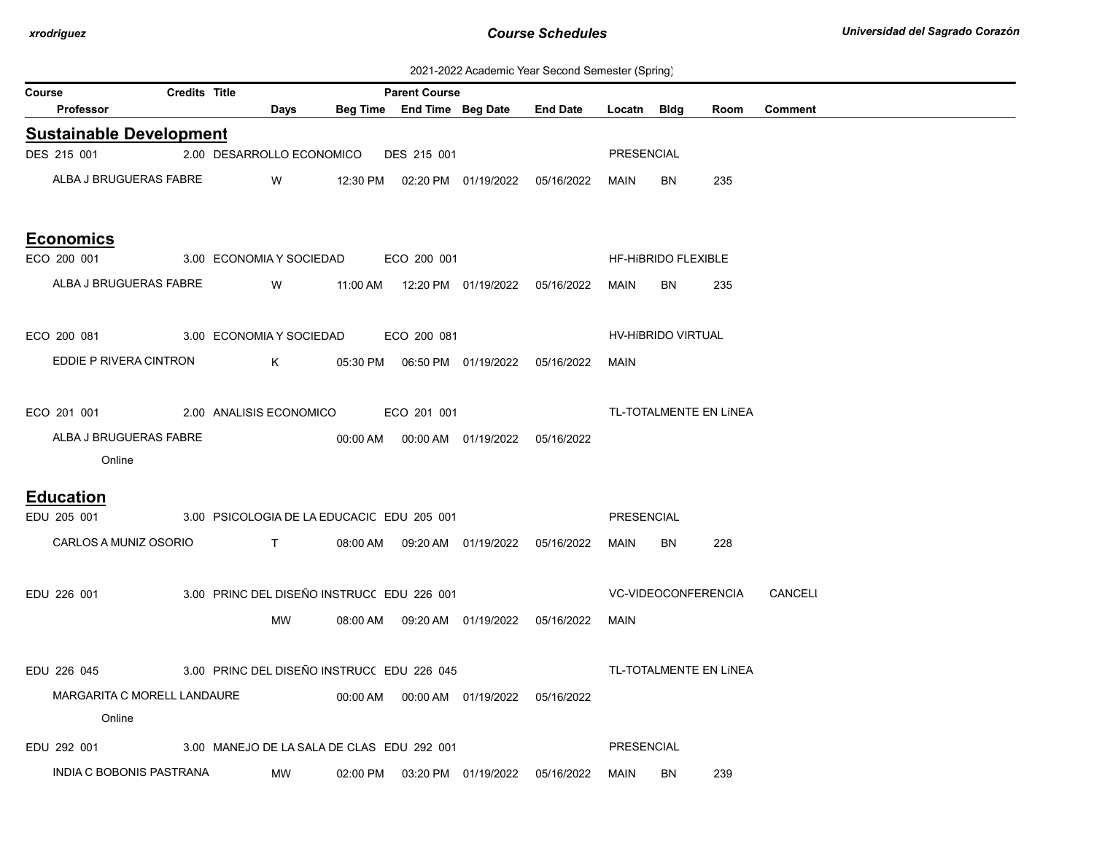2021-2022 Academic Year Second Semester (Spring)

| Course |                                | <b>Credits Title</b> |                           |                                                                                                                                                                                                                                |          | <b>Parent Course</b>                       |                                            |                 |                   | ິ                          |      |                |
|--------|--------------------------------|----------------------|---------------------------|--------------------------------------------------------------------------------------------------------------------------------------------------------------------------------------------------------------------------------|----------|--------------------------------------------|--------------------------------------------|-----------------|-------------------|----------------------------|------|----------------|
|        | Professor                      |                      |                           | Days                                                                                                                                                                                                                           |          |                                            | Beg Time End Time Beg Date                 | <b>End Date</b> | Locatn Bldg       |                            | Room | <b>Comment</b> |
|        | <b>Sustainable Development</b> |                      |                           |                                                                                                                                                                                                                                |          |                                            |                                            |                 |                   |                            |      |                |
|        | DES 215 001                    |                      | 2.00 DESARROLLO ECONOMICO |                                                                                                                                                                                                                                |          | DES 215 001                                |                                            |                 | PRESENCIAL        |                            |      |                |
|        | ALBA J BRUGUERAS FABRE         |                      |                           | W                                                                                                                                                                                                                              | 12:30 PM |                                            | 02:20 PM 01/19/2022                        | 05/16/2022      | <b>MAIN</b>       | <b>BN</b>                  | 235  |                |
|        | <b>Economics</b>               |                      |                           |                                                                                                                                                                                                                                |          |                                            |                                            |                 |                   |                            |      |                |
|        | ECO 200 001                    |                      | 3.00 ECONOMIA Y SOCIEDAD  |                                                                                                                                                                                                                                |          | ECO 200 001                                |                                            |                 |                   | HF-HIBRIDO FLEXIBLE        |      |                |
|        | ALBA J BRUGUERAS FABRE         |                      |                           | W                                                                                                                                                                                                                              |          |                                            | 11:00 AM  12:20 PM  01/19/2022  05/16/2022 |                 | MAIN              | BN                         | 235  |                |
|        | ECO 200 081                    |                      | 3.00 ECONOMIA Y SOCIEDAD  |                                                                                                                                                                                                                                |          | ECO 200 081                                |                                            |                 |                   | HV-HIBRIDO VIRTUAL         |      |                |
|        | EDDIE P RIVERA CINTRON         |                      |                           | K                                                                                                                                                                                                                              |          |                                            | 05:30 PM  06:50 PM  01/19/2022  05/16/2022 |                 | <b>MAIN</b>       |                            |      |                |
|        | ECO 201 001                    |                      | 2.00 ANALISIS ECONOMICO   |                                                                                                                                                                                                                                |          | ECO 201 001                                |                                            |                 |                   | TL-TOTALMENTE EN LÍNEA     |      |                |
|        | ALBA J BRUGUERAS FABRE         |                      |                           |                                                                                                                                                                                                                                |          |                                            | 00:00 AM  00:00 AM  01/19/2022  05/16/2022 |                 |                   |                            |      |                |
|        | Online                         |                      |                           |                                                                                                                                                                                                                                |          |                                            |                                            |                 |                   |                            |      |                |
|        | <b>Education</b>               |                      |                           |                                                                                                                                                                                                                                |          |                                            |                                            |                 |                   |                            |      |                |
|        | EDU 205 001                    |                      |                           |                                                                                                                                                                                                                                |          | 3.00 PSICOLOGIA DE LA EDUCACIC EDU 205 001 |                                            |                 | <b>PRESENCIAL</b> |                            |      |                |
|        | CARLOS A MUNIZ OSORIO          |                      |                           | and the contract of the contract of the contract of the contract of the contract of the contract of the contract of the contract of the contract of the contract of the contract of the contract of the contract of the contra |          |                                            | 08:00 AM  09:20 AM  01/19/2022  05/16/2022 |                 | MAIN              | BN                         | 228  |                |
|        | EDU 226 001                    |                      |                           |                                                                                                                                                                                                                                |          | 3.00 PRINC DEL DISEÑO INSTRUC( EDU 226 001 |                                            |                 |                   | <b>VC-VIDEOCONFERENCIA</b> |      | CANCELI        |
|        |                                |                      |                           | MW                                                                                                                                                                                                                             |          |                                            | 08:00 AM  09:20 AM  01/19/2022             | 05/16/2022      | MAIN              |                            |      |                |
|        | EDU 226 045                    |                      |                           |                                                                                                                                                                                                                                |          | 3.00 PRINC DEL DISEÑO INSTRUC(EDU 226 045  |                                            |                 |                   | TL-TOTALMENTE EN LÍNEA     |      |                |
|        | MARGARITA C MORELL LANDAURE    |                      |                           |                                                                                                                                                                                                                                |          |                                            | 00:00 AM  00:00 AM  01/19/2022  05/16/2022 |                 |                   |                            |      |                |
|        | Online                         |                      |                           |                                                                                                                                                                                                                                |          |                                            |                                            |                 |                   |                            |      |                |
|        | EDU 292 001                    |                      |                           |                                                                                                                                                                                                                                |          | 3.00 MANEJO DE LA SALA DE CLAS EDU 292 001 |                                            |                 | PRESENCIAL        |                            |      |                |
|        | INDIA C BOBONIS PASTRANA       |                      |                           | MW                                                                                                                                                                                                                             | 02:00 PM |                                            | 03:20 PM 01/19/2022                        | 05/16/2022      | MAIN              | BN                         | 239  |                |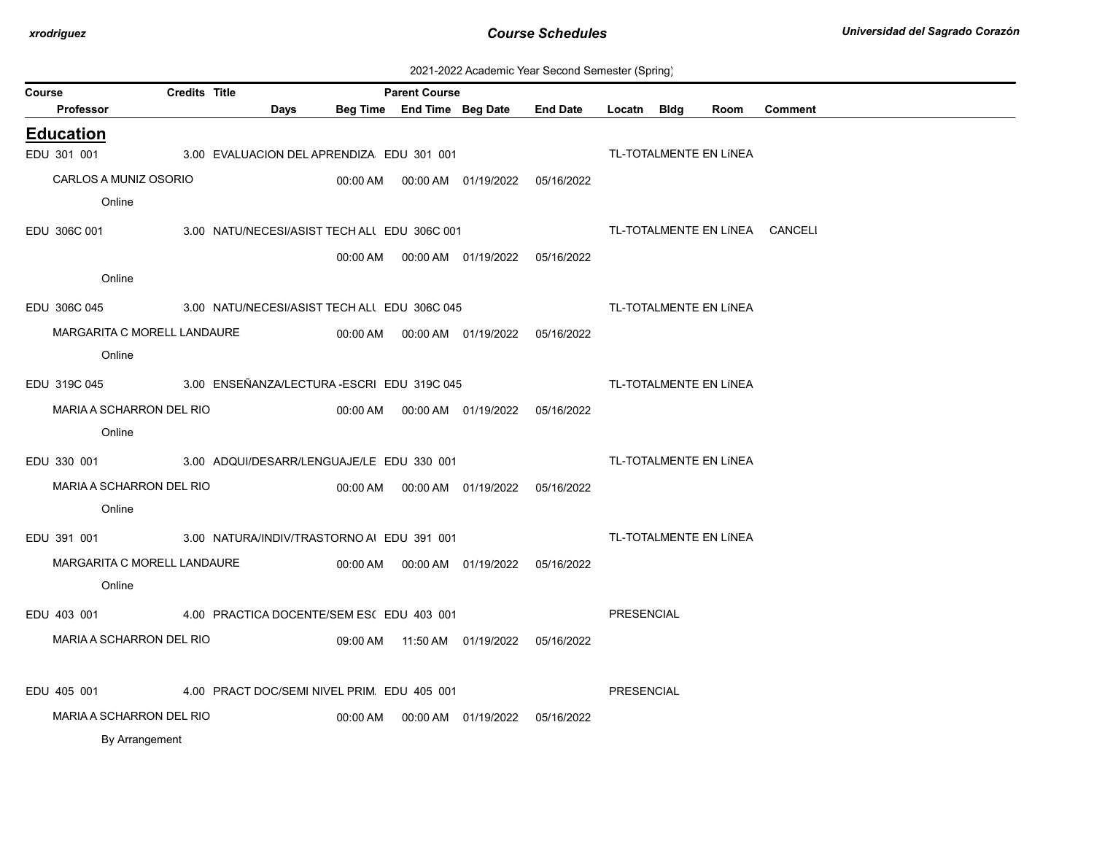| 2021-2022 Academic Year Second Semester (Spring) |  |  |  |
|--------------------------------------------------|--|--|--|
|--------------------------------------------------|--|--|--|

| Course |                                                            | <b>Credits Title</b> |      |                                              | <b>Parent Course</b> |                                            |            |             |                                |                |  |
|--------|------------------------------------------------------------|----------------------|------|----------------------------------------------|----------------------|--------------------------------------------|------------|-------------|--------------------------------|----------------|--|
|        | <b>Professor</b>                                           |                      | Days |                                              |                      | Beg Time End Time Beg Date End Date        |            | Locatn Bldg | Room                           | <b>Comment</b> |  |
|        | <b>Education</b>                                           |                      |      |                                              |                      |                                            |            |             |                                |                |  |
|        | EDU 301 001                                                |                      |      | 3.00 EVALUACION DEL APRENDIZA EDU 301 001    |                      |                                            |            |             | TL-TOTALMENTE EN LÍNEA         |                |  |
|        | CARLOS A MUNIZ OSORIO                                      |                      |      |                                              |                      | 00:00 AM  00:00 AM  01/19/2022  05/16/2022 |            |             |                                |                |  |
|        | Online                                                     |                      |      |                                              |                      |                                            |            |             |                                |                |  |
|        | EDU 306C 001                                               |                      |      | 3.00 NATU/NECESI/ASIST TECH ALL EDU 306C 001 |                      |                                            |            |             | TL-TOTALMENTE EN LÍNEA CANCELI |                |  |
|        |                                                            |                      |      |                                              |                      | 00:00 AM  00:00 AM  01/19/2022  05/16/2022 |            |             |                                |                |  |
|        | Online                                                     |                      |      |                                              |                      |                                            |            |             |                                |                |  |
|        | EDU 306C 045                                               |                      |      | 3.00 NATU/NECESI/ASIST TECH ALL EDU 306C 045 |                      |                                            |            |             | TL-TOTALMENTE EN LÍNEA         |                |  |
|        | MARGARITA C MORELL LANDAURE                                |                      |      |                                              |                      |                                            |            |             |                                |                |  |
|        | Online                                                     |                      |      |                                              |                      |                                            |            |             |                                |                |  |
|        | EDU 319C 045                                               |                      |      | 3.00 ENSEÑANZA/LECTURA-ESCRI EDU 319C 045    |                      |                                            |            |             | TL-TOTALMENTE EN LÍNEA         |                |  |
|        | MARIA A SCHARRON DEL RIO                                   |                      |      |                                              |                      |                                            |            |             |                                |                |  |
|        | Online                                                     |                      |      |                                              |                      |                                            |            |             |                                |                |  |
|        | EDU 330 001 3.00 ADQUI/DESARR/LENGUAJE/LE EDU 330 001      |                      |      |                                              |                      |                                            |            |             | TL-TOTALMENTE EN LÍNEA         |                |  |
|        | MARIA A SCHARRON DEL RIO                                   |                      |      |                                              |                      |                                            |            |             |                                |                |  |
|        | Online                                                     |                      |      |                                              |                      |                                            |            |             |                                |                |  |
|        | EDU 391 001 300 3.00 NATURA/INDIV/TRASTORNO AI EDU 391 001 |                      |      |                                              |                      |                                            |            |             | TL-TOTALMENTE EN LÍNEA         |                |  |
|        | MARGARITA C MORELL LANDAURE                                |                      |      |                                              |                      |                                            | 05/16/2022 |             |                                |                |  |
|        | Online                                                     |                      |      |                                              |                      |                                            |            |             |                                |                |  |
|        | EDU 403 001                                                |                      |      | 4.00 PRACTICA DOCENTE/SEM ES(EDU 403 001     |                      |                                            |            | PRESENCIAL  |                                |                |  |
|        | MARIA A SCHARRON DEL RIO                                   |                      |      |                                              |                      | 09:00 AM  11:50 AM  01/19/2022  05/16/2022 |            |             |                                |                |  |
|        | EDU 405 001                                                |                      |      | 4.00 PRACT DOC/SEMI NIVEL PRIM EDU 405 001   |                      |                                            |            | PRESENCIAL  |                                |                |  |
|        | MARIA A SCHARRON DEL RIO                                   |                      |      |                                              |                      |                                            |            |             |                                |                |  |
|        | By Arrangement                                             |                      |      |                                              |                      |                                            |            |             |                                |                |  |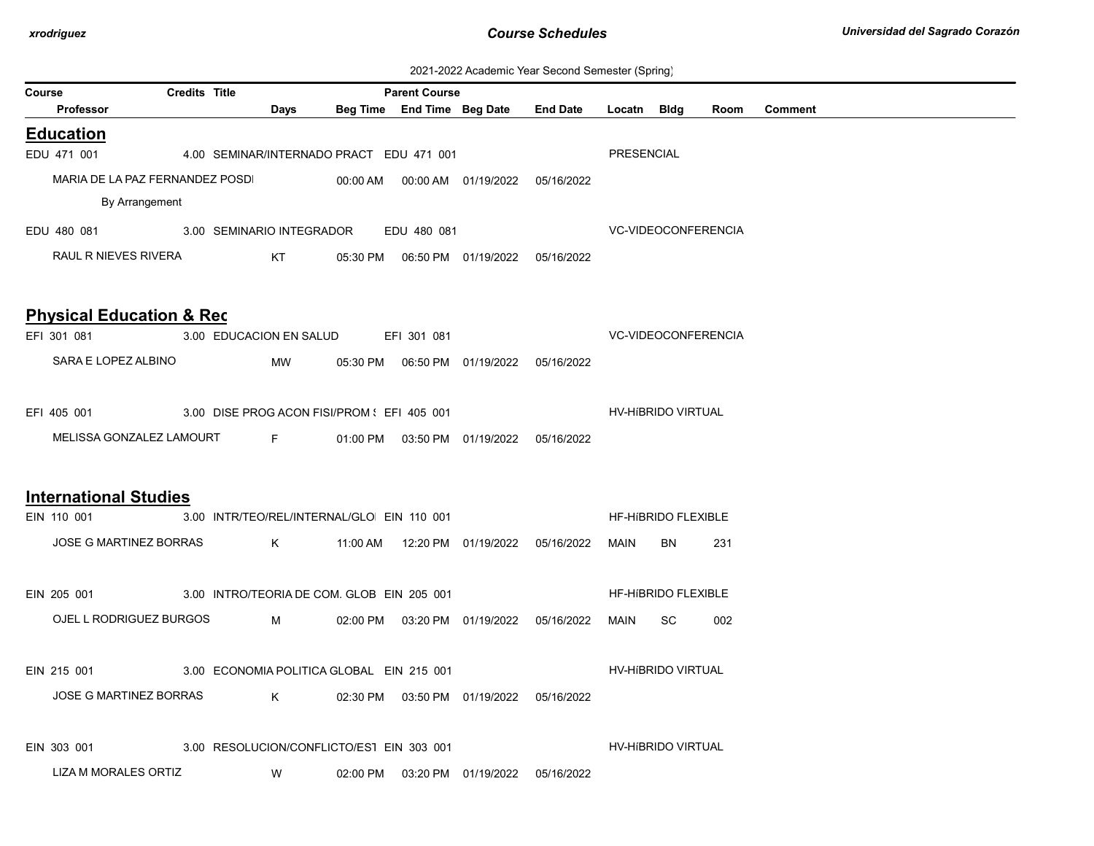| 2021-2022 Academic Year Second Semester (Spring) |  |  |  |
|--------------------------------------------------|--|--|--|
|--------------------------------------------------|--|--|--|

| <b>Credits Title</b><br>Course<br><b>Parent Course</b> |                                                         |  |  |                                                                                                                |                                            |             |                                            |                                                 |            |                           |      |                |  |  |  |
|--------------------------------------------------------|---------------------------------------------------------|--|--|----------------------------------------------------------------------------------------------------------------|--------------------------------------------|-------------|--------------------------------------------|-------------------------------------------------|------------|---------------------------|------|----------------|--|--|--|
|                                                        | Professor                                               |  |  | Days                                                                                                           |                                            |             |                                            | Beg Time End Time Beg Date End Date Locatn Bldg |            |                           | Room | <b>Comment</b> |  |  |  |
|                                                        | <b>Education</b>                                        |  |  |                                                                                                                |                                            |             |                                            |                                                 |            |                           |      |                |  |  |  |
|                                                        | EDU 471 001                                             |  |  |                                                                                                                | 4.00 SEMINAR/INTERNADO PRACT EDU 471 001   |             |                                            |                                                 | PRESENCIAL |                           |      |                |  |  |  |
|                                                        | MARIA DE LA PAZ FERNANDEZ POSDI                         |  |  |                                                                                                                |                                            |             |                                            |                                                 |            |                           |      |                |  |  |  |
|                                                        | By Arrangement                                          |  |  |                                                                                                                |                                            |             |                                            |                                                 |            |                           |      |                |  |  |  |
|                                                        | EDU 480 081 3.00 SEMINARIO INTEGRADOR                   |  |  |                                                                                                                |                                            | EDU 480 081 |                                            |                                                 |            | VC-VIDEOCONFERENCIA       |      |                |  |  |  |
|                                                        | RAUL R NIEVES RIVERA                                    |  |  | KT to the set of the set of the set of the set of the set of the set of the set of the set of the set of the s |                                            |             |                                            |                                                 |            |                           |      |                |  |  |  |
|                                                        |                                                         |  |  |                                                                                                                |                                            |             |                                            |                                                 |            |                           |      |                |  |  |  |
|                                                        |                                                         |  |  |                                                                                                                |                                            |             |                                            |                                                 |            |                           |      |                |  |  |  |
|                                                        | <b>Physical Education &amp; Rec</b>                     |  |  |                                                                                                                |                                            |             |                                            |                                                 |            |                           |      |                |  |  |  |
|                                                        | EFI 301 081                                             |  |  |                                                                                                                | 3.00 EDUCACION EN SALUD EFI 301 081        |             |                                            | <b>VC-VIDEOCONFERENCIA</b>                      |            |                           |      |                |  |  |  |
|                                                        | SARA E LOPEZ ALBINO                                     |  |  | MW                                                                                                             |                                            |             | 05:30 PM  06:50 PM  01/19/2022  05/16/2022 |                                                 |            |                           |      |                |  |  |  |
|                                                        |                                                         |  |  |                                                                                                                |                                            |             |                                            |                                                 |            |                           |      |                |  |  |  |
|                                                        | EFI 405 001 3.00 DISE PROG ACON FISI/PROM : EFI 405 001 |  |  |                                                                                                                |                                            |             |                                            |                                                 |            | <b>HV-HIBRIDO VIRTUAL</b> |      |                |  |  |  |
|                                                        | MELISSA GONZALEZ LAMOURT F                              |  |  |                                                                                                                |                                            |             | 01:00 PM  03:50 PM  01/19/2022  05/16/2022 |                                                 |            |                           |      |                |  |  |  |
|                                                        |                                                         |  |  |                                                                                                                |                                            |             |                                            |                                                 |            |                           |      |                |  |  |  |
|                                                        |                                                         |  |  |                                                                                                                |                                            |             |                                            |                                                 |            |                           |      |                |  |  |  |
|                                                        | <b>International Studies</b>                            |  |  |                                                                                                                |                                            |             |                                            |                                                 |            |                           |      |                |  |  |  |
|                                                        | EIN 110 001                                             |  |  |                                                                                                                | 3.00 INTR/TEO/REL/INTERNAL/GLO EIN 110 001 |             |                                            |                                                 |            | HF-HIBRIDO FLEXIBLE       |      |                |  |  |  |
|                                                        | JOSE G MARTINEZ BORRAS                                  |  |  |                                                                                                                |                                            |             |                                            |                                                 | MAIN       | BN                        | 231  |                |  |  |  |
|                                                        |                                                         |  |  |                                                                                                                |                                            |             |                                            |                                                 |            |                           |      |                |  |  |  |
|                                                        | EIN 205 001 3.00 INTRO/TEORIA DE COM. GLOB EIN 205 001  |  |  |                                                                                                                |                                            |             |                                            |                                                 |            | HF-HIBRIDO FLEXIBLE       |      |                |  |  |  |
|                                                        | OJEL L RODRIGUEZ BURGOS M                               |  |  |                                                                                                                |                                            |             |                                            |                                                 | MAIN       | SC.                       | 002  |                |  |  |  |
|                                                        |                                                         |  |  |                                                                                                                |                                            |             |                                            |                                                 |            |                           |      |                |  |  |  |
|                                                        | EIN 215 001                                             |  |  |                                                                                                                | 3.00 ECONOMIA POLITICA GLOBAL EIN 215 001  |             |                                            |                                                 |            | HV-HIBRIDO VIRTUAL        |      |                |  |  |  |
|                                                        | JOSE G MARTINEZ BORRAS                                  |  |  | K                                                                                                              |                                            |             | 02:30 PM  03:50 PM  01/19/2022  05/16/2022 |                                                 |            |                           |      |                |  |  |  |
|                                                        |                                                         |  |  |                                                                                                                |                                            |             |                                            |                                                 |            |                           |      |                |  |  |  |
|                                                        |                                                         |  |  |                                                                                                                |                                            |             |                                            |                                                 |            |                           |      |                |  |  |  |
|                                                        | EIN 303 001                                             |  |  |                                                                                                                | 3.00 RESOLUCION/CONFLICTO/EST EIN 303 001  |             |                                            |                                                 |            | HV-HIBRIDO VIRTUAL        |      |                |  |  |  |
|                                                        | LIZA M MORALES ORTIZ                                    |  |  | W                                                                                                              | 02:00 PM                                   |             |                                            | 05/16/2022                                      |            |                           |      |                |  |  |  |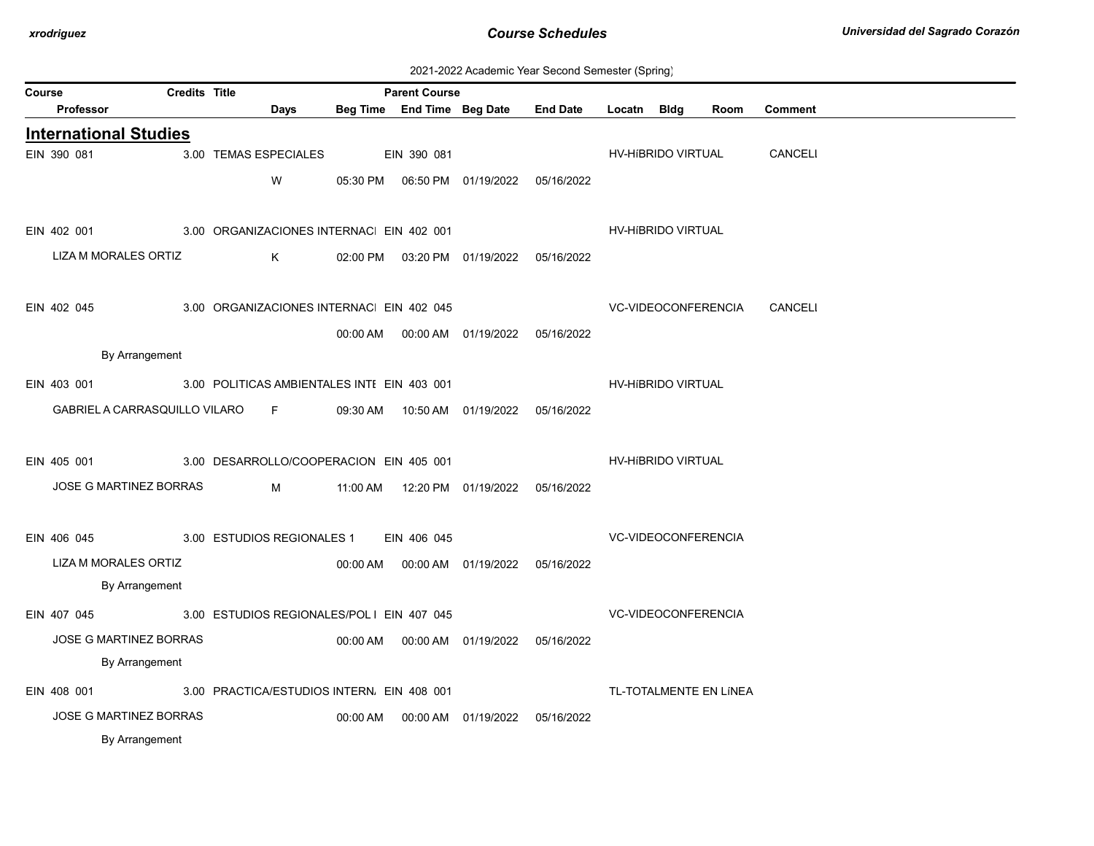| 2021-2022 Academic Year Second Semester (Spring) |  |  |  |
|--------------------------------------------------|--|--|--|
|--------------------------------------------------|--|--|--|

| Course | Professor                                   | Credits Title |                                             | Days | <b>Parent Course</b><br>Beg Time End Time Beg Date |                                            | <b>End Date</b> | Locatn Bldg         |                            | Room                   | <b>Comment</b> |  |
|--------|---------------------------------------------|---------------|---------------------------------------------|------|----------------------------------------------------|--------------------------------------------|-----------------|---------------------|----------------------------|------------------------|----------------|--|
|        |                                             |               |                                             |      |                                                    |                                            |                 |                     |                            |                        |                |  |
|        | <b>International Studies</b><br>EIN 390 081 |               | 3.00 TEMAS ESPECIALES                       |      | EIN 390 081                                        |                                            |                 |                     | HV-HIBRIDO VIRTUAL         |                        | CANCELI        |  |
|        |                                             |               |                                             |      |                                                    |                                            |                 |                     |                            |                        |                |  |
|        |                                             |               |                                             | W    |                                                    |                                            |                 |                     |                            |                        |                |  |
|        |                                             |               |                                             |      |                                                    |                                            |                 |                     |                            |                        |                |  |
|        | EIN 402 001                                 |               | 3.00 ORGANIZACIONES INTERNAC EIN 402 001    |      |                                                    |                                            |                 |                     | HV-HIBRIDO VIRTUAL         |                        |                |  |
|        | LIZA M MORALES ORTIZ                        |               |                                             | K    |                                                    | 02:00 PM  03:20 PM  01/19/2022  05/16/2022 |                 |                     |                            |                        |                |  |
|        |                                             |               |                                             |      |                                                    |                                            |                 |                     |                            |                        |                |  |
|        | EIN 402 045                                 |               | 3.00 ORGANIZACIONES INTERNAC EIN 402 045    |      |                                                    |                                            |                 |                     | VC-VIDEOCONFERENCIA        |                        | CANCELI        |  |
|        |                                             |               |                                             |      |                                                    | 00:00 AM  00:00 AM  01/19/2022  05/16/2022 |                 |                     |                            |                        |                |  |
|        | By Arrangement                              |               |                                             |      |                                                    |                                            |                 |                     |                            |                        |                |  |
|        | EIN 403 001                                 |               | 3.00 POLITICAS AMBIENTALES INTI EIN 403 001 |      |                                                    |                                            |                 |                     | HV-HIBRIDO VIRTUAL         |                        |                |  |
|        | GABRIEL A CARRASQUILLO VILARO F             |               |                                             |      |                                                    | 09:30 AM  10:50 AM  01/19/2022  05/16/2022 |                 |                     |                            |                        |                |  |
|        |                                             |               |                                             |      |                                                    |                                            |                 |                     |                            |                        |                |  |
|        | EIN 405 001                                 |               |                                             |      |                                                    |                                            |                 |                     | HV-HIBRIDO VIRTUAL         |                        |                |  |
|        |                                             |               | 3.00 DESARROLLO/COOPERACION EIN 405 001     |      |                                                    |                                            |                 |                     |                            |                        |                |  |
|        | JOSE G MARTINEZ BORRAS                      |               |                                             | M    |                                                    |                                            |                 |                     |                            |                        |                |  |
|        |                                             |               |                                             |      |                                                    |                                            |                 |                     |                            |                        |                |  |
|        | EIN 406 045                                 |               | 3.00 ESTUDIOS REGIONALES 1                  |      | EIN 406 045                                        |                                            |                 |                     | <b>VC-VIDEOCONFERENCIA</b> |                        |                |  |
|        | LIZA M MORALES ORTIZ                        |               |                                             |      |                                                    | 00:00 AM   00:00 AM   01/19/2022           | 05/16/2022      |                     |                            |                        |                |  |
|        | By Arrangement                              |               |                                             |      |                                                    |                                            |                 |                     |                            |                        |                |  |
|        | EIN 407 045                                 |               | 3.00 ESTUDIOS REGIONALES/POLI EIN 407 045   |      |                                                    |                                            |                 | VC-VIDEOCONFERENCIA |                            |                        |                |  |
|        | <b>JOSE G MARTINEZ BORRAS</b>               |               |                                             |      |                                                    |                                            | 05/16/2022      |                     |                            |                        |                |  |
|        | By Arrangement                              |               |                                             |      |                                                    |                                            |                 |                     |                            |                        |                |  |
|        | EIN 408 001                                 |               | 3.00 PRACTICA/ESTUDIOS INTERN. EIN 408 001  |      |                                                    |                                            |                 |                     |                            | TL-TOTALMENTE EN LÍNEA |                |  |
|        | <b>JOSE G MARTINEZ BORRAS</b>               |               |                                             |      |                                                    | 00:00 AM   00:00 AM   01/19/2022           | 05/16/2022      |                     |                            |                        |                |  |
|        | By Arrangement                              |               |                                             |      |                                                    |                                            |                 |                     |                            |                        |                |  |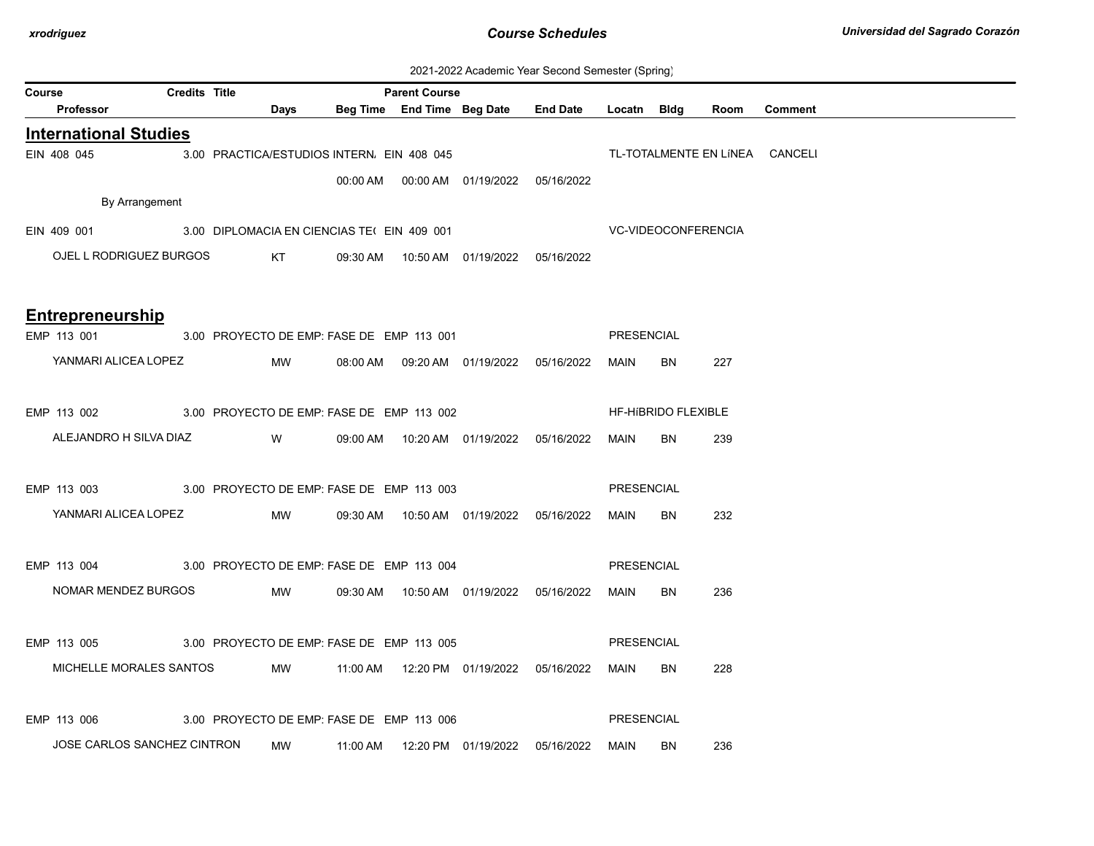| 2021-2022 Academic Year Second Semester (Spring) |  |  |  |  |  |
|--------------------------------------------------|--|--|--|--|--|
|--------------------------------------------------|--|--|--|--|--|

| Course |                                                         | <b>Credits Title</b> |                                                                                                                         |                                            | <b>Parent Course</b> |                                            |                                                 | --------- (- <b>-----</b> 0) |                            |      |                                |
|--------|---------------------------------------------------------|----------------------|-------------------------------------------------------------------------------------------------------------------------|--------------------------------------------|----------------------|--------------------------------------------|-------------------------------------------------|------------------------------|----------------------------|------|--------------------------------|
|        | Professor                                               |                      | Days                                                                                                                    |                                            |                      |                                            | Beg Time End Time Beg Date End Date Locatn Bldg |                              |                            | Room | Comment                        |
|        | <b>International Studies</b>                            |                      |                                                                                                                         |                                            |                      |                                            |                                                 |                              |                            |      |                                |
|        | EIN 408 045                                             |                      |                                                                                                                         | 3.00 PRACTICA/ESTUDIOS INTERN. EIN 408 045 |                      |                                            |                                                 |                              |                            |      | TL-TOTALMENTE EN LINEA CANCELI |
|        |                                                         |                      |                                                                                                                         |                                            |                      | 00:00 AM  00:00 AM  01/19/2022  05/16/2022 |                                                 |                              |                            |      |                                |
|        | By Arrangement                                          |                      |                                                                                                                         |                                            |                      |                                            |                                                 |                              |                            |      |                                |
|        | EIN 409 001 3.00 DIPLOMACIA EN CIENCIAS TE( EIN 409 001 |                      |                                                                                                                         |                                            |                      |                                            |                                                 |                              | VC-VIDEOCONFERENCIA        |      |                                |
|        | OJEL L RODRIGUEZ BURGOS                                 |                      | KT <sub>N</sub>                                                                                                         |                                            |                      | 09:30 AM  10:50 AM  01/19/2022  05/16/2022 |                                                 |                              |                            |      |                                |
|        |                                                         |                      |                                                                                                                         |                                            |                      |                                            |                                                 |                              |                            |      |                                |
|        |                                                         |                      |                                                                                                                         |                                            |                      |                                            |                                                 |                              |                            |      |                                |
|        | <b>Entrepreneurship</b>                                 |                      |                                                                                                                         |                                            |                      |                                            |                                                 |                              |                            |      |                                |
|        | EMP 113 001                                             |                      |                                                                                                                         | 3.00 PROYECTO DE EMP: FASE DE EMP 113 001  |                      |                                            |                                                 | PRESENCIAL                   |                            |      |                                |
|        | YANMARI ALICEA LOPEZ                                    |                      | MW                                                                                                                      |                                            |                      | 08:00 AM  09:20 AM  01/19/2022  05/16/2022 |                                                 | MAIN BN                      |                            | 227  |                                |
|        |                                                         |                      |                                                                                                                         |                                            |                      |                                            |                                                 |                              |                            |      |                                |
|        | EMP 113 002 3.00 PROYECTO DE EMP: FASE DE EMP 113 002   |                      |                                                                                                                         |                                            |                      |                                            |                                                 |                              | <b>HF-HIBRIDO FLEXIBLE</b> |      |                                |
|        | ALEJANDRO H SILVA DIAZ                                  |                      | <b>Solution</b> Service Service Service Service Service Service Service Service Service Service Service Service Service |                                            |                      |                                            |                                                 | MAIN BN                      |                            | 239  |                                |
|        |                                                         |                      |                                                                                                                         |                                            |                      |                                            |                                                 |                              |                            |      |                                |
|        | EMP 113 003 3.00 PROYECTO DE EMP: FASE DE EMP 113 003   |                      |                                                                                                                         |                                            |                      |                                            |                                                 | PRESENCIAL                   |                            |      |                                |
|        | YANMARI ALICEA LOPEZ                                    |                      | <b>MW</b>                                                                                                               |                                            |                      | 09:30 AM  10:50 AM  01/19/2022  05/16/2022 |                                                 | MAIN                         | BN                         | 232  |                                |
|        |                                                         |                      |                                                                                                                         |                                            |                      |                                            |                                                 |                              |                            |      |                                |
|        | EMP 113 004 3.00 PROYECTO DE EMP: FASE DE EMP 113 004   |                      |                                                                                                                         |                                            |                      |                                            |                                                 | PRESENCIAL                   |                            |      |                                |
|        | NOMAR MENDEZ BURGOS                                     |                      | <b>MW</b>                                                                                                               |                                            |                      | 09:30 AM  10:50 AM  01/19/2022  05/16/2022 |                                                 | MAIN BN                      |                            | 236  |                                |
|        |                                                         |                      |                                                                                                                         |                                            |                      |                                            |                                                 |                              |                            |      |                                |
|        | EMP 113 005 3.00 PROYECTO DE EMP: FASE DE EMP 113 005   |                      |                                                                                                                         |                                            |                      |                                            |                                                 | <b>PRESENCIAL</b>            |                            |      |                                |
|        | MICHELLE MORALES SANTOS                                 |                      |                                                                                                                         |                                            |                      | MW 11:00 AM 12:20 PM 01/19/2022 05/16/2022 |                                                 | MAIN                         | BN                         | 228  |                                |
|        |                                                         |                      |                                                                                                                         |                                            |                      |                                            |                                                 |                              |                            |      |                                |
|        | EMP 113 006                                             |                      |                                                                                                                         | 3.00 PROYECTO DE EMP: FASE DE EMP 113 006  |                      |                                            |                                                 | <b>PRESENCIAL</b>            |                            |      |                                |
|        | JOSE CARLOS SANCHEZ CINTRON                             |                      |                                                                                                                         |                                            |                      |                                            |                                                 |                              |                            |      |                                |
|        |                                                         |                      | MW                                                                                                                      |                                            |                      | 11:00 AM  12:20 PM  01/19/2022  05/16/2022 |                                                 | MAIN                         | BN                         | 236  |                                |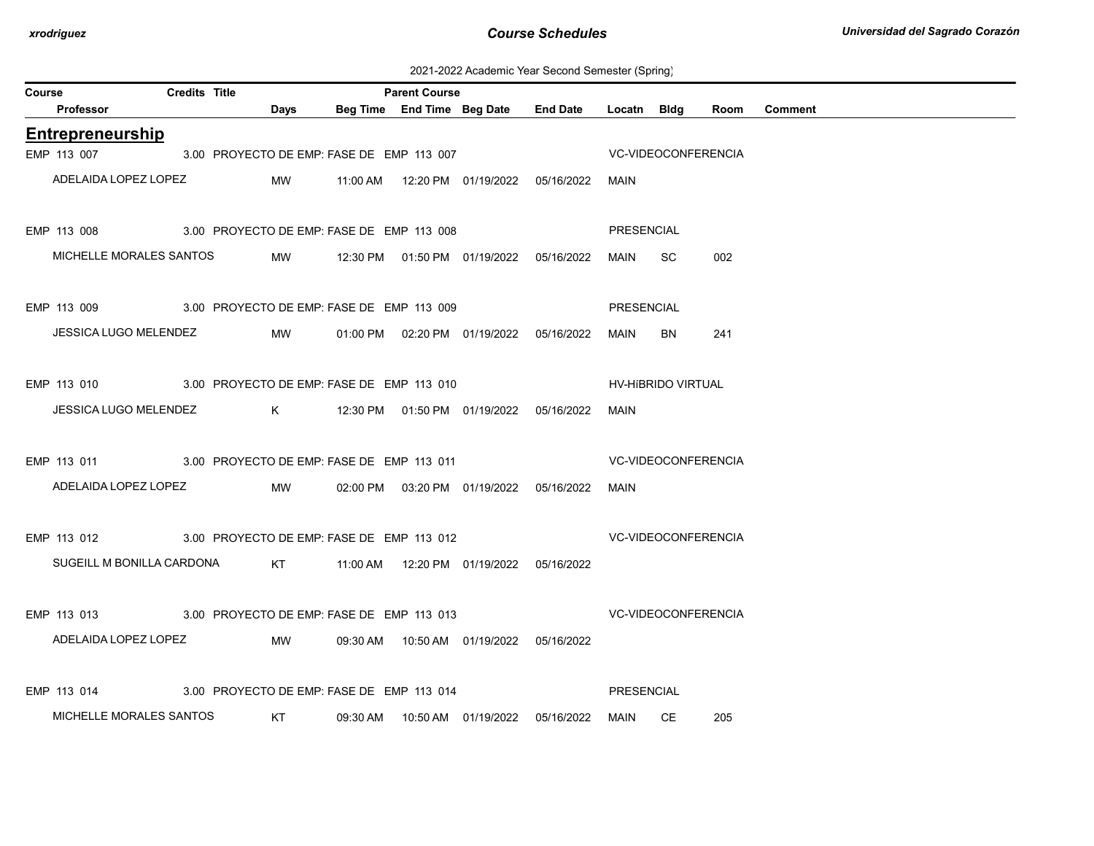2021-2022 Academic Year Second Semester (Spring)

| Course |                                                                 | <b>Credits Title</b> |                                           |          | <b>Parent Course</b> |                                            |                                                  |                   |                            |      |                |
|--------|-----------------------------------------------------------------|----------------------|-------------------------------------------|----------|----------------------|--------------------------------------------|--------------------------------------------------|-------------------|----------------------------|------|----------------|
|        | Professor                                                       |                      | Days                                      |          |                      | Beg Time End Time Beg Date                 | <b>End Date</b>                                  | Locatn Bldg       |                            | Room | <b>Comment</b> |
|        | Entrepreneurship                                                |                      |                                           |          |                      |                                            |                                                  |                   |                            |      |                |
|        | EMP 113 007                                                     |                      | 3.00 PROYECTO DE EMP: FASE DE EMP 113 007 |          |                      |                                            |                                                  |                   | VC-VIDEOCONFERENCIA        |      |                |
|        | ADELAIDA LOPEZ LOPEZ                                            |                      | MW                                        |          |                      |                                            | 11:00 AM  12:20 PM  01/19/2022  05/16/2022  MAIN |                   |                            |      |                |
|        | EMP 113 008 3.00 PROYECTO DE EMP: FASE DE EMP 113 008           |                      |                                           |          |                      |                                            |                                                  | <b>PRESENCIAL</b> |                            |      |                |
|        | MICHELLE MORALES SANTOS                                         |                      | MW                                        |          |                      | 12:30 PM  01:50 PM  01/19/2022  05/16/2022 |                                                  | MAIN              | SC.                        | 002  |                |
|        | EMP 113 009 3.00 PROYECTO DE EMP: FASE DE EMP 113 009           |                      |                                           |          |                      |                                            |                                                  | PRESENCIAL        |                            |      |                |
|        | JESSICA LUGO MELENDEZ                                           |                      | MW                                        |          |                      | 01:00 PM  02:20 PM  01/19/2022  05/16/2022 |                                                  | MAIN              | BN                         | 241  |                |
|        | EMP 113 010 3.00 PROYECTO DE EMP: FASE DE EMP 113 010           |                      |                                           |          |                      |                                            |                                                  |                   | HV-HIBRIDO VIRTUAL         |      |                |
|        | JESSICA LUGO MELENDEZ K 12:30 PM 01:50 PM 01/19/2022 05/16/2022 |                      |                                           |          |                      |                                            |                                                  | MAIN              |                            |      |                |
|        | EMP 113 011 3.00 PROYECTO DE EMP: FASE DE EMP 113 011           |                      |                                           |          |                      |                                            |                                                  |                   | <b>VC-VIDEOCONFERENCIA</b> |      |                |
|        | ADELAIDA LOPEZ LOPEZ                                            |                      | MW                                        |          |                      | 02:00 PM  03:20 PM  01/19/2022  05/16/2022 |                                                  | MAIN              |                            |      |                |
|        | EMP 113 012 3.00 PROYECTO DE EMP: FASE DE EMP 113 012           |                      |                                           |          |                      |                                            | <b>VC-VIDEOCONFERENCIA</b>                       |                   |                            |      |                |
|        | SUGEILL M BONILLA CARDONA                                       |                      | KT <sub>N</sub>                           |          |                      |                                            |                                                  |                   |                            |      |                |
|        | EMP 113 013 3.00 PROYECTO DE EMP: FASE DE EMP 113 013           |                      |                                           |          |                      |                                            | VC-VIDEOCONFERENCIA                              |                   |                            |      |                |
|        | ADELAIDA LOPEZ LOPEZ                                            |                      | MW                                        |          |                      | 09:30 AM  10:50 AM  01/19/2022  05/16/2022 |                                                  |                   |                            |      |                |
|        | EMP 113 014                                                     |                      | 3.00 PROYECTO DE EMP: FASE DE EMP 113 014 |          |                      |                                            |                                                  | PRESENCIAL        |                            |      |                |
|        | MICHELLE MORALES SANTOS                                         |                      | <b>KT</b>                                 | 09:30 AM |                      |                                            |                                                  | MAIN              | CE                         | 205  |                |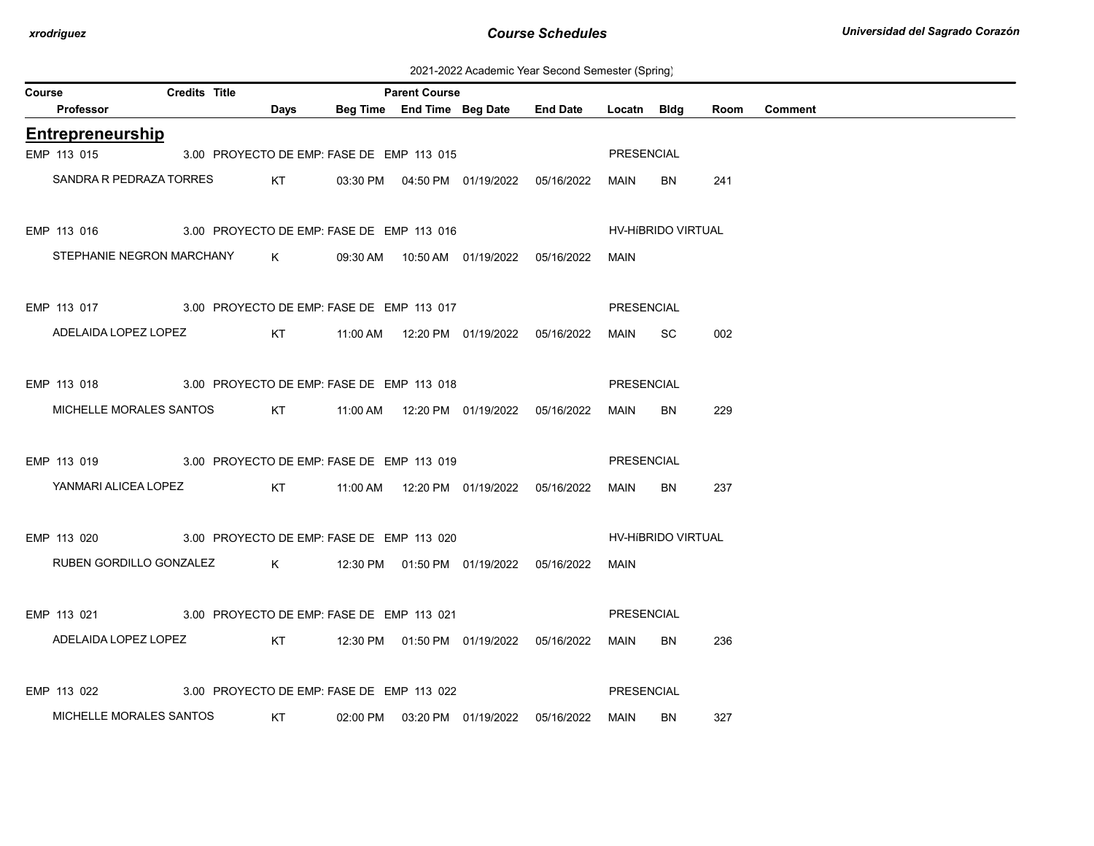2021-2022 Academic Year Second Semester (Spring)

| Course |                                                       | <b>Credits Title</b> |           |      | <b>Parent Course</b>                      |                                            |                   |                           |      |                |
|--------|-------------------------------------------------------|----------------------|-----------|------|-------------------------------------------|--------------------------------------------|-------------------|---------------------------|------|----------------|
|        | Professor                                             |                      |           | Days |                                           | Beg Time End Time Beg Date End Date        | Locatn Bldg       |                           | Room | <b>Comment</b> |
|        | Entrepreneurship                                      |                      |           |      |                                           |                                            |                   |                           |      |                |
|        | EMP 113 015                                           |                      |           |      | 3.00 PROYECTO DE EMP: FASE DE EMP 113 015 |                                            | <b>PRESENCIAL</b> |                           |      |                |
|        | SANDRA R PEDRAZA TORRES                               |                      |           |      |                                           | KT 03:30 PM 04:50 PM 01/19/2022 05/16/2022 | MAIN              | <b>BN</b>                 | 241  |                |
|        | EMP 113 016 3.00 PROYECTO DE EMP: FASE DE EMP 113 016 |                      |           |      |                                           |                                            |                   | <b>HV-HIBRIDO VIRTUAL</b> |      |                |
|        | STEPHANIE NEGRON MARCHANY K                           |                      |           |      |                                           | 09:30 AM  10:50 AM  01/19/2022  05/16/2022 | MAIN              |                           |      |                |
|        | EMP 113 017 3.00 PROYECTO DE EMP: FASE DE EMP 113 017 |                      |           |      |                                           |                                            | PRESENCIAL        |                           |      |                |
|        | ADELAIDA LOPEZ LOPEZ                                  |                      |           | KT   |                                           |                                            | MAIN              | <b>SC</b>                 | 002  |                |
|        | EMP 113 018 3.00 PROYECTO DE EMP: FASE DE EMP 113 018 |                      |           |      |                                           |                                            | <b>PRESENCIAL</b> |                           |      |                |
|        | MICHELLE MORALES SANTOS                               |                      |           | KT   |                                           |                                            | MAIN              | BN                        | 229  |                |
|        | EMP 113 019 3.00 PROYECTO DE EMP: FASE DE EMP 113 019 |                      |           |      |                                           |                                            | <b>PRESENCIAL</b> |                           |      |                |
|        | YANMARI ALICEA LOPEZ                                  |                      |           | KT   |                                           |                                            | MAIN              | BN                        | 237  |                |
|        | EMP 113 020                                           |                      |           |      | 3.00 PROYECTO DE EMP: FASE DE EMP 113 020 |                                            |                   | HV-HIBRIDO VIRTUAL        |      |                |
|        | RUBEN GORDILLO GONZALEZ                               |                      |           |      |                                           |                                            | MAIN              |                           |      |                |
|        | EMP 113 021 3.00 PROYECTO DE EMP: FASE DE EMP 113 021 |                      |           |      |                                           |                                            | <b>PRESENCIAL</b> |                           |      |                |
|        | ADELAIDA LOPEZ LOPEZ                                  |                      |           | KT   |                                           | 12:30 PM  01:50 PM  01/19/2022  05/16/2022 | MAIN              | <b>BN</b>                 | 236  |                |
|        | EMP 113 022                                           |                      |           |      | 3.00 PROYECTO DE EMP: FASE DE EMP 113 022 |                                            | <b>PRESENCIAL</b> |                           |      |                |
|        | MICHELLE MORALES SANTOS                               |                      | <b>KT</b> |      |                                           | 02:00 PM  03:20 PM  01/19/2022  05/16/2022 | MAIN              | BN                        | 327  |                |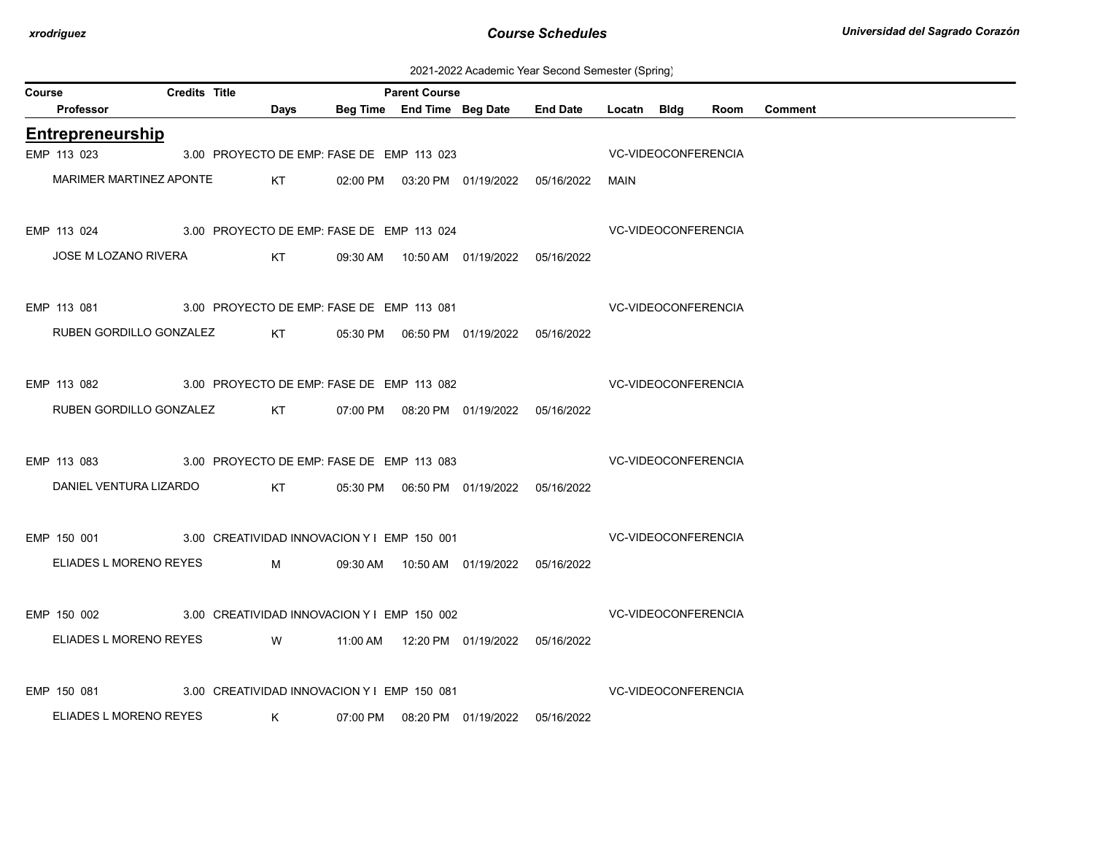| 2021-2022 Academic Year Second Semester (Spring) |
|--------------------------------------------------|
|--------------------------------------------------|

| Course |                                                         | <b>Credits Title</b> |              |                                             |          | <b>Parent Course</b> |                                                   |                            |                            |                            |      |         |  |
|--------|---------------------------------------------------------|----------------------|--------------|---------------------------------------------|----------|----------------------|---------------------------------------------------|----------------------------|----------------------------|----------------------------|------|---------|--|
|        | <b>Professor</b>                                        |                      |              | Days                                        |          |                      | Beg Time End Time Beg Date End Date               |                            | Locatn Bidg                |                            | Room | Comment |  |
|        | Entrepreneurship                                        |                      |              |                                             |          |                      |                                                   |                            |                            |                            |      |         |  |
|        | EMP 113 023                                             |                      |              | 3.00 PROYECTO DE EMP: FASE DE EMP 113 023   |          |                      |                                                   |                            |                            | <b>VC-VIDEOCONFERENCIA</b> |      |         |  |
|        | <b>MARIMER MARTINEZ APONTE</b>                          |                      |              | KT <sub>N</sub>                             |          |                      | 02:00 PM  03:20 PM  01/19/2022  05/16/2022        |                            | MAIN                       |                            |      |         |  |
|        | EMP 113 024 3.00 PROYECTO DE EMP: FASE DE EMP 113 024   |                      |              |                                             |          |                      |                                                   | <b>VC-VIDEOCONFERENCIA</b> |                            |                            |      |         |  |
|        | JOSE M LOZANO RIVERA                                    |                      |              | KT                                          |          |                      |                                                   |                            |                            |                            |      |         |  |
|        | EMP 113 081 3.00 PROYECTO DE EMP: FASE DE EMP 113 081   |                      |              |                                             |          |                      |                                                   | <b>VC-VIDEOCONFERENCIA</b> |                            |                            |      |         |  |
|        | RUBEN GORDILLO GONZALEZ                                 |                      |              |                                             |          |                      | KT   05:30 PM   06:50 PM   01/19/2022  05/16/2022 |                            |                            |                            |      |         |  |
|        | EMP 113 082 3.00 PROYECTO DE EMP: FASE DE EMP 113 082   |                      |              |                                             |          |                      |                                                   | <b>VC-VIDEOCONFERENCIA</b> |                            |                            |      |         |  |
|        | RUBEN GORDILLO GONZALEZ                                 |                      |              | KT <sub>N</sub>                             |          |                      | 07:00 PM  08:20 PM  01/19/2022  05/16/2022        |                            |                            |                            |      |         |  |
|        | EMP 113 083 3.00 PROYECTO DE EMP: FASE DE EMP 113 083   |                      |              |                                             |          |                      |                                                   | <b>VC-VIDEOCONFERENCIA</b> |                            |                            |      |         |  |
|        | DANIEL VENTURA LIZARDO                                  |                      |              | <b>Example 18 KT</b>                        |          |                      | 05:30 PM  06:50 PM  01/19/2022  05/16/2022        |                            |                            |                            |      |         |  |
|        | EMP 150 001 3.00 CREATIVIDAD INNOVACION Y I EMP 150 001 |                      |              |                                             |          |                      |                                                   |                            | VC-VIDEOCONFERENCIA        |                            |      |         |  |
|        | ELIADES L MORENO REYES M                                |                      |              |                                             |          |                      | 09:30 AM  10:50 AM  01/19/2022  05/16/2022        |                            |                            |                            |      |         |  |
|        | EMP 150 002 3.00 CREATIVIDAD INNOVACION Y I EMP 150 002 |                      |              |                                             |          |                      |                                                   | VC-VIDEOCONFERENCIA        |                            |                            |      |         |  |
|        | ELIADES L MORENO REYES                                  |                      |              | <b>Example 19 YO MARK</b>                   |          |                      | 11:00 AM  12:20 PM  01/19/2022  05/16/2022        |                            |                            |                            |      |         |  |
|        | EMP 150 081                                             |                      |              | 3.00 CREATIVIDAD INNOVACION Y I EMP 150 081 |          |                      |                                                   |                            | <b>VC-VIDEOCONFERENCIA</b> |                            |      |         |  |
|        | ELIADES L MORENO REYES                                  |                      | $\mathsf{K}$ |                                             | 07:00 PM |                      | 08:20 PM 01/19/2022                               | 05/16/2022                 |                            |                            |      |         |  |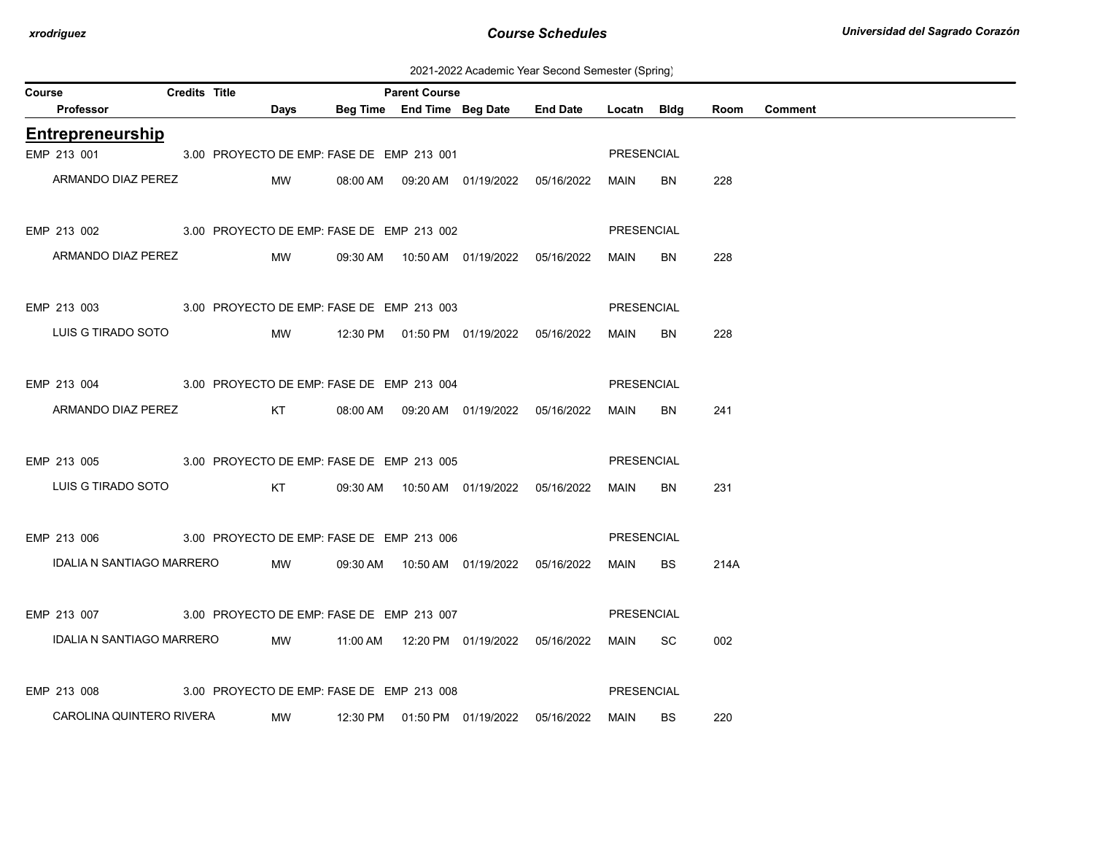2021-2022 Academic Year Second Semester (Spring)

| Course |                                                               | <b>Credits Title</b> |           |                                           | <b>Parent Course</b> |                                                    |                                                 |            |           |      |                |
|--------|---------------------------------------------------------------|----------------------|-----------|-------------------------------------------|----------------------|----------------------------------------------------|-------------------------------------------------|------------|-----------|------|----------------|
|        | Professor                                                     |                      | Days      |                                           |                      |                                                    | Beg Time End Time Beg Date End Date Locatn Bldg |            |           | Room | <b>Comment</b> |
|        | <b>Entrepreneurship</b>                                       |                      |           |                                           |                      |                                                    |                                                 |            |           |      |                |
|        | EMP 213 001                                                   |                      |           | 3.00 PROYECTO DE EMP: FASE DE EMP 213 001 |                      |                                                    |                                                 | PRESENCIAL |           |      |                |
|        | ARMANDO DIAZ PEREZ                                            |                      | MW        |                                           |                      | 08:00 AM  09:20 AM  01/19/2022  05/16/2022         |                                                 | MAIN       | BN.       | 228  |                |
|        | EMP 213 002 3.00 PROYECTO DE EMP: FASE DE EMP 213 002         |                      |           |                                           |                      |                                                    |                                                 | PRESENCIAL |           |      |                |
|        | ARMANDO DIAZ PEREZ                                            |                      | <b>MW</b> |                                           |                      |                                                    |                                                 | MAIN       | BN        | 228  |                |
|        | EMP 213 003 3.00 PROYECTO DE EMP: FASE DE EMP 213 003         |                      |           |                                           |                      |                                                    |                                                 | PRESENCIAL |           |      |                |
|        | LUIS G TIRADO SOTO                                            |                      | MW        |                                           |                      |                                                    |                                                 | MAIN       | BN.       | 228  |                |
|        | EMP 213 004 3.00 PROYECTO DE EMP: FASE DE EMP 213 004         |                      |           |                                           |                      |                                                    |                                                 | PRESENCIAL |           |      |                |
|        | ARMANDO DIAZ PEREZ KT 08:00 AM 09:20 AM 01/19/2022 05/16/2022 |                      |           |                                           |                      |                                                    |                                                 | MAIN       | BN.       | 241  |                |
|        | EMP 213 005 3.00 PROYECTO DE EMP: FASE DE EMP 213 005         |                      |           |                                           |                      |                                                    |                                                 | PRESENCIAL |           |      |                |
|        | LUIS G TIRADO SOTO                                            |                      |           |                                           |                      | 09:30 AM  10:50 AM  01/19/2022  05/16/2022         |                                                 | MAIN       | BN.       | 231  |                |
|        | EMP 213 006 3.00 PROYECTO DE EMP: FASE DE EMP 213 006         |                      |           |                                           |                      |                                                    |                                                 | PRESENCIAL |           |      |                |
|        | IDALIA N SANTIAGO MARRERO                                     |                      | <b>MW</b> |                                           |                      |                                                    |                                                 | MAIN       | BS.       | 214A |                |
|        | EMP 213 007 3.00 PROYECTO DE EMP: FASE DE EMP 213 007         |                      |           |                                           |                      |                                                    |                                                 | PRESENCIAL |           |      |                |
|        | IDALIA N SANTIAGO MARRERO                                     |                      |           |                                           |                      | MW   11:00 AM   12:20 PM   01/19/2022   05/16/2022 |                                                 | MAIN SC    |           | 002  |                |
|        | EMP 213 008                                                   |                      |           | 3.00 PROYECTO DE EMP: FASE DE EMP 213 008 |                      |                                                    |                                                 | PRESENCIAL |           |      |                |
|        | CAROLINA QUINTERO RIVERA                                      |                      | <b>MW</b> |                                           |                      | 12:30 PM  01:50 PM  01/19/2022  05/16/2022         |                                                 | MAIN       | <b>BS</b> | 220  |                |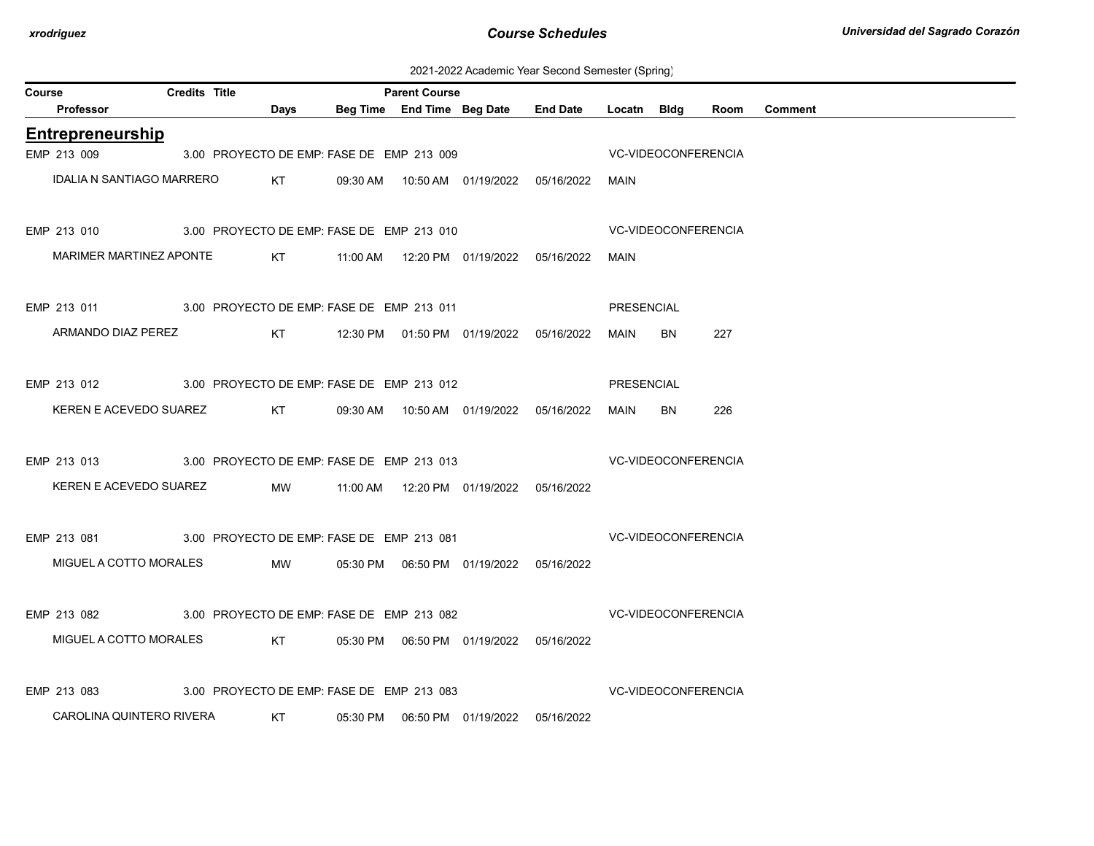2021-2022 Academic Year Second Semester (Spring)

|        |                                                       |                      |      |                                            |                      |                                            | ZUZ PZUZZ ACQUEINIC TEGI OECONU OENIESIEI (OPNING) |                            |                     |      |                |
|--------|-------------------------------------------------------|----------------------|------|--------------------------------------------|----------------------|--------------------------------------------|----------------------------------------------------|----------------------------|---------------------|------|----------------|
| Course |                                                       | <b>Credits Title</b> |      |                                            | <b>Parent Course</b> |                                            |                                                    |                            |                     |      |                |
|        | <b>Professor</b>                                      |                      | Days |                                            |                      | Beg Time End Time Beg Date End Date        |                                                    | Locatn Bldg                |                     | Room | <b>Comment</b> |
|        | <b>Entrepreneurship</b>                               |                      |      |                                            |                      |                                            |                                                    |                            |                     |      |                |
|        | EMP 213 009                                           |                      |      | 3.00 PROYECTO DE EMP: FASE DE EMP 213 009  |                      |                                            |                                                    |                            | VC-VIDEOCONFERENCIA |      |                |
|        | <b>IDALIA N SANTIAGO MARRERO</b>                      |                      | KT   |                                            |                      |                                            | 09:30 AM  10:50 AM  01/19/2022  05/16/2022  MAIN   |                            |                     |      |                |
|        | EMP 213 010 3.00 PROYECTO DE EMP: FASE DE EMP 213 010 |                      |      |                                            |                      |                                            |                                                    |                            | VC-VIDEOCONFERENCIA |      |                |
|        | MARIMER MARTINEZ APONTE                               |                      |      |                                            |                      |                                            |                                                    | MAIN                       |                     |      |                |
|        | EMP 213 011 3.00 PROYECTO DE EMP: FASE DE EMP 213 011 |                      |      |                                            |                      |                                            |                                                    | <b>PRESENCIAL</b>          |                     |      |                |
|        | ARMANDO DIAZ PEREZ                                    |                      |      | KT 12:30 PM 01:50 PM 01/19/2022 05/16/2022 |                      |                                            |                                                    | MAIN                       | BN                  | 227  |                |
|        | EMP 213 012 3.00 PROYECTO DE EMP: FASE DE EMP 213 012 |                      |      |                                            |                      |                                            |                                                    | PRESENCIAL                 |                     |      |                |
|        | KEREN E ACEVEDO SUAREZ                                |                      | KT   |                                            |                      |                                            |                                                    | MAIN                       | BN                  | 226  |                |
|        | EMP 213 013 3.00 PROYECTO DE EMP: FASE DE EMP 213 013 |                      |      |                                            |                      |                                            |                                                    | <b>VC-VIDEOCONFERENCIA</b> |                     |      |                |
|        | KEREN E ACEVEDO SUAREZ                                |                      | MW   |                                            |                      |                                            |                                                    |                            |                     |      |                |
|        | EMP 213 081 3.00 PROYECTO DE EMP: FASE DE EMP 213 081 |                      |      |                                            |                      |                                            | <b>VC-VIDEOCONFERENCIA</b>                         |                            |                     |      |                |
|        | MIGUEL A COTTO MORALES                                |                      | MW   |                                            |                      | 05:30 PM  06:50 PM  01/19/2022  05/16/2022 |                                                    |                            |                     |      |                |
|        | EMP 213 082 3.00 PROYECTO DE EMP: FASE DE EMP 213 082 |                      |      |                                            |                      |                                            | <b>VC-VIDEOCONFERENCIA</b>                         |                            |                     |      |                |
|        | MIGUEL A COTTO MORALES KT                             |                      |      |                                            |                      | 05:30 PM  06:50 PM  01/19/2022  05/16/2022 |                                                    |                            |                     |      |                |
|        | EMP 213 083 3.00 PROYECTO DE EMP: FASE DE EMP 213 083 |                      |      |                                            |                      |                                            | <b>VC-VIDEOCONFERENCIA</b>                         |                            |                     |      |                |
|        | CAROLINA QUINTERO RIVERA                              |                      | KT   |                                            |                      |                                            |                                                    |                            |                     |      |                |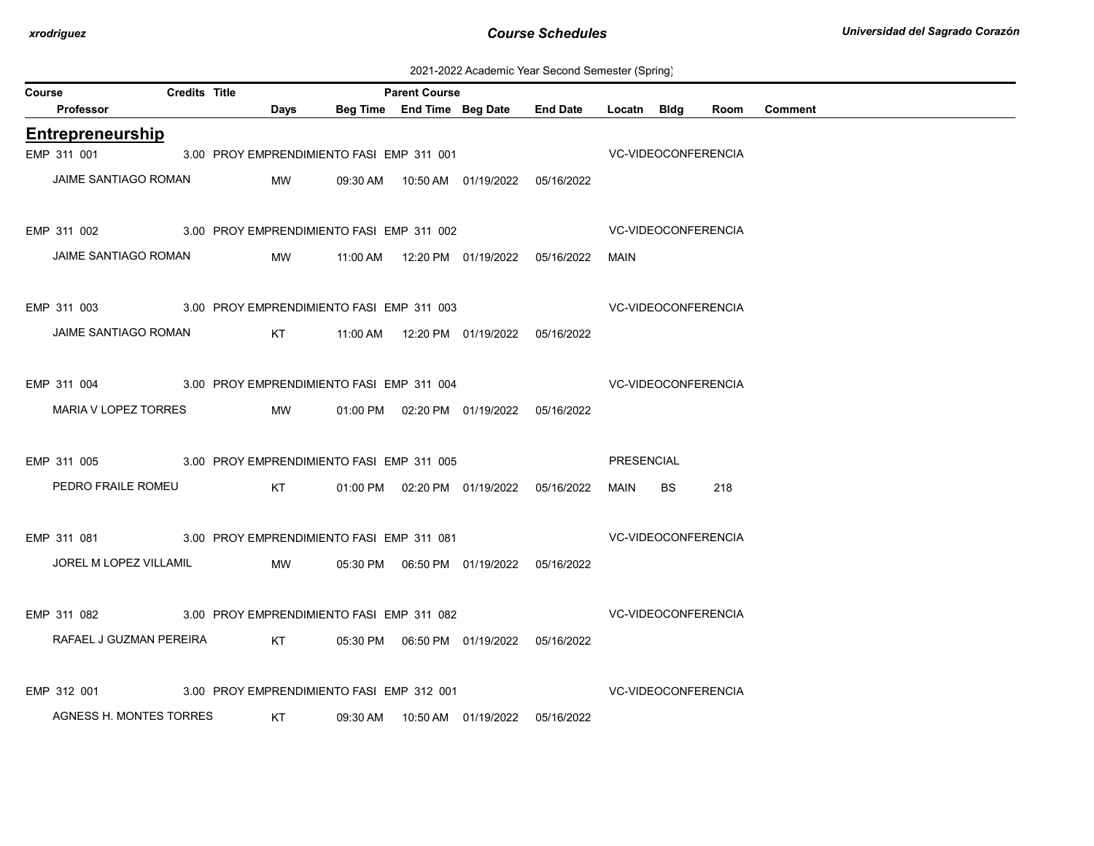2021-2022 Academic Year Second Semester (Spring)

| Course |                                                                    | <b>Credits Title</b> |           |                                           | <b>Parent Course</b> |                                            |                                                 |                            |           |      |                |  |
|--------|--------------------------------------------------------------------|----------------------|-----------|-------------------------------------------|----------------------|--------------------------------------------|-------------------------------------------------|----------------------------|-----------|------|----------------|--|
|        | Professor                                                          |                      | Days      |                                           |                      |                                            | Beg Time End Time Beg Date End Date Locatn Bldg |                            |           | Room | <b>Comment</b> |  |
|        | Entrepreneurship                                                   |                      |           |                                           |                      |                                            |                                                 |                            |           |      |                |  |
|        | EMP 311 001                                                        |                      |           | 3.00 PROY EMPRENDIMIENTO FASI EMP 311 001 |                      |                                            | <b>VC-VIDEOCONFERENCIA</b>                      |                            |           |      |                |  |
|        | JAIME SANTIAGO ROMAN                                               |                      | MW        |                                           |                      | 09:30 AM  10:50 AM  01/19/2022  05/16/2022 |                                                 |                            |           |      |                |  |
|        | EMP 311 002 3.00 PROY EMPRENDIMIENTO FASI EMP 311 002              |                      |           |                                           |                      |                                            |                                                 | VC-VIDEOCONFERENCIA        |           |      |                |  |
|        | JAIME SANTIAGO ROMAN                                               |                      |           |                                           |                      |                                            |                                                 | MAIN                       |           |      |                |  |
|        | EMP 311 003 3.00 PROY EMPRENDIMIENTO FASI EMP 311 003              |                      |           |                                           |                      |                                            | <b>VC-VIDEOCONFERENCIA</b>                      |                            |           |      |                |  |
|        | JAIME SANTIAGO ROMAN                                               |                      |           |                                           |                      |                                            |                                                 |                            |           |      |                |  |
|        | EMP 311 004 3.00 PROY EMPRENDIMIENTO FASI EMP 311 004              |                      |           |                                           |                      |                                            | <b>VC-VIDEOCONFERENCIA</b>                      |                            |           |      |                |  |
|        | MARIA V LOPEZ TORRES                                               |                      | <b>MW</b> |                                           |                      | 01:00 PM  02:20 PM  01/19/2022  05/16/2022 |                                                 |                            |           |      |                |  |
|        | EMP 311 005 3.00 PROY EMPRENDIMIENTO FASI EMP 311 005              |                      |           |                                           |                      |                                            |                                                 | PRESENCIAL                 |           |      |                |  |
|        | PEDRO FRAILE ROMEU                                                 |                      |           |                                           |                      |                                            |                                                 | MAIN                       | <b>BS</b> | 218  |                |  |
|        | EMP 311 081 3.00 PROY EMPRENDIMIENTO FASI EMP 311 081              |                      |           |                                           |                      |                                            | <b>VC-VIDEOCONFERENCIA</b>                      |                            |           |      |                |  |
|        | JOREL M LOPEZ VILLAMIL                                             |                      |           |                                           |                      |                                            |                                                 |                            |           |      |                |  |
|        | EMP 311 082 3.00 PROY EMPRENDIMIENTO FASI EMP 311 082              |                      |           |                                           |                      |                                            | <b>VC-VIDEOCONFERENCIA</b>                      |                            |           |      |                |  |
|        | RAFAEL J GUZMAN PEREIRA KT 05:30 PM 06:50 PM 01/19/2022 05/16/2022 |                      |           |                                           |                      |                                            |                                                 |                            |           |      |                |  |
|        | EMP 312 001                                                        |                      |           | 3.00 PROY EMPRENDIMIENTO FASI EMP 312 001 |                      |                                            |                                                 | <b>VC-VIDEOCONFERENCIA</b> |           |      |                |  |
|        | AGNESS H. MONTES TORRES                                            |                      | KT        |                                           |                      |                                            | 05/16/2022                                      |                            |           |      |                |  |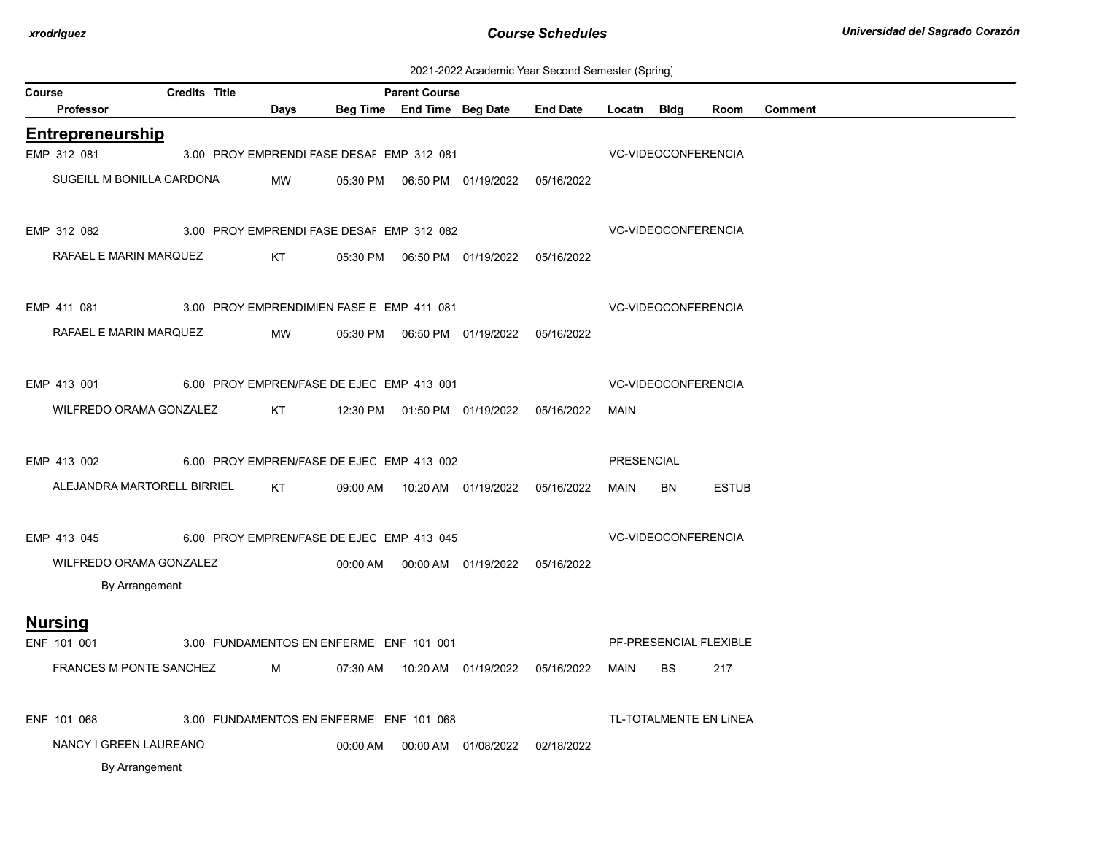|  | 2021-2022 Academic Year Second Semester (Spring) |  |  |  |  |  |
|--|--------------------------------------------------|--|--|--|--|--|
|--|--------------------------------------------------|--|--|--|--|--|

| Course |                             | <b>Credits Title</b> |      |                                           | <b>Parent Course</b>       |                                            |                 |                            |           |                        |                |  |  |
|--------|-----------------------------|----------------------|------|-------------------------------------------|----------------------------|--------------------------------------------|-----------------|----------------------------|-----------|------------------------|----------------|--|--|
|        | Professor                   |                      | Days |                                           | Beg Time End Time Beg Date |                                            | <b>End Date</b> | Locatn Bidg                |           | Room                   | <b>Comment</b> |  |  |
|        | <b>Entrepreneurship</b>     |                      |      |                                           |                            |                                            |                 |                            |           |                        |                |  |  |
|        | EMP 312 081                 |                      |      | 3.00 PROY EMPRENDI FASE DESAI EMP 312 081 |                            |                                            |                 | <b>VC-VIDEOCONFERENCIA</b> |           |                        |                |  |  |
|        | SUGEILL M BONILLA CARDONA   |                      | MW   |                                           |                            |                                            |                 |                            |           |                        |                |  |  |
|        | EMP 312 082                 |                      |      | 3.00 PROY EMPRENDI FASE DESAF EMP 312 082 |                            |                                            |                 | <b>VC-VIDEOCONFERENCIA</b> |           |                        |                |  |  |
|        | RAFAEL E MARIN MARQUEZ      |                      | KT   |                                           |                            |                                            |                 |                            |           |                        |                |  |  |
|        | EMP 411 081                 |                      |      | 3.00 PROY EMPRENDIMIEN FASE E EMP 411 081 |                            |                                            |                 | <b>VC-VIDEOCONFERENCIA</b> |           |                        |                |  |  |
|        | RAFAEL E MARIN MARQUEZ      |                      | MW   |                                           |                            | 05:30 PM  06:50 PM  01/19/2022  05/16/2022 |                 |                            |           |                        |                |  |  |
|        | EMP 413 001                 |                      |      | 6.00 PROY EMPREN/FASE DE EJEC EMP 413 001 |                            |                                            |                 | VC-VIDEOCONFERENCIA        |           |                        |                |  |  |
|        | WILFREDO ORAMA GONZALEZ     |                      | KT   |                                           |                            | 12:30 PM  01:50 PM  01/19/2022             | 05/16/2022      | MAIN                       |           |                        |                |  |  |
|        | EMP 413 002                 |                      |      | 6.00 PROY EMPREN/FASE DE EJEC EMP 413 002 |                            |                                            |                 | PRESENCIAL                 |           |                        |                |  |  |
|        | ALEJANDRA MARTORELL BIRRIEL |                      | KT   |                                           |                            |                                            |                 | MAIN                       | BN        | <b>ESTUB</b>           |                |  |  |
|        | EMP 413 045                 |                      |      | 6.00 PROY EMPREN/FASE DE EJEC EMP 413 045 |                            |                                            |                 | <b>VC-VIDEOCONFERENCIA</b> |           |                        |                |  |  |
|        | WILFREDO ORAMA GONZALEZ     |                      |      |                                           |                            | 00:00 AM  00:00 AM  01/19/2022  05/16/2022 |                 |                            |           |                        |                |  |  |
|        | By Arrangement              |                      |      |                                           |                            |                                            |                 |                            |           |                        |                |  |  |
|        | <b>Nursing</b>              |                      |      |                                           |                            |                                            |                 |                            |           |                        |                |  |  |
|        | ENF 101 001                 |                      |      | 3.00 FUNDAMENTOS EN ENFERME ENF 101 001   |                            |                                            |                 |                            |           | PF-PRESENCIAL FLEXIBLE |                |  |  |
|        | FRANCES M PONTE SANCHEZ     |                      | M    | 07:30 AM                                  |                            |                                            |                 | MAIN                       | <b>BS</b> | 217                    |                |  |  |
|        | ENF 101 068                 |                      |      | 3.00 FUNDAMENTOS EN ENFERME ENF 101 068   |                            |                                            |                 |                            |           | TL-TOTALMENTE EN LÍNEA |                |  |  |
|        | NANCY I GREEN LAUREANO      |                      |      | 00:00 AM                                  |                            |                                            | 02/18/2022      |                            |           |                        |                |  |  |
|        | By Arrangement              |                      |      |                                           |                            |                                            |                 |                            |           |                        |                |  |  |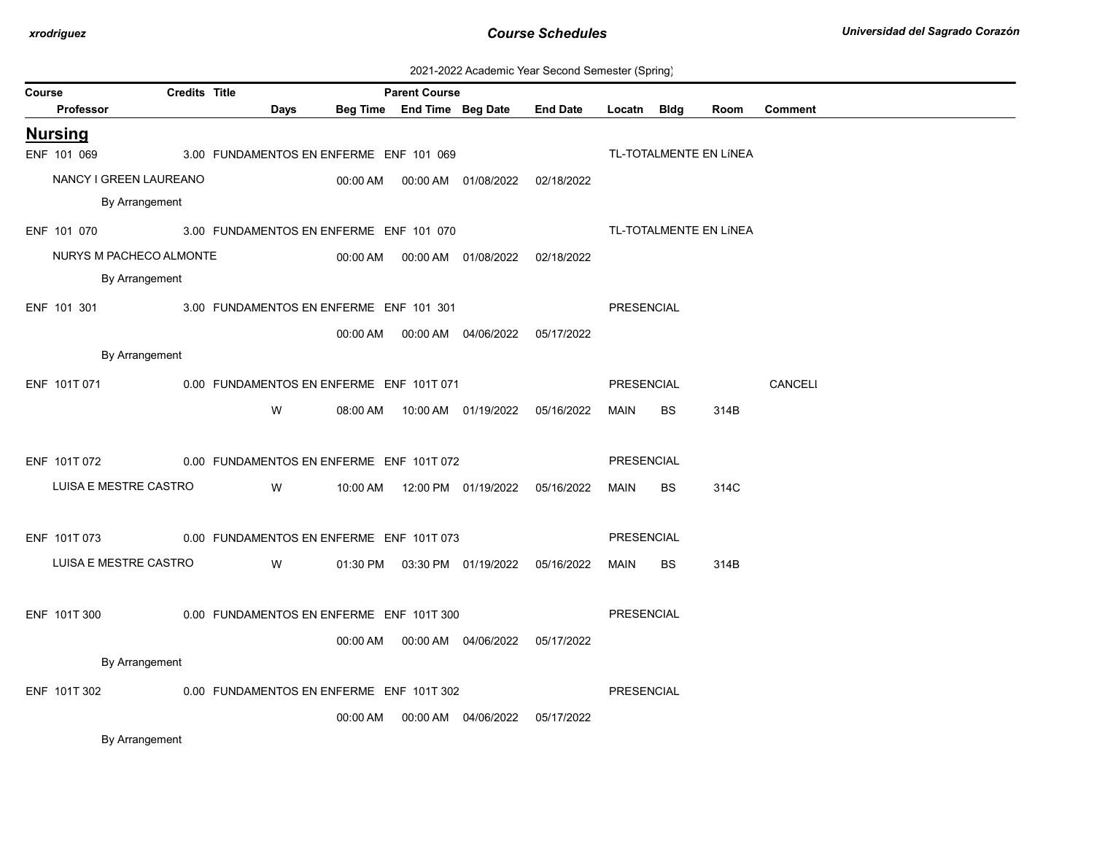| 2021-2022 Academic Year Second Semester (Spring) |  |  |  |  |  |
|--------------------------------------------------|--|--|--|--|--|
|--------------------------------------------------|--|--|--|--|--|

|        |                                                       |                      |                                                                                                                         |      |          |                      |                                            | 2021-2022 Academic Tear Occoria Ochicsici (Ophilig) |                   |           |                        |                |
|--------|-------------------------------------------------------|----------------------|-------------------------------------------------------------------------------------------------------------------------|------|----------|----------------------|--------------------------------------------|-----------------------------------------------------|-------------------|-----------|------------------------|----------------|
| Course | <b>Professor</b>                                      | <b>Credits Title</b> |                                                                                                                         | Days |          | <b>Parent Course</b> | Beg Time End Time Beg Date                 | <b>End Date</b>                                     | Locatn Bldg       |           | Room                   | <b>Comment</b> |
|        | <b>Nursing</b>                                        |                      |                                                                                                                         |      |          |                      |                                            |                                                     |                   |           |                        |                |
|        | ENF 101 069                                           |                      | 3.00 FUNDAMENTOS EN ENFERME ENF 101 069                                                                                 |      |          |                      |                                            |                                                     |                   |           | TL-TOTALMENTE EN LÍNEA |                |
|        | NANCY I GREEN LAUREANO                                |                      |                                                                                                                         |      |          |                      | 00:00 AM  00:00 AM  01/08/2022  02/18/2022 |                                                     |                   |           |                        |                |
|        | By Arrangement                                        |                      |                                                                                                                         |      |          |                      |                                            |                                                     |                   |           |                        |                |
|        | ENF 101 070                                           |                      | 3.00 FUNDAMENTOS EN ENFERME ENF 101 070                                                                                 |      |          |                      |                                            |                                                     |                   |           | TL-TOTALMENTE EN LÍNEA |                |
|        | NURYS M PACHECO ALMONTE                               |                      |                                                                                                                         |      |          |                      | 00:00 AM  00:00 AM  01/08/2022  02/18/2022 |                                                     |                   |           |                        |                |
|        | By Arrangement                                        |                      |                                                                                                                         |      |          |                      |                                            |                                                     |                   |           |                        |                |
|        | ENF 101 301 300 FUNDAMENTOS EN ENFERME ENF 101 301    |                      |                                                                                                                         |      |          |                      |                                            |                                                     | PRESENCIAL        |           |                        |                |
|        |                                                       |                      |                                                                                                                         |      |          |                      | 00:00 AM  00:00 AM  04/06/2022  05/17/2022 |                                                     |                   |           |                        |                |
|        | By Arrangement                                        |                      |                                                                                                                         |      |          |                      |                                            |                                                     |                   |           |                        |                |
|        | ENF 101T 071                                          |                      | 0.00 FUNDAMENTOS EN ENFERME ENF 101T 071                                                                                |      |          |                      |                                            |                                                     | PRESENCIAL        |           |                        | CANCELI        |
|        |                                                       |                      | W                                                                                                                       |      |          |                      |                                            |                                                     | MAIN              | BS.       | 314B                   |                |
|        |                                                       |                      |                                                                                                                         |      |          |                      |                                            |                                                     |                   |           |                        |                |
|        | ENF 101T 072 0.00 FUNDAMENTOS EN ENFERME ENF 101T 072 |                      |                                                                                                                         |      |          |                      |                                            |                                                     | PRESENCIAL        |           |                        |                |
|        | LUISA E MESTRE CASTRO                                 |                      |                                                                                                                         | W    |          |                      | 10:00 AM  12:00 PM  01/19/2022  05/16/2022 |                                                     | MAIN              | <b>BS</b> | 314C                   |                |
|        |                                                       |                      |                                                                                                                         |      |          |                      |                                            |                                                     |                   |           |                        |                |
|        | ENF 101T 073                                          |                      | 0.00 FUNDAMENTOS EN ENFERME ENF 101T 073                                                                                |      |          |                      |                                            |                                                     | <b>PRESENCIAL</b> |           |                        |                |
|        | LUISA E MESTRE CASTRO                                 |                      | <b>Solution</b> Service Service Service Service Service Service Service Service Service Service Service Service Service |      |          |                      | 01:30 PM  03:30 PM  01/19/2022  05/16/2022 |                                                     | MAIN              | <b>BS</b> | 314B                   |                |
|        |                                                       |                      |                                                                                                                         |      |          |                      |                                            |                                                     |                   |           |                        |                |
|        | ENF 101T 300                                          |                      | 0.00 FUNDAMENTOS EN ENFERME ENF 101T 300                                                                                |      |          |                      |                                            |                                                     | PRESENCIAL        |           |                        |                |
|        |                                                       |                      |                                                                                                                         |      |          |                      | 00:00 AM  00:00 AM  04/06/2022  05/17/2022 |                                                     |                   |           |                        |                |
|        | By Arrangement                                        |                      |                                                                                                                         |      |          |                      |                                            |                                                     |                   |           |                        |                |
|        | ENF 101T 302                                          |                      | 0.00 FUNDAMENTOS EN ENFERME ENF 101T 302                                                                                |      |          |                      |                                            |                                                     | PRESENCIAL        |           |                        |                |
|        |                                                       |                      |                                                                                                                         |      | 00:00 AM |                      |                                            | 05/17/2022                                          |                   |           |                        |                |
|        |                                                       |                      |                                                                                                                         |      |          |                      |                                            |                                                     |                   |           |                        |                |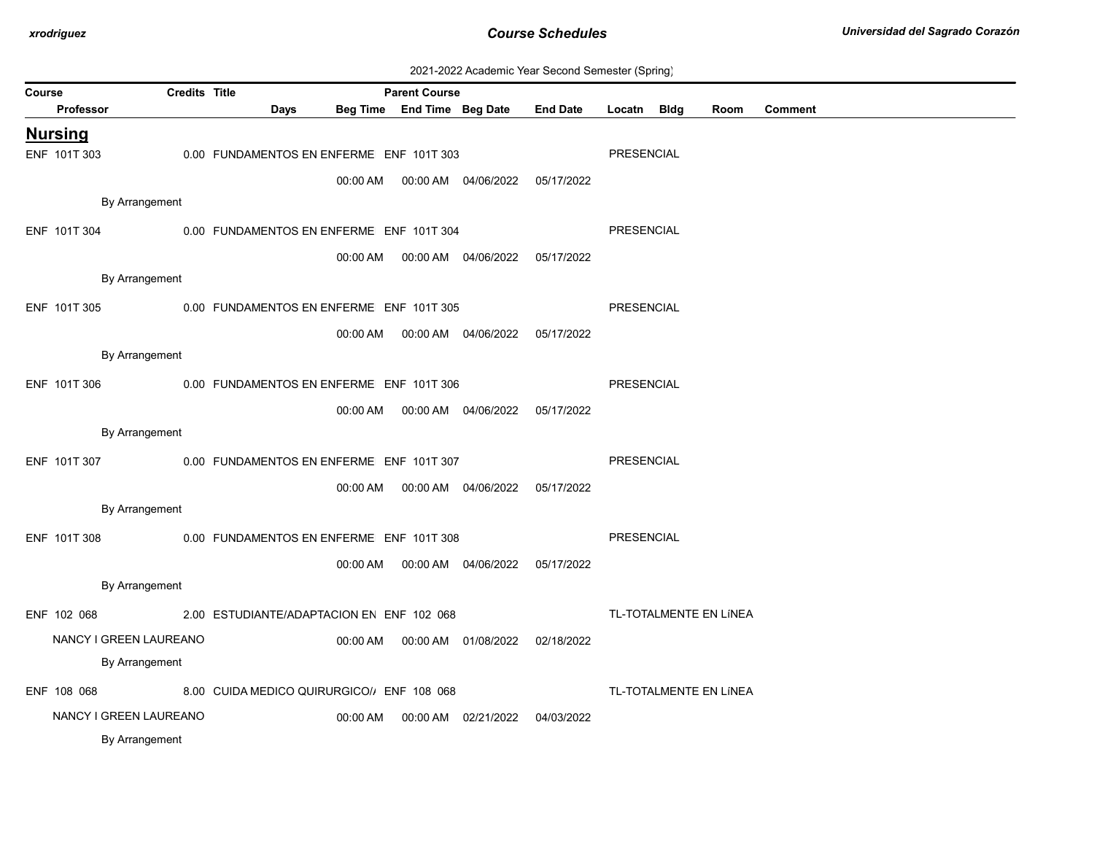| 2021-2022 Academic Year Second Semester (Spring) |  |  |  |
|--------------------------------------------------|--|--|--|
|--------------------------------------------------|--|--|--|

| Course |                                                          | <b>Credits Title</b> |                                            |          | <b>Parent Course</b>       |                                            |                 |                   |  |                        |                |  |
|--------|----------------------------------------------------------|----------------------|--------------------------------------------|----------|----------------------------|--------------------------------------------|-----------------|-------------------|--|------------------------|----------------|--|
|        | Professor                                                |                      | Days                                       |          | Beg Time End Time Beg Date |                                            | <b>End Date</b> | Locatn Bldg       |  | Room                   | <b>Comment</b> |  |
|        | <b>Nursing</b>                                           |                      |                                            |          |                            |                                            |                 |                   |  |                        |                |  |
|        | ENF 101T 303                                             |                      | 0.00 FUNDAMENTOS EN ENFERME ENF 101T 303   |          |                            |                                            |                 | PRESENCIAL        |  |                        |                |  |
|        |                                                          |                      |                                            |          |                            | 00:00 AM  00:00 AM  04/06/2022  05/17/2022 |                 |                   |  |                        |                |  |
|        | By Arrangement                                           |                      |                                            |          |                            |                                            |                 |                   |  |                        |                |  |
|        | ENF 101T 304                                             |                      | 0.00 FUNDAMENTOS EN ENFERME ENF 101T 304   |          |                            |                                            |                 | PRESENCIAL        |  |                        |                |  |
|        |                                                          |                      |                                            |          |                            | 00:00 AM  00:00 AM  04/06/2022  05/17/2022 |                 |                   |  |                        |                |  |
|        | By Arrangement                                           |                      |                                            |          |                            |                                            |                 |                   |  |                        |                |  |
|        | ENF 101T 305                                             |                      | 0.00 FUNDAMENTOS EN ENFERME ENF 101T 305   |          |                            |                                            |                 | PRESENCIAL        |  |                        |                |  |
|        |                                                          |                      |                                            |          |                            |                                            |                 |                   |  |                        |                |  |
|        | By Arrangement                                           |                      |                                            | 00:00 AM |                            | 00:00 AM  04/06/2022  05/17/2022           |                 |                   |  |                        |                |  |
|        | ENF 101T 306<br>0.00 FUNDAMENTOS EN ENFERME ENF 101T 306 |                      |                                            |          |                            |                                            |                 |                   |  |                        |                |  |
|        |                                                          |                      |                                            |          |                            |                                            |                 | <b>PRESENCIAL</b> |  |                        |                |  |
|        |                                                          |                      |                                            | 00:00 AM |                            | 00:00 AM  04/06/2022  05/17/2022           |                 |                   |  |                        |                |  |
|        | By Arrangement                                           |                      |                                            |          |                            |                                            |                 |                   |  |                        |                |  |
|        | ENF 101T 307                                             |                      | 0.00 FUNDAMENTOS EN ENFERME ENF 101T 307   |          |                            |                                            |                 | PRESENCIAL        |  |                        |                |  |
|        |                                                          |                      |                                            |          |                            | 00:00 AM  00:00 AM  04/06/2022  05/17/2022 |                 |                   |  |                        |                |  |
|        | By Arrangement                                           |                      |                                            |          |                            |                                            |                 |                   |  |                        |                |  |
|        | ENF 101T 308                                             |                      | 0.00 FUNDAMENTOS EN ENFERME ENF 101T 308   |          |                            |                                            |                 | <b>PRESENCIAL</b> |  |                        |                |  |
|        |                                                          |                      |                                            |          |                            | 00:00 AM  00:00 AM  04/06/2022  05/17/2022 |                 |                   |  |                        |                |  |
|        | By Arrangement                                           |                      |                                            |          |                            |                                            |                 |                   |  |                        |                |  |
|        | ENF 102 068                                              |                      | 2.00 ESTUDIANTE/ADAPTACION EN ENF 102 068  |          |                            |                                            |                 |                   |  | TL-TOTALMENTE EN LÍNEA |                |  |
|        | NANCY I GREEN LAUREANO                                   |                      |                                            |          |                            | 00:00 AM  00:00 AM  01/08/2022  02/18/2022 |                 |                   |  |                        |                |  |
|        | By Arrangement                                           |                      |                                            |          |                            |                                            |                 |                   |  |                        |                |  |
|        |                                                          |                      |                                            |          |                            |                                            |                 |                   |  |                        |                |  |
|        | ENF 108 068                                              |                      | 8.00 CUIDA MEDICO QUIRURGICO/, ENF 108 068 |          |                            |                                            |                 |                   |  | TL-TOTALMENTE EN LÍNEA |                |  |
|        | NANCY I GREEN LAUREANO                                   |                      |                                            | 00:00 AM |                            | 00:00 AM 02/21/2022                        | 04/03/2022      |                   |  |                        |                |  |
|        | By Arrangement                                           |                      |                                            |          |                            |                                            |                 |                   |  |                        |                |  |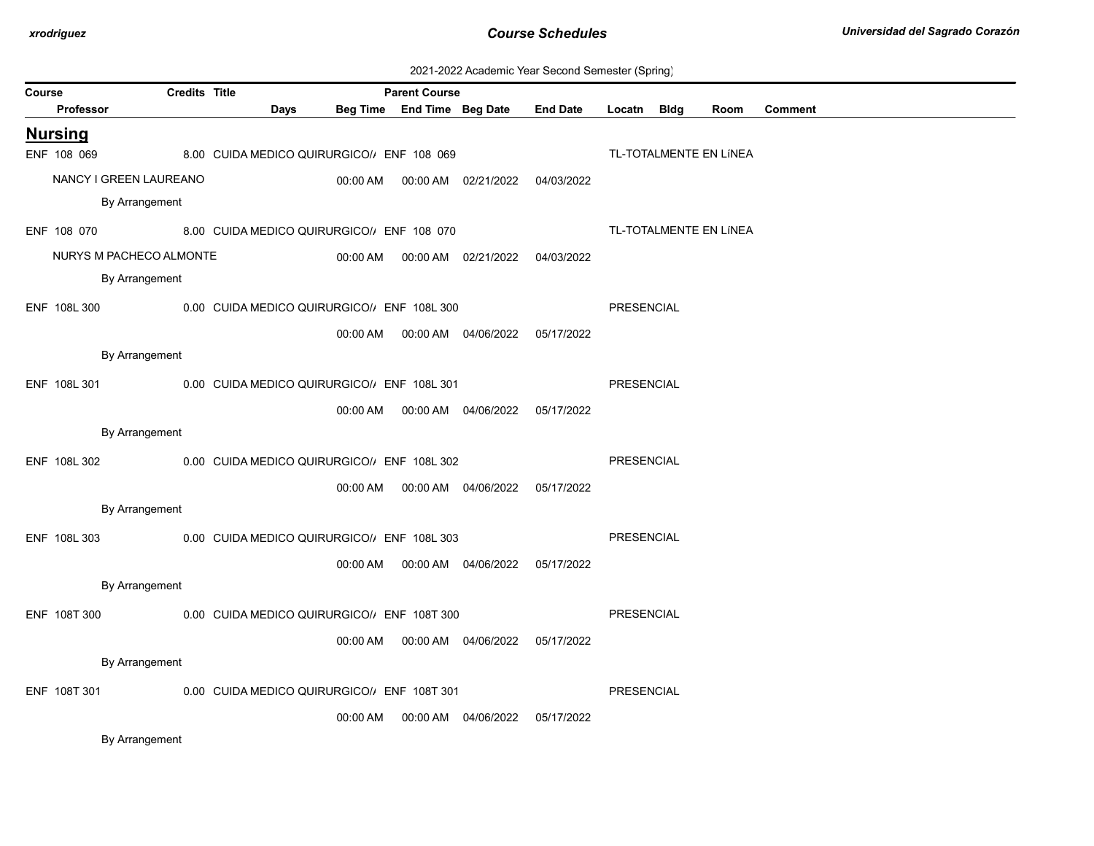| 2021-2022 Academic Year Second Semester (Spring) |  |  |  |
|--------------------------------------------------|--|--|--|
|--------------------------------------------------|--|--|--|

| Course |                                                            | <b>Credits Title</b> |  |      |                                            | <b>Parent Course</b>       |                                            |                 |                   |                        |                |
|--------|------------------------------------------------------------|----------------------|--|------|--------------------------------------------|----------------------------|--------------------------------------------|-----------------|-------------------|------------------------|----------------|
|        | <b>Professor</b>                                           |                      |  | Days |                                            | Beg Time End Time Beg Date |                                            | <b>End Date</b> | Locatn Bldg       | Room                   | <b>Comment</b> |
|        | <b>Nursing</b>                                             |                      |  |      |                                            |                            |                                            |                 |                   |                        |                |
|        | ENF 108 069                                                |                      |  |      | 8.00 CUIDA MEDICO QUIRURGICO/, ENF 108 069 |                            |                                            |                 |                   | TL-TOTALMENTE EN LÍNEA |                |
|        | NANCY I GREEN LAUREANO                                     |                      |  |      | 00:00 AM                                   |                            | 00:00 AM 02/21/2022 04/03/2022             |                 |                   |                        |                |
|        | By Arrangement                                             |                      |  |      |                                            |                            |                                            |                 |                   |                        |                |
|        | ENF 108 070                                                |                      |  |      | 8.00 CUIDA MEDICO QUIRURGICO/, ENF 108 070 |                            |                                            |                 |                   | TL-TOTALMENTE EN LÍNEA |                |
|        | NURYS M PACHECO ALMONTE                                    |                      |  |      |                                            |                            |                                            |                 |                   |                        |                |
|        | By Arrangement                                             |                      |  |      |                                            |                            |                                            |                 |                   |                        |                |
|        | ENF 108L 300                                               |                      |  |      | 0.00 CUIDA MEDICO QUIRURGICO/ ENF 108L 300 |                            |                                            |                 | PRESENCIAL        |                        |                |
|        |                                                            |                      |  |      |                                            |                            | 00:00 AM  00:00 AM  04/06/2022  05/17/2022 |                 |                   |                        |                |
|        | By Arrangement                                             |                      |  |      |                                            |                            |                                            |                 |                   |                        |                |
|        | ENF 108L 301<br>0.00 CUIDA MEDICO QUIRURGICO/ ENF 108L 301 |                      |  |      |                                            |                            | PRESENCIAL                                 |                 |                   |                        |                |
|        |                                                            |                      |  |      |                                            |                            | 00:00 AM  00:00 AM  04/06/2022  05/17/2022 |                 |                   |                        |                |
|        | By Arrangement                                             |                      |  |      |                                            |                            |                                            |                 |                   |                        |                |
|        | ENF 108L 302                                               |                      |  |      | 0.00 CUIDA MEDICO QUIRURGICO/ ENF 108L 302 |                            |                                            |                 | PRESENCIAL        |                        |                |
|        |                                                            |                      |  |      |                                            |                            | 00:00 AM  00:00 AM  04/06/2022  05/17/2022 |                 |                   |                        |                |
|        | By Arrangement                                             |                      |  |      |                                            |                            |                                            |                 |                   |                        |                |
|        | ENF 108L 303                                               |                      |  |      | 0.00 CUIDA MEDICO QUIRURGICO/ ENF 108L 303 |                            |                                            |                 | PRESENCIAL        |                        |                |
|        |                                                            |                      |  |      | 00:00 AM                                   |                            | 00:00 AM 04/06/2022 05/17/2022             |                 |                   |                        |                |
|        | By Arrangement                                             |                      |  |      |                                            |                            |                                            |                 |                   |                        |                |
|        | ENF 108T 300                                               |                      |  |      | 0.00 CUIDA MEDICO QUIRURGICO/ ENF 108T 300 |                            |                                            |                 | <b>PRESENCIAL</b> |                        |                |
|        |                                                            |                      |  |      |                                            |                            | 00:00 AM  00:00 AM  04/06/2022  05/17/2022 |                 |                   |                        |                |
|        | By Arrangement                                             |                      |  |      |                                            |                            |                                            |                 |                   |                        |                |
|        | ENF 108T 301                                               |                      |  |      | 0.00 CUIDA MEDICO QUIRURGICO/ ENF 108T 301 |                            |                                            |                 | PRESENCIAL        |                        |                |
|        |                                                            |                      |  |      | 00:00 AM                                   |                            | 00:00 AM 04/06/2022                        | 05/17/2022      |                   |                        |                |
|        |                                                            |                      |  |      |                                            |                            |                                            |                 |                   |                        |                |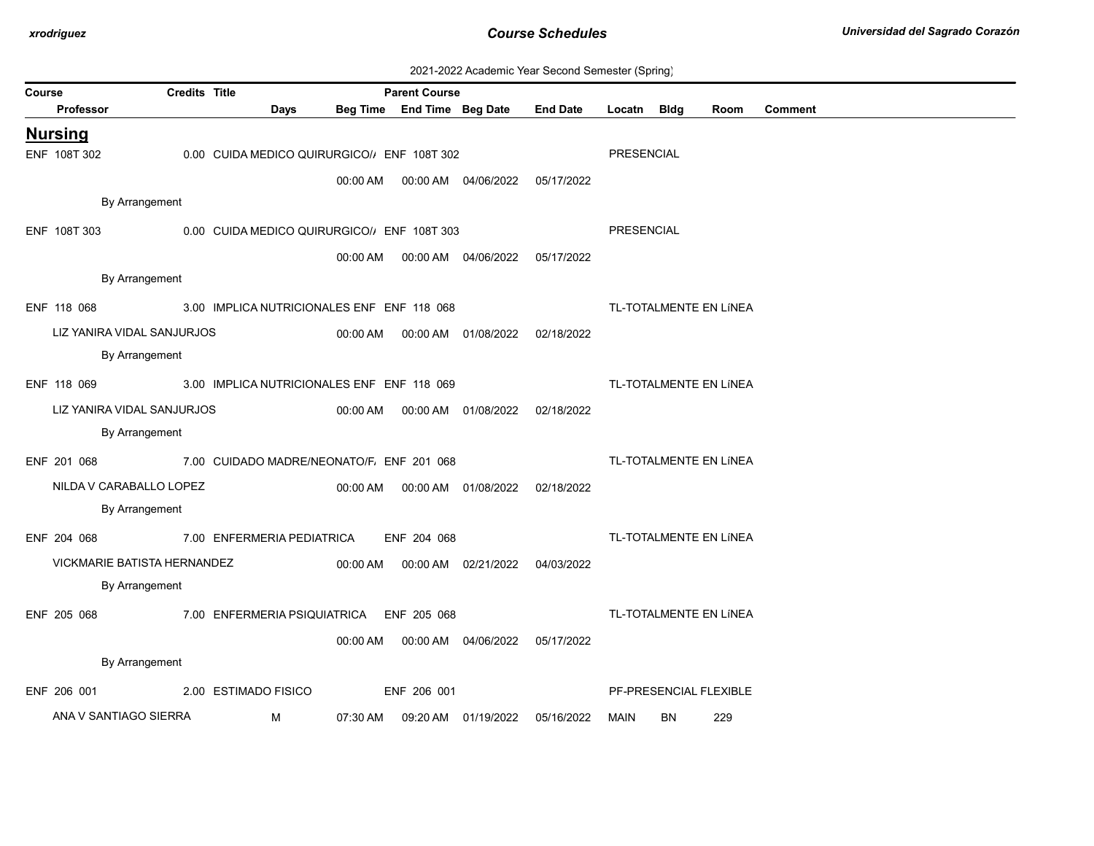| 2021-2022 Academic Year Second Semester (Spring) |  |  |  |
|--------------------------------------------------|--|--|--|
|--------------------------------------------------|--|--|--|

| Course |                             | <b>Credits Title</b> |                                            |          | <b>Parent Course</b>       |                                            |                 |                   |    |                        |                |
|--------|-----------------------------|----------------------|--------------------------------------------|----------|----------------------------|--------------------------------------------|-----------------|-------------------|----|------------------------|----------------|
|        | Professor                   |                      | <b>Days</b>                                |          | Beg Time End Time Beg Date |                                            | <b>End Date</b> | Locatn Bldg       |    | Room                   | <b>Comment</b> |
|        | <b>Nursing</b>              |                      |                                            |          |                            |                                            |                 |                   |    |                        |                |
|        | ENF 108T 302                |                      | 0.00 CUIDA MEDICO QUIRURGICO/ ENF 108T 302 |          |                            |                                            |                 | <b>PRESENCIAL</b> |    |                        |                |
|        |                             |                      |                                            | 00:00 AM |                            |                                            | 05/17/2022      |                   |    |                        |                |
|        | By Arrangement              |                      |                                            |          |                            |                                            |                 |                   |    |                        |                |
|        | ENF 108T 303                |                      | 0.00 CUIDA MEDICO QUIRURGICO/ ENF 108T 303 |          |                            |                                            |                 | PRESENCIAL        |    |                        |                |
|        |                             |                      |                                            | 00:00 AM |                            | 00:00 AM 04/06/2022                        | 05/17/2022      |                   |    |                        |                |
|        | By Arrangement              |                      |                                            |          |                            |                                            |                 |                   |    |                        |                |
|        | ENF 118 068                 |                      | 3.00 IMPLICA NUTRICIONALES ENF ENF 118 068 |          |                            |                                            |                 |                   |    | TL-TOTALMENTE EN LÍNEA |                |
|        | LIZ YANIRA VIDAL SANJURJOS  |                      |                                            |          |                            | 00:00 AM  00:00 AM  01/08/2022  02/18/2022 |                 |                   |    |                        |                |
|        | By Arrangement              |                      |                                            |          |                            |                                            |                 |                   |    |                        |                |
|        | ENF 118 069                 |                      | 3.00 IMPLICA NUTRICIONALES ENF ENF 118 069 |          |                            |                                            |                 |                   |    | TL-TOTALMENTE EN LÍNEA |                |
|        | LIZ YANIRA VIDAL SANJURJOS  |                      |                                            |          |                            | 00:00 AM  00:00 AM  01/08/2022  02/18/2022 |                 |                   |    |                        |                |
|        | By Arrangement              |                      |                                            |          |                            |                                            |                 |                   |    |                        |                |
|        | ENF 201 068                 |                      | 7.00 CUIDADO MADRE/NEONATO/F. ENF 201 068  |          |                            |                                            |                 |                   |    | TL-TOTALMENTE EN LÍNEA |                |
|        | NILDA V CARABALLO LOPEZ     |                      |                                            |          |                            | 00:00 AM  00:00 AM  01/08/2022  02/18/2022 |                 |                   |    |                        |                |
|        | By Arrangement              |                      |                                            |          |                            |                                            |                 |                   |    |                        |                |
|        | ENF 204 068                 |                      | 7.00 ENFERMERIA PEDIATRICA                 |          | ENF 204 068                |                                            |                 |                   |    | TL-TOTALMENTE EN LÍNEA |                |
|        | VICKMARIE BATISTA HERNANDEZ |                      |                                            | 00:00 AM |                            | 00:00 AM 02/21/2022 04/03/2022             |                 |                   |    |                        |                |
|        | By Arrangement              |                      |                                            |          |                            |                                            |                 |                   |    |                        |                |
|        | ENF 205 068                 |                      | 7.00 ENFERMERIA PSIQUIATRICA ENF 205 068   |          |                            |                                            |                 |                   |    | TL-TOTALMENTE EN LÍNEA |                |
|        |                             |                      |                                            | 00:00 AM |                            | 00:00 AM  04/06/2022  05/17/2022           |                 |                   |    |                        |                |
|        | By Arrangement              |                      |                                            |          |                            |                                            |                 |                   |    |                        |                |
|        | ENF 206 001                 |                      | 2.00 ESTIMADO FISICO                       |          | ENF 206 001                |                                            |                 |                   |    | PF-PRESENCIAL FLEXIBLE |                |
|        | ANA V SANTIAGO SIERRA       |                      | м                                          | 07:30 AM |                            | 09:20 AM 01/19/2022                        | 05/16/2022      | MAIN              | BN | 229                    |                |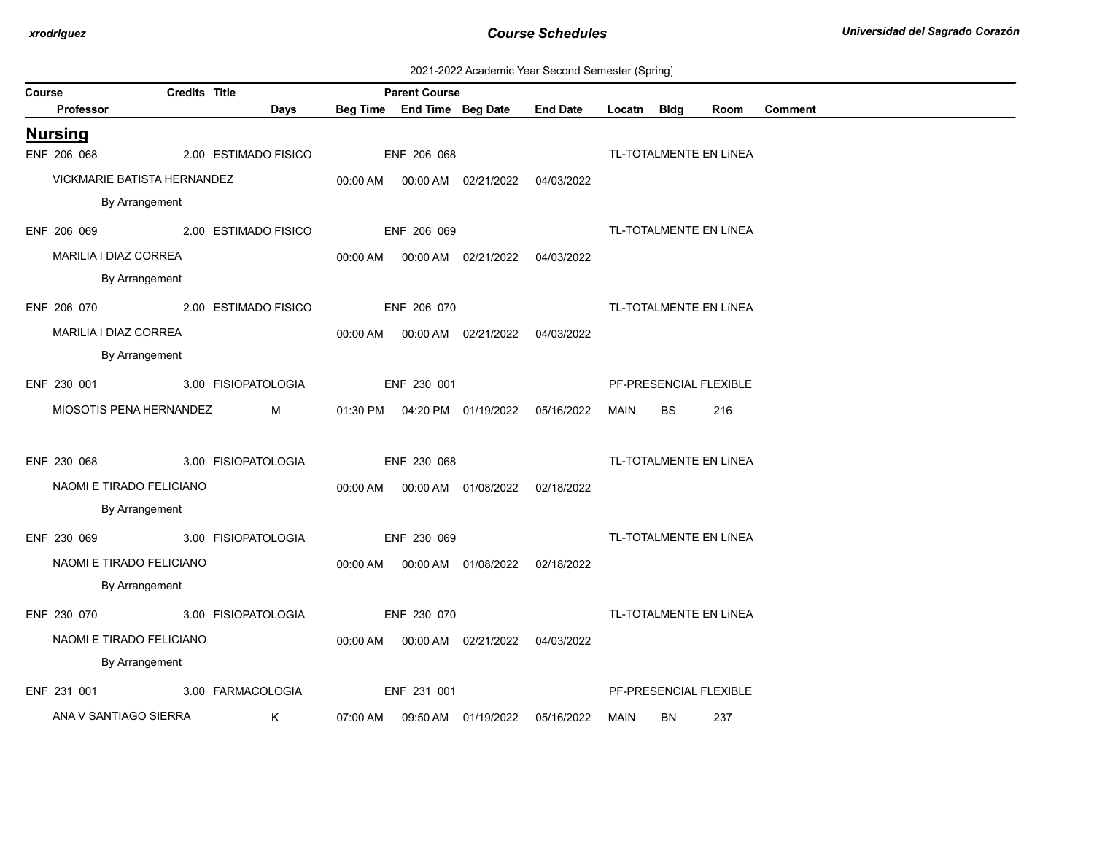| 2021-2022 Academic Year Second Semester (Spring) |  |  |  |
|--------------------------------------------------|--|--|--|
|--------------------------------------------------|--|--|--|

| Course |                                  | <b>Credits Title</b> |                     |          | <b>Parent Course</b> |                                            |                 |             |           |                        |                |
|--------|----------------------------------|----------------------|---------------------|----------|----------------------|--------------------------------------------|-----------------|-------------|-----------|------------------------|----------------|
|        | Professor                        |                      | Days                |          |                      | Beg Time End Time Beg Date                 | <b>End Date</b> | Locatn Bldg |           | Room                   | <b>Comment</b> |
|        | <b>Nursing</b>                   |                      |                     |          |                      |                                            |                 |             |           |                        |                |
|        | ENF 206 068                      | 2.00 ESTIMADO FISICO |                     |          | ENF 206 068          |                                            |                 |             |           | TL-TOTALMENTE EN LÍNEA |                |
|        | VICKMARIE BATISTA HERNANDEZ      |                      |                     |          |                      | 00:00 AM  00:00 AM  02/21/2022  04/03/2022 |                 |             |           |                        |                |
|        | By Arrangement                   |                      |                     |          |                      |                                            |                 |             |           |                        |                |
|        | ENF 206 069 2.00 ESTIMADO FISICO |                      |                     |          | ENF 206 069          |                                            |                 |             |           | TL-TOTALMENTE EN LÍNEA |                |
|        | MARILIA I DIAZ CORREA            |                      |                     |          |                      |                                            |                 |             |           |                        |                |
|        | By Arrangement                   |                      |                     |          |                      |                                            |                 |             |           |                        |                |
|        | ENF 206 070 2.00 ESTIMADO FISICO |                      |                     |          | ENF 206 070          |                                            |                 |             |           | TL-TOTALMENTE EN LÍNEA |                |
|        | MARILIA I DIAZ CORREA            |                      |                     |          |                      | 00:00 AM  00:00 AM  02/21/2022  04/03/2022 |                 |             |           |                        |                |
|        | By Arrangement                   |                      |                     |          |                      |                                            |                 |             |           |                        |                |
|        | ENF 230 001                      |                      | 3.00 FISIOPATOLOGIA |          | ENF 230 001          |                                            |                 |             |           | PF-PRESENCIAL FLEXIBLE |                |
|        | MIOSOTIS PENA HERNANDEZ          |                      | M                   |          |                      | 01:30 PM  04:20 PM  01/19/2022  05/16/2022 |                 | MAIN        | <b>BS</b> | 216                    |                |
|        |                                  |                      |                     |          |                      |                                            |                 |             |           |                        |                |
|        | ENF 230 068                      |                      | 3.00 FISIOPATOLOGIA |          | ENF 230 068          |                                            |                 |             |           | TL-TOTALMENTE EN LÍNEA |                |
|        | NAOMI E TIRADO FELICIANO         |                      |                     |          |                      | 00:00 AM  00:00 AM  01/08/2022  02/18/2022 |                 |             |           |                        |                |
|        | By Arrangement                   |                      |                     |          |                      |                                            |                 |             |           |                        |                |
|        | ENF 230 069                      |                      | 3.00 FISIOPATOLOGIA |          | ENF 230 069          |                                            |                 |             |           | TL-TOTALMENTE EN LÍNEA |                |
|        | NAOMI E TIRADO FELICIANO         |                      |                     |          |                      | 00:00 AM  00:00 AM  01/08/2022  02/18/2022 |                 |             |           |                        |                |
|        | By Arrangement                   |                      |                     |          |                      |                                            |                 |             |           |                        |                |
|        | ENF 230 070 3.00 FISIOPATOLOGIA  |                      |                     |          | ENF 230 070          |                                            |                 |             |           | TL-TOTALMENTE EN LÍNEA |                |
|        | NAOMI E TIRADO FELICIANO         |                      |                     |          |                      | 00:00 AM  00:00 AM  02/21/2022  04/03/2022 |                 |             |           |                        |                |
|        | By Arrangement                   |                      |                     |          |                      |                                            |                 |             |           |                        |                |
|        | ENF 231 001                      |                      | 3.00 FARMACOLOGIA   |          | ENF 231 001          |                                            |                 |             |           | PF-PRESENCIAL FLEXIBLE |                |
|        | ANA V SANTIAGO SIERRA            |                      | K                   | 07:00 AM |                      |                                            | 05/16/2022      | MAIN        | BN        | 237                    |                |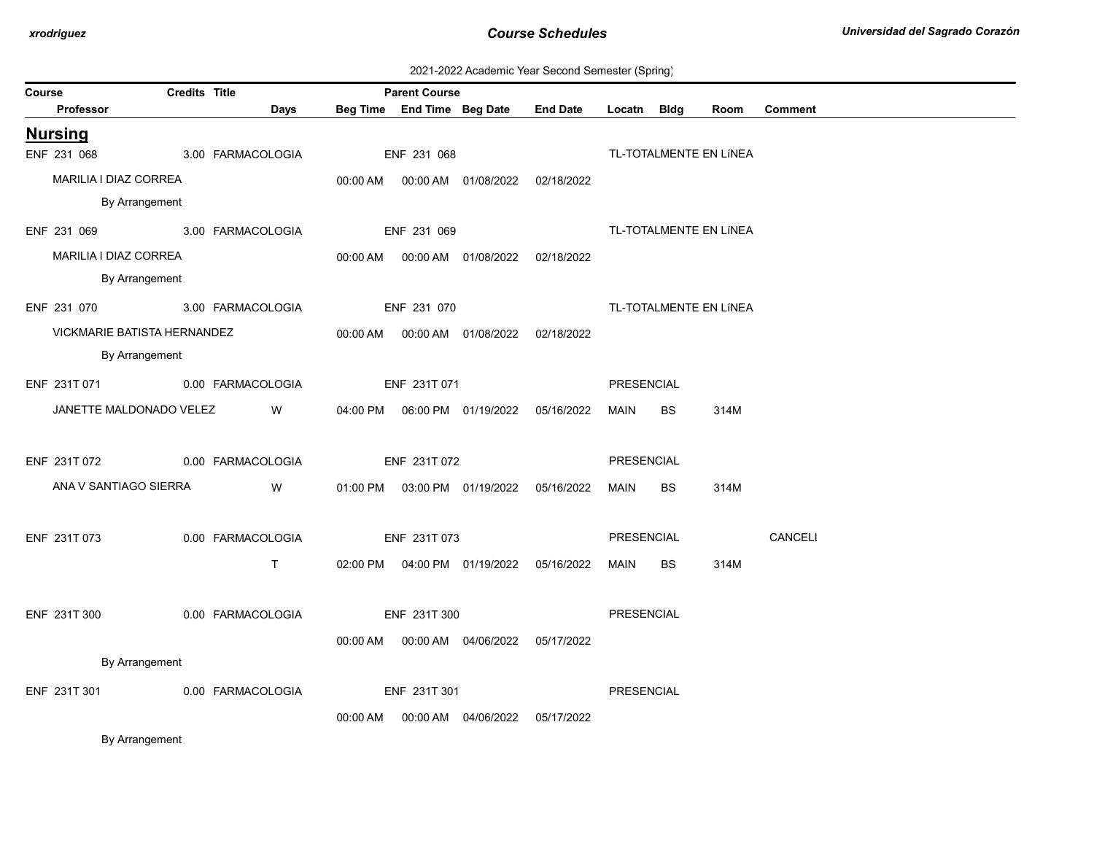|  | 2021-2022 Academic Year Second Semester (Spring) |  |  |  |  |
|--|--------------------------------------------------|--|--|--|--|
|--|--------------------------------------------------|--|--|--|--|

| Course |                                | <b>Credits Title</b> |                                                                                                                         |             | <b>Parent Course</b> |                                            | EUE POEE ROGGOTING TOGE OCCURS COMOCIO (OPHING) |             |           |                        |                |
|--------|--------------------------------|----------------------|-------------------------------------------------------------------------------------------------------------------------|-------------|----------------------|--------------------------------------------|-------------------------------------------------|-------------|-----------|------------------------|----------------|
|        | <b>Professor</b>               |                      | Days                                                                                                                    |             |                      | Beg Time End Time Beg Date                 | <b>End Date</b>                                 | Locatn Bldg |           | Room                   | <b>Comment</b> |
|        | <b>Nursing</b>                 |                      |                                                                                                                         |             |                      |                                            |                                                 |             |           |                        |                |
|        | ENF 231 068                    | 3.00 FARMACOLOGIA    |                                                                                                                         |             | ENF 231 068          |                                            |                                                 |             |           | TL-TOTALMENTE EN LÍNEA |                |
|        | MARILIA I DIAZ CORREA          |                      |                                                                                                                         |             |                      | 00:00 AM  00:00 AM  01/08/2022  02/18/2022 |                                                 |             |           |                        |                |
|        | By Arrangement                 |                      |                                                                                                                         |             |                      |                                            |                                                 |             |           |                        |                |
|        | ENF 231 069 3.00 FARMACOLOGIA  |                      |                                                                                                                         |             | ENF 231 069          |                                            |                                                 |             |           | TL-TOTALMENTE EN LÍNEA |                |
|        | MARILIA I DIAZ CORREA          |                      |                                                                                                                         |             |                      | 00:00 AM  00:00 AM  01/08/2022  02/18/2022 |                                                 |             |           |                        |                |
|        | By Arrangement                 |                      |                                                                                                                         |             |                      |                                            |                                                 |             |           |                        |                |
|        | ENF 231 070 3.00 FARMACOLOGIA  |                      |                                                                                                                         | ENF 231 070 |                      |                                            |                                                 |             |           | TL-TOTALMENTE EN LÍNEA |                |
|        | VICKMARIE BATISTA HERNANDEZ    |                      |                                                                                                                         |             |                      | 00:00 AM  00:00 AM  01/08/2022  02/18/2022 |                                                 |             |           |                        |                |
|        | By Arrangement                 |                      |                                                                                                                         |             |                      |                                            |                                                 |             |           |                        |                |
|        | ENF 231T 071 0.00 FARMACOLOGIA |                      |                                                                                                                         |             | ENF 231T 071         |                                            |                                                 | PRESENCIAL  |           |                        |                |
|        | JANETTE MALDONADO VELEZ W      |                      |                                                                                                                         |             |                      |                                            |                                                 | <b>MAIN</b> | <b>BS</b> | 314M                   |                |
|        |                                |                      |                                                                                                                         |             |                      |                                            |                                                 |             |           |                        |                |
|        | ENF 231T 072 0.00 FARMACOLOGIA |                      |                                                                                                                         |             | ENF 231T 072         |                                            |                                                 | PRESENCIAL  |           |                        |                |
|        | ANA V SANTIAGO SIERRA          |                      | <b>Solution</b> Service Service Service Service Service Service Service Service Service Service Service Service Service |             |                      | 01:00 PM  03:00 PM  01/19/2022  05/16/2022 |                                                 | MAIN        | BS        | 314M                   |                |
|        |                                |                      |                                                                                                                         |             |                      |                                            |                                                 |             |           |                        |                |
|        | ENF 231T 073                   |                      | 0.00 FARMACOLOGIA                                                                                                       |             | ENF 231T 073         |                                            |                                                 | PRESENCIAL  |           |                        | <b>CANCELI</b> |
|        |                                |                      | $\mathsf{T}$ and $\mathsf{T}$                                                                                           |             |                      |                                            | 02:00 PM  04:00 PM  01/19/2022  05/16/2022      | MAIN BS     |           | 314M                   |                |
|        |                                |                      |                                                                                                                         |             |                      |                                            |                                                 |             |           |                        |                |
|        | ENF 231T 300                   |                      | 0.00 FARMACOLOGIA                                                                                                       |             | ENF 231T 300         |                                            |                                                 | PRESENCIAL  |           |                        |                |
|        |                                |                      |                                                                                                                         |             |                      | 00:00 AM  00:00 AM  04/06/2022  05/17/2022 |                                                 |             |           |                        |                |
|        | By Arrangement                 |                      |                                                                                                                         |             |                      |                                            |                                                 |             |           |                        |                |
|        | ENF 231T 301                   | 0.00 FARMACOLOGIA    |                                                                                                                         |             | ENF 231T 301         |                                            |                                                 | PRESENCIAL  |           |                        |                |
|        |                                |                      |                                                                                                                         |             |                      | 00:00 AM   00:00 AM   04/06/2022           | 05/17/2022                                      |             |           |                        |                |
|        |                                |                      |                                                                                                                         |             |                      |                                            |                                                 |             |           |                        |                |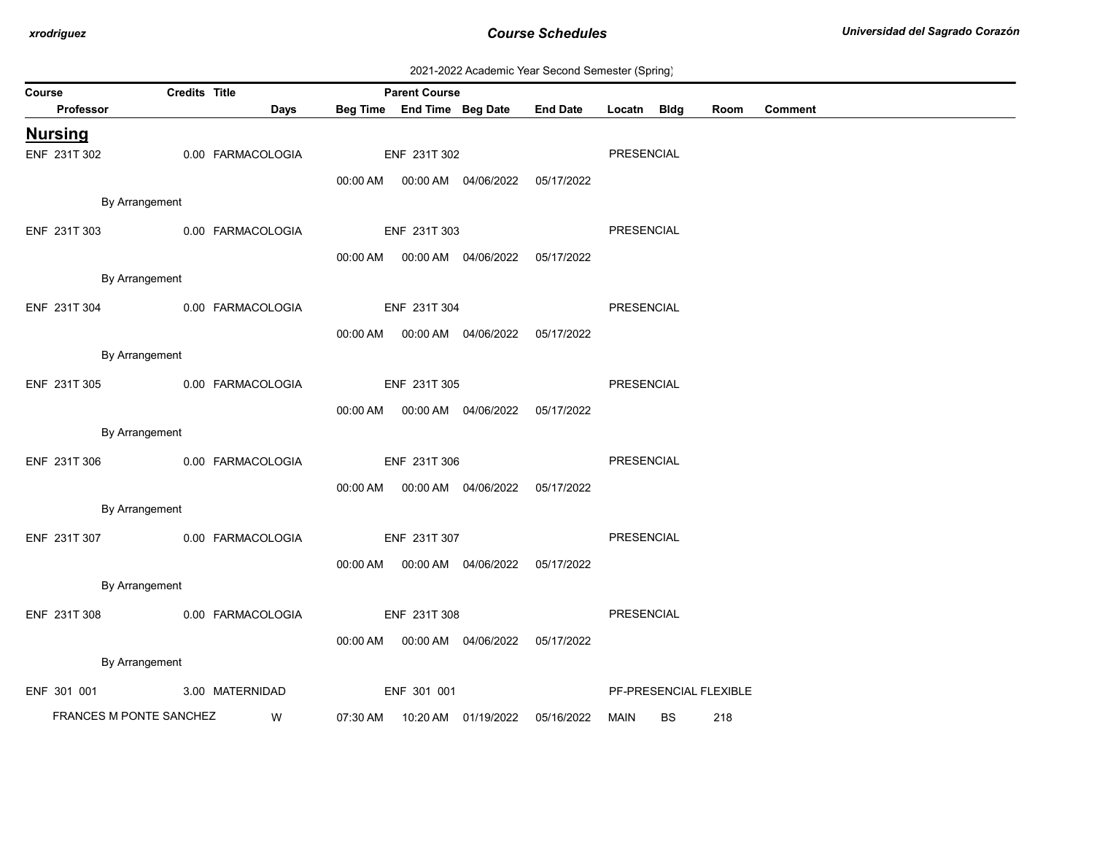| 2021-2022 Academic Year Second Semester (Spring) |  |  |  |
|--------------------------------------------------|--|--|--|
|--------------------------------------------------|--|--|--|

| ------- ---------- (-r----g)<br><b>Credits Title</b><br><b>Parent Course</b><br>Course |                         |                                |      |              |              |                                            |                                     |             |           |                        |                |
|----------------------------------------------------------------------------------------|-------------------------|--------------------------------|------|--------------|--------------|--------------------------------------------|-------------------------------------|-------------|-----------|------------------------|----------------|
|                                                                                        | Professor               |                                | Days |              |              |                                            | Beg Time End Time Beg Date End Date | Locatn Bldg |           | Room                   | <b>Comment</b> |
|                                                                                        | <b>Nursing</b>          |                                |      |              |              |                                            |                                     |             |           |                        |                |
|                                                                                        | ENF 231T 302            | 0.00 FARMACOLOGIA              |      |              | ENF 231T 302 |                                            |                                     | PRESENCIAL  |           |                        |                |
|                                                                                        |                         |                                |      |              |              | 00:00 AM  00:00 AM  04/06/2022  05/17/2022 |                                     |             |           |                        |                |
|                                                                                        |                         | By Arrangement                 |      |              |              |                                            |                                     |             |           |                        |                |
|                                                                                        | ENF 231T 303            | 0.00 FARMACOLOGIA              |      |              | ENF 231T 303 |                                            |                                     | PRESENCIAL  |           |                        |                |
|                                                                                        |                         |                                |      |              |              |                                            |                                     |             |           |                        |                |
|                                                                                        |                         | By Arrangement                 |      |              |              | 00:00 AM  00:00 AM  04/06/2022  05/17/2022 |                                     |             |           |                        |                |
|                                                                                        |                         |                                |      |              |              |                                            |                                     |             |           |                        |                |
|                                                                                        |                         | ENF 231T 304 0.00 FARMACOLOGIA |      |              | ENF 231T 304 |                                            |                                     | PRESENCIAL  |           |                        |                |
|                                                                                        |                         |                                |      |              |              | 00:00 AM  00:00 AM  04/06/2022  05/17/2022 |                                     |             |           |                        |                |
|                                                                                        |                         | By Arrangement                 |      |              |              |                                            |                                     |             |           |                        |                |
|                                                                                        | ENF 231T 305            | 0.00 FARMACOLOGIA              |      |              | ENF 231T 305 |                                            |                                     | PRESENCIAL  |           |                        |                |
|                                                                                        |                         |                                |      |              |              | 00:00 AM  00:00 AM  04/06/2022  05/17/2022 |                                     |             |           |                        |                |
|                                                                                        |                         | By Arrangement                 |      |              |              |                                            |                                     |             |           |                        |                |
|                                                                                        | ENF 231T 306            | 0.00 FARMACOLOGIA              |      | ENF 231T 306 |              |                                            |                                     | PRESENCIAL  |           |                        |                |
|                                                                                        |                         |                                |      |              |              | 00:00 AM  00:00 AM  04/06/2022  05/17/2022 |                                     |             |           |                        |                |
|                                                                                        |                         | By Arrangement                 |      |              |              |                                            |                                     |             |           |                        |                |
|                                                                                        |                         |                                |      |              |              |                                            |                                     |             |           |                        |                |
|                                                                                        | ENF 231T 307            | 0.00 FARMACOLOGIA              |      |              | ENF 231T 307 |                                            |                                     | PRESENCIAL  |           |                        |                |
|                                                                                        |                         |                                |      |              |              | 00:00 AM  00:00 AM  04/06/2022  05/17/2022 |                                     |             |           |                        |                |
|                                                                                        |                         | By Arrangement                 |      |              |              |                                            |                                     |             |           |                        |                |
|                                                                                        | ENF 231T 308            | 0.00 FARMACOLOGIA              |      |              | ENF 231T 308 |                                            |                                     | PRESENCIAL  |           |                        |                |
|                                                                                        |                         |                                |      |              |              | 00:00 AM  00:00 AM  04/06/2022  05/17/2022 |                                     |             |           |                        |                |
|                                                                                        |                         | By Arrangement                 |      |              |              |                                            |                                     |             |           |                        |                |
|                                                                                        | ENF 301 001             | 3.00 MATERNIDAD                |      |              | ENF 301 001  |                                            |                                     |             |           | PF-PRESENCIAL FLEXIBLE |                |
|                                                                                        | FRANCES M PONTE SANCHEZ |                                | W    |              |              | 07:30 AM  10:20 AM  01/19/2022  05/16/2022 |                                     | MAIN        | <b>BS</b> | 218                    |                |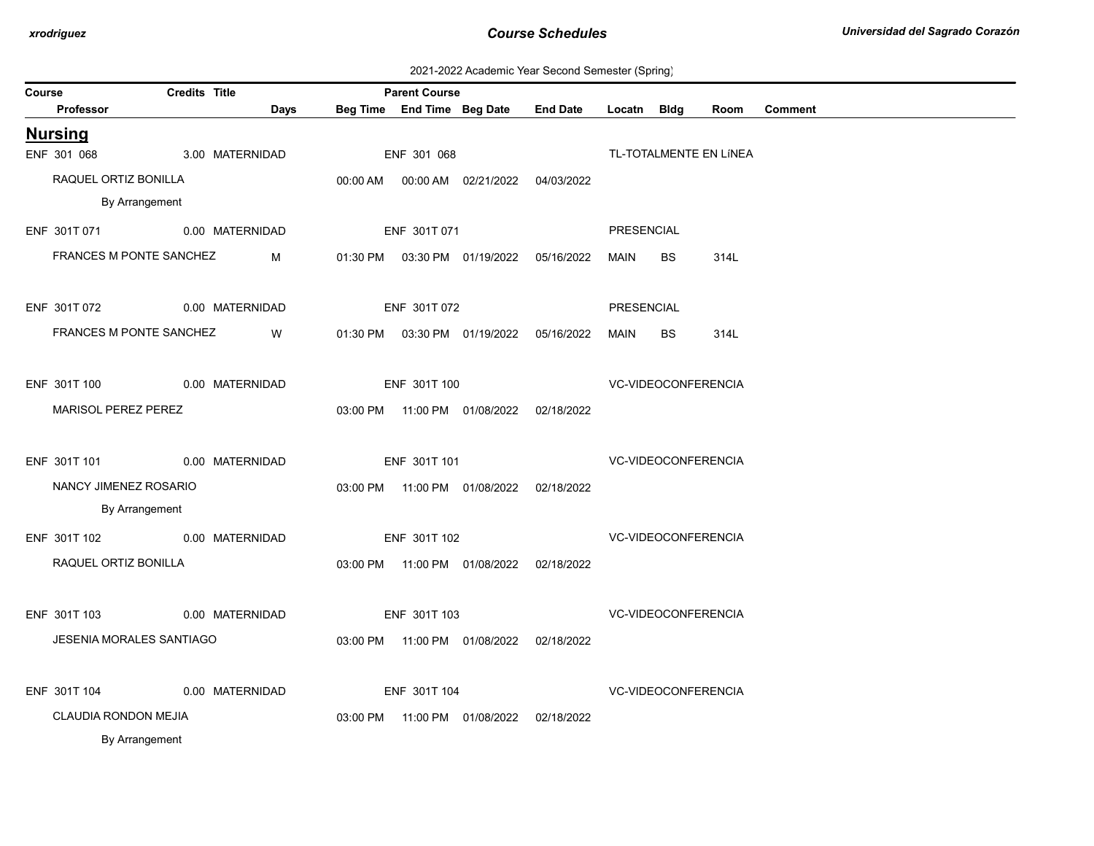2021-2022 Academic Year Second Semester (Spring)

| <b>Course</b> |                                        | <b>Credits Title</b> |      |              | <b>Parent Course</b> |                                            |                 |             |                            |                        |                |
|---------------|----------------------------------------|----------------------|------|--------------|----------------------|--------------------------------------------|-----------------|-------------|----------------------------|------------------------|----------------|
|               | Professor                              |                      | Days |              |                      | Beg Time End Time Beg Date                 | <b>End Date</b> | Locatn Bldg |                            | Room                   | <b>Comment</b> |
|               | <b>Nursing</b>                         |                      |      |              |                      |                                            |                 |             |                            |                        |                |
|               | ENF 301 068                            | 3.00 MATERNIDAD      |      |              | ENF 301 068          |                                            |                 |             |                            | TL-TOTALMENTE EN LÍNEA |                |
|               | RAQUEL ORTIZ BONILLA                   |                      |      |              |                      | 00:00 AM  00:00 AM  02/21/2022  04/03/2022 |                 |             |                            |                        |                |
|               | By Arrangement                         |                      |      |              |                      |                                            |                 |             |                            |                        |                |
|               | ENF 301T 071                           | 0.00 MATERNIDAD      |      |              | ENF 301T 071         |                                            |                 | PRESENCIAL  |                            |                        |                |
|               | FRANCES M PONTE SANCHEZ                |                      | M    |              |                      | 01:30 PM  03:30 PM  01/19/2022  05/16/2022 |                 | MAIN        | <b>BS</b>                  | 314L                   |                |
|               | ENF 301T 072                           | 0.00 MATERNIDAD      |      |              | ENF 301T 072         |                                            |                 | PRESENCIAL  |                            |                        |                |
|               | FRANCES M PONTE SANCHEZ                |                      | W    |              |                      | 01:30 PM  03:30 PM  01/19/2022  05/16/2022 |                 | MAIN        | <b>BS</b>                  | 314L                   |                |
|               | ENF 301T 100<br>0.00 MATERNIDAD        |                      |      | ENF 301T 100 |                      |                                            |                 |             | <b>VC-VIDEOCONFERENCIA</b> |                        |                |
|               | MARISOL PEREZ PEREZ                    |                      |      |              |                      | 03:00 PM  11:00 PM  01/08/2022  02/18/2022 |                 |             |                            |                        |                |
|               | ENF 301T 101                           | 0.00 MATERNIDAD      |      |              | ENF 301T 101         |                                            |                 |             | VC-VIDEOCONFERENCIA        |                        |                |
|               | NANCY JIMENEZ ROSARIO                  |                      |      |              |                      | 03:00 PM  11:00 PM  01/08/2022  02/18/2022 |                 |             |                            |                        |                |
|               | By Arrangement                         |                      |      |              |                      |                                            |                 |             |                            |                        |                |
|               | ENF 301T 102 0.00 MATERNIDAD           |                      |      |              | ENF 301T 102         |                                            |                 |             | <b>VC-VIDEOCONFERENCIA</b> |                        |                |
|               | RAQUEL ORTIZ BONILLA                   |                      |      |              |                      | 03:00 PM  11:00 PM  01/08/2022  02/18/2022 |                 |             |                            |                        |                |
|               | ENF 301T 103                           | 0.00 MATERNIDAD      |      |              | ENF 301T 103         |                                            |                 |             | <b>VC-VIDEOCONFERENCIA</b> |                        |                |
|               | <b>JESENIA MORALES SANTIAGO</b>        |                      |      |              |                      | 03:00 PM  11:00 PM  01/08/2022  02/18/2022 |                 |             |                            |                        |                |
|               | ENF 301T 104                           | 0.00 MATERNIDAD      |      |              | ENF 301T 104         |                                            |                 |             | VC-VIDEOCONFERENCIA        |                        |                |
|               | CLAUDIA RONDON MEJIA<br>By Arrangement |                      |      |              |                      | 03:00 PM  11:00 PM  01/08/2022  02/18/2022 |                 |             |                            |                        |                |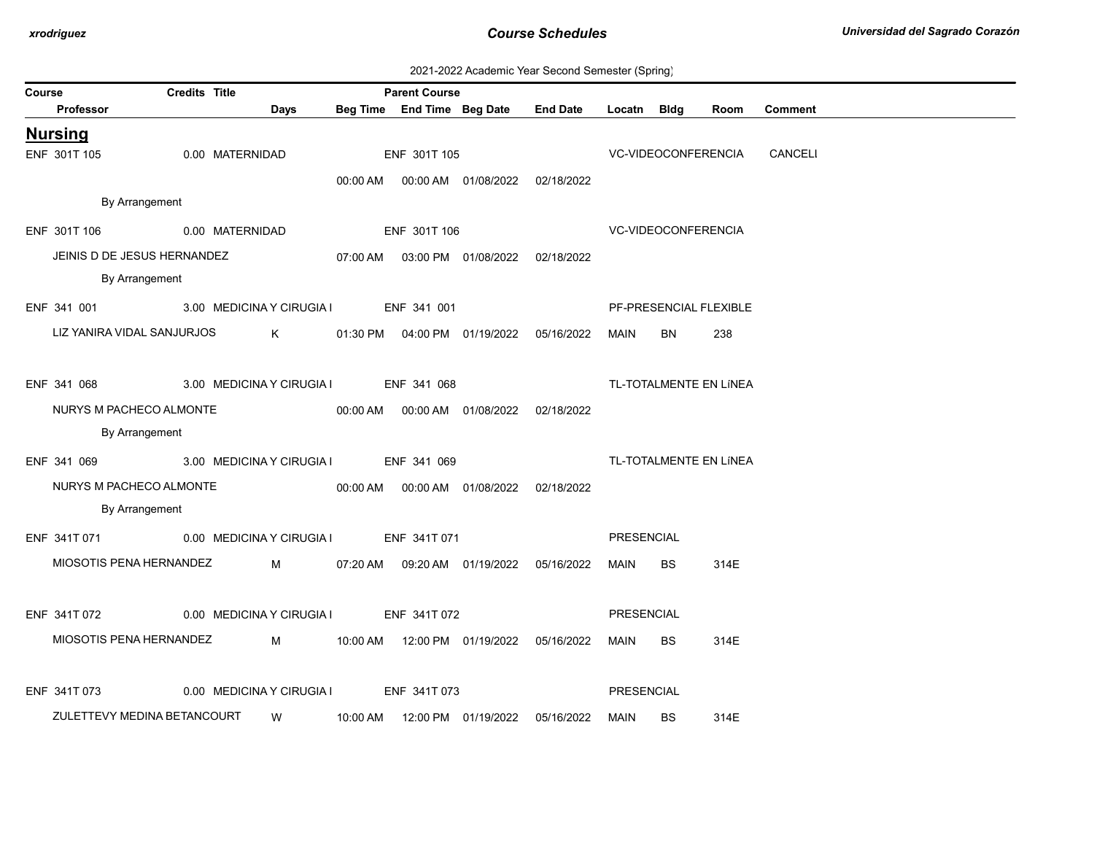| 2021-2022 Academic Year Second Semester (Spring) |  |  |  |  |  |
|--------------------------------------------------|--|--|--|--|--|
|--------------------------------------------------|--|--|--|--|--|

| Course |                             | <b>Credits Title</b> |                                                     |          | <b>Parent Course</b> |                                              |                                            |                            |           |                        |                             |  |
|--------|-----------------------------|----------------------|-----------------------------------------------------|----------|----------------------|----------------------------------------------|--------------------------------------------|----------------------------|-----------|------------------------|-----------------------------|--|
|        | Professor                   |                      | Days                                                |          |                      | Beg Time End Time Beg Date                   | <b>End Date</b>                            | Locatn Bldg                |           | Room                   | <b>Comment</b>              |  |
|        | <b>Nursing</b>              |                      |                                                     |          |                      |                                              |                                            |                            |           |                        |                             |  |
|        | ENF 301T 105                |                      | 0.00 MATERNIDAD                                     |          | ENF 301T 105         |                                              |                                            |                            |           |                        | VC-VIDEOCONFERENCIA CANCELI |  |
|        |                             |                      |                                                     |          |                      |                                              | 00:00 AM  00:00 AM  01/08/2022  02/18/2022 |                            |           |                        |                             |  |
|        | By Arrangement              |                      |                                                     |          |                      |                                              |                                            |                            |           |                        |                             |  |
|        | ENF 301T 106                |                      | 0.00 MATERNIDAD                                     |          | ENF 301T 106         |                                              |                                            | <b>VC-VIDEOCONFERENCIA</b> |           |                        |                             |  |
|        | JEINIS D DE JESUS HERNANDEZ |                      |                                                     |          |                      | 07:00 AM  03:00 PM  01/08/2022  02/18/2022   |                                            |                            |           |                        |                             |  |
|        | By Arrangement              |                      |                                                     |          |                      |                                              |                                            |                            |           |                        |                             |  |
|        |                             |                      | ENF 341 001 3.00 MEDICINA Y CIRUGIA I ENF 341 001   |          |                      |                                              |                                            |                            |           | PF-PRESENCIAL FLEXIBLE |                             |  |
|        | LIZ YANIRA VIDAL SANJURJOS  |                      |                                                     |          |                      |                                              |                                            | MAIN                       | BN.       | 238                    |                             |  |
|        |                             |                      |                                                     |          |                      |                                              |                                            |                            |           |                        |                             |  |
|        |                             |                      | ENF 341 068 3.00 MEDICINA Y CIRUGIA I ENF 341 068   |          |                      |                                              |                                            |                            |           | TL-TOTALMENTE EN LÍNEA |                             |  |
|        | NURYS M PACHECO ALMONTE     |                      |                                                     |          |                      | 00:00 AM   00:00 AM   01/08/2022  02/18/2022 |                                            |                            |           |                        |                             |  |
|        | By Arrangement              |                      |                                                     |          |                      |                                              |                                            |                            |           |                        |                             |  |
|        |                             |                      | ENF 341 069 3.00 MEDICINA Y CIRUGIA I ENF 341 069   |          |                      |                                              |                                            |                            |           | TL-TOTALMENTE EN LÍNEA |                             |  |
|        | NURYS M PACHECO ALMONTE     |                      |                                                     |          |                      | 00:00 AM  00:00 AM  01/08/2022  02/18/2022   |                                            |                            |           |                        |                             |  |
|        | By Arrangement              |                      |                                                     |          |                      |                                              |                                            |                            |           |                        |                             |  |
|        |                             |                      | ENF 341T 071 0.00 MEDICINA Y CIRUGIA I ENF 341T 071 |          |                      |                                              |                                            | PRESENCIAL                 |           |                        |                             |  |
|        |                             |                      | MIOSOTIS PENA HERNANDEZ M                           |          |                      |                                              | 07:20 AM  09:20 AM  01/19/2022  05/16/2022 | MAIN                       | <b>BS</b> | 314E                   |                             |  |
|        |                             |                      |                                                     |          |                      |                                              |                                            |                            |           |                        |                             |  |
|        |                             |                      | ENF 341T 072 0.00 MEDICINA Y CIRUGIA I ENF 341T 072 |          |                      |                                              |                                            | PRESENCIAL                 |           |                        |                             |  |
|        | MIOSOTIS PENA HERNANDEZ     |                      |                                                     |          |                      |                                              |                                            | MAIN                       | <b>BS</b> | 314E                   |                             |  |
|        |                             |                      |                                                     |          |                      |                                              |                                            |                            |           |                        |                             |  |
|        | ENF 341T 073                |                      | 0.00 MEDICINA Y CIRUGIA I                           |          | ENF 341T 073         |                                              |                                            | PRESENCIAL                 |           |                        |                             |  |
|        | ZULETTEVY MEDINA BETANCOURT |                      | W                                                   | 10:00 AM |                      | 12:00 PM  01/19/2022  05/16/2022             |                                            | MAIN                       | <b>BS</b> | 314E                   |                             |  |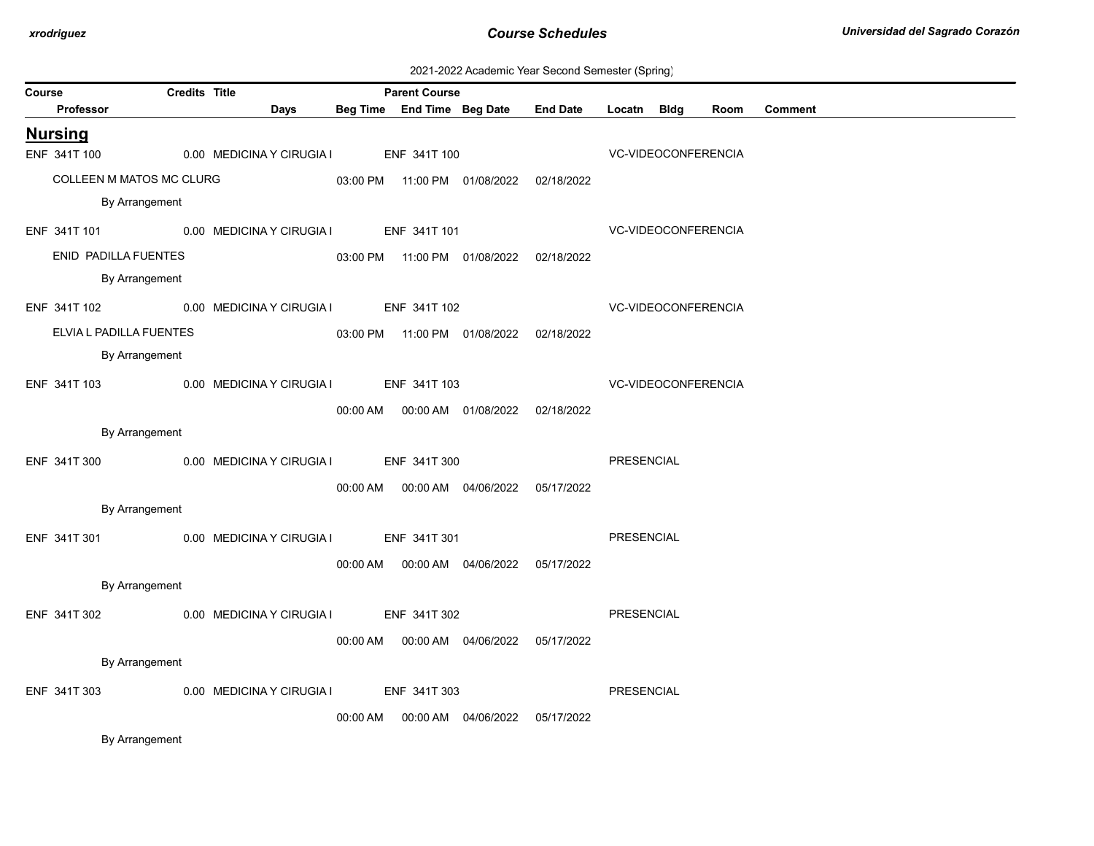| 2021-2022 Academic Year Second Semester (Spring) |  |  |  |
|--------------------------------------------------|--|--|--|
|--------------------------------------------------|--|--|--|

| Course                                              | <b>Credits Title</b><br><b>Parent Course</b> |                                        |          |              |                                            |                                     |                     |                     |      |                |
|-----------------------------------------------------|----------------------------------------------|----------------------------------------|----------|--------------|--------------------------------------------|-------------------------------------|---------------------|---------------------|------|----------------|
| <b>Professor</b>                                    |                                              | Days                                   |          |              |                                            | Beg Time End Time Beg Date End Date | Locatn Bldg         |                     | Room | <b>Comment</b> |
| <b>Nursing</b>                                      |                                              |                                        |          |              |                                            |                                     |                     |                     |      |                |
| ENF 341T 100                                        |                                              | 0.00 MEDICINA Y CIRUGIA I ENF 341T 100 |          |              |                                            |                                     |                     | VC-VIDEOCONFERENCIA |      |                |
| COLLEEN M MATOS MC CLURG                            |                                              |                                        |          |              | 03:00 PM  11:00 PM  01/08/2022  02/18/2022 |                                     |                     |                     |      |                |
| By Arrangement                                      |                                              |                                        |          |              |                                            |                                     |                     |                     |      |                |
| ENF 341T 101 0.00 MEDICINA Y CIRUGIA I ENF 341T 101 |                                              |                                        |          |              |                                            |                                     | VC-VIDEOCONFERENCIA |                     |      |                |
| ENID PADILLA FUENTES                                |                                              |                                        |          |              | 03:00 PM  11:00 PM  01/08/2022  02/18/2022 |                                     |                     |                     |      |                |
| By Arrangement                                      |                                              |                                        |          |              |                                            |                                     |                     |                     |      |                |
| ENF 341T 102 0.00 MEDICINA Y CIRUGIA I ENF 341T 102 |                                              |                                        |          |              |                                            |                                     | VC-VIDEOCONFERENCIA |                     |      |                |
| ELVIA L PADILLA FUENTES                             |                                              |                                        |          |              | 03:00 PM  11:00 PM  01/08/2022  02/18/2022 |                                     |                     |                     |      |                |
| By Arrangement                                      |                                              |                                        |          |              |                                            |                                     |                     |                     |      |                |
| ENF 341T 103 0.00 MEDICINA Y CIRUGIA I ENF 341T 103 |                                              |                                        |          |              |                                            |                                     |                     | VC-VIDEOCONFERENCIA |      |                |
|                                                     |                                              |                                        |          |              | 00:00 AM  00:00 AM  01/08/2022  02/18/2022 |                                     |                     |                     |      |                |
| By Arrangement                                      |                                              |                                        |          |              |                                            |                                     |                     |                     |      |                |
| ENF 341T 300                                        |                                              | 0.00 MEDICINA Y CIRUGIA I ENF 341T 300 |          |              |                                            |                                     | PRESENCIAL          |                     |      |                |
|                                                     |                                              |                                        |          |              | 00:00 AM  00:00 AM  04/06/2022  05/17/2022 |                                     |                     |                     |      |                |
| By Arrangement                                      |                                              |                                        |          |              |                                            |                                     |                     |                     |      |                |
| ENF 341T 301 0.00 MEDICINA Y CIRUGIA I ENF 341T 301 |                                              |                                        |          |              |                                            |                                     | PRESENCIAL          |                     |      |                |
|                                                     |                                              |                                        |          |              | 00:00 AM  00:00 AM  04/06/2022  05/17/2022 |                                     |                     |                     |      |                |
| By Arrangement                                      |                                              |                                        |          |              |                                            |                                     |                     |                     |      |                |
| ENF 341T 302                                        |                                              | 0.00 MEDICINA Y CIRUGIA I ENF 341T 302 |          |              |                                            |                                     | PRESENCIAL          |                     |      |                |
|                                                     |                                              |                                        |          |              |                                            |                                     |                     |                     |      |                |
| By Arrangement                                      |                                              |                                        |          |              | 00:00 AM  00:00 AM  04/06/2022  05/17/2022 |                                     |                     |                     |      |                |
|                                                     |                                              |                                        |          |              |                                            |                                     |                     |                     |      |                |
| ENF 341T 303                                        |                                              | 0.00 MEDICINA Y CIRUGIA I              |          | ENF 341T 303 |                                            |                                     | PRESENCIAL          |                     |      |                |
|                                                     |                                              |                                        | 00:00 AM |              |                                            | 05/17/2022                          |                     |                     |      |                |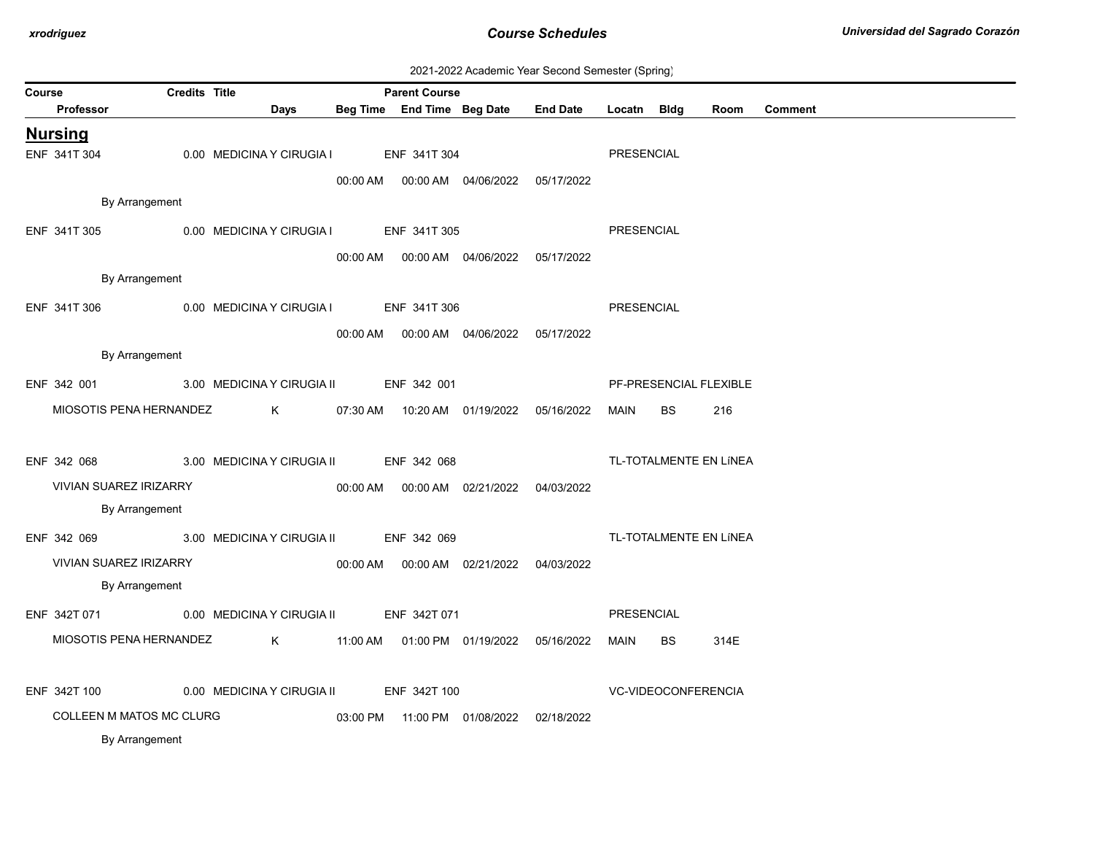| 2021-2022 Academic Year Second Semester (Spring) |  |  |  |
|--------------------------------------------------|--|--|--|
|--------------------------------------------------|--|--|--|

| <b>Course</b> |                               | <b>Credits Title</b> |                                                      | <b>Parent Course</b> |                                            |                 |             |           |                        |                |
|---------------|-------------------------------|----------------------|------------------------------------------------------|----------------------|--------------------------------------------|-----------------|-------------|-----------|------------------------|----------------|
|               | Professor                     |                      | Days                                                 |                      | Beg Time End Time Beg Date                 | <b>End Date</b> | Locatn Bldg |           | Room                   | <b>Comment</b> |
|               | <b>Nursing</b>                |                      |                                                      |                      |                                            |                 |             |           |                        |                |
|               | ENF 341T 304                  |                      | 0.00 MEDICINA Y CIRUGIA I                            | ENF 341T 304         |                                            |                 | PRESENCIAL  |           |                        |                |
|               |                               |                      |                                                      |                      | 00:00 AM  00:00 AM  04/06/2022  05/17/2022 |                 |             |           |                        |                |
|               | By Arrangement                |                      |                                                      |                      |                                            |                 |             |           |                        |                |
|               | ENF 341T 305                  |                      | 0.00 MEDICINA Y CIRUGIA I ENF 341T 305               |                      |                                            |                 | PRESENCIAL  |           |                        |                |
|               |                               |                      |                                                      |                      | 00:00 AM  00:00 AM  04/06/2022  05/17/2022 |                 |             |           |                        |                |
|               | By Arrangement                |                      |                                                      |                      |                                            |                 |             |           |                        |                |
|               | ENF 341T 306                  |                      | 0.00 MEDICINA Y CIRUGIA I ENF 341T 306               |                      |                                            |                 | PRESENCIAL  |           |                        |                |
|               |                               |                      |                                                      |                      | 00:00 AM  00:00 AM  04/06/2022  05/17/2022 |                 |             |           |                        |                |
|               | By Arrangement                |                      |                                                      |                      |                                            |                 |             |           |                        |                |
|               | ENF 342 001                   |                      | 3.00 MEDICINA Y CIRUGIA II ENF 342 001               |                      |                                            |                 |             |           | PF-PRESENCIAL FLEXIBLE |                |
|               | MIOSOTIS PENA HERNANDEZ       |                      | K 07:30 AM 10:20 AM 01/19/2022 05/16/2022            |                      |                                            |                 | MAIN        | <b>BS</b> | 216                    |                |
|               |                               |                      |                                                      |                      |                                            |                 |             |           |                        |                |
|               | ENF 342 068                   |                      | 3.00 MEDICINA Y CIRUGIA II ENF 342 068               |                      |                                            |                 |             |           | TL-TOTALMENTE EN LÍNEA |                |
|               | <b>VIVIAN SUAREZ IRIZARRY</b> |                      |                                                      |                      |                                            |                 |             |           |                        |                |
|               | By Arrangement                |                      |                                                      |                      |                                            |                 |             |           |                        |                |
|               | ENF 342 069                   |                      | 3.00 MEDICINA Y CIRUGIA II ENF 342 069               |                      |                                            |                 |             |           | TL-TOTALMENTE EN LÍNEA |                |
|               | <b>VIVIAN SUAREZ IRIZARRY</b> |                      |                                                      |                      |                                            |                 |             |           |                        |                |
|               | By Arrangement                |                      |                                                      |                      |                                            |                 |             |           |                        |                |
|               |                               |                      | ENF 342T 071 0.00 MEDICINA Y CIRUGIA II ENF 342T 071 |                      |                                            |                 | PRESENCIAL  |           |                        |                |
|               | MIOSOTIS PENA HERNANDEZ       |                      | $\mathsf K$                                          |                      |                                            |                 | MAIN        | BS        | 314E                   |                |
|               |                               |                      |                                                      |                      |                                            |                 |             |           |                        |                |
|               | ENF 342T 100                  |                      | 0.00 MEDICINA Y CIRUGIA II                           | ENF 342T 100         |                                            |                 |             |           | VC-VIDEOCONFERENCIA    |                |
|               | COLLEEN M MATOS MC CLURG      |                      |                                                      |                      |                                            |                 |             |           |                        |                |
|               | By Arrangement                |                      |                                                      |                      | 03:00 PM  11:00 PM  01/08/2022  02/18/2022 |                 |             |           |                        |                |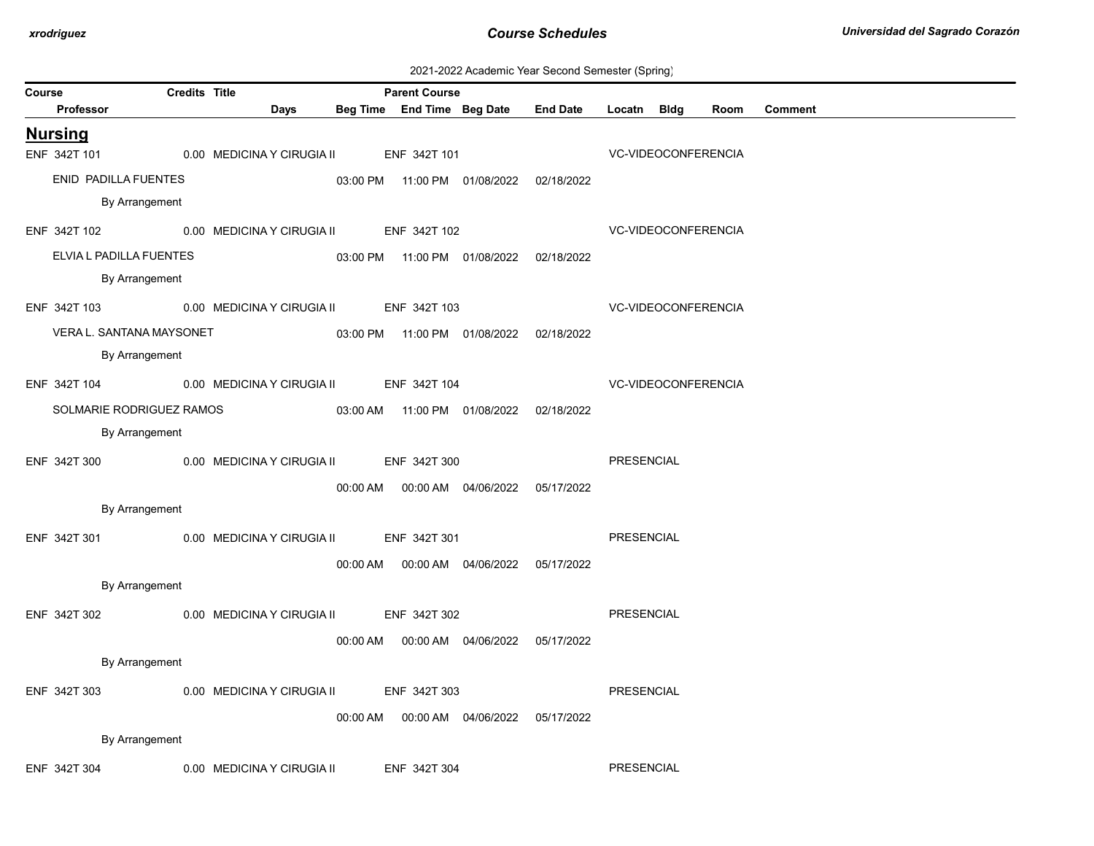| 2021-2022 Academic Year Second Semester (Spring) |  |  |  |
|--------------------------------------------------|--|--|--|
|--------------------------------------------------|--|--|--|

| Course |                          | <b>Credits Title</b> |                                                      | <b>Parent Course</b> |                                            |                 |                            |      |                |
|--------|--------------------------|----------------------|------------------------------------------------------|----------------------|--------------------------------------------|-----------------|----------------------------|------|----------------|
|        | Professor                |                      | Days                                                 |                      | Beg Time End Time Beg Date                 | <b>End Date</b> | Locatn Bldg                | Room | <b>Comment</b> |
|        | <b>Nursing</b>           |                      |                                                      |                      |                                            |                 |                            |      |                |
|        | ENF 342T 101             |                      | 0.00 MEDICINA Y CIRUGIA II                           | ENF 342T 101         |                                            |                 | VC-VIDEOCONFERENCIA        |      |                |
|        | ENID PADILLA FUENTES     |                      |                                                      |                      | 03:00 PM  11:00 PM  01/08/2022  02/18/2022 |                 |                            |      |                |
|        | By Arrangement           |                      |                                                      |                      |                                            |                 |                            |      |                |
|        |                          |                      | ENF 342T 102 0.00 MEDICINA Y CIRUGIA II ENF 342T 102 |                      |                                            |                 | VC-VIDEOCONFERENCIA        |      |                |
|        | ELVIA L PADILLA FUENTES  |                      |                                                      |                      | 03:00 PM  11:00 PM  01/08/2022  02/18/2022 |                 |                            |      |                |
|        | By Arrangement           |                      |                                                      |                      |                                            |                 |                            |      |                |
|        | ENF 342T 103             |                      | 0.00 MEDICINA Y CIRUGIA II ENF 342T 103              |                      |                                            |                 | <b>VC-VIDEOCONFERENCIA</b> |      |                |
|        | VERA L. SANTANA MAYSONET |                      |                                                      |                      | 03:00 PM  11:00 PM  01/08/2022  02/18/2022 |                 |                            |      |                |
|        | By Arrangement           |                      |                                                      |                      |                                            |                 |                            |      |                |
|        |                          |                      | ENF 342T 104 0.00 MEDICINA Y CIRUGIA II ENF 342T 104 |                      |                                            |                 | VC-VIDEOCONFERENCIA        |      |                |
|        | SOLMARIE RODRIGUEZ RAMOS |                      |                                                      |                      | 03:00 AM  11:00 PM  01/08/2022  02/18/2022 |                 |                            |      |                |
|        | By Arrangement           |                      |                                                      |                      |                                            |                 |                            |      |                |
|        | ENF 342T 300             |                      | 0.00 MEDICINA Y CIRUGIA II ENF 342T 300              |                      |                                            |                 | PRESENCIAL                 |      |                |
|        |                          |                      |                                                      |                      | 00:00 AM  00:00 AM  04/06/2022  05/17/2022 |                 |                            |      |                |
|        | By Arrangement           |                      |                                                      |                      |                                            |                 |                            |      |                |
|        | ENF 342T 301             |                      | 0.00 MEDICINA Y CIRUGIA II ENF 342T 301              |                      |                                            |                 | <b>PRESENCIAL</b>          |      |                |
|        |                          |                      |                                                      |                      | 00:00 AM  00:00 AM  04/06/2022  05/17/2022 |                 |                            |      |                |
|        | By Arrangement           |                      |                                                      |                      |                                            |                 |                            |      |                |
|        | ENF 342T 302             |                      | 0.00 MEDICINA Y CIRUGIA II ENF 342T 302              |                      |                                            |                 | PRESENCIAL                 |      |                |
|        |                          |                      |                                                      |                      | 00:00 AM  00:00 AM  04/06/2022  05/17/2022 |                 |                            |      |                |
|        | By Arrangement           |                      |                                                      |                      |                                            |                 |                            |      |                |
|        | ENF 342T 303             |                      | 0.00 MEDICINA Y CIRUGIA II ENF 342T 303              |                      |                                            |                 | PRESENCIAL                 |      |                |
|        |                          |                      |                                                      |                      |                                            |                 |                            |      |                |
|        | By Arrangement           |                      |                                                      |                      |                                            | 05/17/2022      |                            |      |                |
|        |                          |                      |                                                      |                      |                                            |                 |                            |      |                |
|        | ENF 342T 304             |                      | 0.00 MEDICINA Y CIRUGIA II                           | ENF 342T 304         |                                            |                 | PRESENCIAL                 |      |                |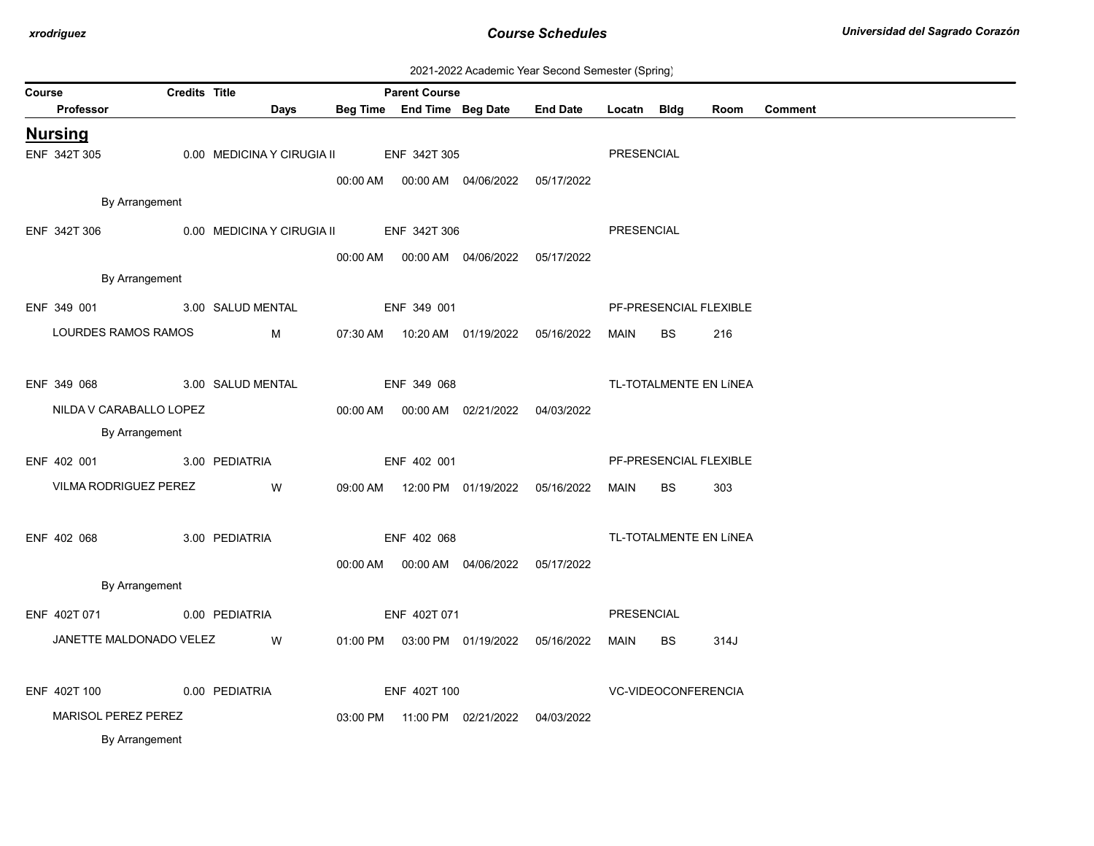| 2021-2022 Academic Year Second Semester (Spring) |  |  |  |  |  |
|--------------------------------------------------|--|--|--|--|--|
|--------------------------------------------------|--|--|--|--|--|

| <b>Credits Title</b><br><b>Parent Course</b><br>Course |  |                                         |  |              |                                            |                                                      |             |                     |                        |         |  |  |
|--------------------------------------------------------|--|-----------------------------------------|--|--------------|--------------------------------------------|------------------------------------------------------|-------------|---------------------|------------------------|---------|--|--|
| Professor                                              |  | <b>Days</b>                             |  |              | Beg Time End Time Beg Date                 | <b>End Date</b>                                      | Locatn Bldg |                     | Room                   | Comment |  |  |
| <b>Nursing</b>                                         |  |                                         |  |              |                                            |                                                      |             |                     |                        |         |  |  |
| ENF 342T 305                                           |  | 0.00 MEDICINA Y CIRUGIA II ENF 342T 305 |  |              |                                            |                                                      | PRESENCIAL  |                     |                        |         |  |  |
|                                                        |  |                                         |  |              | 00:00 AM  00:00 AM  04/06/2022  05/17/2022 |                                                      |             |                     |                        |         |  |  |
| By Arrangement                                         |  |                                         |  |              |                                            |                                                      |             |                     |                        |         |  |  |
| ENF 342T 306                                           |  | 0.00 MEDICINA Y CIRUGIA II ENF 342T 306 |  |              |                                            |                                                      | PRESENCIAL  |                     |                        |         |  |  |
|                                                        |  |                                         |  |              | 00:00 AM  00:00 AM  04/06/2022  05/17/2022 |                                                      |             |                     |                        |         |  |  |
| By Arrangement                                         |  |                                         |  |              |                                            |                                                      |             |                     |                        |         |  |  |
| ENF 349 001 3.00 SALUD MENTAL                          |  |                                         |  | ENF 349 001  |                                            |                                                      |             |                     | PF-PRESENCIAL FLEXIBLE |         |  |  |
| LOURDES RAMOS RAMOS                                    |  | $M \sim 1$                              |  |              |                                            | 07:30 AM  10:20 AM  01/19/2022  05/16/2022           | MAIN        | <b>BS</b>           | 216                    |         |  |  |
|                                                        |  |                                         |  |              |                                            |                                                      |             |                     |                        |         |  |  |
| ENF 349 068 3.00 SALUD MENTAL                          |  |                                         |  | ENF 349 068  |                                            |                                                      |             |                     | TL-TOTALMENTE EN LÍNEA |         |  |  |
| NILDA V CARABALLO LOPEZ                                |  |                                         |  |              | 00:00 AM  00:00 AM  02/21/2022  04/03/2022 |                                                      |             |                     |                        |         |  |  |
| By Arrangement                                         |  |                                         |  |              |                                            |                                                      |             |                     |                        |         |  |  |
| ENF 402 001                                            |  | 3.00 PEDIATRIA                          |  | ENF 402 001  |                                            |                                                      |             |                     | PF-PRESENCIAL FLEXIBLE |         |  |  |
| VILMA RODRIGUEZ PEREZ W                                |  |                                         |  |              |                                            | 09:00 AM  12:00 PM  01/19/2022  05/16/2022  MAIN  BS |             |                     | 303                    |         |  |  |
|                                                        |  |                                         |  |              |                                            |                                                      |             |                     |                        |         |  |  |
| ENF 402 068                                            |  | 3.00 PEDIATRIA                          |  | ENF 402 068  |                                            |                                                      |             |                     | TL-TOTALMENTE EN LÍNEA |         |  |  |
|                                                        |  |                                         |  |              | 00:00 AM  00:00 AM  04/06/2022  05/17/2022 |                                                      |             |                     |                        |         |  |  |
| By Arrangement                                         |  |                                         |  |              |                                            |                                                      |             |                     |                        |         |  |  |
| ENF 402T 071 0.00 PEDIATRIA                            |  |                                         |  | ENF 402T 071 |                                            |                                                      | PRESENCIAL  |                     |                        |         |  |  |
| JANETTE MALDONADO VELEZ                                |  | <b>W</b>                                |  |              | 01:00 PM  03:00 PM  01/19/2022  05/16/2022 |                                                      | MAIN        | BS                  | 314J                   |         |  |  |
|                                                        |  |                                         |  |              |                                            |                                                      |             |                     |                        |         |  |  |
| ENF 402T 100                                           |  | 0.00 PEDIATRIA                          |  | ENF 402T 100 |                                            |                                                      |             | VC-VIDEOCONFERENCIA |                        |         |  |  |
| MARISOL PEREZ PEREZ                                    |  |                                         |  |              | 03:00 PM  11:00 PM  02/21/2022  04/03/2022 |                                                      |             |                     |                        |         |  |  |
| By Arrangement                                         |  |                                         |  |              |                                            |                                                      |             |                     |                        |         |  |  |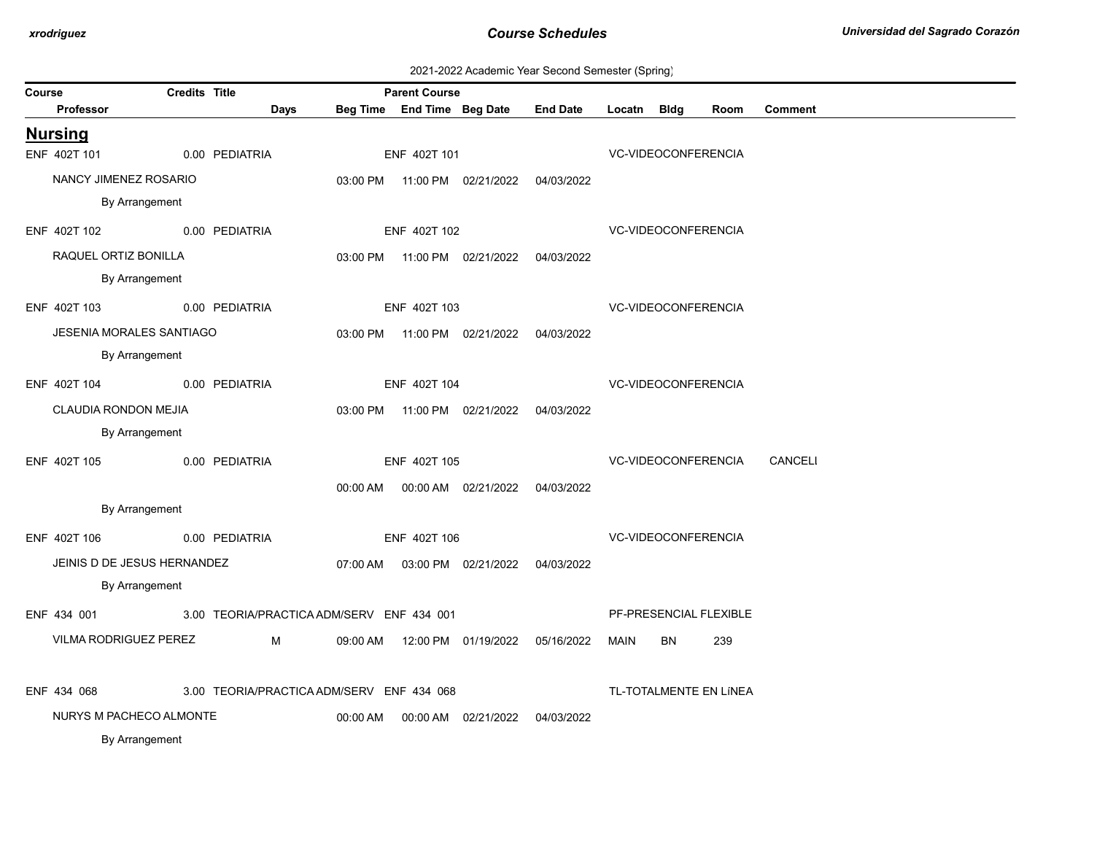|  | 2021-2022 Academic Year Second Semester (Spring) |  |  |  |  |
|--|--------------------------------------------------|--|--|--|--|
|--|--------------------------------------------------|--|--|--|--|

| Course |                                 | <b>Credits Title</b> |                                           |          | <b>Parent Course</b> |                                            |                 |             |                            |                        |                |
|--------|---------------------------------|----------------------|-------------------------------------------|----------|----------------------|--------------------------------------------|-----------------|-------------|----------------------------|------------------------|----------------|
|        | <b>Professor</b>                |                      | <b>Days</b>                               |          |                      | Beg Time End Time Beg Date                 | <b>End Date</b> | Locatn Bldg |                            | Room                   | <b>Comment</b> |
|        | <b>Nursing</b>                  |                      |                                           |          |                      |                                            |                 |             |                            |                        |                |
|        | ENF 402T 101                    |                      | 0.00 PEDIATRIA                            |          | ENF 402T 101         |                                            |                 |             | <b>VC-VIDEOCONFERENCIA</b> |                        |                |
|        | NANCY JIMENEZ ROSARIO           |                      |                                           |          |                      | 03:00 PM  11:00 PM  02/21/2022  04/03/2022 |                 |             |                            |                        |                |
|        | By Arrangement                  |                      |                                           |          |                      |                                            |                 |             |                            |                        |                |
|        | ENF 402T 102                    |                      | 0.00 PEDIATRIA                            |          | ENF 402T 102         |                                            |                 |             | VC-VIDEOCONFERENCIA        |                        |                |
|        | RAQUEL ORTIZ BONILLA            |                      |                                           |          |                      | 03:00 PM  11:00 PM  02/21/2022  04/03/2022 |                 |             |                            |                        |                |
|        | By Arrangement                  |                      |                                           |          |                      |                                            |                 |             |                            |                        |                |
|        | ENF 402T 103                    |                      | 0.00 PEDIATRIA                            |          | ENF 402T 103         |                                            |                 |             |                            | VC-VIDEOCONFERENCIA    |                |
|        | <b>JESENIA MORALES SANTIAGO</b> |                      |                                           |          |                      | 03:00 PM  11:00 PM  02/21/2022  04/03/2022 |                 |             |                            |                        |                |
|        | By Arrangement                  |                      |                                           |          |                      |                                            |                 |             |                            |                        |                |
|        | ENF 402T 104                    |                      | 0.00 PEDIATRIA                            |          | ENF 402T 104         |                                            |                 |             |                            | VC-VIDEOCONFERENCIA    |                |
|        | CLAUDIA RONDON MEJIA            |                      |                                           |          |                      | 03:00 PM  11:00 PM  02/21/2022  04/03/2022 |                 |             |                            |                        |                |
|        | By Arrangement                  |                      |                                           |          |                      |                                            |                 |             |                            |                        |                |
|        | ENF 402T 105                    | 0.00 PEDIATRIA       |                                           |          | ENF 402T 105         |                                            |                 |             |                            | VC-VIDEOCONFERENCIA    | CANCELI        |
|        |                                 |                      |                                           |          |                      | 00:00 AM  00:00 AM  02/21/2022  04/03/2022 |                 |             |                            |                        |                |
|        | By Arrangement                  |                      |                                           |          |                      |                                            |                 |             |                            |                        |                |
|        | ENF 402T 106                    |                      | 0.00 PEDIATRIA                            |          | ENF 402T 106         |                                            |                 |             | VC-VIDEOCONFERENCIA        |                        |                |
|        | JEINIS D DE JESUS HERNANDEZ     |                      |                                           |          |                      | 07:00 AM  03:00 PM  02/21/2022  04/03/2022 |                 |             |                            |                        |                |
|        | By Arrangement                  |                      |                                           |          |                      |                                            |                 |             |                            |                        |                |
|        | ENF 434 001                     |                      | 3.00 TEORIA/PRACTICA ADM/SERV ENF 434 001 |          |                      |                                            |                 |             |                            | PF-PRESENCIAL FLEXIBLE |                |
|        | VILMA RODRIGUEZ PEREZ           |                      | M                                         |          |                      | 09:00 AM  12:00 PM  01/19/2022  05/16/2022 |                 | MAIN        | BN                         | 239                    |                |
|        |                                 |                      |                                           |          |                      |                                            |                 |             |                            |                        |                |
|        | ENF 434 068                     |                      | 3.00 TEORIA/PRACTICA ADM/SERV ENF 434 068 |          |                      |                                            |                 |             |                            | TL-TOTALMENTE EN LÍNEA |                |
|        | NURYS M PACHECO ALMONTE         |                      |                                           | 00:00 AM |                      | 00:00 AM 02/21/2022 04/03/2022             |                 |             |                            |                        |                |
|        | By Arrangement                  |                      |                                           |          |                      |                                            |                 |             |                            |                        |                |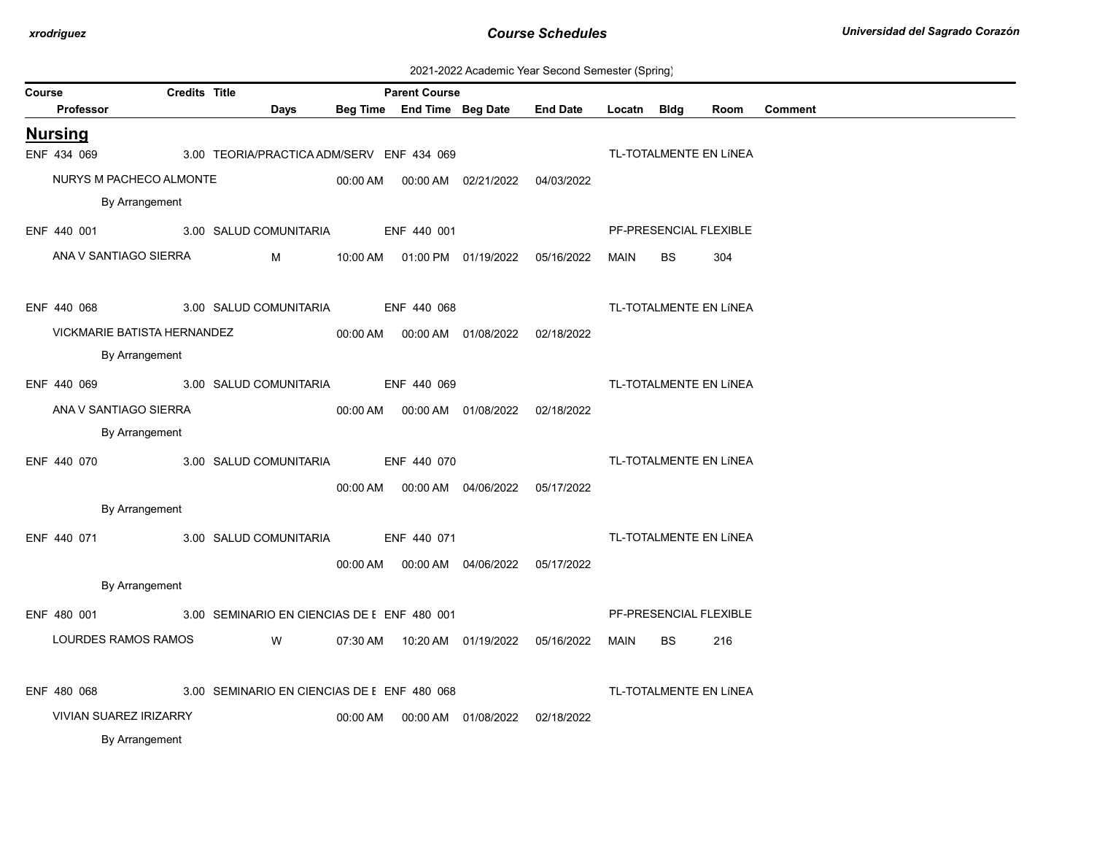| 2021-2022 Academic Year Second Semester (Spring) |  |  |  |
|--------------------------------------------------|--|--|--|
|--------------------------------------------------|--|--|--|

| Course |                               | <b>Credits Title</b> |                                             |          | <b>Parent Course</b>       |                                            |                 |             |           |                        |         |
|--------|-------------------------------|----------------------|---------------------------------------------|----------|----------------------------|--------------------------------------------|-----------------|-------------|-----------|------------------------|---------|
|        | Professor                     |                      | Days                                        |          | Beg Time End Time Beg Date |                                            | <b>End Date</b> | Locatn Bldg |           | Room                   | Comment |
|        | <b>Nursing</b>                |                      |                                             |          |                            |                                            |                 |             |           |                        |         |
|        | ENF 434 069                   |                      | 3.00 TEORIA/PRACTICA ADM/SERV ENF 434 069   |          |                            |                                            |                 |             |           | TL-TOTALMENTE EN LÍNEA |         |
|        | NURYS M PACHECO ALMONTE       |                      |                                             | 00:00 AM |                            | 00:00 AM 02/21/2022 04/03/2022             |                 |             |           |                        |         |
|        | By Arrangement                |                      |                                             |          |                            |                                            |                 |             |           |                        |         |
|        | ENF 440 001                   |                      | 3.00 SALUD COMUNITARIA                      |          | ENF 440 001                |                                            |                 |             |           | PF-PRESENCIAL FLEXIBLE |         |
|        | ANA V SANTIAGO SIERRA         |                      | M                                           |          |                            | 10:00 AM  01:00 PM  01/19/2022  05/16/2022 |                 | MAIN        | <b>BS</b> | 304                    |         |
|        | ENF 440 068                   |                      | 3.00 SALUD COMUNITARIA                      |          | ENF 440 068                |                                            |                 |             |           | TL-TOTALMENTE EN LÍNEA |         |
|        | VICKMARIE BATISTA HERNANDEZ   |                      |                                             |          |                            | 00:00 AM  00:00 AM  01/08/2022  02/18/2022 |                 |             |           |                        |         |
|        | By Arrangement                |                      |                                             |          |                            |                                            |                 |             |           |                        |         |
|        | ENF 440 069                   |                      | 3.00 SALUD COMUNITARIA                      |          | ENF 440 069                |                                            |                 |             |           | TL-TOTALMENTE EN LÍNEA |         |
|        | ANA V SANTIAGO SIERRA         |                      |                                             |          |                            |                                            |                 |             |           |                        |         |
|        | By Arrangement                |                      |                                             |          |                            | 00:00 AM  00:00 AM  01/08/2022  02/18/2022 |                 |             |           |                        |         |
|        |                               |                      |                                             |          |                            |                                            |                 |             |           |                        |         |
|        | ENF 440 070                   |                      | 3.00 SALUD COMUNITARIA                      |          | ENF 440 070                |                                            |                 |             |           | TL-TOTALMENTE EN LÍNEA |         |
|        |                               |                      |                                             |          |                            | 00:00 AM  00:00 AM  04/06/2022  05/17/2022 |                 |             |           |                        |         |
|        | By Arrangement                |                      |                                             |          |                            |                                            |                 |             |           |                        |         |
|        | ENF 440 071                   |                      | 3.00 SALUD COMUNITARIA                      |          | ENF 440 071                |                                            |                 |             |           | TL-TOTALMENTE EN LÍNEA |         |
|        |                               |                      |                                             | 00:00 AM |                            | 00:00 AM 04/06/2022 05/17/2022             |                 |             |           |                        |         |
|        | By Arrangement                |                      |                                             |          |                            |                                            |                 |             |           |                        |         |
|        | ENF 480 001                   |                      | 3.00 SEMINARIO EN CIENCIAS DE I ENF 480 001 |          |                            |                                            |                 |             |           | PF-PRESENCIAL FLEXIBLE |         |
|        | LOURDES RAMOS RAMOS           |                      | W                                           |          |                            | 07:30 AM  10:20 AM  01/19/2022  05/16/2022 |                 | MAIN        | BS.       | 216                    |         |
|        | ENF 480 068                   |                      | 3.00 SEMINARIO EN CIENCIAS DE I ENF 480 068 |          |                            |                                            |                 |             |           | TL-TOTALMENTE EN LÍNEA |         |
|        | <b>VIVIAN SUAREZ IRIZARRY</b> |                      |                                             |          |                            | 00:00 AM  00:00 AM  01/08/2022  02/18/2022 |                 |             |           |                        |         |
|        | By Arrangement                |                      |                                             |          |                            |                                            |                 |             |           |                        |         |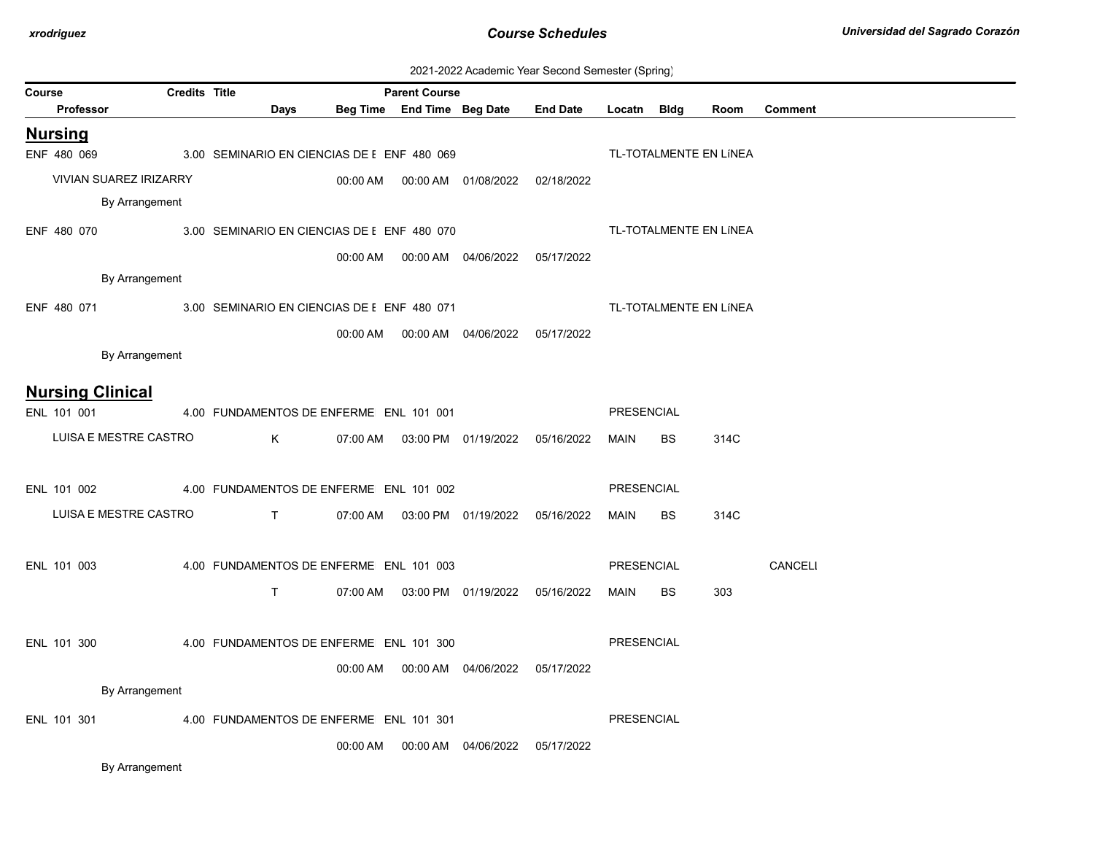| 2021-2022 Academic Year Second Semester (Spring) |  |  |  |
|--------------------------------------------------|--|--|--|
|--------------------------------------------------|--|--|--|

|        |                               |                      |                                                         |          |                      |                                            | cadomic Toal Second Somootor (Spring)      |                   |           |                        |                |
|--------|-------------------------------|----------------------|---------------------------------------------------------|----------|----------------------|--------------------------------------------|--------------------------------------------|-------------------|-----------|------------------------|----------------|
| Course | Professor                     | <b>Credits Title</b> | Days                                                    |          | <b>Parent Course</b> | Beg Time End Time Beg Date                 | <b>End Date</b>                            | Locatn Bldg       |           | Room                   | <b>Comment</b> |
|        | <b>Nursing</b>                |                      |                                                         |          |                      |                                            |                                            |                   |           |                        |                |
|        | ENF 480 069                   |                      | 3.00 SEMINARIO EN CIENCIAS DE I ENF 480 069             |          |                      |                                            |                                            |                   |           | TL-TOTALMENTE EN LÍNEA |                |
|        | <b>VIVIAN SUAREZ IRIZARRY</b> |                      |                                                         |          |                      |                                            | 02/18/2022                                 |                   |           |                        |                |
|        | By Arrangement                |                      |                                                         |          |                      |                                            |                                            |                   |           |                        |                |
|        |                               |                      | ENF 480 070 3.00 SEMINARIO EN CIENCIAS DE I ENF 480 070 |          |                      |                                            |                                            |                   |           | TL-TOTALMENTE EN LÍNEA |                |
|        |                               |                      |                                                         | 00:00 AM |                      | 00:00 AM  04/06/2022  05/17/2022           |                                            |                   |           |                        |                |
|        | By Arrangement                |                      |                                                         |          |                      |                                            |                                            |                   |           |                        |                |
|        | ENF 480 071                   |                      | 3.00 SEMINARIO EN CIENCIAS DE I ENF 480 071             |          |                      |                                            |                                            |                   |           | TL-TOTALMENTE EN LÍNEA |                |
|        |                               |                      |                                                         |          |                      |                                            |                                            |                   |           |                        |                |
|        | By Arrangement                |                      |                                                         | 00:00 AM |                      | 00:00 AM  04/06/2022  05/17/2022           |                                            |                   |           |                        |                |
|        |                               |                      |                                                         |          |                      |                                            |                                            |                   |           |                        |                |
|        | <b>Nursing Clinical</b>       |                      |                                                         |          |                      |                                            |                                            |                   |           |                        |                |
|        | ENL 101 001                   |                      | 4.00 FUNDAMENTOS DE ENFERME ENL 101 001                 |          |                      |                                            |                                            | <b>PRESENCIAL</b> |           |                        |                |
|        | LUISA E MESTRE CASTRO         |                      | K                                                       |          |                      | 07:00 AM  03:00 PM  01/19/2022  05/16/2022 |                                            | MAIN              | <b>BS</b> | 314C                   |                |
|        |                               |                      |                                                         |          |                      |                                            |                                            |                   |           |                        |                |
|        | ENL 101 002                   |                      | 4.00 FUNDAMENTOS DE ENFERME ENL 101 002                 |          |                      |                                            |                                            | PRESENCIAL        |           |                        |                |
|        | LUISA E MESTRE CASTRO         |                      | T                                                       | 07:00 AM |                      | 03:00 PM  01/19/2022  05/16/2022           |                                            | MAIN              | <b>BS</b> | 314C                   |                |
|        |                               |                      |                                                         |          |                      |                                            |                                            |                   |           |                        |                |
|        | ENL 101 003                   |                      | 4.00 FUNDAMENTOS DE ENFERME ENL 101 003                 |          |                      |                                            |                                            | PRESENCIAL        |           |                        | CANCELI        |
|        |                               |                      | $\mathsf{T}$                                            |          |                      |                                            | 07:00 AM  03:00 PM  01/19/2022  05/16/2022 | MAIN              | BS        | 303                    |                |
|        |                               |                      |                                                         |          |                      |                                            |                                            |                   |           |                        |                |
|        | ENL 101 300                   |                      | 4.00 FUNDAMENTOS DE ENFERME ENL 101 300                 |          |                      |                                            |                                            | <b>PRESENCIAL</b> |           |                        |                |
|        |                               |                      |                                                         |          |                      | 00:00 AM  00:00 AM  04/06/2022  05/17/2022 |                                            |                   |           |                        |                |
|        | By Arrangement                |                      |                                                         |          |                      |                                            |                                            |                   |           |                        |                |
|        | ENL 101 301                   |                      | 4.00 FUNDAMENTOS DE ENFERME ENL 101 301                 |          |                      |                                            |                                            | PRESENCIAL        |           |                        |                |
|        |                               |                      |                                                         | 00:00 AM |                      | 00:00 AM 04/06/2022 05/17/2022             |                                            |                   |           |                        |                |
|        | By Arrangement                |                      |                                                         |          |                      |                                            |                                            |                   |           |                        |                |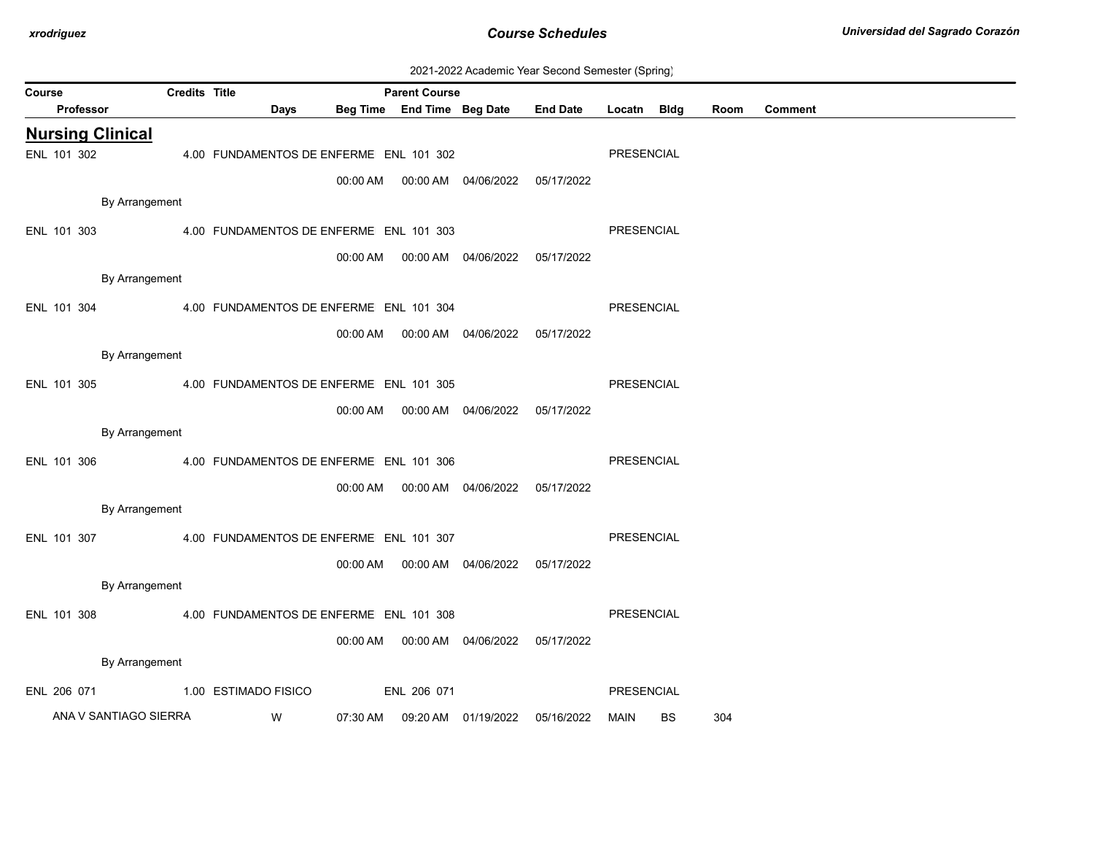| 2021-2022 Academic Year Second Semester (Spring) |  |  |  |
|--------------------------------------------------|--|--|--|
|--------------------------------------------------|--|--|--|

| Course |             |           |                         | <b>Credits Title</b> |                                         |          | <b>Parent Course</b>       |                                |                 |            |             |      |                |
|--------|-------------|-----------|-------------------------|----------------------|-----------------------------------------|----------|----------------------------|--------------------------------|-----------------|------------|-------------|------|----------------|
|        |             | Professor |                         |                      | <b>Days</b>                             |          | Beg Time End Time Beg Date |                                | <b>End Date</b> | Locatn     | <b>Bldg</b> | Room | <b>Comment</b> |
|        |             |           | <b>Nursing Clinical</b> |                      |                                         |          |                            |                                |                 |            |             |      |                |
|        | ENL 101 302 |           |                         |                      | 4.00 FUNDAMENTOS DE ENFERME ENL 101 302 |          |                            |                                |                 | PRESENCIAL |             |      |                |
|        |             |           |                         |                      |                                         | 00:00 AM |                            |                                | 05/17/2022      |            |             |      |                |
|        |             |           | By Arrangement          |                      |                                         |          |                            |                                |                 |            |             |      |                |
|        | ENL 101 303 |           |                         |                      | 4.00 FUNDAMENTOS DE ENFERME ENL 101 303 |          |                            |                                |                 | PRESENCIAL |             |      |                |
|        |             |           |                         |                      |                                         | 00:00 AM |                            | 00:00 AM 04/06/2022            | 05/17/2022      |            |             |      |                |
|        |             |           | By Arrangement          |                      |                                         |          |                            |                                |                 |            |             |      |                |
|        |             |           |                         |                      |                                         |          |                            |                                |                 |            |             |      |                |
|        | ENL 101 304 |           |                         |                      | 4.00 FUNDAMENTOS DE ENFERME ENL 101 304 |          |                            |                                |                 | PRESENCIAL |             |      |                |
|        |             |           |                         |                      |                                         | 00:00 AM |                            | 00:00 AM 04/06/2022 05/17/2022 |                 |            |             |      |                |
|        |             |           | By Arrangement          |                      |                                         |          |                            |                                |                 |            |             |      |                |
|        | ENL 101 305 |           |                         |                      | 4.00 FUNDAMENTOS DE ENFERME ENL 101 305 |          |                            |                                |                 | PRESENCIAL |             |      |                |
|        |             |           |                         |                      |                                         | 00:00 AM |                            | 00:00 AM 04/06/2022 05/17/2022 |                 |            |             |      |                |
|        |             |           | By Arrangement          |                      |                                         |          |                            |                                |                 |            |             |      |                |
|        | ENL 101 306 |           |                         |                      | 4.00 FUNDAMENTOS DE ENFERME ENL 101 306 |          |                            |                                |                 | PRESENCIAL |             |      |                |
|        |             |           |                         |                      |                                         | 00:00 AM |                            | 00:00 AM 04/06/2022            | 05/17/2022      |            |             |      |                |
|        |             |           | By Arrangement          |                      |                                         |          |                            |                                |                 |            |             |      |                |
|        | ENL 101 307 |           |                         |                      | 4.00 FUNDAMENTOS DE ENFERME ENL 101 307 |          |                            |                                |                 | PRESENCIAL |             |      |                |
|        |             |           |                         |                      |                                         | 00:00 AM |                            | 00:00 AM 04/06/2022            | 05/17/2022      |            |             |      |                |
|        |             |           | By Arrangement          |                      |                                         |          |                            |                                |                 |            |             |      |                |
|        |             |           |                         |                      |                                         |          |                            |                                |                 | PRESENCIAL |             |      |                |
|        | ENL 101 308 |           |                         |                      | 4.00 FUNDAMENTOS DE ENFERME ENL 101 308 |          |                            |                                |                 |            |             |      |                |
|        |             |           |                         |                      |                                         | 00:00 AM |                            | 00:00 AM 04/06/2022            | 05/17/2022      |            |             |      |                |
|        |             |           | By Arrangement          |                      |                                         |          |                            |                                |                 |            |             |      |                |
|        | ENL 206 071 |           |                         |                      | 1.00 ESTIMADO FISICO                    |          | ENL 206 071                |                                |                 | PRESENCIAL |             |      |                |
|        |             |           | ANA V SANTIAGO SIERRA   |                      | W                                       | 07:30 AM |                            | 09:20 AM 01/19/2022            | 05/16/2022      | MAIN       | <b>BS</b>   | 304  |                |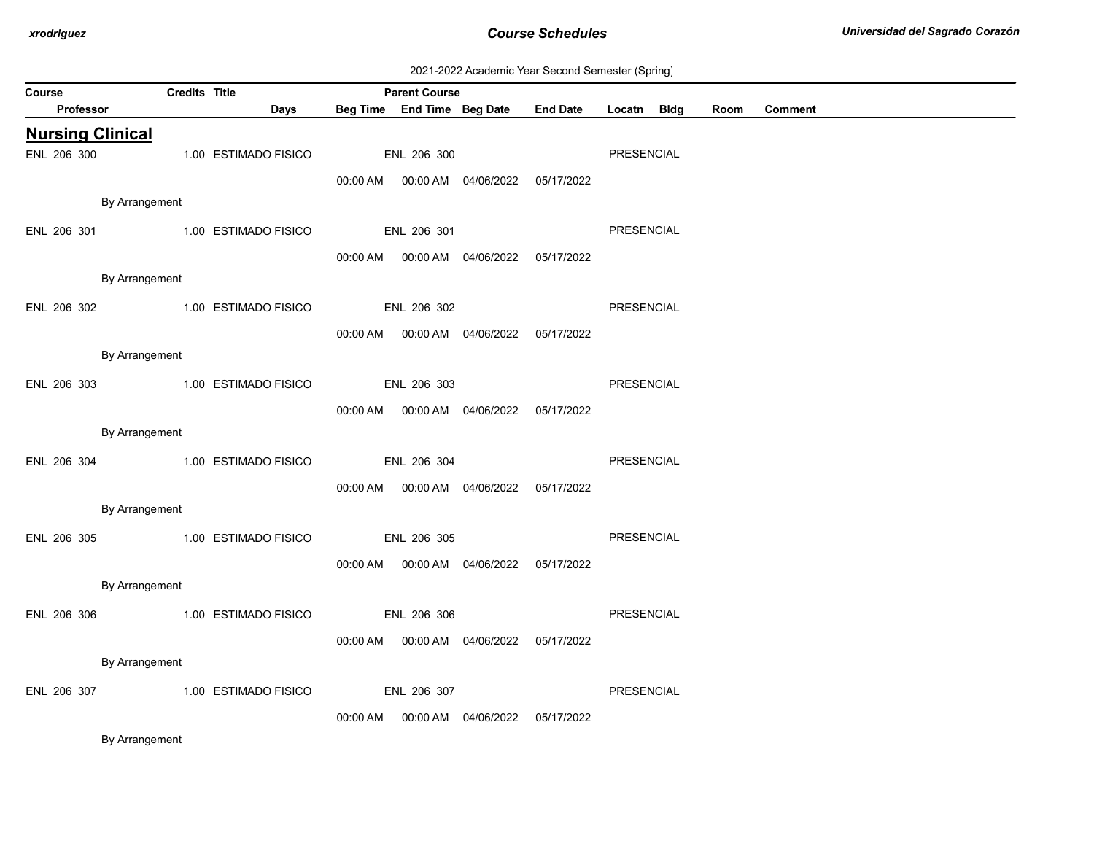| 2021-2022 Academic Year Second Semester (Spring) |  |  |  |
|--------------------------------------------------|--|--|--|
|--------------------------------------------------|--|--|--|

| Course                  | <b>Credits Title</b> |                                  |             | <b>Parent Course</b> |                                            |                                                 |                   |      |                |  |
|-------------------------|----------------------|----------------------------------|-------------|----------------------|--------------------------------------------|-------------------------------------------------|-------------------|------|----------------|--|
| Professor               |                      | Days                             |             |                      |                                            | Beg Time End Time Beg Date End Date Locatn Bldg |                   | Room | <b>Comment</b> |  |
| <b>Nursing Clinical</b> |                      |                                  |             |                      |                                            |                                                 |                   |      |                |  |
| ENL 206 300             |                      | 1.00 ESTIMADO FISICO             |             | ENL 206 300          |                                            |                                                 | <b>PRESENCIAL</b> |      |                |  |
|                         |                      |                                  |             |                      | 00:00 AM  00:00 AM  04/06/2022  05/17/2022 |                                                 |                   |      |                |  |
|                         | By Arrangement       |                                  |             |                      |                                            |                                                 |                   |      |                |  |
| ENL 206 301             |                      | 1.00 ESTIMADO FISICO             |             | ENL 206 301          |                                            |                                                 | <b>PRESENCIAL</b> |      |                |  |
|                         |                      |                                  |             |                      | 00:00 AM  00:00 AM  04/06/2022  05/17/2022 |                                                 |                   |      |                |  |
|                         | By Arrangement       |                                  |             |                      |                                            |                                                 |                   |      |                |  |
|                         |                      | ENL 206 302 1.00 ESTIMADO FISICO | ENL 206 302 |                      |                                            |                                                 | PRESENCIAL        |      |                |  |
|                         |                      |                                  |             |                      | 00:00 AM  00:00 AM  04/06/2022  05/17/2022 |                                                 |                   |      |                |  |
|                         | By Arrangement       |                                  |             |                      |                                            |                                                 |                   |      |                |  |
| ENL 206 303             |                      | 1.00 ESTIMADO FISICO             |             | ENL 206 303          |                                            |                                                 | <b>PRESENCIAL</b> |      |                |  |
|                         |                      |                                  |             |                      | 00:00 AM  00:00 AM  04/06/2022  05/17/2022 |                                                 |                   |      |                |  |
|                         | By Arrangement       |                                  |             |                      |                                            |                                                 |                   |      |                |  |
| ENL 206 304             |                      | 1.00 ESTIMADO FISICO             |             | ENL 206 304          |                                            |                                                 | PRESENCIAL        |      |                |  |
|                         |                      |                                  |             |                      | 00:00 AM  00:00 AM  04/06/2022  05/17/2022 |                                                 |                   |      |                |  |
|                         | By Arrangement       |                                  |             |                      |                                            |                                                 |                   |      |                |  |
| ENL 206 305             |                      | 1.00 ESTIMADO FISICO             | ENL 206 305 |                      |                                            |                                                 | PRESENCIAL        |      |                |  |
|                         |                      |                                  |             |                      | 00:00 AM  00:00 AM  04/06/2022  05/17/2022 |                                                 |                   |      |                |  |
|                         | By Arrangement       |                                  |             |                      |                                            |                                                 |                   |      |                |  |
| ENL 206 306             |                      | 1.00 ESTIMADO FISICO             |             | ENL 206 306          |                                            |                                                 | <b>PRESENCIAL</b> |      |                |  |
|                         |                      |                                  |             |                      | 00:00 AM  00:00 AM  04/06/2022  05/17/2022 |                                                 |                   |      |                |  |
|                         | By Arrangement       |                                  |             |                      |                                            |                                                 |                   |      |                |  |
| ENL 206 307             |                      | 1.00 ESTIMADO FISICO             |             | ENL 206 307          |                                            |                                                 | PRESENCIAL        |      |                |  |
|                         |                      |                                  | 00:00 AM    |                      |                                            | 05/17/2022                                      |                   |      |                |  |
| $ -$                    |                      |                                  |             |                      |                                            |                                                 |                   |      |                |  |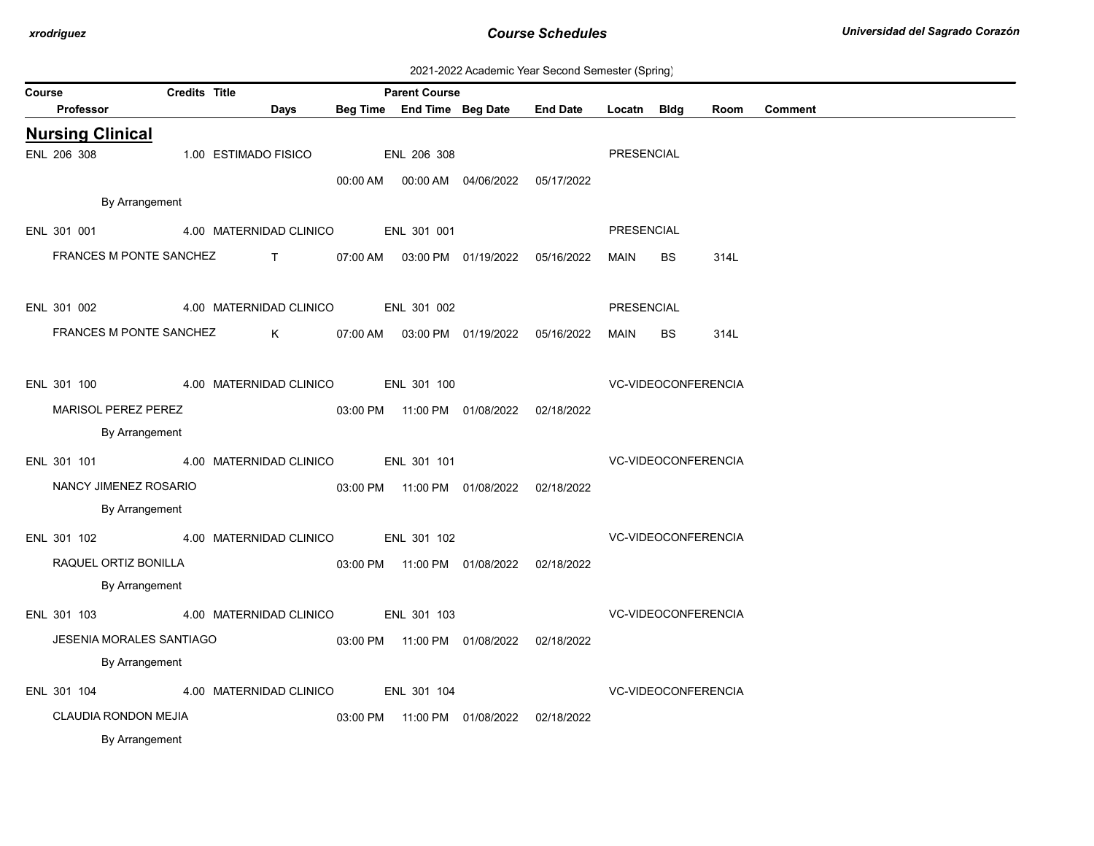| 2021-2022 Academic Year Second Semester (Spring) |  |  |  |
|--------------------------------------------------|--|--|--|
|--------------------------------------------------|--|--|--|

| Course |             |                            | <b>Credits Title</b> |                                     | <b>Parent Course</b> |                                            |            |                   |                            |      |                |
|--------|-------------|----------------------------|----------------------|-------------------------------------|----------------------|--------------------------------------------|------------|-------------------|----------------------------|------|----------------|
|        | Professor   |                            |                      | Days                                |                      | Beg Time End Time Beg Date End Date        |            | Locatn Bidg       |                            | Room | <b>Comment</b> |
|        |             | <b>Nursing Clinical</b>    |                      |                                     |                      |                                            |            |                   |                            |      |                |
|        | ENL 206 308 |                            |                      | 1.00 ESTIMADO FISICO                | ENL 206 308          |                                            |            | PRESENCIAL        |                            |      |                |
|        |             |                            |                      |                                     |                      | 00:00 AM  00:00 AM  04/06/2022  05/17/2022 |            |                   |                            |      |                |
|        |             | By Arrangement             |                      |                                     |                      |                                            |            |                   |                            |      |                |
|        | ENL 301 001 |                            |                      | 4.00 MATERNIDAD CLINICO ENL 301 001 |                      |                                            |            | PRESENCIAL        |                            |      |                |
|        |             | FRANCES M PONTE SANCHEZ    |                      | $\mathbf{T}$                        |                      | 07:00 AM  03:00 PM  01/19/2022  05/16/2022 |            | MAIN              | <b>BS</b>                  | 314L |                |
|        |             |                            |                      |                                     |                      |                                            |            |                   |                            |      |                |
|        | ENL 301 002 |                            |                      | 4.00 MATERNIDAD CLINICO ENL 301 002 |                      |                                            |            | <b>PRESENCIAL</b> |                            |      |                |
|        |             | FRANCES M PONTE SANCHEZ    |                      | $K$ and $K$                         |                      | 07:00 AM  03:00 PM  01/19/2022  05/16/2022 |            | <b>MAIN</b>       | <b>BS</b>                  | 314L |                |
|        |             |                            |                      |                                     |                      |                                            |            |                   |                            |      |                |
|        | ENL 301 100 |                            |                      | 4.00 MATERNIDAD CLINICO ENL 301 100 |                      |                                            |            |                   | <b>VC-VIDEOCONFERENCIA</b> |      |                |
|        |             | <b>MARISOL PEREZ PEREZ</b> |                      |                                     |                      | 03:00 PM  11:00 PM  01/08/2022  02/18/2022 |            |                   |                            |      |                |
|        |             | By Arrangement             |                      |                                     |                      |                                            |            |                   |                            |      |                |
|        | ENL 301 101 |                            |                      | 4.00 MATERNIDAD CLINICO ENL 301 101 |                      |                                            |            |                   | <b>VC-VIDEOCONFERENCIA</b> |      |                |
|        |             |                            |                      |                                     |                      |                                            |            |                   |                            |      |                |
|        |             | NANCY JIMENEZ ROSARIO      |                      |                                     |                      | 03:00 PM  11:00 PM  01/08/2022  02/18/2022 |            |                   |                            |      |                |
|        |             | By Arrangement             |                      |                                     |                      |                                            |            |                   |                            |      |                |
|        | ENL 301 102 |                            |                      | 4.00 MATERNIDAD CLINICO             | ENL 301 102          |                                            |            |                   | VC-VIDEOCONFERENCIA        |      |                |
|        |             | RAQUEL ORTIZ BONILLA       |                      |                                     |                      | 03:00 PM  11:00 PM  01/08/2022  02/18/2022 |            |                   |                            |      |                |
|        |             | By Arrangement             |                      |                                     |                      |                                            |            |                   |                            |      |                |
|        | ENL 301 103 |                            |                      | 4.00 MATERNIDAD CLINICO ENL 301 103 |                      |                                            |            |                   | VC-VIDEOCONFERENCIA        |      |                |
|        |             | JESENIA MORALES SANTIAGO   |                      |                                     |                      | 03:00 PM  11:00 PM  01/08/2022  02/18/2022 |            |                   |                            |      |                |
|        |             | By Arrangement             |                      |                                     |                      |                                            |            |                   |                            |      |                |
|        |             |                            |                      | ENL 301 104 4.00 MATERNIDAD CLINICO | ENL 301 104          |                                            |            |                   | <b>VC-VIDEOCONFERENCIA</b> |      |                |
|        |             | CLAUDIA RONDON MEJIA       |                      |                                     |                      | 03:00 PM  11:00 PM  01/08/2022             | 02/18/2022 |                   |                            |      |                |
|        |             | By Arrangement             |                      |                                     |                      |                                            |            |                   |                            |      |                |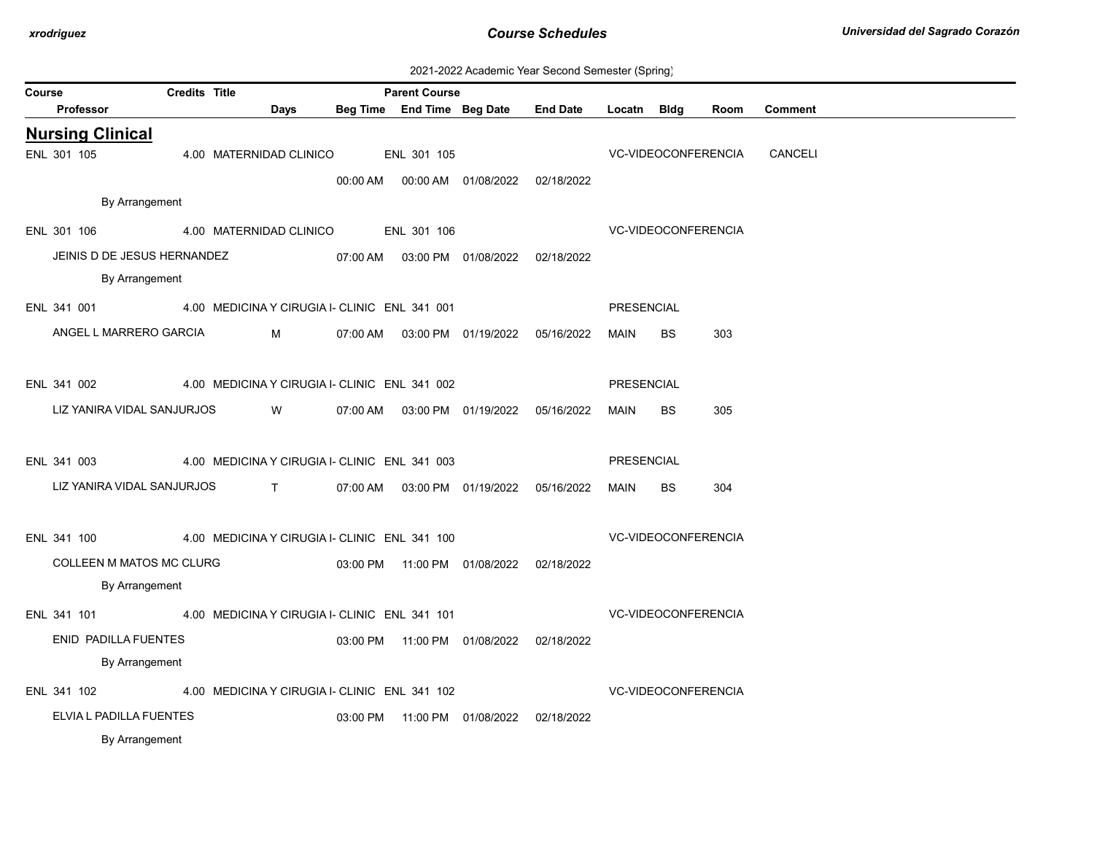| 2021-2022 Academic Year Second Semester (Spring) |  |  |  |
|--------------------------------------------------|--|--|--|
|--------------------------------------------------|--|--|--|

| Course                                                    | <b>Credits Title</b> |                                               | <b>Parent Course</b> |                                |                                            |             |           |                            |                |  |
|-----------------------------------------------------------|----------------------|-----------------------------------------------|----------------------|--------------------------------|--------------------------------------------|-------------|-----------|----------------------------|----------------|--|
| Professor                                                 |                      | Days                                          |                      | Beg Time End Time Beg Date     | <b>End Date</b>                            | Locatn Bldg |           | Room                       | <b>Comment</b> |  |
| <b>Nursing Clinical</b>                                   |                      |                                               |                      |                                |                                            |             |           |                            |                |  |
| ENL 301 105                                               |                      | 4.00 MATERNIDAD CLINICO                       | ENL 301 105          |                                |                                            |             |           | VC-VIDEOCONFERENCIA        | CANCELI        |  |
|                                                           |                      |                                               |                      |                                |                                            |             |           |                            |                |  |
| By Arrangement                                            |                      |                                               |                      |                                |                                            |             |           |                            |                |  |
| ENL 301 106                                               |                      | 4.00 MATERNIDAD CLINICO ENL 301 106           |                      |                                |                                            |             |           | <b>VC-VIDEOCONFERENCIA</b> |                |  |
| JEINIS D DE JESUS HERNANDEZ                               |                      |                                               |                      |                                | 07:00 AM  03:00 PM  01/08/2022  02/18/2022 |             |           |                            |                |  |
| By Arrangement                                            |                      |                                               |                      |                                |                                            |             |           |                            |                |  |
| ENL 341 001 4.00 MEDICINA Y CIRUGIA I- CLINIC ENL 341 001 |                      |                                               |                      |                                |                                            | PRESENCIAL  |           |                            |                |  |
| ANGEL L MARRERO GARCIA                                    |                      | $M \sim 1$                                    |                      |                                | 07:00 AM  03:00 PM  01/19/2022  05/16/2022 | MAIN        | <b>BS</b> | 303                        |                |  |
|                                                           |                      |                                               |                      |                                |                                            |             |           |                            |                |  |
| ENL 341 002 4.00 MEDICINA Y CIRUGIA I- CLINIC ENL 341 002 |                      |                                               |                      |                                |                                            | PRESENCIAL  |           |                            |                |  |
| LIZ YANIRA VIDAL SANJURJOS                                |                      | <b>W</b>                                      |                      |                                | 07:00 AM  03:00 PM  01/19/2022  05/16/2022 | MAIN        | <b>BS</b> | 305                        |                |  |
|                                                           |                      |                                               |                      |                                |                                            |             |           |                            |                |  |
| ENL 341 003                                               |                      | 4.00 MEDICINA Y CIRUGIA I- CLINIC ENL 341 003 |                      |                                |                                            | PRESENCIAL  |           |                            |                |  |
| LIZ YANIRA VIDAL SANJURJOS T                              |                      |                                               |                      |                                | 07:00 AM  03:00 PM  01/19/2022  05/16/2022 | MAIN        | BS        | 304                        |                |  |
|                                                           |                      |                                               |                      |                                |                                            |             |           |                            |                |  |
| ENL 341 100                                               |                      | 4.00 MEDICINA Y CIRUGIA I- CLINIC ENL 341 100 |                      |                                |                                            |             |           | VC-VIDEOCONFERENCIA        |                |  |
| COLLEEN M MATOS MC CLURG                                  |                      |                                               |                      |                                | 03:00 PM  11:00 PM  01/08/2022  02/18/2022 |             |           |                            |                |  |
| By Arrangement                                            |                      |                                               |                      |                                |                                            |             |           |                            |                |  |
|                                                           |                      |                                               |                      |                                |                                            |             |           |                            |                |  |
| ENL 341 101 4.00 MEDICINA Y CIRUGIA I- CLINIC ENL 341 101 |                      |                                               |                      |                                |                                            |             |           | VC-VIDEOCONFERENCIA        |                |  |
| ENID PADILLA FUENTES                                      |                      |                                               |                      |                                | 03:00 PM  11:00 PM  01/08/2022  02/18/2022 |             |           |                            |                |  |
| By Arrangement                                            |                      |                                               |                      |                                |                                            |             |           |                            |                |  |
| ENL 341 102                                               |                      | 4.00 MEDICINA Y CIRUGIA I- CLINIC ENL 341 102 |                      |                                |                                            |             |           | VC-VIDEOCONFERENCIA        |                |  |
| ELVIA L PADILLA FUENTES                                   |                      |                                               |                      | 03:00 PM  11:00 PM  01/08/2022 | 02/18/2022                                 |             |           |                            |                |  |
| By Arrangement                                            |                      |                                               |                      |                                |                                            |             |           |                            |                |  |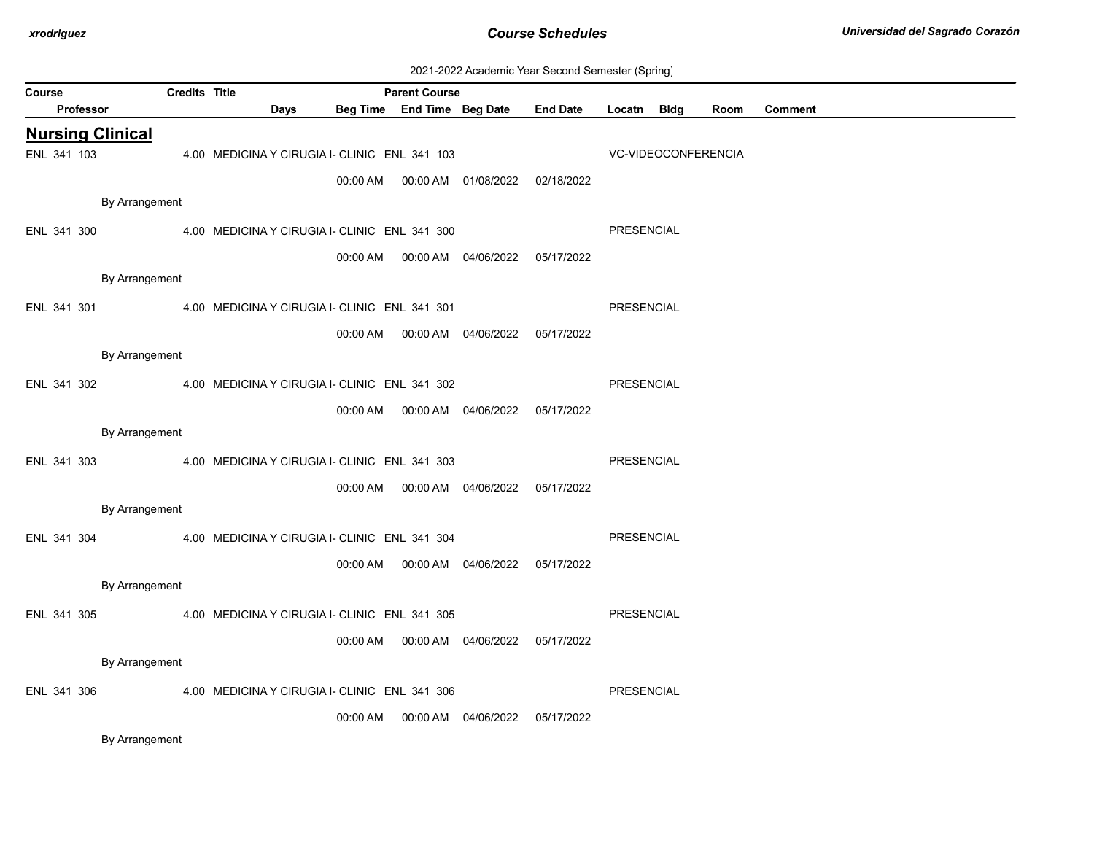| 2021-2022 Academic Year Second Semester (Spring) |  |  |  |
|--------------------------------------------------|--|--|--|
|--------------------------------------------------|--|--|--|

| Course                  |                | <b>Credits Title</b> |                                               |      |          | <b>Parent Course</b>       |                                            |                 |             |                     |      |                |
|-------------------------|----------------|----------------------|-----------------------------------------------|------|----------|----------------------------|--------------------------------------------|-----------------|-------------|---------------------|------|----------------|
| Professor               |                |                      |                                               | Days |          | Beg Time End Time Beg Date |                                            | <b>End Date</b> | Locatn Bldg |                     | Room | <b>Comment</b> |
| <b>Nursing Clinical</b> |                |                      |                                               |      |          |                            |                                            |                 |             |                     |      |                |
| ENL 341 103             |                |                      | 4.00 MEDICINA Y CIRUGIA I- CLINIC ENL 341 103 |      |          |                            |                                            |                 |             | VC-VIDEOCONFERENCIA |      |                |
|                         |                |                      |                                               |      | 00:00 AM |                            | 00:00 AM  01/08/2022  02/18/2022           |                 |             |                     |      |                |
|                         | By Arrangement |                      |                                               |      |          |                            |                                            |                 |             |                     |      |                |
| ENL 341 300             |                |                      | 4.00 MEDICINA Y CIRUGIA I- CLINIC ENL 341 300 |      |          |                            |                                            |                 | PRESENCIAL  |                     |      |                |
|                         |                |                      |                                               |      |          |                            | 00:00 AM  00:00 AM  04/06/2022  05/17/2022 |                 |             |                     |      |                |
|                         | By Arrangement |                      |                                               |      |          |                            |                                            |                 |             |                     |      |                |
| ENL 341 301             |                |                      | 4.00 MEDICINA Y CIRUGIA I- CLINIC ENL 341 301 |      |          |                            |                                            |                 | PRESENCIAL  |                     |      |                |
|                         |                |                      |                                               |      |          |                            |                                            |                 |             |                     |      |                |
|                         |                |                      |                                               |      | 00:00 AM |                            | 00:00 AM  04/06/2022  05/17/2022           |                 |             |                     |      |                |
|                         | By Arrangement |                      |                                               |      |          |                            |                                            |                 |             |                     |      |                |
| ENL 341 302             |                |                      | 4.00 MEDICINA Y CIRUGIA I- CLINIC ENL 341 302 |      |          |                            |                                            |                 | PRESENCIAL  |                     |      |                |
|                         |                |                      |                                               |      | 00:00 AM |                            | 00:00 AM  04/06/2022  05/17/2022           |                 |             |                     |      |                |
|                         | By Arrangement |                      |                                               |      |          |                            |                                            |                 |             |                     |      |                |
| ENL 341 303             |                |                      | 4.00 MEDICINA Y CIRUGIA I- CLINIC ENL 341 303 |      |          |                            |                                            |                 | PRESENCIAL  |                     |      |                |
|                         |                |                      |                                               |      |          |                            | 00:00 AM  00:00 AM  04/06/2022  05/17/2022 |                 |             |                     |      |                |
|                         | By Arrangement |                      |                                               |      |          |                            |                                            |                 |             |                     |      |                |
| ENL 341 304             |                |                      | 4.00 MEDICINA Y CIRUGIA I- CLINIC ENL 341 304 |      |          |                            |                                            |                 | PRESENCIAL  |                     |      |                |
|                         |                |                      |                                               |      | 00:00 AM |                            | 00:00 AM 04/06/2022                        | 05/17/2022      |             |                     |      |                |
|                         | By Arrangement |                      |                                               |      |          |                            |                                            |                 |             |                     |      |                |
| ENL 341 305             |                |                      | 4.00 MEDICINA Y CIRUGIA I- CLINIC ENL 341 305 |      |          |                            |                                            |                 | PRESENCIAL  |                     |      |                |
|                         |                |                      |                                               |      |          |                            |                                            |                 |             |                     |      |                |
|                         |                |                      |                                               |      | 00:00 AM |                            | 00:00 AM  04/06/2022                       | 05/17/2022      |             |                     |      |                |
|                         | By Arrangement |                      |                                               |      |          |                            |                                            |                 |             |                     |      |                |
| ENL 341 306             |                |                      | 4.00 MEDICINA Y CIRUGIA I- CLINIC ENL 341 306 |      |          |                            |                                            |                 | PRESENCIAL  |                     |      |                |
|                         |                |                      |                                               |      | 00:00 AM |                            | 00:00 AM 04/06/2022                        | 05/17/2022      |             |                     |      |                |
|                         | By Arrangement |                      |                                               |      |          |                            |                                            |                 |             |                     |      |                |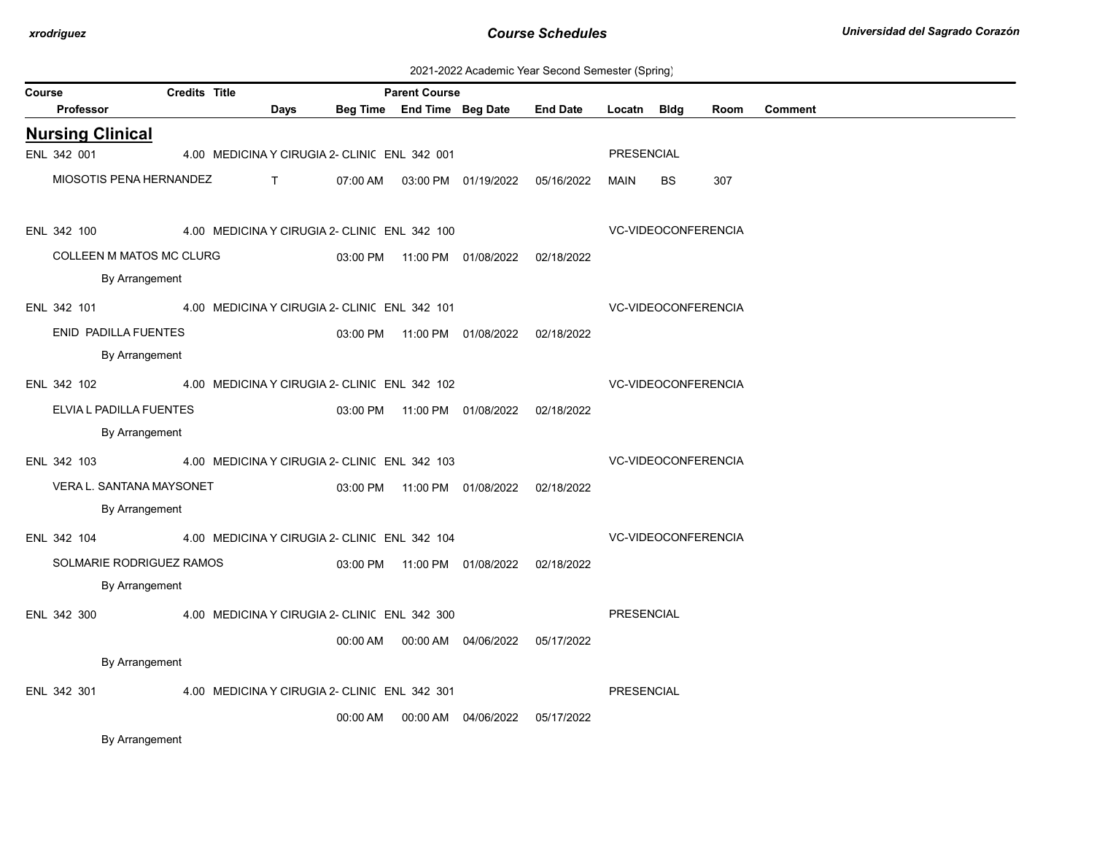| 2021-2022 Academic Year Second Semester (Spring) |  |  |  |
|--------------------------------------------------|--|--|--|
|--------------------------------------------------|--|--|--|

| Course |                          | <b>Credits Title</b> |              |                                               | <b>Parent Course</b>       |                                            |                 |                   |                            |      |                |
|--------|--------------------------|----------------------|--------------|-----------------------------------------------|----------------------------|--------------------------------------------|-----------------|-------------------|----------------------------|------|----------------|
|        | <b>Professor</b>         |                      | Days         |                                               | Beg Time End Time Beg Date |                                            | <b>End Date</b> | Locatn            | Bldg                       | Room | <b>Comment</b> |
|        | <b>Nursing Clinical</b>  |                      |              |                                               |                            |                                            |                 |                   |                            |      |                |
|        | ENL 342 001              |                      |              | 4.00 MEDICINA Y CIRUGIA 2- CLINIC ENL 342 001 |                            |                                            |                 | <b>PRESENCIAL</b> |                            |      |                |
|        | MIOSOTIS PENA HERNANDEZ  |                      | $\mathsf{T}$ | 07:00 AM                                      |                            | 03:00 PM  01/19/2022  05/16/2022           |                 | MAIN              | <b>BS</b>                  | 307  |                |
|        | ENL 342 100              |                      |              | 4.00 MEDICINA Y CIRUGIA 2- CLINIC ENL 342 100 |                            |                                            |                 |                   | <b>VC-VIDEOCONFERENCIA</b> |      |                |
|        | COLLEEN M MATOS MC CLURG |                      |              |                                               |                            | 03:00 PM  11:00 PM  01/08/2022  02/18/2022 |                 |                   |                            |      |                |
|        | By Arrangement           |                      |              |                                               |                            |                                            |                 |                   |                            |      |                |
|        | ENL 342 101              |                      |              | 4.00 MEDICINA Y CIRUGIA 2- CLINIC ENL 342 101 |                            |                                            |                 |                   | <b>VC-VIDEOCONFERENCIA</b> |      |                |
|        | ENID PADILLA FUENTES     |                      |              |                                               |                            | 03:00 PM  11:00 PM  01/08/2022  02/18/2022 |                 |                   |                            |      |                |
|        | By Arrangement           |                      |              |                                               |                            |                                            |                 |                   |                            |      |                |
|        | ENL 342 102              |                      |              | 4.00 MEDICINA Y CIRUGIA 2- CLINIC ENL 342 102 |                            |                                            |                 |                   | <b>VC-VIDEOCONFERENCIA</b> |      |                |
|        | ELVIA L PADILLA FUENTES  |                      |              |                                               |                            | 03:00 PM  11:00 PM  01/08/2022  02/18/2022 |                 |                   |                            |      |                |
|        | By Arrangement           |                      |              |                                               |                            |                                            |                 |                   |                            |      |                |
|        | ENL 342 103              |                      |              | 4.00 MEDICINA Y CIRUGIA 2- CLINI( ENL 342 103 |                            |                                            |                 |                   | <b>VC-VIDEOCONFERENCIA</b> |      |                |
|        | VERA L. SANTANA MAYSONET |                      |              |                                               |                            | 03:00 PM  11:00 PM  01/08/2022  02/18/2022 |                 |                   |                            |      |                |
|        | By Arrangement           |                      |              |                                               |                            |                                            |                 |                   |                            |      |                |
|        | ENL 342 104              |                      |              | 4.00 MEDICINA Y CIRUGIA 2- CLINIC ENL 342 104 |                            |                                            |                 |                   | VC-VIDEOCONFERENCIA        |      |                |
|        | SOLMARIE RODRIGUEZ RAMOS |                      |              |                                               |                            | 03:00 PM  11:00 PM  01/08/2022  02/18/2022 |                 |                   |                            |      |                |
|        | By Arrangement           |                      |              |                                               |                            |                                            |                 |                   |                            |      |                |
|        | ENL 342 300              |                      |              | 4.00 MEDICINA Y CIRUGIA 2- CLINIC ENL 342 300 |                            |                                            |                 | <b>PRESENCIAL</b> |                            |      |                |
|        |                          |                      |              |                                               |                            | 00:00 AM   00:00 AM   04/06/2022           | 05/17/2022      |                   |                            |      |                |
|        | By Arrangement           |                      |              |                                               |                            |                                            |                 |                   |                            |      |                |
|        | ENL 342 301              |                      |              | 4.00 MEDICINA Y CIRUGIA 2- CLINIC ENL 342 301 |                            |                                            |                 | PRESENCIAL        |                            |      |                |
|        |                          |                      |              | 00:00 AM                                      |                            | 00:00 AM 04/06/2022                        | 05/17/2022      |                   |                            |      |                |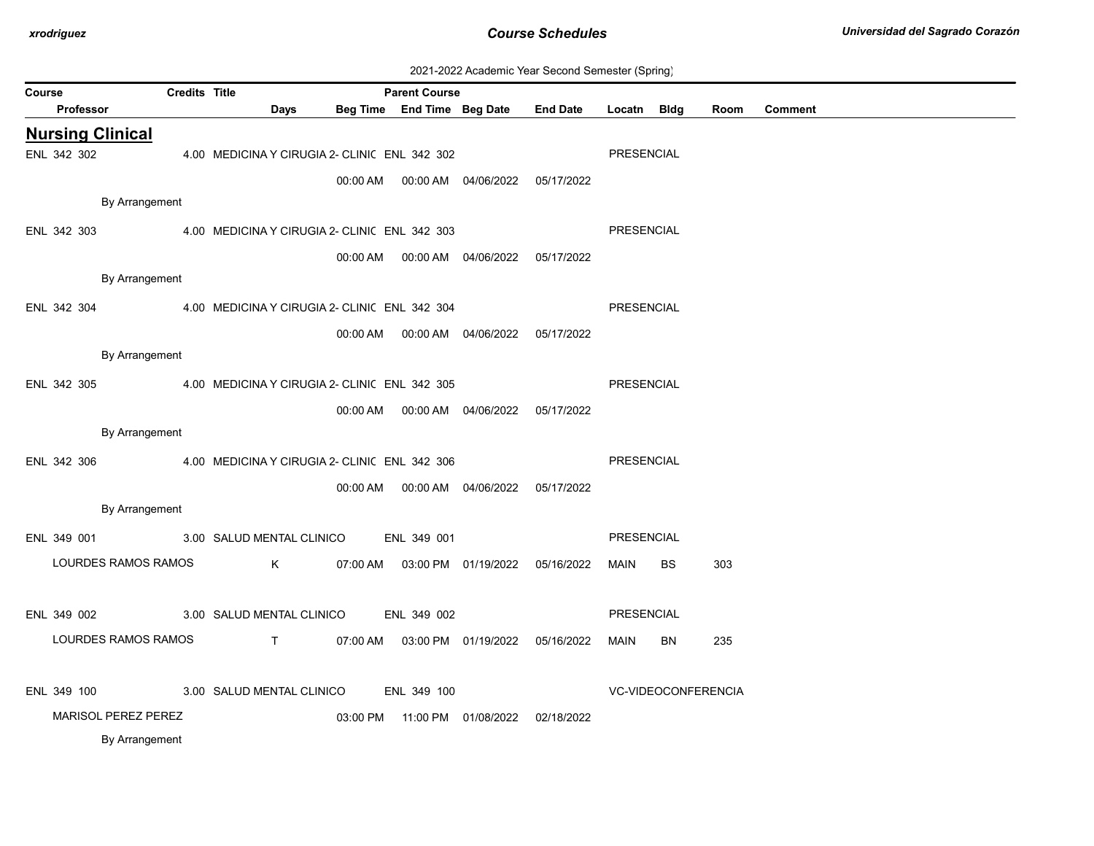| 2021-2022 Academic Year Second Semester (Spring) |  |  |  |  |  |
|--------------------------------------------------|--|--|--|--|--|
|--------------------------------------------------|--|--|--|--|--|

| Course<br>Professor     | <b>Credits Title</b> | Days                                          |          | <b>Parent Course</b><br>Beg Time End Time Beg Date |                                            | <b>End Date</b> | Locatn Bldg       |                     | Room | <b>Comment</b> |
|-------------------------|----------------------|-----------------------------------------------|----------|----------------------------------------------------|--------------------------------------------|-----------------|-------------------|---------------------|------|----------------|
|                         |                      |                                               |          |                                                    |                                            |                 |                   |                     |      |                |
| <b>Nursing Clinical</b> |                      |                                               |          |                                                    |                                            |                 |                   |                     |      |                |
| ENL 342 302             |                      | 4.00 MEDICINA Y CIRUGIA 2- CLINIC ENL 342 302 |          |                                                    |                                            |                 | PRESENCIAL        |                     |      |                |
|                         |                      |                                               | 00:00 AM |                                                    | 00:00 AM  04/06/2022                       | 05/17/2022      |                   |                     |      |                |
|                         | By Arrangement       |                                               |          |                                                    |                                            |                 |                   |                     |      |                |
| ENL 342 303             |                      | 4.00 MEDICINA Y CIRUGIA 2- CLINIC ENL 342 303 |          |                                                    |                                            |                 | PRESENCIAL        |                     |      |                |
|                         |                      |                                               | 00:00 AM |                                                    |                                            | 05/17/2022      |                   |                     |      |                |
|                         | By Arrangement       |                                               |          |                                                    |                                            |                 |                   |                     |      |                |
|                         |                      |                                               |          |                                                    |                                            |                 |                   |                     |      |                |
| ENL 342 304             |                      | 4.00 MEDICINA Y CIRUGIA 2- CLINIC ENL 342 304 |          |                                                    |                                            |                 | <b>PRESENCIAL</b> |                     |      |                |
|                         |                      |                                               |          |                                                    |                                            | 05/17/2022      |                   |                     |      |                |
|                         | By Arrangement       |                                               |          |                                                    |                                            |                 |                   |                     |      |                |
| ENL 342 305             |                      | 4.00 MEDICINA Y CIRUGIA 2- CLINIC ENL 342 305 |          |                                                    |                                            |                 | PRESENCIAL        |                     |      |                |
|                         |                      |                                               | 00:00 AM |                                                    | 00:00 AM 04/06/2022 05/17/2022             |                 |                   |                     |      |                |
|                         | By Arrangement       |                                               |          |                                                    |                                            |                 |                   |                     |      |                |
| ENL 342 306             |                      | 4.00 MEDICINA Y CIRUGIA 2- CLINIC ENL 342 306 |          |                                                    |                                            |                 | <b>PRESENCIAL</b> |                     |      |                |
|                         |                      |                                               |          |                                                    |                                            |                 |                   |                     |      |                |
|                         |                      |                                               |          |                                                    | 00:00 AM  00:00 AM  04/06/2022  05/17/2022 |                 |                   |                     |      |                |
|                         | By Arrangement       |                                               |          |                                                    |                                            |                 |                   |                     |      |                |
| ENL 349 001             |                      | 3.00 SALUD MENTAL CLINICO                     |          | ENL 349 001                                        |                                            |                 | PRESENCIAL        |                     |      |                |
|                         | LOURDES RAMOS RAMOS  | K                                             | 07:00 AM |                                                    | 03:00 PM 01/19/2022 05/16/2022             |                 | MAIN              | BS                  | 303  |                |
|                         |                      |                                               |          |                                                    |                                            |                 |                   |                     |      |                |
| ENL 349 002             |                      | 3.00 SALUD MENTAL CLINICO                     |          | ENL 349 002                                        |                                            |                 | <b>PRESENCIAL</b> |                     |      |                |
|                         | LOURDES RAMOS RAMOS  |                                               |          |                                                    |                                            |                 |                   |                     |      |                |
|                         |                      | $T \sim 1$                                    |          |                                                    | 07:00 AM  03:00 PM  01/19/2022  05/16/2022 |                 | MAIN              | BN                  | 235  |                |
|                         |                      |                                               |          |                                                    |                                            |                 |                   |                     |      |                |
| ENL 349 100             |                      | 3.00 SALUD MENTAL CLINICO                     |          | ENL 349 100                                        |                                            |                 |                   | VC-VIDEOCONFERENCIA |      |                |
|                         | MARISOL PEREZ PEREZ  |                                               |          |                                                    | 03:00 PM  11:00 PM  01/08/2022             | 02/18/2022      |                   |                     |      |                |
|                         | By Arrangement       |                                               |          |                                                    |                                            |                 |                   |                     |      |                |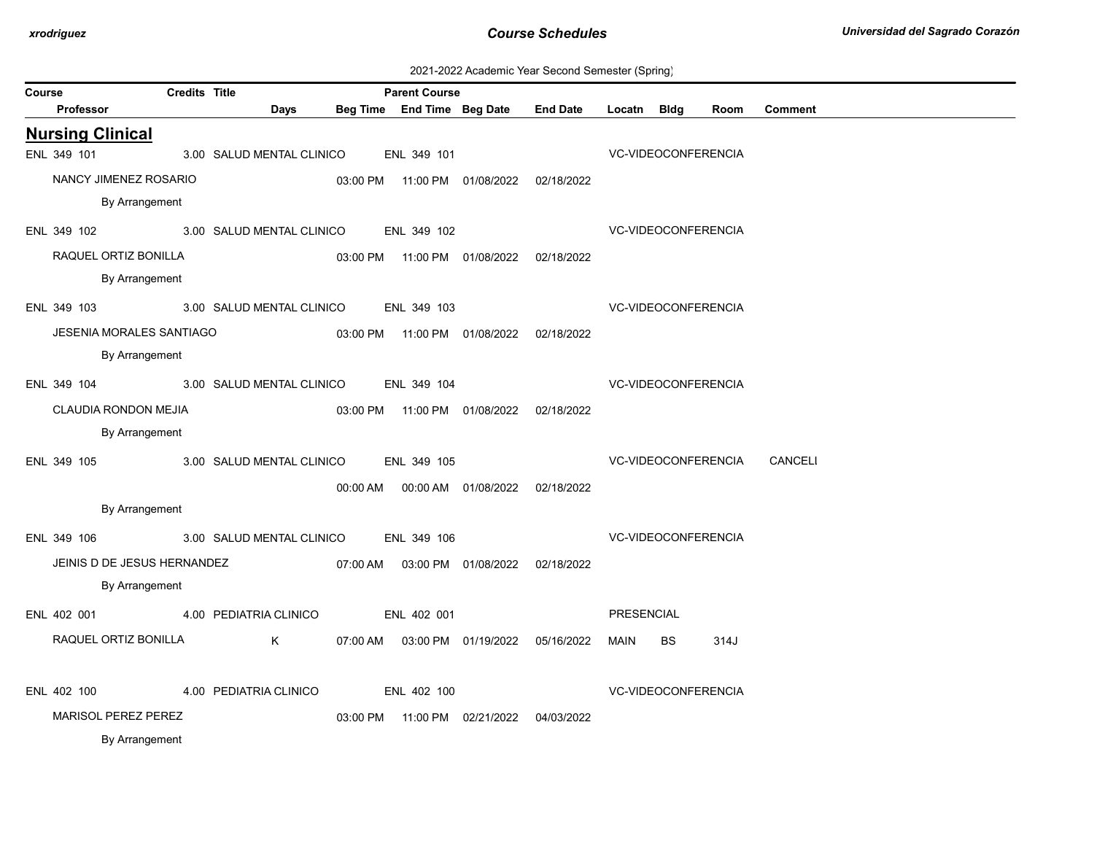| 2021-2022 Academic Year Second Semester (Spring) |  |  |  |
|--------------------------------------------------|--|--|--|
|--------------------------------------------------|--|--|--|

|        |                         |                                 |               |                                                   |                      |                                            |                                            |                            | ັ         |      |                |
|--------|-------------------------|---------------------------------|---------------|---------------------------------------------------|----------------------|--------------------------------------------|--------------------------------------------|----------------------------|-----------|------|----------------|
| Course |                         |                                 | Credits Title |                                                   | <b>Parent Course</b> |                                            |                                            |                            |           |      |                |
|        | Professor               |                                 |               | Days                                              |                      | Beg Time End Time Beg Date                 | <b>End Date</b>                            | Locatn Bldg                |           | Room | <b>Comment</b> |
|        | <b>Nursing Clinical</b> |                                 |               |                                                   |                      |                                            |                                            |                            |           |      |                |
|        | ENL 349 101             |                                 |               | 3.00 SALUD MENTAL CLINICO                         | ENL 349 101          |                                            |                                            | VC-VIDEOCONFERENCIA        |           |      |                |
|        |                         | NANCY JIMENEZ ROSARIO           |               |                                                   |                      | 03:00 PM  11:00 PM  01/08/2022  02/18/2022 |                                            |                            |           |      |                |
|        |                         | By Arrangement                  |               |                                                   |                      |                                            |                                            |                            |           |      |                |
|        | ENL 349 102             |                                 |               | 3.00 SALUD MENTAL CLINICO                         | ENL 349 102          |                                            |                                            | <b>VC-VIDEOCONFERENCIA</b> |           |      |                |
|        |                         | RAQUEL ORTIZ BONILLA            |               |                                                   |                      | 03:00 PM  11:00 PM  01/08/2022  02/18/2022 |                                            |                            |           |      |                |
|        |                         | By Arrangement                  |               |                                                   |                      |                                            |                                            |                            |           |      |                |
|        | ENL 349 103             |                                 |               | 3.00 SALUD MENTAL CLINICO                         | ENL 349 103          |                                            |                                            | VC-VIDEOCONFERENCIA        |           |      |                |
|        |                         | <b>JESENIA MORALES SANTIAGO</b> |               |                                                   |                      | 03:00 PM  11:00 PM  01/08/2022  02/18/2022 |                                            |                            |           |      |                |
|        |                         | By Arrangement                  |               |                                                   |                      |                                            |                                            |                            |           |      |                |
|        |                         |                                 |               | ENL 349 104 3.00 SALUD MENTAL CLINICO ENL 349 104 |                      |                                            |                                            | VC-VIDEOCONFERENCIA        |           |      |                |
|        |                         | CLAUDIA RONDON MEJIA            |               |                                                   |                      | 03:00 PM  11:00 PM  01/08/2022  02/18/2022 |                                            |                            |           |      |                |
|        |                         | By Arrangement                  |               |                                                   |                      |                                            |                                            |                            |           |      |                |
|        | ENL 349 105             |                                 |               | 3.00 SALUD MENTAL CLINICO                         | ENL 349 105          |                                            |                                            | VC-VIDEOCONFERENCIA        |           |      | CANCELI        |
|        |                         |                                 |               |                                                   |                      | 00:00 AM  00:00 AM  01/08/2022  02/18/2022 |                                            |                            |           |      |                |
|        |                         | By Arrangement                  |               |                                                   |                      |                                            |                                            |                            |           |      |                |
|        | ENL 349 106             |                                 |               | 3.00 SALUD MENTAL CLINICO                         | ENL 349 106          |                                            |                                            | <b>VC-VIDEOCONFERENCIA</b> |           |      |                |
|        |                         | JEINIS D DE JESUS HERNANDEZ     |               |                                                   |                      | 07:00 AM  03:00 PM  01/08/2022  02/18/2022 |                                            |                            |           |      |                |
|        |                         | By Arrangement                  |               |                                                   |                      |                                            |                                            |                            |           |      |                |
|        | ENL 402 001             |                                 |               | 4.00 PEDIATRIA CLINICO                            | ENL 402 001          |                                            |                                            | <b>PRESENCIAL</b>          |           |      |                |
|        |                         | RAQUEL ORTIZ BONILLA            |               | $K$ and $K$                                       |                      |                                            |                                            | MAIN                       | <b>BS</b> | 314J |                |
|        |                         |                                 |               |                                                   |                      |                                            | 07:00 AM  03:00 PM  01/19/2022  05/16/2022 |                            |           |      |                |
|        | ENL 402 100             |                                 |               | 4.00 PEDIATRIA CLINICO                            | ENL 402 100          |                                            |                                            | VC-VIDEOCONFERENCIA        |           |      |                |
|        |                         | <b>MARISOL PEREZ PEREZ</b>      |               |                                                   |                      | 03:00 PM  11:00 PM  02/21/2022  04/03/2022 |                                            |                            |           |      |                |
|        |                         | By Arrangement                  |               |                                                   |                      |                                            |                                            |                            |           |      |                |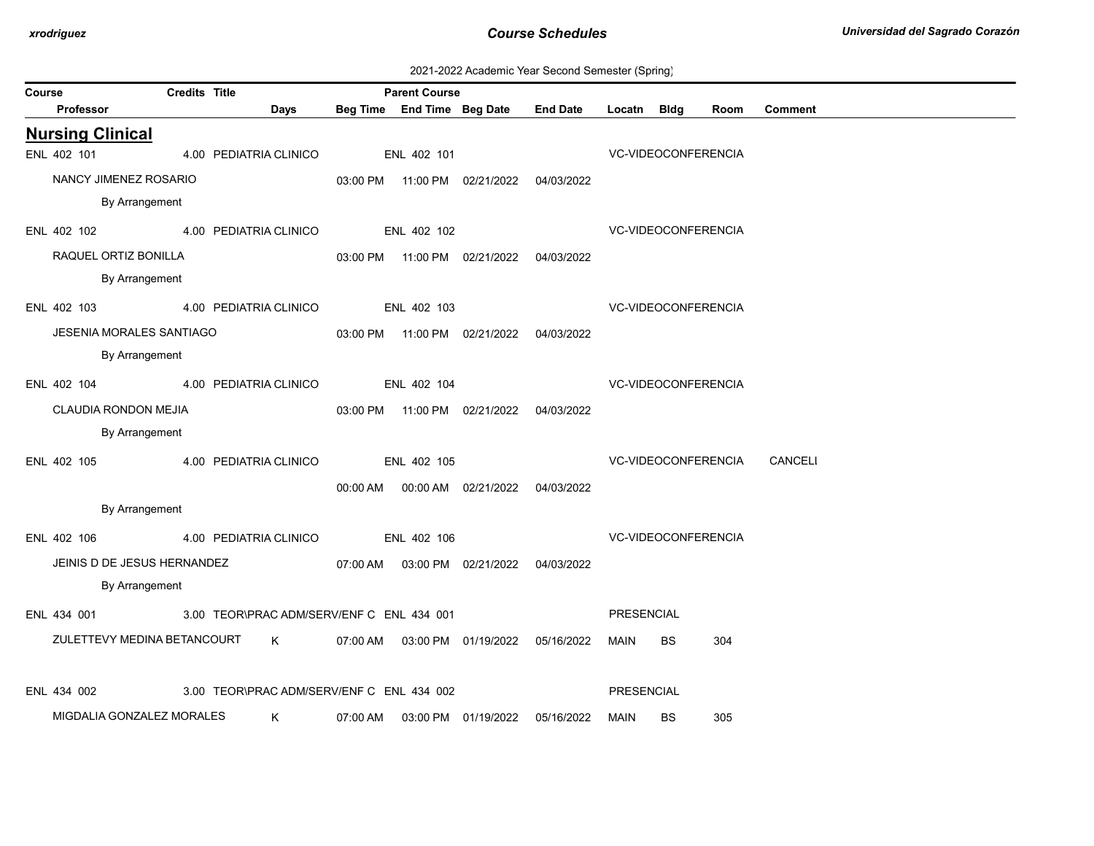| 2021-2022 Academic Year Second Semester (Spring) |  |  |  |
|--------------------------------------------------|--|--|--|
|--------------------------------------------------|--|--|--|

| Course |                                    | <b>Credits Title</b>                      |      |          | <b>Parent Course</b> |                                            |                                     |                            |                     |                     |                |  |
|--------|------------------------------------|-------------------------------------------|------|----------|----------------------|--------------------------------------------|-------------------------------------|----------------------------|---------------------|---------------------|----------------|--|
|        | Professor                          |                                           | Days |          |                      |                                            | Beg Time End Time Beg Date End Date | Locatn Bldg                |                     | Room                | <b>Comment</b> |  |
|        | <b>Nursing Clinical</b>            |                                           |      |          |                      |                                            |                                     |                            |                     |                     |                |  |
|        | ENL 402 101                        | 4.00 PEDIATRIA CLINICO                    |      |          | ENL 402 101          |                                            |                                     |                            | VC-VIDEOCONFERENCIA |                     |                |  |
|        | NANCY JIMENEZ ROSARIO              |                                           |      |          |                      | 03:00 PM  11:00 PM  02/21/2022  04/03/2022 |                                     |                            |                     |                     |                |  |
|        | By Arrangement                     |                                           |      |          |                      |                                            |                                     |                            |                     |                     |                |  |
|        | ENL 402 102                        | 4.00 PEDIATRIA CLINICO ENL 402 102        |      |          |                      |                                            |                                     | <b>VC-VIDEOCONFERENCIA</b> |                     |                     |                |  |
|        | RAQUEL ORTIZ BONILLA               |                                           |      |          |                      | 03:00 PM  11:00 PM  02/21/2022  04/03/2022 |                                     |                            |                     |                     |                |  |
|        | By Arrangement                     |                                           |      |          |                      |                                            |                                     |                            |                     |                     |                |  |
|        | ENL 402 103 4.00 PEDIATRIA CLINICO |                                           |      |          | ENL 402 103          |                                            |                                     | <b>VC-VIDEOCONFERENCIA</b> |                     |                     |                |  |
|        | <b>JESENIA MORALES SANTIAGO</b>    |                                           |      |          |                      | 03:00 PM  11:00 PM  02/21/2022  04/03/2022 |                                     |                            |                     |                     |                |  |
|        | By Arrangement                     |                                           |      |          |                      |                                            |                                     |                            |                     |                     |                |  |
|        | ENL 402 104 4.00 PEDIATRIA CLINICO |                                           |      |          | ENL 402 104          |                                            |                                     |                            | VC-VIDEOCONFERENCIA |                     |                |  |
|        | CLAUDIA RONDON MEJIA               |                                           |      |          |                      | 03:00 PM  11:00 PM  02/21/2022  04/03/2022 |                                     |                            |                     |                     |                |  |
|        | By Arrangement                     |                                           |      |          |                      |                                            |                                     |                            |                     |                     |                |  |
|        | ENL 402 105 4.00 PEDIATRIA CLINICO |                                           |      |          | ENL 402 105          |                                            |                                     |                            |                     | VC-VIDEOCONFERENCIA | CANCELI        |  |
|        |                                    |                                           |      |          |                      | 00:00 AM  00:00 AM  02/21/2022  04/03/2022 |                                     |                            |                     |                     |                |  |
|        | By Arrangement                     |                                           |      |          |                      |                                            |                                     |                            |                     |                     |                |  |
|        | ENL 402 106                        | 4.00 PEDIATRIA CLINICO                    |      |          | ENL 402 106          |                                            |                                     |                            | VC-VIDEOCONFERENCIA |                     |                |  |
|        | JEINIS D DE JESUS HERNANDEZ        |                                           |      |          |                      | 07:00 AM  03:00 PM  02/21/2022  04/03/2022 |                                     |                            |                     |                     |                |  |
|        | By Arrangement                     |                                           |      |          |                      |                                            |                                     |                            |                     |                     |                |  |
|        | ENL 434 001                        | 3.00 TEOR\PRAC ADM/SERV/ENF C ENL 434 001 |      |          |                      |                                            |                                     | PRESENCIAL                 |                     |                     |                |  |
|        | ZULETTEVY MEDINA BETANCOURT K      |                                           |      |          |                      | 07:00 AM  03:00 PM  01/19/2022  05/16/2022 |                                     | MAIN                       | BS.                 | 304                 |                |  |
|        |                                    |                                           |      |          |                      |                                            |                                     |                            |                     |                     |                |  |
|        | ENL 434 002                        | 3.00 TEOR\PRAC ADM/SERV/ENF C ENL 434 002 |      |          |                      |                                            |                                     | PRESENCIAL                 |                     |                     |                |  |
|        | MIGDALIA GONZALEZ MORALES          |                                           | K .  | 07:00 AM |                      | 03:00 PM 01/19/2022                        | 05/16/2022                          | MAIN                       | <b>BS</b>           | 305                 |                |  |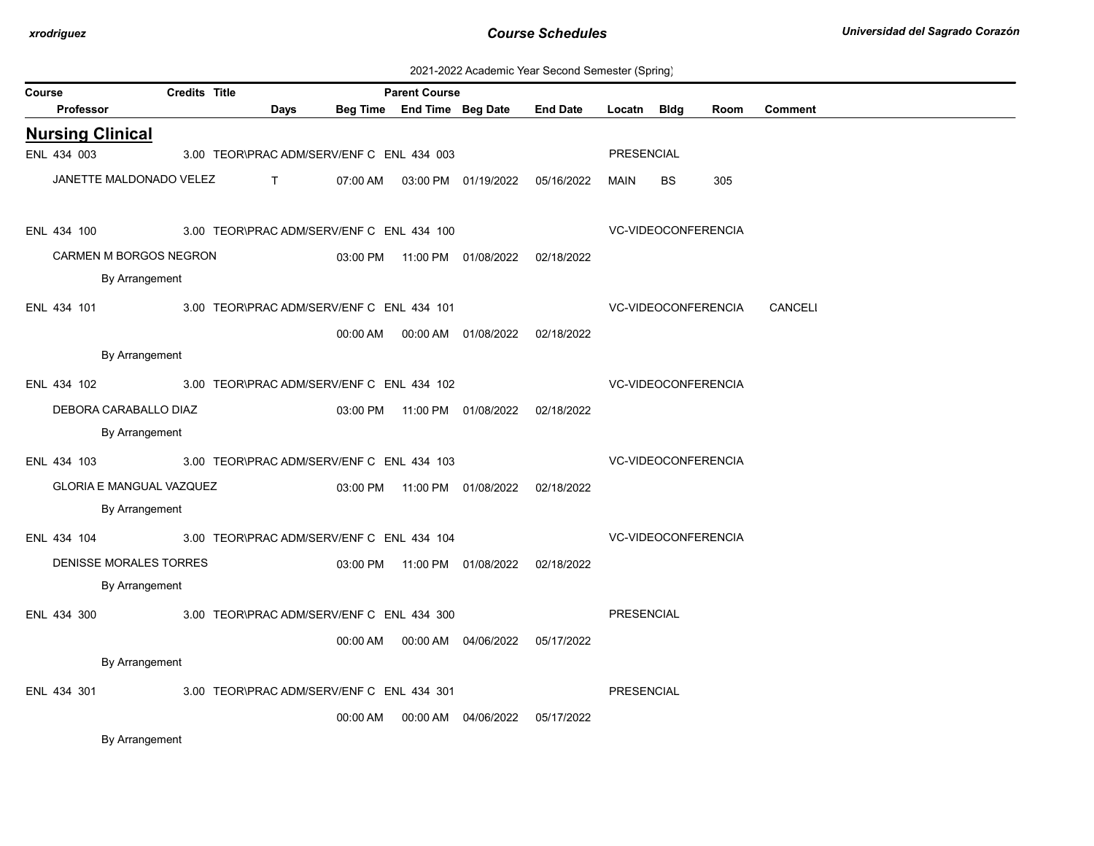| 2021-2022 Academic Year Second Semester (Spring) |  |  |  |
|--------------------------------------------------|--|--|--|
|--------------------------------------------------|--|--|--|

| Course |                                 | <b>Credits Title</b><br><b>Parent Course</b> |                                           |          |                                            |                                  |                   |                     |      |                |
|--------|---------------------------------|----------------------------------------------|-------------------------------------------|----------|--------------------------------------------|----------------------------------|-------------------|---------------------|------|----------------|
|        | <b>Professor</b>                |                                              | Days                                      |          | Beg Time End Time Beg Date                 | <b>End Date</b>                  | Locatn Bldg       |                     | Room | <b>Comment</b> |
|        | <b>Nursing Clinical</b>         |                                              |                                           |          |                                            |                                  |                   |                     |      |                |
|        | ENL 434 003                     |                                              | 3.00 TEOR\PRAC ADM/SERV/ENF C ENL 434 003 |          |                                            |                                  | PRESENCIAL        |                     |      |                |
|        | JANETTE MALDONADO VELEZ         |                                              | $\mathsf{T}$ and $\mathsf{T}$             | 07:00 AM |                                            | 03:00 PM  01/19/2022  05/16/2022 | MAIN              | BS.                 | 305  |                |
|        | ENL 434 100                     |                                              | 3.00 TEOR\PRAC ADM/SERV/ENF C ENL 434 100 |          |                                            |                                  |                   | VC-VIDEOCONFERENCIA |      |                |
|        | CARMEN M BORGOS NEGRON          |                                              |                                           |          | 03:00 PM  11:00 PM  01/08/2022  02/18/2022 |                                  |                   |                     |      |                |
|        | By Arrangement                  |                                              |                                           |          |                                            |                                  |                   |                     |      |                |
|        | ENL 434 101                     |                                              | 3.00 TEOR\PRAC ADM/SERV/ENF C ENL 434 101 |          |                                            |                                  |                   | VC-VIDEOCONFERENCIA |      | CANCELI        |
|        |                                 |                                              |                                           | 00:00 AM | 00:00 AM  01/08/2022  02/18/2022           |                                  |                   |                     |      |                |
|        | By Arrangement                  |                                              |                                           |          |                                            |                                  |                   |                     |      |                |
|        | ENL 434 102                     |                                              | 3.00 TEOR\PRAC ADM/SERV/ENF C ENL 434 102 |          |                                            |                                  |                   | VC-VIDEOCONFERENCIA |      |                |
|        | DEBORA CARABALLO DIAZ           |                                              |                                           |          | 03:00 PM  11:00 PM  01/08/2022  02/18/2022 |                                  |                   |                     |      |                |
|        | By Arrangement                  |                                              |                                           |          |                                            |                                  |                   |                     |      |                |
|        | ENL 434 103                     |                                              | 3.00 TEOR\PRAC ADM/SERV/ENF C ENL 434 103 |          |                                            |                                  |                   | VC-VIDEOCONFERENCIA |      |                |
|        | <b>GLORIA E MANGUAL VAZQUEZ</b> |                                              |                                           |          | 03:00 PM  11:00 PM  01/08/2022  02/18/2022 |                                  |                   |                     |      |                |
|        | By Arrangement                  |                                              |                                           |          |                                            |                                  |                   |                     |      |                |
|        | ENL 434 104                     |                                              | 3.00 TEOR\PRAC ADM/SERV/ENF C ENL 434 104 |          |                                            |                                  |                   | VC-VIDEOCONFERENCIA |      |                |
|        | DENISSE MORALES TORRES          |                                              |                                           |          | 03:00 PM  11:00 PM  01/08/2022  02/18/2022 |                                  |                   |                     |      |                |
|        | By Arrangement                  |                                              |                                           |          |                                            |                                  |                   |                     |      |                |
|        | ENL 434 300                     |                                              | 3.00 TEOR\PRAC ADM/SERV/ENF C ENL 434 300 |          |                                            |                                  | <b>PRESENCIAL</b> |                     |      |                |
|        |                                 |                                              |                                           |          | 00:00 AM   00:00 AM   04/06/2022           | 05/17/2022                       |                   |                     |      |                |
|        | By Arrangement                  |                                              |                                           |          |                                            |                                  |                   |                     |      |                |
|        | ENL 434 301                     |                                              | 3.00 TEOR\PRAC ADM/SERV/ENF C ENL 434 301 |          |                                            |                                  | <b>PRESENCIAL</b> |                     |      |                |
|        |                                 |                                              |                                           | 00:00 AM | 00:00 AM 04/06/2022                        | 05/17/2022                       |                   |                     |      |                |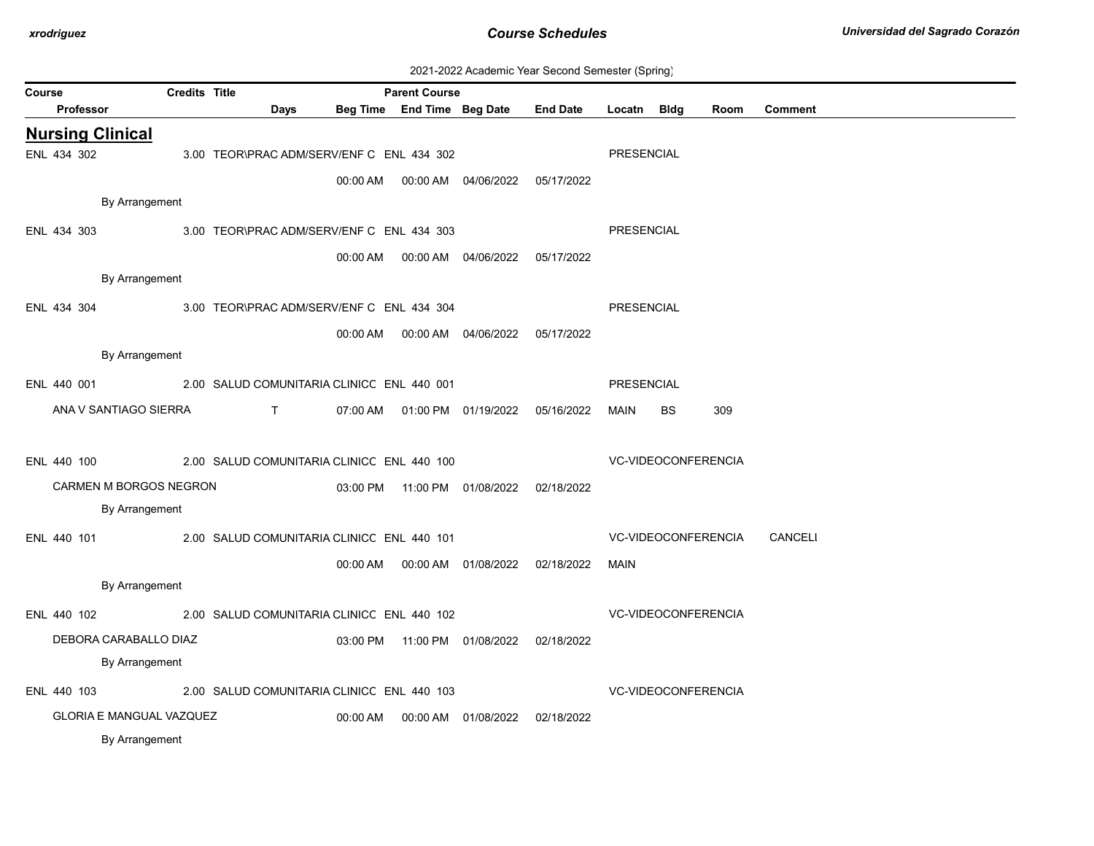| 2021-2022 Academic Year Second Semester (Spring) |  |  |  |
|--------------------------------------------------|--|--|--|
|--------------------------------------------------|--|--|--|

|                                 |                      |                                            |          |                                                    |                                              |                 |                   | ັ  |                     |                |
|---------------------------------|----------------------|--------------------------------------------|----------|----------------------------------------------------|----------------------------------------------|-----------------|-------------------|----|---------------------|----------------|
| Course<br>Professor             | <b>Credits Title</b> | Days                                       |          | <b>Parent Course</b><br>Beg Time End Time Beg Date |                                              | <b>End Date</b> | Locatn Bldg       |    | Room                | <b>Comment</b> |
| <b>Nursing Clinical</b>         |                      |                                            |          |                                                    |                                              |                 |                   |    |                     |                |
| ENL 434 302                     |                      | 3.00 TEOR\PRAC ADM/SERV/ENF C ENL 434 302  |          |                                                    |                                              |                 | <b>PRESENCIAL</b> |    |                     |                |
|                                 |                      |                                            |          |                                                    |                                              |                 |                   |    |                     |                |
|                                 |                      |                                            | 00:00 AM |                                                    |                                              | 05/17/2022      |                   |    |                     |                |
| By Arrangement                  |                      |                                            |          |                                                    |                                              |                 |                   |    |                     |                |
| ENL 434 303                     |                      | 3.00 TEOR\PRAC ADM/SERV/ENF C ENL 434 303  |          |                                                    |                                              |                 | PRESENCIAL        |    |                     |                |
|                                 |                      |                                            |          |                                                    | 00:00 AM   00:00 AM   04/06/2022  05/17/2022 |                 |                   |    |                     |                |
| By Arrangement                  |                      |                                            |          |                                                    |                                              |                 |                   |    |                     |                |
| ENL 434 304                     |                      | 3.00 TEOR\PRAC ADM/SERV/ENF C ENL 434 304  |          |                                                    |                                              |                 | PRESENCIAL        |    |                     |                |
|                                 |                      |                                            | 00:00 AM |                                                    | 00:00 AM  04/06/2022  05/17/2022             |                 |                   |    |                     |                |
| By Arrangement                  |                      |                                            |          |                                                    |                                              |                 |                   |    |                     |                |
|                                 |                      |                                            |          |                                                    |                                              |                 |                   |    |                     |                |
| ENL 440 001                     |                      | 2.00 SALUD COMUNITARIA CLINICC ENL 440 001 |          |                                                    |                                              |                 | PRESENCIAL        |    |                     |                |
| ANA V SANTIAGO SIERRA           |                      | $\mathsf{T}$ and $\mathsf{S}$              |          |                                                    | 07:00 AM  01:00 PM  01/19/2022  05/16/2022   |                 | MAIN              | BS | 309                 |                |
|                                 |                      |                                            |          |                                                    |                                              |                 |                   |    |                     |                |
| ENL 440 100                     |                      | 2.00 SALUD COMUNITARIA CLINICC ENL 440 100 |          |                                                    |                                              |                 |                   |    | VC-VIDEOCONFERENCIA |                |
| CARMEN M BORGOS NEGRON          |                      |                                            |          |                                                    | 03:00 PM  11:00 PM  01/08/2022  02/18/2022   |                 |                   |    |                     |                |
| By Arrangement                  |                      |                                            |          |                                                    |                                              |                 |                   |    |                     |                |
| ENL 440 101                     |                      | 2.00 SALUD COMUNITARIA CLINICC ENL 440 101 |          |                                                    |                                              |                 |                   |    | VC-VIDEOCONFERENCIA | CANCELI        |
|                                 |                      |                                            | 00:00 AM |                                                    | 00:00 AM  01/08/2022                         | 02/18/2022      | MAIN              |    |                     |                |
| By Arrangement                  |                      |                                            |          |                                                    |                                              |                 |                   |    |                     |                |
|                                 |                      |                                            |          |                                                    |                                              |                 |                   |    |                     |                |
| ENL 440 102                     |                      | 2.00 SALUD COMUNITARIA CLINICC ENL 440 102 |          |                                                    |                                              |                 |                   |    | VC-VIDEOCONFERENCIA |                |
| DEBORA CARABALLO DIAZ           |                      |                                            | 03:00 PM |                                                    |                                              | 02/18/2022      |                   |    |                     |                |
| By Arrangement                  |                      |                                            |          |                                                    |                                              |                 |                   |    |                     |                |
| ENL 440 103                     |                      | 2.00 SALUD COMUNITARIA CLINICC ENL 440 103 |          |                                                    |                                              |                 |                   |    | VC-VIDEOCONFERENCIA |                |
| <b>GLORIA E MANGUAL VAZQUEZ</b> |                      |                                            | 00:00 AM |                                                    | 00:00 AM 01/08/2022                          | 02/18/2022      |                   |    |                     |                |
| By Arrangement                  |                      |                                            |          |                                                    |                                              |                 |                   |    |                     |                |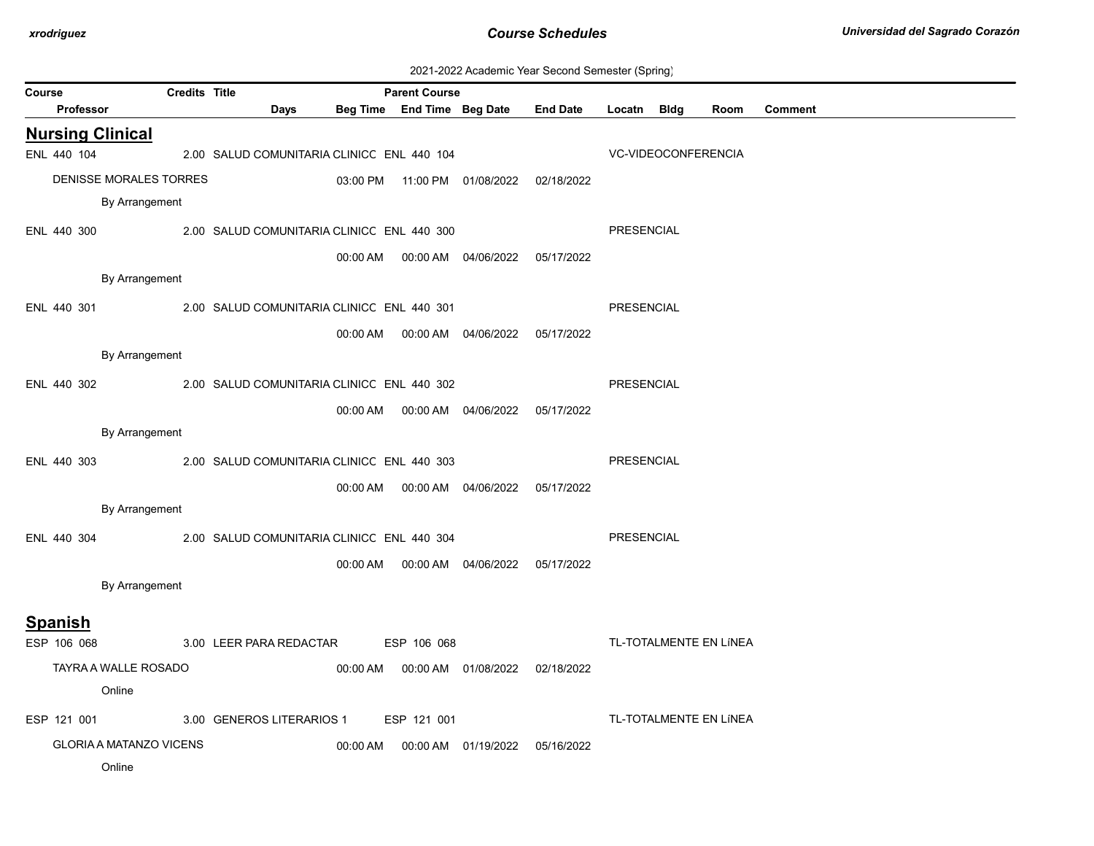| 2021-2022 Academic Year Second Semester (Spring) |  |  |  |
|--------------------------------------------------|--|--|--|
|--------------------------------------------------|--|--|--|

|        | 2021-2022 Academic Teal Occorid Ochilesici (Ophing) |           |                                |                      |                                            |          |                      |                                            |                 |                     |                        |                |
|--------|-----------------------------------------------------|-----------|--------------------------------|----------------------|--------------------------------------------|----------|----------------------|--------------------------------------------|-----------------|---------------------|------------------------|----------------|
| Course |                                                     | Professor |                                | <b>Credits Title</b> | Days                                       |          | <b>Parent Course</b> | Beg Time End Time Beg Date                 | <b>End Date</b> | Locatn Bldg         | Room                   | <b>Comment</b> |
|        |                                                     |           |                                |                      |                                            |          |                      |                                            |                 |                     |                        |                |
|        |                                                     |           | <b>Nursing Clinical</b>        |                      |                                            |          |                      |                                            |                 |                     |                        |                |
|        | ENL 440 104                                         |           |                                |                      | 2.00 SALUD COMUNITARIA CLINICC ENL 440 104 |          |                      |                                            |                 | VC-VIDEOCONFERENCIA |                        |                |
|        |                                                     |           | DENISSE MORALES TORRES         |                      |                                            |          |                      | 03:00 PM  11:00 PM  01/08/2022  02/18/2022 |                 |                     |                        |                |
|        |                                                     |           | By Arrangement                 |                      |                                            |          |                      |                                            |                 |                     |                        |                |
|        | ENL 440 300                                         |           |                                |                      | 2.00 SALUD COMUNITARIA CLINICC ENL 440 300 |          |                      |                                            |                 | PRESENCIAL          |                        |                |
|        |                                                     |           |                                |                      |                                            |          |                      | 00:00 AM  00:00 AM  04/06/2022  05/17/2022 |                 |                     |                        |                |
|        |                                                     |           | By Arrangement                 |                      |                                            |          |                      |                                            |                 |                     |                        |                |
|        |                                                     |           |                                |                      |                                            |          |                      |                                            |                 |                     |                        |                |
|        | ENL 440 301                                         |           |                                |                      | 2.00 SALUD COMUNITARIA CLINICC ENL 440 301 |          |                      |                                            |                 | PRESENCIAL          |                        |                |
|        |                                                     |           |                                |                      |                                            |          |                      |                                            |                 |                     |                        |                |
|        |                                                     |           | By Arrangement                 |                      |                                            |          |                      |                                            |                 |                     |                        |                |
|        | ENL 440 302                                         |           |                                |                      | 2.00 SALUD COMUNITARIA CLINICC ENL 440 302 |          |                      |                                            |                 | <b>PRESENCIAL</b>   |                        |                |
|        |                                                     |           |                                |                      |                                            |          |                      |                                            |                 |                     |                        |                |
|        |                                                     |           | By Arrangement                 |                      |                                            |          |                      |                                            |                 |                     |                        |                |
|        | ENL 440 303                                         |           |                                |                      | 2.00 SALUD COMUNITARIA CLINICC ENL 440 303 |          |                      |                                            |                 | <b>PRESENCIAL</b>   |                        |                |
|        |                                                     |           |                                |                      |                                            |          |                      |                                            |                 |                     |                        |                |
|        |                                                     |           |                                |                      |                                            |          |                      | 00:00 AM  00:00 AM  04/06/2022  05/17/2022 |                 |                     |                        |                |
|        |                                                     |           | By Arrangement                 |                      |                                            |          |                      |                                            |                 |                     |                        |                |
|        | ENL 440 304                                         |           |                                |                      | 2.00 SALUD COMUNITARIA CLINICC ENL 440 304 |          |                      |                                            |                 | <b>PRESENCIAL</b>   |                        |                |
|        |                                                     |           |                                |                      |                                            |          |                      | 00:00 AM  00:00 AM  04/06/2022  05/17/2022 |                 |                     |                        |                |
|        |                                                     |           | By Arrangement                 |                      |                                            |          |                      |                                            |                 |                     |                        |                |
|        |                                                     |           |                                |                      |                                            |          |                      |                                            |                 |                     |                        |                |
|        | <b>Spanish</b>                                      |           |                                |                      |                                            |          |                      |                                            |                 |                     |                        |                |
|        | ESP 106 068                                         |           |                                |                      | 3.00 LEER PARA REDACTAR                    |          | ESP 106 068          |                                            |                 |                     | TL-TOTALMENTE EN LÍNEA |                |
|        |                                                     |           | TAYRA A WALLE ROSADO           |                      |                                            |          |                      | 00:00 AM  00:00 AM  01/08/2022  02/18/2022 |                 |                     |                        |                |
|        |                                                     |           | Online                         |                      |                                            |          |                      |                                            |                 |                     |                        |                |
|        | ESP 121 001                                         |           |                                |                      | 3.00 GENEROS LITERARIOS 1                  |          | ESP 121 001          |                                            |                 |                     | TL-TOTALMENTE EN LÍNEA |                |
|        |                                                     |           | <b>GLORIA A MATANZO VICENS</b> |                      |                                            | 00:00 AM |                      |                                            | 05/16/2022      |                     |                        |                |
|        |                                                     |           | Online                         |                      |                                            |          |                      |                                            |                 |                     |                        |                |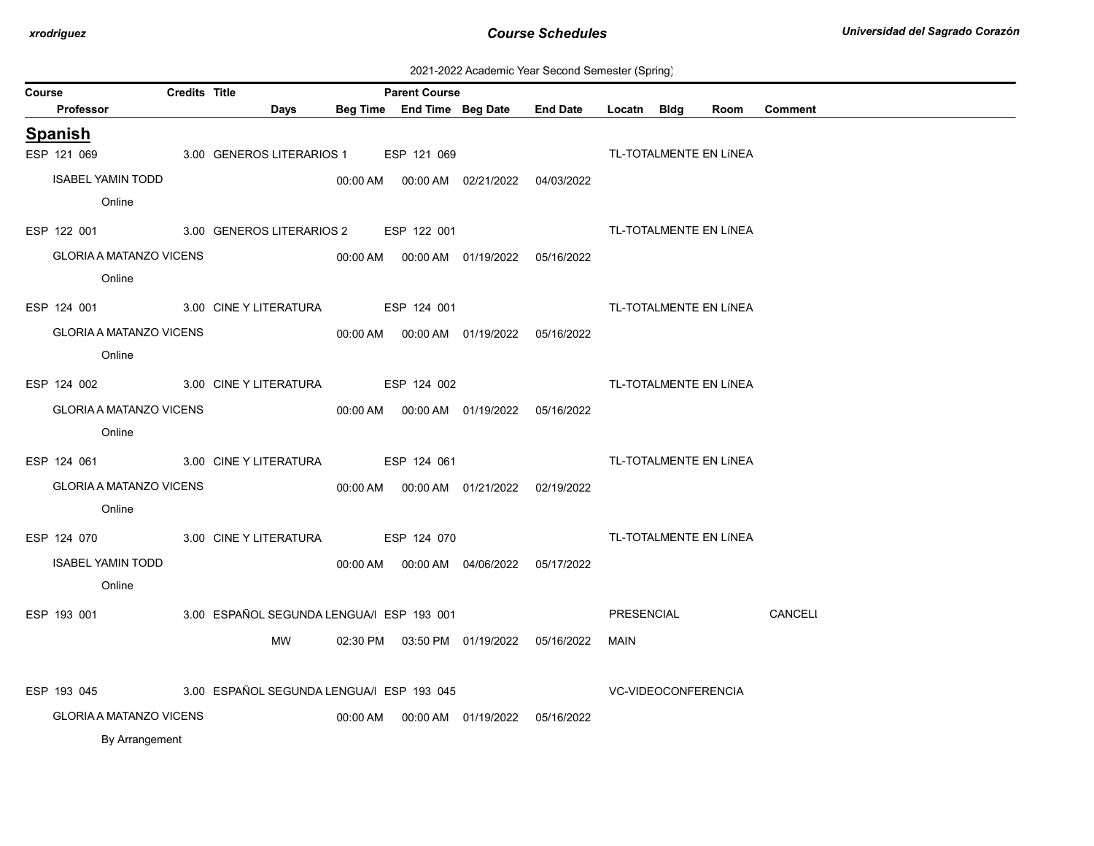| 2021-2022 Academic Year Second Semester (Spring) |  |  |  |
|--------------------------------------------------|--|--|--|
|--------------------------------------------------|--|--|--|

| Course |                                | <b>Credits Title</b> |                                                   | <b>Parent Course</b> |                                            |                            |                        |                |
|--------|--------------------------------|----------------------|---------------------------------------------------|----------------------|--------------------------------------------|----------------------------|------------------------|----------------|
|        | <b>Professor</b>               |                      | Days                                              |                      | Beg Time End Time Beg Date End Date        | Locatn Bldg                | Room                   | <b>Comment</b> |
|        | <b>Spanish</b>                 |                      |                                                   |                      |                                            |                            |                        |                |
|        | ESP 121 069                    |                      | 3.00 GENEROS LITERARIOS 1 ESP 121 069             |                      |                                            |                            | TL-TOTALMENTE EN LÍNEA |                |
|        | <b>ISABEL YAMIN TODD</b>       |                      |                                                   |                      | 00:00 AM  00:00 AM  02/21/2022  04/03/2022 |                            |                        |                |
|        | Online                         |                      |                                                   |                      |                                            |                            |                        |                |
|        |                                |                      | ESP 122 001 3.00 GENEROS LITERARIOS 2 ESP 122 001 |                      |                                            |                            | TL-TOTALMENTE EN LÍNEA |                |
|        | GLORIA A MATANZO VICENS        |                      |                                                   |                      |                                            |                            |                        |                |
|        | Online                         |                      |                                                   |                      |                                            |                            |                        |                |
|        |                                |                      | ESP 124 001 3.00 CINE Y LITERATURA ESP 124 001    |                      |                                            |                            | TL-TOTALMENTE EN LÍNEA |                |
|        | <b>GLORIA A MATANZO VICENS</b> |                      |                                                   |                      |                                            |                            |                        |                |
|        | Online                         |                      |                                                   |                      |                                            |                            |                        |                |
|        |                                |                      | ESP 124 002 3.00 CINE Y LITERATURA ESP 124 002    |                      |                                            |                            | TL-TOTALMENTE EN LÍNEA |                |
|        | <b>GLORIA A MATANZO VICENS</b> |                      |                                                   |                      | 00:00 AM  00:00 AM  01/19/2022  05/16/2022 |                            |                        |                |
|        | Online                         |                      |                                                   |                      |                                            |                            |                        |                |
|        |                                |                      | ESP 124 061 3.00 CINE Y LITERATURA ESP 124 061    |                      |                                            |                            | TL-TOTALMENTE EN LÍNEA |                |
|        | <b>GLORIA A MATANZO VICENS</b> |                      |                                                   |                      |                                            |                            |                        |                |
|        | Online                         |                      |                                                   |                      |                                            |                            |                        |                |
|        |                                |                      | ESP 124 070 3.00 CINE Y LITERATURA ESP 124 070    |                      |                                            |                            | TL-TOTALMENTE EN LÍNEA |                |
|        | <b>ISABEL YAMIN TODD</b>       |                      |                                                   |                      | 00:00 AM  00:00 AM  04/06/2022  05/17/2022 |                            |                        |                |
|        | Online                         |                      |                                                   |                      |                                            |                            |                        |                |
|        | ESP 193 001                    |                      | 3.00 ESPAÑOL SEGUNDA LENGUA/ ESP 193 001          |                      |                                            | PRESENCIAL                 |                        | CANCELI        |
|        |                                |                      | MW                                                |                      | 02:30 PM  03:50 PM  01/19/2022  05/16/2022 | MAIN                       |                        |                |
|        |                                |                      |                                                   |                      |                                            |                            |                        |                |
|        | ESP 193 045                    |                      | 3.00 ESPAÑOL SEGUNDA LENGUA/ ESP 193 045          |                      |                                            | <b>VC-VIDEOCONFERENCIA</b> |                        |                |
|        | <b>GLORIA A MATANZO VICENS</b> |                      |                                                   |                      | 00:00 AM  00:00 AM  01/19/2022  05/16/2022 |                            |                        |                |
|        | By Arrangement                 |                      |                                                   |                      |                                            |                            |                        |                |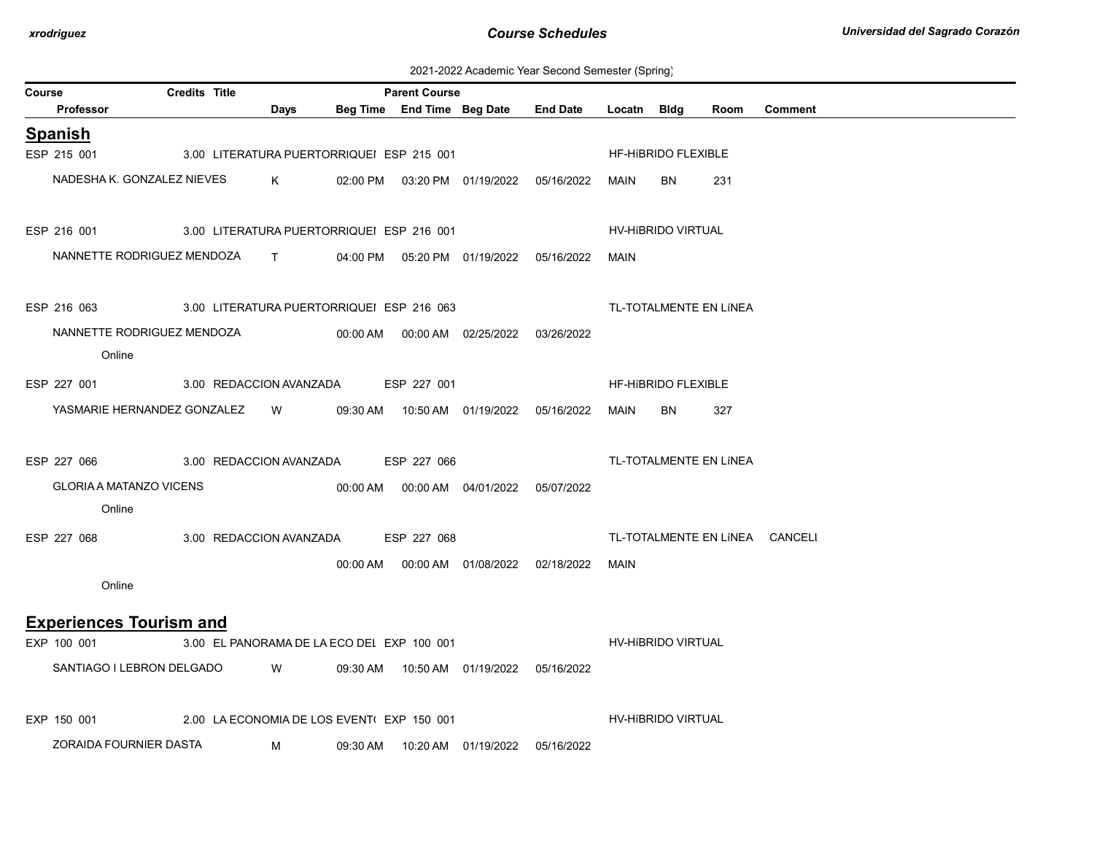| 2021-2022 Academic Year Second Semester (Spring) |  |  |  |
|--------------------------------------------------|--|--|--|
|--------------------------------------------------|--|--|--|

| Course                                                | <b>Credits Title</b>                      |                                            |          | <b>Parent Course</b> |                                            |                                            |             |                            |                        |                                |
|-------------------------------------------------------|-------------------------------------------|--------------------------------------------|----------|----------------------|--------------------------------------------|--------------------------------------------|-------------|----------------------------|------------------------|--------------------------------|
| Professor                                             |                                           | Days                                       |          |                      | Beg Time End Time Beg Date                 | <b>End Date</b>                            | Locatn Bldg |                            | Room                   | <b>Comment</b>                 |
| <b>Spanish</b>                                        |                                           |                                            |          |                      |                                            |                                            |             |                            |                        |                                |
| ESP 215 001                                           |                                           | 3.00 LITERATURA PUERTORRIQUEI ESP 215 001  |          |                      |                                            |                                            |             | HF-HIBRIDO FLEXIBLE        |                        |                                |
|                                                       | NADESHA K. GONZALEZ NIEVES                | $K$ and $K$                                |          |                      | 02:00 PM  03:20 PM  01/19/2022  05/16/2022 |                                            | MAIN        | BN                         | 231                    |                                |
| ESP 216 001 3.00 LITERATURA PUERTORRIQUEI ESP 216 001 |                                           |                                            |          |                      |                                            |                                            |             | HV-HIBRIDO VIRTUAL         |                        |                                |
|                                                       | NANNETTE RODRIGUEZ MENDOZA T              |                                            |          |                      |                                            | 04:00 PM  05:20 PM  01/19/2022  05/16/2022 | MAIN        |                            |                        |                                |
| ESP 216 063                                           | 3.00 LITERATURA PUERTORRIQUEI ESP 216 063 |                                            |          |                      |                                            |                                            |             |                            | TL-TOTALMENTE EN LÍNEA |                                |
| Online                                                | NANNETTE RODRIGUEZ MENDOZA                |                                            |          |                      |                                            | 03/26/2022                                 |             |                            |                        |                                |
| ESP 227 001                                           | 3.00 REDACCION AVANZADA                   |                                            |          | ESP 227 001          |                                            |                                            |             | <b>HF-HIBRIDO FLEXIBLE</b> |                        |                                |
|                                                       | YASMARIE HERNANDEZ GONZALEZ W             |                                            |          |                      | 09:30 AM  10:50 AM  01/19/2022  05/16/2022 |                                            | MAIN        | BN                         | 327                    |                                |
| ESP 227 066                                           |                                           | 3.00 REDACCION AVANZADA ESP 227 066        |          |                      |                                            |                                            |             |                            | TL-TOTALMENTE EN LÍNEA |                                |
| <b>GLORIA A MATANZO VICENS</b><br>Online              |                                           |                                            |          |                      | 00:00 AM  00:00 AM  04/01/2022  05/07/2022 |                                            |             |                            |                        |                                |
| ESP 227 068                                           | 3.00 REDACCION AVANZADA                   |                                            |          | ESP 227 068          |                                            |                                            |             |                            |                        | TL-TOTALMENTE EN LÍNEA CANCELI |
| Online                                                |                                           |                                            |          |                      |                                            |                                            | MAIN        |                            |                        |                                |
| <b>Experiences Tourism and</b>                        |                                           |                                            |          |                      |                                            |                                            |             |                            |                        |                                |
| EXP 100 001                                           |                                           | 3.00 EL PANORAMA DE LA ECO DEL EXP 100 001 |          |                      |                                            |                                            |             | HV-HIBRIDO VIRTUAL         |                        |                                |
| SANTIAGO I LEBRON DELGADO                             |                                           | <b>W</b>                                   |          |                      | 09:30 AM  10:50 AM  01/19/2022  05/16/2022 |                                            |             |                            |                        |                                |
| EXP 150 001                                           |                                           | 2.00 LA ECONOMIA DE LOS EVENT(EXP 150 001  |          |                      |                                            |                                            |             | HV-HIBRIDO VIRTUAL         |                        |                                |
| ZORAIDA FOURNIER DASTA                                |                                           | M                                          | 09:30 AM |                      | 10:20 AM 01/19/2022                        | 05/16/2022                                 |             |                            |                        |                                |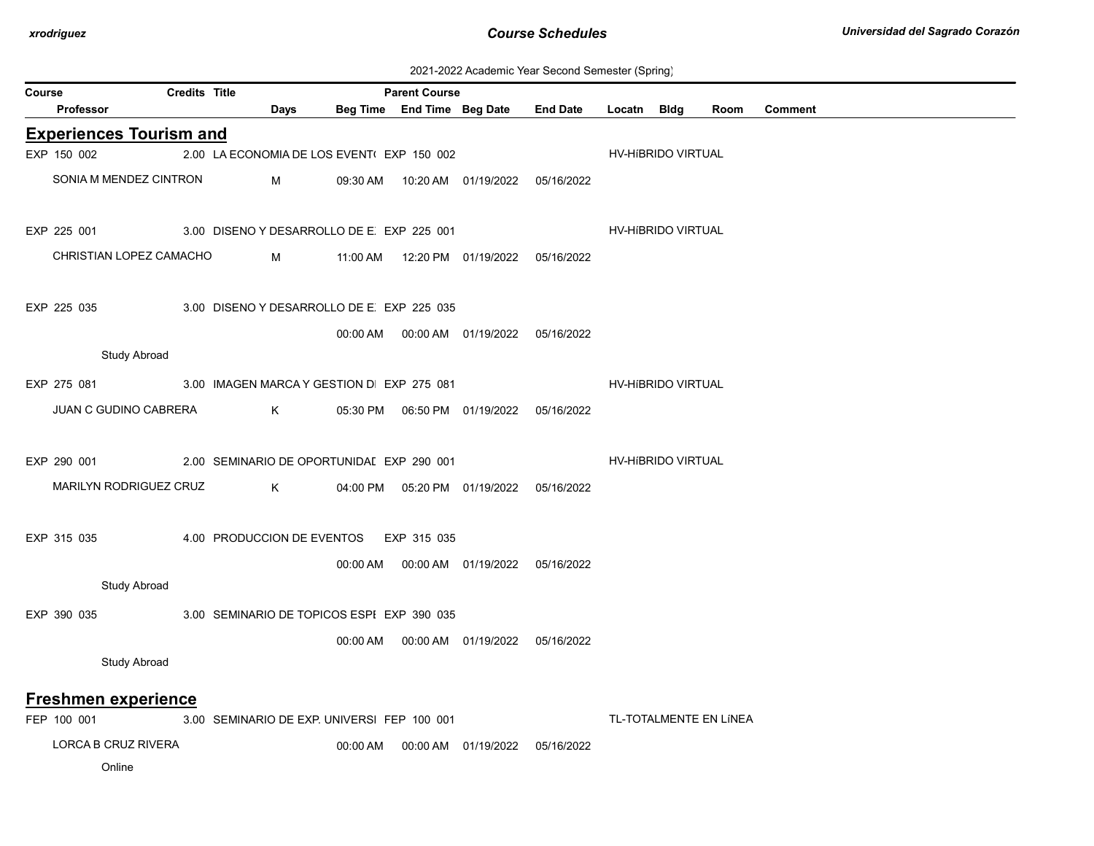| 2021-2022 Academic Year Second Semester (Spring) |  |  |  |
|--------------------------------------------------|--|--|--|
|--------------------------------------------------|--|--|--|

|        | 2021-2022 Academic Teal Occorid Ochilester (Ophing)<br>Credits Title |  |                                             |          |                      |                                            |                 |             |                    |                        |                |  |  |
|--------|----------------------------------------------------------------------|--|---------------------------------------------|----------|----------------------|--------------------------------------------|-----------------|-------------|--------------------|------------------------|----------------|--|--|
| Course | <b>Professor</b>                                                     |  | Days                                        |          | <b>Parent Course</b> | Beg Time End Time Beg Date                 | <b>End Date</b> | Locatn Bldg |                    | Room                   | <b>Comment</b> |  |  |
|        | <b>Experiences Tourism and</b>                                       |  |                                             |          |                      |                                            |                 |             |                    |                        |                |  |  |
|        | EXP 150 002                                                          |  | 2.00 LA ECONOMIA DE LOS EVENT(EXP 150 002   |          |                      |                                            |                 |             | HV-HIBRIDO VIRTUAL |                        |                |  |  |
|        | SONIA M MENDEZ CINTRON                                               |  |                                             |          |                      |                                            |                 |             |                    |                        |                |  |  |
|        |                                                                      |  | M                                           | 09:30 AM |                      | 10:20 AM  01/19/2022  05/16/2022           |                 |             |                    |                        |                |  |  |
|        |                                                                      |  |                                             |          |                      |                                            |                 |             |                    |                        |                |  |  |
|        | EXP 225 001                                                          |  | 3.00 DISENO Y DESARROLLO DE E EXP 225 001   |          |                      |                                            |                 |             | HV-HIBRIDO VIRTUAL |                        |                |  |  |
|        | CHRISTIAN LOPEZ CAMACHO                                              |  | M                                           |          |                      | 11:00 AM  12:20 PM  01/19/2022  05/16/2022 |                 |             |                    |                        |                |  |  |
|        |                                                                      |  |                                             |          |                      |                                            |                 |             |                    |                        |                |  |  |
|        | EXP 225 035                                                          |  | 3.00 DISENO Y DESARROLLO DE E EXP 225 035   |          |                      |                                            |                 |             |                    |                        |                |  |  |
|        |                                                                      |  |                                             |          |                      | 00:00 AM  00:00 AM  01/19/2022  05/16/2022 |                 |             |                    |                        |                |  |  |
|        | <b>Study Abroad</b>                                                  |  |                                             |          |                      |                                            |                 |             |                    |                        |                |  |  |
|        | EXP 275 081                                                          |  | 3.00 IMAGEN MARCA Y GESTION D EXP 275 081   |          |                      |                                            |                 |             | HV-HIBRIDO VIRTUAL |                        |                |  |  |
|        | JUAN C GUDINO CABRERA                                                |  |                                             |          |                      |                                            |                 |             |                    |                        |                |  |  |
|        |                                                                      |  | K                                           |          |                      |                                            |                 |             |                    |                        |                |  |  |
|        |                                                                      |  |                                             |          |                      |                                            |                 |             |                    |                        |                |  |  |
|        | EXP 290 001                                                          |  | 2.00 SEMINARIO DE OPORTUNIDAI EXP 290 001   |          |                      |                                            |                 |             | HV-HIBRIDO VIRTUAL |                        |                |  |  |
|        | MARILYN RODRIGUEZ CRUZ                                               |  | K                                           |          |                      | 04:00 PM  05:20 PM  01/19/2022  05/16/2022 |                 |             |                    |                        |                |  |  |
|        |                                                                      |  |                                             |          |                      |                                            |                 |             |                    |                        |                |  |  |
|        | EXP 315 035                                                          |  | 4.00 PRODUCCION DE EVENTOS EXP 315 035      |          |                      |                                            |                 |             |                    |                        |                |  |  |
|        |                                                                      |  |                                             | 00:00 AM |                      | 00:00 AM  01/19/2022  05/16/2022           |                 |             |                    |                        |                |  |  |
|        | <b>Study Abroad</b>                                                  |  |                                             |          |                      |                                            |                 |             |                    |                        |                |  |  |
|        | EXP 390 035                                                          |  | 3.00 SEMINARIO DE TOPICOS ESPI EXP 390 035  |          |                      |                                            |                 |             |                    |                        |                |  |  |
|        |                                                                      |  |                                             |          |                      | 00:00 AM  00:00 AM  01/19/2022  05/16/2022 |                 |             |                    |                        |                |  |  |
|        | Study Abroad                                                         |  |                                             |          |                      |                                            |                 |             |                    |                        |                |  |  |
|        |                                                                      |  |                                             |          |                      |                                            |                 |             |                    |                        |                |  |  |
|        | Freshmen experience                                                  |  |                                             |          |                      |                                            |                 |             |                    |                        |                |  |  |
|        | FEP 100 001                                                          |  | 3.00 SEMINARIO DE EXP. UNIVERSI FEP 100 001 |          |                      |                                            |                 |             |                    | TL-TOTALMENTE EN LÍNEA |                |  |  |
|        | LORCA B CRUZ RIVERA                                                  |  |                                             | 00:00 AM |                      | 00:00 AM  01/19/2022  05/16/2022           |                 |             |                    |                        |                |  |  |
|        | Online                                                               |  |                                             |          |                      |                                            |                 |             |                    |                        |                |  |  |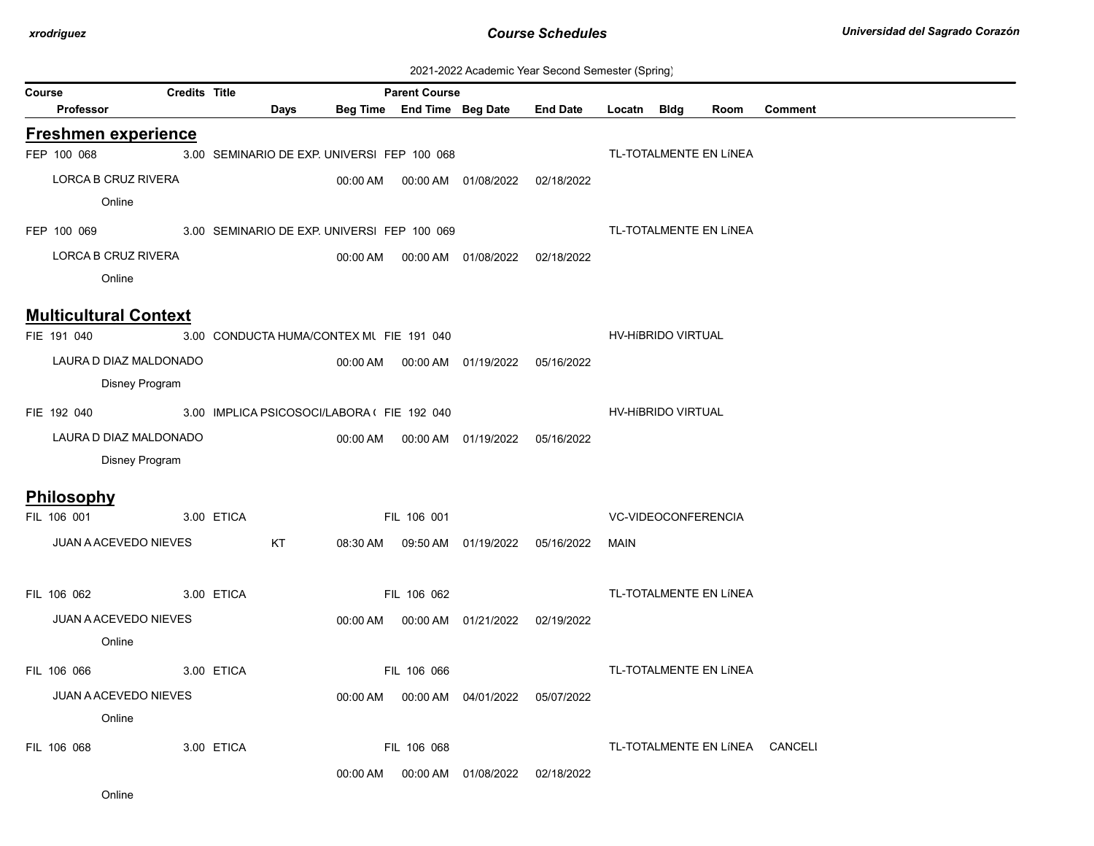| 2021-2022 Academic Year Second Semester (Spring) |  |  |  |
|--------------------------------------------------|--|--|--|
|--------------------------------------------------|--|--|--|

|        | zuz i-zuzz Academic Tear Securiu Semester (Spring) |                      |                                             |      |          |                                                    |                                  |                 |             |                        |      |                                |
|--------|----------------------------------------------------|----------------------|---------------------------------------------|------|----------|----------------------------------------------------|----------------------------------|-----------------|-------------|------------------------|------|--------------------------------|
| Course | Professor                                          | <b>Credits Title</b> |                                             | Days |          | <b>Parent Course</b><br>Beg Time End Time Beg Date |                                  | <b>End Date</b> | Locatn Bldg |                        | Room | Comment                        |
|        |                                                    |                      |                                             |      |          |                                                    |                                  |                 |             |                        |      |                                |
|        | <b>Freshmen experience</b>                         |                      |                                             |      |          |                                                    |                                  |                 |             |                        |      |                                |
|        | FEP 100 068                                        |                      | 3.00 SEMINARIO DE EXP. UNIVERSI FEP 100 068 |      |          |                                                    |                                  |                 |             | TL-TOTALMENTE EN LÍNEA |      |                                |
|        | LORCA B CRUZ RIVERA                                |                      |                                             |      | 00:00 AM |                                                    | 00:00 AM 01/08/2022              | 02/18/2022      |             |                        |      |                                |
|        | Online                                             |                      |                                             |      |          |                                                    |                                  |                 |             |                        |      |                                |
|        | FEP 100 069                                        |                      | 3.00 SEMINARIO DE EXP. UNIVERSI FEP 100 069 |      |          |                                                    |                                  |                 |             | TL-TOTALMENTE EN LÍNEA |      |                                |
|        | LORCA B CRUZ RIVERA                                |                      |                                             |      | 00:00 AM |                                                    | 00:00 AM  01/08/2022  02/18/2022 |                 |             |                        |      |                                |
|        | Online                                             |                      |                                             |      |          |                                                    |                                  |                 |             |                        |      |                                |
|        |                                                    |                      |                                             |      |          |                                                    |                                  |                 |             |                        |      |                                |
|        | <b>Multicultural Context</b>                       |                      |                                             |      |          |                                                    |                                  |                 |             |                        |      |                                |
|        | FIE 191 040                                        |                      | 3.00 CONDUCTA HUMA/CONTEX MI FIE 191 040    |      |          |                                                    |                                  |                 |             | HV-HIBRIDO VIRTUAL     |      |                                |
|        | LAURA D DIAZ MALDONADO                             |                      |                                             |      |          |                                                    | 00:00 AM   00:00 AM   01/19/2022 | 05/16/2022      |             |                        |      |                                |
|        |                                                    | Disney Program       |                                             |      |          |                                                    |                                  |                 |             |                        |      |                                |
|        | FIE 192 040                                        |                      | 3.00 IMPLICA PSICOSOCI/LABORA ( FIE 192 040 |      |          |                                                    |                                  |                 |             | HV-HIBRIDO VIRTUAL     |      |                                |
|        | LAURA D DIAZ MALDONADO                             |                      |                                             |      |          |                                                    | 00:00 AM   00:00 AM   01/19/2022 | 05/16/2022      |             |                        |      |                                |
|        |                                                    | Disney Program       |                                             |      |          |                                                    |                                  |                 |             |                        |      |                                |
|        |                                                    |                      |                                             |      |          |                                                    |                                  |                 |             |                        |      |                                |
|        | <b>Philosophy</b>                                  |                      |                                             |      |          |                                                    |                                  |                 |             |                        |      |                                |
|        | FIL 106 001                                        |                      | 3.00 ETICA                                  |      |          | FIL 106 001                                        |                                  |                 |             | VC-VIDEOCONFERENCIA    |      |                                |
|        | <b>JUAN A ACEVEDO NIEVES</b>                       |                      |                                             | KT   | 08:30 AM |                                                    | 09:50 AM 01/19/2022              | 05/16/2022      | MAIN        |                        |      |                                |
|        |                                                    |                      |                                             |      |          |                                                    |                                  |                 |             |                        |      |                                |
|        | FIL 106 062                                        |                      | 3.00 ETICA                                  |      |          | FIL 106 062                                        |                                  |                 |             | TL-TOTALMENTE EN LÍNEA |      |                                |
|        | JUAN A ACEVEDO NIEVES                              |                      |                                             |      | 00:00 AM |                                                    | 00:00 AM  01/21/2022             | 02/19/2022      |             |                        |      |                                |
|        | Online                                             |                      |                                             |      |          |                                                    |                                  |                 |             |                        |      |                                |
|        | FIL 106 066                                        |                      | 3.00 ETICA                                  |      |          | FIL 106 066                                        |                                  |                 |             | TL-TOTALMENTE EN LÍNEA |      |                                |
|        | <b>JUAN A ACEVEDO NIEVES</b>                       |                      |                                             |      |          |                                                    | 00:00 AM   00:00 AM   04/01/2022 | 05/07/2022      |             |                        |      |                                |
|        | Online                                             |                      |                                             |      |          |                                                    |                                  |                 |             |                        |      |                                |
|        |                                                    |                      |                                             |      |          |                                                    |                                  |                 |             |                        |      |                                |
|        | FIL 106 068                                        |                      | 3.00 ETICA                                  |      |          | FIL 106 068                                        |                                  |                 |             |                        |      | TL-TOTALMENTE EN LÍNEA CANCELI |
|        |                                                    |                      |                                             |      | 00:00 AM |                                                    | 00:00 AM 01/08/2022              | 02/18/2022      |             |                        |      |                                |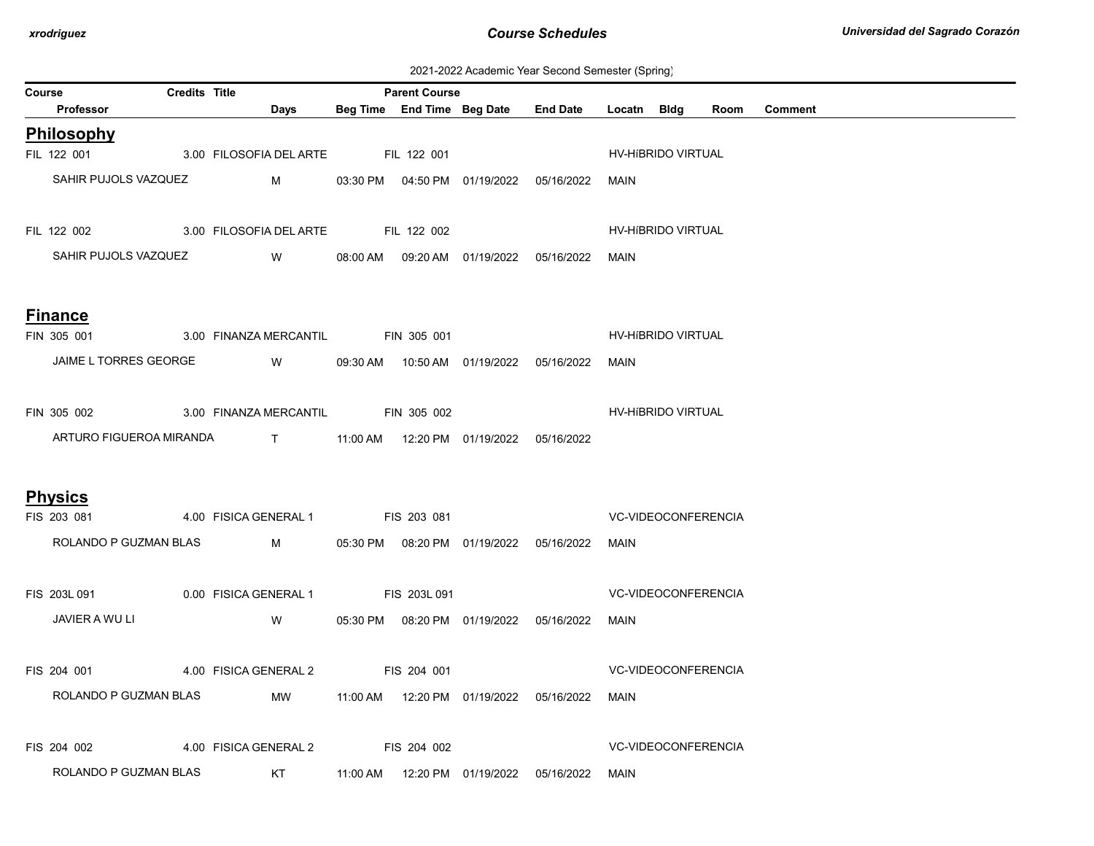| 2021-2022 Academic Year Second Semester (Spring) |  |  |  |
|--------------------------------------------------|--|--|--|
|--------------------------------------------------|--|--|--|

| Course |                       | <b>Credits Title</b> |                                                                   |                    | <b>Parent Course</b> |                                            |                            |                            |      |                |  |  |
|--------|-----------------------|----------------------|-------------------------------------------------------------------|--------------------|----------------------|--------------------------------------------|----------------------------|----------------------------|------|----------------|--|--|
|        | Professor             |                      | Days                                                              |                    |                      | Beg Time End Time Beg Date End Date        | Locatn Bldg                |                            | Room | <b>Comment</b> |  |  |
|        | Philosophy            |                      |                                                                   |                    |                      |                                            |                            |                            |      |                |  |  |
|        | FIL 122 001           |                      | 3.00 FILOSOFIA DEL ARTE                                           |                    | <b>FIL 122 001</b>   |                                            |                            | HV-HIBRIDO VIRTUAL         |      |                |  |  |
|        | SAHIR PUJOLS VAZQUEZ  |                      | $M \sim 1$                                                        |                    |                      | 03:30 PM  04:50 PM  01/19/2022  05/16/2022 | MAIN                       |                            |      |                |  |  |
|        | FIL 122 002           |                      | 3.00 FILOSOFIA DEL ARTE FIL 122 002                               |                    |                      |                                            |                            | HV-HIBRIDO VIRTUAL         |      |                |  |  |
|        | SAHIR PUJOLS VAZQUEZ  |                      | <b>W</b>                                                          |                    |                      | 08:00 AM  09:20 AM  01/19/2022  05/16/2022 | MAIN                       |                            |      |                |  |  |
|        | <b>Finance</b>        |                      |                                                                   |                    |                      |                                            |                            |                            |      |                |  |  |
|        | FIN 305 001           |                      | 3.00 FINANZA MERCANTIL                                            |                    | <b>FIN 305 001</b>   |                                            |                            | HV-HIBRIDO VIRTUAL         |      |                |  |  |
|        | JAIME L TORRES GEORGE |                      | <b>Solution W</b>                                                 |                    |                      | 09:30 AM  10:50 AM  01/19/2022  05/16/2022 | MAIN                       |                            |      |                |  |  |
|        | FIN 305 002           |                      | 3.00 FINANZA MERCANTIL FIN 305 002                                |                    |                      |                                            |                            | HV-HIBRIDO VIRTUAL         |      |                |  |  |
|        |                       |                      | ARTURO FIGUEROA MIRANDA T 11:00 AM 12:20 PM 01/19/2022 05/16/2022 |                    |                      |                                            |                            |                            |      |                |  |  |
|        | <b>Physics</b>        |                      |                                                                   |                    |                      |                                            |                            |                            |      |                |  |  |
|        | FIS 203 081           |                      | 4.00 FISICA GENERAL 1                                             | FIS 203 081        |                      |                                            | <b>VC-VIDEOCONFERENCIA</b> |                            |      |                |  |  |
|        | ROLANDO P GUZMAN BLAS |                      | $M_{\rm{max}}$                                                    |                    |                      | 05:30 PM  08:20 PM  01/19/2022  05/16/2022 | MAIN                       |                            |      |                |  |  |
|        | FIS 203L 091          |                      | 0.00 FISICA GENERAL 1                                             |                    | <b>FIS 203L 091</b>  |                                            |                            | <b>VC-VIDEOCONFERENCIA</b> |      |                |  |  |
|        | JAVIER A WU LI        |                      | W                                                                 |                    |                      | 05:30 PM  08:20 PM  01/19/2022  05/16/2022 | MAIN                       |                            |      |                |  |  |
|        | FIS 204 001           |                      | 4.00 FISICA GENERAL 2                                             | <b>EIS 204 001</b> |                      |                                            |                            | <b>VC-VIDEOCONFERENCIA</b> |      |                |  |  |
|        | ROLANDO P GUZMAN BLAS |                      | MW                                                                |                    |                      |                                            | MAIN                       |                            |      |                |  |  |
|        | FIS 204 002           |                      | 4.00 FISICA GENERAL 2 FIS 204 002                                 |                    |                      |                                            |                            | <b>VC-VIDEOCONFERENCIA</b> |      |                |  |  |
|        | ROLANDO P GUZMAN BLAS |                      | KT                                                                |                    |                      |                                            | MAIN                       |                            |      |                |  |  |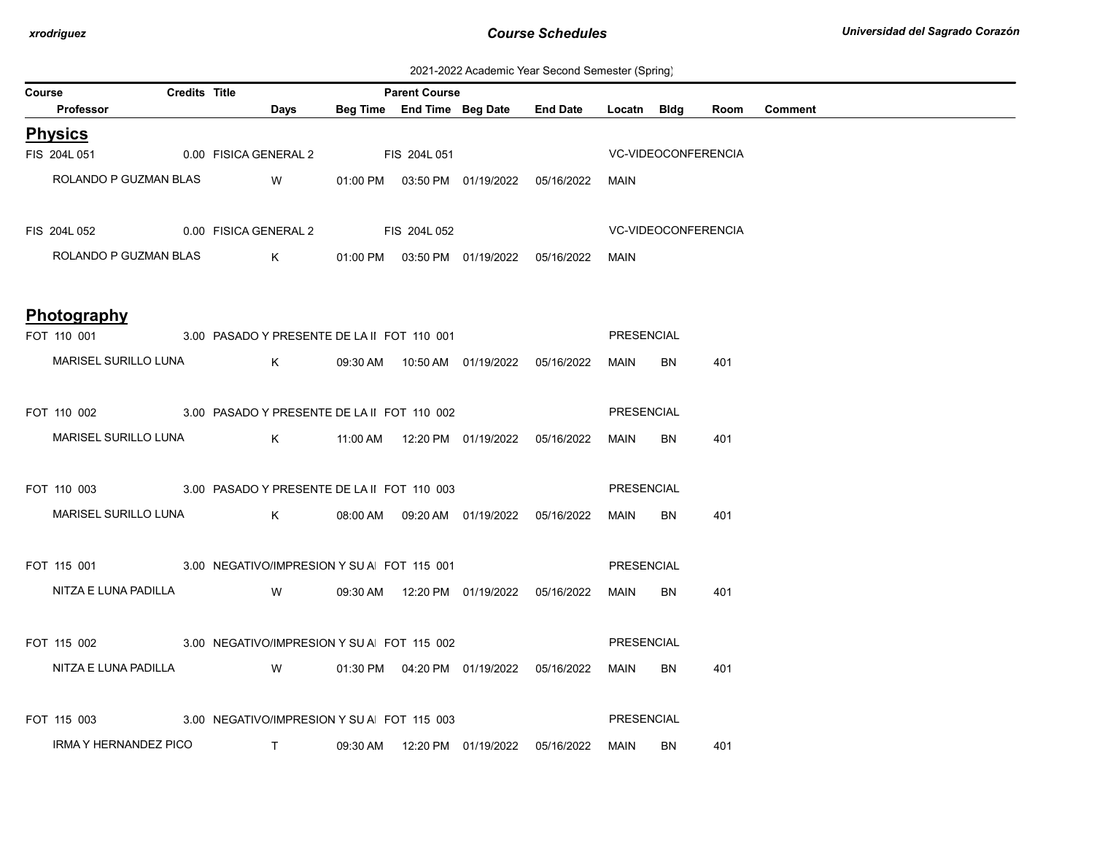| 2021-2022 Academic Year Second Semester (Spring) |  |  |  |
|--------------------------------------------------|--|--|--|
|--------------------------------------------------|--|--|--|

| Course |                                                                        | <b>Credits Title</b> |                                                               |  | <b>Parent Course</b> |                                                      |                   |                     |     |              |
|--------|------------------------------------------------------------------------|----------------------|---------------------------------------------------------------|--|----------------------|------------------------------------------------------|-------------------|---------------------|-----|--------------|
|        | <b>Professor</b>                                                       |                      | <b>Days</b>                                                   |  |                      | Beg Time End Time Beg Date End Date Locatn Bldg      |                   |                     |     | Room Comment |
|        | <b>Physics</b>                                                         |                      |                                                               |  |                      |                                                      |                   |                     |     |              |
|        | FIS 204L 051 0.00 FISICA GENERAL 2 FIS 204L 051                        |                      |                                                               |  |                      |                                                      |                   | VC-VIDEOCONFERENCIA |     |              |
|        | ROLANDO P GUZMAN BLAS W 01:00 PM 03:50 PM 01/19/2022 05/16/2022        |                      |                                                               |  |                      |                                                      | MAIN              |                     |     |              |
|        | FIS 204L 052 0.00 FISICA GENERAL 2 FIS 204L 052                        |                      |                                                               |  |                      | <b>VC-VIDEOCONFERENCIA</b>                           |                   |                     |     |              |
|        | ROLANDO P GUZMAN BLAS $K$ 01:00 PM 03:50 PM 01/19/2022 05/16/2022 MAIN |                      |                                                               |  |                      |                                                      |                   |                     |     |              |
|        | Photography                                                            |                      |                                                               |  |                      |                                                      |                   |                     |     |              |
|        | FOT 110 001 3.00 PASADO Y PRESENTE DE LA II FOT 110 001                |                      |                                                               |  |                      |                                                      | PRESENCIAL        |                     |     |              |
|        | MARISEL SURILLO LUNA K 09:30 AM 10:50 AM 01/19/2022 05/16/2022 MAIN    |                      |                                                               |  |                      |                                                      |                   | <b>BN</b>           | 401 |              |
|        |                                                                        |                      |                                                               |  |                      |                                                      |                   |                     |     |              |
|        | FOT 110 002 3.00 PASADO Y PRESENTE DE LA II FOT 110 002                |                      |                                                               |  |                      |                                                      | <b>PRESENCIAL</b> |                     |     |              |
|        | MARISEL SURILLO LUNA K 11:00 AM 12:20 PM 01/19/2022 05/16/2022 MAIN BN |                      |                                                               |  |                      |                                                      |                   |                     | 401 |              |
|        | FOT 110 003 3.00 PASADO Y PRESENTE DE LA II FOT 110 003                |                      |                                                               |  |                      |                                                      | <b>PRESENCIAL</b> |                     |     |              |
|        | MARISEL SURILLO LUNA $K$ 08:00 AM 09:20 AM 01/19/2022 05/16/2022       |                      |                                                               |  |                      |                                                      | MAIN              | <b>BN</b>           | 401 |              |
|        | FOT 115 001 3.00 NEGATIVO/IMPRESION Y SUA FOT 115 001                  |                      |                                                               |  |                      |                                                      | PRESENCIAL        |                     |     |              |
|        |                                                                        |                      |                                                               |  |                      |                                                      |                   |                     |     |              |
|        | NITZA E LUNA PADILLA                                                   |                      | W     09:30 AM  12:20 PM  01/19/2022  05/16/2022  MAIN   BN   |  |                      |                                                      |                   |                     | 401 |              |
|        | FOT 115 002 3.00 NEGATIVO/IMPRESION Y SU A FOT 115 002                 |                      |                                                               |  |                      |                                                      | PRESENCIAL        |                     |     |              |
|        | NITZA E LUNA PADILLA                                                   |                      | W   01:30 PM   04:20 PM   01/19/2022   05/16/2022   MAIN   BN |  |                      |                                                      |                   |                     | 401 |              |
|        | FOT 115 003                                                            |                      | 3.00 NEGATIVO/IMPRESION Y SU A FOT 115 003                    |  |                      |                                                      | PRESENCIAL        |                     |     |              |
|        | IRMA Y HERNANDEZ PICO T                                                |                      |                                                               |  |                      | 09:30 AM  12:20 PM  01/19/2022  05/16/2022  MAIN  BN |                   |                     | 401 |              |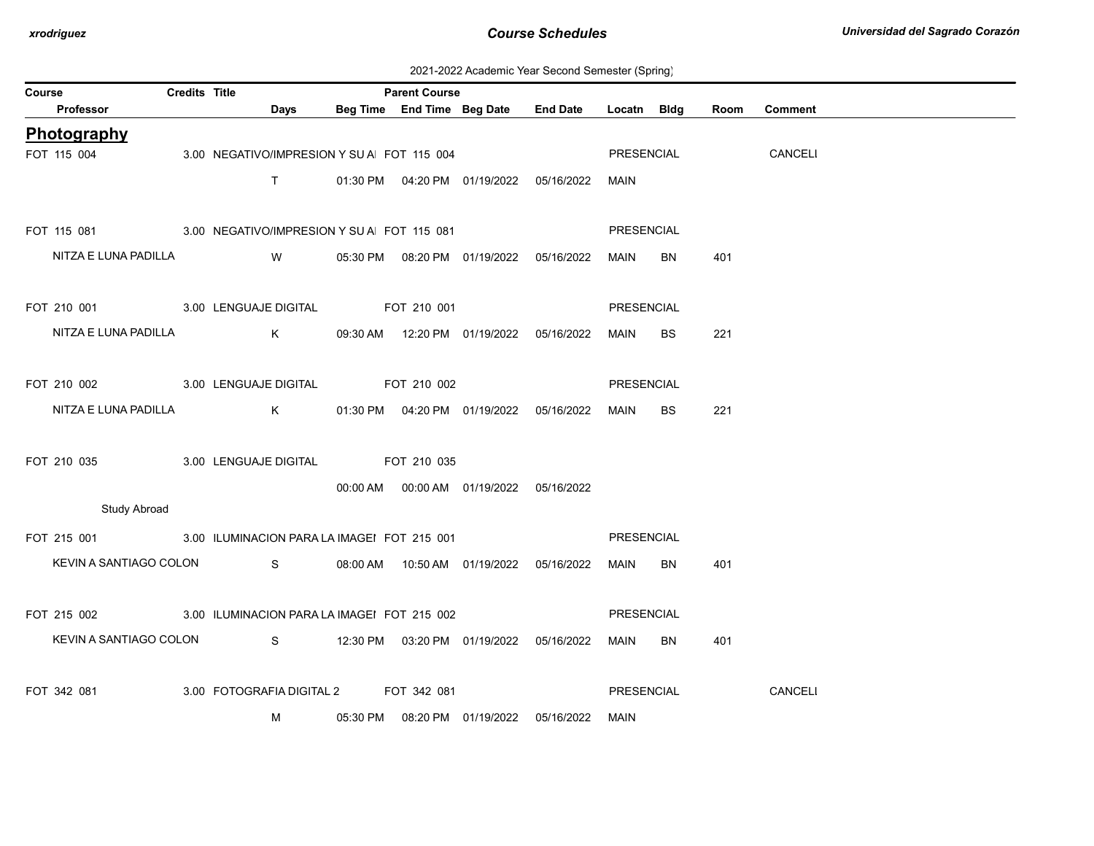| 2021-2022 Academic Year Second Semester (Spring) |  |  |  |
|--------------------------------------------------|--|--|--|
|--------------------------------------------------|--|--|--|

| Course |                        | <b>Credits Title</b> |                                                         |          | <b>Parent Course</b> |                                            |                                            |             |           |      |                |
|--------|------------------------|----------------------|---------------------------------------------------------|----------|----------------------|--------------------------------------------|--------------------------------------------|-------------|-----------|------|----------------|
|        | Professor              |                      | Days                                                    |          |                      |                                            | Beg Time End Time Beg Date End Date        | Locatn Bldg |           | Room | <b>Comment</b> |
|        | Photography            |                      |                                                         |          |                      |                                            |                                            |             |           |      |                |
|        | FOT 115 004            |                      | 3.00 NEGATIVO/IMPRESION Y SU A FOT 115 004              |          |                      |                                            |                                            | PRESENCIAL  |           |      | CANCELI        |
|        |                        |                      | T                                                       |          |                      |                                            | 01:30 PM  04:20 PM  01/19/2022  05/16/2022 | MAIN        |           |      |                |
|        |                        |                      |                                                         |          |                      |                                            |                                            |             |           |      |                |
|        |                        |                      | FOT 115 081 3.00 NEGATIVO/IMPRESION Y SU A FOT 115 081  |          |                      |                                            |                                            | PRESENCIAL  |           |      |                |
|        | NITZA E LUNA PADILLA   |                      | <b>W</b>                                                |          |                      | 05:30 PM  08:20 PM  01/19/2022  05/16/2022 |                                            | MAIN        | BN        | 401  |                |
|        |                        |                      |                                                         |          |                      |                                            |                                            |             |           |      |                |
|        |                        |                      | FOT 210 001 3.00 LENGUAJE DIGITAL                       |          | FOT 210 001          |                                            |                                            | PRESENCIAL  |           |      |                |
|        |                        |                      |                                                         |          |                      |                                            |                                            |             |           |      |                |
|        | NITZA E LUNA PADILLA   |                      | $K$ and $K$                                             |          |                      |                                            | 09:30 AM  12:20 PM  01/19/2022  05/16/2022 | MAIN        | BS        | 221  |                |
|        |                        |                      |                                                         |          |                      |                                            |                                            |             |           |      |                |
|        |                        |                      | FOT 210 002 3.00 LENGUAJE DIGITAL                       |          | FOT 210 002          |                                            |                                            | PRESENCIAL  |           |      |                |
|        | NITZA E LUNA PADILLA   |                      | $K$ and $K$                                             |          |                      | 01:30 PM  04:20 PM  01/19/2022  05/16/2022 |                                            | <b>MAIN</b> | <b>BS</b> | 221  |                |
|        |                        |                      |                                                         |          |                      |                                            |                                            |             |           |      |                |
|        | FOT 210 035            |                      | 3.00 LENGUAJE DIGITAL FOT 210 035                       |          |                      |                                            |                                            |             |           |      |                |
|        |                        |                      |                                                         |          |                      | 00:00 AM  00:00 AM  01/19/2022  05/16/2022 |                                            |             |           |      |                |
|        | <b>Study Abroad</b>    |                      |                                                         |          |                      |                                            |                                            |             |           |      |                |
|        |                        |                      | FOT 215 001 3.00 ILUMINACION PARA LA IMAGEI FOT 215 001 |          |                      |                                            |                                            | PRESENCIAL  |           |      |                |
|        |                        |                      | KEVIN A SANTIAGO COLON S                                |          |                      |                                            |                                            | MAIN        | BN        | 401  |                |
|        |                        |                      |                                                         |          |                      |                                            |                                            |             |           |      |                |
|        |                        |                      |                                                         |          |                      |                                            |                                            |             |           |      |                |
|        |                        |                      | FOT 215 002 3.00 ILUMINACION PARA LA IMAGEI FOT 215 002 |          |                      |                                            |                                            | PRESENCIAL  |           |      |                |
|        | KEVIN A SANTIAGO COLON |                      |                                                         |          |                      |                                            |                                            | MAIN        | BN        | 401  |                |
|        |                        |                      |                                                         |          |                      |                                            |                                            |             |           |      |                |
|        | FOT 342 081            |                      | 3.00 FOTOGRAFIA DIGITAL 2 FOT 342 081                   |          |                      |                                            |                                            | PRESENCIAL  |           |      | CANCELI        |
|        |                        |                      | м                                                       | 05:30 PM |                      | 08:20 PM 01/19/2022 05/16/2022             |                                            | <b>MAIN</b> |           |      |                |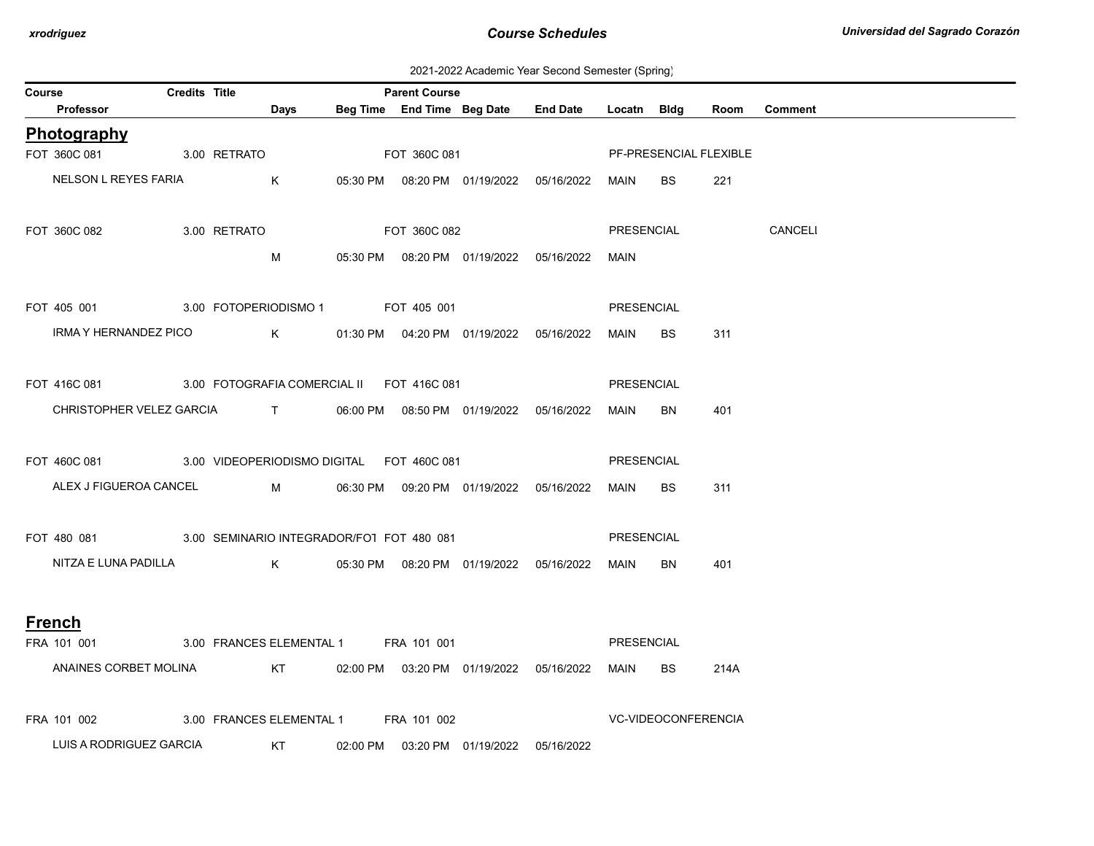| 2021-2022 Academic Year Second Semester (Spring) |  |  |  |  |  |
|--------------------------------------------------|--|--|--|--|--|
|--------------------------------------------------|--|--|--|--|--|

| Course |                                                                    | <b>Credits Title</b> |                   |                      |                                      | <b>Parent Course</b> |                                            |                                            |             |                        |      |              |
|--------|--------------------------------------------------------------------|----------------------|-------------------|----------------------|--------------------------------------|----------------------|--------------------------------------------|--------------------------------------------|-------------|------------------------|------|--------------|
|        | Professor                                                          |                      |                   | Days                 |                                      |                      |                                            | Beg Time End Time Beg Date End Date        | Locatn Bldg |                        |      | Room Comment |
|        | Photography                                                        |                      |                   |                      |                                      |                      |                                            |                                            |             |                        |      |              |
|        | FOT 360C 081 3.00 RETRATO                                          |                      |                   |                      | FOT 360C 081                         |                      |                                            |                                            |             | PF-PRESENCIAL FLEXIBLE |      |              |
|        | NELSON L REYES FARIA                                               |                      | <b>Example 18</b> |                      |                                      |                      |                                            | 05:30 PM  08:20 PM  01/19/2022  05/16/2022 | MAIN        | BS                     | 221  |              |
|        | FOT 360C 082                                                       |                      | 3.00 RETRATO      |                      | <b>EQT 360C 082</b>                  |                      |                                            |                                            | PRESENCIAL  |                        |      | CANCELI      |
|        |                                                                    |                      |                   | M                    |                                      |                      | 05:30 PM  08:20 PM  01/19/2022  05/16/2022 |                                            | MAIN        |                        |      |              |
|        | FOT 405 001 3.00 FOTOPERIODISMO 1 FOT 405 001                      |                      |                   |                      |                                      |                      |                                            |                                            | PRESENCIAL  |                        |      |              |
|        | IRMA Y HERNANDEZ PICO K                                            |                      |                   |                      |                                      |                      | 01:30 PM  04:20 PM  01/19/2022  05/16/2022 |                                            | MAIN        | <b>BS</b>              | 311  |              |
|        | FOT 416C 081 3.00 FOTOGRAFIA COMERCIAL II FOT 416C 081             |                      |                   |                      |                                      |                      |                                            |                                            | PRESENCIAL  |                        |      |              |
|        | CHRISTOPHER VELEZ GARCIA T 06:00 PM 08:50 PM 01/19/2022 05/16/2022 |                      |                   |                      |                                      |                      |                                            |                                            | MAIN        | BN                     | 401  |              |
|        | FOT 460C 081 3.00 VIDEOPERIODISMO DIGITAL FOT 460C 081             |                      |                   |                      |                                      |                      |                                            |                                            | PRESENCIAL  |                        |      |              |
|        | ALEX J FIGUEROA CANCEL M 06:30 PM 09:20 PM 01/19/2022 05/16/2022   |                      |                   |                      |                                      |                      |                                            |                                            | MAIN        | BS                     | 311  |              |
|        | FOT 480 081 3.00 SEMINARIO INTEGRADOR/FOT FOT 480 081              |                      |                   |                      |                                      |                      |                                            |                                            | PRESENCIAL  |                        |      |              |
|        | NITZA E LUNA PADILLA K                                             |                      |                   |                      |                                      |                      |                                            | 05:30 PM  08:20 PM  01/19/2022  05/16/2022 | MAIN        | <b>BN</b>              | 401  |              |
|        | <b>French</b>                                                      |                      |                   |                      |                                      |                      |                                            |                                            |             |                        |      |              |
|        | FRA 101 001                                                        |                      |                   |                      | 3.00 FRANCES ELEMENTAL 1 FRA 101 001 |                      |                                            |                                            | PRESENCIAL  |                        |      |              |
|        | ANAINES CORBET MOLINA                                              |                      |                   |                      |                                      |                      |                                            |                                            | MAIN BS     |                        | 214A |              |
|        | FRA 101 002                                                        |                      |                   |                      | 3.00 FRANCES ELEMENTAL 1 FRA 101 002 |                      |                                            |                                            |             | VC-VIDEOCONFERENCIA    |      |              |
|        | LUIS A RODRIGUEZ GARCIA                                            |                      |                   | <b>Example 18 ST</b> |                                      |                      | 02:00 PM  03:20 PM  01/19/2022  05/16/2022 |                                            |             |                        |      |              |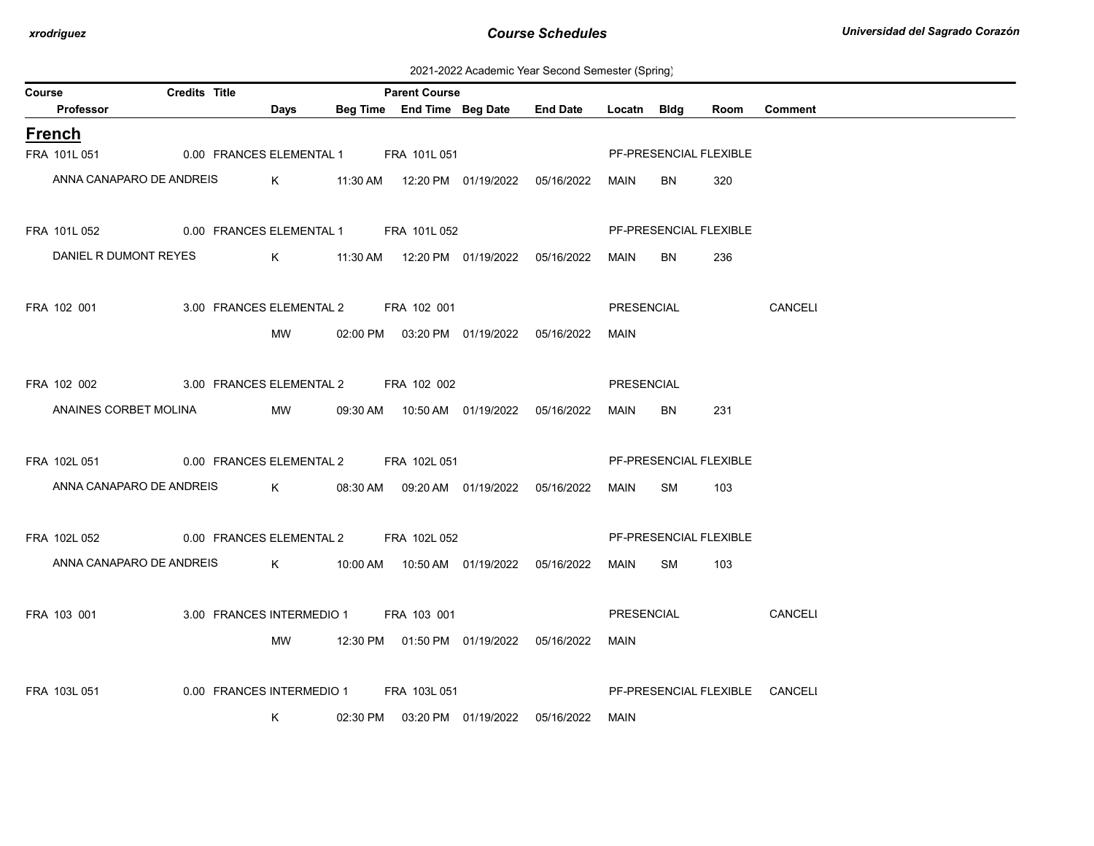2021-2022 Academic Year Second Semester (Spring)

| Course |                                                                    | <b>Credits Title</b> |                                        | <b>Parent Course</b> |                                            |                                                 |            |                        |      |                                |
|--------|--------------------------------------------------------------------|----------------------|----------------------------------------|----------------------|--------------------------------------------|-------------------------------------------------|------------|------------------------|------|--------------------------------|
|        | Professor                                                          |                      | <b>Days</b>                            |                      |                                            | Beg Time End Time Beg Date End Date Locatn Bldg |            |                        | Room | <b>Comment</b>                 |
|        | <b>French</b>                                                      |                      |                                        |                      |                                            |                                                 |            |                        |      |                                |
|        | FRA 101L 051                                                       |                      | 0.00 FRANCES ELEMENTAL 1 FRA 101L 051  |                      |                                            |                                                 |            | PF-PRESENCIAL FLEXIBLE |      |                                |
|        | ANNA CANAPARO DE ANDREIS                                           |                      |                                        |                      |                                            |                                                 | MAIN       | BN                     | 320  |                                |
|        |                                                                    |                      |                                        |                      |                                            |                                                 |            |                        |      |                                |
|        | FRA 101L 052 0.00 FRANCES ELEMENTAL 1 FRA 101L 052                 |                      |                                        |                      |                                            |                                                 |            | PF-PRESENCIAL FLEXIBLE |      |                                |
|        |                                                                    |                      |                                        |                      |                                            |                                                 |            |                        |      |                                |
|        | DANIEL R DUMONT REYES K 611:30 AM 12:20 PM 01/19/2022 05/16/2022   |                      |                                        |                      |                                            |                                                 | MAIN       | BN                     | 236  |                                |
|        |                                                                    |                      |                                        |                      |                                            |                                                 |            |                        |      |                                |
|        | FRA 102 001                                                        |                      | 3.00 FRANCES ELEMENTAL 2 FRA 102 001   |                      |                                            |                                                 | PRESENCIAL |                        |      | CANCELI                        |
|        |                                                                    |                      | MW                                     |                      | 02:00 PM  03:20 PM  01/19/2022  05/16/2022 |                                                 | MAIN       |                        |      |                                |
|        |                                                                    |                      |                                        |                      |                                            |                                                 |            |                        |      |                                |
|        | FRA 102 002                                                        |                      | 3.00 FRANCES ELEMENTAL 2 FRA 102 002   |                      |                                            |                                                 | PRESENCIAL |                        |      |                                |
|        | ANAINES CORBET MOLINA                                              |                      | <b>MW</b>                              |                      | 09:30 AM  10:50 AM  01/19/2022  05/16/2022 |                                                 | MAIN       | BN                     | 231  |                                |
|        |                                                                    |                      |                                        |                      |                                            |                                                 |            |                        |      |                                |
|        | FRA 102L 051 0.00 FRANCES ELEMENTAL 2 FRA 102L 051                 |                      |                                        |                      |                                            |                                                 |            | PF-PRESENCIAL FLEXIBLE |      |                                |
|        | ANNA CANAPARO DE ANDREIS                                           |                      |                                        |                      |                                            |                                                 |            |                        |      |                                |
|        |                                                                    |                      |                                        |                      |                                            |                                                 | MAIN SM    |                        | 103  |                                |
|        |                                                                    |                      |                                        |                      |                                            |                                                 |            |                        |      |                                |
|        | FRA 102L 052                                                       |                      | 0.00 FRANCES ELEMENTAL 2 FRA 102L 052  |                      |                                            |                                                 |            | PF-PRESENCIAL FLEXIBLE |      |                                |
|        | ANNA CANAPARO DE ANDREIS K 10:00 AM 10:50 AM 01/19/2022 05/16/2022 |                      |                                        |                      |                                            |                                                 | MAIN SM    |                        | 103  |                                |
|        |                                                                    |                      |                                        |                      |                                            |                                                 |            |                        |      |                                |
|        | FRA 103 001                                                        |                      | 3.00 FRANCES INTERMEDIO 1 FRA 103 001  |                      |                                            |                                                 | PRESENCIAL |                        |      | CANCELI                        |
|        |                                                                    |                      | MW                                     |                      | 12:30 PM  01:50 PM  01/19/2022  05/16/2022 |                                                 | MAIN       |                        |      |                                |
|        |                                                                    |                      |                                        |                      |                                            |                                                 |            |                        |      |                                |
|        | FRA 103L 051                                                       |                      | 0.00 FRANCES INTERMEDIO 1 FRA 103L 051 |                      |                                            |                                                 |            |                        |      | PF-PRESENCIAL FLEXIBLE CANCELI |
|        |                                                                    |                      | K                                      |                      | 02:30 PM  03:20 PM  01/19/2022  05/16/2022 |                                                 | MAIN       |                        |      |                                |
|        |                                                                    |                      |                                        |                      |                                            |                                                 |            |                        |      |                                |
|        |                                                                    |                      |                                        |                      |                                            |                                                 |            |                        |      |                                |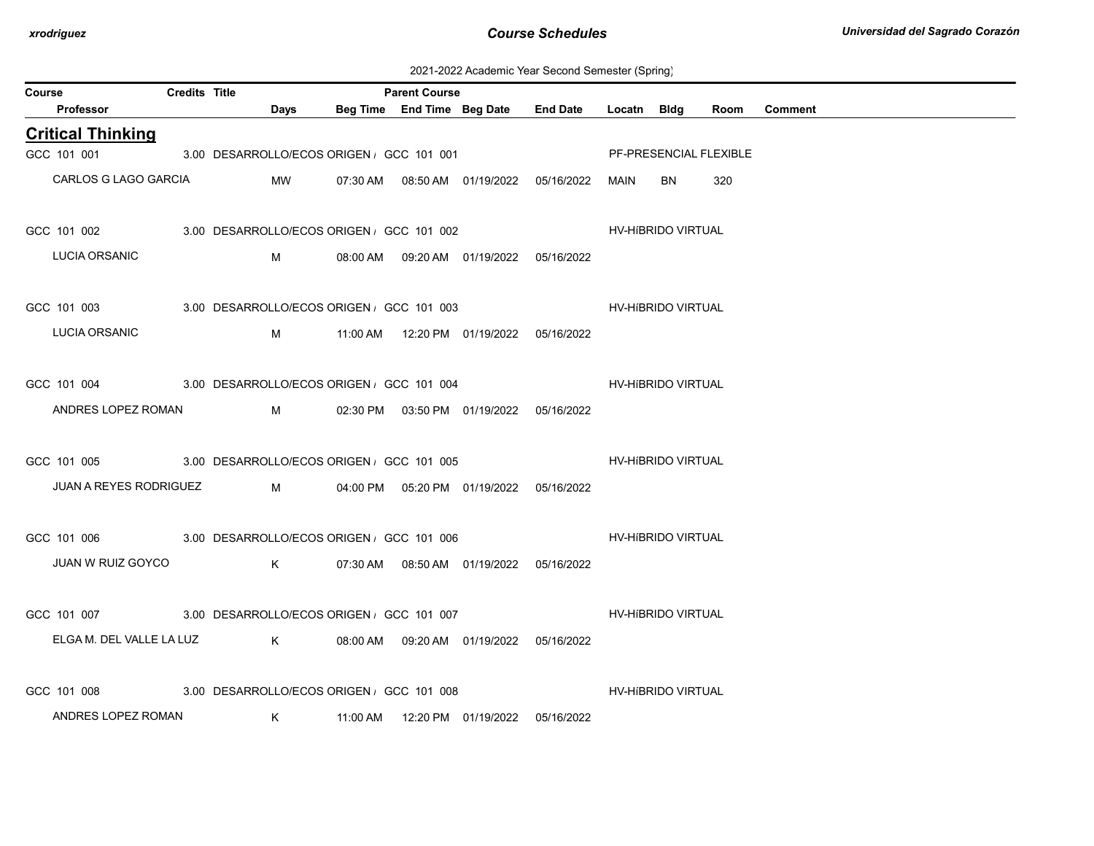2021-2022 Academic Year Second Semester (Spring)

| Course |                                                     | <b>Credits Title</b> |                                                                                                                                                                                                                                     | <b>Parent Course</b> |                                            |                                            |                    |                        |      |                |
|--------|-----------------------------------------------------|----------------------|-------------------------------------------------------------------------------------------------------------------------------------------------------------------------------------------------------------------------------------|----------------------|--------------------------------------------|--------------------------------------------|--------------------|------------------------|------|----------------|
|        | Professor                                           |                      | Days                                                                                                                                                                                                                                |                      | Beg Time End Time Beg Date                 | <b>End Date</b>                            | Locatn Bldg        |                        | Room | <b>Comment</b> |
|        | <b>Critical Thinking</b>                            |                      |                                                                                                                                                                                                                                     |                      |                                            |                                            |                    |                        |      |                |
|        | GCC 101 001                                         |                      | 3.00 DESARROLLO/ECOS ORIGEN, GCC 101 001                                                                                                                                                                                            |                      |                                            |                                            |                    | PF-PRESENCIAL FLEXIBLE |      |                |
|        | CARLOS G LAGO GARCIA                                |                      | MW                                                                                                                                                                                                                                  |                      |                                            | 07:30 AM  08:50 AM  01/19/2022  05/16/2022 | MAIN               | BN                     | 320  |                |
|        | GCC 101 002 3.00 DESARROLLO/ECOS ORIGEN GCC 101 002 |                      |                                                                                                                                                                                                                                     |                      |                                            |                                            |                    | HV-HIBRIDO VIRTUAL     |      |                |
|        | LUCIA ORSANIC                                       |                      | M                                                                                                                                                                                                                                   |                      | 08:00 AM  09:20 AM  01/19/2022  05/16/2022 |                                            |                    |                        |      |                |
|        | GCC 101 003 3.00 DESARROLLO/ECOS ORIGEN GCC 101 003 |                      |                                                                                                                                                                                                                                     |                      |                                            |                                            |                    | HV-HíBRIDO VIRTUAL     |      |                |
|        | LUCIA ORSANIC                                       |                      | M                                                                                                                                                                                                                                   |                      | 11:00 AM  12:20 PM  01/19/2022  05/16/2022 |                                            |                    |                        |      |                |
|        | GCC 101 004 3.00 DESARROLLO/ECOS ORIGEN GCC 101 004 |                      |                                                                                                                                                                                                                                     |                      |                                            |                                            |                    | HV-HIBRIDO VIRTUAL     |      |                |
|        | ANDRES LOPEZ ROMAN                                  |                      | M                                                                                                                                                                                                                                   |                      | 02:30 PM  03:50 PM  01/19/2022  05/16/2022 |                                            |                    |                        |      |                |
|        | GCC 101 005 3.00 DESARROLLO/ECOS ORIGEN GCC 101 005 |                      |                                                                                                                                                                                                                                     |                      |                                            |                                            | HV-HíBRIDO VIRTUAL |                        |      |                |
|        | JUAN A REYES RODRIGUEZ                              |                      | <b>M</b> and the state of the state of the state of the state of the state of the state of the state of the state of the state of the state of the state of the state of the state of the state of the state of the state of the st |                      | 04:00 PM  05:20 PM  01/19/2022  05/16/2022 |                                            |                    |                        |      |                |
|        | GCC 101 006 3.00 DESARROLLO/ECOS ORIGEN GCC 101 006 |                      |                                                                                                                                                                                                                                     |                      |                                            |                                            |                    | HV-HIBRIDO VIRTUAL     |      |                |
|        | JUAN W RUIZ GOYCO                                   |                      | $K$ and $K$                                                                                                                                                                                                                         |                      | 07:30 AM  08:50 AM  01/19/2022  05/16/2022 |                                            |                    |                        |      |                |
|        | GCC 101 007 3.00 DESARROLLO/ECOS ORIGEN GCC 101 007 |                      |                                                                                                                                                                                                                                     |                      |                                            |                                            |                    | HV-HíBRIDO VIRTUAL     |      |                |
|        | ELGA M. DEL VALLE LA LUZ                            |                      | $\mathsf K$                                                                                                                                                                                                                         |                      | 08:00 AM  09:20 AM  01/19/2022  05/16/2022 |                                            |                    |                        |      |                |
|        | GCC 101 008                                         |                      | 3.00 DESARROLLO/ECOS ORIGEN GCC 101 008                                                                                                                                                                                             |                      |                                            |                                            |                    | HV-HIBRIDO VIRTUAL     |      |                |
|        | ANDRES LOPEZ ROMAN                                  |                      | K                                                                                                                                                                                                                                   |                      |                                            |                                            |                    |                        |      |                |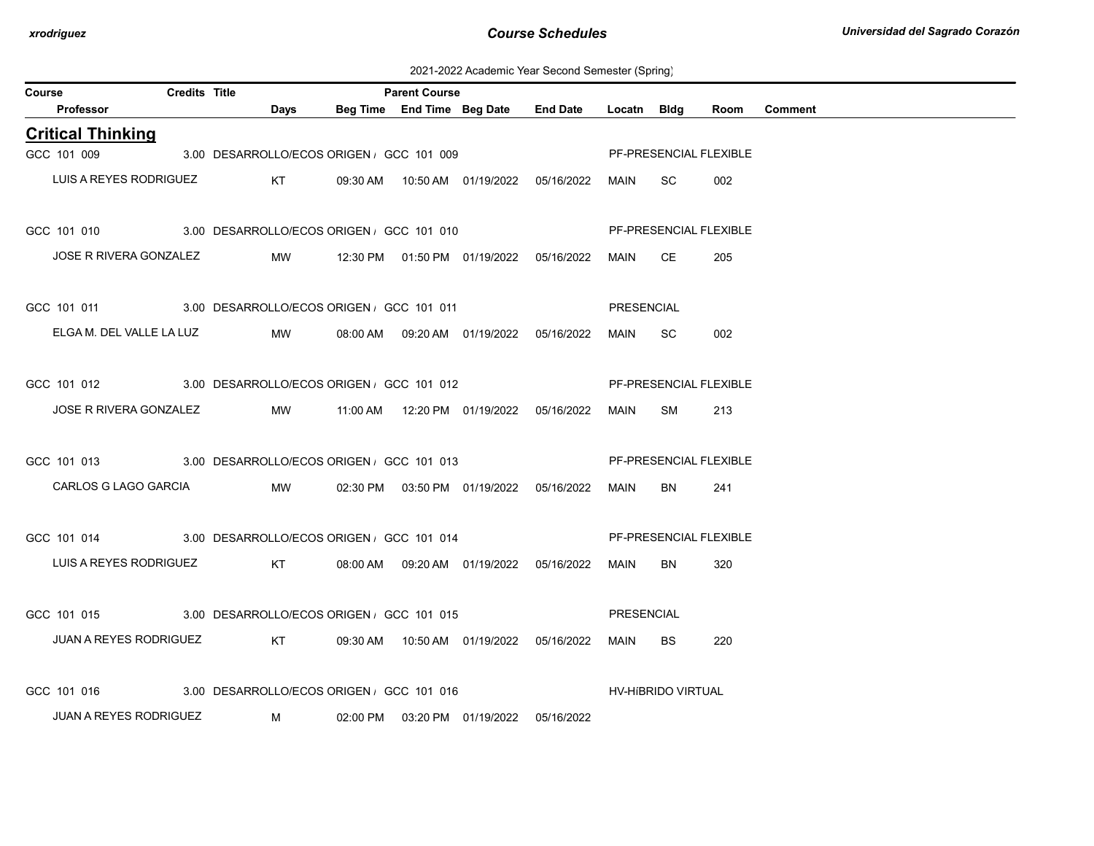2021-2022 Academic Year Second Semester (Spring)

| Course |                                                                   | <b>Credits Title</b> |                                                             | <b>Parent Course</b>                     |                                            |                                                 |            |                        |      |         |
|--------|-------------------------------------------------------------------|----------------------|-------------------------------------------------------------|------------------------------------------|--------------------------------------------|-------------------------------------------------|------------|------------------------|------|---------|
|        | Professor                                                         |                      | Days                                                        |                                          |                                            | Beg Time End Time Beg Date End Date Locatn Bldg |            |                        | Room | Comment |
|        | <b>Critical Thinking</b>                                          |                      |                                                             |                                          |                                            |                                                 |            |                        |      |         |
|        | GCC 101 009                                                       |                      |                                                             | 3.00 DESARROLLO/ECOS ORIGEN, GCC 101 009 |                                            |                                                 |            | PF-PRESENCIAL FLEXIBLE |      |         |
|        | LUIS A REYES RODRIGUEZ                                            |                      | KT                                                          |                                          |                                            |                                                 |            | SC.                    | 002  |         |
|        | GCC 101 010 3.00 DESARROLLO/ECOS ORIGEN GCC 101 010               |                      |                                                             |                                          |                                            |                                                 |            | PF-PRESENCIAL FLEXIBLE |      |         |
|        | JOSE R RIVERA GONZALEZ MW 12:30 PM 01:50 PM 01/19/2022 05/16/2022 |                      |                                                             |                                          |                                            |                                                 | MAIN CE    |                        | 205  |         |
|        | GCC 101 011 3.00 DESARROLLO/ECOS ORIGEN GCC 101 011               |                      |                                                             |                                          |                                            |                                                 | PRESENCIAL |                        |      |         |
|        | ELGA M. DEL VALLE LA LUZ MW                                       |                      |                                                             |                                          | 08:00 AM  09:20 AM  01/19/2022  05/16/2022 |                                                 | MAIN SC    |                        | 002  |         |
|        | GCC 101 012 3.00 DESARROLLO/ECOS ORIGEN GCC 101 012               |                      |                                                             |                                          |                                            |                                                 |            | PF-PRESENCIAL FLEXIBLE |      |         |
|        | JOSE R RIVERA GONZALEZ MW                                         |                      |                                                             |                                          |                                            |                                                 | MAIN       | SM                     | 213  |         |
|        | GCC 101 013 3.00 DESARROLLO/ECOS ORIGEN GCC 101 013               |                      |                                                             |                                          |                                            |                                                 |            | PF-PRESENCIAL FLEXIBLE |      |         |
|        | CARLOS G LAGO GARCIA                                              |                      | <b>Example 19 MW</b>                                        |                                          | 02:30 PM  03:50 PM  01/19/2022  05/16/2022 |                                                 | MAIN       | BN                     | 241  |         |
|        | GCC 101 014 3.00 DESARROLLO/ECOS ORIGEN GCC 101 014               |                      |                                                             |                                          |                                            |                                                 |            | PF-PRESENCIAL FLEXIBLE |      |         |
|        | LUIS A REYES RODRIGUEZ KT 08:00 AM 09:20 AM 01/19/2022 05/16/2022 |                      |                                                             |                                          |                                            |                                                 | MAIN       | BN                     | 320  |         |
|        | GCC 101 015 3.00 DESARROLLO/ECOS ORIGEN GCC 101 015               |                      |                                                             |                                          |                                            |                                                 | PRESENCIAL |                        |      |         |
|        | JUAN A REYES RODRIGUEZ                                            |                      | KT 09:30 AM 10:50 AM 01/19/2022 05/16/2022                  |                                          |                                            |                                                 | MAIN       | BS.                    | 220  |         |
|        | GCC 101 016                                                       |                      | 3.00 DESARROLLO/ECOS ORIGEN , GCC 101 016                   |                                          |                                            |                                                 |            | HV-HIBRIDO VIRTUAL     |      |         |
|        | JUAN A REYES RODRIGUEZ                                            |                      | $M_{\rm H}$ and $M_{\rm H}$ and $M_{\rm H}$ and $M_{\rm H}$ |                                          | 02:00 PM  03:20 PM  01/19/2022  05/16/2022 |                                                 |            |                        |      |         |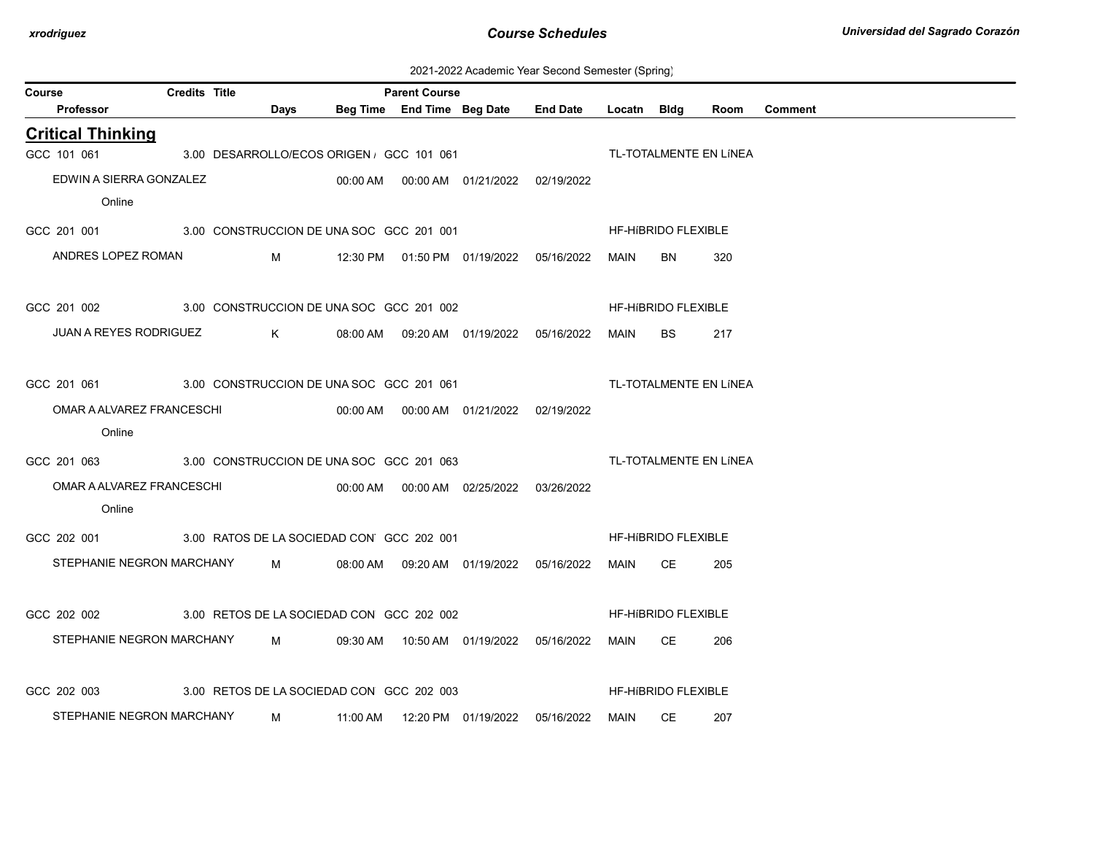| 2021-2022 Academic Year Second Semester (Spring) |  |  |  |  |  |
|--------------------------------------------------|--|--|--|--|--|
|--------------------------------------------------|--|--|--|--|--|

| Course                                                | <b>Credits Title</b> |                                                                             |                |                                           | <b>Parent Course</b> |                                            |                                                 |         |                            |                        |         |
|-------------------------------------------------------|----------------------|-----------------------------------------------------------------------------|----------------|-------------------------------------------|----------------------|--------------------------------------------|-------------------------------------------------|---------|----------------------------|------------------------|---------|
| Professor                                             |                      |                                                                             | <b>Days</b>    |                                           |                      |                                            | Beg Time End Time Beg Date End Date Locatn Bldg |         |                            | Room                   | Comment |
| <b>Critical Thinking</b>                              |                      |                                                                             |                |                                           |                      |                                            |                                                 |         |                            |                        |         |
| GCC 101 061                                           |                      |                                                                             |                | 3.00 DESARROLLO/ECOS ORIGEN , GCC 101 061 |                      |                                            |                                                 |         |                            | TL-TOTALMENTE EN LÍNEA |         |
| EDWIN A SIERRA GONZALEZ                               |                      |                                                                             |                |                                           |                      |                                            |                                                 |         |                            |                        |         |
| Online                                                |                      |                                                                             |                |                                           |                      |                                            |                                                 |         |                            |                        |         |
| GCC 201 001 3.00 CONSTRUCCION DE UNA SOC GCC 201 001  |                      |                                                                             |                |                                           |                      |                                            |                                                 |         | HF-HIBRIDO FLEXIBLE        |                        |         |
| ANDRES LOPEZ ROMAN                                    |                      |                                                                             |                |                                           |                      |                                            |                                                 | MAIN    | BN                         | 320                    |         |
| GCC 201 002 3.00 CONSTRUCCION DE UNA SOC GCC 201 002  |                      |                                                                             |                |                                           |                      |                                            |                                                 |         | HF-HIBRIDO FLEXIBLE        |                        |         |
| JUAN A REYES RODRIGUEZ                                |                      | $\mathsf K$ and $\mathsf K$ and $\mathsf K$ and $\mathsf K$ and $\mathsf K$ |                |                                           |                      | 08:00 AM  09:20 AM  01/19/2022  05/16/2022 |                                                 | MAIN    | BS.                        | 217                    |         |
| GCC 201 061 3.00 CONSTRUCCION DE UNA SOC GCC 201 061  |                      |                                                                             |                |                                           |                      |                                            |                                                 |         |                            | TL-TOTALMENTE EN LÍNEA |         |
| OMAR A ALVAREZ FRANCESCHI                             |                      |                                                                             |                |                                           |                      |                                            |                                                 |         |                            |                        |         |
| Online                                                |                      |                                                                             |                |                                           |                      |                                            |                                                 |         |                            |                        |         |
| GCC 201 063 3.00 CONSTRUCCION DE UNA SOC GCC 201 063  |                      |                                                                             |                |                                           |                      |                                            | TL-TOTALMENTE EN LINEA                          |         |                            |                        |         |
| OMAR A ALVAREZ FRANCESCHI                             |                      |                                                                             |                |                                           |                      |                                            |                                                 |         |                            |                        |         |
| Online                                                |                      |                                                                             |                |                                           |                      |                                            |                                                 |         |                            |                        |         |
| GCC 202 001 3.00 RATOS DE LA SOCIEDAD CON GCC 202 001 |                      |                                                                             |                |                                           |                      |                                            |                                                 |         | HF-HIBRIDO FLEXIBLE        |                        |         |
| STEPHANIE NEGRON MARCHANY M                           |                      |                                                                             |                |                                           |                      | 08:00 AM  09:20 AM  01/19/2022  05/16/2022 |                                                 | MAIN CE |                            | 205                    |         |
| GCC 202 002                                           |                      |                                                                             |                | 3.00 RETOS DE LA SOCIEDAD CON GCC 202 002 |                      |                                            |                                                 |         | <b>HF-HIBRIDO FLEXIBLE</b> |                        |         |
| STEPHANIE NEGRON MARCHANY M                           |                      |                                                                             |                |                                           |                      | 09:30 AM  10:50 AM  01/19/2022  05/16/2022 |                                                 | MAIN CE |                            | 206                    |         |
| GCC 202 003                                           |                      |                                                                             |                | 3.00 RETOS DE LA SOCIEDAD CON GCC 202 003 |                      |                                            |                                                 |         | <b>HF-HIBRIDO FLEXIBLE</b> |                        |         |
| STEPHANIE NEGRON MARCHANY                             |                      |                                                                             | $M_{\rm{max}}$ |                                           |                      |                                            |                                                 |         | MAIN CE                    | 207                    |         |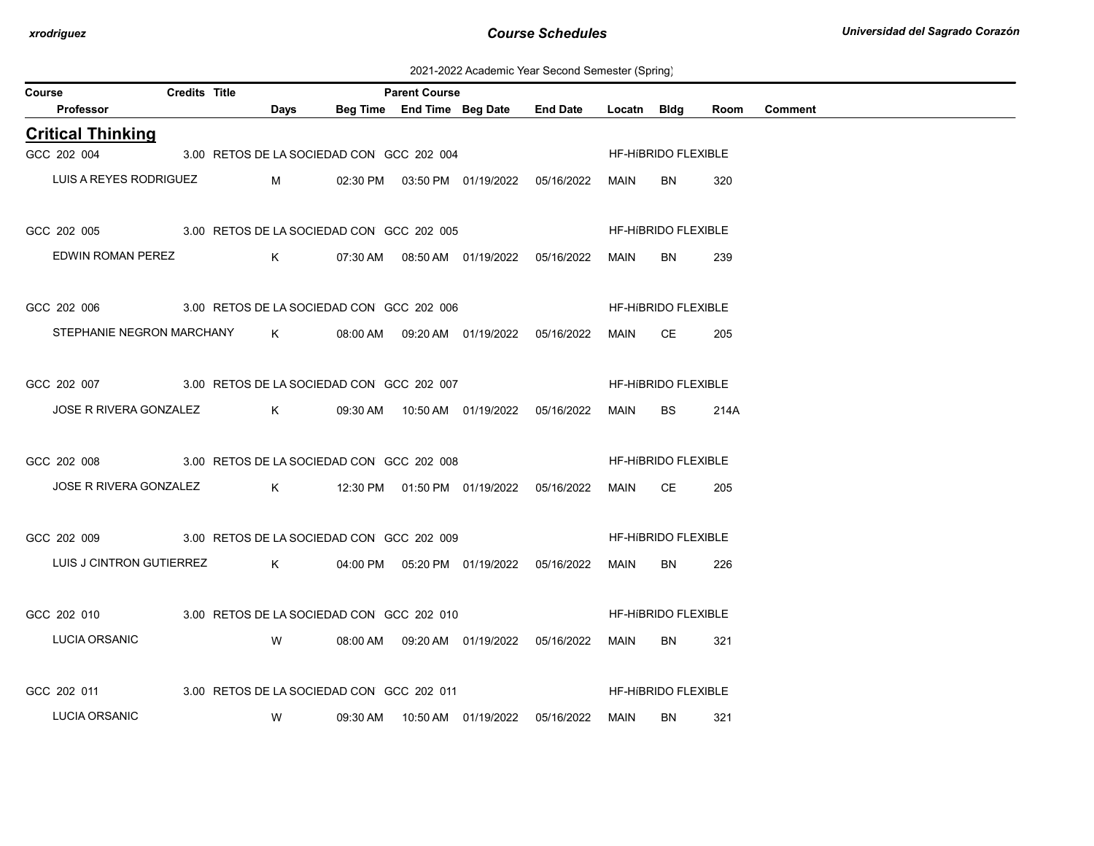2021-2022 Academic Year Second Semester (Spring)

| Course                                                |                        | <b>Credits Title</b> |                                                                     | <b>Parent Course</b> |                                                 |         |                            |      |                |
|-------------------------------------------------------|------------------------|----------------------|---------------------------------------------------------------------|----------------------|-------------------------------------------------|---------|----------------------------|------|----------------|
| Professor                                             |                        |                      | <b>Days</b>                                                         |                      | Beg Time End Time Beg Date End Date Locatn Bldg |         |                            | Room | <b>Comment</b> |
| <b>Critical Thinking</b>                              |                        |                      |                                                                     |                      |                                                 |         |                            |      |                |
| GCC 202 004                                           |                        |                      | 3.00 RETOS DE LA SOCIEDAD CON GCC 202 004                           |                      |                                                 |         | HF-HIBRIDO FLEXIBLE        |      |                |
|                                                       | LUIS A REYES RODRIGUEZ |                      | $M_{\rm H}$ and $M_{\rm H}$ and $M_{\rm H}$ and $M_{\rm H}$         |                      |                                                 | MAIN    | BN.                        | 320  |                |
| GCC 202 005 3.00 RETOS DE LA SOCIEDAD CON GCC 202 005 |                        |                      |                                                                     |                      |                                                 |         | <b>HF-HIBRIDO FLEXIBLE</b> |      |                |
|                                                       | EDWIN ROMAN PEREZ      |                      |                                                                     |                      |                                                 | MAIN    | BN.                        | 239  |                |
| GCC 202 006 3.00 RETOS DE LA SOCIEDAD CON GCC 202 006 |                        |                      |                                                                     |                      |                                                 |         | HF-HIBRIDO FLEXIBLE        |      |                |
|                                                       |                        |                      | STEPHANIE NEGRON MARCHANY K 08:00 AM 09:20 AM 01/19/2022 05/16/2022 |                      |                                                 | MAIN CE |                            | 205  |                |
| GCC 202 007 3.00 RETOS DE LA SOCIEDAD CON GCC 202 007 |                        |                      |                                                                     |                      |                                                 |         | HF-HIBRIDO FLEXIBLE        |      |                |
|                                                       |                        |                      | JOSE R RIVERA GONZALEZ $K$ 09:30 AM 10:50 AM 01/19/2022 05/16/2022  |                      |                                                 | MAIN    | BS.                        | 214A |                |
| GCC 202 008 3.00 RETOS DE LA SOCIEDAD CON GCC 202 008 |                        |                      |                                                                     |                      |                                                 |         | <b>HF-HIBRIDO FLEXIBLE</b> |      |                |
|                                                       |                        |                      | JOSE R RIVERA GONZALEZ K 12:30 PM 01:50 PM 01/19/2022 05/16/2022    |                      |                                                 | MAIN CE |                            | 205  |                |
| GCC 202 009 3.00 RETOS DE LA SOCIEDAD CON GCC 202 009 |                        |                      |                                                                     |                      |                                                 |         | HF-HIBRIDO FLEXIBLE        |      |                |
|                                                       |                        |                      | LUIS J CINTRON GUTIERREZ K 04:00 PM 05:20 PM 01/19/2022 05/16/2022  |                      |                                                 | MAIN    | BN.                        | 226  |                |
| GCC 202 010 3.00 RETOS DE LA SOCIEDAD CON GCC 202 010 |                        |                      |                                                                     |                      |                                                 |         | HF-HIBRIDO FLEXIBLE        |      |                |
| LUCIA ORSANIC                                         |                        |                      | <b>W</b>                                                            |                      | 08:00 AM  09:20 AM  01/19/2022  05/16/2022      | MAIN    | BN.                        | 321  |                |
| GCC 202 011 3.00 RETOS DE LA SOCIEDAD CON GCC 202 011 |                        |                      |                                                                     |                      |                                                 |         | HF-HIBRIDO FLEXIBLE        |      |                |
| <b>LUCIA ORSANIC</b>                                  |                        |                      | <b>W</b>                                                            |                      | 09:30 AM  10:50 AM  01/19/2022  05/16/2022      | MAIN    | BN.                        | 321  |                |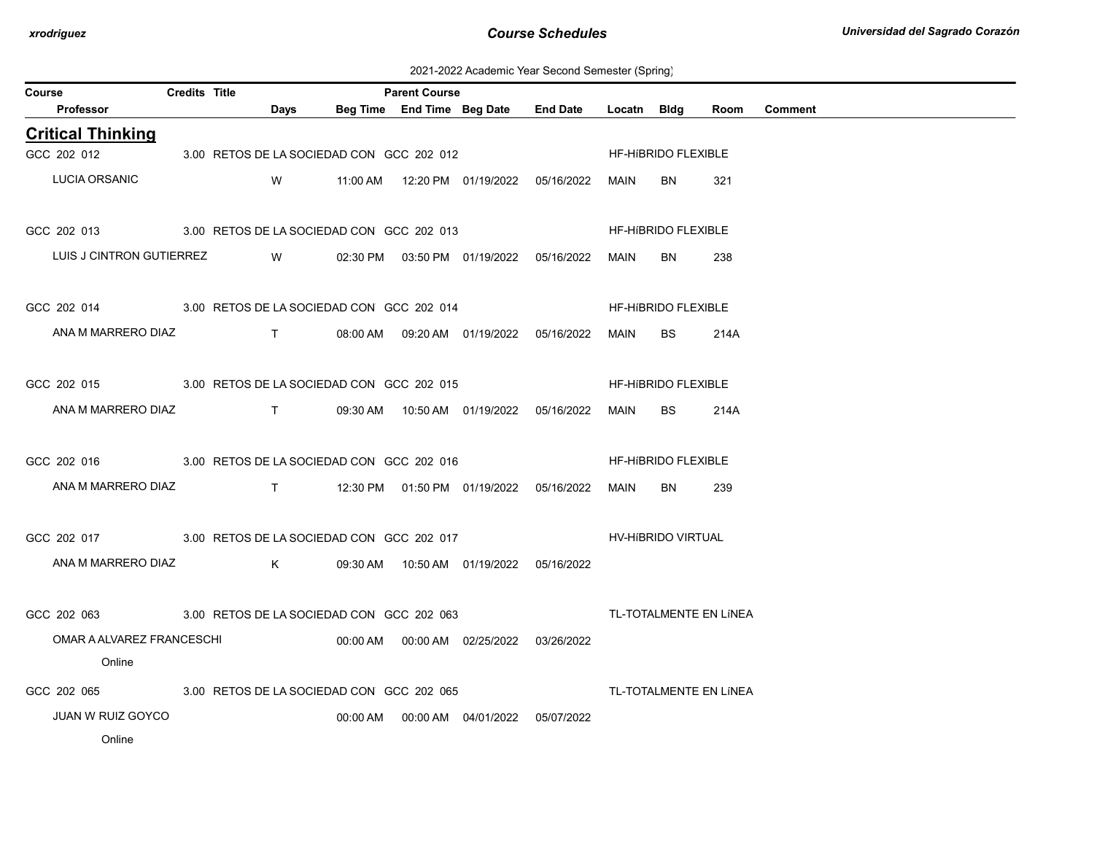2021-2022 Academic Year Second Semester (Spring)

| Course                                                            | Credits Title |      |                                           | <b>Parent Course</b> |                                                                      |                                            |             |                            |                        |                |
|-------------------------------------------------------------------|---------------|------|-------------------------------------------|----------------------|----------------------------------------------------------------------|--------------------------------------------|-------------|----------------------------|------------------------|----------------|
| Professor                                                         |               | Days |                                           |                      |                                                                      | Beg Time End Time Beg Date End Date        | Locatn Bidg |                            | Room                   | <b>Comment</b> |
| <b>Critical Thinking</b>                                          |               |      |                                           |                      |                                                                      |                                            |             |                            |                        |                |
| GCC 202 012                                                       |               |      | 3.00 RETOS DE LA SOCIEDAD CON GCC 202 012 |                      |                                                                      |                                            |             | HF-HIBRIDO FLEXIBLE        |                        |                |
| <b>LUCIA ORSANIC</b>                                              |               |      |                                           |                      |                                                                      | W 11:00 AM 12:20 PM 01/19/2022 05/16/2022  | MAIN        | BN.                        | 321                    |                |
| GCC 202 013 3.00 RETOS DE LA SOCIEDAD CON GCC 202 013             |               |      |                                           |                      |                                                                      |                                            |             | HF-HIBRIDO FLEXIBLE        |                        |                |
| LUIS J CINTRON GUTIERREZ W                                        |               |      |                                           |                      |                                                                      | 02:30 PM  03:50 PM  01/19/2022  05/16/2022 | MAIN        | <b>BN</b>                  | 238                    |                |
| GCC 202 014 3.00 RETOS DE LA SOCIEDAD CON GCC 202 014             |               |      |                                           |                      |                                                                      |                                            |             | HF-HIBRIDO FLEXIBLE        |                        |                |
| ANA M MARRERO DIAZ T 08:00 AM 09:20 AM 01/19/2022 05/16/2022      |               |      |                                           |                      |                                                                      |                                            | MAIN        | BS.                        | 214A                   |                |
| GCC 202 015 3.00 RETOS DE LA SOCIEDAD CON GCC 202 015             |               |      |                                           |                      |                                                                      |                                            |             | HF-HIBRIDO FLEXIBLE        |                        |                |
| ANA M MARRERO DIAZ T 09:30 AM 10:50 AM 01/19/2022 05/16/2022      |               |      |                                           |                      |                                                                      |                                            | MAIN        | <b>BS</b>                  | 214A                   |                |
| GCC 202 016 3.00 RETOS DE LA SOCIEDAD CON GCC 202 016             |               |      |                                           |                      |                                                                      |                                            |             | <b>HF-HIBRIDO FLEXIBLE</b> |                        |                |
| ANA M MARRERO DIAZ T 12:30 PM 01:50 PM 01/19/2022 05/16/2022 MAIN |               |      |                                           |                      |                                                                      |                                            |             | BN                         | 239                    |                |
| GCC 202 017 3.00 RETOS DE LA SOCIEDAD CON GCC 202 017             |               |      |                                           |                      |                                                                      |                                            |             | HV-HIBRIDO VIRTUAL         |                        |                |
| ANA M MARRERO DIAZ K                                              |               |      |                                           |                      | 09:30 AM  10:50 AM  01/19/2022  05/16/2022                           |                                            |             |                            |                        |                |
| GCC 202 063 3.00 RETOS DE LA SOCIEDAD CON GCC 202 063             |               |      |                                           |                      |                                                                      | TL-TOTALMENTE EN LÍNEA                     |             |                            |                        |                |
| OMAR A ALVAREZ FRANCESCHI                                         |               |      |                                           |                      | $00:00$ AM $\qquad 00:00$ AM $\qquad 02/25/2022$ $\qquad 03/26/2022$ |                                            |             |                            |                        |                |
| Online                                                            |               |      |                                           |                      |                                                                      |                                            |             |                            |                        |                |
| GCC 202 065 3.00 RETOS DE LA SOCIEDAD CON GCC 202 065             |               |      |                                           |                      |                                                                      |                                            |             |                            | TL-TOTALMENTE EN LÍNEA |                |
| <b>JUAN W RUIZ GOYCO</b>                                          |               |      |                                           |                      | 00:00 AM  00:00 AM  04/01/2022  05/07/2022                           |                                            |             |                            |                        |                |
| Online                                                            |               |      |                                           |                      |                                                                      |                                            |             |                            |                        |                |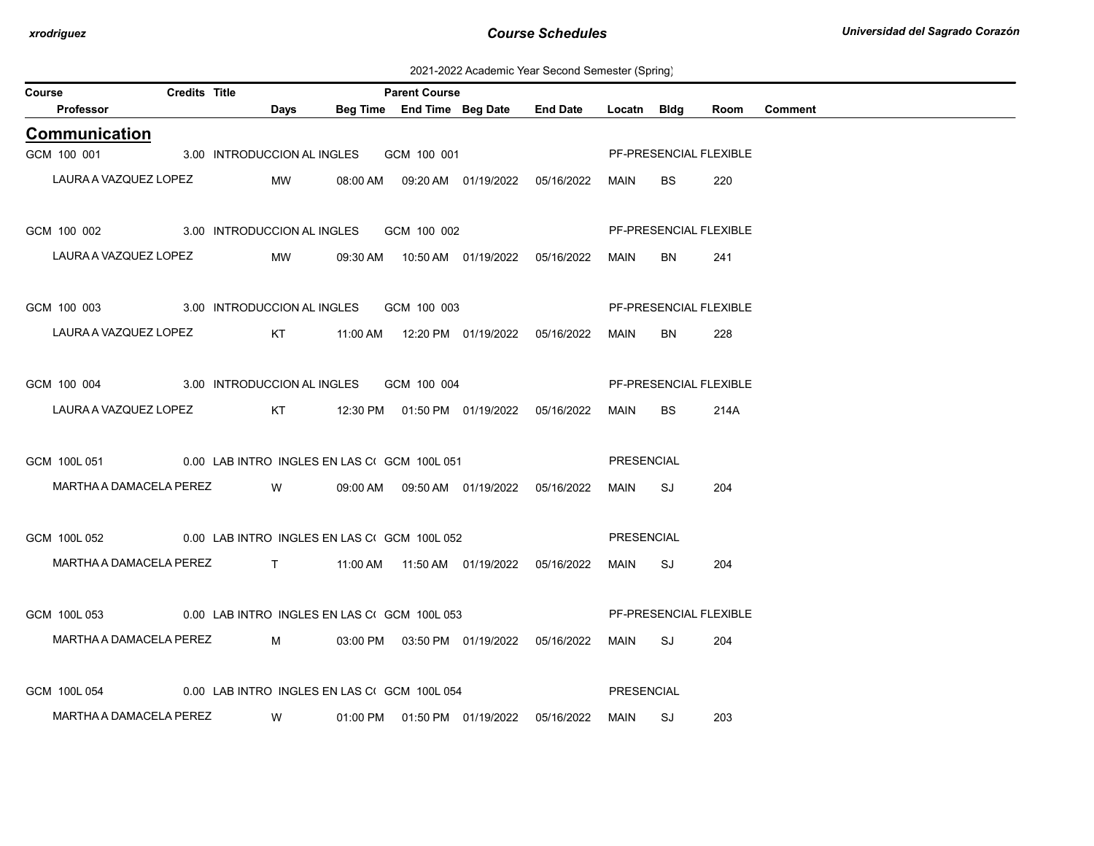2021-2022 Academic Year Second Semester (Spring)

| <b>Credits Title</b><br><b>Parent Course</b><br>Course |                                                          |  |  |                               |          |                                              |                                            |                 |             |                               |      |                |
|--------------------------------------------------------|----------------------------------------------------------|--|--|-------------------------------|----------|----------------------------------------------|--------------------------------------------|-----------------|-------------|-------------------------------|------|----------------|
|                                                        | <b>Professor</b>                                         |  |  | Days                          |          | Beg Time End Time Beg Date                   |                                            | <b>End Date</b> | Locatn Bldg |                               | Room | <b>Comment</b> |
|                                                        | Communication                                            |  |  |                               |          |                                              |                                            |                 |             |                               |      |                |
| GCM 100 001                                            |                                                          |  |  | 3.00 INTRODUCCION AL INGLES   |          | GCM 100 001                                  |                                            |                 |             | PF-PRESENCIAL FLEXIBLE        |      |                |
|                                                        | LAURA A VAZQUEZ LOPEZ                                    |  |  | MW                            |          |                                              | 08:00 AM  09:20 AM  01/19/2022             | 05/16/2022      | MAIN        | <b>BS</b>                     | 220  |                |
| GCM 100 002                                            |                                                          |  |  |                               |          | 3.00 INTRODUCCION AL INGLES GCM 100 002      |                                            |                 |             | PF-PRESENCIAL FLEXIBLE        |      |                |
|                                                        | LAURA A VAZQUEZ LOPEZ                                    |  |  | MW                            | 09:30 AM |                                              |                                            |                 | MAIN        | BN.                           | 241  |                |
| GCM 100 003                                            |                                                          |  |  | 3.00 INTRODUCCION AL INGLES   |          | GCM 100 003                                  |                                            |                 |             | <b>PF-PRESENCIAL FLEXIBLE</b> |      |                |
|                                                        | LAURA A VAZQUEZ LOPEZ                                    |  |  | KT                            |          |                                              |                                            | 05/16/2022      | <b>MAIN</b> | <b>BN</b>                     | 228  |                |
| GCM 100 004                                            | 3.00 INTRODUCCION AL INGLES                              |  |  |                               |          | GCM 100 004                                  |                                            |                 |             | PF-PRESENCIAL FLEXIBLE        |      |                |
|                                                        | LAURA A VAZQUEZ LOPEZ                                    |  |  | KT                            |          |                                              | 12:30 PM  01:50 PM  01/19/2022  05/16/2022 |                 | MAIN        | BS.                           | 214A |                |
| GCM 100L 051                                           |                                                          |  |  |                               |          | 0.00 LAB INTRO INGLES EN LAS CI GCM 100L 051 |                                            |                 | PRESENCIAL  |                               |      |                |
|                                                        | MARTHA A DAMACELA PEREZ                                  |  |  | W                             |          |                                              | 09:00 AM  09:50 AM  01/19/2022             | 05/16/2022      | <b>MAIN</b> | SJ                            | 204  |                |
| GCM 100L 052                                           |                                                          |  |  |                               |          | 0.00 LAB INTRO INGLES EN LAS CI GCM 100L 052 |                                            |                 | PRESENCIAL  |                               |      |                |
|                                                        | MARTHA A DAMACELA PEREZ                                  |  |  | $\mathsf{T}$ and $\mathsf{T}$ |          |                                              | 11:00 AM  11:50 AM  01/19/2022  05/16/2022 |                 | MAIN        | SJ                            | 204  |                |
| GCM 100L 053                                           |                                                          |  |  |                               |          | 0.00 LAB INTRO INGLES EN LAS CI GCM 100L 053 |                                            |                 |             | PF-PRESENCIAL FLEXIBLE        |      |                |
|                                                        | MARTHA A DAMACELA PEREZ                                  |  |  | M                             |          |                                              | 03:00 PM  03:50 PM  01/19/2022  05/16/2022 |                 | MAIN        | SJ                            | 204  |                |
|                                                        | GCM 100L 054 0.00 LAB INTRO INGLES EN LAS CIGCM 100L 054 |  |  |                               |          |                                              |                                            |                 | PRESENCIAL  |                               |      |                |
|                                                        | MARTHA A DAMACELA PEREZ                                  |  |  | W                             |          |                                              | 01:00 PM   01:50 PM   01/19/2022           | 05/16/2022      | MAIN        | SJ                            | 203  |                |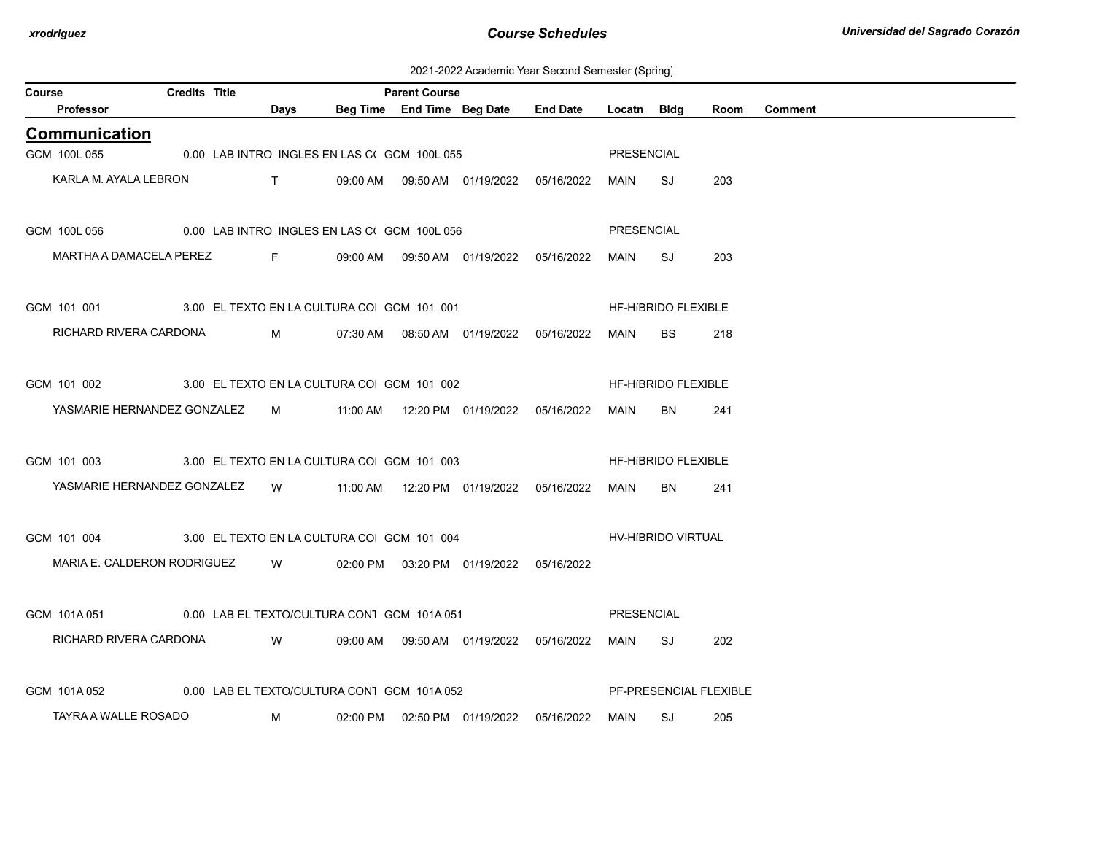2021-2022 Academic Year Second Semester (Spring)

| Course               | <b>Credits Title</b>                                   |                                                                                                                                                                                                                                                                                                                               |               |                                              | <b>Parent Course</b>       |                                            |                 |                    |                            |                        |                |
|----------------------|--------------------------------------------------------|-------------------------------------------------------------------------------------------------------------------------------------------------------------------------------------------------------------------------------------------------------------------------------------------------------------------------------|---------------|----------------------------------------------|----------------------------|--------------------------------------------|-----------------|--------------------|----------------------------|------------------------|----------------|
| <b>Professor</b>     |                                                        |                                                                                                                                                                                                                                                                                                                               | Days          |                                              | Beg Time End Time Beg Date |                                            | <b>End Date</b> | Locatn Bldg        |                            | Room                   | <b>Comment</b> |
| <b>Communication</b> |                                                        |                                                                                                                                                                                                                                                                                                                               |               |                                              |                            |                                            |                 |                    |                            |                        |                |
| GCM 100L 055         |                                                        |                                                                                                                                                                                                                                                                                                                               |               | 0.00 LAB INTRO INGLES EN LAS CI GCM 100L 055 |                            |                                            |                 | PRESENCIAL         |                            |                        |                |
|                      | KARLA M. AYALA LEBRON                                  | $\mathbf{T}$ and $\mathbf{T}$ and $\mathbf{T}$ and $\mathbf{T}$ and $\mathbf{T}$ and $\mathbf{T}$ and $\mathbf{T}$ and $\mathbf{T}$ and $\mathbf{T}$ and $\mathbf{T}$ and $\mathbf{T}$ and $\mathbf{T}$ and $\mathbf{T}$ and $\mathbf{T}$ and $\mathbf{T}$ and $\mathbf{T}$ and $\mathbf{T}$ and $\mathbf{T}$ and $\mathbf{T$ |               |                                              |                            | 09:00 AM  09:50 AM  01/19/2022             | 05/16/2022      | MAIN               | SJ                         | 203                    |                |
| GCM 100L 056         | 0.00 LAB INTRO INGLES EN LAS CI GCM 100L 056           |                                                                                                                                                                                                                                                                                                                               |               |                                              |                            |                                            |                 | PRESENCIAL         |                            |                        |                |
|                      | MARTHA A DAMACELA PEREZ                                |                                                                                                                                                                                                                                                                                                                               | <b>Figure</b> |                                              |                            | 09:00 AM  09:50 AM  01/19/2022  05/16/2022 |                 | MAIN               | SJ                         | 203                    |                |
|                      | GCM 101 001 3.00 EL TEXTO EN LA CULTURA CO GCM 101 001 |                                                                                                                                                                                                                                                                                                                               |               |                                              |                            |                                            |                 |                    | <b>HF-HIBRIDO FLEXIBLE</b> |                        |                |
|                      | RICHARD RIVERA CARDONA                                 |                                                                                                                                                                                                                                                                                                                               | M             |                                              |                            | 07:30 AM  08:50 AM  01/19/2022  05/16/2022 |                 | MAIN               | <b>BS</b>                  | 218                    |                |
| GCM 101 002          | 3.00 EL TEXTO EN LA CULTURA CO GCM 101 002             |                                                                                                                                                                                                                                                                                                                               |               |                                              |                            |                                            |                 |                    | <b>HF-HIBRIDO FLEXIBLE</b> |                        |                |
|                      | YASMARIE HERNANDEZ GONZALEZ                            |                                                                                                                                                                                                                                                                                                                               |               |                                              |                            |                                            |                 | MAIN               | BN.                        | 241                    |                |
| GCM 101 003          | 3.00 EL TEXTO EN LA CULTURA CO GCM 101 003             |                                                                                                                                                                                                                                                                                                                               |               |                                              |                            |                                            |                 |                    | HF-HIBRIDO FLEXIBLE        |                        |                |
|                      | YASMARIE HERNANDEZ GONZALEZ W                          |                                                                                                                                                                                                                                                                                                                               |               |                                              |                            | 11:00 AM  12:20 PM  01/19/2022  05/16/2022 |                 | MAIN               | <b>BN</b>                  | 241                    |                |
| GCM 101 004          | 3.00 EL TEXTO EN LA CULTURA CO GCM 101 004             |                                                                                                                                                                                                                                                                                                                               |               |                                              |                            |                                            |                 | HV-HíBRIDO VIRTUAL |                            |                        |                |
|                      | MARIA E. CALDERON RODRIGUEZ                            |                                                                                                                                                                                                                                                                                                                               | W.            |                                              |                            | 02:00 PM  03:20 PM  01/19/2022  05/16/2022 |                 |                    |                            |                        |                |
| GCM 101A051          | 0.00 LAB EL TEXTO/CULTURA CON1 GCM 101A 051            |                                                                                                                                                                                                                                                                                                                               |               |                                              |                            |                                            |                 | <b>PRESENCIAL</b>  |                            |                        |                |
|                      | RICHARD RIVERA CARDONA W                               |                                                                                                                                                                                                                                                                                                                               |               |                                              |                            | 09:00 AM  09:50 AM  01/19/2022  05/16/2022 |                 | MAIN               | SJ                         | 202                    |                |
| GCM 101A052          | 0.00 LAB EL TEXTO/CULTURA CON1 GCM 101A 052            |                                                                                                                                                                                                                                                                                                                               |               |                                              |                            |                                            |                 |                    |                            | PF-PRESENCIAL FLEXIBLE |                |
|                      | TAYRA A WALLE ROSADO                                   |                                                                                                                                                                                                                                                                                                                               | м             |                                              |                            | 02:00 PM  02:50 PM  01/19/2022  05/16/2022 |                 | MAIN               | SJ                         | 205                    |                |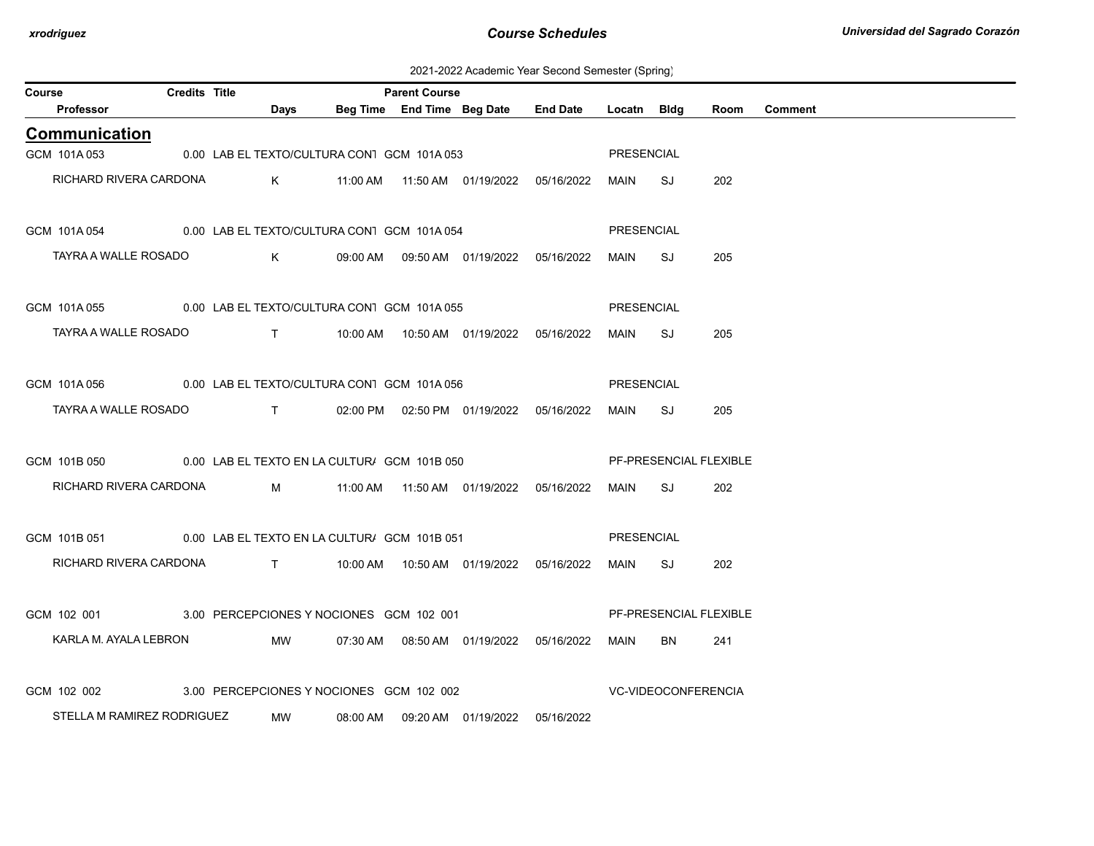2021-2022 Academic Year Second Semester (Spring)

| Course |                                                           | <b>Credits Title</b> |                                                                                  |             |                                             | <b>Parent Course</b> |                                                  |                 |             |                               |      |                |
|--------|-----------------------------------------------------------|----------------------|----------------------------------------------------------------------------------|-------------|---------------------------------------------|----------------------|--------------------------------------------------|-----------------|-------------|-------------------------------|------|----------------|
|        | Professor                                                 |                      |                                                                                  | Days        |                                             |                      | Beg Time End Time Beg Date                       | <b>End Date</b> | Locatn Bldg |                               | Room | <b>Comment</b> |
|        | <b>Communication</b>                                      |                      |                                                                                  |             |                                             |                      |                                                  |                 |             |                               |      |                |
|        | GCM 101A053                                               |                      |                                                                                  |             | 0.00 LAB EL TEXTO/CULTURA CON1 GCM 101A 053 |                      |                                                  |                 | PRESENCIAL  |                               |      |                |
|        | RICHARD RIVERA CARDONA                                    |                      |                                                                                  | $K$ and $K$ |                                             |                      |                                                  |                 | MAIN        | SJ                            | 202  |                |
|        | GCM 101A 054 0.00 LAB EL TEXTO/CULTURA CON1 GCM 101A 054  |                      |                                                                                  |             |                                             |                      |                                                  |                 | PRESENCIAL  |                               |      |                |
|        | TAYRA A WALLE ROSADO                                      |                      |                                                                                  | $K$ and $K$ |                                             |                      | 09:00 AM  09:50 AM  01/19/2022  05/16/2022       |                 | MAIN        | SJ                            | 205  |                |
|        | GCM 101A 055 0.00 LAB EL TEXTO/CULTURA CON1 GCM 101A 055  |                      |                                                                                  |             |                                             |                      |                                                  |                 | PRESENCIAL  |                               |      |                |
|        | TAYRA A WALLE ROSADO                                      |                      |                                                                                  |             |                                             |                      |                                                  |                 | MAIN        | SJ                            | 205  |                |
|        | GCM 101A 056 0.00 LAB EL TEXTO/CULTURA CON1 GCM 101A 056  |                      |                                                                                  |             |                                             |                      |                                                  |                 | PRESENCIAL  |                               |      |                |
|        | TAYRA A WALLE ROSADO                                      |                      | $\mathbf{T}$ and $\mathbf{T}$ and $\mathbf{T}$ and $\mathbf{T}$ and $\mathbf{T}$ |             |                                             |                      | 02:00 PM  02:50 PM  01/19/2022  05/16/2022       |                 | MAIN        | SJ                            | 205  |                |
|        | GCM 101B 050 0.00 LAB EL TEXTO EN LA CULTUR/ GCM 101B 050 |                      |                                                                                  |             |                                             |                      |                                                  |                 |             | <b>PF-PRESENCIAL FLEXIBLE</b> |      |                |
|        | RICHARD RIVERA CARDONA                                    |                      |                                                                                  |             |                                             |                      | M     11:00 AM  11:50 AM  01/19/2022  05/16/2022 |                 | MAIN        | SJ                            | 202  |                |
|        | GCM 101B 051 0.00 LAB EL TEXTO EN LA CULTUR/ GCM 101B 051 |                      |                                                                                  |             |                                             |                      |                                                  |                 | PRESENCIAL  |                               |      |                |
|        | RICHARD RIVERA CARDONA                                    |                      |                                                                                  |             |                                             |                      |                                                  |                 | MAIN        | SJ                            | 202  |                |
|        | GCM 102 001 3.00 PERCEPCIONES Y NOCIONES GCM 102 001      |                      |                                                                                  |             |                                             |                      |                                                  |                 |             | PF-PRESENCIAL FLEXIBLE        |      |                |
|        | KARLA M. AYALA LEBRON                                     |                      |                                                                                  | MW          |                                             |                      |                                                  |                 | MAIN        | BN                            | 241  |                |
|        | GCM 102 002                                               |                      |                                                                                  |             | 3.00 PERCEPCIONES Y NOCIONES GCM 102 002    |                      |                                                  |                 |             | <b>VC-VIDEOCONFERENCIA</b>    |      |                |
|        | STELLA M RAMIREZ RODRIGUEZ                                |                      |                                                                                  | MW          | 08:00 AM                                    |                      |                                                  | 05/16/2022      |             |                               |      |                |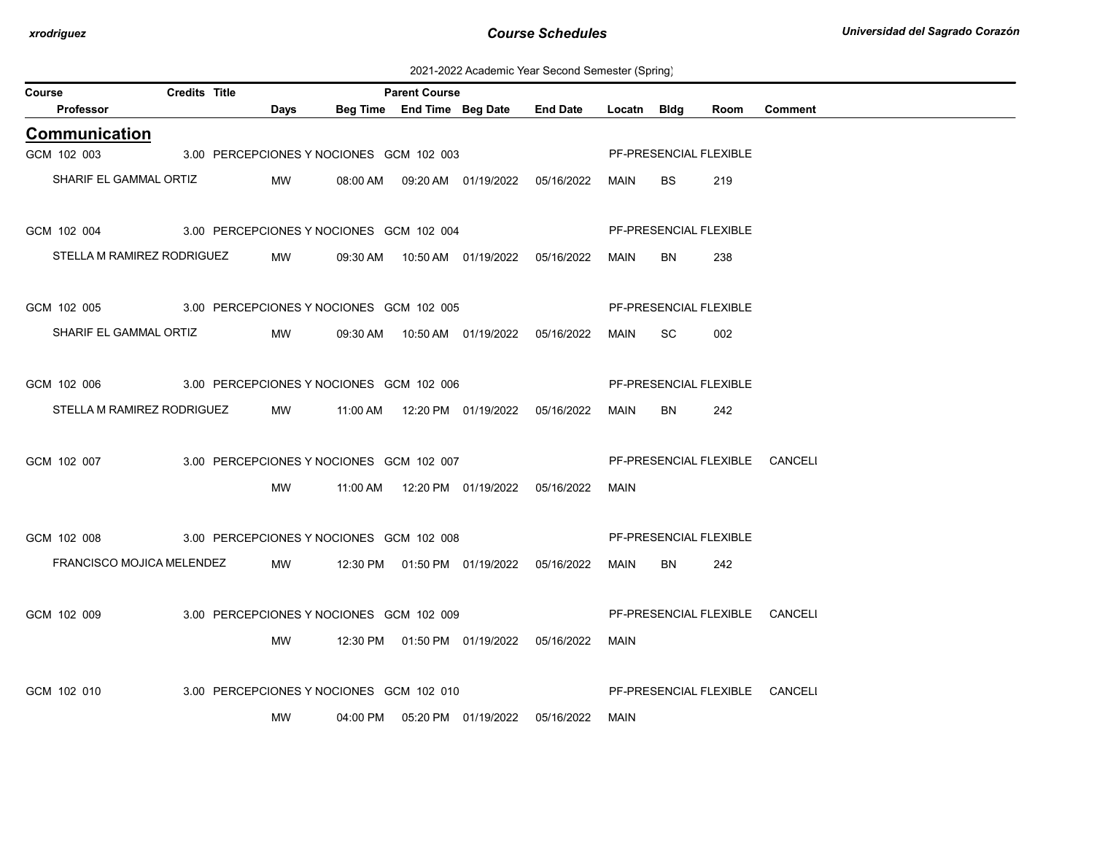2021-2022 Academic Year Second Semester (Spring)

| Course |                                                      | <b>Credits Title</b> |      |                                          | <b>Parent Course</b> |                                            |                 |             |                        |      |                                |
|--------|------------------------------------------------------|----------------------|------|------------------------------------------|----------------------|--------------------------------------------|-----------------|-------------|------------------------|------|--------------------------------|
|        | Professor                                            |                      | Days |                                          |                      | Beg Time End Time Beg Date                 | <b>End Date</b> | Locatn Bldg |                        | Room | <b>Comment</b>                 |
|        | <b>Communication</b>                                 |                      |      |                                          |                      |                                            |                 |             |                        |      |                                |
|        | GCM 102 003                                          |                      |      | 3.00 PERCEPCIONES Y NOCIONES GCM 102 003 |                      |                                            |                 |             | PF-PRESENCIAL FLEXIBLE |      |                                |
|        | SHARIF EL GAMMAL ORTIZ                               |                      | MW   |                                          |                      | 08:00 AM  09:20 AM  01/19/2022  05/16/2022 |                 | MAIN        | <b>BS</b>              | 219  |                                |
|        |                                                      |                      |      |                                          |                      |                                            |                 |             |                        |      |                                |
|        | GCM 102 004 3.00 PERCEPCIONES Y NOCIONES GCM 102 004 |                      |      |                                          |                      |                                            |                 |             | PF-PRESENCIAL FLEXIBLE |      |                                |
|        | STELLA M RAMIREZ RODRIGUEZ                           |                      | MW   |                                          |                      | 09:30 AM  10:50 AM  01/19/2022  05/16/2022 |                 | MAIN        | BN                     | 238  |                                |
|        |                                                      |                      |      |                                          |                      |                                            |                 |             |                        |      |                                |
|        | GCM 102 005 3.00 PERCEPCIONES Y NOCIONES GCM 102 005 |                      |      |                                          |                      |                                            |                 |             | PF-PRESENCIAL FLEXIBLE |      |                                |
|        | SHARIF EL GAMMAL ORTIZ                               |                      | MW   |                                          |                      | 09:30 AM  10:50 AM  01/19/2022  05/16/2022 |                 | MAIN        | SC.                    | 002  |                                |
|        |                                                      |                      |      |                                          |                      |                                            |                 |             |                        |      |                                |
|        | GCM 102 006                                          |                      |      | 3.00 PERCEPCIONES Y NOCIONES GCM 102 006 |                      |                                            |                 |             | PF-PRESENCIAL FLEXIBLE |      |                                |
|        | STELLA M RAMIREZ RODRIGUEZ                           |                      | MW   |                                          |                      |                                            |                 | MAIN        | BN.                    | 242  |                                |
|        |                                                      |                      |      |                                          |                      |                                            |                 |             |                        |      |                                |
|        | GCM 102 007                                          |                      |      | 3.00 PERCEPCIONES Y NOCIONES GCM 102 007 |                      |                                            |                 |             |                        |      | PF-PRESENCIAL FLEXIBLE CANCELI |
|        |                                                      |                      | MW   |                                          |                      |                                            |                 |             |                        |      |                                |
|        |                                                      |                      |      |                                          |                      |                                            |                 | MAIN        |                        |      |                                |
|        | GCM 102 008                                          |                      |      | 3.00 PERCEPCIONES Y NOCIONES GCM 102 008 |                      |                                            |                 |             | PF-PRESENCIAL FLEXIBLE |      |                                |
|        |                                                      |                      |      |                                          |                      |                                            |                 |             |                        |      |                                |
|        | FRANCISCO MOJICA MELENDEZ                            |                      | MW   |                                          |                      | 12:30 PM  01:50 PM  01/19/2022  05/16/2022 |                 | MAIN        | BN.                    | 242  |                                |
|        |                                                      |                      |      |                                          |                      |                                            |                 |             |                        |      |                                |
|        | GCM 102 009                                          |                      |      | 3.00 PERCEPCIONES Y NOCIONES GCM 102 009 |                      |                                            |                 |             |                        |      | PF-PRESENCIAL FLEXIBLE CANCELI |
|        |                                                      |                      | MW   |                                          |                      | 12:30 PM  01:50 PM  01/19/2022  05/16/2022 |                 | MAIN        |                        |      |                                |
|        |                                                      |                      |      |                                          |                      |                                            |                 |             |                        |      |                                |
|        | GCM 102 010                                          |                      |      | 3.00 PERCEPCIONES Y NOCIONES GCM 102 010 |                      |                                            |                 |             |                        |      | PF-PRESENCIAL FLEXIBLE CANCELI |
|        |                                                      |                      | MW   |                                          |                      | 04:00 PM  05:20 PM  01/19/2022             | 05/16/2022      | MAIN        |                        |      |                                |
|        |                                                      |                      |      |                                          |                      |                                            |                 |             |                        |      |                                |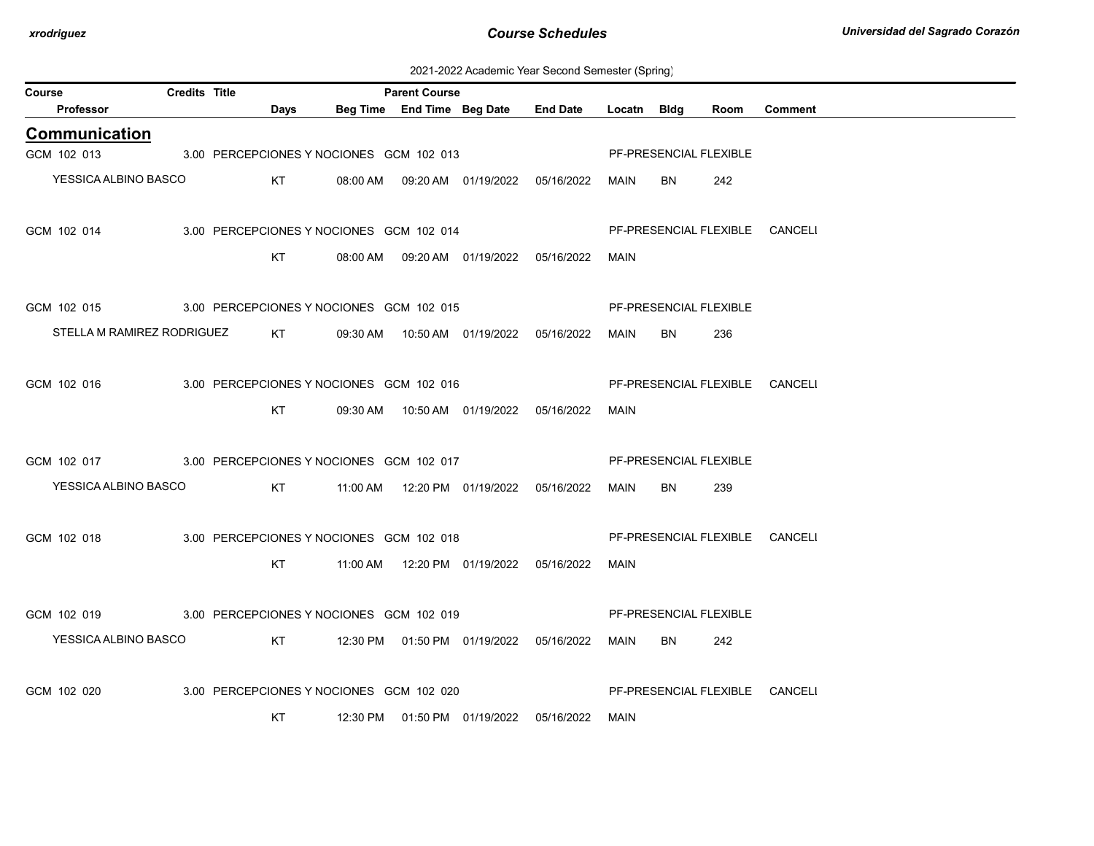2021-2022 Academic Year Second Semester (Spring)

| Beg Time End Time Beg Date<br>Professor<br><b>End Date</b><br>Days<br>Locatn Bldg<br><b>Comment</b><br>Room<br><b>Communication</b><br>GCM 102 013<br>PF-PRESENCIAL FLEXIBLE<br>3.00 PERCEPCIONES Y NOCIONES GCM 102 013<br>YESSICA ALBINO BASCO<br>KT<br>08:00 AM  09:20 AM  01/19/2022  05/16/2022<br>BN<br>242<br>MAIN<br>GCM 102 014<br>PF-PRESENCIAL FLEXIBLE CANCELI<br>3.00 PERCEPCIONES Y NOCIONES GCM 102 014 |  |  |             |  |  |     |  |
|------------------------------------------------------------------------------------------------------------------------------------------------------------------------------------------------------------------------------------------------------------------------------------------------------------------------------------------------------------------------------------------------------------------------|--|--|-------------|--|--|-----|--|
|                                                                                                                                                                                                                                                                                                                                                                                                                        |  |  |             |  |  |     |  |
|                                                                                                                                                                                                                                                                                                                                                                                                                        |  |  |             |  |  |     |  |
|                                                                                                                                                                                                                                                                                                                                                                                                                        |  |  |             |  |  |     |  |
|                                                                                                                                                                                                                                                                                                                                                                                                                        |  |  |             |  |  |     |  |
|                                                                                                                                                                                                                                                                                                                                                                                                                        |  |  |             |  |  |     |  |
|                                                                                                                                                                                                                                                                                                                                                                                                                        |  |  |             |  |  |     |  |
| 08:00 AM  09:20 AM  01/19/2022  05/16/2022                                                                                                                                                                                                                                                                                                                                                                             |  |  | <b>MAIN</b> |  |  | KT. |  |
|                                                                                                                                                                                                                                                                                                                                                                                                                        |  |  |             |  |  |     |  |
| PF-PRESENCIAL FLEXIBLE<br>GCM 102 015<br>3.00 PERCEPCIONES Y NOCIONES GCM 102 015                                                                                                                                                                                                                                                                                                                                      |  |  |             |  |  |     |  |
| STELLA M RAMIREZ RODRIGUEZ<br>KT<br>09:30 AM  10:50 AM  01/19/2022  05/16/2022<br>MAIN<br>BN<br>236                                                                                                                                                                                                                                                                                                                    |  |  |             |  |  |     |  |
|                                                                                                                                                                                                                                                                                                                                                                                                                        |  |  |             |  |  |     |  |
| PF-PRESENCIAL FLEXIBLE CANCELI<br>GCM 102 016<br>3.00 PERCEPCIONES Y NOCIONES GCM 102 016                                                                                                                                                                                                                                                                                                                              |  |  |             |  |  |     |  |
| KT.<br>05/16/2022<br>MAIN                                                                                                                                                                                                                                                                                                                                                                                              |  |  |             |  |  |     |  |
|                                                                                                                                                                                                                                                                                                                                                                                                                        |  |  |             |  |  |     |  |
| GCM 102 017<br>PF-PRESENCIAL FLEXIBLE<br>3.00 PERCEPCIONES Y NOCIONES GCM 102 017                                                                                                                                                                                                                                                                                                                                      |  |  |             |  |  |     |  |
| YESSICA ALBINO BASCO<br>KT<br>MAIN<br>BN<br>239                                                                                                                                                                                                                                                                                                                                                                        |  |  |             |  |  |     |  |
|                                                                                                                                                                                                                                                                                                                                                                                                                        |  |  |             |  |  |     |  |
| GCM 102 018<br>PF-PRESENCIAL FLEXIBLE CANCELI<br>3.00 PERCEPCIONES Y NOCIONES GCM 102 018                                                                                                                                                                                                                                                                                                                              |  |  |             |  |  |     |  |
| KT<br>MAIN                                                                                                                                                                                                                                                                                                                                                                                                             |  |  |             |  |  |     |  |
|                                                                                                                                                                                                                                                                                                                                                                                                                        |  |  |             |  |  |     |  |
| GCM 102 019<br>3.00 PERCEPCIONES Y NOCIONES GCM 102 019<br>PF-PRESENCIAL FLEXIBLE                                                                                                                                                                                                                                                                                                                                      |  |  |             |  |  |     |  |
| YESSICA ALBINO BASCO<br>KT<br>12:30 PM  01:50 PM  01/19/2022  05/16/2022<br>BN<br>MAIN<br>242                                                                                                                                                                                                                                                                                                                          |  |  |             |  |  |     |  |
|                                                                                                                                                                                                                                                                                                                                                                                                                        |  |  |             |  |  |     |  |
| GCM 102 020<br>3.00 PERCEPCIONES Y NOCIONES GCM 102 020<br>PF-PRESENCIAL FLEXIBLE CANCELI                                                                                                                                                                                                                                                                                                                              |  |  |             |  |  |     |  |
| 05/16/2022<br>KT<br>12:30 PM<br>01:50 PM 01/19/2022<br>MAIN                                                                                                                                                                                                                                                                                                                                                            |  |  |             |  |  |     |  |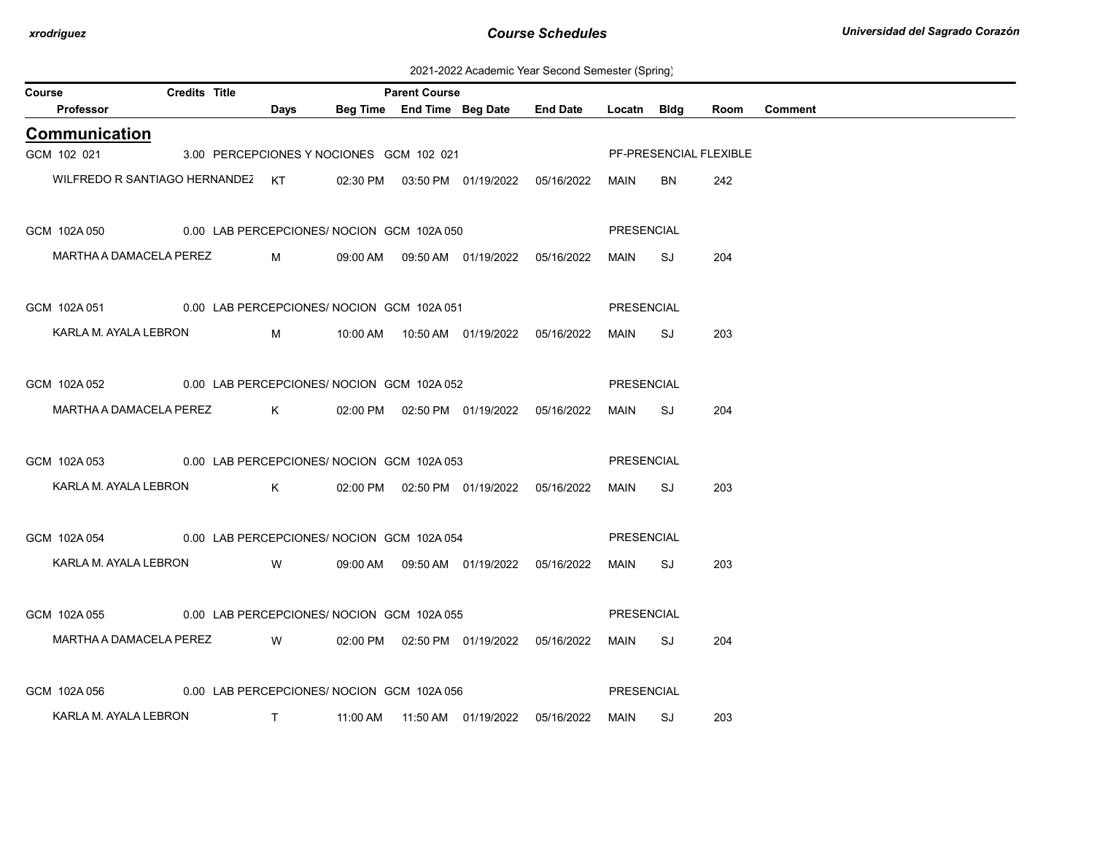2021-2022 Academic Year Second Semester (Spring)

| Course |                                                         | Credits Title                              |                             |          | <b>Parent Course</b> |                                            |                                            |                   |      |                        |                |
|--------|---------------------------------------------------------|--------------------------------------------|-----------------------------|----------|----------------------|--------------------------------------------|--------------------------------------------|-------------------|------|------------------------|----------------|
|        | Professor                                               |                                            | Days                        |          |                      | Beg Time End Time Beg Date                 | <b>End Date</b>                            | Locatn Bldg       |      | Room                   | <b>Comment</b> |
|        | <b>Communication</b>                                    |                                            |                             |          |                      |                                            |                                            |                   |      |                        |                |
|        | GCM 102 021                                             | 3.00 PERCEPCIONES Y NOCIONES GCM 102 021   |                             |          |                      |                                            |                                            |                   |      | PF-PRESENCIAL FLEXIBLE |                |
|        | WILFREDO R SANTIAGO HERNANDEZ KT                        |                                            |                             |          |                      | 02:30 PM  03:50 PM  01/19/2022  05/16/2022 |                                            | MAIN              | BN.  | 242                    |                |
|        | GCM 102A 050                                            | 0.00 LAB PERCEPCIONES/ NOCION GCM 102A 050 |                             |          |                      |                                            |                                            | PRESENCIAL        |      |                        |                |
|        | MARTHA A DAMACELA PEREZ                                 |                                            | $M \sim 1$                  |          |                      | 09:00 AM  09:50 AM  01/19/2022  05/16/2022 |                                            | MAIN              | SJ   | 204                    |                |
|        | GCM 102A 051 0.00 LAB PERCEPCIONES/ NOCION GCM 102A 051 |                                            |                             |          |                      |                                            |                                            | PRESENCIAL        |      |                        |                |
|        | KARLA M. AYALA LEBRON                                   |                                            | M                           |          |                      |                                            |                                            | MAIN              | SJ   | 203                    |                |
|        | GCM 102A 052 0.00 LAB PERCEPCIONES/ NOCION GCM 102A 052 |                                            |                             |          |                      |                                            |                                            | PRESENCIAL        |      |                        |                |
|        | MARTHA A DAMACELA PEREZ K                               |                                            |                             |          |                      | 02:00 PM  02:50 PM  01/19/2022  05/16/2022 |                                            | MAIN              | SJ   | 204                    |                |
|        | GCM 102A 053 0.00 LAB PERCEPCIONES/ NOCION GCM 102A 053 |                                            |                             |          |                      |                                            |                                            | <b>PRESENCIAL</b> |      |                        |                |
|        | KARLA M. AYALA LEBRON                                   |                                            | $\mathsf K$ and $\mathsf K$ |          |                      | 02:00 PM  02:50 PM  01/19/2022  05/16/2022 |                                            | MAIN              | SJ   | 203                    |                |
|        | GCM 102A 054 0.00 LAB PERCEPCIONES/ NOCION GCM 102A 054 |                                            |                             |          |                      |                                            |                                            | PRESENCIAL        |      |                        |                |
|        | KARLA M. AYALA LEBRON                                   |                                            | <b>W</b>                    |          |                      | 09:00 AM  09:50 AM  01/19/2022  05/16/2022 |                                            | MAIN              | SJ S | 203                    |                |
|        | GCM 102A 055 0.00 LAB PERCEPCIONES/ NOCION GCM 102A 055 |                                            |                             |          |                      |                                            |                                            | PRESENCIAL        |      |                        |                |
|        | MARTHA A DAMACELA PEREZ W                               |                                            |                             |          |                      |                                            | 02:00 PM  02:50 PM  01/19/2022  05/16/2022 | MAIN SJ           |      | 204                    |                |
|        | GCM 102A 056                                            | 0.00 LAB PERCEPCIONES/ NOCION GCM 102A 056 |                             |          |                      |                                            |                                            | PRESENCIAL        |      |                        |                |
|        | KARLA M. AYALA LEBRON                                   |                                            | $\top$                      | 11:00 AM |                      |                                            | 05/16/2022                                 | MAIN SJ           |      | 203                    |                |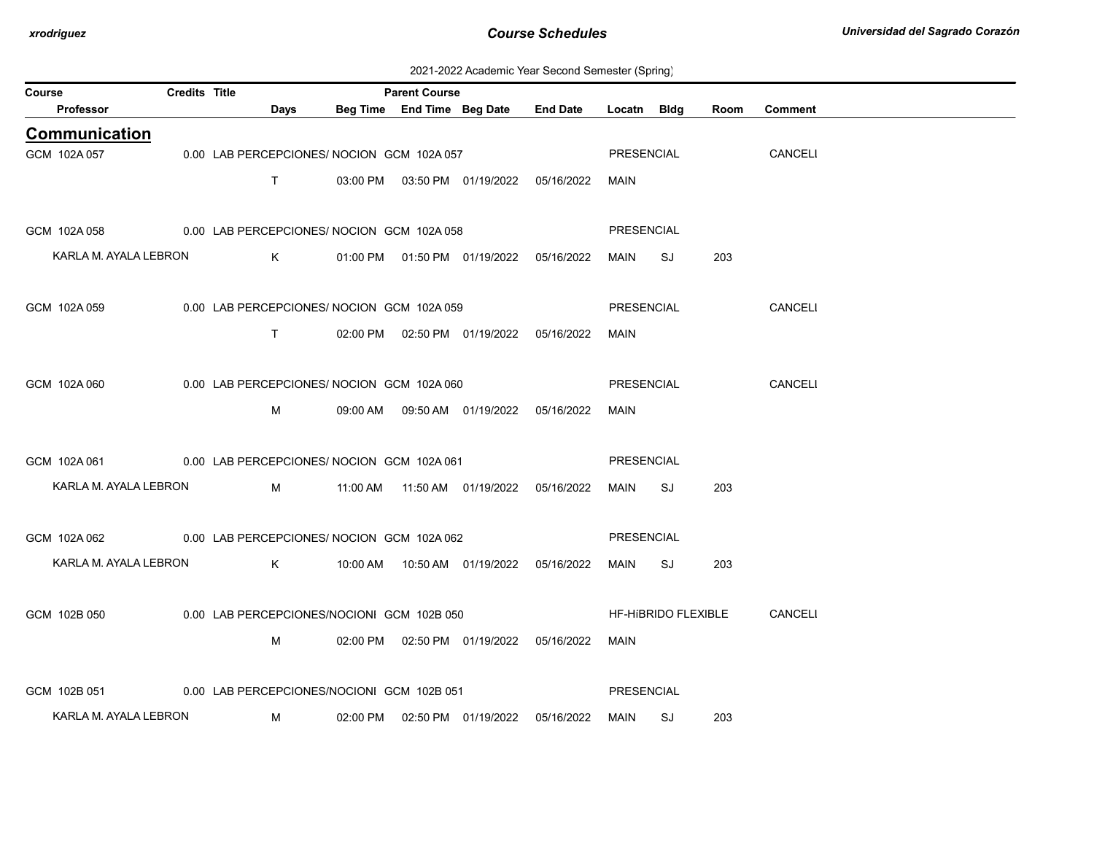| 2021-2022 Academic Year Second Semester (Spring) |  |
|--------------------------------------------------|--|
|--------------------------------------------------|--|

| Course                | <b>Credits Title</b> |                                            |          | <b>Parent Course</b> |                                            |                                     |             |                     |      |                |
|-----------------------|----------------------|--------------------------------------------|----------|----------------------|--------------------------------------------|-------------------------------------|-------------|---------------------|------|----------------|
| Professor             |                      | Days                                       |          |                      |                                            | Beg Time End Time Beg Date End Date | Locatn Bldg |                     | Room | <b>Comment</b> |
| <b>Communication</b>  |                      |                                            |          |                      |                                            |                                     |             |                     |      |                |
| GCM 102A 057          |                      | 0.00 LAB PERCEPCIONES/ NOCION GCM 102A 057 |          |                      |                                            |                                     | PRESENCIAL  |                     |      | CANCELI        |
|                       |                      | $\mathsf{T}$                               |          |                      | 03:00 PM  03:50 PM  01/19/2022  05/16/2022 |                                     | MAIN        |                     |      |                |
|                       |                      |                                            |          |                      |                                            |                                     |             |                     |      |                |
| GCM 102A 058          |                      | 0.00 LAB PERCEPCIONES/ NOCION GCM 102A 058 |          |                      |                                            |                                     | PRESENCIAL  |                     |      |                |
| KARLA M. AYALA LEBRON |                      | $K$ and $K$                                |          |                      | 01:00 PM  01:50 PM  01/19/2022  05/16/2022 |                                     | MAIN SJ     |                     | 203  |                |
|                       |                      |                                            |          |                      |                                            |                                     |             |                     |      |                |
| GCM 102A 059          |                      | 0.00 LAB PERCEPCIONES/ NOCION GCM 102A 059 |          |                      |                                            |                                     | PRESENCIAL  |                     |      | CANCELI        |
|                       |                      |                                            |          |                      |                                            |                                     |             |                     |      |                |
|                       |                      | T                                          |          |                      | 02:00 PM  02:50 PM  01/19/2022  05/16/2022 |                                     | MAIN        |                     |      |                |
|                       |                      |                                            |          |                      |                                            |                                     |             |                     |      |                |
| GCM 102A 060          |                      | 0.00 LAB PERCEPCIONES/ NOCION GCM 102A 060 |          |                      |                                            |                                     | PRESENCIAL  |                     |      | CANCELI        |
|                       |                      | M                                          |          |                      | 09:00 AM   09:50 AM   01/19/2022           | 05/16/2022                          | <b>MAIN</b> |                     |      |                |
|                       |                      |                                            |          |                      |                                            |                                     |             |                     |      |                |
| GCM 102A 061          |                      | 0.00 LAB PERCEPCIONES/ NOCION GCM 102A 061 |          |                      |                                            |                                     | PRESENCIAL  |                     |      |                |
| KARLA M. AYALA LEBRON |                      | M                                          |          |                      | 11:00 AM  11:50 AM  01/19/2022  05/16/2022 |                                     | MAIN SJ     |                     | 203  |                |
|                       |                      |                                            |          |                      |                                            |                                     |             |                     |      |                |
| GCM 102A 062          |                      | 0.00 LAB PERCEPCIONES/ NOCION GCM 102A 062 |          |                      |                                            |                                     | PRESENCIAL  |                     |      |                |
| KARLA M. AYALA LEBRON |                      | $K$ and $K$                                |          |                      |                                            |                                     | MAIN        | SJ                  | 203  |                |
|                       |                      |                                            |          |                      |                                            |                                     |             |                     |      |                |
| GCM 102B 050          |                      | 0.00 LAB PERCEPCIONES/NOCIONI GCM 102B 050 |          |                      |                                            |                                     |             | HF-HIBRIDO FLEXIBLE |      | CANCELI        |
|                       |                      |                                            |          |                      |                                            |                                     |             |                     |      |                |
|                       |                      | M                                          |          |                      | 02:00 PM  02:50 PM  01/19/2022  05/16/2022 |                                     | <b>MAIN</b> |                     |      |                |
|                       |                      |                                            |          |                      |                                            |                                     |             |                     |      |                |
| GCM 102B 051          |                      | 0.00 LAB PERCEPCIONES/NOCIONI GCM 102B 051 |          |                      |                                            |                                     | PRESENCIAL  |                     |      |                |
| KARLA M. AYALA LEBRON |                      | M                                          | 02:00 PM |                      | 02:50 PM 01/19/2022                        | 05/16/2022                          | MAIN        | SJ S                | 203  |                |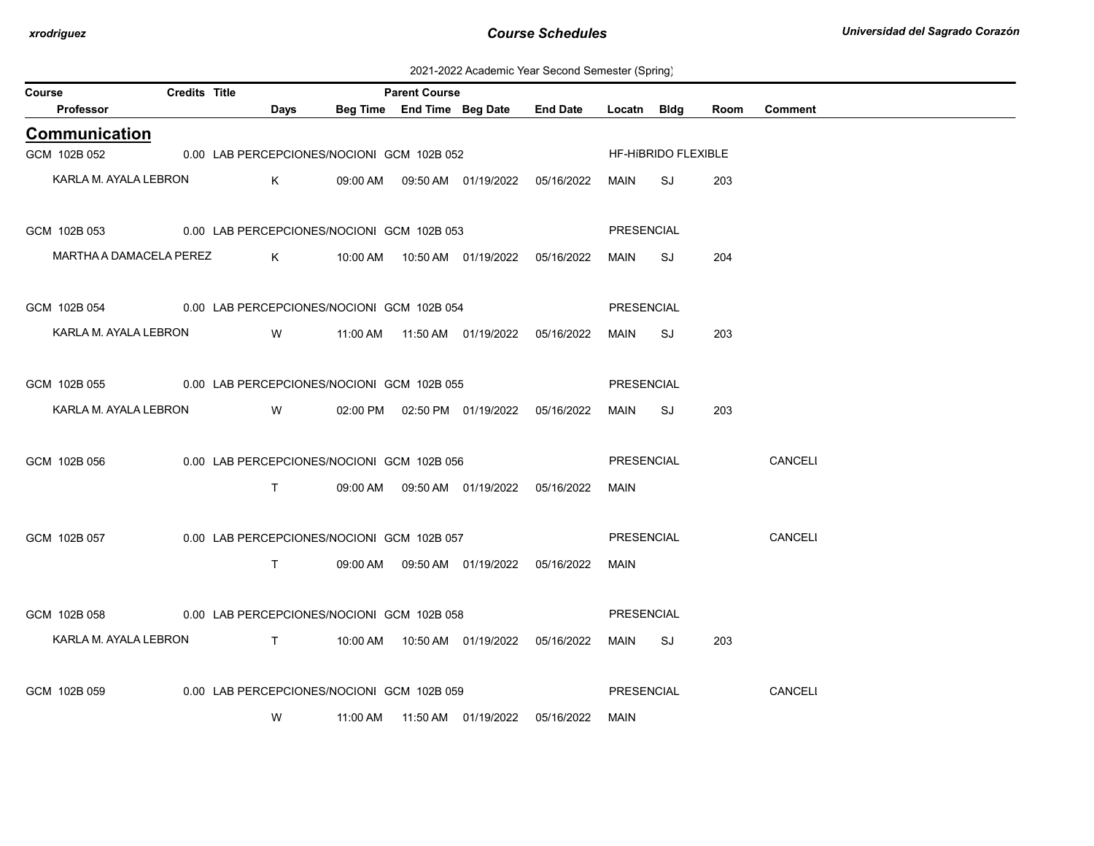2021-2022 Academic Year Second Semester (Spring)

| Course |                                                         | <b>Credits Title</b> |                                                 |                                                |          | <b>Parent Course</b> |                                            |                 |                   |                     |      |                |
|--------|---------------------------------------------------------|----------------------|-------------------------------------------------|------------------------------------------------|----------|----------------------|--------------------------------------------|-----------------|-------------------|---------------------|------|----------------|
|        | Professor                                               |                      |                                                 | Days                                           |          |                      | Beg Time End Time Beg Date                 | <b>End Date</b> | Locatn Bldg       |                     | Room | <b>Comment</b> |
|        | <b>Communication</b>                                    |                      |                                                 |                                                |          |                      |                                            |                 |                   |                     |      |                |
|        | GCM 102B 052                                            |                      |                                                 | 0.00 LAB PERCEPCIONES/NOCIONI GCM 102B 052     |          |                      |                                            |                 |                   | HF-HIBRIDO FLEXIBLE |      |                |
|        | KARLA M. AYALA LEBRON                                   |                      |                                                 | K                                              |          |                      | 09:00 AM  09:50 AM  01/19/2022  05/16/2022 |                 | MAIN              | SJ                  | 203  |                |
|        | GCM 102B 053                                            |                      |                                                 | 0.00 LAB PERCEPCIONES/NOCIONI GCM 102B 053     |          |                      |                                            |                 | PRESENCIAL        |                     |      |                |
|        | MARTHA A DAMACELA PEREZ                                 |                      |                                                 |                                                |          |                      |                                            |                 | MAIN              | SJ                  | 204  |                |
|        | GCM 102B 054 0.00 LAB PERCEPCIONES/NOCIONI GCM 102B 054 |                      |                                                 |                                                |          |                      |                                            |                 | PRESENCIAL        |                     |      |                |
|        | KARLA M. AYALA LEBRON                                   |                      |                                                 | W                                              |          |                      |                                            |                 | MAIN              | SJ                  | 203  |                |
|        | GCM 102B 055                                            |                      |                                                 | 0.00 LAB PERCEPCIONES/NOCIONI GCM 102B 055     |          |                      |                                            |                 | PRESENCIAL        |                     |      |                |
|        | KARLA M. AYALA LEBRON                                   |                      | <b>Solution</b> Service Service Service Service |                                                |          |                      | 02:00 PM  02:50 PM  01/19/2022  05/16/2022 |                 | MAIN              | SJ                  | 203  |                |
|        | GCM 102B 056                                            |                      |                                                 | 0.00 LAB PERCEPCIONES/NOCIONI GCM 102B 056     |          |                      |                                            |                 | PRESENCIAL        |                     |      | <b>CANCELI</b> |
|        |                                                         |                      |                                                 | T.                                             |          |                      | 09:00 AM  09:50 AM  01/19/2022  05/16/2022 |                 | <b>MAIN</b>       |                     |      |                |
|        | GCM 102B 057                                            |                      |                                                 | 0.00 LAB PERCEPCIONES/NOCIONI GCM 102B 057     |          |                      |                                            |                 | PRESENCIAL        |                     |      | <b>CANCELI</b> |
|        |                                                         |                      |                                                 | T.                                             |          |                      | 09:00 AM  09:50 AM  01/19/2022  05/16/2022 |                 | MAIN              |                     |      |                |
|        | GCM 102B 058                                            |                      |                                                 | 0.00 LAB PERCEPCIONES/NOCIONI GCM 102B 058     |          |                      |                                            |                 | PRESENCIAL        |                     |      |                |
|        | KARLA M. AYALA LEBRON                                   |                      |                                                 | $\mathbf{T}$ and $\mathbf{T}$ and $\mathbf{T}$ |          |                      |                                            |                 |                   |                     |      |                |
|        |                                                         |                      |                                                 |                                                |          |                      |                                            |                 | MAIN              | SJ                  | 203  |                |
|        | GCM 102B 059                                            |                      |                                                 | 0.00 LAB PERCEPCIONES/NOCIONI GCM 102B 059     |          |                      |                                            |                 | <b>PRESENCIAL</b> |                     |      | CANCELI        |
|        |                                                         |                      |                                                 | W                                              | 11:00 AM |                      |                                            | 05/16/2022      | MAIN              |                     |      |                |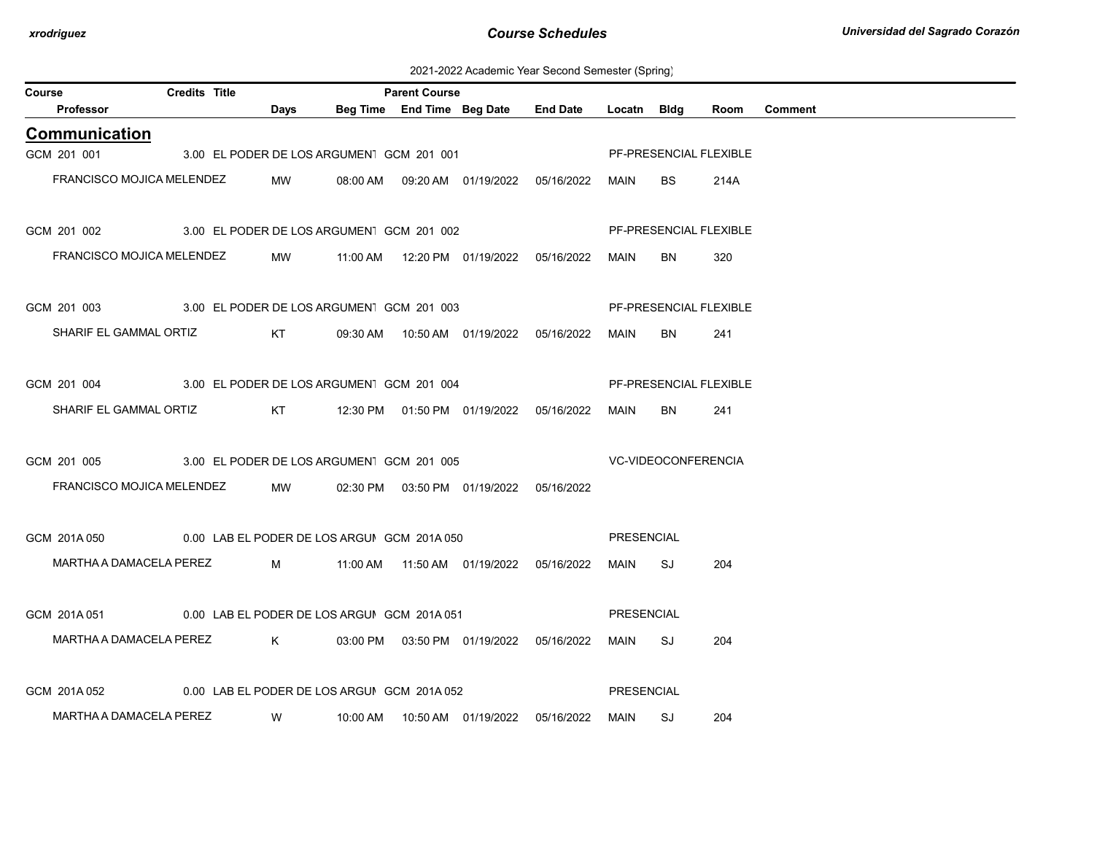2021-2022 Academic Year Second Semester (Spring)

| Course                           | <b>Credits Title</b>                        |                                           |          | <b>Parent Course</b>       |                                            |                            |                   |             |                        |                |
|----------------------------------|---------------------------------------------|-------------------------------------------|----------|----------------------------|--------------------------------------------|----------------------------|-------------------|-------------|------------------------|----------------|
| <b>Professor</b>                 |                                             | Days                                      |          | Beg Time End Time Beg Date |                                            | <b>End Date</b>            | Locatn            | <b>Bldg</b> | Room                   | <b>Comment</b> |
| Communication                    |                                             |                                           |          |                            |                                            |                            |                   |             |                        |                |
| GCM 201 001                      |                                             | 3.00 EL PODER DE LOS ARGUMENT GCM 201 001 |          |                            |                                            |                            |                   |             | PF-PRESENCIAL FLEXIBLE |                |
| FRANCISCO MOJICA MELENDEZ        |                                             | MW                                        |          |                            | 08:00 AM  09:20 AM  01/19/2022             | 05/16/2022                 | MAIN              | BS.         | 214A                   |                |
| GCM 201 002                      | 3.00 EL PODER DE LOS ARGUMENT GCM 201 002   |                                           |          |                            |                                            |                            |                   |             | PF-PRESENCIAL FLEXIBLE |                |
| FRANCISCO MOJICA MELENDEZ        |                                             | MW                                        | 11:00 AM |                            |                                            |                            | MAIN              | BN.         | 320                    |                |
| GCM 201 003                      | 3.00 EL PODER DE LOS ARGUMEN GCM 201 003    |                                           |          |                            |                                            |                            |                   |             | PF-PRESENCIAL FLEXIBLE |                |
| SHARIF EL GAMMAL ORTIZ           |                                             | KT                                        |          |                            | 09:30 AM  10:50 AM  01/19/2022  05/16/2022 |                            | MAIN              | <b>BN</b>   | 241                    |                |
| GCM 201 004                      | 3.00 EL PODER DE LOS ARGUMENT GCM 201 004   |                                           |          |                            |                                            |                            |                   |             | PF-PRESENCIAL FLEXIBLE |                |
| SHARIF EL GAMMAL ORTIZ           |                                             | KT                                        |          |                            |                                            |                            | MAIN              | BN.         | 241                    |                |
| GCM 201 005                      | 3.00 EL PODER DE LOS ARGUMEN GCM 201 005    |                                           |          |                            |                                            | <b>VC-VIDEOCONFERENCIA</b> |                   |             |                        |                |
| <b>FRANCISCO MOJICA MELENDEZ</b> |                                             | MW                                        | 02:30 PM |                            | 03:50 PM  01/19/2022  05/16/2022           |                            |                   |             |                        |                |
| GCM 201A 050                     | 0.00 LAB EL PODER DE LOS ARGUI GCM 201A 050 |                                           |          |                            |                                            |                            | <b>PRESENCIAL</b> |             |                        |                |
| MARTHA A DAMACELA PEREZ          |                                             |                                           |          |                            | M 11:00 AM 11:50 AM 01/19/2022 05/16/2022  |                            | MAIN              | SJ          | 204                    |                |
| GCM 201A051                      | 0.00 LAB EL PODER DE LOS ARGUIGCM 201A 051  |                                           |          |                            |                                            |                            | <b>PRESENCIAL</b> |             |                        |                |
| MARTHA A DAMACELA PEREZ          |                                             | K                                         |          |                            | 03:00 PM  03:50 PM  01/19/2022  05/16/2022 |                            | MAIN              | SJ          | 204                    |                |
| GCM 201A052                      | 0.00 LAB EL PODER DE LOS ARGUIGCM 201A 052  |                                           |          |                            |                                            |                            | <b>PRESENCIAL</b> |             |                        |                |
| MARTHA A DAMACELA PEREZ          |                                             | W                                         | 10:00 AM |                            | 10:50 AM  01/19/2022                       | 05/16/2022                 | MAIN              | SJ          | 204                    |                |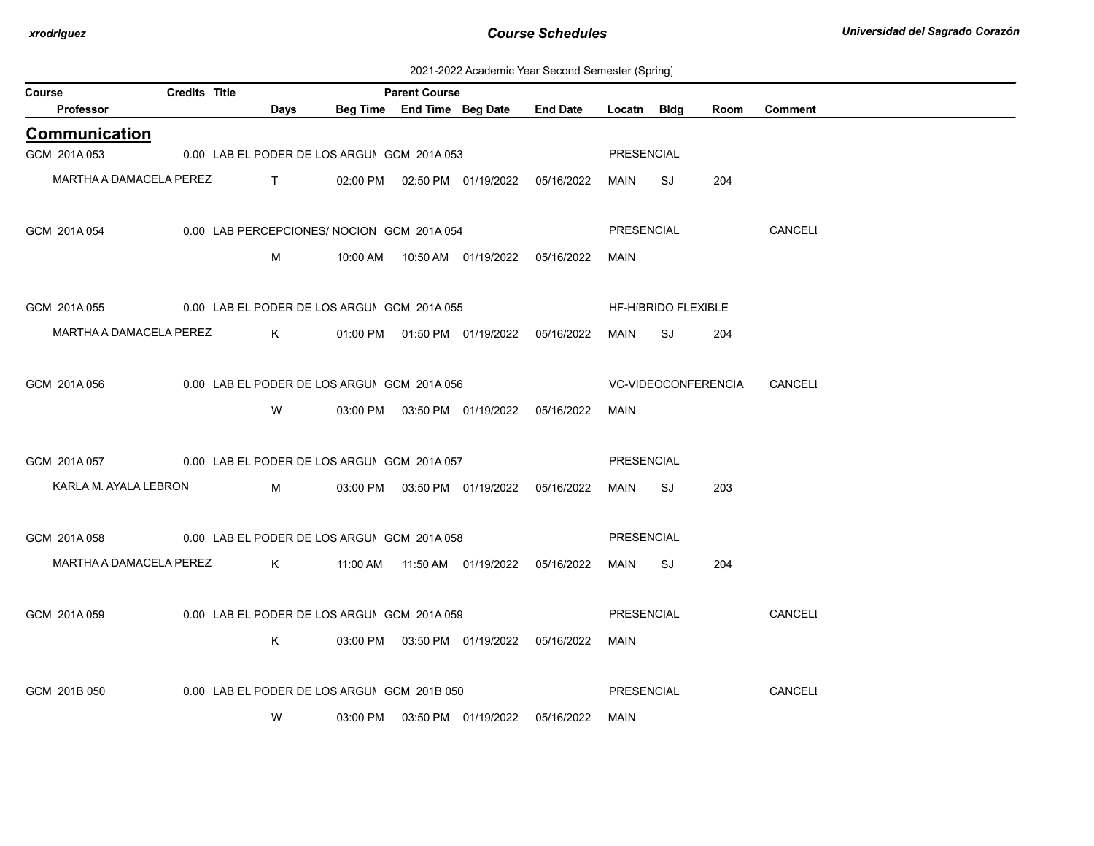| Course                                                  | Credits Title |                                                                                                                                                                                                                                                                                                                               |                                             | <b>Parent Course</b> |                                            |                 |             |                     |                     |                |
|---------------------------------------------------------|---------------|-------------------------------------------------------------------------------------------------------------------------------------------------------------------------------------------------------------------------------------------------------------------------------------------------------------------------------|---------------------------------------------|----------------------|--------------------------------------------|-----------------|-------------|---------------------|---------------------|----------------|
| Professor                                               |               | Days                                                                                                                                                                                                                                                                                                                          |                                             |                      | Beg Time End Time Beg Date                 | <b>End Date</b> | Locatn Bldg |                     | Room                | <b>Comment</b> |
| <b>Communication</b>                                    |               |                                                                                                                                                                                                                                                                                                                               |                                             |                      |                                            |                 |             |                     |                     |                |
| GCM 201A 053                                            |               |                                                                                                                                                                                                                                                                                                                               | 0.00 LAB EL PODER DE LOS ARGUI GCM 201A 053 |                      |                                            |                 | PRESENCIAL  |                     |                     |                |
| MARTHA A DAMACELA PEREZ                                 |               | $\mathbf{T}$ and $\mathbf{T}$ and $\mathbf{T}$ and $\mathbf{T}$ and $\mathbf{T}$ and $\mathbf{T}$ and $\mathbf{T}$ and $\mathbf{T}$ and $\mathbf{T}$ and $\mathbf{T}$ and $\mathbf{T}$ and $\mathbf{T}$ and $\mathbf{T}$ and $\mathbf{T}$ and $\mathbf{T}$ and $\mathbf{T}$ and $\mathbf{T}$ and $\mathbf{T}$ and $\mathbf{T$ |                                             |                      | 02:00 PM  02:50 PM  01/19/2022  05/16/2022 |                 | MAIN        | SJ                  | 204                 |                |
|                                                         |               |                                                                                                                                                                                                                                                                                                                               |                                             |                      |                                            |                 |             |                     |                     |                |
| GCM 201A 054                                            |               |                                                                                                                                                                                                                                                                                                                               | 0.00 LAB PERCEPCIONES/ NOCION GCM 201A 054  |                      |                                            |                 | PRESENCIAL  |                     |                     | CANCELI        |
|                                                         |               | M                                                                                                                                                                                                                                                                                                                             |                                             |                      |                                            |                 | <b>MAIN</b> |                     |                     |                |
|                                                         |               |                                                                                                                                                                                                                                                                                                                               |                                             |                      |                                            |                 |             |                     |                     |                |
| GCM 201A055                                             |               |                                                                                                                                                                                                                                                                                                                               | 0.00 LAB EL PODER DE LOS ARGUI GCM 201A 055 |                      |                                            |                 |             | HF-HIBRIDO FLEXIBLE |                     |                |
| MARTHA A DAMACELA PEREZ                                 |               | K                                                                                                                                                                                                                                                                                                                             |                                             |                      | 01:00 PM  01:50 PM  01/19/2022  05/16/2022 |                 | MAIN        | SJ                  | 204                 |                |
|                                                         |               |                                                                                                                                                                                                                                                                                                                               |                                             |                      |                                            |                 |             |                     |                     |                |
| GCM 201A 056                                            |               |                                                                                                                                                                                                                                                                                                                               | 0.00 LAB EL PODER DE LOS ARGUIGCM 201A 056  |                      |                                            |                 |             |                     | VC-VIDEOCONFERENCIA | CANCELI        |
|                                                         |               | W                                                                                                                                                                                                                                                                                                                             |                                             |                      | 03:00 PM  03:50 PM  01/19/2022  05/16/2022 |                 | MAIN        |                     |                     |                |
|                                                         |               |                                                                                                                                                                                                                                                                                                                               |                                             |                      |                                            |                 |             |                     |                     |                |
| GCM 201A 057 0.00 LAB EL PODER DE LOS ARGUIGCM 201A 057 |               |                                                                                                                                                                                                                                                                                                                               |                                             |                      |                                            |                 | PRESENCIAL  |                     |                     |                |
| KARLA M. AYALA LEBRON                                   |               | M                                                                                                                                                                                                                                                                                                                             |                                             |                      | 03:00 PM  03:50 PM  01/19/2022  05/16/2022 |                 | MAIN        | SJ                  | 203                 |                |
|                                                         |               |                                                                                                                                                                                                                                                                                                                               |                                             |                      |                                            |                 |             |                     |                     |                |
| GCM 201A058                                             |               |                                                                                                                                                                                                                                                                                                                               | 0.00 LAB EL PODER DE LOS ARGUI GCM 201A 058 |                      |                                            |                 | PRESENCIAL  |                     |                     |                |
| MARTHA A DAMACELA PEREZ                                 |               | K                                                                                                                                                                                                                                                                                                                             |                                             |                      | 11:00 AM  11:50 AM  01/19/2022  05/16/2022 |                 | MAIN        | SJ                  | 204                 |                |
|                                                         |               |                                                                                                                                                                                                                                                                                                                               |                                             |                      |                                            |                 |             |                     |                     |                |
| GCM 201A 059                                            |               |                                                                                                                                                                                                                                                                                                                               | 0.00 LAB EL PODER DE LOS ARGUIGCM 201A 059  |                      |                                            |                 | PRESENCIAL  |                     |                     | CANCELI        |
|                                                         |               | K.                                                                                                                                                                                                                                                                                                                            |                                             |                      | 03:00 PM  03:50 PM  01/19/2022  05/16/2022 |                 | MAIN        |                     |                     |                |
|                                                         |               |                                                                                                                                                                                                                                                                                                                               |                                             |                      |                                            |                 |             |                     |                     |                |
| GCM 201B 050                                            |               |                                                                                                                                                                                                                                                                                                                               | 0.00 LAB EL PODER DE LOS ARGUI GCM 201B 050 |                      |                                            |                 | PRESENCIAL  |                     |                     | <b>CANCELI</b> |
|                                                         |               | W                                                                                                                                                                                                                                                                                                                             |                                             |                      | 03:00 PM  03:50 PM  01/19/2022             | 05/16/2022      | MAIN        |                     |                     |                |
|                                                         |               |                                                                                                                                                                                                                                                                                                                               |                                             |                      |                                            |                 |             |                     |                     |                |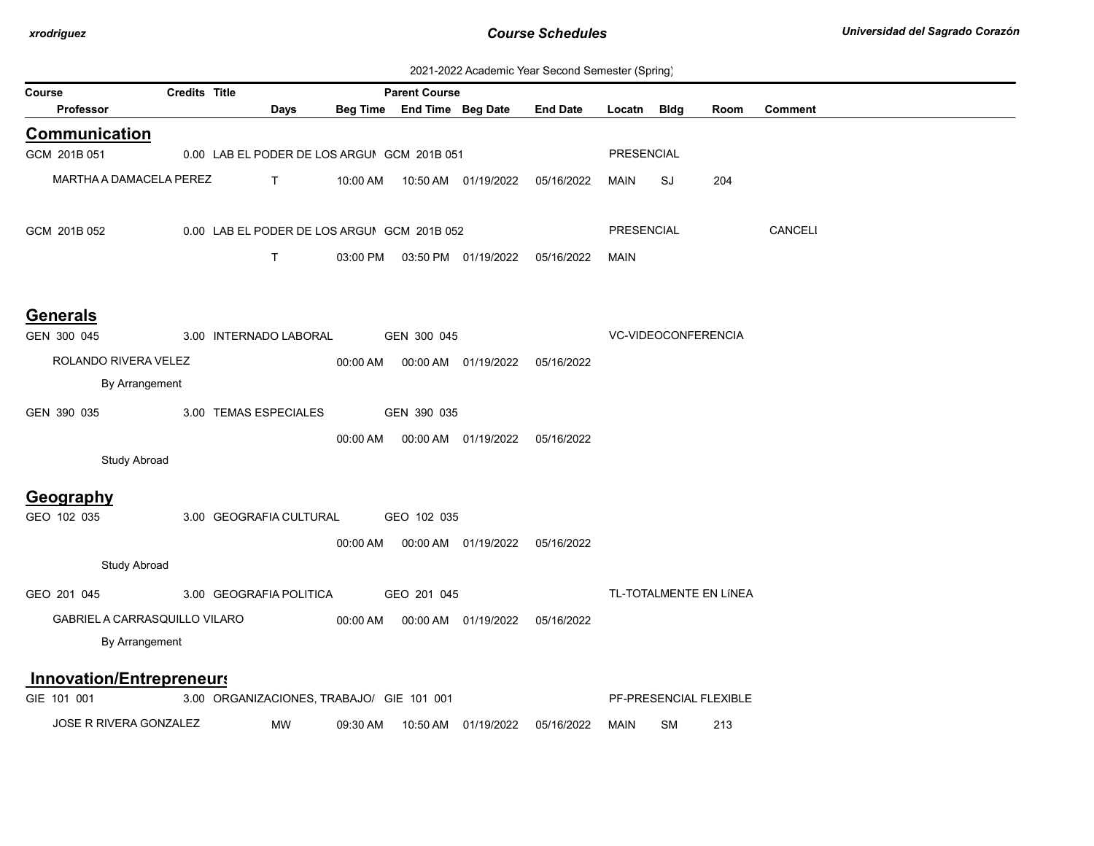| 2021-2022 Academic Year Second Semester (Spring) |
|--------------------------------------------------|
|--------------------------------------------------|

|                                 |                      |                                             |          |                            |                      |                 | $\sqrt{ }$        | ັບ                  |                        |         |
|---------------------------------|----------------------|---------------------------------------------|----------|----------------------------|----------------------|-----------------|-------------------|---------------------|------------------------|---------|
| Course                          | <b>Credits Title</b> |                                             |          | <b>Parent Course</b>       |                      |                 |                   |                     |                        |         |
| Professor                       |                      | Days                                        |          | Beg Time End Time Beg Date |                      | <b>End Date</b> | Locatn Bldg       |                     | Room                   | Comment |
| Communication                   |                      |                                             |          |                            |                      |                 |                   |                     |                        |         |
| GCM 201B 051                    |                      | 0.00 LAB EL PODER DE LOS ARGUI GCM 201B 051 |          |                            |                      |                 | <b>PRESENCIAL</b> |                     |                        |         |
| MARTHA A DAMACELA PEREZ         |                      | T.                                          | 10:00 AM |                            | 10:50 AM  01/19/2022 | 05/16/2022      | MAIN              | SJ                  | 204                    |         |
| GCM 201B 052                    |                      | 0.00 LAB EL PODER DE LOS ARGUI GCM 201B 052 |          |                            |                      |                 | <b>PRESENCIAL</b> |                     |                        | CANCELI |
|                                 |                      | T.                                          | 03:00 PM |                            | 03:50 PM 01/19/2022  | 05/16/2022      | <b>MAIN</b>       |                     |                        |         |
| <b>Generals</b>                 |                      |                                             |          |                            |                      |                 |                   |                     |                        |         |
| GEN 300 045                     |                      | 3.00 INTERNADO LABORAL                      |          | GEN 300 045                |                      |                 |                   | VC-VIDEOCONFERENCIA |                        |         |
| ROLANDO RIVERA VELEZ            |                      |                                             | 00:00 AM |                            | 00:00 AM  01/19/2022 | 05/16/2022      |                   |                     |                        |         |
| By Arrangement                  |                      |                                             |          |                            |                      |                 |                   |                     |                        |         |
| GEN 390 035                     |                      | 3.00 TEMAS ESPECIALES                       |          | GEN 390 035                |                      |                 |                   |                     |                        |         |
|                                 |                      |                                             |          |                            |                      |                 |                   |                     |                        |         |
|                                 |                      |                                             | 00:00 AM |                            | 00:00 AM 01/19/2022  | 05/16/2022      |                   |                     |                        |         |
| <b>Study Abroad</b>             |                      |                                             |          |                            |                      |                 |                   |                     |                        |         |
| Geography                       |                      |                                             |          |                            |                      |                 |                   |                     |                        |         |
| GEO 102 035                     |                      | 3.00 GEOGRAFIA CULTURAL                     |          | GEO 102 035                |                      |                 |                   |                     |                        |         |
|                                 |                      |                                             | 00:00 AM |                            |                      | 05/16/2022      |                   |                     |                        |         |
| <b>Study Abroad</b>             |                      |                                             |          |                            |                      |                 |                   |                     |                        |         |
| GEO 201 045                     |                      | 3.00 GEOGRAFIA POLITICA                     |          | GEO 201 045                |                      |                 |                   |                     | TL-TOTALMENTE EN LÍNEA |         |
| GABRIEL A CARRASQUILLO VILARO   |                      |                                             | 00:00 AM |                            | 00:00 AM 01/19/2022  | 05/16/2022      |                   |                     |                        |         |
| By Arrangement                  |                      |                                             |          |                            |                      |                 |                   |                     |                        |         |
|                                 |                      |                                             |          |                            |                      |                 |                   |                     |                        |         |
| <b>Innovation/Entrepreneurs</b> |                      |                                             |          |                            |                      |                 |                   |                     |                        |         |
| GIE 101 001                     |                      | 3.00 ORGANIZACIONES, TRABAJO/ GIE 101 001   |          |                            |                      |                 |                   |                     | PF-PRESENCIAL FLEXIBLE |         |
| <b>JOSE R RIVERA GONZALEZ</b>   |                      | MW                                          | 09:30 AM | 10:50 AM                   | 01/19/2022           | 05/16/2022      | <b>MAIN</b>       | SM                  | 213                    |         |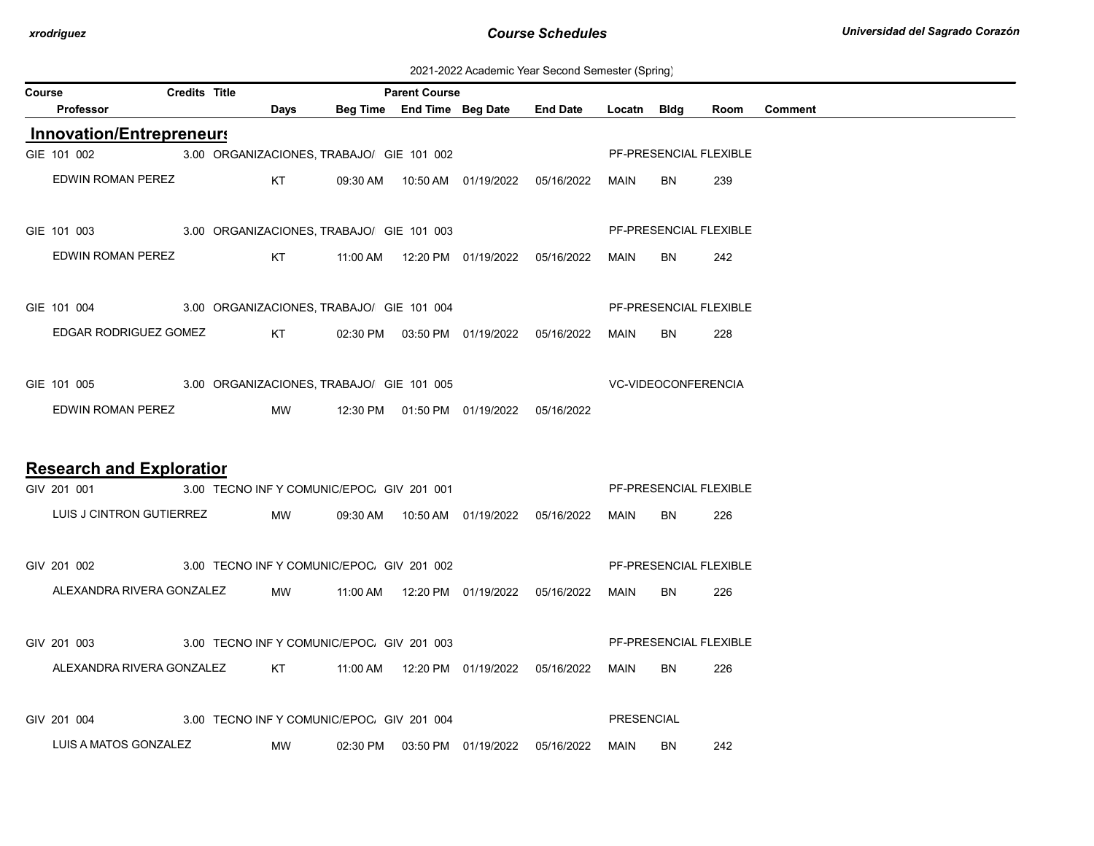2021-2022 Academic Year Second Semester (Spring)

| Course |                                                                      | <b>Credits Title</b> |           |             |                                            | <b>Parent Course</b> |                                            |                                            |                     |           |                        |         |
|--------|----------------------------------------------------------------------|----------------------|-----------|-------------|--------------------------------------------|----------------------|--------------------------------------------|--------------------------------------------|---------------------|-----------|------------------------|---------|
|        | Professor                                                            |                      |           | <b>Days</b> |                                            |                      | Beg Time End Time Beg Date End Date        |                                            | Locatn Bldg         |           | Room                   | Comment |
|        | <b>Innovation/Entrepreneurs</b>                                      |                      |           |             |                                            |                      |                                            |                                            |                     |           |                        |         |
|        | GIE 101 002                                                          |                      |           |             | 3.00 ORGANIZACIONES, TRABAJO/ GIE 101 002  |                      |                                            |                                            |                     |           | PF-PRESENCIAL FLEXIBLE |         |
|        | EDWIN ROMAN PEREZ                                                    |                      |           |             |                                            |                      |                                            |                                            | MAIN                | BN.       | 239                    |         |
|        | GIE 101 003 3.00 ORGANIZACIONES, TRABAJO/ GIE 101 003                |                      |           |             |                                            |                      |                                            |                                            |                     |           | PF-PRESENCIAL FLEXIBLE |         |
|        | EDWIN ROMAN PEREZ                                                    |                      |           |             |                                            |                      |                                            |                                            | MAIN                | BN.       | 242                    |         |
|        | GIE 101 004 3.00 ORGANIZACIONES, TRABAJO/ GIE 101 004                |                      |           |             |                                            |                      |                                            |                                            |                     |           | PF-PRESENCIAL FLEXIBLE |         |
|        | EDGAR RODRIGUEZ GOMEZ KT                                             |                      |           |             |                                            |                      |                                            | 02:30 PM  03:50 PM  01/19/2022  05/16/2022 | MAIN                | BN        | 228                    |         |
|        | GIE 101 005 3.00 ORGANIZACIONES, TRABAJO/ GIE 101 005                |                      |           |             |                                            |                      |                                            |                                            | VC-VIDEOCONFERENCIA |           |                        |         |
|        | EDWIN ROMAN PEREZ                                                    |                      |           | <b>MW</b>   |                                            |                      | 12:30 PM  01:50 PM  01/19/2022  05/16/2022 |                                            |                     |           |                        |         |
|        |                                                                      |                      |           |             |                                            |                      |                                            |                                            |                     |           |                        |         |
|        | <b>Research and Exploratior</b>                                      |                      |           |             |                                            |                      |                                            |                                            |                     |           |                        |         |
|        | GIV 201 001                                                          |                      |           |             | 3.00 TECNO INF Y COMUNIC/EPOC. GIV 201 001 |                      |                                            |                                            |                     |           | PF-PRESENCIAL FLEXIBLE |         |
|        | LUIS J CINTRON GUTIERREZ                                             |                      |           | <b>MW</b>   |                                            |                      |                                            | 09:30 AM  10:50 AM  01/19/2022  05/16/2022 | MAIN                | BN.       | 226                    |         |
|        | GIV 201 002 3.00 TECNO INF Y COMUNIC/EPOC. GIV 201 002               |                      |           |             |                                            |                      |                                            |                                            |                     |           | PF-PRESENCIAL FLEXIBLE |         |
|        | ALEXANDRA RIVERA GONZALEZ                                            |                      |           | <b>MW</b>   |                                            |                      |                                            |                                            | MAIN                | BN.       | 226                    |         |
|        | GIV 201 003 3.00 TECNO INF Y COMUNIC/EPOC. GIV 201 003               |                      |           |             |                                            |                      |                                            |                                            |                     |           | PF-PRESENCIAL FLEXIBLE |         |
|        | ALEXANDRA RIVERA GONZALEZ KT 11:00 AM 12:20 PM 01/19/2022 05/16/2022 |                      |           |             |                                            |                      |                                            |                                            | MAIN                | BN        | 226                    |         |
|        | GIV 201 004                                                          |                      |           |             | 3.00 TECNO INF Y COMUNIC/EPOC. GIV 201 004 |                      |                                            |                                            | PRESENCIAL          |           |                        |         |
|        | LUIS A MATOS GONZALEZ                                                |                      | <b>MW</b> |             |                                            |                      |                                            | 02:30 PM  03:50 PM  01/19/2022  05/16/2022 | MAIN                | <b>BN</b> | 242                    |         |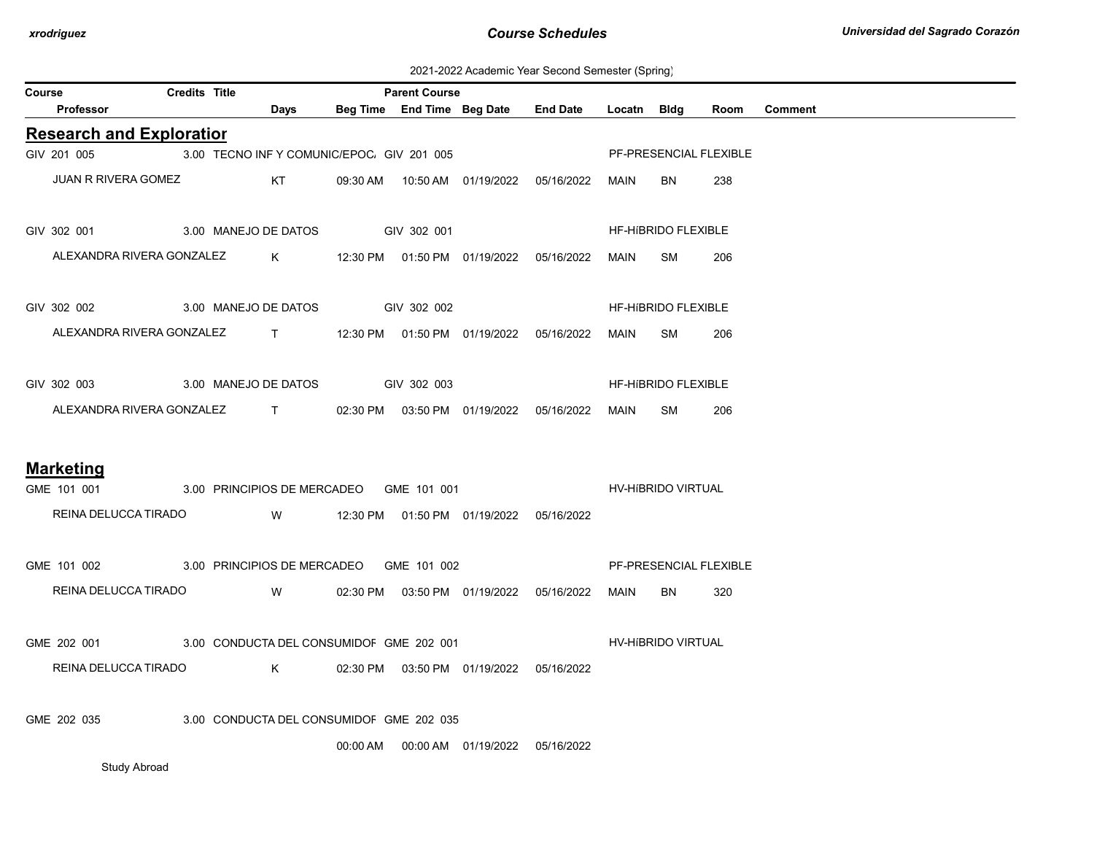2021-2022 Academic Year Second Semester (Spring)

| Course |                                                                     | <b>Credits Title</b> |                                            | <b>Parent Course</b> |                                            |                 |             |                     |                        |                |
|--------|---------------------------------------------------------------------|----------------------|--------------------------------------------|----------------------|--------------------------------------------|-----------------|-------------|---------------------|------------------------|----------------|
|        | <b>Professor</b>                                                    |                      | <b>Days</b>                                |                      | Beg Time End Time Beg Date                 | <b>End Date</b> | Locatn Bldg |                     | Room                   | <b>Comment</b> |
|        | <b>Research and Exploratior</b>                                     |                      |                                            |                      |                                            |                 |             |                     |                        |                |
|        | GIV 201 005                                                         |                      | 3.00 TECNO INF Y COMUNIC/EPOC. GIV 201 005 |                      |                                            |                 |             |                     | PF-PRESENCIAL FLEXIBLE |                |
|        | JUAN R RIVERA GOMEZ                                                 |                      | <b>Example 18 KT</b>                       |                      | 09:30 AM  10:50 AM  01/19/2022  05/16/2022 |                 | <b>MAIN</b> | BN.                 | 238                    |                |
|        | GIV 302 001                                                         |                      | 3.00 MANEJO DE DATOS GIV 302 001           |                      |                                            |                 |             | HF-HIBRIDO FLEXIBLE |                        |                |
|        | ALEXANDRA RIVERA GONZALEZ K 12:30 PM 01:50 PM 01/19/2022 05/16/2022 |                      |                                            |                      |                                            |                 | MAIN        | SM                  | 206                    |                |
|        | GIV 302 002                                                         |                      | 3.00 MANEJO DE DATOS GIV 302 002           |                      |                                            |                 |             | HF-HIBRIDO FLEXIBLE |                        |                |
|        | ALEXANDRA RIVERA GONZALEZ T                                         |                      |                                            |                      |                                            |                 | MAIN        | SM                  | 206                    |                |
|        | GIV 302 003                                                         |                      | 3.00 MANEJO DE DATOS GIV 302 003           |                      |                                            |                 |             | HF-HIBRIDO FLEXIBLE |                        |                |
|        | ALEXANDRA RIVERA GONZALEZ T                                         |                      |                                            |                      | 02:30 PM  03:50 PM  01/19/2022  05/16/2022 |                 | MAIN        | SM                  | 206                    |                |
|        | <b>Marketing</b>                                                    |                      |                                            |                      |                                            |                 |             |                     |                        |                |
|        | GME 101 001                                                         |                      | 3.00 PRINCIPIOS DE MERCADEO GME 101 001    |                      |                                            |                 |             | HV-HIBRIDO VIRTUAL  |                        |                |
|        | REINA DELUCCA TIRADO                                                |                      |                                            |                      |                                            |                 |             |                     |                        |                |
|        | GME 101 002 3.00 PRINCIPIOS DE MERCADEO GME 101 002                 |                      |                                            |                      |                                            |                 |             |                     | PF-PRESENCIAL FLEXIBLE |                |
|        | REINA DELUCCA TIRADO                                                |                      | <b>W</b>                                   |                      | 02:30 PM  03:50 PM  01/19/2022  05/16/2022 |                 | MAIN        | BN                  | 320                    |                |
|        | GME 202 001 3.00 CONDUCTA DEL CONSUMIDOF GME 202 001                |                      |                                            |                      |                                            |                 |             | HV-HIBRIDO VIRTUAL  |                        |                |
|        | REINA DELUCCA TIRADO                                                |                      | $\mathsf K$                                |                      | 02:30 PM  03:50 PM  01/19/2022  05/16/2022 |                 |             |                     |                        |                |
|        | GME 202 035                                                         |                      | 3.00 CONDUCTA DEL CONSUMIDOF GME 202 035   |                      |                                            |                 |             |                     |                        |                |
|        |                                                                     |                      |                                            |                      | 00:00 AM   00:00 AM   01/19/2022           | 05/16/2022      |             |                     |                        |                |

Study Abroad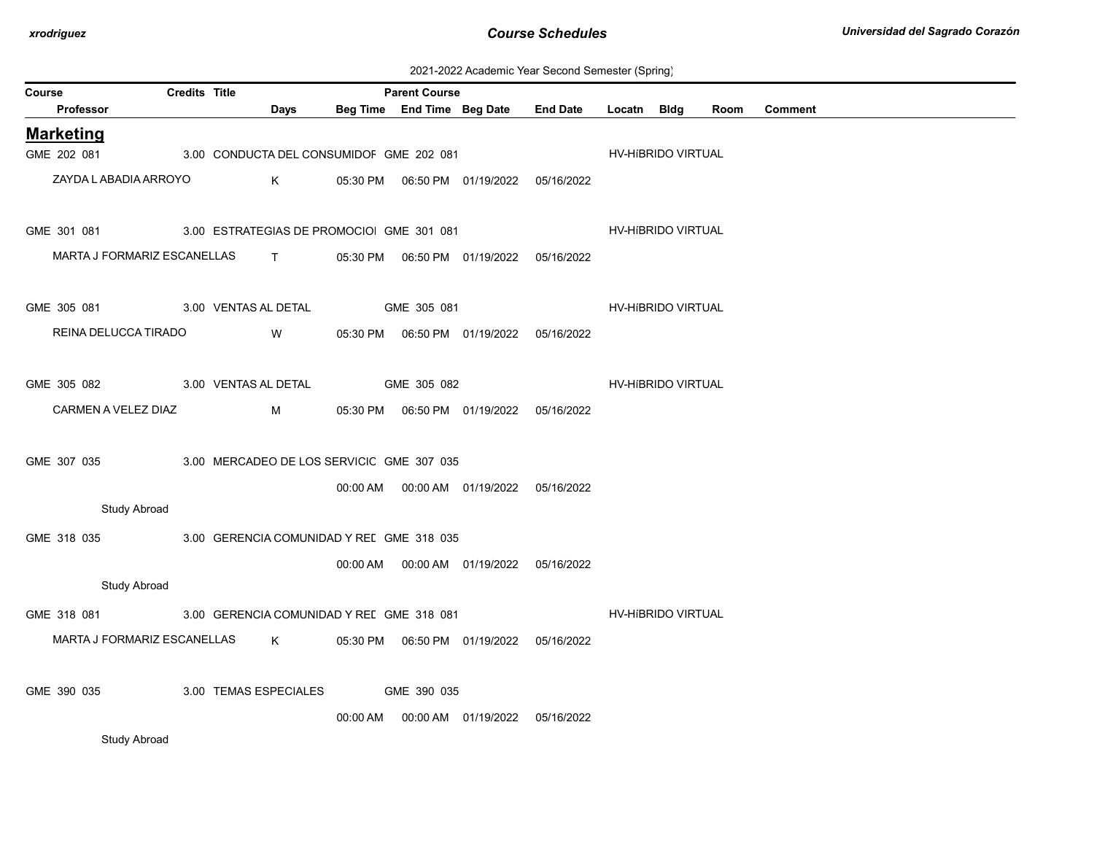| 2021-2022 Academic Year Second Semester (Spring) |  |  |  |
|--------------------------------------------------|--|--|--|
|--------------------------------------------------|--|--|--|

| Course                                               | <b>Credits Title</b> |                       |              |          | <b>Parent Course</b>                      |                                            |                 |                    | $\ddot{\phantom{0}}$ |      |                |  |
|------------------------------------------------------|----------------------|-----------------------|--------------|----------|-------------------------------------------|--------------------------------------------|-----------------|--------------------|----------------------|------|----------------|--|
| Professor                                            |                      |                       | Days         |          |                                           | Beg Time End Time Beg Date                 | <b>End Date</b> | Locatn Bldg        |                      | Room | <b>Comment</b> |  |
| <b>Marketing</b>                                     |                      |                       |              |          |                                           |                                            |                 |                    |                      |      |                |  |
| GME 202 081                                          |                      |                       |              |          | 3.00 CONDUCTA DEL CONSUMIDOF GME 202 081  |                                            |                 |                    | HV-HIBRIDO VIRTUAL   |      |                |  |
| ZAYDA LABADIA ARROYO                                 |                      |                       | K            |          |                                           | 05:30 PM  06:50 PM  01/19/2022  05/16/2022 |                 |                    |                      |      |                |  |
| GME 301 081 3.00 ESTRATEGIAS DE PROMOCIO GME 301 081 |                      |                       |              |          |                                           |                                            |                 |                    | HV-HIBRIDO VIRTUAL   |      |                |  |
| MARTA J FORMARIZ ESCANELLAS                          |                      |                       | $\mathbf{T}$ |          |                                           |                                            |                 |                    |                      |      |                |  |
| GME 305 081                                          |                      | 3.00 VENTAS AL DETAL  |              |          | GME 305 081                               |                                            |                 | HV-HIBRIDO VIRTUAL |                      |      |                |  |
| REINA DELUCCA TIRADO                                 |                      |                       | W            |          |                                           |                                            |                 |                    |                      |      |                |  |
| GME 305 082                                          |                      | 3.00 VENTAS AL DETAL  |              |          | GME 305 082                               |                                            |                 | HV-HIBRIDO VIRTUAL |                      |      |                |  |
| CARMEN A VELEZ DIAZ                                  |                      |                       | M            |          |                                           |                                            |                 |                    |                      |      |                |  |
| GME 307 035                                          |                      |                       |              |          | 3.00 MERCADEO DE LOS SERVICIC GME 307 035 |                                            |                 |                    |                      |      |                |  |
|                                                      |                      |                       |              |          |                                           | 00:00 AM  00:00 AM  01/19/2022  05/16/2022 |                 |                    |                      |      |                |  |
| Study Abroad                                         |                      |                       |              |          |                                           |                                            |                 |                    |                      |      |                |  |
| GME 318 035                                          |                      |                       |              |          | 3.00 GERENCIA COMUNIDAD Y REL GME 318 035 |                                            |                 |                    |                      |      |                |  |
|                                                      |                      |                       |              |          |                                           |                                            |                 |                    |                      |      |                |  |
| <b>Study Abroad</b>                                  |                      |                       |              |          |                                           |                                            |                 |                    |                      |      |                |  |
| GME 318 081                                          |                      |                       |              |          | 3.00 GERENCIA COMUNIDAD Y REL GME 318 081 |                                            |                 | HV-HIBRIDO VIRTUAL |                      |      |                |  |
| MARTA J FORMARIZ ESCANELLAS                          |                      |                       | K            |          |                                           | 05:30 PM  06:50 PM  01/19/2022  05/16/2022 |                 |                    |                      |      |                |  |
| GME 390 035                                          |                      | 3.00 TEMAS ESPECIALES |              |          | GME 390 035                               |                                            |                 |                    |                      |      |                |  |
|                                                      |                      |                       |              | 00:00 AM |                                           | 00:00 AM  01/19/2022                       | 05/16/2022      |                    |                      |      |                |  |
| <b>Study Abroad</b>                                  |                      |                       |              |          |                                           |                                            |                 |                    |                      |      |                |  |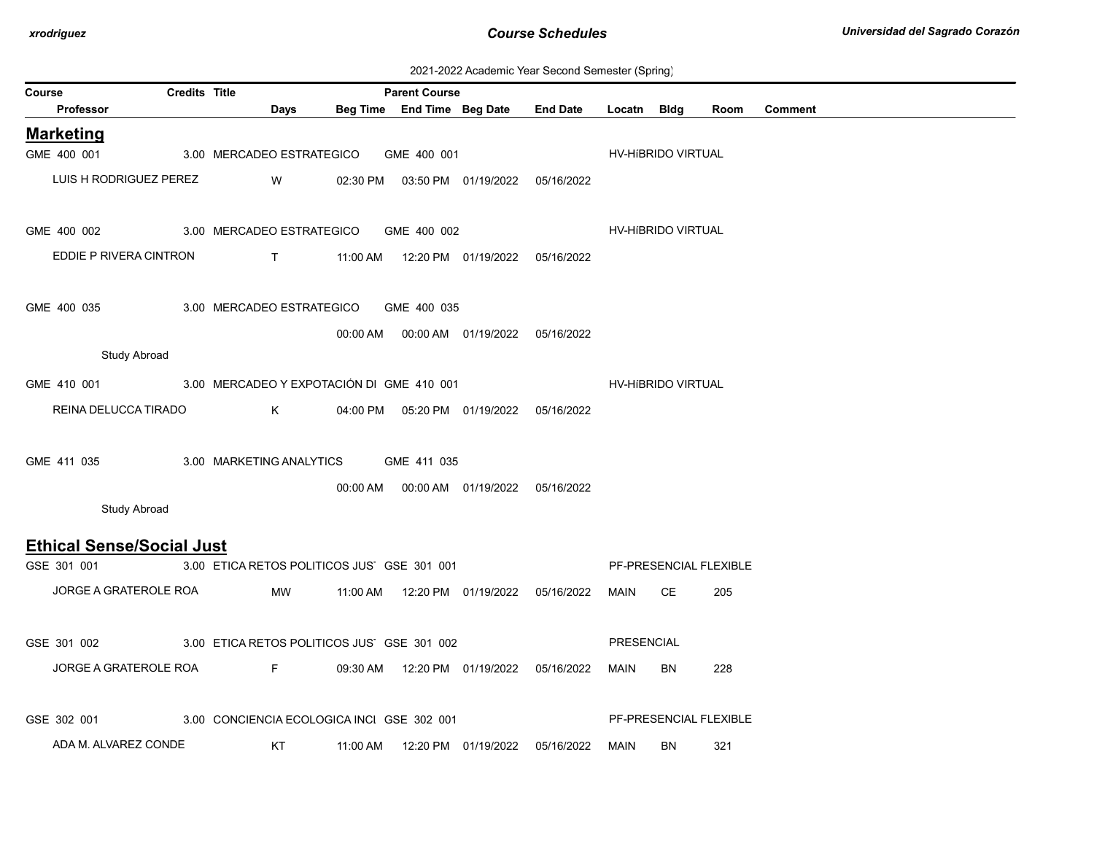| 2021-2022 Academic Year Second Semester (Spring) |  |  |  |
|--------------------------------------------------|--|--|--|
|--------------------------------------------------|--|--|--|

|        |                                  |                      |                                    |                                             |                      |                                            | foundline Tour occorru comoctor (opinig)        |                   |                        |      |         |
|--------|----------------------------------|----------------------|------------------------------------|---------------------------------------------|----------------------|--------------------------------------------|-------------------------------------------------|-------------------|------------------------|------|---------|
| Course | <b>Professor</b>                 | <b>Credits Title</b> | Days                               |                                             | <b>Parent Course</b> |                                            | Beg Time End Time Beg Date End Date Locatn Bldg |                   |                        | Room | Comment |
|        |                                  |                      |                                    |                                             |                      |                                            |                                                 |                   |                        |      |         |
|        | <b>Marketing</b><br>GME 400 001  |                      | 3.00 MERCADEO ESTRATEGICO          |                                             | GME 400 001          |                                            |                                                 |                   | HV-HIBRIDO VIRTUAL     |      |         |
|        |                                  |                      |                                    |                                             |                      |                                            |                                                 |                   |                        |      |         |
|        | LUIS H RODRIGUEZ PEREZ           |                      | W                                  |                                             |                      | 02:30 PM  03:50 PM  01/19/2022  05/16/2022 |                                                 |                   |                        |      |         |
|        |                                  |                      |                                    |                                             |                      |                                            |                                                 |                   |                        |      |         |
|        | GME 400 002                      |                      |                                    | 3.00 MERCADEO ESTRATEGICO GME 400 002       |                      |                                            |                                                 |                   | HV-HIBRIDO VIRTUAL     |      |         |
|        | EDDIE P RIVERA CINTRON           |                      | $\mathbf{T}$                       |                                             |                      | 11:00 AM  12:20 PM  01/19/2022  05/16/2022 |                                                 |                   |                        |      |         |
|        |                                  |                      |                                    |                                             |                      |                                            |                                                 |                   |                        |      |         |
|        | GME 400 035                      |                      |                                    | 3.00 MERCADEO ESTRATEGICO GME 400 035       |                      |                                            |                                                 |                   |                        |      |         |
|        |                                  |                      |                                    |                                             |                      |                                            |                                                 |                   |                        |      |         |
|        |                                  |                      |                                    |                                             |                      | 00:00 AM  00:00 AM  01/19/2022  05/16/2022 |                                                 |                   |                        |      |         |
|        | <b>Study Abroad</b>              |                      |                                    |                                             |                      |                                            |                                                 |                   |                        |      |         |
|        | GME 410 001                      |                      |                                    | 3.00 MERCADEO Y EXPOTACIÓN DI GME 410 001   |                      |                                            |                                                 |                   | HV-HIBRIDO VIRTUAL     |      |         |
|        | REINA DELUCCA TIRADO             |                      | K.                                 |                                             |                      | 04:00 PM  05:20 PM  01/19/2022  05/16/2022 |                                                 |                   |                        |      |         |
|        |                                  |                      |                                    |                                             |                      |                                            |                                                 |                   |                        |      |         |
|        | GME 411 035                      |                      |                                    | 3.00 MARKETING ANALYTICS GME 411 035        |                      |                                            |                                                 |                   |                        |      |         |
|        |                                  |                      |                                    |                                             |                      |                                            |                                                 |                   |                        |      |         |
|        | <b>Study Abroad</b>              |                      |                                    |                                             |                      | 00:00 AM  00:00 AM  01/19/2022  05/16/2022 |                                                 |                   |                        |      |         |
|        |                                  |                      |                                    |                                             |                      |                                            |                                                 |                   |                        |      |         |
|        | <b>Ethical Sense/Social Just</b> |                      |                                    |                                             |                      |                                            |                                                 |                   |                        |      |         |
|        | GSE 301 001                      |                      |                                    | 3.00 ETICA RETOS POLITICOS JUS' GSE 301 001 |                      |                                            |                                                 |                   | PF-PRESENCIAL FLEXIBLE |      |         |
|        | JORGE A GRATEROLE ROA            |                      | MW                                 | 11:00 AM                                    |                      | 12:20 PM  01/19/2022  05/16/2022           |                                                 | MAIN              | <b>CE</b>              | 205  |         |
|        |                                  |                      |                                    |                                             |                      |                                            |                                                 |                   |                        |      |         |
|        | GSE 301 002                      |                      |                                    | 3.00 ETICA RETOS POLITICOS JUS' GSE 301 002 |                      |                                            |                                                 | <b>PRESENCIAL</b> |                        |      |         |
|        |                                  |                      |                                    |                                             |                      |                                            |                                                 |                   |                        |      |         |
|        | JORGE A GRATEROLE ROA            |                      | <b>Example 19</b> For the 19 Hours |                                             |                      | 09:30 AM  12:20 PM  01/19/2022  05/16/2022 |                                                 | MAIN              | BN                     | 228  |         |
|        |                                  |                      |                                    |                                             |                      |                                            |                                                 |                   |                        |      |         |
|        | GSE 302 001                      |                      |                                    | 3.00 CONCIENCIA ECOLOGICA INCI GSE 302 001  |                      |                                            |                                                 |                   | PF-PRESENCIAL FLEXIBLE |      |         |
|        | ADA M. ALVAREZ CONDE             |                      | KT                                 | 11:00 AM                                    |                      | 12:20 PM  01/19/2022  05/16/2022           |                                                 | MAIN              | BN                     | 321  |         |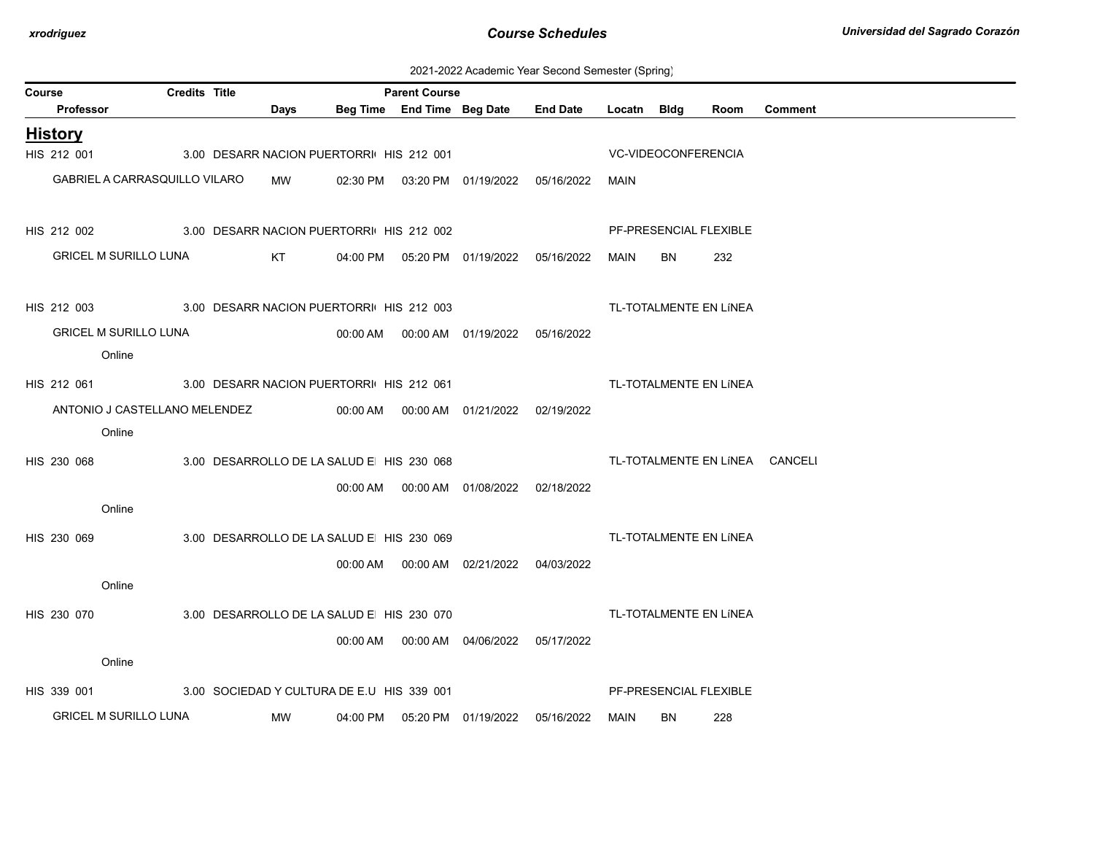| 2021-2022 Academic Year Second Semester (Spring) |  |  |  |  |  |
|--------------------------------------------------|--|--|--|--|--|
|--------------------------------------------------|--|--|--|--|--|

| Course                        | <b>Credits Title</b>                       |      |          | <b>Parent Course</b>       |                                            |                 |             |                            |                        |                                |
|-------------------------------|--------------------------------------------|------|----------|----------------------------|--------------------------------------------|-----------------|-------------|----------------------------|------------------------|--------------------------------|
| Professor                     |                                            | Days |          | Beg Time End Time Beg Date |                                            | <b>End Date</b> | Locatn Bldg |                            | Room                   | <b>Comment</b>                 |
| <b>History</b>                |                                            |      |          |                            |                                            |                 |             |                            |                        |                                |
| HIS 212 001                   | 3.00 DESARR NACION PUERTORRI HIS 212 001   |      |          |                            |                                            |                 |             | <b>VC-VIDEOCONFERENCIA</b> |                        |                                |
| GABRIEL A CARRASQUILLO VILARO |                                            | MW   | 02:30 PM |                            |                                            | 05/16/2022      | MAIN        |                            |                        |                                |
|                               |                                            |      |          |                            |                                            |                 |             |                            |                        |                                |
| HIS 212 002                   | 3.00 DESARR NACION PUERTORRI HIS 212 002   |      |          |                            |                                            |                 |             |                            | PF-PRESENCIAL FLEXIBLE |                                |
| <b>GRICEL M SURILLO LUNA</b>  |                                            | KT.  |          |                            | 04:00 PM  05:20 PM  01/19/2022             | 05/16/2022      | MAIN        | BN                         | 232                    |                                |
|                               |                                            |      |          |                            |                                            |                 |             |                            |                        |                                |
| HIS 212 003                   | 3.00 DESARR NACION PUERTORRI HIS 212 003   |      |          |                            |                                            |                 |             |                            | TL-TOTALMENTE EN LÍNEA |                                |
| <b>GRICEL M SURILLO LUNA</b>  |                                            |      |          |                            | 00:00 AM  00:00 AM  01/19/2022  05/16/2022 |                 |             |                            |                        |                                |
| Online                        |                                            |      |          |                            |                                            |                 |             |                            |                        |                                |
| HIS 212 061                   | 3.00 DESARR NACION PUERTORRI HIS 212 061   |      |          |                            |                                            |                 |             |                            | TL-TOTALMENTE EN LÍNEA |                                |
| ANTONIO J CASTELLANO MELENDEZ |                                            |      |          |                            | 00:00 AM   00:00 AM   01/21/2022           | 02/19/2022      |             |                            |                        |                                |
| Online                        |                                            |      |          |                            |                                            |                 |             |                            |                        |                                |
| HIS 230 068                   | 3.00 DESARROLLO DE LA SALUD E HIS 230 068  |      |          |                            |                                            |                 |             |                            |                        | TL-TOTALMENTE EN LÍNEA CANCELI |
|                               |                                            |      |          |                            |                                            |                 |             |                            |                        |                                |
| Online                        |                                            |      |          |                            | 00:00 AM   00:00 AM   01/08/2022           | 02/18/2022      |             |                            |                        |                                |
|                               |                                            |      |          |                            |                                            |                 |             |                            |                        |                                |
| HIS 230 069                   | 3.00 DESARROLLO DE LA SALUD E HIS 230 069  |      |          |                            |                                            |                 |             |                            | TL-TOTALMENTE EN LÍNEA |                                |
|                               |                                            |      |          |                            | 00:00 AM   00:00 AM   02/21/2022           | 04/03/2022      |             |                            |                        |                                |
| Online                        |                                            |      |          |                            |                                            |                 |             |                            |                        |                                |
| HIS 230 070                   | 3.00 DESARROLLO DE LA SALUD E HIS 230 070  |      |          |                            |                                            |                 |             |                            | TL-TOTALMENTE EN LÍNEA |                                |
|                               |                                            |      |          |                            | 00:00 AM   00:00 AM   04/06/2022           | 05/17/2022      |             |                            |                        |                                |
| Online                        |                                            |      |          |                            |                                            |                 |             |                            |                        |                                |
| HIS 339 001                   | 3.00 SOCIEDAD Y CULTURA DE E.U HIS 339 001 |      |          |                            |                                            |                 |             |                            | PF-PRESENCIAL FLEXIBLE |                                |
| <b>GRICEL M SURILLO LUNA</b>  |                                            | МW   | 04:00 PM |                            | 05:20 PM 01/19/2022                        | 05/16/2022      | MAIN        | <b>BN</b>                  | 228                    |                                |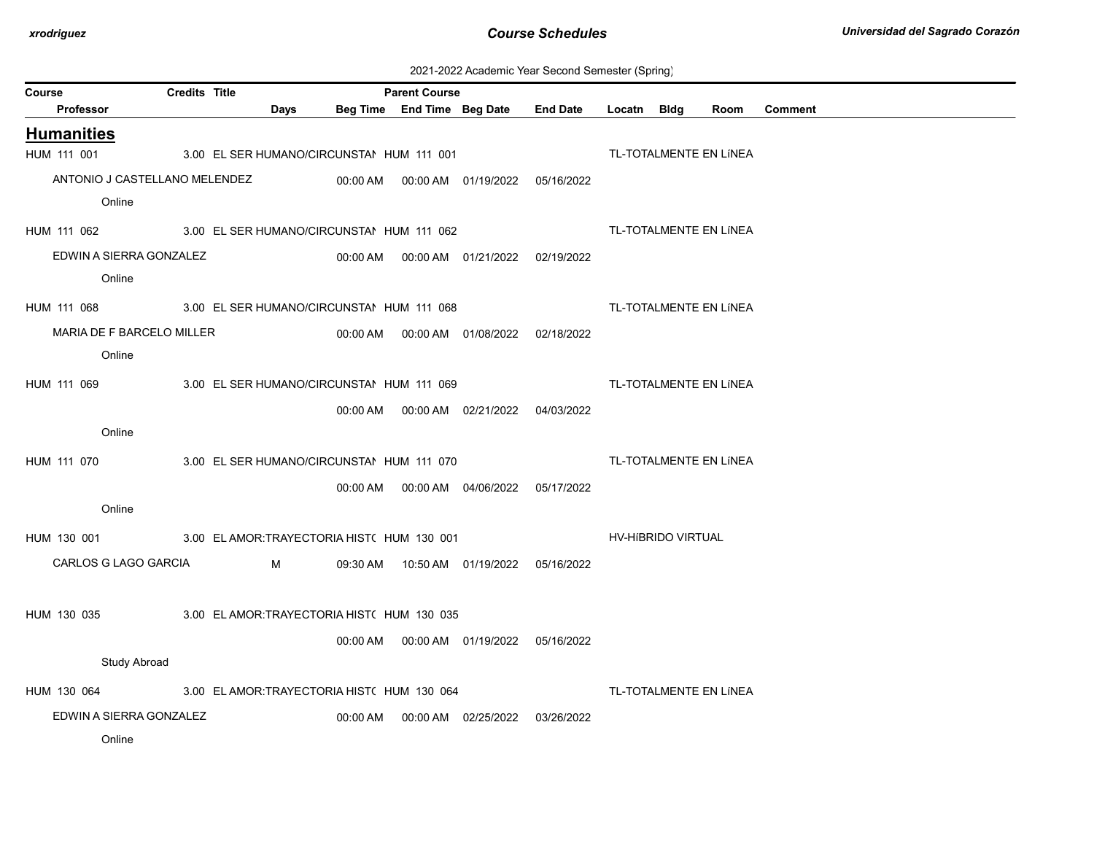| 2021-2022 Academic Year Second Semester (Spring) |  |  |  |
|--------------------------------------------------|--|--|--|
|--------------------------------------------------|--|--|--|

|                               |                      |                                             |          |                                                    |                                            |                 | $\sqrt{1}$  | ັບ /               |                        |         |
|-------------------------------|----------------------|---------------------------------------------|----------|----------------------------------------------------|--------------------------------------------|-----------------|-------------|--------------------|------------------------|---------|
| Course<br>Professor           | <b>Credits Title</b> | Days                                        |          | <b>Parent Course</b><br>Beg Time End Time Beg Date |                                            | <b>End Date</b> | Locatn Bldg |                    | Room                   | Comment |
|                               |                      |                                             |          |                                                    |                                            |                 |             |                    |                        |         |
| <b>Humanities</b>             |                      |                                             |          |                                                    |                                            |                 |             |                    |                        |         |
| HUM 111 001                   |                      | 3.00 EL SER HUMANO/CIRCUNSTAI HUM 111 001   |          |                                                    |                                            |                 |             |                    | TL-TOTALMENTE EN LÍNEA |         |
| ANTONIO J CASTELLANO MELENDEZ |                      |                                             | 00:00 AM |                                                    | 00:00 AM 01/19/2022                        | 05/16/2022      |             |                    |                        |         |
| Online                        |                      |                                             |          |                                                    |                                            |                 |             |                    |                        |         |
| HUM 111 062                   |                      | 3.00 EL SER HUMANO/CIRCUNSTAI HUM 111 062   |          |                                                    |                                            |                 |             |                    | TL-TOTALMENTE EN LÍNEA |         |
| EDWIN A SIERRA GONZALEZ       |                      |                                             |          |                                                    | 00:00 AM   00:00 AM   01/21/2022           | 02/19/2022      |             |                    |                        |         |
| Online                        |                      |                                             |          |                                                    |                                            |                 |             |                    |                        |         |
| HUM 111 068                   |                      | 3.00 EL SER HUMANO/CIRCUNSTAI HUM 111 068   |          |                                                    |                                            |                 |             |                    | TL-TOTALMENTE EN LÍNEA |         |
| MARIA DE F BARCELO MILLER     |                      |                                             |          |                                                    | 00:00 AM   00:00 AM   01/08/2022           | 02/18/2022      |             |                    |                        |         |
| Online                        |                      |                                             |          |                                                    |                                            |                 |             |                    |                        |         |
|                               |                      |                                             |          |                                                    |                                            |                 |             |                    |                        |         |
| HUM 111 069                   |                      | 3.00 EL SER HUMANO/CIRCUNSTAI HUM 111 069   |          |                                                    |                                            |                 |             |                    | TL-TOTALMENTE EN LÍNEA |         |
|                               |                      |                                             | 00:00 AM |                                                    | 00:00 AM 02/21/2022                        | 04/03/2022      |             |                    |                        |         |
| Online                        |                      |                                             |          |                                                    |                                            |                 |             |                    |                        |         |
| HUM 111 070                   |                      | 3.00 EL SER HUMANO/CIRCUNSTAI HUM 111 070   |          |                                                    |                                            |                 |             |                    | TL-TOTALMENTE EN LÍNEA |         |
|                               |                      |                                             |          |                                                    | 00:00 AM   00:00 AM   04/06/2022           | 05/17/2022      |             |                    |                        |         |
| Online                        |                      |                                             |          |                                                    |                                            |                 |             |                    |                        |         |
| HUM 130 001                   |                      | 3.00 EL AMOR: TRAYECTORIA HIST( HUM 130 001 |          |                                                    |                                            |                 |             | HV-HIBRIDO VIRTUAL |                        |         |
| CARLOS G LAGO GARCIA          |                      | M                                           |          |                                                    | 09:30 AM  10:50 AM  01/19/2022  05/16/2022 |                 |             |                    |                        |         |
|                               |                      |                                             |          |                                                    |                                            |                 |             |                    |                        |         |
| HUM 130 035                   |                      | 3.00 EL AMOR: TRAYECTORIA HIST( HUM 130 035 |          |                                                    |                                            |                 |             |                    |                        |         |
|                               |                      |                                             | 00:00 AM |                                                    | 00:00 AM  01/19/2022  05/16/2022           |                 |             |                    |                        |         |
| <b>Study Abroad</b>           |                      |                                             |          |                                                    |                                            |                 |             |                    |                        |         |
|                               |                      |                                             |          |                                                    |                                            |                 |             |                    |                        |         |
| HUM 130 064                   |                      | 3.00 EL AMOR: TRAYECTORIA HIST( HUM 130 064 |          |                                                    |                                            |                 |             |                    | TL-TOTALMENTE EN LÍNEA |         |
| EDWIN A SIERRA GONZALEZ       |                      |                                             | 00:00 AM |                                                    | 00:00 AM 02/25/2022                        | 03/26/2022      |             |                    |                        |         |
| Online                        |                      |                                             |          |                                                    |                                            |                 |             |                    |                        |         |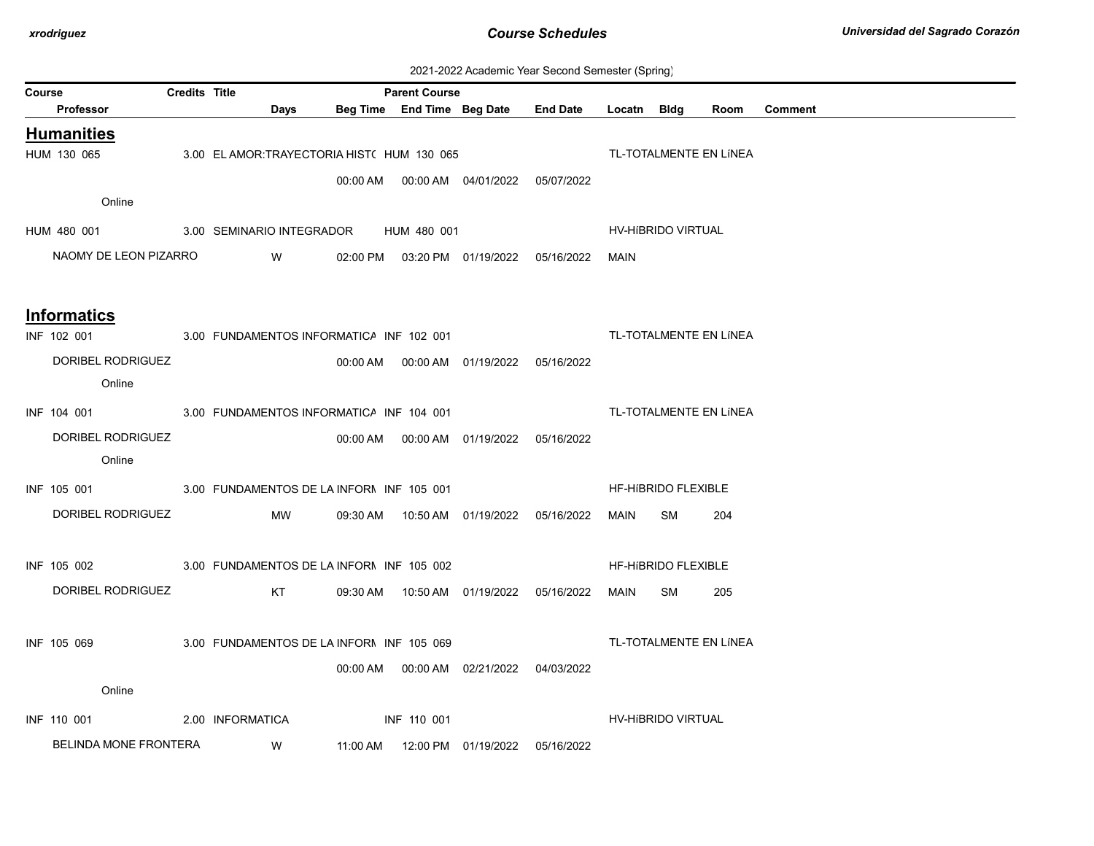| 2021-2022 Academic Year Second Semester (Spring) |  |  |  |
|--------------------------------------------------|--|--|--|
|--------------------------------------------------|--|--|--|

| <b>Course</b> |                                                                            | <b>Credits Title</b> |                                             | <b>Parent Course</b> |                                              |                                            | --------- <sub>\</sub> -r---- - - - |                     |                        |                |
|---------------|----------------------------------------------------------------------------|----------------------|---------------------------------------------|----------------------|----------------------------------------------|--------------------------------------------|-------------------------------------|---------------------|------------------------|----------------|
|               | Professor                                                                  |                      | Days                                        |                      | Beg Time End Time Beg Date                   | End Date Locatn Bldg                       |                                     |                     | Room                   | <b>Comment</b> |
|               | <b>Humanities</b>                                                          |                      |                                             |                      |                                              |                                            |                                     |                     |                        |                |
|               | HUM 130 065                                                                |                      | 3.00 EL AMOR: TRAYECTORIA HIST( HUM 130 065 |                      |                                              |                                            |                                     |                     | TL-TOTALMENTE EN LÍNEA |                |
|               |                                                                            |                      |                                             |                      | 00:00 AM  00:00 AM  04/01/2022  05/07/2022   |                                            |                                     |                     |                        |                |
|               | Online                                                                     |                      |                                             |                      |                                              |                                            |                                     |                     |                        |                |
|               | HUM 480 001 3.00 SEMINARIO INTEGRADOR HUM 480 001                          |                      |                                             |                      |                                              |                                            |                                     | HV-HIBRIDO VIRTUAL  |                        |                |
|               | NAOMY DE LEON PIZARRO                                                      |                      | W                                           |                      |                                              | 02:00 PM  03:20 PM  01/19/2022  05/16/2022 | MAIN                                |                     |                        |                |
|               |                                                                            |                      |                                             |                      |                                              |                                            |                                     |                     |                        |                |
|               |                                                                            |                      |                                             |                      |                                              |                                            |                                     |                     |                        |                |
|               | <b>Informatics</b><br>INF 102 001 3.00 FUNDAMENTOS INFORMATICA INF 102 001 |                      |                                             |                      |                                              |                                            |                                     |                     | TL-TOTALMENTE EN LÍNEA |                |
|               | DORIBEL RODRIGUEZ                                                          |                      |                                             |                      | 00:00 AM  00:00 AM  01/19/2022  05/16/2022   |                                            |                                     |                     |                        |                |
|               | Online                                                                     |                      |                                             |                      |                                              |                                            |                                     |                     |                        |                |
|               | INF 104 001 3.00 FUNDAMENTOS INFORMATICA INF 104 001                       |                      |                                             |                      |                                              |                                            |                                     |                     | TL-TOTALMENTE EN LÍNEA |                |
|               |                                                                            |                      |                                             |                      |                                              |                                            |                                     |                     |                        |                |
|               | DORIBEL RODRIGUEZ<br>Online                                                |                      |                                             |                      | 00:00 AM   00:00 AM   01/19/2022  05/16/2022 |                                            |                                     |                     |                        |                |
|               |                                                                            |                      |                                             |                      |                                              |                                            |                                     |                     |                        |                |
|               | INF 105 001 3.00 FUNDAMENTOS DE LA INFORN INF 105 001                      |                      |                                             |                      |                                              |                                            |                                     | HF-HIBRIDO FLEXIBLE |                        |                |
|               | DORIBEL RODRIGUEZ                                                          |                      | MW                                          |                      | 09:30 AM  10:50 AM  01/19/2022  05/16/2022   |                                            | MAIN                                | SM                  | 204                    |                |
|               |                                                                            |                      |                                             |                      |                                              |                                            |                                     |                     |                        |                |
|               | INF 105 002                                                                |                      | 3.00 FUNDAMENTOS DE LA INFORN INF 105 002   |                      |                                              |                                            |                                     | HF-HIBRIDO FLEXIBLE |                        |                |
|               | DORIBEL RODRIGUEZ                                                          |                      | KT <sub>N</sub>                             |                      |                                              | 05/16/2022                                 | MAIN SM                             |                     | 205                    |                |
|               |                                                                            |                      |                                             |                      |                                              |                                            |                                     |                     |                        |                |
|               | INF 105 069                                                                |                      | 3.00 FUNDAMENTOS DE LA INFORN INF 105 069   |                      |                                              |                                            |                                     |                     | TL-TOTALMENTE EN LÍNEA |                |
|               |                                                                            |                      |                                             |                      | 00:00 AM  00:00 AM  02/21/2022  04/03/2022   |                                            |                                     |                     |                        |                |
|               | Online                                                                     |                      |                                             |                      |                                              |                                            |                                     |                     |                        |                |
|               | INF 110 001                                                                |                      | 2.00 INFORMATICA                            | INF 110 001          |                                              |                                            |                                     | HV-HIBRIDO VIRTUAL  |                        |                |
|               | BELINDA MONE FRONTERA                                                      |                      | <b>W</b>                                    |                      |                                              | 05/16/2022                                 |                                     |                     |                        |                |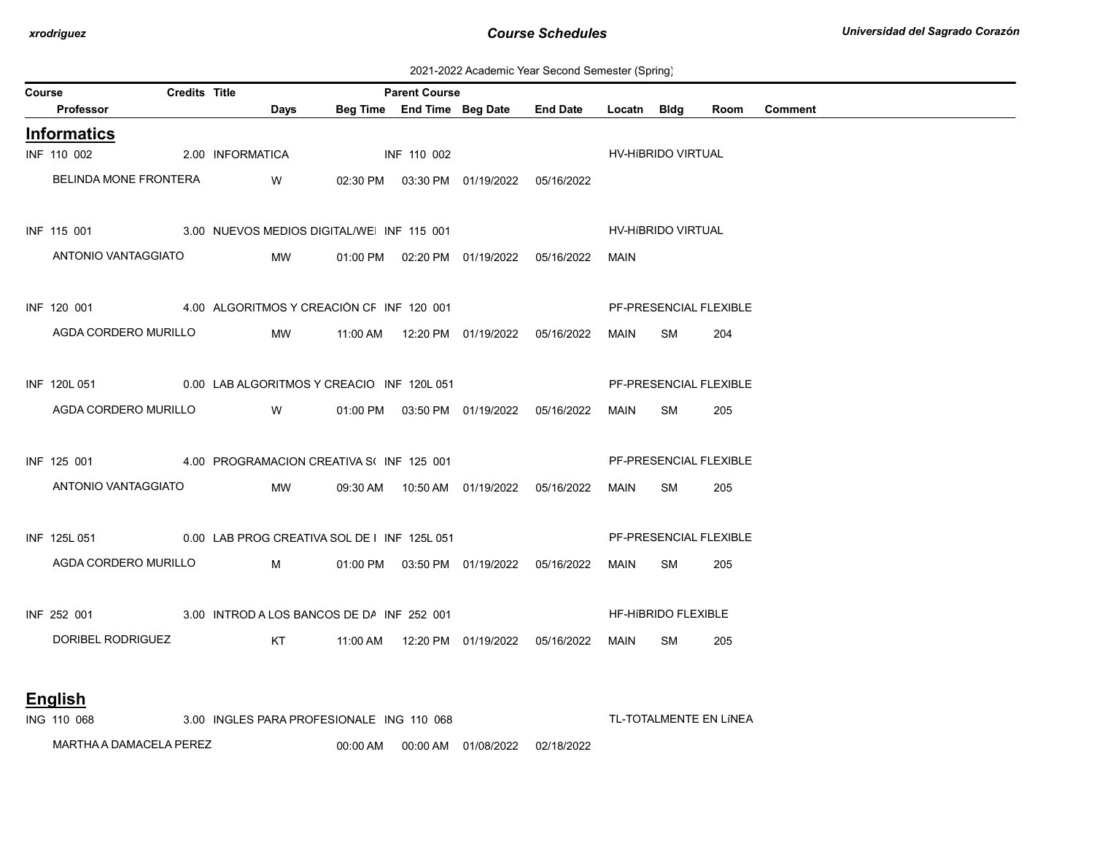2021-2022 Academic Year Second Semester (Spring)

| Course             |         |                                                                                                                                                                  | <b>Parent Course</b>                     |                                                                                                                                                                                                                                                                                                                                                                                                |                                                                                                                                                                                                                                                 |                                                                                                                                                                   |                                                                                                                                                                                      |           |                                                                                                                                     |                                                                                                                                                                                                          |
|--------------------|---------|------------------------------------------------------------------------------------------------------------------------------------------------------------------|------------------------------------------|------------------------------------------------------------------------------------------------------------------------------------------------------------------------------------------------------------------------------------------------------------------------------------------------------------------------------------------------------------------------------------------------|-------------------------------------------------------------------------------------------------------------------------------------------------------------------------------------------------------------------------------------------------|-------------------------------------------------------------------------------------------------------------------------------------------------------------------|--------------------------------------------------------------------------------------------------------------------------------------------------------------------------------------|-----------|-------------------------------------------------------------------------------------------------------------------------------------|----------------------------------------------------------------------------------------------------------------------------------------------------------------------------------------------------------|
| Professor          |         | Days                                                                                                                                                             |                                          |                                                                                                                                                                                                                                                                                                                                                                                                |                                                                                                                                                                                                                                                 |                                                                                                                                                                   |                                                                                                                                                                                      |           | Room                                                                                                                                | Comment                                                                                                                                                                                                  |
| <b>Informatics</b> |         |                                                                                                                                                                  |                                          |                                                                                                                                                                                                                                                                                                                                                                                                |                                                                                                                                                                                                                                                 |                                                                                                                                                                   |                                                                                                                                                                                      |           |                                                                                                                                     |                                                                                                                                                                                                          |
| INF 110 002        |         |                                                                                                                                                                  |                                          |                                                                                                                                                                                                                                                                                                                                                                                                |                                                                                                                                                                                                                                                 |                                                                                                                                                                   |                                                                                                                                                                                      |           |                                                                                                                                     |                                                                                                                                                                                                          |
|                    |         | <b>W</b>                                                                                                                                                         |                                          |                                                                                                                                                                                                                                                                                                                                                                                                |                                                                                                                                                                                                                                                 |                                                                                                                                                                   |                                                                                                                                                                                      |           |                                                                                                                                     |                                                                                                                                                                                                          |
|                    |         |                                                                                                                                                                  |                                          |                                                                                                                                                                                                                                                                                                                                                                                                |                                                                                                                                                                                                                                                 |                                                                                                                                                                   |                                                                                                                                                                                      |           |                                                                                                                                     |                                                                                                                                                                                                          |
|                    |         |                                                                                                                                                                  |                                          |                                                                                                                                                                                                                                                                                                                                                                                                |                                                                                                                                                                                                                                                 |                                                                                                                                                                   | MAIN                                                                                                                                                                                 |           |                                                                                                                                     |                                                                                                                                                                                                          |
|                    |         |                                                                                                                                                                  |                                          |                                                                                                                                                                                                                                                                                                                                                                                                |                                                                                                                                                                                                                                                 |                                                                                                                                                                   |                                                                                                                                                                                      |           |                                                                                                                                     |                                                                                                                                                                                                          |
|                    |         |                                                                                                                                                                  |                                          |                                                                                                                                                                                                                                                                                                                                                                                                |                                                                                                                                                                                                                                                 |                                                                                                                                                                   |                                                                                                                                                                                      |           | 204                                                                                                                                 |                                                                                                                                                                                                          |
|                    |         |                                                                                                                                                                  |                                          |                                                                                                                                                                                                                                                                                                                                                                                                |                                                                                                                                                                                                                                                 |                                                                                                                                                                   |                                                                                                                                                                                      |           |                                                                                                                                     |                                                                                                                                                                                                          |
|                    |         |                                                                                                                                                                  |                                          |                                                                                                                                                                                                                                                                                                                                                                                                |                                                                                                                                                                                                                                                 |                                                                                                                                                                   |                                                                                                                                                                                      |           | 205                                                                                                                                 |                                                                                                                                                                                                          |
|                    |         |                                                                                                                                                                  |                                          |                                                                                                                                                                                                                                                                                                                                                                                                |                                                                                                                                                                                                                                                 |                                                                                                                                                                   |                                                                                                                                                                                      |           |                                                                                                                                     |                                                                                                                                                                                                          |
|                    |         |                                                                                                                                                                  |                                          |                                                                                                                                                                                                                                                                                                                                                                                                |                                                                                                                                                                                                                                                 |                                                                                                                                                                   | MAIN                                                                                                                                                                                 |           | 205                                                                                                                                 |                                                                                                                                                                                                          |
|                    |         |                                                                                                                                                                  |                                          |                                                                                                                                                                                                                                                                                                                                                                                                |                                                                                                                                                                                                                                                 |                                                                                                                                                                   |                                                                                                                                                                                      |           |                                                                                                                                     |                                                                                                                                                                                                          |
|                    |         |                                                                                                                                                                  |                                          |                                                                                                                                                                                                                                                                                                                                                                                                |                                                                                                                                                                                                                                                 |                                                                                                                                                                   |                                                                                                                                                                                      |           | 205                                                                                                                                 |                                                                                                                                                                                                          |
|                    |         |                                                                                                                                                                  |                                          |                                                                                                                                                                                                                                                                                                                                                                                                |                                                                                                                                                                                                                                                 |                                                                                                                                                                   |                                                                                                                                                                                      |           |                                                                                                                                     |                                                                                                                                                                                                          |
|                    |         |                                                                                                                                                                  |                                          |                                                                                                                                                                                                                                                                                                                                                                                                |                                                                                                                                                                                                                                                 |                                                                                                                                                                   | MAIN                                                                                                                                                                                 | <b>SM</b> | 205                                                                                                                                 |                                                                                                                                                                                                          |
|                    |         |                                                                                                                                                                  |                                          |                                                                                                                                                                                                                                                                                                                                                                                                |                                                                                                                                                                                                                                                 |                                                                                                                                                                   |                                                                                                                                                                                      |           |                                                                                                                                     |                                                                                                                                                                                                          |
| ING 110 068        |         |                                                                                                                                                                  |                                          |                                                                                                                                                                                                                                                                                                                                                                                                |                                                                                                                                                                                                                                                 |                                                                                                                                                                   |                                                                                                                                                                                      |           |                                                                                                                                     |                                                                                                                                                                                                          |
|                    | English | BELINDA MONE FRONTERA<br>ANTONIO VANTAGGIATO<br>AGDA CORDERO MURILLO<br>AGDA CORDERO MURILLO<br>ANTONIO VANTAGGIATO<br>AGDA CORDERO MURILLO<br>DORIBEL RODRIGUEZ | <b>Credits Title</b><br>2.00 INFORMATICA | <b>MW</b><br><b>Solution</b> Service Service Service Service Service Service Service Service Service Service Service Service Service<br><b>MW</b><br><b>Market</b> Market Market Market Market Market Market Market Market Market Market Market Market Market Market Market Market Market Market Market Market Market Market Market Market Market Market Market Market Market Market Mar<br>KT | INF 110 002<br>INF 115 001 3.00 NUEVOS MEDIOS DIGITAL/WE INF 115 001<br>INF 120 001 4.00 ALGORITMOS Y CREACIÓN CF INF 120 001<br>INF 125 001 4.00 PROGRAMACION CREATIVA S(INF 125 001<br>INF 252 001 3.00 INTROD A LOS BANCOS DE DA INF 252 001 | INF 120L 051 0.00 LAB ALGORITMOS Y CREACIO INF 120L 051<br>INF 125L 051 0.00 LAB PROG CREATIVA SOL DE I INF 125L 051<br>3.00 INGLES PARA PROFESIONALE ING 110 068 | 02:30 PM  03:30 PM  01/19/2022  05/16/2022<br>01:00 PM  02:20 PM  01/19/2022  05/16/2022<br>01:00 PM  03:50 PM  01/19/2022  05/16/2022<br>09:30 AM  10:50 AM  01/19/2022  05/16/2022 |           | Beg Time End Time Beg Date End Date Locatn Bldg<br>MAIN SM<br>MAIN SM<br>SM<br>01:00 PM  03:50 PM  01/19/2022  05/16/2022  MAIN  SM | HV-HIBRIDO VIRTUAL<br>HV-HIBRIDO VIRTUAL<br>PF-PRESENCIAL FLEXIBLE<br>PF-PRESENCIAL FLEXIBLE<br>PF-PRESENCIAL FLEXIBLE<br>PF-PRESENCIAL FLEXIBLE<br><b>HF-HIBRIDO FLEXIBLE</b><br>TL-TOTALMENTE EN LÍNEA |

MARTHA A DAMACELA PEREZ 00:00 AM 00:00 AM 01/08/2022 02/18/2022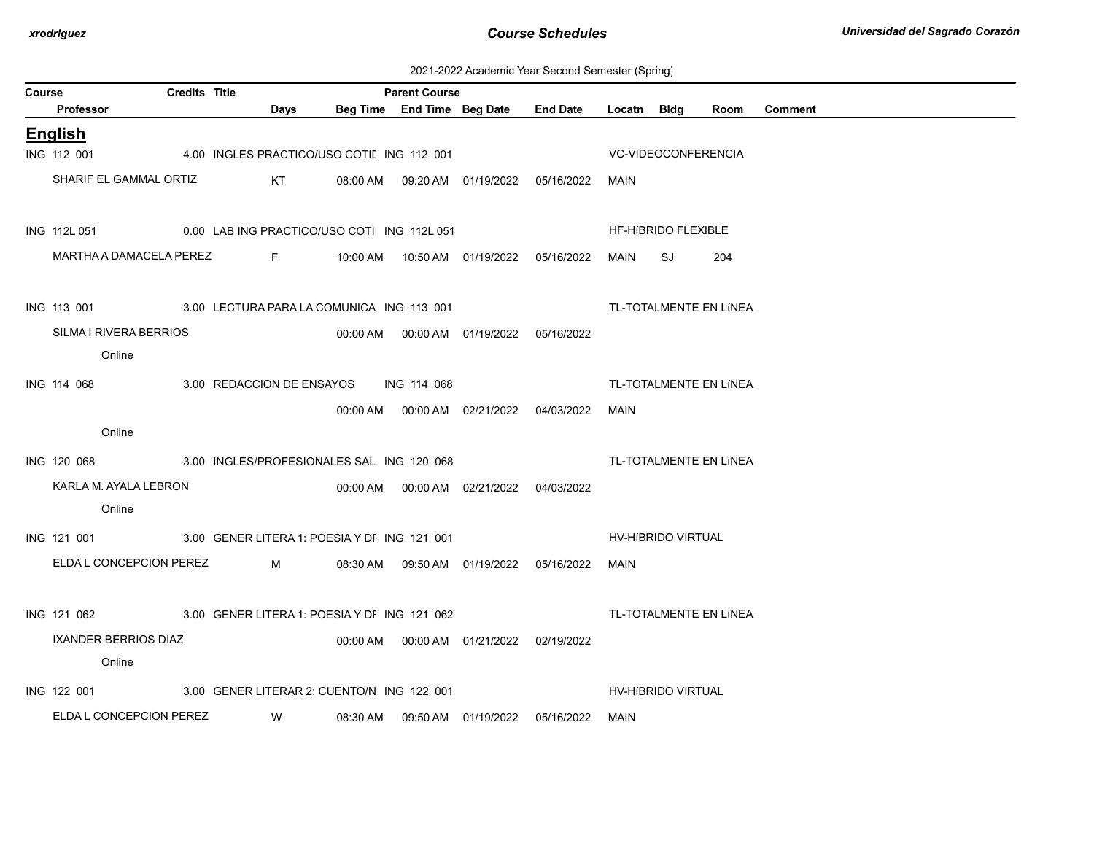| 2021-2022 Academic Year Second Semester (Spring) |  |  |  |  |  |
|--------------------------------------------------|--|--|--|--|--|
|--------------------------------------------------|--|--|--|--|--|

| Course |                             | <b>Credits Title</b> |                                              |          | <b>Parent Course</b> |                                            |            |             |                     |                        |                |
|--------|-----------------------------|----------------------|----------------------------------------------|----------|----------------------|--------------------------------------------|------------|-------------|---------------------|------------------------|----------------|
|        | Professor                   |                      | Days                                         |          |                      | Beg Time End Time Beg Date End Date        |            | Locatn Bldg |                     | Room                   | <b>Comment</b> |
|        | <b>English</b>              |                      |                                              |          |                      |                                            |            |             |                     |                        |                |
|        | ING 112 001                 |                      | 4.00 INGLES PRACTICO/USO COTII ING 112 001   |          |                      |                                            |            |             | VC-VIDEOCONFERENCIA |                        |                |
|        | SHARIF EL GAMMAL ORTIZ      |                      | KT                                           |          |                      | 08:00 AM  09:20 AM  01/19/2022  05/16/2022 |            | MAIN        |                     |                        |                |
|        | ING 112L 051                |                      | 0.00 LAB ING PRACTICO/USO COTI ING 112L 051  |          |                      |                                            |            |             | HF-HIBRIDO FLEXIBLE |                        |                |
|        | MARTHA A DAMACELA PEREZ     |                      | F 10:00 AM  10:50 AM  01/19/2022  05/16/2022 |          |                      |                                            |            | MAIN        | SJ                  | 204                    |                |
|        | ING 113 001                 |                      | 3.00 LECTURA PARA LA COMUNICA ING 113 001    |          |                      |                                            |            |             |                     | TL-TOTALMENTE EN LÍNEA |                |
|        | SILMA I RIVERA BERRIOS      |                      |                                              |          |                      | 00:00 AM  00:00 AM  01/19/2022  05/16/2022 |            |             |                     |                        |                |
|        | Online                      |                      |                                              |          |                      |                                            |            |             |                     |                        |                |
|        | ING 114 068                 |                      |                                              |          |                      |                                            |            |             |                     | TL-TOTALMENTE EN LÍNEA |                |
|        |                             |                      | 3.00 REDACCION DE ENSAYOS ING 114 068        |          |                      |                                            |            |             |                     |                        |                |
|        | Online                      |                      |                                              | 00:00 AM |                      | 00:00 AM 02/21/2022                        | 04/03/2022 | MAIN        |                     |                        |                |
|        |                             |                      |                                              |          |                      |                                            |            |             |                     |                        |                |
|        | ING 120 068                 |                      | 3.00 INGLES/PROFESIONALES SAL ING 120 068    |          |                      |                                            |            |             |                     | TL-TOTALMENTE EN LÍNEA |                |
|        | KARLA M. AYALA LEBRON       |                      |                                              |          |                      | 00:00 AM   00:00 AM   02/21/2022           | 04/03/2022 |             |                     |                        |                |
|        | Online                      |                      |                                              |          |                      |                                            |            |             |                     |                        |                |
|        | ING 121 001                 |                      | 3.00 GENER LITERA 1: POESIA Y DI ING 121 001 |          |                      |                                            |            |             | HV-HIBRIDO VIRTUAL  |                        |                |
|        | ELDA L CONCEPCION PEREZ     |                      | M                                            |          |                      | 08:30 AM  09:50 AM  01/19/2022  05/16/2022 |            | MAIN        |                     |                        |                |
|        | ING 121 062                 |                      | 3.00 GENER LITERA 1: POESIA Y DI ING 121 062 |          |                      |                                            |            |             |                     | TL-TOTALMENTE EN LÍNEA |                |
|        | <b>IXANDER BERRIOS DIAZ</b> |                      |                                              |          |                      |                                            |            |             |                     |                        |                |
|        | Online                      |                      |                                              |          |                      |                                            |            |             |                     |                        |                |
|        | ING 122 001                 |                      | 3.00 GENER LITERAR 2: CUENTO/N ING 122 001   |          |                      |                                            |            |             | HV-HIBRIDO VIRTUAL  |                        |                |
|        | ELDA L CONCEPCION PEREZ     |                      | <b>W</b>                                     | 08:30 AM |                      |                                            | 05/16/2022 | MAIN        |                     |                        |                |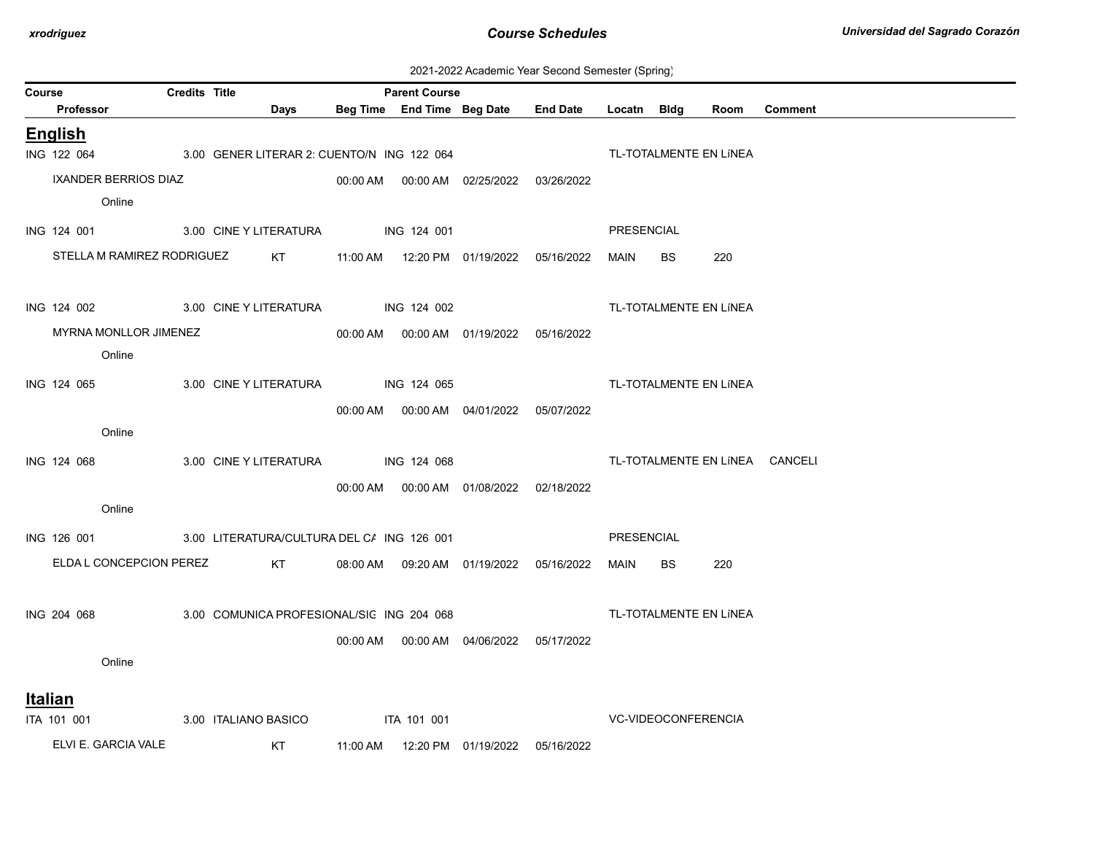| 2021-2022 Academic Year Second Semester (Spring) |  |  |  |
|--------------------------------------------------|--|--|--|
|--------------------------------------------------|--|--|--|

|                                                |                      |                                            |                    |                      |                                            | zuz i-zuzz Adademic Tear Occonia Ocmesici (Ophing |                   |           |                        |                                |
|------------------------------------------------|----------------------|--------------------------------------------|--------------------|----------------------|--------------------------------------------|---------------------------------------------------|-------------------|-----------|------------------------|--------------------------------|
| Course<br>Professor                            | <b>Credits Title</b> | Days                                       |                    | <b>Parent Course</b> | Beg Time End Time Beg Date End Date        |                                                   | Locatn Bldg       |           | Room                   | <b>Comment</b>                 |
| <b>English</b>                                 |                      |                                            |                    |                      |                                            |                                                   |                   |           |                        |                                |
| ING 122 064                                    |                      | 3.00 GENER LITERAR 2: CUENTO/N ING 122 064 |                    |                      |                                            |                                                   |                   |           | TL-TOTALMENTE EN LÍNEA |                                |
| IXANDER BERRIOS DIAZ                           |                      |                                            |                    |                      | 00:00 AM  00:00 AM  02/25/2022  03/26/2022 |                                                   |                   |           |                        |                                |
| Online                                         |                      |                                            |                    |                      |                                            |                                                   |                   |           |                        |                                |
|                                                |                      |                                            |                    |                      |                                            |                                                   |                   |           |                        |                                |
| ING 124 001                                    |                      | 3.00 CINE Y LITERATURA                     |                    | <b>ING 124 001</b>   |                                            |                                                   | PRESENCIAL        |           |                        |                                |
| STELLA M RAMIREZ RODRIGUEZ                     |                      | KT                                         |                    |                      | 11:00 AM  12:20 PM  01/19/2022  05/16/2022 |                                                   | MAIN              | <b>BS</b> | 220                    |                                |
|                                                |                      |                                            |                    |                      |                                            |                                                   |                   |           |                        |                                |
| ING 124 002 3.00 CINE Y LITERATURA ING 124 002 |                      |                                            |                    |                      |                                            |                                                   |                   |           | TL-TOTALMENTE EN LÍNEA |                                |
| MYRNA MONLLOR JIMENEZ                          |                      |                                            |                    |                      | 00:00 AM  00:00 AM  01/19/2022  05/16/2022 |                                                   |                   |           |                        |                                |
| Online                                         |                      |                                            |                    |                      |                                            |                                                   |                   |           |                        |                                |
| ING 124 065                                    |                      | 3.00 CINE Y LITERATURA ING 124 065         |                    |                      |                                            |                                                   |                   |           | TL-TOTALMENTE EN LÍNEA |                                |
|                                                |                      |                                            |                    |                      |                                            | 05/07/2022                                        |                   |           |                        |                                |
| Online                                         |                      |                                            |                    |                      |                                            |                                                   |                   |           |                        |                                |
|                                                |                      |                                            |                    |                      |                                            |                                                   |                   |           |                        |                                |
| ING 124 068                                    |                      | 3.00 CINE Y LITERATURA                     |                    | ING 124 068          |                                            |                                                   |                   |           |                        | TL-TOTALMENTE EN LÍNEA CANCELI |
|                                                |                      |                                            |                    |                      | 00:00 AM  00:00 AM  01/08/2022  02/18/2022 |                                                   |                   |           |                        |                                |
| Online                                         |                      |                                            |                    |                      |                                            |                                                   |                   |           |                        |                                |
| ING 126 001                                    |                      | 3.00 LITERATURA/CULTURA DEL C/ ING 126 001 |                    |                      |                                            |                                                   | <b>PRESENCIAL</b> |           |                        |                                |
| ELDA L CONCEPCION PEREZ                        |                      | KT                                         |                    |                      | 08:00 AM  09:20 AM  01/19/2022  05/16/2022 |                                                   | MAIN              | <b>BS</b> | 220                    |                                |
|                                                |                      |                                            |                    |                      |                                            |                                                   |                   |           |                        |                                |
| ING 204 068                                    |                      | 3.00 COMUNICA PROFESIONAL/SIC ING 204 068  |                    |                      |                                            |                                                   |                   |           | TL-TOTALMENTE EN LÍNEA |                                |
|                                                |                      |                                            |                    |                      | 00:00 AM  00:00 AM  04/06/2022  05/17/2022 |                                                   |                   |           |                        |                                |
| Online                                         |                      |                                            |                    |                      |                                            |                                                   |                   |           |                        |                                |
|                                                |                      |                                            |                    |                      |                                            |                                                   |                   |           |                        |                                |
| <u>Italian</u>                                 |                      |                                            |                    |                      |                                            |                                                   |                   |           |                        |                                |
| ITA 101 001                                    |                      | 3.00 ITALIANO BASICO                       | <b>ITA 101 001</b> |                      |                                            |                                                   |                   |           | VC-VIDEOCONFERENCIA    |                                |
| ELVI E. GARCIA VALE                            |                      | KT                                         | 11:00 AM           |                      | 12:20 PM 01/19/2022                        | 05/16/2022                                        |                   |           |                        |                                |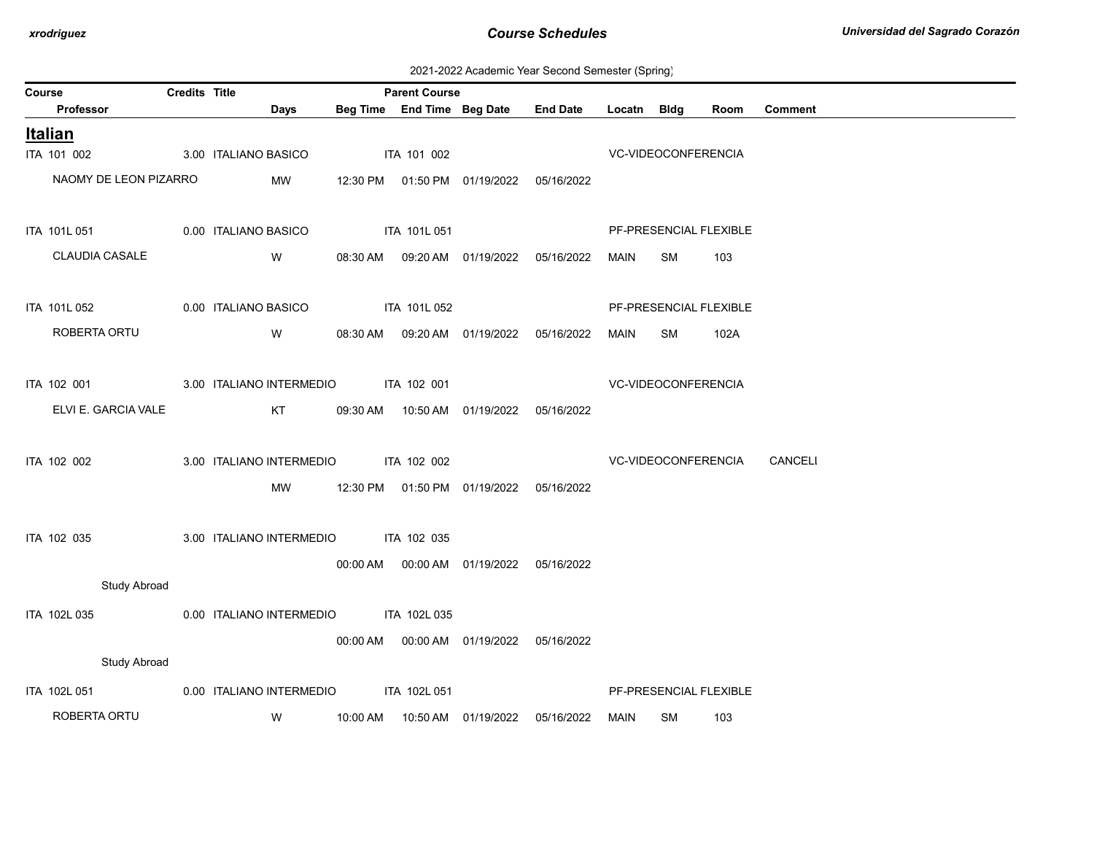2021-2022 Academic Year Second Semester (Spring)

| <b>Credits Title</b><br>Course |                       |  |                      |                          | <b>Parent Course</b> |                            |                                            |                 |             |                     |                        |                |
|--------------------------------|-----------------------|--|----------------------|--------------------------|----------------------|----------------------------|--------------------------------------------|-----------------|-------------|---------------------|------------------------|----------------|
|                                | Professor             |  |                      | <b>Days</b>              |                      | Beg Time End Time Beg Date |                                            | <b>End Date</b> | Locatn Bldg |                     | Room                   | <b>Comment</b> |
|                                | <b>Italian</b>        |  |                      |                          |                      |                            |                                            |                 |             |                     |                        |                |
|                                | ITA 101 002           |  | 3.00 ITALIANO BASICO |                          |                      | ITA 101 002                |                                            |                 |             | VC-VIDEOCONFERENCIA |                        |                |
|                                | NAOMY DE LEON PIZARRO |  |                      | MW                       |                      |                            | 12:30 PM  01:50 PM  01/19/2022  05/16/2022 |                 |             |                     |                        |                |
|                                |                       |  |                      |                          |                      |                            |                                            |                 |             |                     |                        |                |
|                                | ITA 101L 051          |  | 0.00 ITALIANO BASICO |                          |                      | ITA 101L 051               |                                            |                 |             |                     | PF-PRESENCIAL FLEXIBLE |                |
|                                | CLAUDIA CASALE        |  |                      | W                        |                      |                            | 08:30 AM  09:20 AM  01/19/2022             | 05/16/2022      | MAIN        | SM                  | 103                    |                |
|                                |                       |  |                      |                          |                      |                            |                                            |                 |             |                     |                        |                |
|                                | ITA 101L 052          |  | 0.00 ITALIANO BASICO |                          |                      | ITA 101L 052               |                                            |                 |             |                     | PF-PRESENCIAL FLEXIBLE |                |
|                                | ROBERTA ORTU          |  |                      | W                        |                      |                            | 08:30 AM  09:20 AM  01/19/2022             | 05/16/2022      | MAIN        | SM                  | 102A                   |                |
|                                |                       |  |                      |                          |                      |                            |                                            |                 |             |                     |                        |                |
|                                | ITA 102 001           |  |                      | 3.00 ITALIANO INTERMEDIO |                      | ITA 102 001                |                                            |                 |             | VC-VIDEOCONFERENCIA |                        |                |
|                                | ELVI E. GARCIA VALE   |  |                      | KT                       | 09:30 AM             |                            | 10:50 AM  01/19/2022  05/16/2022           |                 |             |                     |                        |                |
|                                |                       |  |                      |                          |                      |                            |                                            |                 |             |                     |                        |                |
|                                | ITA 102 002           |  |                      | 3.00 ITALIANO INTERMEDIO |                      | ITA 102 002                |                                            |                 |             | VC-VIDEOCONFERENCIA |                        | CANCELI        |
|                                |                       |  |                      | MW                       |                      |                            | 12:30 PM  01:50 PM  01/19/2022  05/16/2022 |                 |             |                     |                        |                |
|                                |                       |  |                      |                          |                      |                            |                                            |                 |             |                     |                        |                |
|                                | ITA 102 035           |  |                      | 3.00 ITALIANO INTERMEDIO |                      | ITA 102 035                |                                            |                 |             |                     |                        |                |
|                                |                       |  |                      |                          |                      |                            | 00:00 AM  00:00 AM  01/19/2022  05/16/2022 |                 |             |                     |                        |                |
|                                | <b>Study Abroad</b>   |  |                      |                          |                      |                            |                                            |                 |             |                     |                        |                |
|                                | ITA 102L 035          |  |                      | 0.00 ITALIANO INTERMEDIO |                      | ITA 102L 035               |                                            |                 |             |                     |                        |                |
|                                |                       |  |                      |                          |                      |                            | 00:00 AM   00:00 AM   01/19/2022           | 05/16/2022      |             |                     |                        |                |
|                                | <b>Study Abroad</b>   |  |                      |                          |                      |                            |                                            |                 |             |                     |                        |                |
|                                | ITA 102L 051          |  |                      | 0.00 ITALIANO INTERMEDIO |                      | ITA 102L 051               |                                            |                 |             |                     | PF-PRESENCIAL FLEXIBLE |                |
|                                |                       |  |                      |                          |                      |                            |                                            |                 |             |                     |                        |                |
|                                | ROBERTA ORTU          |  |                      | W                        | 10:00 AM             |                            | 10:50 AM  01/19/2022                       | 05/16/2022      | MAIN        | SM                  | 103                    |                |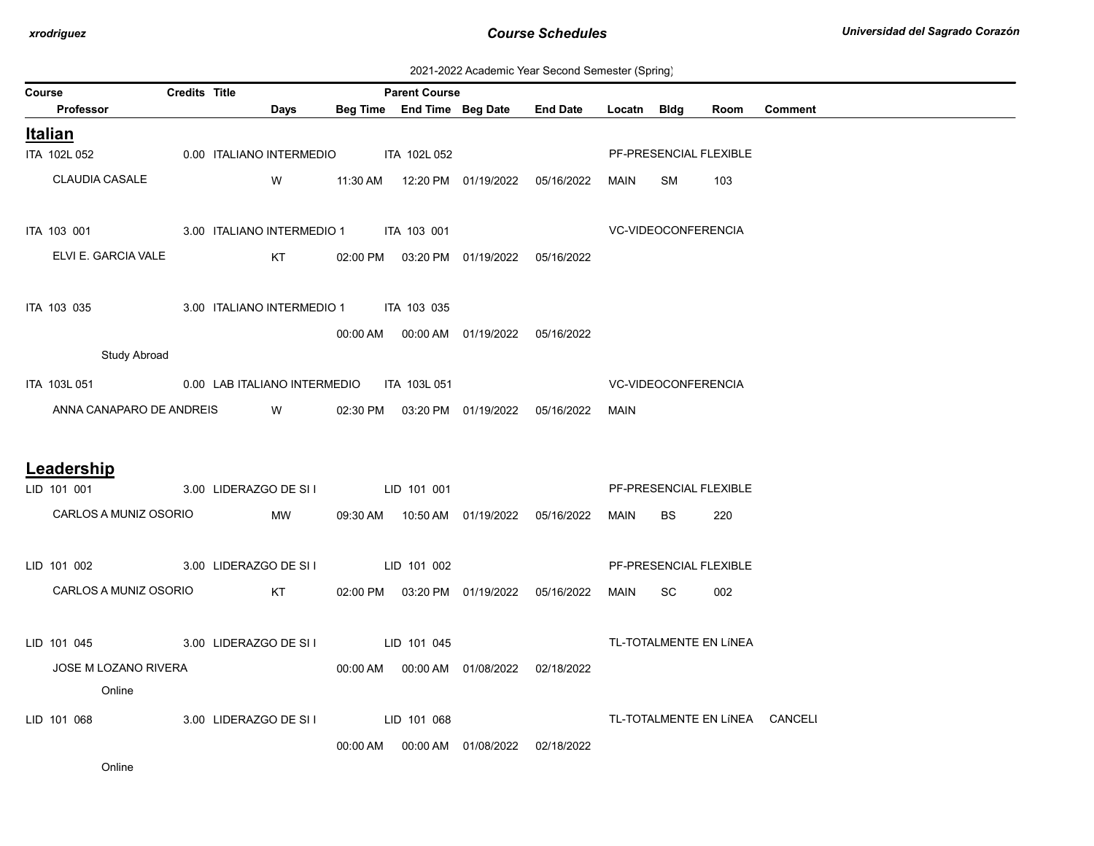2021-2022 Academic Year Second Semester (Spring)

| Course                                                 | <b>Credits Title</b>                   |                                                                                                                                                                                                                                      | <b>Parent Course</b> |                            |                                            |                     |                            |                        |                                |
|--------------------------------------------------------|----------------------------------------|--------------------------------------------------------------------------------------------------------------------------------------------------------------------------------------------------------------------------------------|----------------------|----------------------------|--------------------------------------------|---------------------|----------------------------|------------------------|--------------------------------|
| Professor                                              |                                        | Days                                                                                                                                                                                                                                 |                      | Beg Time End Time Beg Date | <b>End Date</b>                            | Locatn Bldg         |                            | Room                   | Comment                        |
| <b>Italian</b>                                         |                                        |                                                                                                                                                                                                                                      |                      |                            |                                            |                     |                            |                        |                                |
| ITA 102L 052                                           | 0.00 ITALIANO INTERMEDIO ITA 102L 052  |                                                                                                                                                                                                                                      |                      |                            |                                            |                     |                            | PF-PRESENCIAL FLEXIBLE |                                |
| <b>CLAUDIA CASALE</b>                                  |                                        | <b>W</b>                                                                                                                                                                                                                             |                      |                            | 11:30 AM  12:20 PM  01/19/2022  05/16/2022 | MAIN                | SM                         | 103                    |                                |
|                                                        |                                        |                                                                                                                                                                                                                                      |                      |                            |                                            |                     |                            |                        |                                |
| ITA 103 001 3.00 ITALIANO INTERMEDIO 1 ITA 103 001     |                                        |                                                                                                                                                                                                                                      |                      |                            |                                            | VC-VIDEOCONFERENCIA |                            |                        |                                |
| ELVI E. GARCIA VALE                                    |                                        | KT                                                                                                                                                                                                                                   |                      |                            | 02:00 PM  03:20 PM  01/19/2022  05/16/2022 |                     |                            |                        |                                |
|                                                        |                                        |                                                                                                                                                                                                                                      |                      |                            |                                            |                     |                            |                        |                                |
| ITA 103 035                                            | 3.00 ITALIANO INTERMEDIO 1 ITA 103 035 |                                                                                                                                                                                                                                      |                      |                            |                                            |                     |                            |                        |                                |
|                                                        |                                        |                                                                                                                                                                                                                                      |                      |                            | 00:00 AM  00:00 AM  01/19/2022  05/16/2022 |                     |                            |                        |                                |
| <b>Study Abroad</b>                                    |                                        |                                                                                                                                                                                                                                      |                      |                            |                                            |                     |                            |                        |                                |
| ITA 103L 051 0.00 LAB ITALIANO INTERMEDIO ITA 103L 051 |                                        |                                                                                                                                                                                                                                      |                      |                            |                                            |                     | <b>VC-VIDEOCONFERENCIA</b> |                        |                                |
| ANNA CANAPARO DE ANDREIS                               |                                        | <b>Single Street Street Street Street Street Street Street Street Street Street Street Street Street Street Street Street Street Street Street Street Street Street Street Street Street Street Street Street Street Street Stre</b> |                      |                            | 02:30 PM  03:20 PM  01/19/2022  05/16/2022 | MAIN                |                            |                        |                                |
|                                                        |                                        |                                                                                                                                                                                                                                      |                      |                            |                                            |                     |                            |                        |                                |
| Leadership                                             |                                        |                                                                                                                                                                                                                                      |                      |                            |                                            |                     |                            |                        |                                |
| LID 101 001                                            | 3.00 LIDERAZGO DE SI I LID 101 001     |                                                                                                                                                                                                                                      |                      |                            |                                            |                     |                            | PF-PRESENCIAL FLEXIBLE |                                |
| CARLOS A MUNIZ OSORIO                                  |                                        | MW                                                                                                                                                                                                                                   |                      |                            | 09:30 AM  10:50 AM  01/19/2022  05/16/2022 | MAIN                | BS.                        | 220                    |                                |
|                                                        |                                        |                                                                                                                                                                                                                                      |                      |                            |                                            |                     |                            |                        |                                |
| LID 101 002                                            | 3.00 LIDERAZGO DE SI I LID 101 002     |                                                                                                                                                                                                                                      |                      |                            |                                            |                     |                            | PF-PRESENCIAL FLEXIBLE |                                |
| CARLOS A MUNIZ OSORIO                                  |                                        | KT                                                                                                                                                                                                                                   |                      |                            | 02:00 PM  03:20 PM  01/19/2022  05/16/2022 | MAIN                | SC                         | 002                    |                                |
|                                                        |                                        |                                                                                                                                                                                                                                      |                      |                            |                                            |                     |                            |                        |                                |
| LID 101 045                                            | 3.00 LIDERAZGO DE SI I LID 101 045     |                                                                                                                                                                                                                                      |                      |                            |                                            |                     |                            | TL-TOTALMENTE EN LÍNEA |                                |
| JOSE M LOZANO RIVERA                                   |                                        |                                                                                                                                                                                                                                      |                      |                            | 00:00 AM  00:00 AM  01/08/2022  02/18/2022 |                     |                            |                        |                                |
| Online                                                 |                                        |                                                                                                                                                                                                                                      |                      |                            |                                            |                     |                            |                        |                                |
| LID 101 068                                            | 3.00 LIDERAZGO DE SI I                 |                                                                                                                                                                                                                                      | LID 101 068          |                            |                                            |                     |                            |                        | TL-TOTALMENTE EN LÍNEA CANCELI |
|                                                        |                                        |                                                                                                                                                                                                                                      |                      |                            | 00:00 AM  00:00 AM  01/08/2022  02/18/2022 |                     |                            |                        |                                |
| Online                                                 |                                        |                                                                                                                                                                                                                                      |                      |                            |                                            |                     |                            |                        |                                |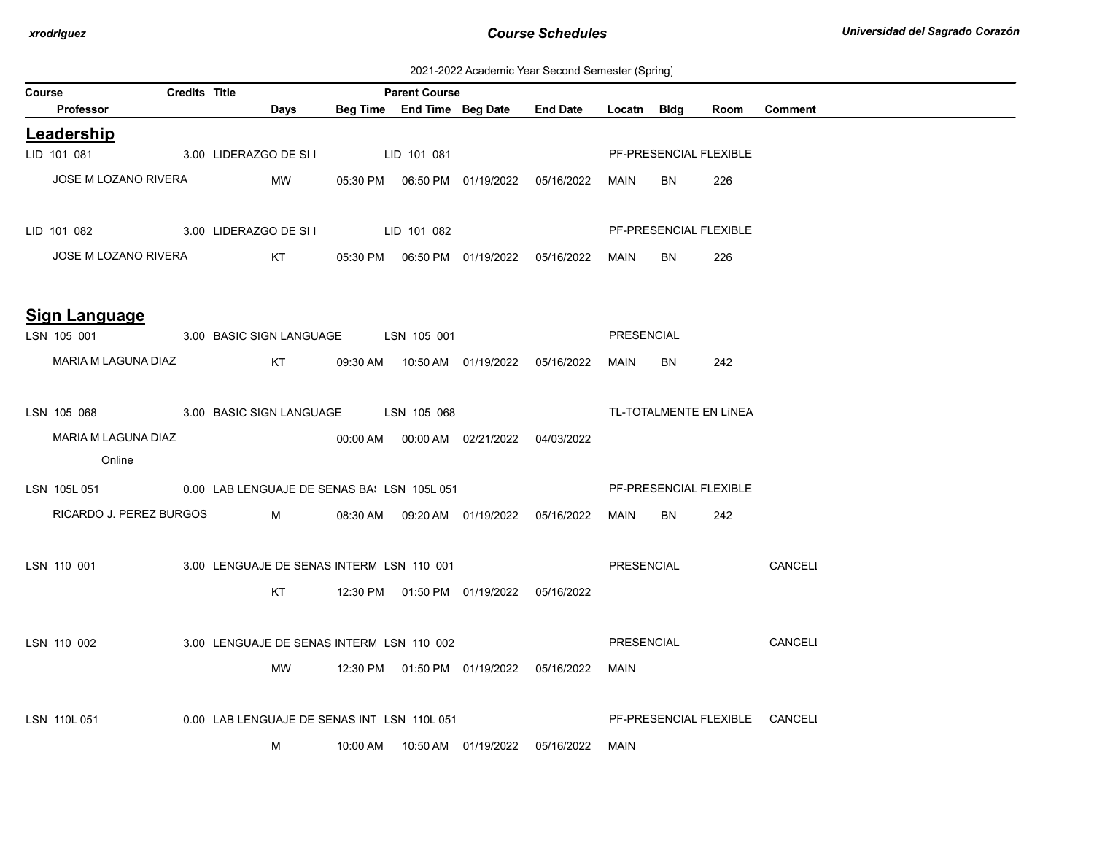2021-2022 Academic Year Second Semester (Spring)

| Course |                                                         | <b>Credits Title</b> |                                             |          | <b>Parent Course</b> |                                            |                                            |                   |             |                        |                                |
|--------|---------------------------------------------------------|----------------------|---------------------------------------------|----------|----------------------|--------------------------------------------|--------------------------------------------|-------------------|-------------|------------------------|--------------------------------|
|        | Professor                                               |                      | Days                                        |          |                      | Beg Time End Time Beg Date                 | <b>End Date</b>                            | Locatn            | <b>Bldg</b> | Room                   | <b>Comment</b>                 |
|        | Leadership                                              |                      |                                             |          |                      |                                            |                                            |                   |             |                        |                                |
|        | LID 101 081                                             |                      | 3.00 LIDERAZGO DE SI I                      |          | LID 101 081          |                                            |                                            |                   |             | PF-PRESENCIAL FLEXIBLE |                                |
|        | JOSE M LOZANO RIVERA                                    |                      | MW                                          |          |                      |                                            |                                            | MAIN              | BN.         | 226                    |                                |
|        | LID 101 082                                             |                      | 3.00 LIDERAZGO DE SI I LID 101 082          |          |                      |                                            |                                            |                   |             | PF-PRESENCIAL FLEXIBLE |                                |
|        | JOSE M LOZANO RIVERA                                    |                      | KT                                          |          |                      |                                            |                                            | MAIN              | BN          | 226                    |                                |
|        | Sign Language                                           |                      |                                             |          |                      |                                            |                                            |                   |             |                        |                                |
|        | LSN 105 001                                             |                      | 3.00 BASIC SIGN LANGUAGE                    |          | LSN 105 001          |                                            |                                            | PRESENCIAL        |             |                        |                                |
|        | MARIA M LAGUNA DIAZ                                     |                      | KT                                          |          |                      | 09:30 AM  10:50 AM  01/19/2022  05/16/2022 |                                            | MAIN              | BN          | 242                    |                                |
|        | LSN 105 068                                             |                      | 3.00 BASIC SIGN LANGUAGE LSN 105 068        |          |                      |                                            |                                            |                   |             | TL-TOTALMENTE EN LÍNEA |                                |
|        | MARIA M LAGUNA DIAZ                                     |                      |                                             |          |                      | 00:00 AM  00:00 AM  02/21/2022  04/03/2022 |                                            |                   |             |                        |                                |
|        | Online                                                  |                      |                                             |          |                      |                                            |                                            |                   |             |                        |                                |
|        | LSN 105L 051 0.00 LAB LENGUAJE DE SENAS BAILSN 105L 051 |                      |                                             |          |                      |                                            |                                            |                   |             | PF-PRESENCIAL FLEXIBLE |                                |
|        | RICARDO J. PEREZ BURGOS                                 |                      | M                                           |          |                      |                                            | 08:30 AM  09:20 AM  01/19/2022  05/16/2022 | MAIN              | BN          | 242                    |                                |
|        | LSN 110 001                                             |                      | 3.00 LENGUAJE DE SENAS INTERN LSN 110 001   |          |                      |                                            |                                            | PRESENCIAL        |             |                        | CANCELI                        |
|        |                                                         |                      | KT.                                         |          |                      | 12:30 PM  01:50 PM  01/19/2022  05/16/2022 |                                            |                   |             |                        |                                |
|        | LSN 110 002                                             |                      | 3.00 LENGUAJE DE SENAS INTERN LSN 110 002   |          |                      |                                            |                                            | <b>PRESENCIAL</b> |             |                        | CANCELI                        |
|        |                                                         |                      | MW                                          |          |                      | 12:30 PM  01:50 PM  01/19/2022  05/16/2022 |                                            | MAIN              |             |                        |                                |
|        | LSN 110L051                                             |                      | 0.00 LAB LENGUAJE DE SENAS INT LSN 110L 051 |          |                      |                                            |                                            |                   |             |                        | PF-PRESENCIAL FLEXIBLE CANCELI |
|        |                                                         |                      | M                                           | 10:00 AM |                      |                                            | 05/16/2022                                 | MAIN              |             |                        |                                |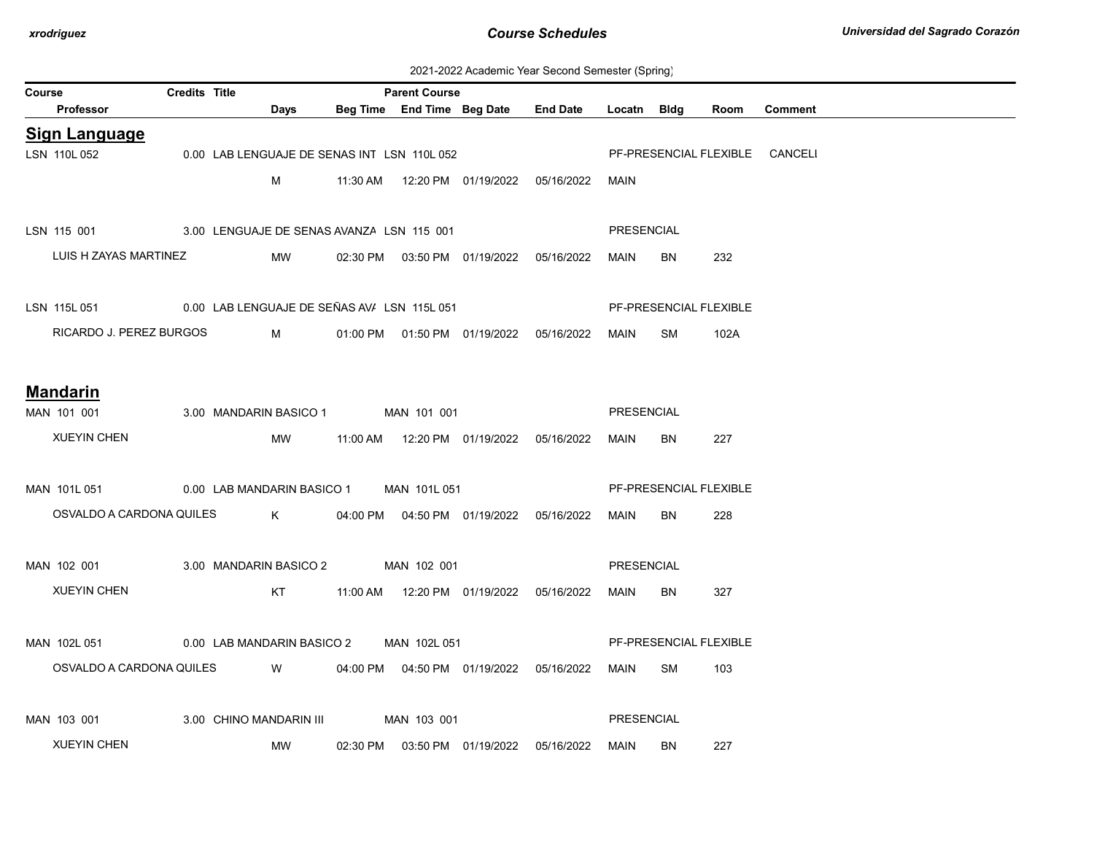| 2021-2022 Academic Year Second Semester (Spring) |  |  |  |  |  |
|--------------------------------------------------|--|--|--|--|--|
|--------------------------------------------------|--|--|--|--|--|

| Course               | Credits Title                                           |                            | <b>Parent Course</b>                        |                                               |                 |             |           |                        |                                |
|----------------------|---------------------------------------------------------|----------------------------|---------------------------------------------|-----------------------------------------------|-----------------|-------------|-----------|------------------------|--------------------------------|
| Professor            |                                                         | Days                       |                                             | Beg Time End Time Beg Date                    | <b>End Date</b> | Locatn Bldg |           | Room                   | <b>Comment</b>                 |
| <b>Sign Language</b> |                                                         |                            |                                             |                                               |                 |             |           |                        |                                |
| LSN 110L 052         |                                                         |                            | 0.00 LAB LENGUAJE DE SENAS INT LSN 110L 052 |                                               |                 |             |           |                        | PF-PRESENCIAL FLEXIBLE CANCELI |
|                      |                                                         | M                          |                                             | 11:30 AM  12:20 PM  01/19/2022  05/16/2022    |                 | MAIN        |           |                        |                                |
|                      |                                                         |                            |                                             |                                               |                 |             |           |                        |                                |
|                      | LSN 115 001 3.00 LENGUAJE DE SENAS AVANZA LSN 115 001   |                            |                                             |                                               |                 | PRESENCIAL  |           |                        |                                |
|                      | LUIS H ZAYAS MARTINEZ                                   | MW                         |                                             | 02:30 PM  03:50 PM  01/19/2022  05/16/2022    |                 | MAIN        | BN        | 232                    |                                |
|                      |                                                         |                            |                                             |                                               |                 |             |           |                        |                                |
|                      | LSN 115L 051 000 LAB LENGUAJE DE SEÑAS AV/ LSN 115L 051 |                            |                                             |                                               |                 |             |           | PF-PRESENCIAL FLEXIBLE |                                |
|                      | RICARDO J. PEREZ BURGOS                                 | $M \sim 1$                 |                                             | 01:00 PM  01:50 PM  01/19/2022  05/16/2022    |                 | MAIN        | SM        | 102A                   |                                |
|                      |                                                         |                            |                                             |                                               |                 |             |           |                        |                                |
|                      |                                                         |                            |                                             |                                               |                 |             |           |                        |                                |
| <b>Mandarin</b>      |                                                         |                            |                                             |                                               |                 |             |           |                        |                                |
| MAN 101 001          |                                                         |                            | 3.00 MANDARIN BASICO 1 MAN 101 001          |                                               |                 | PRESENCIAL  |           |                        |                                |
| <b>XUEYIN CHEN</b>   |                                                         | MW                         |                                             |                                               |                 | MAIN        | <b>BN</b> | 227                    |                                |
|                      |                                                         |                            |                                             |                                               |                 |             |           |                        |                                |
| MAN 101L 051         | 0.00 LAB MANDARIN BASICO 1                              |                            | MAN 101L 051                                |                                               |                 |             |           | PF-PRESENCIAL FLEXIBLE |                                |
|                      | OSVALDO A CARDONA QUILES                                | $K$ and $K$                |                                             | 04:00 PM   04:50 PM   01/19/2022   05/16/2022 |                 | MAIN        | BN.       | 228                    |                                |
|                      |                                                         |                            |                                             |                                               |                 |             |           |                        |                                |
| MAN 102 001          |                                                         |                            | 3.00 MANDARIN BASICO 2 MAN 102 001          |                                               |                 | PRESENCIAL  |           |                        |                                |
| <b>XUEYIN CHEN</b>   |                                                         | KT.                        |                                             |                                               |                 | MAIN        | <b>BN</b> | 327                    |                                |
|                      |                                                         |                            |                                             |                                               |                 |             |           |                        |                                |
| MAN 102L 051         |                                                         | 0.00 LAB MANDARIN BASICO 2 | MAN 102L 051                                |                                               |                 |             |           | PF-PRESENCIAL FLEXIBLE |                                |
|                      |                                                         |                            |                                             |                                               |                 |             |           |                        |                                |
|                      | OSVALDO A CARDONA QUILES                                | <b>W</b>                   |                                             | 04:00 PM  04:50 PM  01/19/2022  05/16/2022    |                 | MAIN SM     |           | 103                    |                                |
|                      |                                                         |                            |                                             |                                               |                 |             |           |                        |                                |
| MAN 103 001          |                                                         | 3.00 CHINO MANDARIN III    | MAN 103 001                                 |                                               |                 | PRESENCIAL  |           |                        |                                |
| <b>XUEYIN CHEN</b>   |                                                         | MW                         |                                             | 02:30 PM  03:50 PM  01/19/2022                | 05/16/2022      | MAIN        | BN        | 227                    |                                |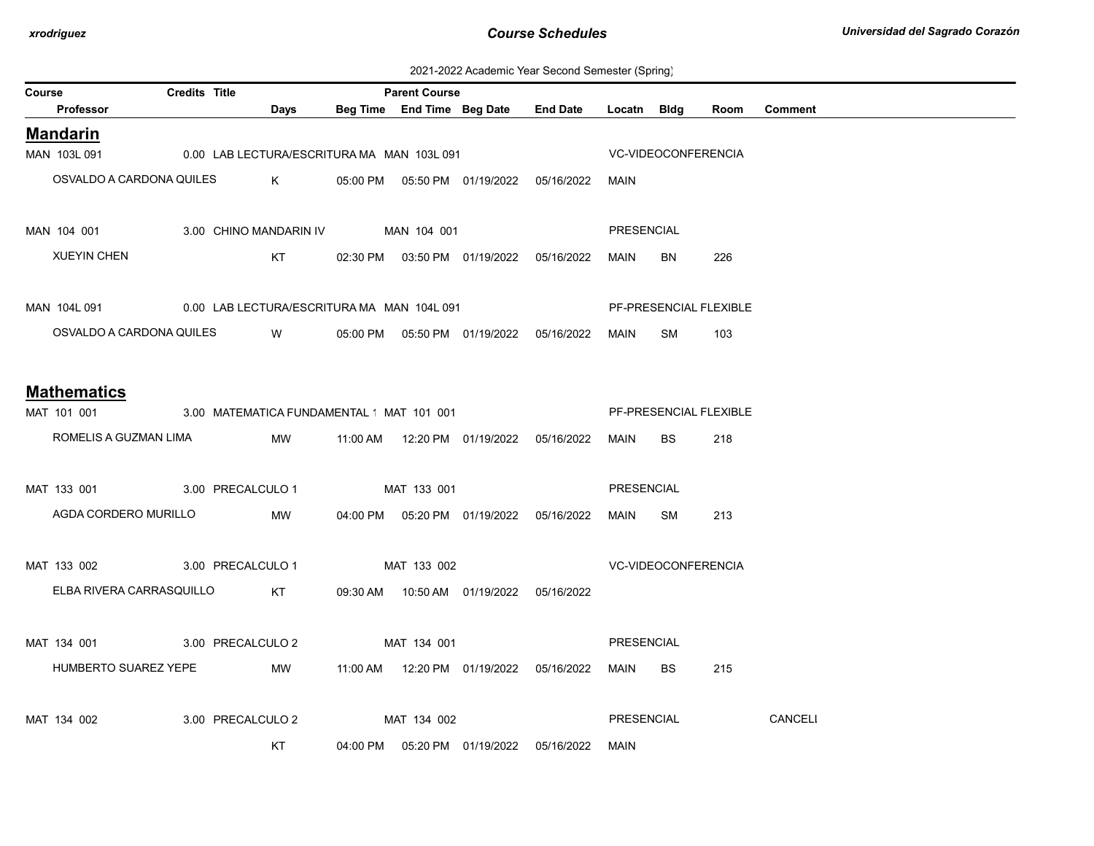2021-2022 Academic Year Second Semester (Spring)

| Course |                                                         | <b>Credits Title</b> |                                            |             | <b>Parent Course</b> |                                            |                                            |             |                            |                        |                |
|--------|---------------------------------------------------------|----------------------|--------------------------------------------|-------------|----------------------|--------------------------------------------|--------------------------------------------|-------------|----------------------------|------------------------|----------------|
|        | <b>Professor</b>                                        |                      | Days                                       |             |                      |                                            | Beg Time End Time Beg Date End Date        | Locatn Bldg |                            | Room                   | <b>Comment</b> |
|        | <b>Mandarin</b>                                         |                      |                                            |             |                      |                                            |                                            |             |                            |                        |                |
|        | MAN 103L 091                                            |                      | 0.00 LAB LECTURA/ESCRITURA MA MAN 103L 091 |             |                      |                                            |                                            |             | <b>VC-VIDEOCONFERENCIA</b> |                        |                |
|        |                                                         |                      | OSVALDO A CARDONA QUILES K                 |             |                      |                                            | 05:00 PM  05:50 PM  01/19/2022  05/16/2022 | MAIN        |                            |                        |                |
|        |                                                         |                      |                                            |             |                      |                                            |                                            |             |                            |                        |                |
|        | MAN 104 001 3.00 CHINO MANDARIN IV MAN 104 001          |                      |                                            |             |                      |                                            |                                            | PRESENCIAL  |                            |                        |                |
|        | <b>XUEYIN CHEN</b>                                      |                      | KT                                         |             |                      |                                            | 02:30 PM  03:50 PM  01/19/2022  05/16/2022 | MAIN        | BN                         | 226                    |                |
|        |                                                         |                      |                                            |             |                      |                                            |                                            |             |                            |                        |                |
|        | MAN 104L 091 0.00 LAB LECTURA/ESCRITURA MA MAN 104L 091 |                      |                                            |             |                      |                                            |                                            |             |                            | PF-PRESENCIAL FLEXIBLE |                |
|        |                                                         |                      | OSVALDO A CARDONA QUILES W                 |             |                      |                                            | 05:00 PM  05:50 PM  01/19/2022  05/16/2022 | MAIN        | SM                         | 103                    |                |
|        |                                                         |                      |                                            |             |                      |                                            |                                            |             |                            |                        |                |
|        | <b>Mathematics</b>                                      |                      |                                            |             |                      |                                            |                                            |             |                            |                        |                |
|        | MAT 101 001 3.00 MATEMATICA FUNDAMENTAL 'MAT 101 001    |                      |                                            |             |                      |                                            |                                            |             |                            | PF-PRESENCIAL FLEXIBLE |                |
|        | ROMELIS A GUZMAN LIMA                                   |                      | MW                                         |             |                      |                                            | 11:00 AM  12:20 PM  01/19/2022  05/16/2022 | MAIN        | BS                         | 218                    |                |
|        |                                                         |                      |                                            |             |                      |                                            |                                            |             |                            |                        |                |
|        | MAT 133 001 3.00 PRECALCULO 1                           |                      |                                            |             | MAT 133 001          |                                            |                                            | PRESENCIAL  |                            |                        |                |
|        | AGDA CORDERO MURILLO MW                                 |                      |                                            |             |                      |                                            | 04:00 PM  05:20 PM  01/19/2022  05/16/2022 | MAIN SM     |                            | 213                    |                |
|        |                                                         |                      |                                            |             |                      |                                            |                                            |             |                            |                        |                |
|        | MAT 133 002                                             |                      | 3.00 PRECALCULO 1                          |             | MAT 133 002          |                                            |                                            |             | VC-VIDEOCONFERENCIA        |                        |                |
|        | ELBA RIVERA CARRASQUILLO                                |                      | KT                                         |             |                      | 09:30 AM  10:50 AM  01/19/2022  05/16/2022 |                                            |             |                            |                        |                |
|        |                                                         |                      |                                            |             |                      |                                            |                                            |             |                            |                        |                |
|        | MAT 134 001 3.00 PRECALCULO 2                           |                      |                                            |             | MAT 134 001          |                                            |                                            | PRESENCIAL  |                            |                        |                |
|        | HUMBERTO SUAREZ YEPE                                    |                      | MW                                         |             |                      |                                            |                                            | MAIN        | BS                         | 215                    |                |
|        |                                                         |                      |                                            |             |                      |                                            |                                            |             |                            |                        |                |
|        | MAT 134 002                                             |                      | 3.00 PRECALCULO 2                          | MAT 134 002 |                      |                                            |                                            | PRESENCIAL  |                            |                        | CANCELI        |
|        |                                                         |                      |                                            |             |                      |                                            |                                            |             |                            |                        |                |
|        |                                                         |                      | KT.                                        |             |                      |                                            | 04:00 PM  05:20 PM  01/19/2022  05/16/2022 | MAIN        |                            |                        |                |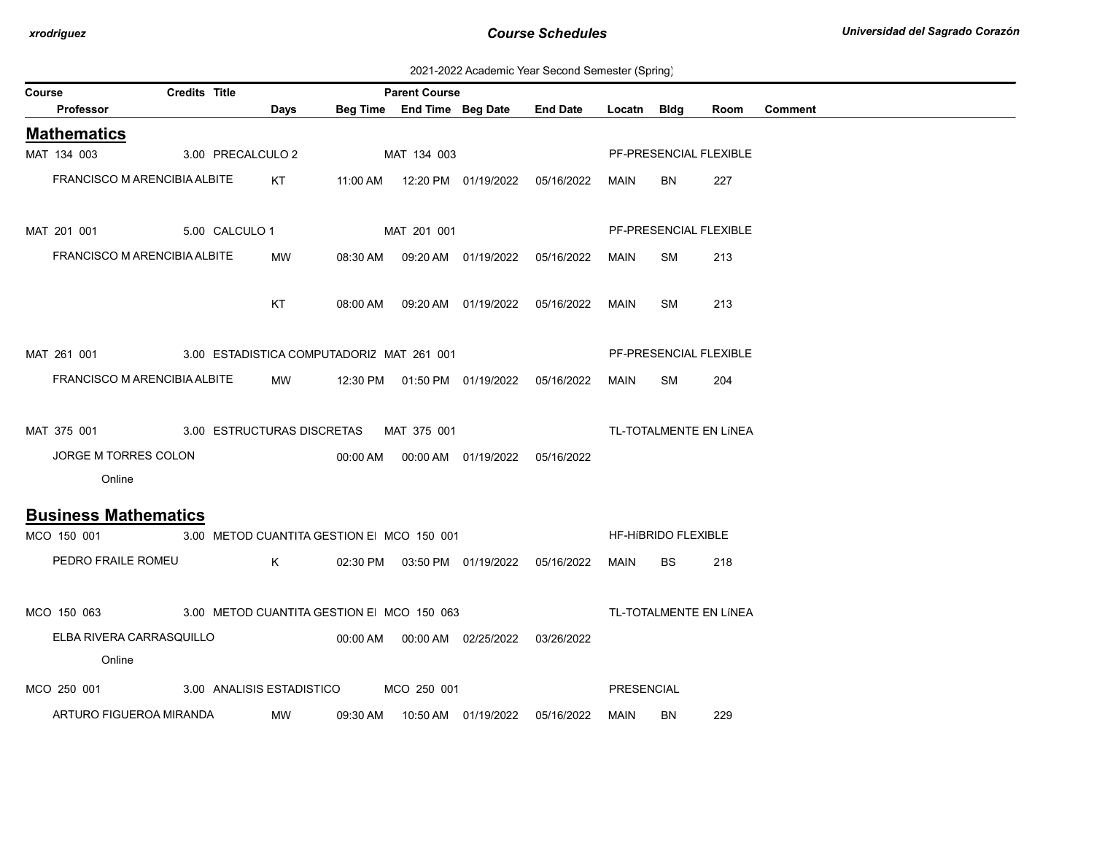2021-2022 Academic Year Second Semester (Spring)

| Course |                                                       | <b>Credits Title</b>                      |             | <b>Parent Course</b>                       |             |                                            |                                            |             |                            |                        |                |
|--------|-------------------------------------------------------|-------------------------------------------|-------------|--------------------------------------------|-------------|--------------------------------------------|--------------------------------------------|-------------|----------------------------|------------------------|----------------|
|        | Professor                                             |                                           | <b>Days</b> |                                            |             |                                            | Beg Time End Time Beg Date End Date        | Locatn Bldg |                            | Room                   | <b>Comment</b> |
|        | <b>Mathematics</b>                                    |                                           |             |                                            |             |                                            |                                            |             |                            |                        |                |
|        | MAT 134 003                                           | 3.00 PRECALCULO 2                         |             |                                            | MAT 134 003 |                                            |                                            |             |                            | PF-PRESENCIAL FLEXIBLE |                |
|        | FRANCISCO M ARENCIBIA ALBITE KT                       |                                           |             |                                            |             |                                            |                                            | MAIN        | BN                         | 227                    |                |
|        | MAT 201 001                                           | 5.00 CALCULO 1                            |             |                                            | MAT 201 001 |                                            |                                            |             |                            | PF-PRESENCIAL FLEXIBLE |                |
|        | FRANCISCO M ARENCIBIA ALBITE                          |                                           | MW          |                                            |             | 08:30 AM  09:20 AM  01/19/2022  05/16/2022 |                                            | MAIN        | SM                         | 213                    |                |
|        |                                                       |                                           | KT          |                                            |             | 08:00 AM  09:20 AM  01/19/2022  05/16/2022 |                                            | <b>MAIN</b> | <b>SM</b>                  | 213                    |                |
|        | MAT 261 001                                           | 3.00 ESTADISTICA COMPUTADORIZ MAT 261 001 |             |                                            |             |                                            |                                            |             |                            | PF-PRESENCIAL FLEXIBLE |                |
|        | FRANCISCO M ARENCIBIA ALBITE                          |                                           |             | MW 12:30 PM 01:50 PM 01/19/2022 05/16/2022 |             |                                            |                                            | MAIN        | SM                         | 204                    |                |
|        | MAT 375 001                                           | 3.00 ESTRUCTURAS DISCRETAS MAT 375 001    |             |                                            |             |                                            |                                            |             |                            | TL-TOTALMENTE EN LÍNEA |                |
|        | JORGE M TORRES COLON<br>Online                        |                                           |             |                                            |             |                                            |                                            |             |                            |                        |                |
|        | <b>Business Mathematics</b>                           |                                           |             |                                            |             |                                            |                                            |             |                            |                        |                |
|        | MCO 150 001                                           | 3.00 METOD CUANTITA GESTION E MCO 150 001 |             |                                            |             |                                            |                                            |             | <b>HF-HIBRIDO FLEXIBLE</b> |                        |                |
|        | PEDRO FRAILE ROMEU K                                  |                                           |             |                                            |             |                                            | 02:30 PM  03:50 PM  01/19/2022  05/16/2022 | MAIN        | <b>BS</b>                  | 218                    |                |
|        | MCO 150 063 3.00 METOD CUANTITA GESTION E MCO 150 063 |                                           |             |                                            |             |                                            |                                            |             |                            | TL-TOTALMENTE EN LÍNEA |                |
|        | ELBA RIVERA CARRASQUILLO                              |                                           |             |                                            |             |                                            | 03/26/2022                                 |             |                            |                        |                |
|        | Online                                                |                                           |             |                                            |             |                                            |                                            |             |                            |                        |                |
|        | MCO 250 001                                           | 3.00 ANALISIS ESTADISTICO                 |             |                                            | MCO 250 001 |                                            |                                            | PRESENCIAL  |                            |                        |                |
|        | ARTURO FIGUEROA MIRANDA                               |                                           | <b>MW</b>   |                                            |             | 09:30 AM  10:50 AM  01/19/2022  05/16/2022 |                                            | MAIN        | BN                         | 229                    |                |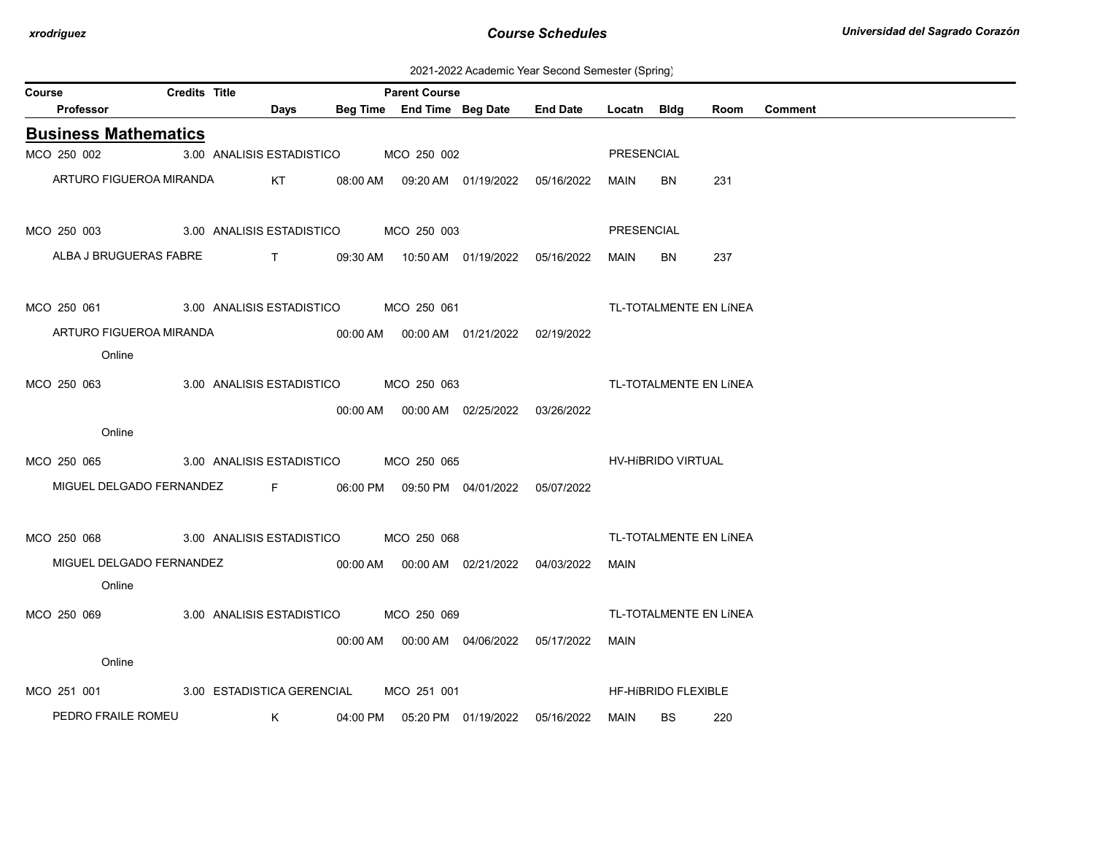2021-2022 Academic Year Second Semester (Spring)

| Course                      | <b>Credits Title</b> |                                                                 |                                                           | <b>Parent Course</b>                  |                                            |                 |             |                            |      |                |
|-----------------------------|----------------------|-----------------------------------------------------------------|-----------------------------------------------------------|---------------------------------------|--------------------------------------------|-----------------|-------------|----------------------------|------|----------------|
| <b>Professor</b>            |                      |                                                                 | Days                                                      |                                       | Beg Time End Time Beg Date                 | <b>End Date</b> | Locatn Bldg |                            | Room | <b>Comment</b> |
| <b>Business Mathematics</b> |                      |                                                                 |                                                           |                                       |                                            |                 |             |                            |      |                |
| MCO 250 002                 |                      |                                                                 |                                                           | 3.00 ANALISIS ESTADISTICO MCO 250 002 |                                            |                 | PRESENCIAL  |                            |      |                |
| ARTURO FIGUEROA MIRANDA     |                      |                                                                 | KT                                                        |                                       | 08:00 AM  09:20 AM  01/19/2022             | 05/16/2022      | MAIN        | <b>BN</b>                  | 231  |                |
| MCO 250 003                 |                      |                                                                 |                                                           | 3.00 ANALISIS ESTADISTICO MCO 250 003 |                                            |                 | PRESENCIAL  |                            |      |                |
| ALBA J BRUGUERAS FABRE      |                      | $\mathbf{T}$ and $\mathbf{T}$ and $\mathbf{T}$ and $\mathbf{T}$ |                                                           |                                       | 09:30 AM  10:50 AM  01/19/2022  05/16/2022 |                 | MAIN        | <b>BN</b>                  | 237  |                |
| MCO 250 061                 |                      |                                                                 |                                                           | 3.00 ANALISIS ESTADISTICO MCO 250 061 |                                            |                 |             | TL-TOTALMENTE EN LÍNEA     |      |                |
| ARTURO FIGUEROA MIRANDA     |                      |                                                                 |                                                           |                                       | 00:00 AM  00:00 AM  01/21/2022  02/19/2022 |                 |             |                            |      |                |
| Online                      |                      |                                                                 |                                                           |                                       |                                            |                 |             |                            |      |                |
| MCO 250 063                 |                      |                                                                 |                                                           | 3.00 ANALISIS ESTADISTICO MCO 250 063 |                                            |                 |             | TL-TOTALMENTE EN LÍNEA     |      |                |
|                             |                      |                                                                 |                                                           |                                       |                                            |                 |             |                            |      |                |
| Online                      |                      |                                                                 |                                                           |                                       |                                            |                 |             |                            |      |                |
| MCO 250 065                 |                      |                                                                 |                                                           | 3.00 ANALISIS ESTADISTICO MCO 250 065 |                                            |                 |             | HV-HIBRIDO VIRTUAL         |      |                |
| MIGUEL DELGADO FERNANDEZ    |                      |                                                                 | $\mathbf{F}$ and $\mathbf{F}$ are the set of $\mathbf{F}$ |                                       | 06:00 PM  09:50 PM  04/01/2022  05/07/2022 |                 |             |                            |      |                |
|                             |                      |                                                                 |                                                           |                                       |                                            |                 |             |                            |      |                |
| MCO 250 068                 |                      |                                                                 |                                                           | 3.00 ANALISIS ESTADISTICO MCO 250 068 |                                            |                 |             | TL-TOTALMENTE EN LÍNEA     |      |                |
| MIGUEL DELGADO FERNANDEZ    |                      |                                                                 |                                                           |                                       | 00:00 AM  00:00 AM  02/21/2022             | 04/03/2022      | MAIN        |                            |      |                |
| Online                      |                      |                                                                 |                                                           |                                       |                                            |                 |             |                            |      |                |
| MCO 250 069                 |                      |                                                                 |                                                           | 3.00 ANALISIS ESTADISTICO MCO 250 069 |                                            |                 |             | TL-TOTALMENTE EN LÍNEA     |      |                |
|                             |                      |                                                                 |                                                           |                                       |                                            |                 | MAIN        |                            |      |                |
| Online                      |                      |                                                                 |                                                           |                                       |                                            |                 |             |                            |      |                |
| MCO 251 001                 |                      | 3.00 ESTADISTICA GERENCIAL                                      |                                                           | MCO 251 001                           |                                            |                 |             | <b>HF-HIBRIDO FLEXIBLE</b> |      |                |
| PEDRO FRAILE ROMEU          |                      |                                                                 | $K$ and $K$                                               |                                       | 04:00 PM  05:20 PM  01/19/2022             | 05/16/2022      | MAIN        | <b>BS</b>                  | 220  |                |
|                             |                      |                                                                 |                                                           |                                       |                                            |                 |             |                            |      |                |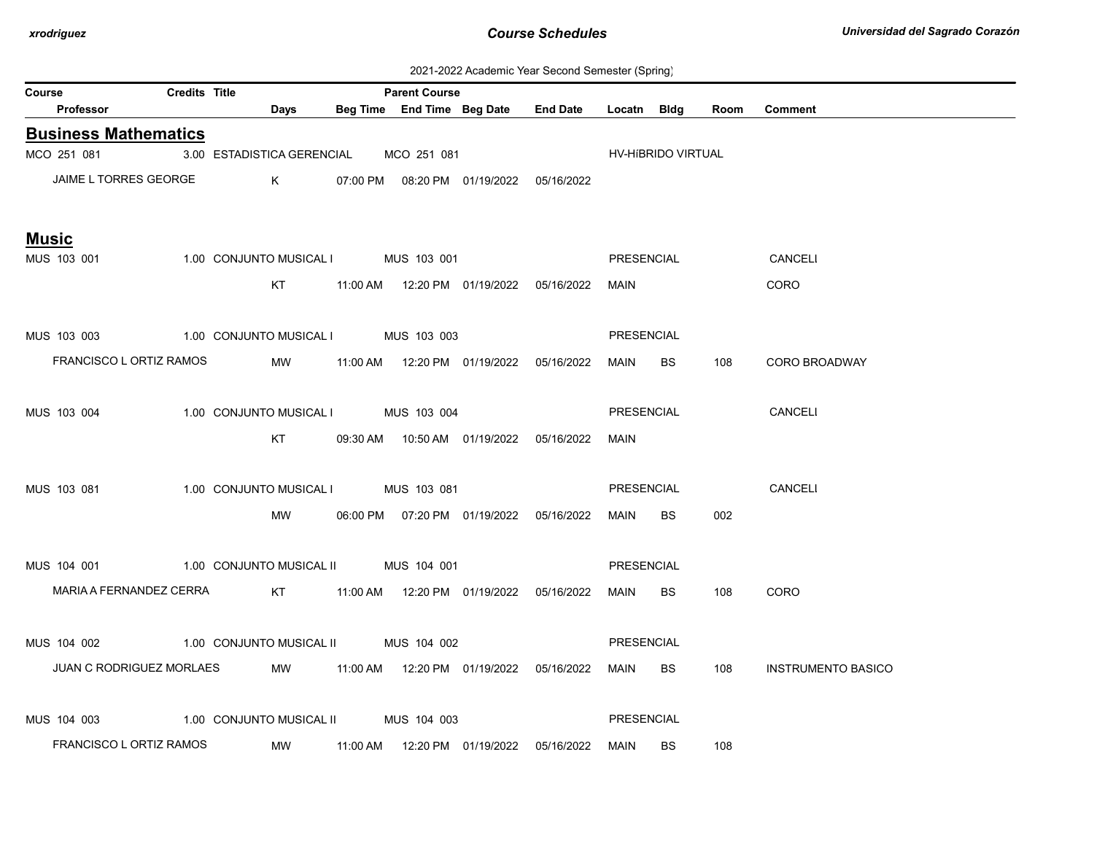| 2021-2022 Academic Year Second Semester (Spring) |  |  |  |
|--------------------------------------------------|--|--|--|
|--------------------------------------------------|--|--|--|

| Course |                                                                    | <b>Credits Title</b> |             |                                        | <b>Parent Course</b> |                                            |                                                 |                   |                    |      |                           |
|--------|--------------------------------------------------------------------|----------------------|-------------|----------------------------------------|----------------------|--------------------------------------------|-------------------------------------------------|-------------------|--------------------|------|---------------------------|
|        | Professor                                                          |                      | <b>Days</b> |                                        |                      |                                            | Beg Time End Time Beg Date End Date Locatn Bldg |                   |                    | Room | <b>Comment</b>            |
|        | <b>Business Mathematics</b>                                        |                      |             |                                        |                      |                                            |                                                 |                   |                    |      |                           |
|        | MCO 251 081                                                        |                      |             | 3.00 ESTADISTICA GERENCIAL MCO 251 081 |                      |                                            |                                                 |                   | HV-HIBRIDO VIRTUAL |      |                           |
|        | JAIME L TORRES GEORGE                                              |                      |             | $\mathsf K$                            |                      | 07:00 PM  08:20 PM  01/19/2022  05/16/2022 |                                                 |                   |                    |      |                           |
|        | <b>Music</b>                                                       |                      |             |                                        |                      |                                            |                                                 |                   |                    |      |                           |
|        | MUS 103 001                                                        |                      |             | 1.00 CONJUNTO MUSICAL I MUS 103 001    |                      |                                            |                                                 | PRESENCIAL        |                    |      | CANCELI                   |
|        |                                                                    |                      |             | KT                                     |                      |                                            |                                                 | MAIN              |                    |      | <b>CORO</b>               |
|        | MUS 103 003                                                        |                      |             | 1.00 CONJUNTO MUSICAL I MUS 103 003    |                      |                                            |                                                 | PRESENCIAL        |                    |      |                           |
|        | FRANCISCO L ORTIZ RAMOS                                            |                      |             | <b>MW</b>                              |                      |                                            |                                                 | MAIN BS           |                    | 108  | <b>CORO BROADWAY</b>      |
|        | MUS 103 004                                                        |                      |             | 1.00 CONJUNTO MUSICAL I MUS 103 004    |                      |                                            |                                                 | <b>PRESENCIAL</b> |                    |      | <b>CANCELI</b>            |
|        |                                                                    |                      |             | KT                                     |                      | 09:30 AM  10:50 AM  01/19/2022  05/16/2022 |                                                 | MAIN              |                    |      |                           |
|        | MUS 103 081                                                        |                      |             | 1.00 CONJUNTO MUSICAL I MUS 103 081    |                      |                                            |                                                 | PRESENCIAL        |                    |      | CANCELI                   |
|        |                                                                    |                      |             | MW                                     |                      | 06:00 PM  07:20 PM  01/19/2022  05/16/2022 |                                                 | MAIN BS           |                    | 002  |                           |
|        | MUS 104 001                                                        |                      |             | 1.00 CONJUNTO MUSICAL II MUS 104 001   |                      |                                            |                                                 | PRESENCIAL        |                    |      |                           |
|        | MARIA A FERNANDEZ CERRA KT 11:00 AM 12:20 PM 01/19/2022 05/16/2022 |                      |             |                                        |                      |                                            |                                                 | MAIN              | <b>BS</b>          | 108  | CORO                      |
|        | MUS 104 002                                                        |                      |             | 1.00 CONJUNTO MUSICAL II MUS 104 002   |                      |                                            |                                                 | PRESENCIAL        |                    |      |                           |
|        | JUAN C RODRIGUEZ MORLAES                                           |                      |             |                                        |                      | MW 11:00 AM 12:20 PM 01/19/2022 05/16/2022 |                                                 | MAIN              | BS                 | 108  | <b>INSTRUMENTO BASICO</b> |
|        |                                                                    |                      |             |                                        |                      |                                            |                                                 |                   |                    |      |                           |
|        | MUS 104 003 1.00 CONJUNTO MUSICAL II MUS 104 003                   |                      |             |                                        |                      |                                            |                                                 | PRESENCIAL        |                    |      |                           |
|        | FRANCISCO L ORTIZ RAMOS                                            |                      |             | MW                                     |                      | 11:00 AM  12:20 PM  01/19/2022  05/16/2022 |                                                 | MAIN              | BS.                | 108  |                           |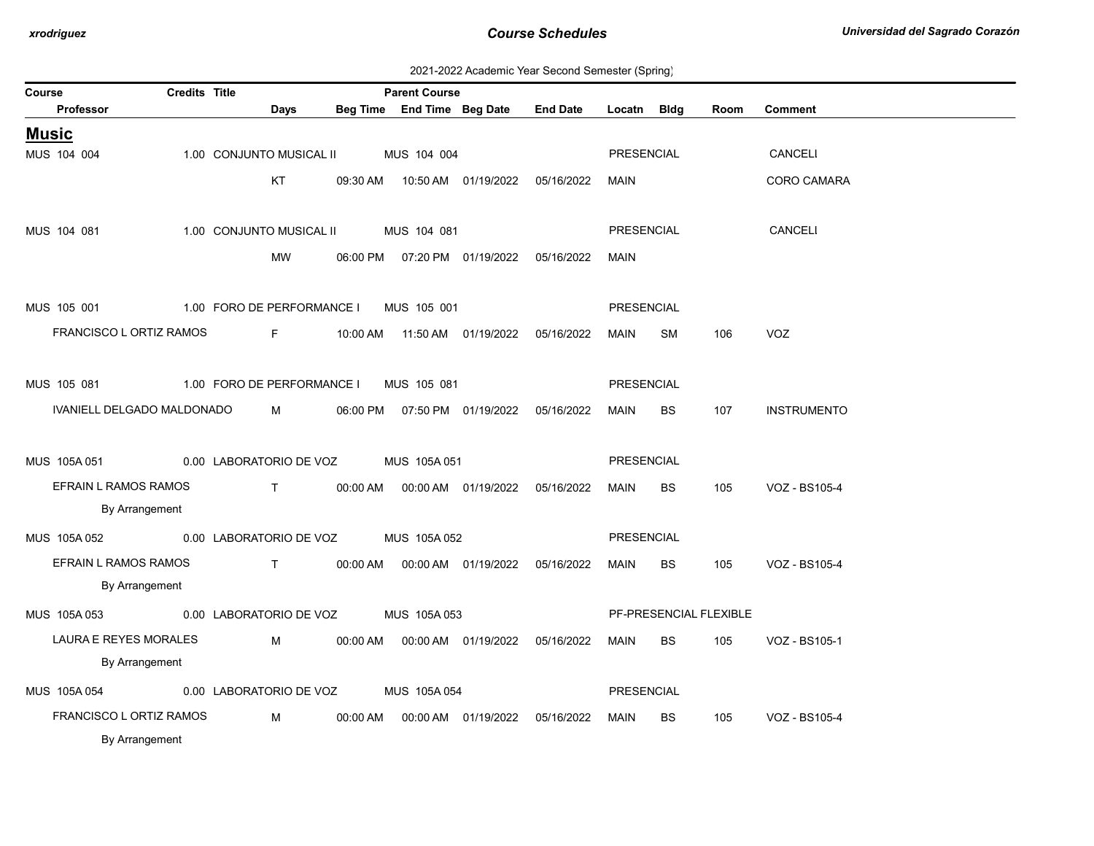| 2021-2022 Academic Year Second Semester (Spring) |  |  |  |  |  |
|--------------------------------------------------|--|--|--|--|--|
|--------------------------------------------------|--|--|--|--|--|

| Course                               | <b>Credits Title</b> |                                                                                                                                                                                                                                                                                                                               | <b>Parent Course</b> |                                            |                 |                   |           |                        |                    |
|--------------------------------------|----------------------|-------------------------------------------------------------------------------------------------------------------------------------------------------------------------------------------------------------------------------------------------------------------------------------------------------------------------------|----------------------|--------------------------------------------|-----------------|-------------------|-----------|------------------------|--------------------|
| Professor                            |                      | Days                                                                                                                                                                                                                                                                                                                          |                      | Beg Time End Time Beg Date                 | <b>End Date</b> | Locatn Bldg       |           | Room                   | <b>Comment</b>     |
| <b>Music</b>                         |                      |                                                                                                                                                                                                                                                                                                                               |                      |                                            |                 |                   |           |                        |                    |
| MUS 104 004                          |                      | 1.00 CONJUNTO MUSICAL II                                                                                                                                                                                                                                                                                                      | MUS 104 004          |                                            |                 | PRESENCIAL        |           |                        | CANCELI            |
|                                      |                      | KT                                                                                                                                                                                                                                                                                                                            |                      | 09:30 AM  10:50 AM  01/19/2022  05/16/2022 |                 | MAIN              |           |                        | <b>CORO CAMARA</b> |
|                                      |                      |                                                                                                                                                                                                                                                                                                                               |                      |                                            |                 |                   |           |                        |                    |
| MUS 104 081                          |                      | 1.00 CONJUNTO MUSICAL II                                                                                                                                                                                                                                                                                                      | MUS 104 081          |                                            |                 | <b>PRESENCIAL</b> |           |                        | <b>CANCELI</b>     |
|                                      |                      | MW                                                                                                                                                                                                                                                                                                                            |                      | 06:00 PM  07:20 PM  01/19/2022  05/16/2022 |                 | MAIN              |           |                        |                    |
|                                      |                      |                                                                                                                                                                                                                                                                                                                               |                      |                                            |                 |                   |           |                        |                    |
| MUS 105 001                          |                      | 1.00 FORO DE PERFORMANCE I                                                                                                                                                                                                                                                                                                    | MUS 105 001          |                                            |                 | <b>PRESENCIAL</b> |           |                        |                    |
| FRANCISCO L ORTIZ RAMOS              |                      | Fig. 10                                                                                                                                                                                                                                                                                                                       |                      |                                            | 05/16/2022      | MAIN              | SM        | 106                    | <b>VOZ</b>         |
|                                      |                      |                                                                                                                                                                                                                                                                                                                               |                      |                                            |                 |                   |           |                        |                    |
| MUS 105 081                          |                      | 1.00 FORO DE PERFORMANCE I                                                                                                                                                                                                                                                                                                    | MUS 105 081          |                                            |                 | PRESENCIAL        |           |                        |                    |
| IVANIELL DELGADO MALDONADO           |                      | $M \sim 1$                                                                                                                                                                                                                                                                                                                    |                      | 06:00 PM  07:50 PM  01/19/2022  05/16/2022 |                 | MAIN              | BS        | 107                    | <b>INSTRUMENTO</b> |
|                                      |                      |                                                                                                                                                                                                                                                                                                                               |                      |                                            |                 |                   |           |                        |                    |
| MUS 105A 051                         |                      | 0.00 LABORATORIO DE VOZ                                                                                                                                                                                                                                                                                                       | MUS 105A 051         |                                            |                 | PRESENCIAL        |           |                        |                    |
| EFRAIN L RAMOS RAMOS                 |                      | $\mathbf{T}$                                                                                                                                                                                                                                                                                                                  |                      |                                            |                 | MAIN              | BS        | 105                    | VOZ - BS105-4      |
| By Arrangement                       |                      |                                                                                                                                                                                                                                                                                                                               |                      |                                            |                 |                   |           |                        |                    |
| MUS 105A052                          |                      | 0.00 LABORATORIO DE VOZ                                                                                                                                                                                                                                                                                                       | MUS 105A 052         |                                            |                 | PRESENCIAL        |           |                        |                    |
| EFRAIN L RAMOS RAMOS                 |                      | $\mathbf{T}$ and $\mathbf{T}$ and $\mathbf{T}$ and $\mathbf{T}$ and $\mathbf{T}$ and $\mathbf{T}$ and $\mathbf{T}$ and $\mathbf{T}$ and $\mathbf{T}$ and $\mathbf{T}$ and $\mathbf{T}$ and $\mathbf{T}$ and $\mathbf{T}$ and $\mathbf{T}$ and $\mathbf{T}$ and $\mathbf{T}$ and $\mathbf{T}$ and $\mathbf{T}$ and $\mathbf{T$ |                      | 00:00 AM   00:00 AM   01/19/2022           | 05/16/2022      | <b>MAIN</b>       | BS        | 105                    | VOZ - BS105-4      |
| By Arrangement                       |                      |                                                                                                                                                                                                                                                                                                                               |                      |                                            |                 |                   |           |                        |                    |
| MUS 105A 053 0.00 LABORATORIO DE VOZ |                      |                                                                                                                                                                                                                                                                                                                               | MUS 105A 053         |                                            |                 |                   |           | PF-PRESENCIAL FLEXIBLE |                    |
| LAURA E REYES MORALES                |                      | M                                                                                                                                                                                                                                                                                                                             |                      |                                            |                 | MAIN              | BS.       | 105                    | VOZ - BS105-1      |
| By Arrangement                       |                      |                                                                                                                                                                                                                                                                                                                               |                      |                                            |                 |                   |           |                        |                    |
| MUS 105A 054                         |                      | 0.00 LABORATORIO DE VOZ                                                                                                                                                                                                                                                                                                       | MUS 105A 054         |                                            |                 | PRESENCIAL        |           |                        |                    |
| FRANCISCO L ORTIZ RAMOS              |                      | M                                                                                                                                                                                                                                                                                                                             |                      | 00:00 AM  00:00 AM  01/19/2022  05/16/2022 |                 | <b>MAIN</b>       | <b>BS</b> | 105                    | VOZ - BS105-4      |
| By Arrangement                       |                      |                                                                                                                                                                                                                                                                                                                               |                      |                                            |                 |                   |           |                        |                    |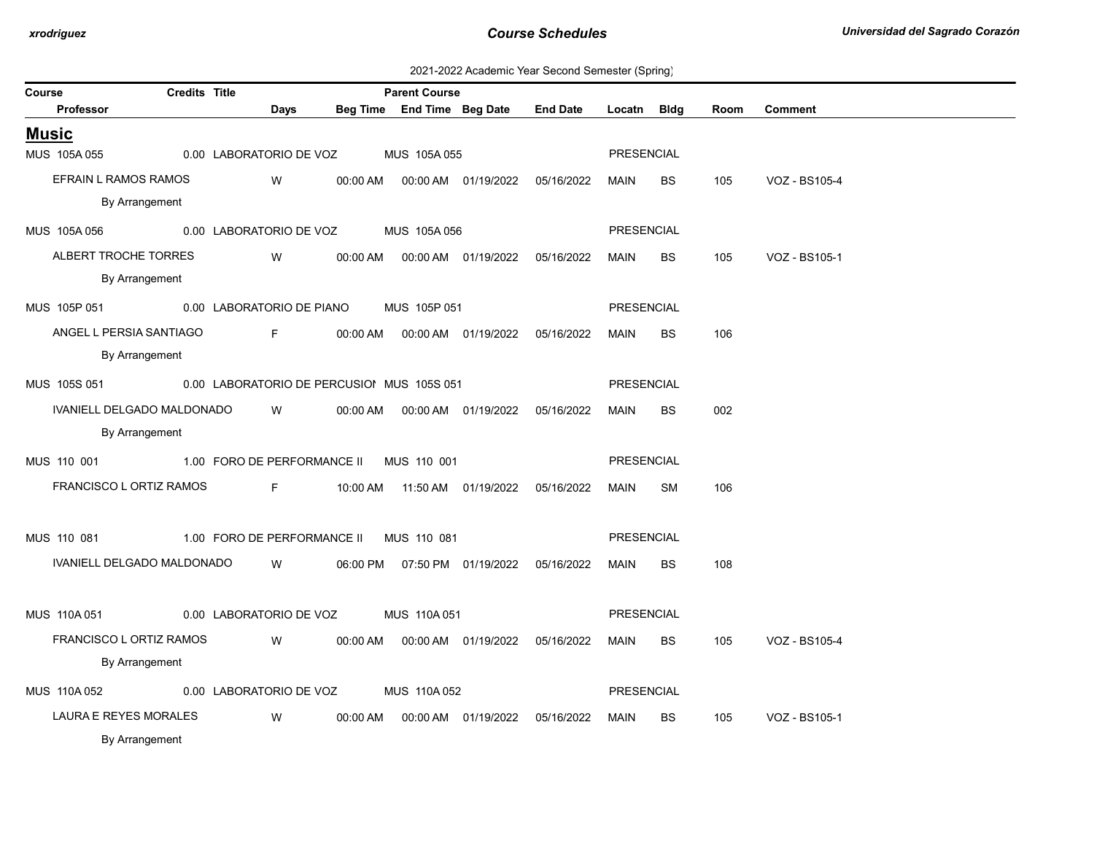2021-2022 Academic Year Second Semester (Spring)

| Course       |                                                         | <b>Credits Title</b> |                       |                             |          | <b>Parent Course</b>                 |                                            |                 |                   |           |      |                |
|--------------|---------------------------------------------------------|----------------------|-----------------------|-----------------------------|----------|--------------------------------------|--------------------------------------------|-----------------|-------------------|-----------|------|----------------|
|              | <b>Professor</b>                                        |                      |                       | Days                        |          |                                      | Beg Time End Time Beg Date                 | <b>End Date</b> | Locatn Bldg       |           | Room | <b>Comment</b> |
| <u>Music</u> |                                                         |                      |                       |                             |          |                                      |                                            |                 |                   |           |      |                |
|              | MUS 105A055                                             |                      |                       |                             |          | 0.00 LABORATORIO DE VOZ MUS 105A 055 |                                            |                 | PRESENCIAL        |           |      |                |
|              | EFRAIN L RAMOS RAMOS                                    |                      |                       | W                           | 00:00 AM |                                      | 00:00 AM  01/19/2022                       | 05/16/2022      | MAIN              | BS        | 105  | VOZ - BS105-4  |
|              | By Arrangement                                          |                      |                       |                             |          |                                      |                                            |                 |                   |           |      |                |
|              | MUS 105A 056                                            |                      |                       |                             |          | 0.00 LABORATORIO DE VOZ MUS 105A 056 |                                            |                 | <b>PRESENCIAL</b> |           |      |                |
|              | ALBERT TROCHE TORRES                                    |                      |                       | W                           |          |                                      |                                            |                 | MAIN              | BS        | 105  | VOZ - BS105-1  |
|              | By Arrangement                                          |                      |                       |                             |          |                                      |                                            |                 |                   |           |      |                |
|              | MUS 105P 051                                            |                      |                       | 0.00 LABORATORIO DE PIANO   |          | MUS 105P 051                         |                                            |                 | <b>PRESENCIAL</b> |           |      |                |
|              | ANGEL L PERSIA SANTIAGO                                 |                      | and the <b>Figure</b> |                             | 00:00 AM |                                      | 00:00 AM  01/19/2022                       | 05/16/2022      | MAIN              | <b>BS</b> | 106  |                |
|              | By Arrangement                                          |                      |                       |                             |          |                                      |                                            |                 |                   |           |      |                |
|              | MUS 105S 051 0.00 LABORATORIO DE PERCUSIOI MUS 105S 051 |                      |                       |                             |          |                                      |                                            |                 | <b>PRESENCIAL</b> |           |      |                |
|              | IVANIELL DELGADO MALDONADO                              |                      |                       | W                           | 00:00 AM |                                      |                                            | 05/16/2022      | MAIN              | <b>BS</b> | 002  |                |
|              | By Arrangement                                          |                      |                       |                             |          |                                      |                                            |                 |                   |           |      |                |
|              | MUS 110 001 1.00 FORO DE PERFORMANCE II MUS 110 001     |                      |                       |                             |          |                                      |                                            |                 | <b>PRESENCIAL</b> |           |      |                |
|              | FRANCISCO L ORTIZ RAMOS                                 |                      |                       |                             |          |                                      |                                            |                 | MAIN              | SM        | 106  |                |
|              |                                                         |                      |                       |                             |          |                                      |                                            |                 |                   |           |      |                |
|              | MUS 110 081                                             |                      |                       | 1.00 FORO DE PERFORMANCE II |          | MUS 110 081                          |                                            |                 | <b>PRESENCIAL</b> |           |      |                |
|              | IVANIELL DELGADO MALDONADO                              |                      |                       | <b>W</b>                    |          |                                      | 06:00 PM  07:50 PM  01/19/2022  05/16/2022 |                 | MAIN              | BS.       | 108  |                |
|              |                                                         |                      |                       |                             |          |                                      |                                            |                 |                   |           |      |                |
|              | MUS 110A 051                                            |                      |                       | 0.00 LABORATORIO DE VOZ     |          | MUS 110A051                          |                                            |                 | <b>PRESENCIAL</b> |           |      |                |
|              | FRANCISCO L ORTIZ RAMOS                                 |                      |                       | W                           |          |                                      | 00:00 AM  00:00 AM  01/19/2022  05/16/2022 |                 | MAIN              | BS        | 105  | VOZ - BS105-4  |
|              | By Arrangement                                          |                      |                       |                             |          |                                      |                                            |                 |                   |           |      |                |
|              | MUS 110A 052                                            |                      |                       | 0.00 LABORATORIO DE VOZ     |          | MUS 110A 052                         |                                            |                 | <b>PRESENCIAL</b> |           |      |                |
|              | LAURA E REYES MORALES                                   |                      |                       | W                           | 00:00 AM |                                      | 00:00 AM  01/19/2022                       | 05/16/2022      | MAIN              | BS        | 105  | VOZ - BS105-1  |
|              | By Arrangement                                          |                      |                       |                             |          |                                      |                                            |                 |                   |           |      |                |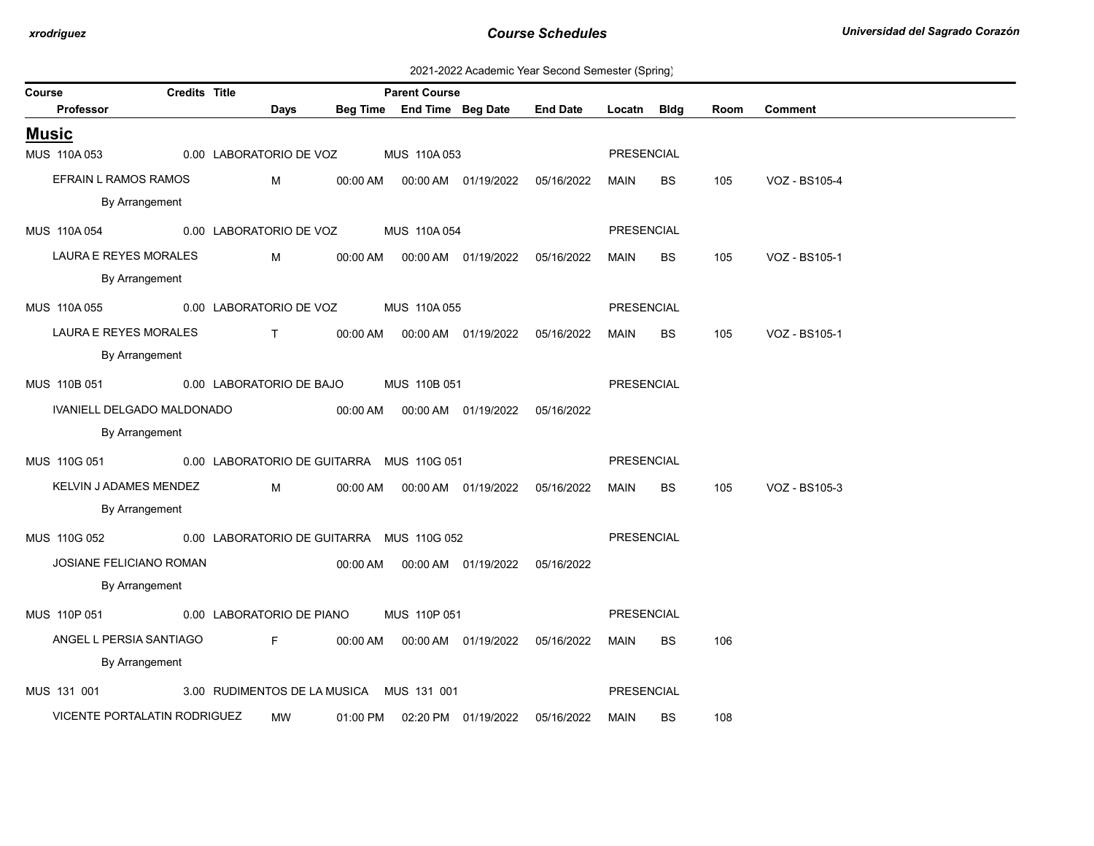| 2021-2022 Academic Year Second Semester (Spring) |  |  |  |
|--------------------------------------------------|--|--|--|
|--------------------------------------------------|--|--|--|

| Course       |                              | <b>Credits Title</b> |                                           |          | <b>Parent Course</b>       |                                            |                 |                   |             |      |                |
|--------------|------------------------------|----------------------|-------------------------------------------|----------|----------------------------|--------------------------------------------|-----------------|-------------------|-------------|------|----------------|
|              | Professor                    |                      | Days                                      |          | Beg Time End Time Beg Date |                                            | <b>End Date</b> | Locatn            | <b>Bldg</b> | Room | <b>Comment</b> |
| <b>Music</b> |                              |                      |                                           |          |                            |                                            |                 |                   |             |      |                |
|              | MUS 110A 053                 |                      | 0.00 LABORATORIO DE VOZ                   |          | MUS 110A 053               |                                            |                 | <b>PRESENCIAL</b> |             |      |                |
|              | EFRAIN L RAMOS RAMOS         |                      | M                                         |          |                            | 00:00 AM  00:00 AM  01/19/2022  05/16/2022 |                 | MAIN              | <b>BS</b>   | 105  | VOZ - BS105-4  |
|              | By Arrangement               |                      |                                           |          |                            |                                            |                 |                   |             |      |                |
|              | MUS 110A 054                 |                      | 0.00 LABORATORIO DE VOZ                   |          | MUS 110A054                |                                            |                 | PRESENCIAL        |             |      |                |
|              | LAURA E REYES MORALES        |                      | M                                         | 00:00 AM |                            | 00:00 AM  01/19/2022                       | 05/16/2022      | MAIN              | BS          | 105  | VOZ - BS105-1  |
|              | By Arrangement               |                      |                                           |          |                            |                                            |                 |                   |             |      |                |
|              | MUS 110A 055                 |                      | 0.00 LABORATORIO DE VOZ                   |          | MUS 110A 055               |                                            |                 | <b>PRESENCIAL</b> |             |      |                |
|              | LAURA E REYES MORALES        |                      | $\mathbf{T}$                              |          |                            |                                            |                 | MAIN              | BS.         | 105  | VOZ - BS105-1  |
|              | By Arrangement               |                      |                                           |          |                            |                                            |                 |                   |             |      |                |
|              | MUS 110B 051                 |                      | 0.00 LABORATORIO DE BAJO                  |          | MUS 110B 051               |                                            |                 | <b>PRESENCIAL</b> |             |      |                |
|              | IVANIELL DELGADO MALDONADO   |                      |                                           | 00:00 AM |                            | 00:00 AM  01/19/2022                       | 05/16/2022      |                   |             |      |                |
|              | By Arrangement               |                      |                                           |          |                            |                                            |                 |                   |             |      |                |
|              | MUS 110G 051                 |                      | 0.00 LABORATORIO DE GUITARRA MUS 110G 051 |          |                            |                                            |                 | PRESENCIAL        |             |      |                |
|              | KELVIN J ADAMES MENDEZ       |                      | M                                         | 00:00 AM |                            | 00:00 AM  01/19/2022  05/16/2022           |                 | MAIN              | BS          | 105  | VOZ - BS105-3  |
|              | By Arrangement               |                      |                                           |          |                            |                                            |                 |                   |             |      |                |
|              | MUS 110G 052                 |                      | 0.00 LABORATORIO DE GUITARRA MUS 110G 052 |          |                            |                                            |                 | PRESENCIAL        |             |      |                |
|              | JOSIANE FELICIANO ROMAN      |                      |                                           |          |                            | 00:00 AM   00:00 AM   01/19/2022           | 05/16/2022      |                   |             |      |                |
|              | By Arrangement               |                      |                                           |          |                            |                                            |                 |                   |             |      |                |
|              |                              |                      |                                           |          |                            |                                            |                 |                   |             |      |                |
|              | MUS 110P 051                 |                      | 0.00 LABORATORIO DE PIANO                 |          | MUS 110P 051               |                                            |                 | PRESENCIAL        |             |      |                |
|              | ANGEL L PERSIA SANTIAGO      |                      | <b>Figure</b>                             | 00:00 AM |                            | 00:00 AM  01/19/2022                       | 05/16/2022      | MAIN              | BS          | 106  |                |
|              | By Arrangement               |                      |                                           |          |                            |                                            |                 |                   |             |      |                |
|              | MUS 131 001                  |                      | 3.00 RUDIMENTOS DE LA MUSICA MUS 131 001  |          |                            |                                            |                 | <b>PRESENCIAL</b> |             |      |                |
|              | VICENTE PORTALATIN RODRIGUEZ |                      | <b>MW</b>                                 | 01:00 PM |                            | 02:20 PM 01/19/2022                        | 05/16/2022      | MAIN              | BS.         | 108  |                |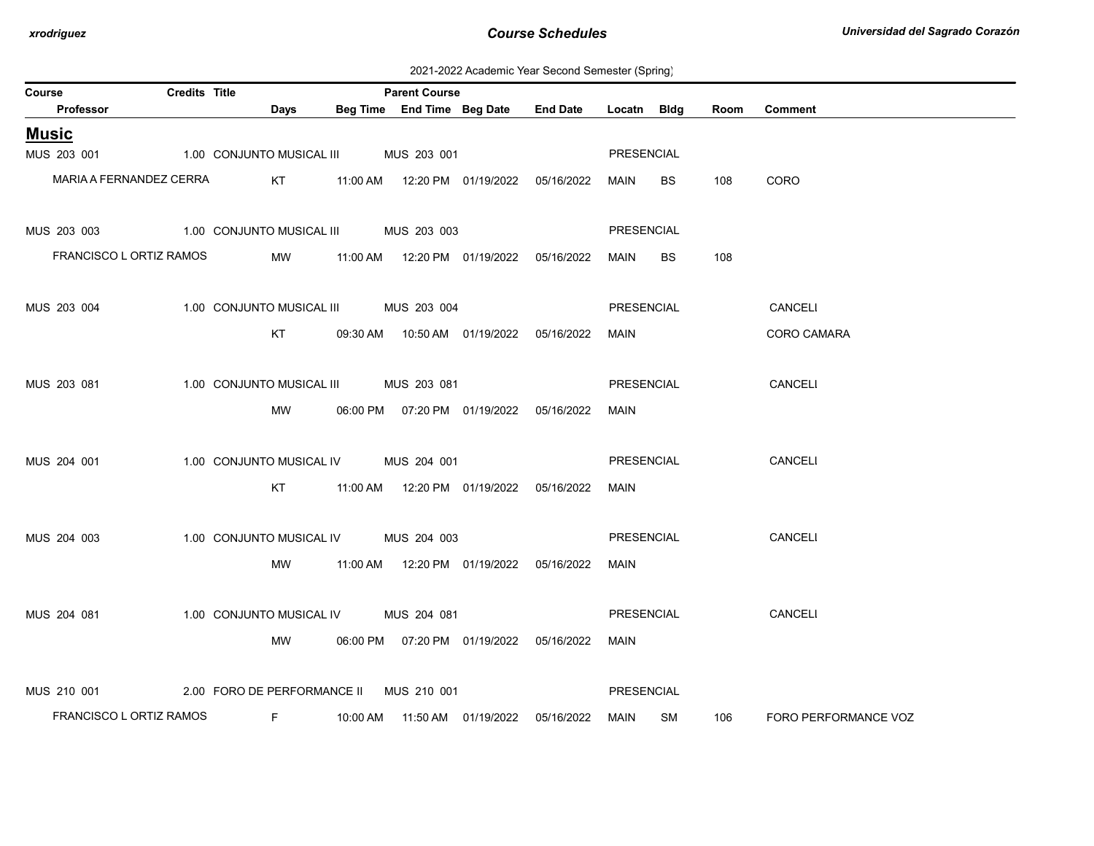2021-2022 Academic Year Second Semester (Spring)

| Course                  | Credits Title |                                         | <b>Parent Course</b> |                                            |                 |                   |      |      |                      |
|-------------------------|---------------|-----------------------------------------|----------------------|--------------------------------------------|-----------------|-------------------|------|------|----------------------|
| Professor               |               | Days                                    |                      | Beg Time End Time Beg Date                 | <b>End Date</b> | Locatn            | Bldg | Room | <b>Comment</b>       |
| <u>Music</u>            |               |                                         |                      |                                            |                 |                   |      |      |                      |
| MUS 203 001             |               | 1.00 CONJUNTO MUSICAL III MUS 203 001   |                      |                                            |                 | PRESENCIAL        |      |      |                      |
| MARIA A FERNANDEZ CERRA |               | KT                                      |                      | 11:00 AM  12:20 PM  01/19/2022  05/16/2022 |                 | MAIN              | BS   | 108  | CORO                 |
|                         |               |                                         |                      |                                            |                 |                   |      |      |                      |
| MUS 203 003             |               | 1.00 CONJUNTO MUSICAL III MUS 203 003   |                      |                                            |                 | PRESENCIAL        |      |      |                      |
| FRANCISCO L ORTIZ RAMOS |               | <b>MW</b>                               |                      | 11:00 AM  12:20 PM  01/19/2022  05/16/2022 |                 | MAIN              | BS   | 108  |                      |
|                         |               |                                         |                      |                                            |                 |                   |      |      |                      |
| MUS 203 004             |               | 1.00 CONJUNTO MUSICAL III MUS 203 004   |                      |                                            |                 | PRESENCIAL        |      |      | CANCELI              |
|                         |               | KT                                      |                      | 09:30 AM  10:50 AM  01/19/2022  05/16/2022 |                 | MAIN              |      |      | CORO CAMARA          |
|                         |               |                                         |                      |                                            |                 |                   |      |      |                      |
| MUS 203 081             |               | 1.00 CONJUNTO MUSICAL III MUS 203 081   |                      |                                            |                 | PRESENCIAL        |      |      | CANCELI              |
|                         |               | MW                                      |                      | 06:00 PM  07:20 PM  01/19/2022  05/16/2022 |                 | MAIN              |      |      |                      |
|                         |               |                                         |                      |                                            |                 |                   |      |      |                      |
| MUS 204 001             |               | 1.00 CONJUNTO MUSICAL IV MUS 204 001    |                      |                                            |                 | PRESENCIAL        |      |      | CANCELI              |
|                         |               | KT                                      |                      |                                            | 05/16/2022      | MAIN              |      |      |                      |
|                         |               |                                         |                      |                                            |                 |                   |      |      |                      |
| MUS 204 003             |               | 1.00 CONJUNTO MUSICAL IV                | MUS 204 003          |                                            |                 | PRESENCIAL        |      |      | <b>CANCELI</b>       |
|                         |               | MW                                      |                      | 11:00 AM  12:20 PM  01/19/2022  05/16/2022 |                 | MAIN              |      |      |                      |
|                         |               |                                         |                      |                                            |                 |                   |      |      |                      |
| MUS 204 081             |               | 1.00 CONJUNTO MUSICAL IV MUS 204 081    |                      |                                            |                 | PRESENCIAL        |      |      | CANCELI              |
|                         |               | MW                                      |                      | 06:00 PM  07:20 PM  01/19/2022  05/16/2022 |                 | MAIN              |      |      |                      |
|                         |               |                                         |                      |                                            |                 |                   |      |      |                      |
| MUS 210 001             |               | 2.00 FORO DE PERFORMANCE II MUS 210 001 |                      |                                            |                 | <b>PRESENCIAL</b> |      |      |                      |
| FRANCISCO L ORTIZ RAMOS |               | F.                                      |                      | 10:00 AM  11:50 AM  01/19/2022             | 05/16/2022      | MAIN SM           |      | 106  | FORO PERFORMANCE VOZ |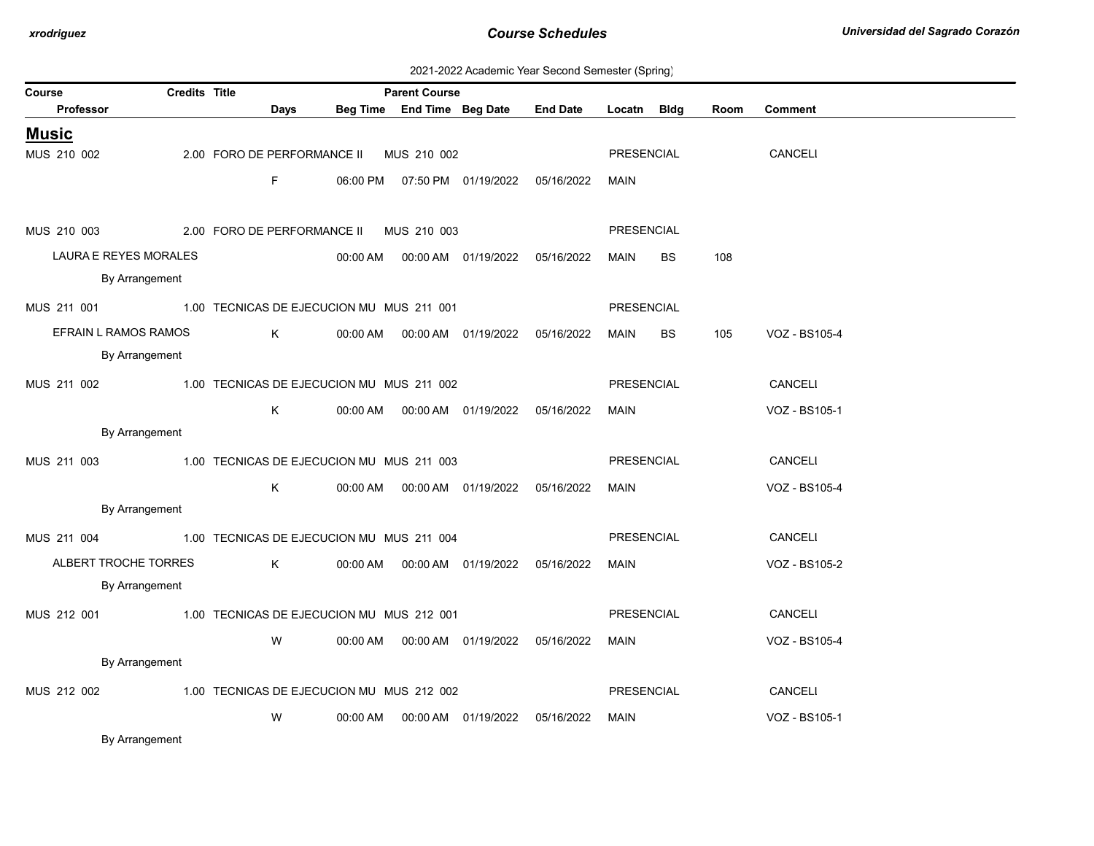| 2021-2022 Academic Year Second Semester (Spring) |  |  |  |  |  |
|--------------------------------------------------|--|--|--|--|--|
|--------------------------------------------------|--|--|--|--|--|

| Course                                                | <b>Credits Title</b> |                                           |          | <b>Parent Course</b> |                                            |                 |             |           |      |                |
|-------------------------------------------------------|----------------------|-------------------------------------------|----------|----------------------|--------------------------------------------|-----------------|-------------|-----------|------|----------------|
| Professor                                             |                      | Days                                      |          |                      | Beg Time End Time Beg Date                 | <b>End Date</b> | Locatn Bldg |           | Room | <b>Comment</b> |
| <u>Music</u>                                          |                      |                                           |          |                      |                                            |                 |             |           |      |                |
| MUS 210 002                                           |                      | 2.00 FORO DE PERFORMANCE II               |          | MUS 210 002          |                                            |                 | PRESENCIAL  |           |      | CANCELI        |
|                                                       |                      | F.                                        |          |                      | 06:00 PM  07:50 PM  01/19/2022  05/16/2022 |                 | MAIN        |           |      |                |
|                                                       |                      |                                           |          |                      |                                            |                 |             |           |      |                |
| MUS 210 003                                           |                      | 2.00 FORO DE PERFORMANCE II MUS 210 003   |          |                      |                                            |                 | PRESENCIAL  |           |      |                |
| LAURA E REYES MORALES                                 |                      |                                           |          |                      |                                            | 05/16/2022      | MAIN        | <b>BS</b> | 108  |                |
| By Arrangement                                        |                      |                                           |          |                      |                                            |                 |             |           |      |                |
| MUS 211 001 1.00 TECNICAS DE EJECUCION MU MUS 211 001 |                      |                                           |          |                      |                                            |                 | PRESENCIAL  |           |      |                |
| EFRAIN L RAMOS RAMOS                                  |                      | K                                         | 00:00 AM |                      | 00:00 AM  01/19/2022                       | 05/16/2022      | MAIN        | BS        | 105  | VOZ - BS105-4  |
| By Arrangement                                        |                      |                                           |          |                      |                                            |                 |             |           |      |                |
| MUS 211 002                                           |                      | 1.00 TECNICAS DE EJECUCION MU MUS 211 002 |          |                      |                                            |                 | PRESENCIAL  |           |      | CANCELI        |
|                                                       |                      | K                                         |          |                      |                                            | 05/16/2022      | <b>MAIN</b> |           |      | VOZ - BS105-1  |
| By Arrangement                                        |                      |                                           |          |                      |                                            |                 |             |           |      |                |
| MUS 211 003                                           |                      | 1.00 TECNICAS DE EJECUCION MU MUS 211 003 |          |                      |                                            |                 | PRESENCIAL  |           |      | CANCELI        |
|                                                       |                      | K.                                        |          |                      | 00:00 AM   00:00 AM   01/19/2022           | 05/16/2022      | <b>MAIN</b> |           |      | VOZ - BS105-4  |
| By Arrangement                                        |                      |                                           |          |                      |                                            |                 |             |           |      |                |
| MUS 211 004                                           |                      | 1.00 TECNICAS DE EJECUCION MU MUS 211 004 |          |                      |                                            |                 | PRESENCIAL  |           |      | CANCELI        |
| ALBERT TROCHE TORRES                                  |                      | $K$ and $K$                               |          |                      | 00:00 AM  00:00 AM  01/19/2022  05/16/2022 |                 | MAIN        |           |      | VOZ - BS105-2  |
| By Arrangement                                        |                      |                                           |          |                      |                                            |                 |             |           |      |                |
| MUS 212 001                                           |                      | 1.00 TECNICAS DE EJECUCION MU MUS 212 001 |          |                      |                                            |                 | PRESENCIAL  |           |      | CANCELI        |
|                                                       |                      | W                                         |          |                      |                                            | 05/16/2022      | MAIN        |           |      | VOZ - BS105-4  |
| By Arrangement                                        |                      |                                           |          |                      |                                            |                 |             |           |      |                |
| MUS 212 002                                           |                      | 1.00 TECNICAS DE EJECUCION MU MUS 212 002 |          |                      |                                            |                 | PRESENCIAL  |           |      | CANCELI        |
|                                                       |                      | W                                         | 00:00 AM |                      | 00:00 AM 01/19/2022                        | 05/16/2022      | MAIN        |           |      | VOZ - BS105-1  |

By Arrangement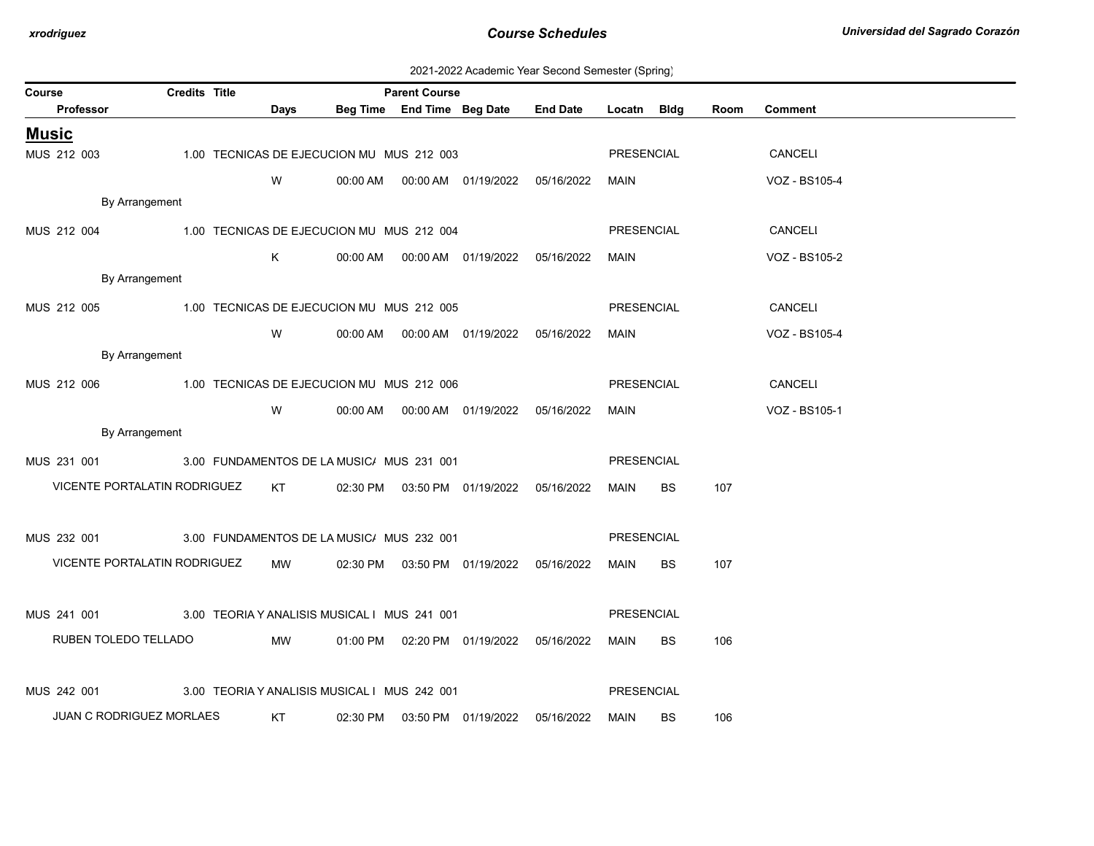| 2021-2022 Academic Year Second Semester (Spring) |  |  |  |
|--------------------------------------------------|--|--|--|
|--------------------------------------------------|--|--|--|

| Course                                                   | <b>Credits Title</b> |                 |                                              | <b>Parent Course</b> |                     |                                            |                   |           |      |                |
|----------------------------------------------------------|----------------------|-----------------|----------------------------------------------|----------------------|---------------------|--------------------------------------------|-------------------|-----------|------|----------------|
| Professor                                                |                      | Days            |                                              |                      |                     | Beg Time End Time Beg Date End Date        | Locatn Bldg       |           | Room | <b>Comment</b> |
| <b>Music</b>                                             |                      |                 |                                              |                      |                     |                                            |                   |           |      |                |
| MUS 212 003                                              |                      |                 | 1.00 TECNICAS DE EJECUCION MU MUS 212 003    |                      |                     |                                            | <b>PRESENCIAL</b> |           |      | CANCELI        |
|                                                          |                      | W               |                                              |                      |                     | 00:00 AM  00:00 AM  01/19/2022  05/16/2022 | MAIN              |           |      | VOZ - BS105-4  |
| By Arrangement                                           |                      |                 |                                              |                      |                     |                                            |                   |           |      |                |
| MUS 212 004                                              |                      |                 | 1.00 TECNICAS DE EJECUCION MU MUS 212 004    |                      |                     |                                            | PRESENCIAL        |           |      | CANCELI        |
|                                                          |                      | K               |                                              |                      |                     |                                            | MAIN              |           |      | VOZ - BS105-2  |
| By Arrangement                                           |                      |                 |                                              |                      |                     |                                            |                   |           |      |                |
| MUS 212 005 1.00 TECNICAS DE EJECUCION MU MUS 212 005    |                      |                 |                                              |                      |                     |                                            | PRESENCIAL        |           |      | CANCELI        |
|                                                          |                      | W               |                                              |                      |                     |                                            | MAIN              |           |      | VOZ - BS105-4  |
| By Arrangement                                           |                      |                 |                                              |                      |                     |                                            |                   |           |      |                |
| MUS 212 006                                              |                      |                 | 1.00 TECNICAS DE EJECUCION MU MUS 212 006    |                      |                     |                                            | <b>PRESENCIAL</b> |           |      | CANCELI        |
|                                                          |                      | W               |                                              |                      |                     |                                            | MAIN              |           |      | VOZ - BS105-1  |
| By Arrangement                                           |                      |                 |                                              |                      |                     |                                            |                   |           |      |                |
| MUS 231 001                                              |                      |                 | 3.00 FUNDAMENTOS DE LA MUSIC/ MUS 231 001    |                      |                     |                                            | PRESENCIAL        |           |      |                |
| VICENTE PORTALATIN RODRIGUEZ                             |                      | KT <sub>N</sub> |                                              |                      |                     | 02:30 PM  03:50 PM  01/19/2022  05/16/2022 | MAIN              | <b>BS</b> | 107  |                |
|                                                          |                      |                 |                                              |                      |                     |                                            |                   |           |      |                |
| MUS 232 001 3.00 FUNDAMENTOS DE LA MUSIC/ MUS 232 001    |                      |                 |                                              |                      |                     |                                            | <b>PRESENCIAL</b> |           |      |                |
| VICENTE PORTALATIN RODRIGUEZ                             |                      | MW              |                                              |                      |                     | 02:30 PM  03:50 PM  01/19/2022  05/16/2022 | MAIN              | BS.       | 107  |                |
|                                                          |                      |                 |                                              |                      |                     |                                            |                   |           |      |                |
| MUS 241 001 3.00 TEORIA Y ANALISIS MUSICAL I MUS 241 001 |                      |                 |                                              |                      |                     |                                            | <b>PRESENCIAL</b> |           |      |                |
| RUBEN TOLEDO TELLADO                                     |                      | MW              |                                              |                      |                     | 01:00 PM  02:20 PM  01/19/2022  05/16/2022 | MAIN              | BS.       | 106  |                |
|                                                          |                      |                 |                                              |                      |                     |                                            |                   |           |      |                |
| MUS 242 001                                              |                      |                 | 3.00 TEORIA Y ANALISIS MUSICAL I MUS 242 001 |                      |                     |                                            | <b>PRESENCIAL</b> |           |      |                |
| JUAN C RODRIGUEZ MORLAES                                 |                      | KT              | 02:30 PM                                     |                      | 03:50 PM 01/19/2022 | 05/16/2022                                 | MAIN              | <b>BS</b> | 106  |                |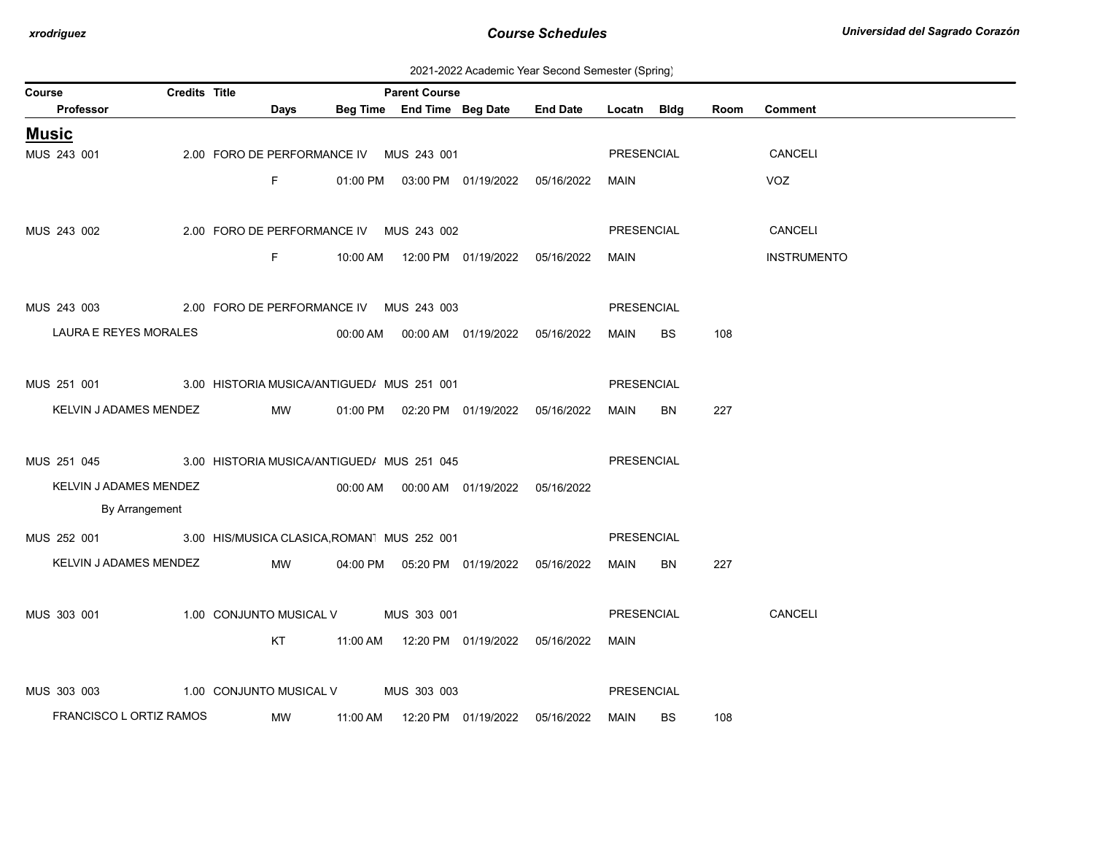| 2021-2022 Academic Year Second Semester (Spring) |  |  |  |
|--------------------------------------------------|--|--|--|
|--------------------------------------------------|--|--|--|

| <b>Credits Title</b><br>Course                         |                                         |          | <b>Parent Course</b> |                                            |                 |                   |           |      |                    |
|--------------------------------------------------------|-----------------------------------------|----------|----------------------|--------------------------------------------|-----------------|-------------------|-----------|------|--------------------|
| Professor                                              | Days                                    |          |                      | Beg Time End Time Beg Date                 | <b>End Date</b> | Locatn            | Bldg      | Room | <b>Comment</b>     |
| <b>Music</b>                                           |                                         |          |                      |                                            |                 |                   |           |      |                    |
| MUS 243 001                                            | 2.00 FORO DE PERFORMANCE IV MUS 243 001 |          |                      |                                            |                 | PRESENCIAL        |           |      | CANCELI            |
|                                                        | F.                                      |          |                      | 01:00 PM  03:00 PM  01/19/2022  05/16/2022 |                 | MAIN              |           |      | <b>VOZ</b>         |
|                                                        |                                         |          |                      |                                            |                 |                   |           |      |                    |
| MUS 243 002                                            | 2.00 FORO DE PERFORMANCE IV MUS 243 002 |          |                      |                                            |                 | PRESENCIAL        |           |      | CANCELI            |
|                                                        | F.                                      |          |                      | 10:00 AM  12:00 PM  01/19/2022  05/16/2022 |                 | MAIN              |           |      | <b>INSTRUMENTO</b> |
|                                                        |                                         |          |                      |                                            |                 |                   |           |      |                    |
| MUS 243 003 2.00 FORO DE PERFORMANCE IV MUS 243 003    |                                         |          |                      |                                            |                 | PRESENCIAL        |           |      |                    |
| LAURA E REYES MORALES                                  |                                         |          |                      | 00:00 AM  00:00 AM  01/19/2022  05/16/2022 |                 | MAIN              | <b>BS</b> | 108  |                    |
|                                                        |                                         |          |                      |                                            |                 |                   |           |      |                    |
| MUS 251 001 3.00 HISTORIA MUSICA/ANTIGUED/ MUS 251 001 |                                         |          |                      |                                            |                 | PRESENCIAL        |           |      |                    |
| KELVIN J ADAMES MENDEZ                                 | MW                                      |          |                      | 01:00 PM  02:20 PM  01/19/2022  05/16/2022 |                 | MAIN              | BN        | 227  |                    |
|                                                        |                                         |          |                      |                                            |                 |                   |           |      |                    |
| MUS 251 045 3.00 HISTORIA MUSICA/ANTIGUED/ MUS 251 045 |                                         |          |                      |                                            |                 | PRESENCIAL        |           |      |                    |
| KELVIN J ADAMES MENDEZ                                 |                                         |          |                      |                                            | 05/16/2022      |                   |           |      |                    |
| By Arrangement                                         |                                         |          |                      |                                            |                 |                   |           |      |                    |
|                                                        |                                         |          |                      |                                            |                 |                   |           |      |                    |
| MUS 252 001 3.00 HIS/MUSICA CLASICA, ROMAN MUS 252 001 |                                         |          |                      |                                            |                 | PRESENCIAL        |           |      |                    |
| KELVIN J ADAMES MENDEZ                                 | MW                                      |          |                      | 04:00 PM  05:20 PM  01/19/2022  05/16/2022 |                 | MAIN              | BN        | 227  |                    |
|                                                        |                                         |          |                      |                                            |                 |                   |           |      |                    |
| MUS 303 001                                            | 1.00 CONJUNTO MUSICAL V MUS 303 001     |          |                      |                                            |                 | PRESENCIAL        |           |      | CANCELI            |
|                                                        | <b>KT</b>                               |          |                      | 11:00 AM  12:20 PM  01/19/2022  05/16/2022 |                 | MAIN              |           |      |                    |
|                                                        |                                         |          |                      |                                            |                 |                   |           |      |                    |
| MUS 303 003                                            | 1.00 CONJUNTO MUSICAL V                 |          | MUS 303 003          |                                            |                 | <b>PRESENCIAL</b> |           |      |                    |
| FRANCISCO L ORTIZ RAMOS                                | MW                                      | 11:00 AM |                      | 12:20 PM 01/19/2022                        | 05/16/2022      | MAIN              | <b>BS</b> | 108  |                    |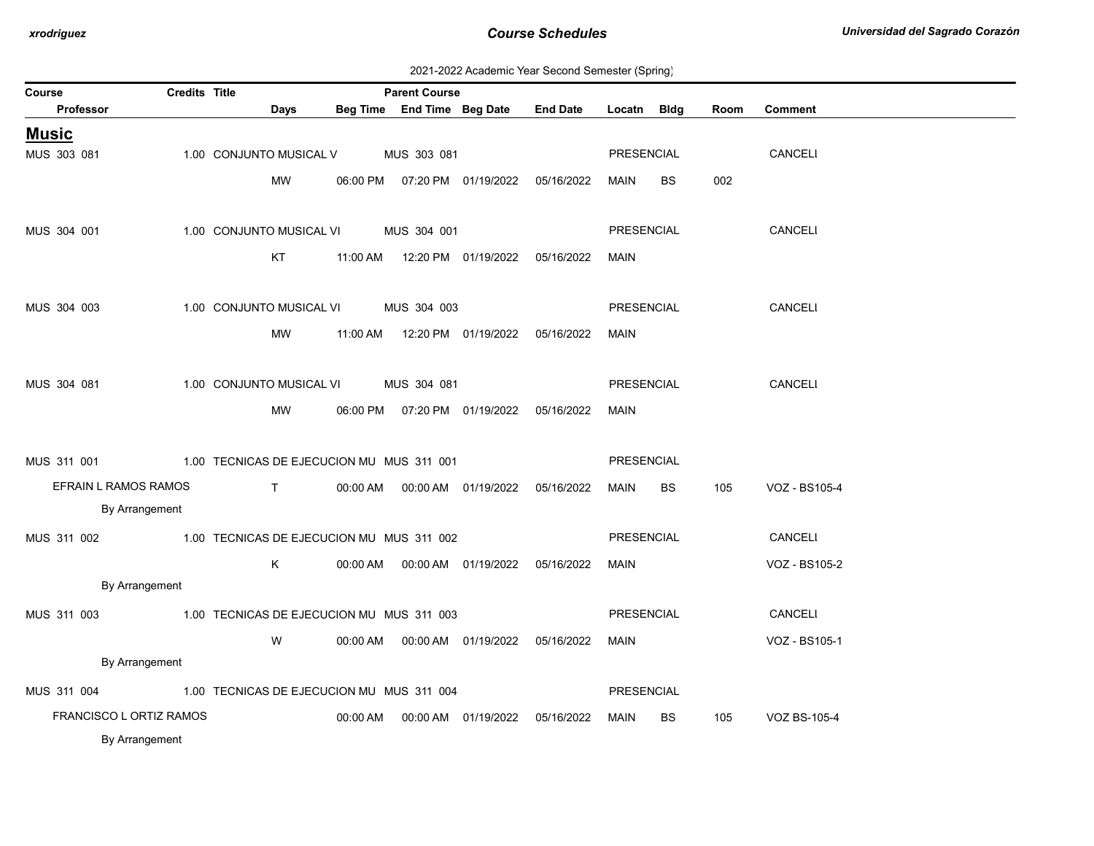| 2021-2022 Academic Year Second Semester (Spring) |  |  |  |
|--------------------------------------------------|--|--|--|
|--------------------------------------------------|--|--|--|

| Course<br>Professor     | <b>Credits Title</b> |                                           |          | <b>Parent Course</b><br>Beg Time End Time Beg Date |                                            | <b>End Date</b>                  | Locatn Bldg |           | Room | Comment       |
|-------------------------|----------------------|-------------------------------------------|----------|----------------------------------------------------|--------------------------------------------|----------------------------------|-------------|-----------|------|---------------|
|                         |                      | Days                                      |          |                                                    |                                            |                                  |             |           |      |               |
| <u>Music</u>            |                      |                                           |          |                                                    |                                            |                                  |             |           |      |               |
| MUS 303 081             |                      | 1.00 CONJUNTO MUSICAL V                   |          | MUS 303 081                                        |                                            |                                  | PRESENCIAL  |           |      | CANCELI       |
|                         |                      | MW                                        |          |                                                    | 06:00 PM  07:20 PM  01/19/2022  05/16/2022 |                                  | MAIN        | <b>BS</b> | 002  |               |
|                         |                      |                                           |          |                                                    |                                            |                                  |             |           |      |               |
| MUS 304 001             |                      | 1.00 CONJUNTO MUSICAL VI                  |          | MUS 304 001                                        |                                            |                                  | PRESENCIAL  |           |      | CANCELI       |
|                         |                      | KT                                        |          |                                                    | 11:00 AM  12:20 PM  01/19/2022  05/16/2022 |                                  | MAIN        |           |      |               |
|                         |                      |                                           |          |                                                    |                                            |                                  |             |           |      |               |
| MUS 304 003             |                      | 1.00 CONJUNTO MUSICAL VI                  |          | MUS 304 003                                        |                                            |                                  | PRESENCIAL  |           |      | CANCELI       |
|                         |                      |                                           |          |                                                    |                                            |                                  |             |           |      |               |
|                         |                      | MW                                        |          |                                                    | 11:00 AM  12:20 PM  01/19/2022  05/16/2022 |                                  | MAIN        |           |      |               |
|                         |                      |                                           |          |                                                    |                                            |                                  |             |           |      |               |
| MUS 304 081             |                      | 1.00 CONJUNTO MUSICAL VI                  |          | MUS 304 081                                        |                                            |                                  | PRESENCIAL  |           |      | CANCELI       |
|                         |                      | MW                                        |          |                                                    | 06:00 PM  07:20 PM  01/19/2022  05/16/2022 |                                  | MAIN        |           |      |               |
|                         |                      |                                           |          |                                                    |                                            |                                  |             |           |      |               |
| MUS 311 001             |                      | 1.00 TECNICAS DE EJECUCION MU MUS 311 001 |          |                                                    |                                            |                                  | PRESENCIAL  |           |      |               |
| EFRAIN L RAMOS RAMOS    |                      | $\mathbf{T}$                              |          |                                                    | 00:00 AM  00:00 AM  01/19/2022  05/16/2022 |                                  | MAIN        | <b>BS</b> | 105  | VOZ - BS105-4 |
| By Arrangement          |                      |                                           |          |                                                    |                                            |                                  |             |           |      |               |
| MUS 311 002             |                      | 1.00 TECNICAS DE EJECUCION MU MUS 311 002 |          |                                                    |                                            |                                  | PRESENCIAL  |           |      | CANCELI       |
|                         |                      | K                                         |          |                                                    | 00:00 AM  00:00 AM  01/19/2022  05/16/2022 |                                  | MAIN        |           |      |               |
| By Arrangement          |                      |                                           |          |                                                    |                                            |                                  |             |           |      | VOZ - BS105-2 |
|                         |                      |                                           |          |                                                    |                                            |                                  |             |           |      |               |
| MUS 311 003             |                      | 1.00 TECNICAS DE EJECUCION MU MUS 311 003 |          |                                                    |                                            |                                  | PRESENCIAL  |           |      | CANCELI       |
|                         |                      | W                                         |          |                                                    | 00:00 AM  00:00 AM  01/19/2022  05/16/2022 |                                  | MAIN        |           |      | VOZ - BS105-1 |
| By Arrangement          |                      |                                           |          |                                                    |                                            |                                  |             |           |      |               |
| MUS 311 004             |                      | 1.00 TECNICAS DE EJECUCION MU MUS 311 004 |          |                                                    |                                            |                                  | PRESENCIAL  |           |      |               |
| FRANCISCO L ORTIZ RAMOS |                      |                                           | 00:00 AM |                                                    |                                            | 00:00 AM  01/19/2022  05/16/2022 | MAIN        | <b>BS</b> | 105  | VOZ BS-105-4  |
| By Arrangement          |                      |                                           |          |                                                    |                                            |                                  |             |           |      |               |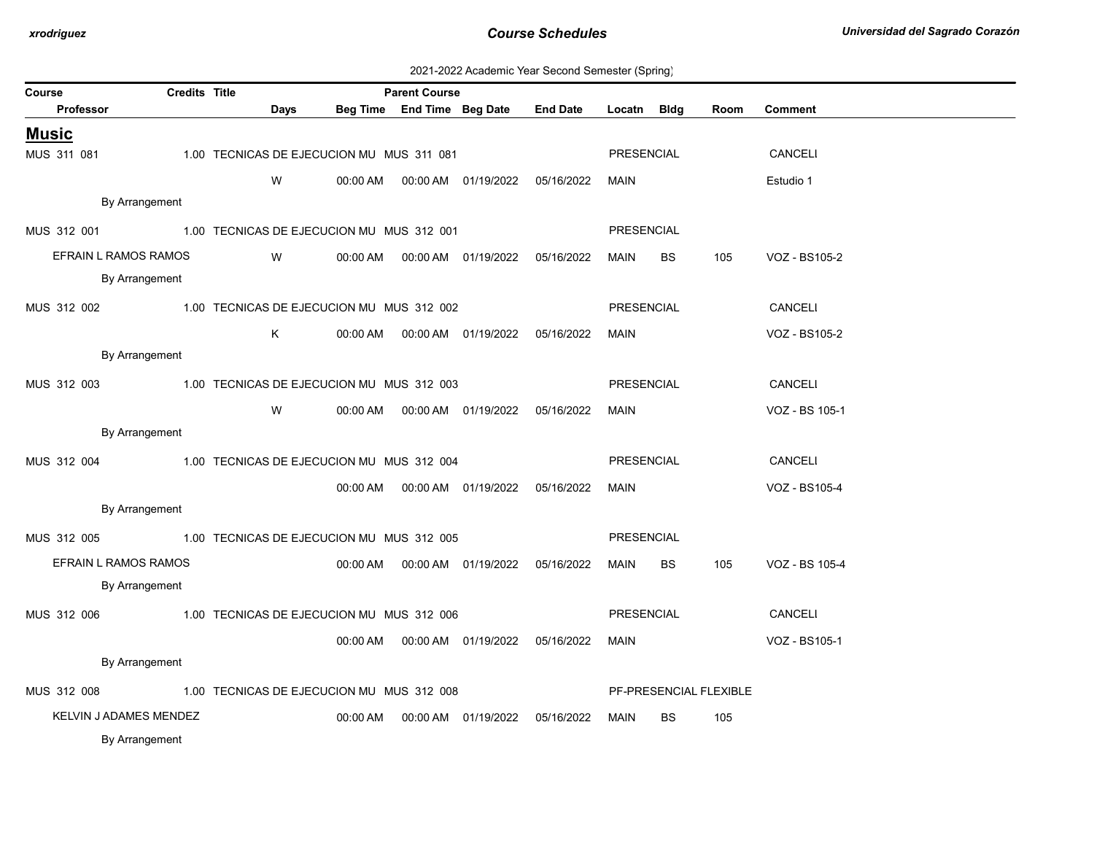| 2021-2022 Academic Year Second Semester (Spring) |  |  |  |
|--------------------------------------------------|--|--|--|
|--------------------------------------------------|--|--|--|

| Course<br>Professor    | Credits Title | Days |                                           | <b>Parent Course</b> | Beg Time End Time Beg Date                 | <b>End Date</b>                  | Locatn Bldg       |           | Room                   | <b>Comment</b> |
|------------------------|---------------|------|-------------------------------------------|----------------------|--------------------------------------------|----------------------------------|-------------------|-----------|------------------------|----------------|
|                        |               |      |                                           |                      |                                            |                                  |                   |           |                        |                |
| <u>Music</u>           |               |      |                                           |                      |                                            |                                  |                   |           |                        |                |
| MUS 311 081            |               |      | 1.00 TECNICAS DE EJECUCION MU MUS 311 081 |                      |                                            |                                  | <b>PRESENCIAL</b> |           |                        | CANCELI        |
|                        |               | W    | 00:00 AM                                  |                      |                                            | 00:00 AM  01/19/2022  05/16/2022 | MAIN              |           |                        | Estudio 1      |
| By Arrangement         |               |      |                                           |                      |                                            |                                  |                   |           |                        |                |
| MUS 312 001            |               |      | 1.00 TECNICAS DE EJECUCION MU MUS 312 001 |                      |                                            |                                  | PRESENCIAL        |           |                        |                |
| EFRAIN L RAMOS RAMOS   |               | W    |                                           |                      |                                            |                                  | MAIN              | BS        | 105                    | VOZ - BS105-2  |
| By Arrangement         |               |      |                                           |                      |                                            |                                  |                   |           |                        |                |
| MUS 312 002            |               |      | 1.00 TECNICAS DE EJECUCION MU MUS 312 002 |                      |                                            |                                  | PRESENCIAL        |           |                        | CANCELI        |
|                        |               | Κ    |                                           |                      | 00:00 AM  00:00 AM  01/19/2022  05/16/2022 |                                  | MAIN              |           |                        | VOZ - BS105-2  |
| By Arrangement         |               |      |                                           |                      |                                            |                                  |                   |           |                        |                |
| MUS 312 003            |               |      | 1.00 TECNICAS DE EJECUCION MU MUS 312 003 |                      |                                            |                                  | PRESENCIAL        |           |                        | CANCELI        |
|                        |               | W    | 00:00 AM                                  |                      | 00:00 AM  01/19/2022  05/16/2022           |                                  | MAIN              |           |                        | VOZ - BS 105-1 |
| By Arrangement         |               |      |                                           |                      |                                            |                                  |                   |           |                        |                |
| MUS 312 004            |               |      | 1.00 TECNICAS DE EJECUCION MU MUS 312 004 |                      |                                            |                                  | <b>PRESENCIAL</b> |           |                        | CANCELI        |
|                        |               |      | 00:00 AM                                  |                      | 00:00 AM  01/19/2022  05/16/2022           |                                  | MAIN              |           |                        | VOZ - BS105-4  |
| By Arrangement         |               |      |                                           |                      |                                            |                                  |                   |           |                        |                |
| MUS 312 005            |               |      | 1.00 TECNICAS DE EJECUCION MU MUS 312 005 |                      |                                            |                                  | <b>PRESENCIAL</b> |           |                        |                |
| EFRAIN L RAMOS RAMOS   |               |      | 00:00 AM                                  |                      | 00:00 AM  01/19/2022                       | 05/16/2022                       | MAIN              | <b>BS</b> | 105                    | VOZ - BS 105-4 |
| By Arrangement         |               |      |                                           |                      |                                            |                                  |                   |           |                        |                |
| MUS 312 006            |               |      | 1.00 TECNICAS DE EJECUCION MU MUS 312 006 |                      |                                            |                                  | PRESENCIAL        |           |                        | CANCELI        |
|                        |               |      | 00:00 AM                                  |                      | 00:00 AM  01/19/2022  05/16/2022           |                                  | <b>MAIN</b>       |           |                        | VOZ - BS105-1  |
| By Arrangement         |               |      |                                           |                      |                                            |                                  |                   |           |                        |                |
|                        |               |      |                                           |                      |                                            |                                  |                   |           |                        |                |
| MUS 312 008            |               |      | 1.00 TECNICAS DE EJECUCION MU MUS 312 008 |                      |                                            |                                  |                   |           | PF-PRESENCIAL FLEXIBLE |                |
| KELVIN J ADAMES MENDEZ |               |      | 00:00 AM                                  |                      |                                            | 00:00 AM  01/19/2022  05/16/2022 | MAIN              | BS.       | 105                    |                |
| By Arrangement         |               |      |                                           |                      |                                            |                                  |                   |           |                        |                |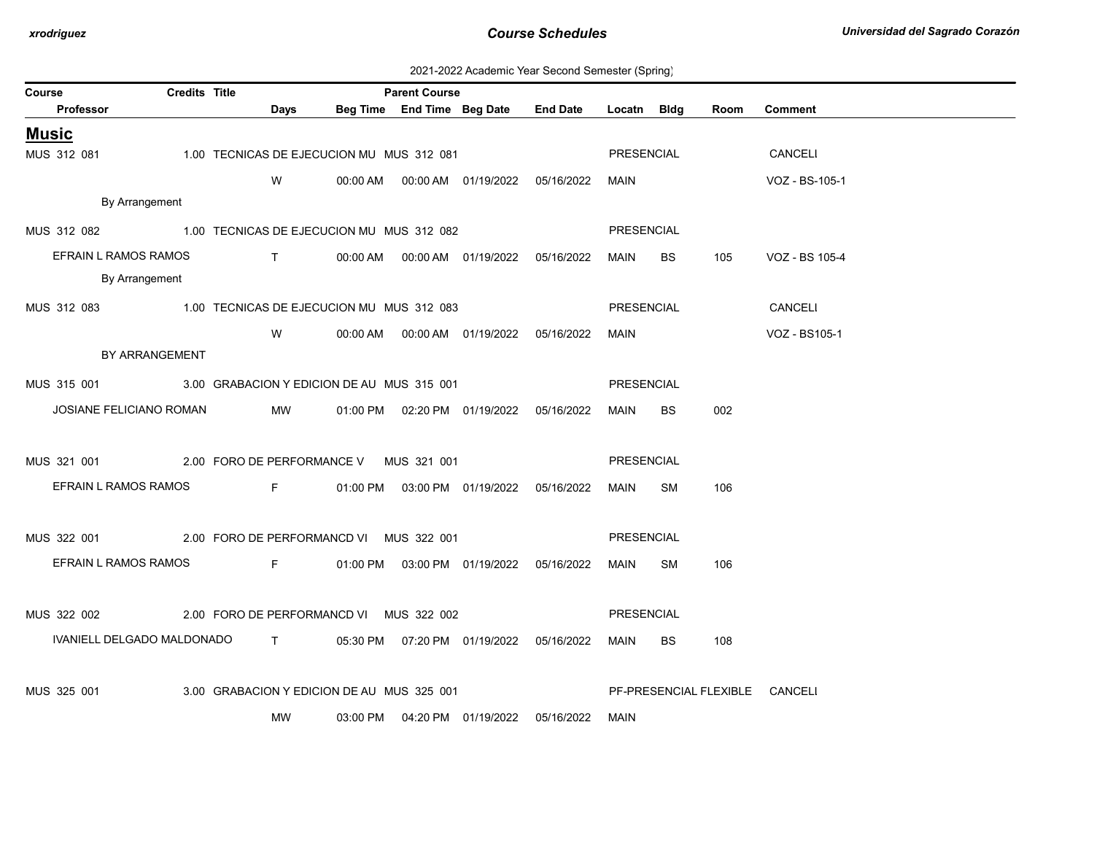| 2021-2022 Academic Year Second Semester (Spring) |  |  |  |
|--------------------------------------------------|--|--|--|
|--------------------------------------------------|--|--|--|

| Course                                                 | <b>Credits Title</b> |                                                                                                                                                                                                                                                                                                                               |                                            | <b>Parent Course</b> |                                            |                                     |                   |    |      |                                |
|--------------------------------------------------------|----------------------|-------------------------------------------------------------------------------------------------------------------------------------------------------------------------------------------------------------------------------------------------------------------------------------------------------------------------------|--------------------------------------------|----------------------|--------------------------------------------|-------------------------------------|-------------------|----|------|--------------------------------|
| Professor                                              |                      | Days                                                                                                                                                                                                                                                                                                                          |                                            |                      |                                            | Beg Time End Time Beg Date End Date | Locatn Bldg       |    | Room | <b>Comment</b>                 |
| <b>Music</b>                                           |                      |                                                                                                                                                                                                                                                                                                                               |                                            |                      |                                            |                                     |                   |    |      |                                |
| MUS 312 081                                            |                      |                                                                                                                                                                                                                                                                                                                               | 1.00 TECNICAS DE EJECUCION MU MUS 312 081  |                      |                                            |                                     | PRESENCIAL        |    |      | CANCELI                        |
|                                                        |                      | W                                                                                                                                                                                                                                                                                                                             |                                            |                      |                                            |                                     | MAIN              |    |      | VOZ - BS-105-1                 |
| By Arrangement                                         |                      |                                                                                                                                                                                                                                                                                                                               |                                            |                      |                                            |                                     |                   |    |      |                                |
| MUS 312 082 1.00 TECNICAS DE EJECUCION MU MUS 312 082  |                      |                                                                                                                                                                                                                                                                                                                               |                                            |                      |                                            |                                     | PRESENCIAL        |    |      |                                |
| EFRAIN L RAMOS RAMOS                                   |                      | $\mathbf{T}$ and $\mathbf{T}$ and $\mathbf{T}$ and $\mathbf{T}$ and $\mathbf{T}$ and $\mathbf{T}$ and $\mathbf{T}$ and $\mathbf{T}$ and $\mathbf{T}$ and $\mathbf{T}$ and $\mathbf{T}$ and $\mathbf{T}$ and $\mathbf{T}$ and $\mathbf{T}$ and $\mathbf{T}$ and $\mathbf{T}$ and $\mathbf{T}$ and $\mathbf{T}$ and $\mathbf{T$ |                                            |                      | 00:00 AM  00:00 AM  01/19/2022  05/16/2022 |                                     | MAIN BS           |    | 105  | VOZ - BS 105-4                 |
| By Arrangement                                         |                      |                                                                                                                                                                                                                                                                                                                               |                                            |                      |                                            |                                     |                   |    |      |                                |
| MUS 312 083 1.00 TECNICAS DE EJECUCION MU MUS 312 083  |                      |                                                                                                                                                                                                                                                                                                                               |                                            |                      |                                            |                                     | PRESENCIAL        |    |      | CANCELI                        |
|                                                        |                      | W                                                                                                                                                                                                                                                                                                                             |                                            |                      | 00:00 AM  00:00 AM  01/19/2022  05/16/2022 |                                     | MAIN              |    |      | VOZ - BS105-1                  |
|                                                        | BY ARRANGEMENT       |                                                                                                                                                                                                                                                                                                                               |                                            |                      |                                            |                                     |                   |    |      |                                |
| MUS 315 001 3.00 GRABACION Y EDICION DE AU MUS 315 001 |                      |                                                                                                                                                                                                                                                                                                                               |                                            |                      |                                            |                                     | PRESENCIAL        |    |      |                                |
| JOSIANE FELICIANO ROMAN                                |                      | MW                                                                                                                                                                                                                                                                                                                            |                                            |                      | 01:00 PM  02:20 PM  01/19/2022  05/16/2022 |                                     | MAIN              | BS | 002  |                                |
|                                                        |                      |                                                                                                                                                                                                                                                                                                                               |                                            |                      |                                            |                                     |                   |    |      |                                |
| MUS 321 001 2.00 FORO DE PERFORMANCE V MUS 321 001     |                      |                                                                                                                                                                                                                                                                                                                               |                                            |                      |                                            |                                     | PRESENCIAL        |    |      |                                |
| EFRAIN L RAMOS RAMOS                                   |                      | and the state of the state of the state of the state of the state of the state of the state of the state of the                                                                                                                                                                                                               |                                            |                      | 01:00 PM  03:00 PM  01/19/2022  05/16/2022 |                                     | MAIN SM           |    | 106  |                                |
|                                                        |                      |                                                                                                                                                                                                                                                                                                                               |                                            |                      |                                            |                                     |                   |    |      |                                |
| MUS 322 001 2.00 FORO DE PERFORMANCD VI MUS 322 001    |                      |                                                                                                                                                                                                                                                                                                                               |                                            |                      |                                            |                                     | <b>PRESENCIAL</b> |    |      |                                |
| EFRAIN L RAMOS RAMOS FRAMENT SERVICES                  |                      |                                                                                                                                                                                                                                                                                                                               |                                            |                      | 01:00 PM  03:00 PM  01/19/2022  05/16/2022 |                                     | MAIN              | SM | 106  |                                |
|                                                        |                      |                                                                                                                                                                                                                                                                                                                               |                                            |                      |                                            |                                     |                   |    |      |                                |
| MUS 322 002 2.00 FORO DE PERFORMANCD VI MUS 322 002    |                      |                                                                                                                                                                                                                                                                                                                               |                                            |                      |                                            |                                     | PRESENCIAL        |    |      |                                |
| IVANIELL DELGADO MALDONADO T                           |                      |                                                                                                                                                                                                                                                                                                                               |                                            |                      |                                            |                                     |                   |    |      |                                |
|                                                        |                      |                                                                                                                                                                                                                                                                                                                               |                                            |                      | 05:30 PM  07:20 PM  01/19/2022  05/16/2022 |                                     | MAIN              | BS | 108  |                                |
|                                                        |                      |                                                                                                                                                                                                                                                                                                                               |                                            |                      |                                            |                                     |                   |    |      |                                |
| MUS 325 001                                            |                      |                                                                                                                                                                                                                                                                                                                               | 3.00 GRABACION Y EDICION DE AU MUS 325 001 |                      |                                            |                                     |                   |    |      | PF-PRESENCIAL FLEXIBLE CANCELI |
|                                                        |                      | MW                                                                                                                                                                                                                                                                                                                            |                                            |                      | 03:00 PM  04:20 PM  01/19/2022  05/16/2022 |                                     | MAIN              |    |      |                                |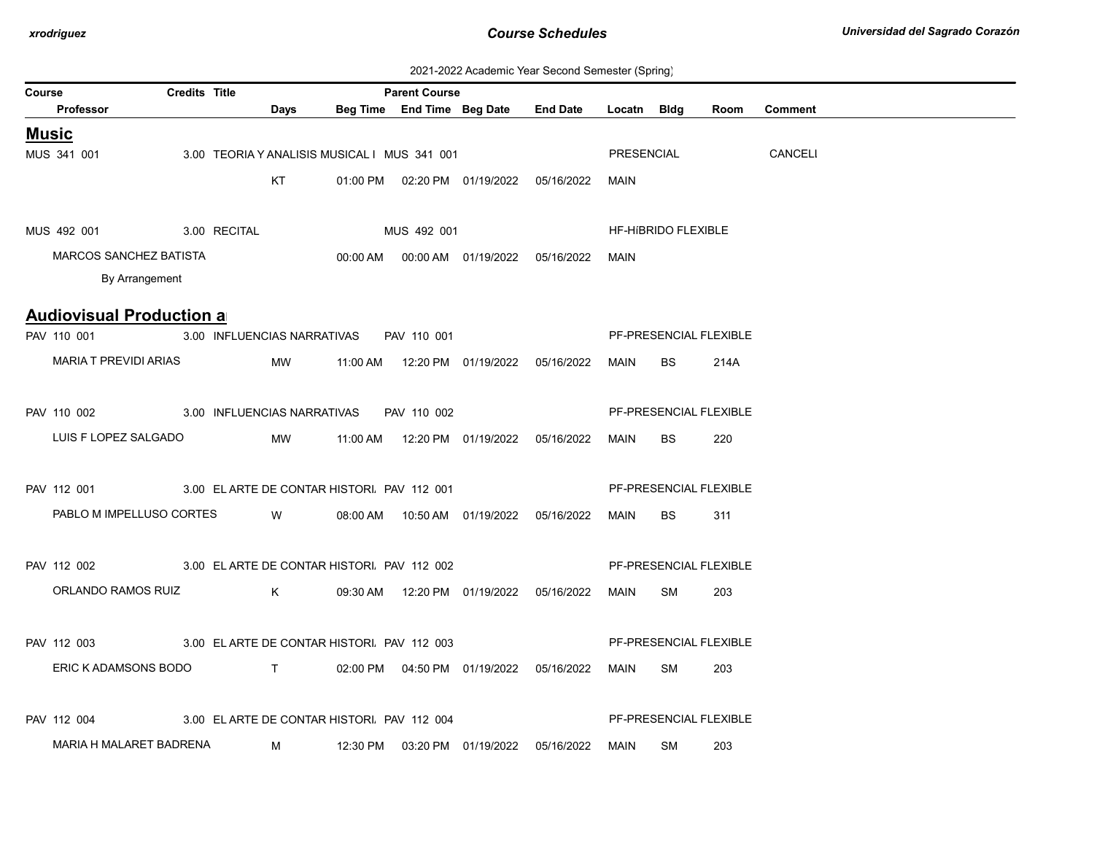| 2021-2022 Academic Year Second Semester (Spring) |  |  |  |
|--------------------------------------------------|--|--|--|
|--------------------------------------------------|--|--|--|

| <b>Credits Title</b><br><b>Parent Course</b><br>Course |  |  |             |                                              |  |  |                                                 |             |                     |                        |                |
|--------------------------------------------------------|--|--|-------------|----------------------------------------------|--|--|-------------------------------------------------|-------------|---------------------|------------------------|----------------|
| Professor                                              |  |  | Days        |                                              |  |  | Beg Time End Time Beg Date End Date Locatn Bldg |             |                     | Room                   | <b>Comment</b> |
| <b>Music</b>                                           |  |  |             |                                              |  |  |                                                 |             |                     |                        |                |
| MUS 341 001                                            |  |  |             | 3.00 TEORIA Y ANALISIS MUSICAL I MUS 341 001 |  |  |                                                 | PRESENCIAL  |                     |                        | CANCELI        |
|                                                        |  |  | <b>KT</b>   |                                              |  |  | 01:00 PM  02:20 PM  01/19/2022  05/16/2022      | <b>MAIN</b> |                     |                        |                |
|                                                        |  |  |             |                                              |  |  |                                                 |             |                     |                        |                |
| MUS 492 001 3.00 RECITAL                               |  |  |             | MUS 492 001                                  |  |  |                                                 |             | HF-HIBRIDO FLEXIBLE |                        |                |
| <b>MARCOS SANCHEZ BATISTA</b>                          |  |  |             |                                              |  |  | 00:00 AM  00:00 AM  01/19/2022  05/16/2022      | MAIN        |                     |                        |                |
| By Arrangement                                         |  |  |             |                                              |  |  |                                                 |             |                     |                        |                |
|                                                        |  |  |             |                                              |  |  |                                                 |             |                     |                        |                |
| <b>Audiovisual Production a</b>                        |  |  |             |                                              |  |  |                                                 |             |                     |                        |                |
| PAV 110 001                                            |  |  |             | 3.00 INFLUENCIAS NARRATIVAS PAV 110 001      |  |  |                                                 |             |                     | PF-PRESENCIAL FLEXIBLE |                |
| MARIA T PREVIDI ARIAS                                  |  |  | MW          |                                              |  |  |                                                 | <b>MAIN</b> | BS                  | 214A                   |                |
|                                                        |  |  |             |                                              |  |  |                                                 |             |                     |                        |                |
| PAV 110 002 3.00 INFLUENCIAS NARRATIVAS PAV 110 002    |  |  |             |                                              |  |  |                                                 |             |                     | PF-PRESENCIAL FLEXIBLE |                |
| LUIS F LOPEZ SALGADO                                   |  |  | MW          |                                              |  |  |                                                 | MAIN        | BS                  | 220                    |                |
|                                                        |  |  |             |                                              |  |  |                                                 |             |                     |                        |                |
| PAV 112 001 3.00 ELARTE DE CONTAR HISTORI. PAV 112 001 |  |  |             |                                              |  |  |                                                 |             |                     | PF-PRESENCIAL FLEXIBLE |                |
| PABLO M IMPELLUSO CORTES W                             |  |  |             |                                              |  |  | 08:00 AM  10:50 AM  01/19/2022  05/16/2022      | MAIN        | <b>BS</b>           | 311                    |                |
|                                                        |  |  |             |                                              |  |  |                                                 |             |                     |                        |                |
| PAV 112 002 3.00 ELARTE DE CONTAR HISTORI. PAV 112 002 |  |  |             |                                              |  |  |                                                 |             |                     | PF-PRESENCIAL FLEXIBLE |                |
| ORLANDO RAMOS RUIZ                                     |  |  | $K$ and $K$ |                                              |  |  | 09:30 AM  12:20 PM  01/19/2022  05/16/2022      | MAIN SM     |                     | 203                    |                |
|                                                        |  |  |             |                                              |  |  |                                                 |             |                     |                        |                |
| PAV 112 003                                            |  |  |             | 3.00 ELARTE DE CONTAR HISTORI. PAV 112 003   |  |  |                                                 |             |                     | PF-PRESENCIAL FLEXIBLE |                |
| ERIC K ADAMSONS BODO                                   |  |  |             |                                              |  |  |                                                 | MAIN SM     |                     | 203                    |                |
|                                                        |  |  |             |                                              |  |  |                                                 |             |                     |                        |                |
|                                                        |  |  |             |                                              |  |  |                                                 |             |                     |                        |                |
| PAV 112 004                                            |  |  |             | 3.00 EL ARTE DE CONTAR HISTORI. PAV 112 004  |  |  |                                                 |             |                     | PF-PRESENCIAL FLEXIBLE |                |
| MARIA H MALARET BADRENA                                |  |  | M           |                                              |  |  |                                                 | MAIN        | SM                  | 203                    |                |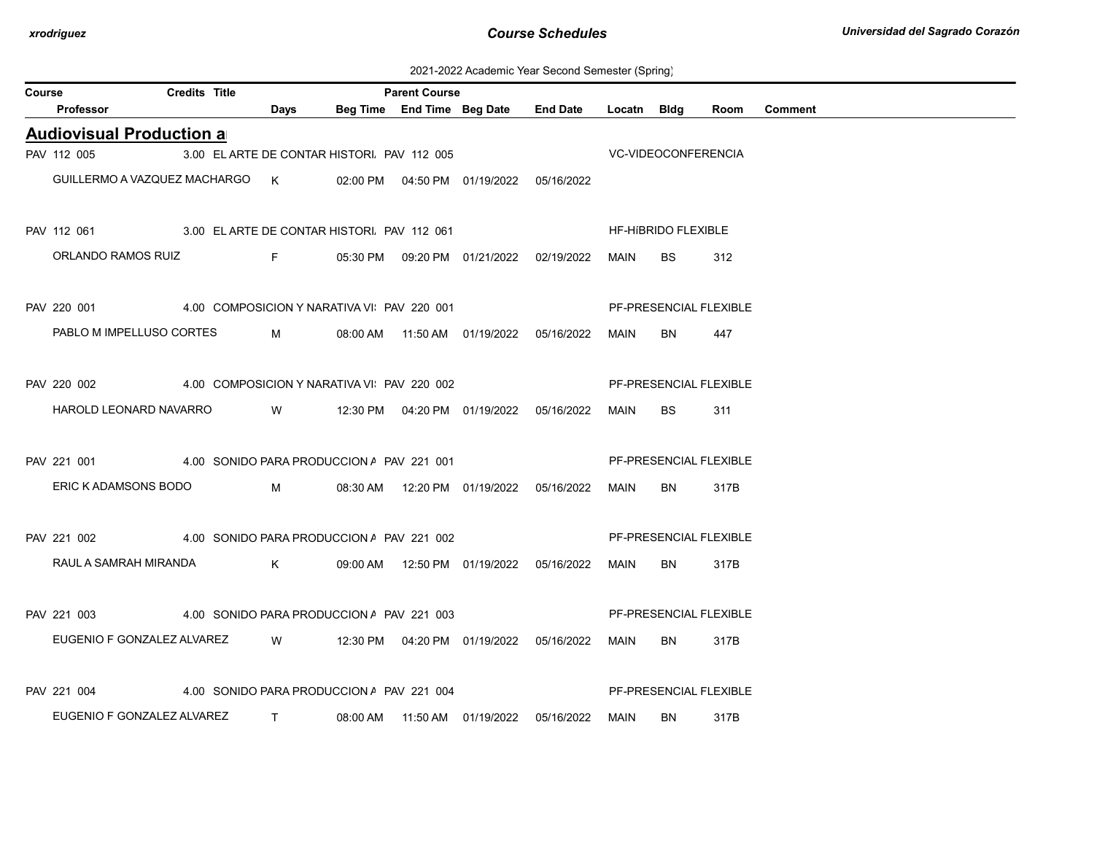2021-2022 Academic Year Second Semester (Spring)

| Course |                                                                        | <b>Credits Title</b> |                               |                                             | <b>Parent Course</b> |                                            |                                     |             |                        |      |                |
|--------|------------------------------------------------------------------------|----------------------|-------------------------------|---------------------------------------------|----------------------|--------------------------------------------|-------------------------------------|-------------|------------------------|------|----------------|
|        | Professor                                                              |                      | <b>Days</b>                   |                                             |                      |                                            | Beg Time End Time Beg Date End Date | Locatn Bldg |                        | Room | <b>Comment</b> |
|        | <b>Audiovisual Production a</b>                                        |                      |                               |                                             |                      |                                            |                                     |             |                        |      |                |
|        | PAV 112 005                                                            |                      |                               | 3.00 EL ARTE DE CONTAR HISTORI. PAV 112 005 |                      |                                            | <b>VC-VIDEOCONFERENCIA</b>          |             |                        |      |                |
|        | GUILLERMO A VAZQUEZ MACHARGO K 02:00 PM 04:50 PM 01/19/2022 05/16/2022 |                      |                               |                                             |                      |                                            |                                     |             |                        |      |                |
|        | PAV 112 061 3.00 ELARTE DE CONTAR HISTORI. PAV 112 061                 |                      |                               |                                             |                      |                                            |                                     |             | HF-HIBRIDO FLEXIBLE    |      |                |
|        | ORLANDO RAMOS RUIZ F 05:30 PM 09:20 PM 01/21/2022 02/19/2022           |                      |                               |                                             |                      |                                            |                                     | MAIN        | <b>BS</b>              | 312  |                |
|        | PAV 220 001 4.00 COMPOSICION Y NARATIVA VI PAV 220 001                 |                      |                               |                                             |                      |                                            |                                     |             | PF-PRESENCIAL FLEXIBLE |      |                |
|        | PABLO M IMPELLUSO CORTES M 08:00 AM 11:50 AM 01/19/2022 05/16/2022     |                      |                               |                                             |                      |                                            |                                     | MAIN        | BN                     | 447  |                |
|        | PAV 220 002 4.00 COMPOSICION Y NARATIVA VI PAV 220 002                 |                      |                               |                                             |                      |                                            |                                     |             | PF-PRESENCIAL FLEXIBLE |      |                |
|        | HAROLD LEONARD NAVARRO W 12:30 PM 04:20 PM 01/19/2022 05/16/2022       |                      |                               |                                             |                      |                                            |                                     | MAIN        | BS.                    | 311  |                |
|        | PAV 221 001 4.00 SONIDO PARA PRODUCCION A PAV 221 001                  |                      |                               |                                             |                      |                                            |                                     |             | PF-PRESENCIAL FLEXIBLE |      |                |
|        | ERIC K ADAMSONS BODO                                                   |                      |                               |                                             |                      | M 08:30 AM 12:20 PM 01/19/2022 05/16/2022  |                                     | MAIN        | <b>BN</b>              | 317B |                |
|        | PAV 221 002                                                            |                      |                               | 4.00 SONIDO PARA PRODUCCION / PAV 221 002   |                      |                                            |                                     |             | PF-PRESENCIAL FLEXIBLE |      |                |
|        | RAUL A SAMRAH MIRANDA                                                  |                      |                               |                                             |                      |                                            |                                     | MAIN        | BN                     | 317B |                |
|        | PAV 221 003                                                            |                      |                               | 4.00 SONIDO PARA PRODUCCION / PAV 221 003   |                      |                                            |                                     |             | PF-PRESENCIAL FLEXIBLE |      |                |
|        | EUGENIO F GONZALEZ ALVAREZ W 12:30 PM 04:20 PM 01/19/2022 05/16/2022   |                      |                               |                                             |                      |                                            |                                     | MAIN        | BN                     | 317B |                |
|        | 4.00 SONIDO PARA PRODUCCION A PAV 221 004<br>PAV 221 004               |                      |                               |                                             |                      |                                            |                                     |             | PF-PRESENCIAL FLEXIBLE |      |                |
|        | EUGENIO F GONZALEZ ALVAREZ                                             |                      | $\mathbf{T}$ and $\mathbf{T}$ |                                             |                      | 08:00 AM  11:50 AM  01/19/2022  05/16/2022 |                                     | MAIN        | BN                     | 317B |                |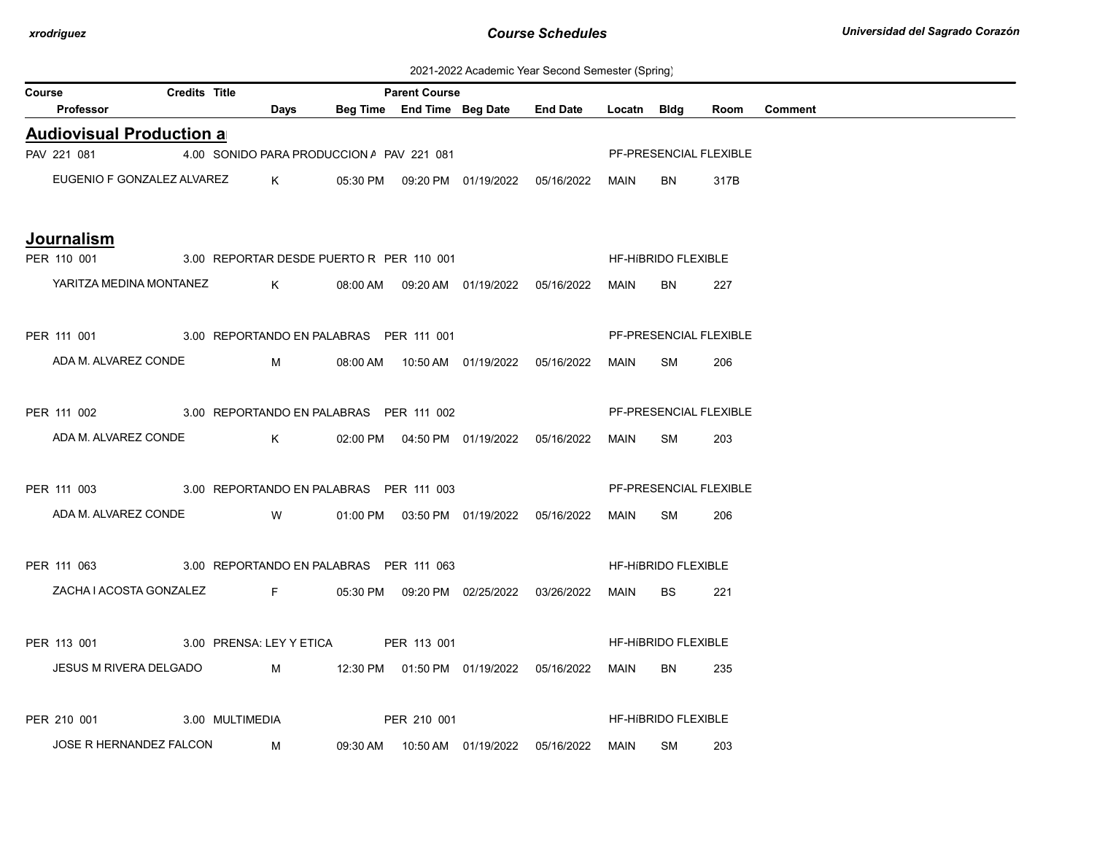2021-2022 Academic Year Second Semester (Spring)

| Course |                                                      | <b>Credits Title</b> |                 |                                                | <b>Parent Course</b> |                                            |                                                  |             |                            |      |                |
|--------|------------------------------------------------------|----------------------|-----------------|------------------------------------------------|----------------------|--------------------------------------------|--------------------------------------------------|-------------|----------------------------|------|----------------|
|        | Professor                                            |                      |                 | Days                                           |                      | Beg Time End Time Beg Date                 | <b>End Date</b>                                  | Locatn Bldg |                            | Room | <b>Comment</b> |
|        | <b>Audiovisual Production all</b>                    |                      |                 |                                                |                      |                                            |                                                  |             |                            |      |                |
|        | PAV 221 081                                          |                      |                 | 4.00 SONIDO PARA PRODUCCION / PAV 221 081      |                      |                                            |                                                  |             | PF-PRESENCIAL FLEXIBLE     |      |                |
|        | EUGENIO F GONZALEZ ALVAREZ K                         |                      |                 |                                                |                      |                                            | 05:30 PM  09:20 PM  01/19/2022  05/16/2022       | MAIN        | BN.                        | 317B |                |
|        | Journalism                                           |                      |                 |                                                |                      |                                            |                                                  |             |                            |      |                |
|        | PER 110 001 3.00 REPORTAR DESDE PUERTO R PER 110 001 |                      |                 |                                                |                      |                                            |                                                  |             | HF-HIBRIDO FLEXIBLE        |      |                |
|        | YARITZA MEDINA MONTANEZ K                            |                      |                 |                                                |                      |                                            | 08:00 AM  09:20 AM  01/19/2022  05/16/2022       | MAIN        | <b>BN</b>                  | 227  |                |
|        | PER 111 001 3.00 REPORTANDO EN PALABRAS PER 111 001  |                      |                 |                                                |                      |                                            |                                                  |             | PF-PRESENCIAL FLEXIBLE     |      |                |
|        | ADA M. ALVAREZ CONDE                                 |                      |                 | $M \sim 1$                                     |                      |                                            | 08:00 AM  10:50 AM  01/19/2022  05/16/2022       | MAIN        | SM                         | 206  |                |
|        | PER 111 002 3.00 REPORTANDO EN PALABRAS PER 111 002  |                      |                 |                                                |                      |                                            |                                                  |             | PF-PRESENCIAL FLEXIBLE     |      |                |
|        | ADA M. ALVAREZ CONDE                                 |                      |                 | $K$ and $K$                                    |                      |                                            | 02:00 PM  04:50 PM  01/19/2022  05/16/2022  MAIN |             | SM                         | 203  |                |
|        |                                                      |                      |                 |                                                |                      |                                            |                                                  |             |                            |      |                |
|        | PER 111 003 3.00 REPORTANDO EN PALABRAS PER 111 003  |                      |                 |                                                |                      |                                            |                                                  |             | PF-PRESENCIAL FLEXIBLE     |      |                |
|        | ADA M. ALVAREZ CONDE W                               |                      |                 |                                                |                      |                                            | 01:00 PM  03:50 PM  01/19/2022  05/16/2022       | MAIN        | SM                         | 206  |                |
|        | PER 111 063 3.00 REPORTANDO EN PALABRAS PER 111 063  |                      |                 |                                                |                      |                                            |                                                  |             | HF-HIBRIDO FLEXIBLE        |      |                |
|        | ZACHA I ACOSTA GONZALEZ                              |                      |                 | $\mathbf{F}$ and $\mathbf{F}$ and $\mathbf{F}$ |                      | 05:30 PM  09:20 PM  02/25/2022  03/26/2022 |                                                  | MAIN        | BS.                        | 221  |                |
|        | PER 113 001 3.00 PRENSA: LEY Y ETICA PER 113 001     |                      |                 |                                                |                      |                                            |                                                  |             | <b>HF-HIBRIDO FLEXIBLE</b> |      |                |
|        | JESUS M RIVERA DELGADO                               |                      |                 |                                                |                      |                                            |                                                  |             |                            |      |                |
|        |                                                      |                      |                 |                                                |                      |                                            |                                                  | MAIN        | BN                         | 235  |                |
|        | PER 210 001                                          |                      | 3.00 MULTIMEDIA |                                                | PER 210 001          |                                            |                                                  |             | HF-HIBRIDO FLEXIBLE        |      |                |
|        | JOSE R HERNANDEZ FALCON M                            |                      |                 |                                                |                      | 09:30 AM  10:50 AM  01/19/2022  05/16/2022 |                                                  | MAIN        | SM                         | 203  |                |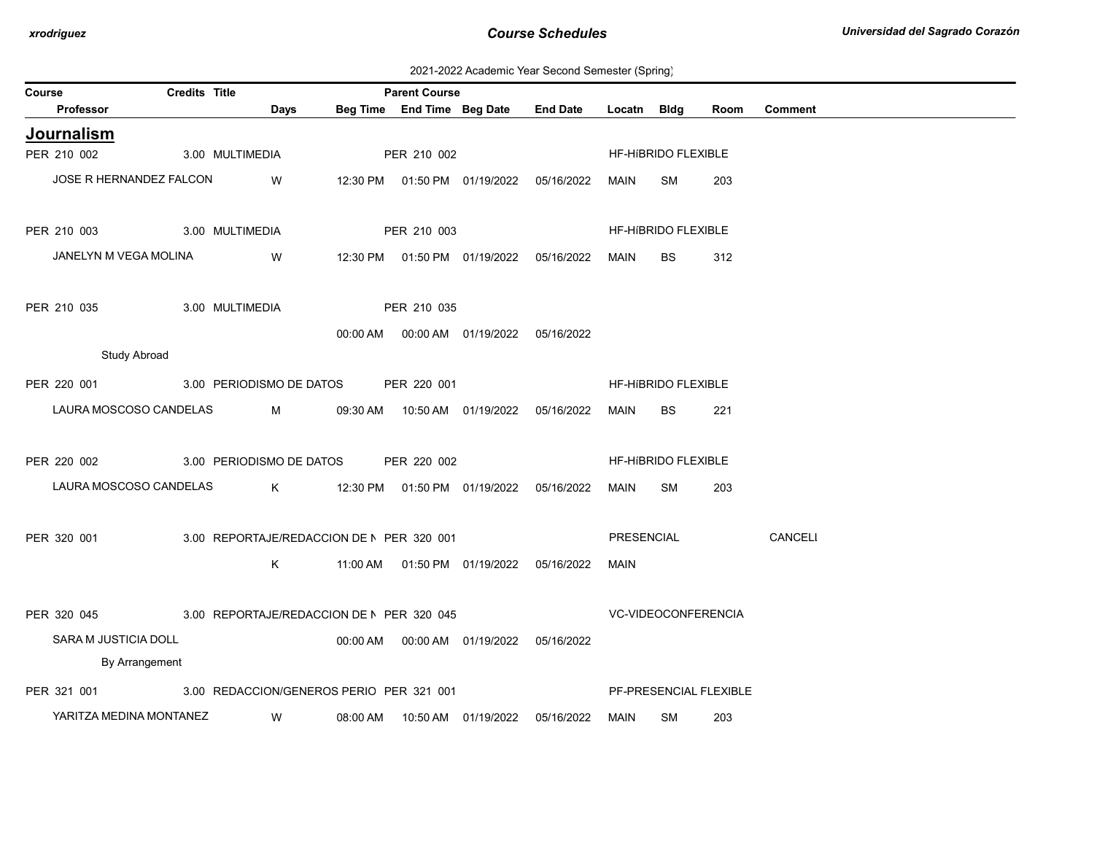2021-2022 Academic Year Second Semester (Spring)

| Course                  | Credits Title       |                                           |          | <b>Parent Course</b> |                                            |                 |             |                     |                        |                |
|-------------------------|---------------------|-------------------------------------------|----------|----------------------|--------------------------------------------|-----------------|-------------|---------------------|------------------------|----------------|
| <b>Professor</b>        |                     | Days                                      |          |                      | Beg Time End Time Beg Date                 | <b>End Date</b> | Locatn      | Bldg                | Room                   | <b>Comment</b> |
| Journalism              |                     |                                           |          |                      |                                            |                 |             |                     |                        |                |
| PER 210 002             |                     | 3.00 MULTIMEDIA                           |          | PER 210 002          |                                            |                 |             | HF-HIBRIDO FLEXIBLE |                        |                |
| JOSE R HERNANDEZ FALCON |                     | W                                         |          |                      | 12:30 PM  01:50 PM  01/19/2022  05/16/2022 |                 | MAIN        | SM                  | 203                    |                |
| PER 210 003             |                     | 3.00 MULTIMEDIA                           |          | PER 210 003          |                                            |                 |             | HF-HIBRIDO FLEXIBLE |                        |                |
| JANELYN M VEGA MOLINA   |                     | W                                         |          |                      | 12:30 PM  01:50 PM  01/19/2022             | 05/16/2022      | MAIN        | <b>BS</b>           | 312                    |                |
| PER 210 035             |                     | 3.00 MULTIMEDIA                           |          | PER 210 035          |                                            |                 |             |                     |                        |                |
|                         |                     |                                           |          |                      | 00:00 AM  00:00 AM  01/19/2022  05/16/2022 |                 |             |                     |                        |                |
|                         | <b>Study Abroad</b> |                                           |          |                      |                                            |                 |             |                     |                        |                |
| PER 220 001             |                     | 3.00 PERIODISMO DE DATOS                  |          | PER 220 001          |                                            |                 |             | HF-HIBRIDO FLEXIBLE |                        |                |
| LAURA MOSCOSO CANDELAS  |                     | M                                         | 09:30 AM |                      | 10:50 AM  01/19/2022                       | 05/16/2022      | <b>MAIN</b> | <b>BS</b>           | 221                    |                |
| PER 220 002             |                     | 3.00 PERIODISMO DE DATOS                  |          | PER 220 002          |                                            |                 |             | HF-HIBRIDO FLEXIBLE |                        |                |
| LAURA MOSCOSO CANDELAS  |                     | $K$ and $K$                               |          |                      | 12:30 PM  01:50 PM  01/19/2022  05/16/2022 |                 | MAIN        | <b>SM</b>           | 203                    |                |
| PER 320 001             |                     | 3.00 REPORTAJE/REDACCION DE N PER 320 001 |          |                      |                                            |                 | PRESENCIAL  |                     |                        | CANCELI        |
|                         |                     | K.                                        |          |                      | 11:00 AM   01:50 PM   01/19/2022           | 05/16/2022      | MAIN        |                     |                        |                |
| PER 320 045             |                     | 3.00 REPORTAJE/REDACCION DE N PER 320 045 |          |                      |                                            |                 |             | VC-VIDEOCONFERENCIA |                        |                |
| SARA M JUSTICIA DOLL    |                     |                                           |          |                      |                                            | 05/16/2022      |             |                     |                        |                |
|                         | By Arrangement      |                                           |          |                      |                                            |                 |             |                     |                        |                |
| PER 321 001             |                     | 3.00 REDACCION/GENEROS PERIO PER 321 001  |          |                      |                                            |                 |             |                     | PF-PRESENCIAL FLEXIBLE |                |
| YARITZA MEDINA MONTANEZ |                     | W.                                        | 08:00 AM |                      | 10:50 AM 01/19/2022                        | 05/16/2022      | MAIN        | <b>SM</b>           | 203                    |                |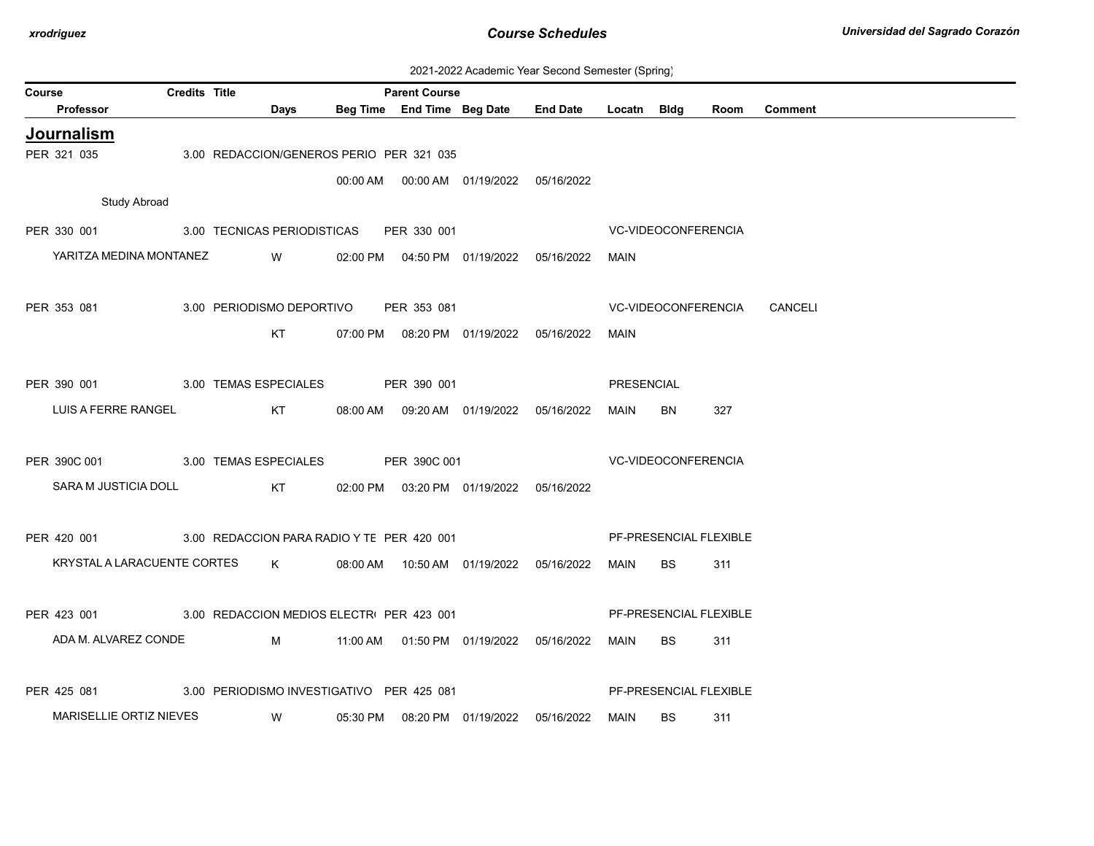| 2021-2022 Academic Year Second Semester (Spring) |  |
|--------------------------------------------------|--|
|--------------------------------------------------|--|

| Course |                             | <b>Credits Title</b> |                                            |          | <b>Parent Course</b> |                                            |                 |                   |                     |                        |                |
|--------|-----------------------------|----------------------|--------------------------------------------|----------|----------------------|--------------------------------------------|-----------------|-------------------|---------------------|------------------------|----------------|
|        | Professor                   |                      | Days                                       |          |                      | Beg Time End Time Beg Date                 | <b>End Date</b> | Locatn Bldg       |                     | Room                   | <b>Comment</b> |
|        | <b>Journalism</b>           |                      |                                            |          |                      |                                            |                 |                   |                     |                        |                |
|        | PER 321 035                 |                      | 3.00 REDACCION/GENEROS PERIO PER 321 035   |          |                      |                                            |                 |                   |                     |                        |                |
|        |                             |                      |                                            |          |                      | 00:00 AM  00:00 AM  01/19/2022  05/16/2022 |                 |                   |                     |                        |                |
|        | <b>Study Abroad</b>         |                      |                                            |          |                      |                                            |                 |                   |                     |                        |                |
|        | PER 330 001                 |                      | 3.00 TECNICAS PERIODISTICAS                |          | PER 330 001          |                                            |                 |                   | VC-VIDEOCONFERENCIA |                        |                |
|        | YARITZA MEDINA MONTANEZ     |                      | <b>W</b>                                   |          |                      | 02:00 PM  04:50 PM  01/19/2022  05/16/2022 |                 | MAIN              |                     |                        |                |
|        |                             |                      |                                            |          |                      |                                            |                 |                   |                     |                        |                |
|        | PER 353 081                 |                      | 3.00 PERIODISMO DEPORTIVO                  |          | PER 353 081          |                                            |                 |                   | VC-VIDEOCONFERENCIA |                        | CANCELI        |
|        |                             |                      | KT                                         |          |                      |                                            |                 | MAIN              |                     |                        |                |
|        |                             |                      |                                            |          |                      | 07:00 PM  08:20 PM  01/19/2022  05/16/2022 |                 |                   |                     |                        |                |
|        |                             |                      |                                            |          |                      |                                            |                 |                   |                     |                        |                |
|        | PER 390 001                 |                      | 3.00 TEMAS ESPECIALES                      |          | PER 390 001          |                                            |                 | <b>PRESENCIAL</b> |                     |                        |                |
|        | LUIS A FERRE RANGEL         |                      | KT                                         |          |                      | 08:00 AM  09:20 AM  01/19/2022  05/16/2022 |                 | MAIN              | <b>BN</b>           | 327                    |                |
|        |                             |                      |                                            |          |                      |                                            |                 |                   |                     |                        |                |
|        | PER 390C 001                |                      | 3.00 TEMAS ESPECIALES PER 390C 001         |          |                      |                                            |                 |                   | VC-VIDEOCONFERENCIA |                        |                |
|        | SARA M JUSTICIA DOLL        |                      | KT                                         |          |                      | 02:00 PM  03:20 PM  01/19/2022  05/16/2022 |                 |                   |                     |                        |                |
|        |                             |                      |                                            |          |                      |                                            |                 |                   |                     |                        |                |
|        | PER 420 001                 |                      | 3.00 REDACCION PARA RADIO Y TE PER 420 001 |          |                      |                                            |                 |                   |                     | PF-PRESENCIAL FLEXIBLE |                |
|        | KRYSTAL A LARACUENTE CORTES |                      | $K$ and $K$ and $K$ and $K$ and $K$        |          |                      | 08:00 AM  10:50 AM  01/19/2022  05/16/2022 |                 | MAIN              | BS.                 | 311                    |                |
|        |                             |                      |                                            |          |                      |                                            |                 |                   |                     |                        |                |
|        | PER 423 001                 |                      | 3.00 REDACCION MEDIOS ELECTR PER 423 001   |          |                      |                                            |                 |                   |                     | PF-PRESENCIAL FLEXIBLE |                |
|        | ADA M. ALVAREZ CONDE        |                      | M                                          |          |                      | 11:00 AM  01:50 PM  01/19/2022  05/16/2022 |                 | MAIN              | <b>BS</b>           | 311                    |                |
|        |                             |                      |                                            |          |                      |                                            |                 |                   |                     |                        |                |
|        |                             |                      |                                            |          |                      |                                            |                 |                   |                     |                        |                |
|        | PER 425 081                 |                      | 3.00 PERIODISMO INVESTIGATIVO PER 425 081  |          |                      |                                            |                 |                   |                     | PF-PRESENCIAL FLEXIBLE |                |
|        | MARISELLIE ORTIZ NIEVES     |                      | W                                          | 05:30 PM |                      | 08:20 PM 01/19/2022                        | 05/16/2022      | MAIN              | <b>BS</b>           | 311                    |                |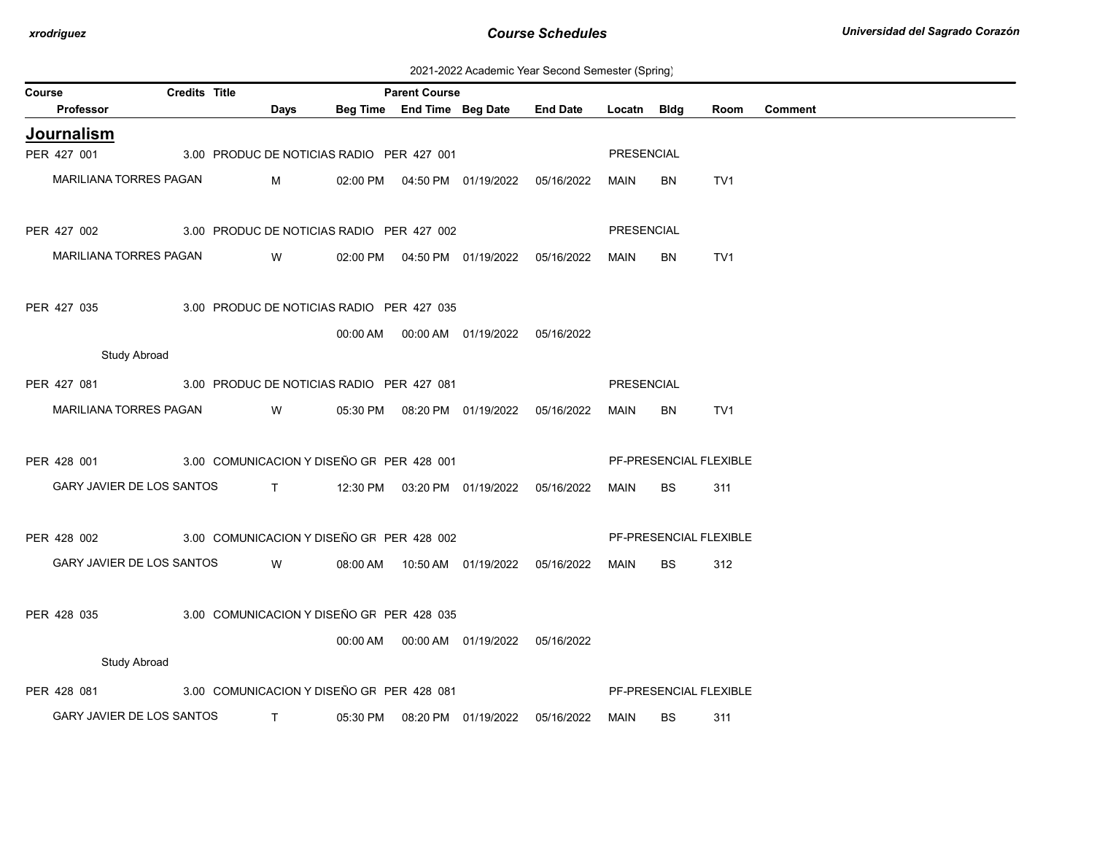2021-2022 Academic Year Second Semester (Spring)

| <b>Course</b> |                                                       | <b>Credits Title</b> |              |                                           | <b>Parent Course</b> |                                            |                 |                   |                        |      |                |
|---------------|-------------------------------------------------------|----------------------|--------------|-------------------------------------------|----------------------|--------------------------------------------|-----------------|-------------------|------------------------|------|----------------|
|               | <b>Professor</b>                                      |                      | Days         |                                           |                      | Beg Time End Time Beg Date                 | <b>End Date</b> | Locatn Bidg       |                        | Room | <b>Comment</b> |
|               | <b>Journalism</b>                                     |                      |              |                                           |                      |                                            |                 |                   |                        |      |                |
|               | PER 427 001                                           |                      |              | 3.00 PRODUC DE NOTICIAS RADIO PER 427 001 |                      |                                            |                 | PRESENCIAL        |                        |      |                |
|               | MARILIANA TORRES PAGAN                                |                      | M            |                                           |                      | 02:00 PM  04:50 PM  01/19/2022  05/16/2022 |                 | MAIN              | BN                     | TV1  |                |
|               |                                                       |                      |              |                                           |                      |                                            |                 |                   |                        |      |                |
|               | PER 427 002 3.00 PRODUC DE NOTICIAS RADIO PER 427 002 |                      |              |                                           |                      |                                            |                 | <b>PRESENCIAL</b> |                        |      |                |
|               | MARILIANA TORRES PAGAN                                |                      | <b>W</b>     |                                           |                      | 02:00 PM  04:50 PM  01/19/2022  05/16/2022 |                 | MAIN              | <b>BN</b>              | TV1  |                |
|               |                                                       |                      |              |                                           |                      |                                            |                 |                   |                        |      |                |
|               | PER 427 035                                           |                      |              | 3.00 PRODUC DE NOTICIAS RADIO PER 427 035 |                      |                                            |                 |                   |                        |      |                |
|               |                                                       |                      |              |                                           |                      | 00:00 AM  00:00 AM  01/19/2022  05/16/2022 |                 |                   |                        |      |                |
|               | <b>Study Abroad</b>                                   |                      |              |                                           |                      |                                            |                 |                   |                        |      |                |
|               | PER 427 081                                           |                      |              | 3.00 PRODUC DE NOTICIAS RADIO PER 427 081 |                      |                                            |                 | PRESENCIAL        |                        |      |                |
|               | MARILIANA TORRES PAGAN                                |                      | W            |                                           |                      | 05:30 PM  08:20 PM  01/19/2022  05/16/2022 |                 | MAIN              | BN                     | TV1  |                |
|               |                                                       |                      |              |                                           |                      |                                            |                 |                   |                        |      |                |
|               | PER 428 001 3.00 COMUNICACION Y DISEÑO GR PER 428 001 |                      |              |                                           |                      |                                            |                 |                   | PF-PRESENCIAL FLEXIBLE |      |                |
|               | GARY JAVIER DE LOS SANTOS                             |                      |              |                                           |                      | T 12:30 PM 03:20 PM 01/19/2022 05/16/2022  |                 | MAIN              | BS                     | 311  |                |
|               |                                                       |                      |              |                                           |                      |                                            |                 |                   |                        |      |                |
|               | PER 428 002 3.00 COMUNICACION Y DISEÑO GF PER 428 002 |                      |              |                                           |                      |                                            |                 |                   | PF-PRESENCIAL FLEXIBLE |      |                |
|               | GARY JAVIER DE LOS SANTOS W                           |                      |              |                                           |                      | 08:00 AM  10:50 AM  01/19/2022  05/16/2022 |                 | MAIN              | BS                     | 312  |                |
|               |                                                       |                      |              |                                           |                      |                                            |                 |                   |                        |      |                |
|               | PER 428 035                                           |                      |              | 3.00 COMUNICACION Y DISEÑO GF PER 428 035 |                      |                                            |                 |                   |                        |      |                |
|               |                                                       |                      |              |                                           |                      | 00:00 AM  00:00 AM  01/19/2022  05/16/2022 |                 |                   |                        |      |                |
|               | <b>Study Abroad</b>                                   |                      |              |                                           |                      |                                            |                 |                   |                        |      |                |
|               | PER 428 081                                           |                      |              | 3.00 COMUNICACION Y DISEÑO GF PER 428 081 |                      |                                            |                 |                   | PF-PRESENCIAL FLEXIBLE |      |                |
|               | GARY JAVIER DE LOS SANTOS                             |                      | $\mathsf{T}$ |                                           |                      | 05:30 PM  08:20 PM  01/19/2022  05/16/2022 |                 | MAIN              | <b>BS</b>              | 311  |                |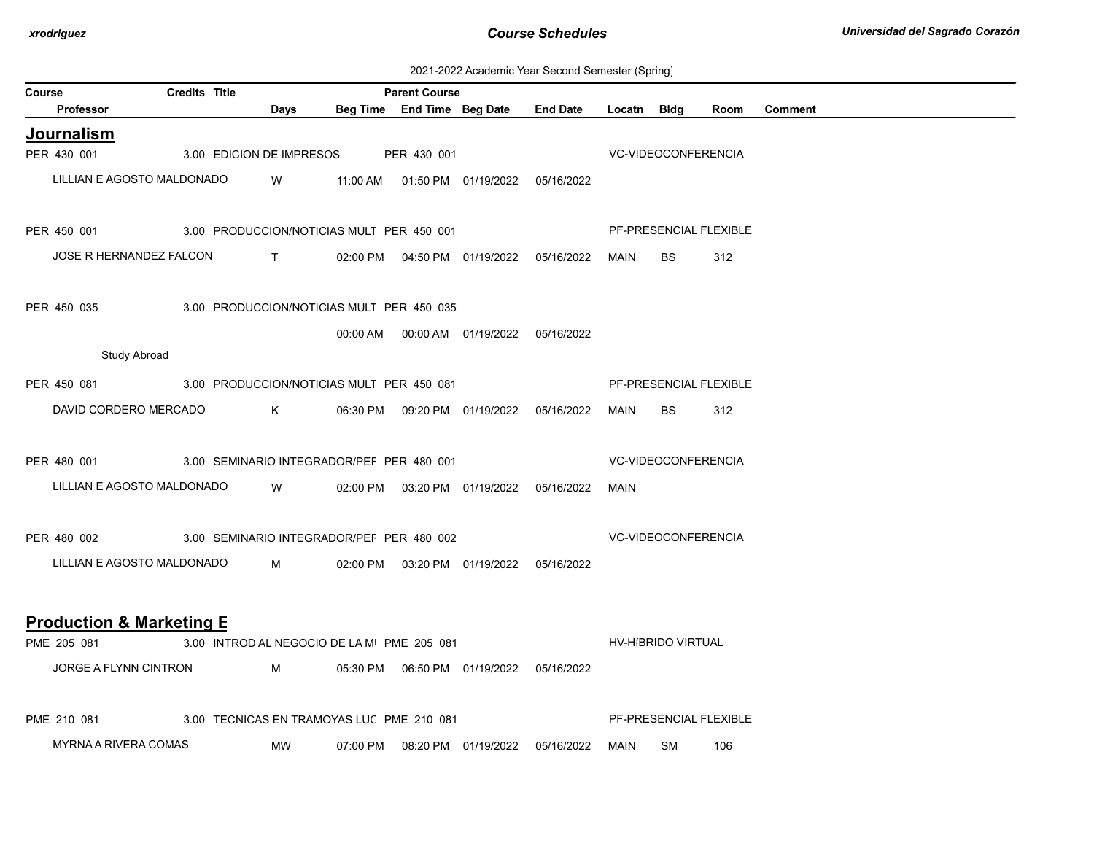| 2021-2022 Academic Year Second Semester (Spring) |  |  |  |
|--------------------------------------------------|--|--|--|
|--------------------------------------------------|--|--|--|

| <b>Course</b> |                                                       | <b>Credits Title</b> |              |                                            | <b>Parent Course</b> |                                            |                                                  |                     |                     |                        |                |
|---------------|-------------------------------------------------------|----------------------|--------------|--------------------------------------------|----------------------|--------------------------------------------|--------------------------------------------------|---------------------|---------------------|------------------------|----------------|
|               | Professor                                             |                      | Days         |                                            |                      |                                            | Beg Time End Time Beg Date End Date Locatn Bldg  |                     |                     | Room                   | <b>Comment</b> |
|               | Journalism                                            |                      |              |                                            |                      |                                            |                                                  |                     |                     |                        |                |
|               | PER 430 001                                           |                      |              | 3.00 EDICION DE IMPRESOS PER 430 001       |                      |                                            |                                                  |                     | VC-VIDEOCONFERENCIA |                        |                |
|               | LILLIAN E AGOSTO MALDONADO                            |                      | <b>W</b>     |                                            |                      | 11:00 AM  01:50 PM  01/19/2022  05/16/2022 |                                                  |                     |                     |                        |                |
|               | PER 450 001 3.00 PRODUCCION/NOTICIAS MULT PER 450 001 |                      |              |                                            |                      |                                            |                                                  |                     |                     | PF-PRESENCIAL FLEXIBLE |                |
|               | JOSE R HERNANDEZ FALCON                               |                      | $\mathbf{T}$ |                                            |                      |                                            | 02:00 PM  04:50 PM  01/19/2022  05/16/2022  MAIN |                     | <b>BS</b>           | 312                    |                |
|               | PER 450 035                                           |                      |              | 3.00 PRODUCCION/NOTICIAS MULT PER 450 035  |                      |                                            |                                                  |                     |                     |                        |                |
|               |                                                       |                      |              |                                            |                      | 00:00 AM  00:00 AM  01/19/2022  05/16/2022 |                                                  |                     |                     |                        |                |
|               | <b>Study Abroad</b>                                   |                      |              |                                            |                      |                                            |                                                  |                     |                     |                        |                |
|               | PER 450 081 3.00 PRODUCCION/NOTICIAS MULT PER 450 081 |                      |              |                                            |                      |                                            |                                                  |                     |                     | PF-PRESENCIAL FLEXIBLE |                |
|               | DAVID CORDERO MERCADO K                               |                      |              |                                            |                      | 06:30 PM  09:20 PM  01/19/2022  05/16/2022 |                                                  | MAIN                | BS.                 | 312                    |                |
|               | PER 480 001 3.00 SEMINARIO INTEGRADOR/PEF PER 480 001 |                      |              |                                            |                      |                                            |                                                  |                     | VC-VIDEOCONFERENCIA |                        |                |
|               | LILLIAN E AGOSTO MALDONADO                            |                      |              | W 02:00 PM 03:20 PM 01/19/2022 05/16/2022  |                      |                                            |                                                  | MAIN                |                     |                        |                |
|               | PER 480 002 3.00 SEMINARIO INTEGRADOR/PEF PER 480 002 |                      |              |                                            |                      |                                            |                                                  | VC-VIDEOCONFERENCIA |                     |                        |                |
|               | LILLIAN E AGOSTO MALDONADO M                          |                      |              |                                            |                      | 02:00 PM  03:20 PM  01/19/2022  05/16/2022 |                                                  |                     |                     |                        |                |
|               | <b>Production &amp; Marketing E</b>                   |                      |              |                                            |                      |                                            |                                                  |                     |                     |                        |                |
|               | PME 205 081                                           |                      |              | 3.00 INTROD AL NEGOCIO DE LA M PME 205 081 |                      |                                            |                                                  |                     | HV-HIBRIDO VIRTUAL  |                        |                |
|               | JORGE A FLYNN CINTRON                                 |                      | $M \sim 1$   |                                            |                      | 05:30 PM  06:50 PM  01/19/2022  05/16/2022 |                                                  |                     |                     |                        |                |
|               | PME 210 081                                           |                      |              | 3.00 TECNICAS EN TRAMOYAS LUC PME 210 081  |                      |                                            |                                                  |                     |                     | PF-PRESENCIAL FLEXIBLE |                |
|               | MYRNA A RIVERA COMAS                                  |                      | MW           | 07:00 PM                                   |                      |                                            | 05/16/2022                                       | MAIN                | <b>SM</b>           | 106                    |                |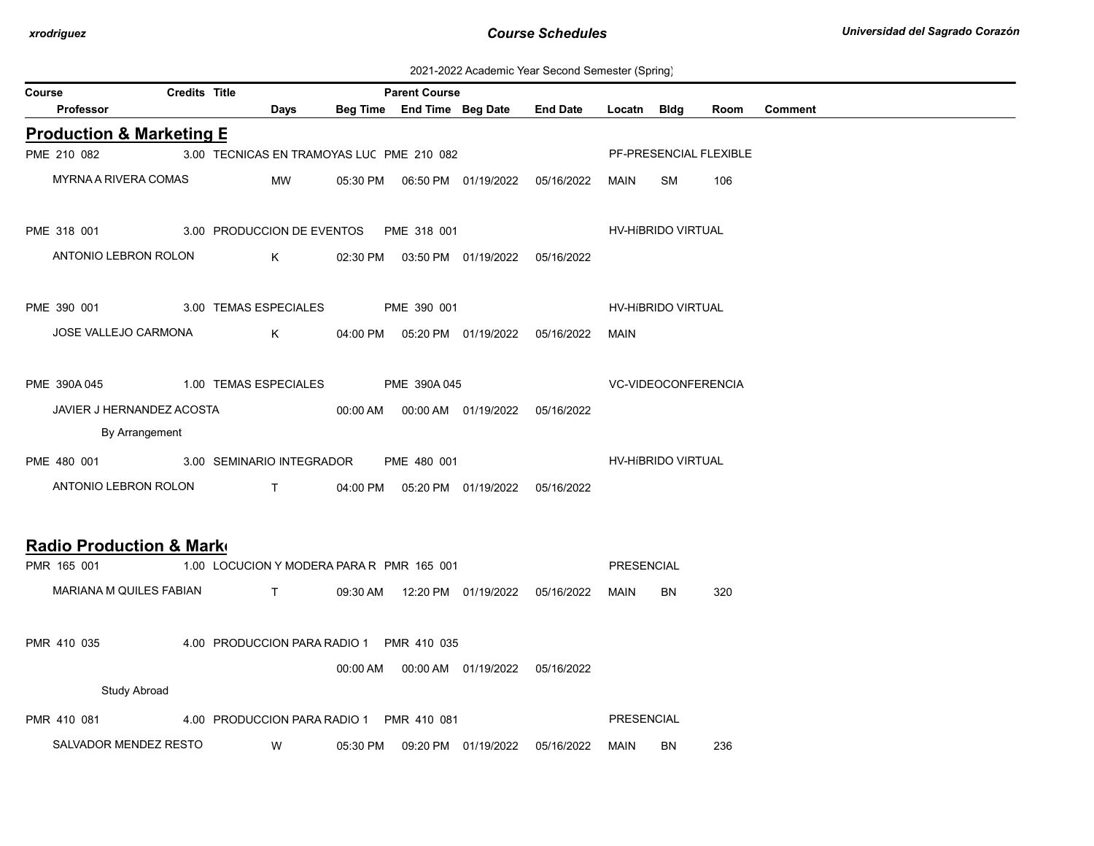| 2021-2022 Academic Year Second Semester (Spring) |  |  |  |
|--------------------------------------------------|--|--|--|
|--------------------------------------------------|--|--|--|

| Course | ---------- (-r------)<br><b>Credits Title</b><br><b>Parent Course</b> |  |                                           |             |  |             |                                            |                                            |                            |                    |                        |                |
|--------|-----------------------------------------------------------------------|--|-------------------------------------------|-------------|--|-------------|--------------------------------------------|--------------------------------------------|----------------------------|--------------------|------------------------|----------------|
|        | Professor                                                             |  |                                           | <b>Days</b> |  |             | Beg Time End Time Beg Date                 | <b>End Date</b>                            | Locatn Bldg                |                    | Room                   | <b>Comment</b> |
|        | <b>Production &amp; Marketing E</b>                                   |  |                                           |             |  |             |                                            |                                            |                            |                    |                        |                |
|        | PME 210 082                                                           |  | 3.00 TECNICAS EN TRAMOYAS LUC PME 210 082 |             |  |             |                                            |                                            |                            |                    | PF-PRESENCIAL FLEXIBLE |                |
|        | MYRNA A RIVERA COMAS                                                  |  |                                           | MW          |  |             |                                            |                                            | MAIN                       | SM                 | 106                    |                |
|        | PME 318 001 3.00 PRODUCCION DE EVENTOS PME 318 001                    |  |                                           |             |  |             |                                            |                                            |                            | HV-HIBRIDO VIRTUAL |                        |                |
|        | ANTONIO LEBRON ROLON                                                  |  | $\mathsf K$                               |             |  |             | 02:30 PM  03:50 PM  01/19/2022  05/16/2022 |                                            |                            |                    |                        |                |
|        | PME 390 001                                                           |  | 3.00 TEMAS ESPECIALES                     |             |  | PME 390 001 |                                            |                                            |                            | HV-HIBRIDO VIRTUAL |                        |                |
|        | JOSE VALLEJO CARMONA                                                  |  |                                           | $K$ and $K$ |  |             |                                            | 04:00 PM  05:20 PM  01/19/2022  05/16/2022 | MAIN                       |                    |                        |                |
|        | PME 390A 045 1.00 TEMAS ESPECIALES PME 390A 045                       |  |                                           |             |  |             |                                            |                                            | <b>VC-VIDEOCONFERENCIA</b> |                    |                        |                |
|        | JAVIER J HERNANDEZ ACOSTA                                             |  |                                           |             |  |             | 00:00 AM  00:00 AM  01/19/2022  05/16/2022 |                                            |                            |                    |                        |                |
|        | By Arrangement                                                        |  |                                           |             |  |             |                                            |                                            |                            |                    |                        |                |
|        | PME 480 001 3.00 SEMINARIO INTEGRADOR                                 |  |                                           |             |  | PME 480 001 |                                            |                                            |                            | HV-HIBRIDO VIRTUAL |                        |                |
|        | ANTONIO LEBRON ROLON T 04:00 PM 05:20 PM 01/19/2022 05/16/2022        |  |                                           |             |  |             |                                            |                                            |                            |                    |                        |                |
|        | Radio Production & Marko                                              |  |                                           |             |  |             |                                            |                                            |                            |                    |                        |                |
|        | PMR 165 001                                                           |  | 1.00 LOCUCION Y MODERA PARA R PMR 165 001 |             |  |             |                                            |                                            | PRESENCIAL                 |                    |                        |                |
|        | MARIANA M QUILES FABIAN                                               |  | <b>The Contract of Contract Street</b>    |             |  |             |                                            | 09:30 AM  12:20 PM  01/19/2022  05/16/2022 | MAIN                       | <b>BN</b>          | 320                    |                |
|        | PMR 410 035                                                           |  | 4.00 PRODUCCION PARA RADIO 1 PMR 410 035  |             |  |             |                                            |                                            |                            |                    |                        |                |
|        |                                                                       |  |                                           |             |  |             | 00:00 AM  00:00 AM  01/19/2022  05/16/2022 |                                            |                            |                    |                        |                |
|        | <b>Study Abroad</b>                                                   |  |                                           |             |  |             |                                            |                                            |                            |                    |                        |                |
|        | PMR 410 081                                                           |  | 4.00 PRODUCCION PARA RADIO 1 PMR 410 081  |             |  |             |                                            |                                            | <b>PRESENCIAL</b>          |                    |                        |                |
|        | SALVADOR MENDEZ RESTO                                                 |  | <b>W</b>                                  |             |  |             |                                            | 05:30 PM  09:20 PM  01/19/2022  05/16/2022 | MAIN                       | BN.                | 236                    |                |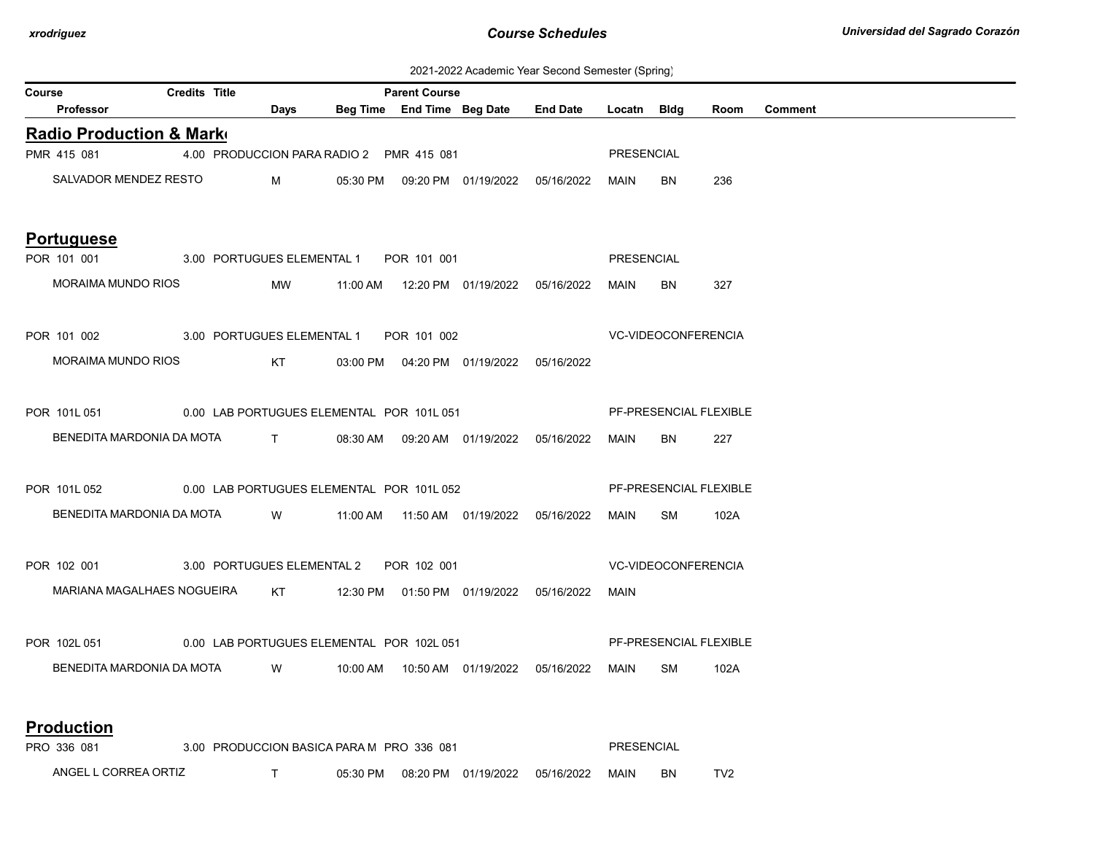| 2021-2022 Academic Year Second Semester (Spring) |  |  |  |  |  |
|--------------------------------------------------|--|--|--|--|--|
|--------------------------------------------------|--|--|--|--|--|

| <b>Course</b>                                          |                                                                       | <b>Credits Title</b> |                 |                                           | <b>Parent Course</b> |                                            | readonne Tear Second Sonicotor (Spinig)         |                   |                            |      |                |
|--------------------------------------------------------|-----------------------------------------------------------------------|----------------------|-----------------|-------------------------------------------|----------------------|--------------------------------------------|-------------------------------------------------|-------------------|----------------------------|------|----------------|
|                                                        | <b>Professor</b>                                                      |                      | Days            |                                           |                      |                                            | Beg Time End Time Beg Date End Date Locatn Bldg |                   |                            | Room | <b>Comment</b> |
|                                                        | <b>Radio Production &amp; Marke</b>                                   |                      |                 |                                           |                      |                                            |                                                 |                   |                            |      |                |
|                                                        | PMR 415 081                                                           |                      |                 | 4.00 PRODUCCION PARA RADIO 2 PMR 415 081  |                      |                                            |                                                 | PRESENCIAL        |                            |      |                |
|                                                        | SALVADOR MENDEZ RESTO                                                 |                      | $M \sim 1$      |                                           |                      |                                            | 05:30 PM  09:20 PM  01/19/2022  05/16/2022      | MAIN              | <b>BN</b>                  | 236  |                |
|                                                        | <b>Portuguese</b>                                                     |                      |                 |                                           |                      |                                            |                                                 |                   |                            |      |                |
|                                                        | POR 101 001 3.00 PORTUGUES ELEMENTAL 1 POR 101 001                    |                      |                 |                                           |                      |                                            |                                                 | PRESENCIAL        |                            |      |                |
|                                                        | MORAIMA MUNDO RIOS                                                    |                      | <b>MW</b>       |                                           |                      |                                            |                                                 | MAIN              | <b>BN</b>                  | 327  |                |
|                                                        | POR 101 002 3.00 PORTUGUES ELEMENTAL 1 POR 101 002                    |                      |                 |                                           |                      |                                            |                                                 |                   | <b>VC-VIDEOCONFERENCIA</b> |      |                |
|                                                        | <b>MORAIMA MUNDO RIOS</b>                                             |                      | KT <sub>N</sub> |                                           |                      | 03:00 PM  04:20 PM  01/19/2022  05/16/2022 |                                                 |                   |                            |      |                |
| POR 101L 051 0.00 LAB PORTUGUES ELEMENTAL POR 101L 051 |                                                                       |                      |                 |                                           |                      |                                            |                                                 |                   | PF-PRESENCIAL FLEXIBLE     |      |                |
|                                                        | BENEDITA MARDONIA DA MOTA T                                           |                      |                 |                                           |                      |                                            | 08:30 AM  09:20 AM  01/19/2022  05/16/2022      | MAIN              | BN.                        | 227  |                |
|                                                        | POR 101L 052 0.00 LAB PORTUGUES ELEMENTAL POR 101L 052                |                      |                 |                                           |                      |                                            |                                                 |                   | PF-PRESENCIAL FLEXIBLE     |      |                |
|                                                        | BENEDITA MARDONIA DA MOTA W 11:00 AM 11:50 AM 01/19/2022 05/16/2022   |                      |                 |                                           |                      |                                            |                                                 | MAIN              | SM                         | 102A |                |
|                                                        | POR 102 001 3.00 PORTUGUES ELEMENTAL 2 POR 102 001                    |                      |                 |                                           |                      |                                            |                                                 |                   | <b>VC-VIDEOCONFERENCIA</b> |      |                |
|                                                        | MARIANA MAGALHAES NOGUEIRA KT 12:30 PM 01:50 PM 01/19/2022 05/16/2022 |                      |                 |                                           |                      |                                            |                                                 | MAIN              |                            |      |                |
|                                                        | POR 102L 051 0.00 LAB PORTUGUES ELEMENTAL POR 102L 051                |                      |                 |                                           |                      |                                            |                                                 |                   | PF-PRESENCIAL FLEXIBLE     |      |                |
|                                                        | BENEDITA MARDONIA DA MOTA                                             |                      | <b>W</b>        |                                           |                      |                                            |                                                 | MAIN              | SM                         | 102A |                |
|                                                        | <b>Production</b>                                                     |                      |                 |                                           |                      |                                            |                                                 |                   |                            |      |                |
|                                                        | PRO 336 081                                                           |                      |                 | 3.00 PRODUCCION BASICA PARA M PRO 336 081 |                      |                                            |                                                 | <b>PRESENCIAL</b> |                            |      |                |

ANGEL L CORREA ORTIZ T 05:30 PM 08:20 PM 01/19/2022 05/16/2022 MAIN BN TV2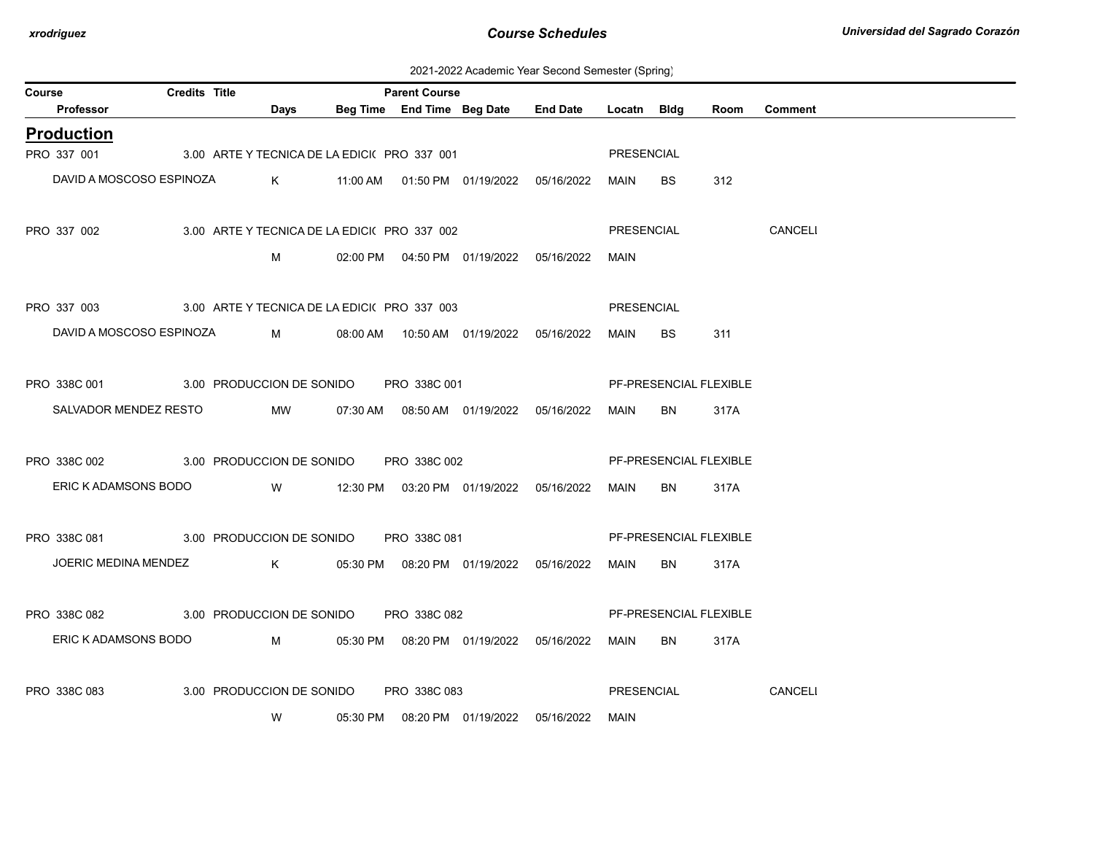2021-2022 Academic Year Second Semester (Spring)

| Course                                                  | <b>Credits Title</b> |             |      |                                              | <b>Parent Course</b> |                                                  |                                     |                   |                        |      |                |
|---------------------------------------------------------|----------------------|-------------|------|----------------------------------------------|----------------------|--------------------------------------------------|-------------------------------------|-------------------|------------------------|------|----------------|
| <b>Professor</b>                                        |                      |             | Days |                                              |                      |                                                  | Beg Time End Time Beg Date End Date | Locatn Bldg       |                        | Room | <b>Comment</b> |
| <b>Production</b>                                       |                      |             |      |                                              |                      |                                                  |                                     |                   |                        |      |                |
| PRO 337 001 3.00 ARTE Y TECNICA DE LA EDICI(PRO 337 001 |                      |             |      |                                              |                      |                                                  |                                     | PRESENCIAL        |                        |      |                |
| DAVID A MOSCOSO ESPINOZA                                |                      |             |      |                                              |                      |                                                  |                                     | MAIN              | BS                     | 312  |                |
| PRO 337 002                                             |                      |             |      | 3.00 ARTE Y TECNICA DE LA EDICI( PRO 337 002 |                      |                                                  |                                     | PRESENCIAL        |                        |      | CANCELI        |
|                                                         |                      |             | М    |                                              |                      | 02:00 PM  04:50 PM  01/19/2022  05/16/2022       |                                     | MAIN              |                        |      |                |
| PRO 337 003 3.00 ARTE Y TECNICA DE LA EDICI(PRO 337 003 |                      |             |      |                                              |                      |                                                  |                                     | <b>PRESENCIAL</b> |                        |      |                |
| DAVID A MOSCOSO ESPINOZA                                |                      |             |      |                                              |                      | M 08:00 AM 10:50 AM 01/19/2022 05/16/2022        |                                     | MAIN              | BS.                    | 311  |                |
| PRO 338C 001 3.00 PRODUCCION DE SONIDO PRO 338C 001     |                      |             |      |                                              |                      |                                                  |                                     |                   | PF-PRESENCIAL FLEXIBLE |      |                |
| SALVADOR MENDEZ RESTO                                   |                      |             | MW   |                                              |                      | 07:30 AM  08:50 AM  01/19/2022  05/16/2022       |                                     | MAIN              | BN                     | 317A |                |
| PRO 338C 002 3.00 PRODUCCION DE SONIDO PRO 338C 002     |                      |             |      |                                              |                      |                                                  |                                     |                   | PF-PRESENCIAL FLEXIBLE |      |                |
|                                                         |                      |             |      |                                              |                      |                                                  |                                     |                   |                        |      |                |
| ERIC K ADAMSONS BODO                                    |                      |             |      |                                              |                      | W 12:30 PM 03:20 PM 01/19/2022 05/16/2022        |                                     | MAIN              | BN                     | 317A |                |
| PRO 338C 081 3.00 PRODUCCION DE SONIDO PRO 338C 081     |                      |             |      |                                              |                      |                                                  |                                     |                   | PF-PRESENCIAL FLEXIBLE |      |                |
| JOERIC MEDINA MENDEZ                                    |                      |             |      |                                              |                      | K     05:30 PM  08:20 PM  01/19/2022  05/16/2022 |                                     | MAIN              | BN                     | 317A |                |
| PRO 338C 082                                            |                      |             |      | 3.00 PRODUCCION DE SONIDO PRO 338C 082       |                      |                                                  |                                     |                   | PF-PRESENCIAL FLEXIBLE |      |                |
| ERIC K ADAMSONS BODO                                    |                      | $M_{\rm 1}$ |      |                                              |                      | 05:30 PM  08:20 PM  01/19/2022  05/16/2022       |                                     | MAIN              | BN                     | 317A |                |
| PRO 338C 083                                            |                      |             |      | 3.00 PRODUCCION DE SONIDO PRO 338C 083       |                      |                                                  |                                     | PRESENCIAL        |                        |      | CANCELI        |
|                                                         |                      |             | W    |                                              |                      | 05:30 PM  08:20 PM  01/19/2022  05/16/2022       |                                     | MAIN              |                        |      |                |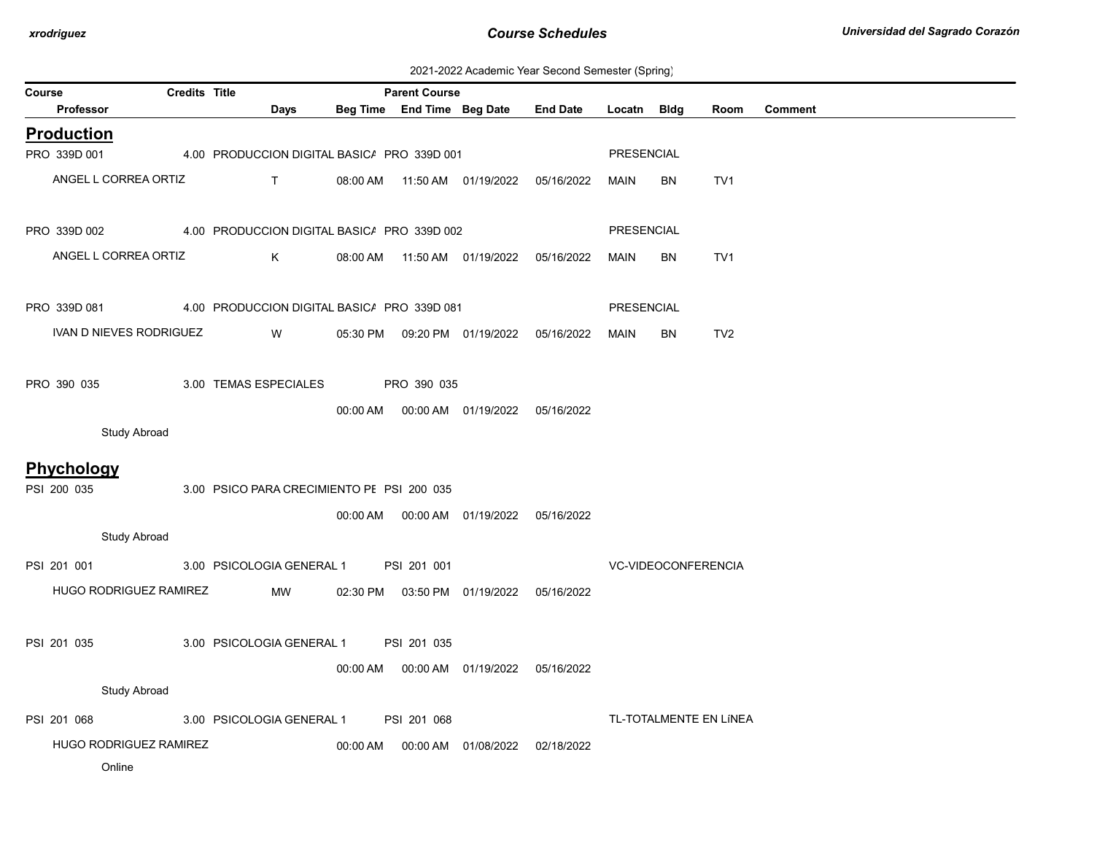2021-2022 Academic Year Second Semester (Spring)

| Course                           | <b>Credits Title</b> |                                             |          | <b>Parent Course</b> |                                  |                 |                   |                     |                        |                |
|----------------------------------|----------------------|---------------------------------------------|----------|----------------------|----------------------------------|-----------------|-------------------|---------------------|------------------------|----------------|
| <b>Professor</b>                 |                      | Days                                        |          |                      | Beg Time End Time Beg Date       | <b>End Date</b> | Locatn Bldg       |                     | Room                   | <b>Comment</b> |
| <b>Production</b>                |                      |                                             |          |                      |                                  |                 |                   |                     |                        |                |
| PRO 339D 001                     |                      | 4.00 PRODUCCION DIGITAL BASIC/ PRO 339D 001 |          |                      |                                  |                 | PRESENCIAL        |                     |                        |                |
| ANGEL L CORREA ORTIZ             |                      | $\mathsf{T}$                                | 08:00 AM |                      | 11:50 AM  01/19/2022             | 05/16/2022      | MAIN              | BN                  | TV <sub>1</sub>        |                |
| PRO 339D 002                     |                      | 4.00 PRODUCCION DIGITAL BASIC/ PRO 339D 002 |          |                      |                                  |                 | <b>PRESENCIAL</b> |                     |                        |                |
| ANGEL L CORREA ORTIZ             |                      | K                                           | 08:00 AM |                      | 11:50 AM  01/19/2022  05/16/2022 |                 | MAIN              | BN                  | TV1                    |                |
| PRO 339D 081                     |                      | 4.00 PRODUCCION DIGITAL BASIC/ PRO 339D 081 |          |                      |                                  |                 | <b>PRESENCIAL</b> |                     |                        |                |
| IVAN D NIEVES RODRIGUEZ          |                      | W                                           | 05:30 PM |                      | 09:20 PM 01/19/2022 05/16/2022   |                 | MAIN              | <b>BN</b>           | TV <sub>2</sub>        |                |
| PRO 390 035                      |                      | 3.00 TEMAS ESPECIALES                       |          | PRO 390 035          |                                  |                 |                   |                     |                        |                |
| <b>Study Abroad</b>              |                      |                                             | 00:00 AM |                      | 00:00 AM  01/19/2022  05/16/2022 |                 |                   |                     |                        |                |
|                                  |                      |                                             |          |                      |                                  |                 |                   |                     |                        |                |
| <b>Phychology</b><br>PSI 200 035 |                      | 3.00 PSICO PARA CRECIMIENTO PE PSI 200 035  |          |                      |                                  |                 |                   |                     |                        |                |
|                                  |                      |                                             | 00:00 AM |                      | 00:00 AM  01/19/2022             | 05/16/2022      |                   |                     |                        |                |
| <b>Study Abroad</b>              |                      |                                             |          |                      |                                  |                 |                   |                     |                        |                |
| PSI 201 001                      |                      | 3.00 PSICOLOGIA GENERAL 1                   |          | PSI 201 001          |                                  |                 |                   | VC-VIDEOCONFERENCIA |                        |                |
| HUGO RODRIGUEZ RAMIREZ           |                      | MW                                          |          |                      | 02:30 PM  03:50 PM  01/19/2022   | 05/16/2022      |                   |                     |                        |                |
| PSI 201 035                      |                      | 3.00 PSICOLOGIA GENERAL 1                   |          | PSI 201 035          |                                  |                 |                   |                     |                        |                |
|                                  |                      |                                             | 00:00 AM |                      | 00:00 AM  01/19/2022  05/16/2022 |                 |                   |                     |                        |                |
| <b>Study Abroad</b>              |                      |                                             |          |                      |                                  |                 |                   |                     |                        |                |
| PSI 201 068                      |                      | 3.00 PSICOLOGIA GENERAL 1                   |          | PSI 201 068          |                                  |                 |                   |                     | TL-TOTALMENTE EN LÍNEA |                |
| HUGO RODRIGUEZ RAMIREZ           |                      |                                             | 00:00 AM |                      | 00:00 AM  01/08/2022             | 02/18/2022      |                   |                     |                        |                |
| Online                           |                      |                                             |          |                      |                                  |                 |                   |                     |                        |                |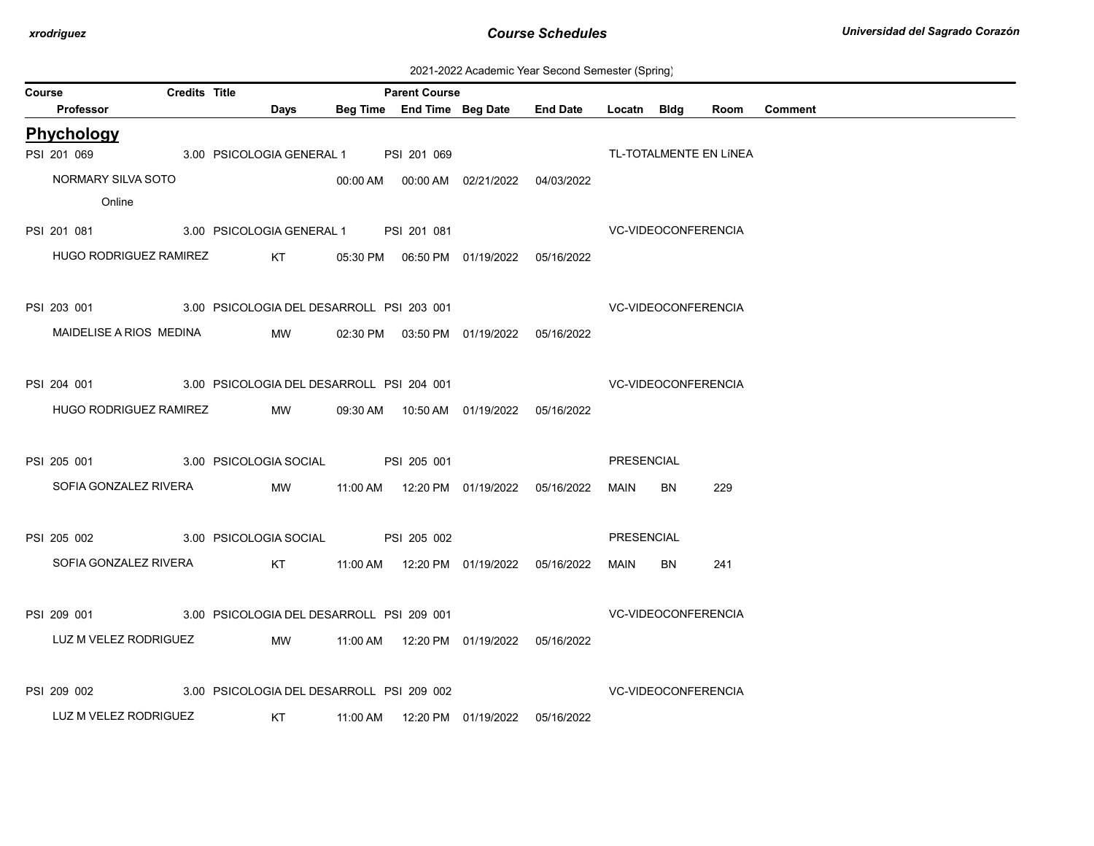| 2021-2022 Academic Year Second Semester (Spring) |  |  |  |  |  |
|--------------------------------------------------|--|--|--|--|--|
|--------------------------------------------------|--|--|--|--|--|

| Course |                         | <b>Credits Title</b> |                                                       | <b>Parent Course</b> |                                            |                                     |                            |           |                        |                |
|--------|-------------------------|----------------------|-------------------------------------------------------|----------------------|--------------------------------------------|-------------------------------------|----------------------------|-----------|------------------------|----------------|
|        | Professor               |                      | <b>Days</b>                                           |                      |                                            | Beg Time End Time Beg Date End Date | Locatn Bldg                |           | Room                   | <b>Comment</b> |
|        | Phychology              |                      |                                                       |                      |                                            |                                     |                            |           |                        |                |
|        | PSI 201 069             |                      | 3.00 PSICOLOGIA GENERAL 1 PSI 201 069                 |                      |                                            |                                     |                            |           | TL-TOTALMENTE EN LÍNEA |                |
|        | NORMARY SILVA SOTO      |                      |                                                       |                      | 00:00 AM  00:00 AM  02/21/2022  04/03/2022 |                                     |                            |           |                        |                |
|        | Online                  |                      |                                                       |                      |                                            |                                     |                            |           |                        |                |
|        |                         |                      | PSI 201 081 3.00 PSICOLOGIA GENERAL 1 PSI 201 081     |                      |                                            |                                     | <b>VC-VIDEOCONFERENCIA</b> |           |                        |                |
|        | HUGO RODRIGUEZ RAMIREZ  |                      |                                                       |                      | KT 05:30 PM 06:50 PM 01/19/2022 05/16/2022 |                                     |                            |           |                        |                |
|        |                         |                      |                                                       |                      |                                            |                                     |                            |           |                        |                |
|        |                         |                      | PSI 203 001 3.00 PSICOLOGIA DEL DESARROLL PSI 203 001 |                      |                                            |                                     | VC-VIDEOCONFERENCIA        |           |                        |                |
|        | MAIDELISE A RIOS MEDINA |                      | MW                                                    |                      | 02:30 PM  03:50 PM  01/19/2022  05/16/2022 |                                     |                            |           |                        |                |
|        |                         |                      |                                                       |                      |                                            |                                     |                            |           |                        |                |
|        |                         |                      | PSI 204 001 3.00 PSICOLOGIA DEL DESARROLL PSI 204 001 |                      |                                            |                                     | VC-VIDEOCONFERENCIA        |           |                        |                |
|        | HUGO RODRIGUEZ RAMIREZ  |                      | MW                                                    |                      | 09:30 AM  10:50 AM  01/19/2022  05/16/2022 |                                     |                            |           |                        |                |
|        |                         |                      |                                                       |                      |                                            |                                     |                            |           |                        |                |
|        |                         |                      | PSI 205 001 3.00 PSICOLOGIA SOCIAL PSI 205 001        |                      |                                            |                                     | PRESENCIAL                 |           |                        |                |
|        | SOFIA GONZALEZ RIVERA   |                      | <b>MW</b>                                             |                      | 11:00 AM  12:20 PM  01/19/2022  05/16/2022 |                                     | MAIN                       | <b>BN</b> | 229                    |                |
|        |                         |                      |                                                       |                      |                                            |                                     |                            |           |                        |                |
|        | PSI 205 002             |                      | 3.00 PSICOLOGIA SOCIAL                                | PSI 205 002          |                                            |                                     | <b>PRESENCIAL</b>          |           |                        |                |
|        |                         |                      |                                                       |                      |                                            |                                     |                            |           |                        |                |
|        | SOFIA GONZALEZ RIVERA   |                      |                                                       |                      |                                            |                                     | MAIN                       | BN        | 241                    |                |
|        |                         |                      |                                                       |                      |                                            |                                     |                            |           |                        |                |
|        |                         |                      | PSI 209 001 3.00 PSICOLOGIA DEL DESARROLL PSI 209 001 |                      |                                            |                                     | VC-VIDEOCONFERENCIA        |           |                        |                |
|        | LUZ M VELEZ RODRIGUEZ   |                      | MW                                                    |                      | 11:00 AM  12:20 PM  01/19/2022  05/16/2022 |                                     |                            |           |                        |                |
|        |                         |                      |                                                       |                      |                                            |                                     |                            |           |                        |                |
|        | PSI 209 002             |                      | 3.00 PSICOLOGIA DEL DESARROLL PSI 209 002             |                      |                                            |                                     | <b>VC-VIDEOCONFERENCIA</b> |           |                        |                |
|        | LUZ M VELEZ RODRIGUEZ   |                      | <b>Example 18 KT</b>                                  |                      |                                            |                                     |                            |           |                        |                |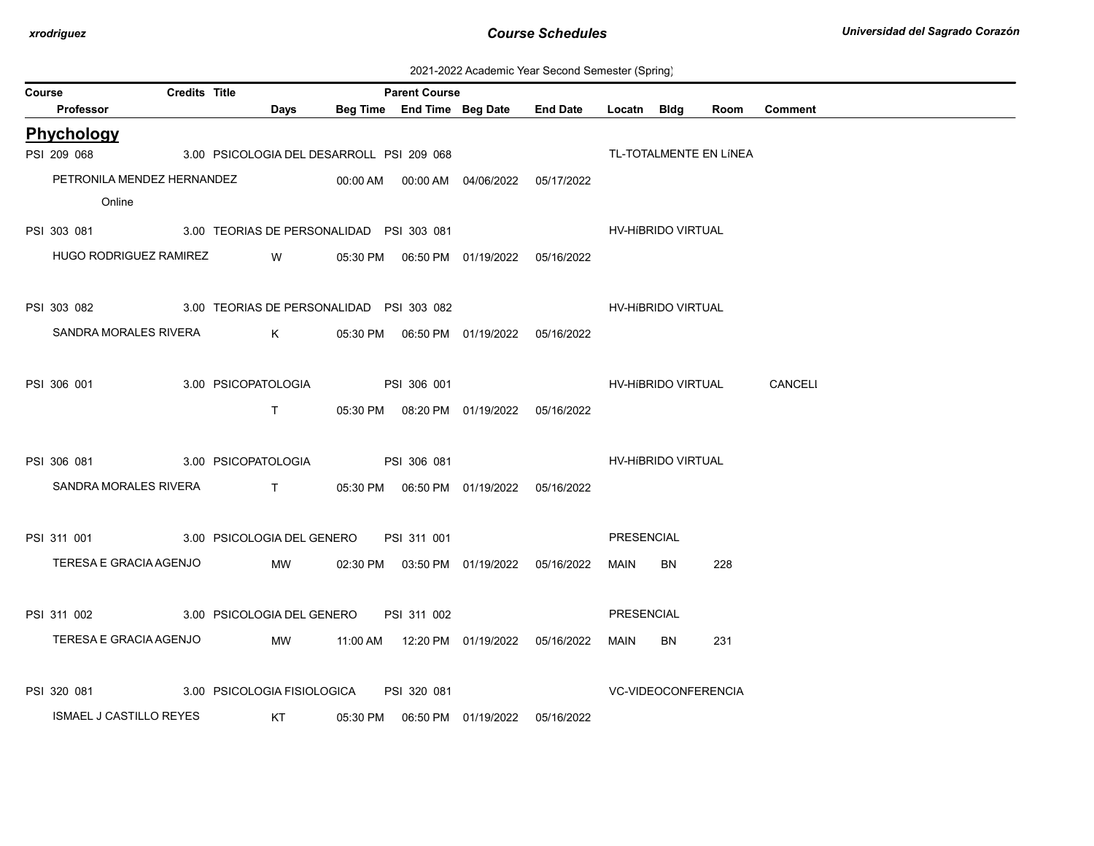| 2021-2022 Academic Year Second Semester (Spring) |  |
|--------------------------------------------------|--|
|--------------------------------------------------|--|

| Course |                                | <b>Credits Title</b> |                                           |                    | <b>Parent Course</b> |                                            |                                     |                     |    |                        |                            |
|--------|--------------------------------|----------------------|-------------------------------------------|--------------------|----------------------|--------------------------------------------|-------------------------------------|---------------------|----|------------------------|----------------------------|
|        | Professor                      |                      | Days                                      |                    |                      |                                            | Beg Time End Time Beg Date End Date | Locatn Bldg         |    | Room                   | <b>Comment</b>             |
|        | Phychology                     |                      |                                           |                    |                      |                                            |                                     |                     |    |                        |                            |
|        | PSI 209 068                    |                      | 3.00 PSICOLOGIA DEL DESARROLL PSI 209 068 |                    |                      |                                            |                                     |                     |    | TL-TOTALMENTE EN LÍNEA |                            |
|        | PETRONILA MENDEZ HERNANDEZ     |                      |                                           |                    |                      | 00:00 AM  00:00 AM  04/06/2022  05/17/2022 |                                     |                     |    |                        |                            |
|        | Online                         |                      |                                           |                    |                      |                                            |                                     |                     |    |                        |                            |
|        | PSI 303 081                    |                      | 3.00 TEORIAS DE PERSONALIDAD PSI 303 081  |                    |                      |                                            |                                     | HV-HíBRIDO VIRTUAL  |    |                        |                            |
|        | HUGO RODRIGUEZ RAMIREZ         |                      | <b>W</b>                                  |                    |                      | 05:30 PM  06:50 PM  01/19/2022  05/16/2022 |                                     |                     |    |                        |                            |
|        |                                |                      |                                           |                    |                      |                                            |                                     |                     |    |                        |                            |
|        | PSI 303 082                    |                      | 3.00 TEORIAS DE PERSONALIDAD PSI 303 082  |                    |                      |                                            |                                     | HV-HIBRIDO VIRTUAL  |    |                        |                            |
|        |                                |                      |                                           |                    |                      |                                            |                                     |                     |    |                        |                            |
|        | SANDRA MORALES RIVERA          |                      | $K$ and $K$                               |                    |                      | 05:30 PM  06:50 PM  01/19/2022  05/16/2022 |                                     |                     |    |                        |                            |
|        |                                |                      |                                           |                    |                      |                                            |                                     |                     |    |                        |                            |
|        | PSI 306 001                    |                      | 3.00 PSICOPATOLOGIA                       | <b>PSI 306 001</b> |                      |                                            |                                     |                     |    |                        | HV-HIBRIDO VIRTUAL CANCELI |
|        |                                |                      | $\mathsf{T}$ and $\mathsf{T}$             |                    |                      | 05:30 PM  08:20 PM  01/19/2022  05/16/2022 |                                     |                     |    |                        |                            |
|        |                                |                      |                                           |                    |                      |                                            |                                     |                     |    |                        |                            |
|        | PSI 306 081                    |                      | 3.00 PSICOPATOLOGIA PSI 306 081           |                    |                      |                                            |                                     | HV-HIBRIDO VIRTUAL  |    |                        |                            |
|        | SANDRA MORALES RIVERA          |                      | T 05:30 PM 06:50 PM 01/19/2022 05/16/2022 |                    |                      |                                            |                                     |                     |    |                        |                            |
|        |                                |                      |                                           |                    |                      |                                            |                                     |                     |    |                        |                            |
|        | PSI 311 001                    |                      | 3.00 PSICOLOGIA DEL GENERO                |                    | PSI 311 001          |                                            |                                     | <b>PRESENCIAL</b>   |    |                        |                            |
|        | TERESA E GRACIA AGENJO         |                      | MW                                        |                    |                      | 02:30 PM  03:50 PM  01/19/2022  05/16/2022 |                                     | MAIN                | BN | 228                    |                            |
|        |                                |                      |                                           |                    |                      |                                            |                                     |                     |    |                        |                            |
|        | PSI 311 002                    |                      | 3.00 PSICOLOGIA DEL GENERO                |                    | PSI 311 002          |                                            |                                     | PRESENCIAL          |    |                        |                            |
|        |                                |                      |                                           |                    |                      |                                            |                                     |                     |    |                        |                            |
|        | TERESA E GRACIA AGENJO         |                      | MW                                        |                    |                      |                                            |                                     | MAIN                | BN | 231                    |                            |
|        |                                |                      |                                           |                    |                      |                                            |                                     |                     |    |                        |                            |
|        | PSI 320 081                    |                      | 3.00 PSICOLOGIA FISIOLOGICA               |                    | PSI 320 081          |                                            |                                     | VC-VIDEOCONFERENCIA |    |                        |                            |
|        | <b>ISMAEL J CASTILLO REYES</b> |                      | <b>Example 15 KT</b>                      |                    |                      | 05:30 PM  06:50 PM  01/19/2022  05/16/2022 |                                     |                     |    |                        |                            |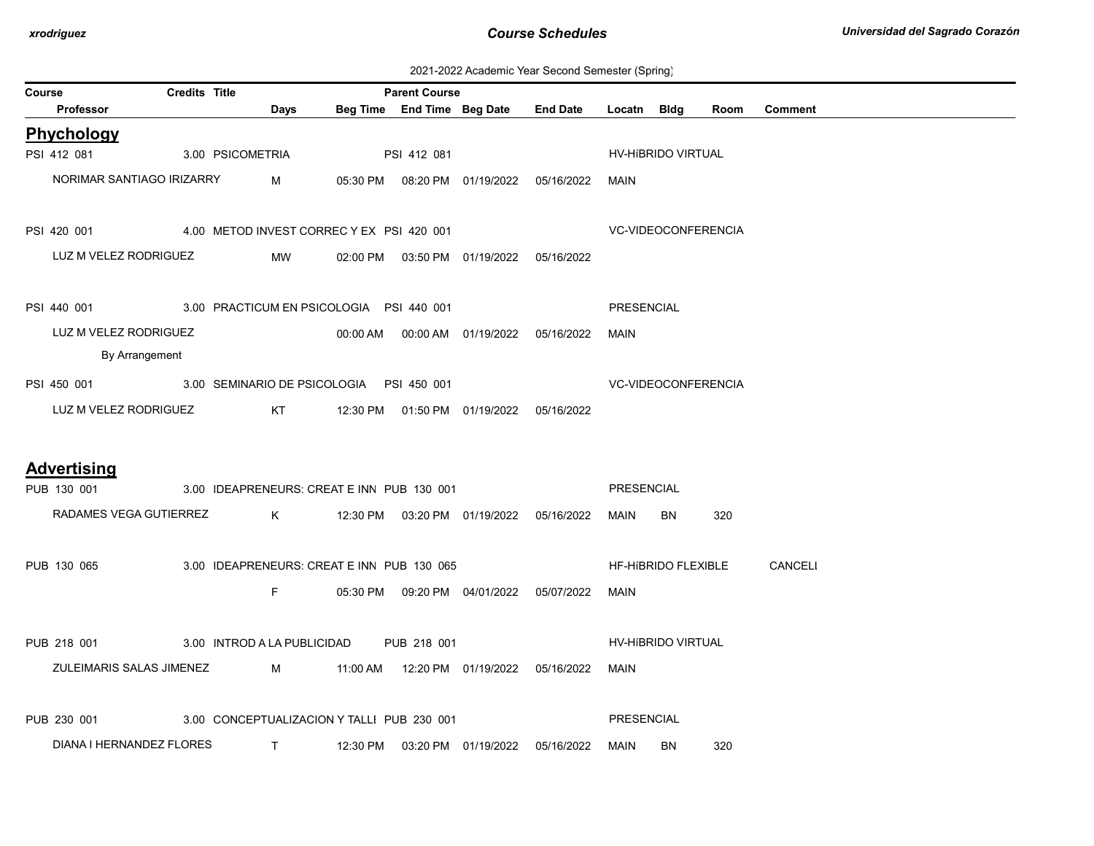| 2021-2022 Academic Year Second Semester (Spring) |  |  |  |
|--------------------------------------------------|--|--|--|
|--------------------------------------------------|--|--|--|

| <b>Credits Title</b><br><b>Parent Course</b><br><b>Course</b>      |  |                                                                                                                                                                                                                                                                                                                               |  |             |                                            |                                                 |             |                            |      |                |  |
|--------------------------------------------------------------------|--|-------------------------------------------------------------------------------------------------------------------------------------------------------------------------------------------------------------------------------------------------------------------------------------------------------------------------------|--|-------------|--------------------------------------------|-------------------------------------------------|-------------|----------------------------|------|----------------|--|
| Professor                                                          |  | Days                                                                                                                                                                                                                                                                                                                          |  |             |                                            | Beg Time End Time Beg Date End Date Locatn Bldg |             |                            | Room | <b>Comment</b> |  |
| Phychology                                                         |  |                                                                                                                                                                                                                                                                                                                               |  |             |                                            |                                                 |             |                            |      |                |  |
| PSI 412 081                                                        |  | 3.00 PSICOMETRIA                                                                                                                                                                                                                                                                                                              |  | PSI 412 081 |                                            |                                                 |             | HV-HIBRIDO VIRTUAL         |      |                |  |
| NORIMAR SANTIAGO IRIZARRY                                          |  | $M \sim 1$                                                                                                                                                                                                                                                                                                                    |  |             |                                            | 05:30 PM  08:20 PM  01/19/2022  05/16/2022      | MAIN        |                            |      |                |  |
| PSI 420 001 4.00 METOD INVEST CORREC Y EX PSI 420 001              |  |                                                                                                                                                                                                                                                                                                                               |  |             |                                            |                                                 |             | VC-VIDEOCONFERENCIA        |      |                |  |
| LUZ M VELEZ RODRIGUEZ                                              |  | MW                                                                                                                                                                                                                                                                                                                            |  |             |                                            | 02:00 PM  03:50 PM  01/19/2022  05/16/2022      |             |                            |      |                |  |
| PSI 440 001 3.00 PRACTICUM EN PSICOLOGIA PSI 440 001               |  |                                                                                                                                                                                                                                                                                                                               |  |             |                                            |                                                 | PRESENCIAL  |                            |      |                |  |
| LUZ M VELEZ RODRIGUEZ<br>By Arrangement                            |  |                                                                                                                                                                                                                                                                                                                               |  |             |                                            | 00:00 AM   00:00 AM   01/19/2022  05/16/2022    | <b>MAIN</b> |                            |      |                |  |
| PSI 450 001 3.00 SEMINARIO DE PSICOLOGIA PSI 450 001               |  |                                                                                                                                                                                                                                                                                                                               |  |             |                                            |                                                 |             | <b>VC-VIDEOCONFERENCIA</b> |      |                |  |
| LUZ M VELEZ RODRIGUEZ                                              |  | KT <sub>N</sub>                                                                                                                                                                                                                                                                                                               |  |             | 12:30 PM  01:50 PM  01/19/2022  05/16/2022 |                                                 |             |                            |      |                |  |
| <b>Advertising</b>                                                 |  |                                                                                                                                                                                                                                                                                                                               |  |             |                                            |                                                 |             |                            |      |                |  |
| PUB 130 001                                                        |  | 3.00 IDEAPRENEURS: CREAT E INN PUB 130 001                                                                                                                                                                                                                                                                                    |  |             |                                            |                                                 | PRESENCIAL  |                            |      |                |  |
| RADAMES VEGA GUTIERREZ K                                           |  |                                                                                                                                                                                                                                                                                                                               |  |             | 12:30 PM  03:20 PM  01/19/2022  05/16/2022 |                                                 | MAIN        | BN                         | 320  |                |  |
| PUB 130 065                                                        |  | 3.00 IDEAPRENEURS: CREAT E INN PUB 130 065                                                                                                                                                                                                                                                                                    |  |             |                                            |                                                 |             | HF-HIBRIDO FLEXIBLE        |      | CANCELI        |  |
|                                                                    |  | F                                                                                                                                                                                                                                                                                                                             |  |             |                                            | 05:30 PM  09:20 PM  04/01/2022  05/07/2022      | MAIN        |                            |      |                |  |
| PUB 218 001                                                        |  | 3.00 INTROD A LA PUBLICIDAD PUB 218 001                                                                                                                                                                                                                                                                                       |  |             |                                            |                                                 |             | <b>HV-HIBRIDO VIRTUAL</b>  |      |                |  |
| ZULEIMARIS SALAS JIMENEZ M 11:00 AM 12:20 PM 01/19/2022 05/16/2022 |  |                                                                                                                                                                                                                                                                                                                               |  |             |                                            |                                                 | MAIN        |                            |      |                |  |
| PUB 230 001                                                        |  | 3.00 CONCEPTUALIZACION Y TALLI PUB 230 001                                                                                                                                                                                                                                                                                    |  |             |                                            |                                                 | PRESENCIAL  |                            |      |                |  |
| DIANA I HERNANDEZ FLORES                                           |  | $\mathbf{T}$ and $\mathbf{T}$ and $\mathbf{T}$ and $\mathbf{T}$ and $\mathbf{T}$ and $\mathbf{T}$ and $\mathbf{T}$ and $\mathbf{T}$ and $\mathbf{T}$ and $\mathbf{T}$ and $\mathbf{T}$ and $\mathbf{T}$ and $\mathbf{T}$ and $\mathbf{T}$ and $\mathbf{T}$ and $\mathbf{T}$ and $\mathbf{T}$ and $\mathbf{T}$ and $\mathbf{T$ |  |             |                                            | 12:30 PM  03:20 PM  01/19/2022  05/16/2022      | MAIN        | BN                         | 320  |                |  |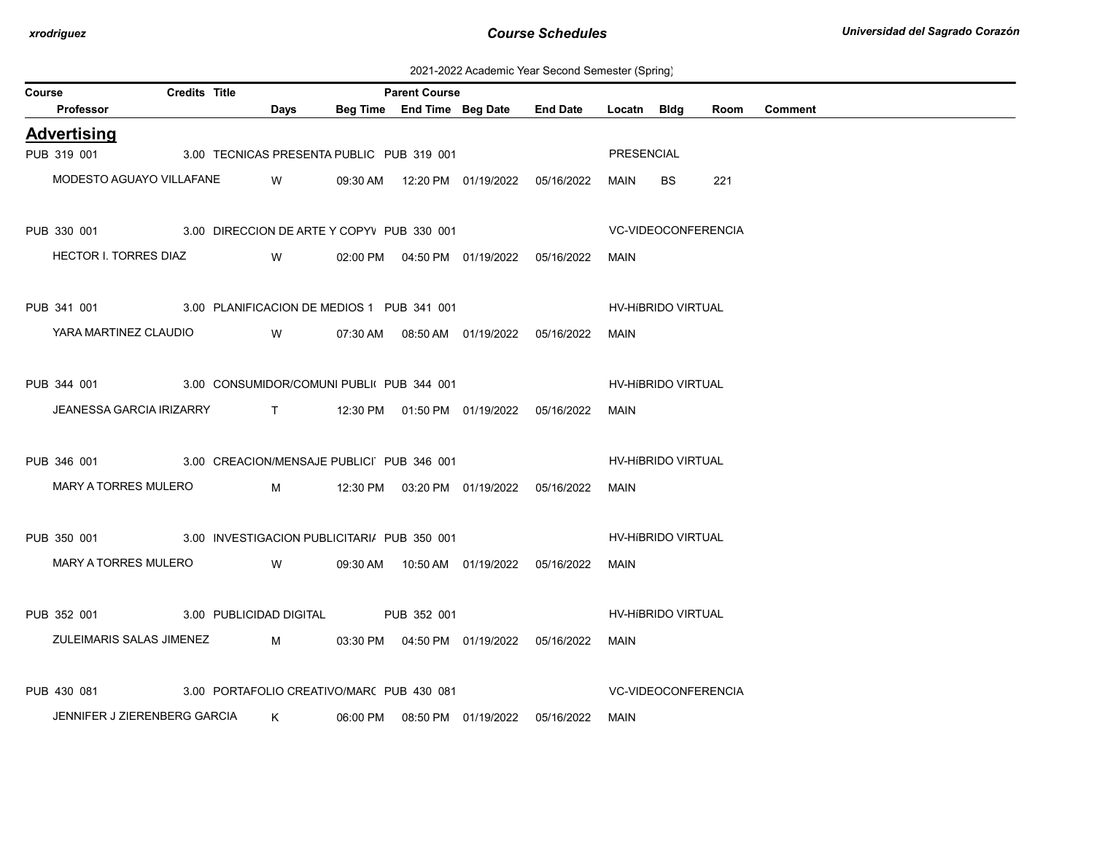2021-2022 Academic Year Second Semester (Spring)

| <b>Credits Title</b><br><b>Parent Course</b><br>Course             |  |          |                                                                                                                         |  |                                            |            |                            |                            |      |                |
|--------------------------------------------------------------------|--|----------|-------------------------------------------------------------------------------------------------------------------------|--|--------------------------------------------|------------|----------------------------|----------------------------|------|----------------|
| Professor                                                          |  |          | Days                                                                                                                    |  | Beg Time End Time Beg Date End Date        |            | Locatn Bldg                |                            | Room | <b>Comment</b> |
| <b>Advertising</b>                                                 |  |          |                                                                                                                         |  |                                            |            |                            |                            |      |                |
| PUB 319 001 3.00 TECNICAS PRESENTA PUBLIC PUB 319 001              |  |          |                                                                                                                         |  |                                            |            | <b>PRESENCIAL</b>          |                            |      |                |
| MODESTO AGUAYO VILLAFANE                                           |  | <b>W</b> |                                                                                                                         |  | 09:30 AM  12:20 PM  01/19/2022  05/16/2022 |            | MAIN                       | BS.                        | 221  |                |
| PUB 330 001 3.00 DIRECCION DE ARTE Y COPYV PUB 330 001             |  |          |                                                                                                                         |  |                                            |            | <b>VC-VIDEOCONFERENCIA</b> |                            |      |                |
| HECTOR I. TORRES DIAZ                                              |  |          | <b>Solution</b> Service Service Service Service Service Service Service Service Service Service Service Service Service |  | 02:00 PM  04:50 PM  01/19/2022  05/16/2022 |            | MAIN                       |                            |      |                |
| PUB 341 001 3.00 PLANIFICACION DE MEDIOS 1 PUB 341 001             |  |          |                                                                                                                         |  |                                            |            | <b>HV-HIBRIDO VIRTUAL</b>  |                            |      |                |
| YARA MARTINEZ CLAUDIO                                              |  |          | <b>Solution</b> Service Service Service Service Service Service Service Service Service Service Service Service Service |  | 07:30 AM  08:50 AM  01/19/2022  05/16/2022 |            | MAIN                       |                            |      |                |
| PUB 344 001 3.00 CONSUMIDOR/COMUNI PUBLI PUB 344 001               |  |          |                                                                                                                         |  |                                            |            |                            | HV-HIBRIDO VIRTUAL         |      |                |
| JEANESSA GARCIA IRIZARRY T 12:30 PM 01:50 PM 01/19/2022 05/16/2022 |  |          |                                                                                                                         |  |                                            |            | MAIN                       |                            |      |                |
| PUB 346 001 3.00 CREACION/MENSAJE PUBLICI PUB 346 001              |  |          |                                                                                                                         |  |                                            |            |                            | HV-HIBRIDO VIRTUAL         |      |                |
| MARY A TORRES MULERO                                               |  |          |                                                                                                                         |  |                                            |            | MAIN                       |                            |      |                |
| PUB 350 001 3.00 INVESTIGACION PUBLICITARI/ PUB 350 001            |  |          |                                                                                                                         |  |                                            |            | <b>HV-HIBRIDO VIRTUAL</b>  |                            |      |                |
| MARY A TORRES MULERO                                               |  |          | <b>Solution W</b>                                                                                                       |  |                                            |            | MAIN                       |                            |      |                |
| PUB 352 001 3.00 PUBLICIDAD DIGITAL PUB 352 001                    |  |          |                                                                                                                         |  |                                            |            |                            | <b>HV-HIBRIDO VIRTUAL</b>  |      |                |
| ZULEIMARIS SALAS JIMENEZ                                           |  |          | $M_{\rm H}$ and $M_{\rm H}$ and $M_{\rm H}$ and $M_{\rm H}$                                                             |  | 03:30 PM  04:50 PM  01/19/2022  05/16/2022 |            | MAIN                       |                            |      |                |
| PUB 430 081 3.00 PORTAFOLIO CREATIVO/MARC PUB 430 081              |  |          |                                                                                                                         |  |                                            |            |                            | <b>VC-VIDEOCONFERENCIA</b> |      |                |
| JENNIFER J ZIERENBERG GARCIA                                       |  |          | K                                                                                                                       |  | 06:00 PM  08:50 PM  01/19/2022             | 05/16/2022 | MAIN                       |                            |      |                |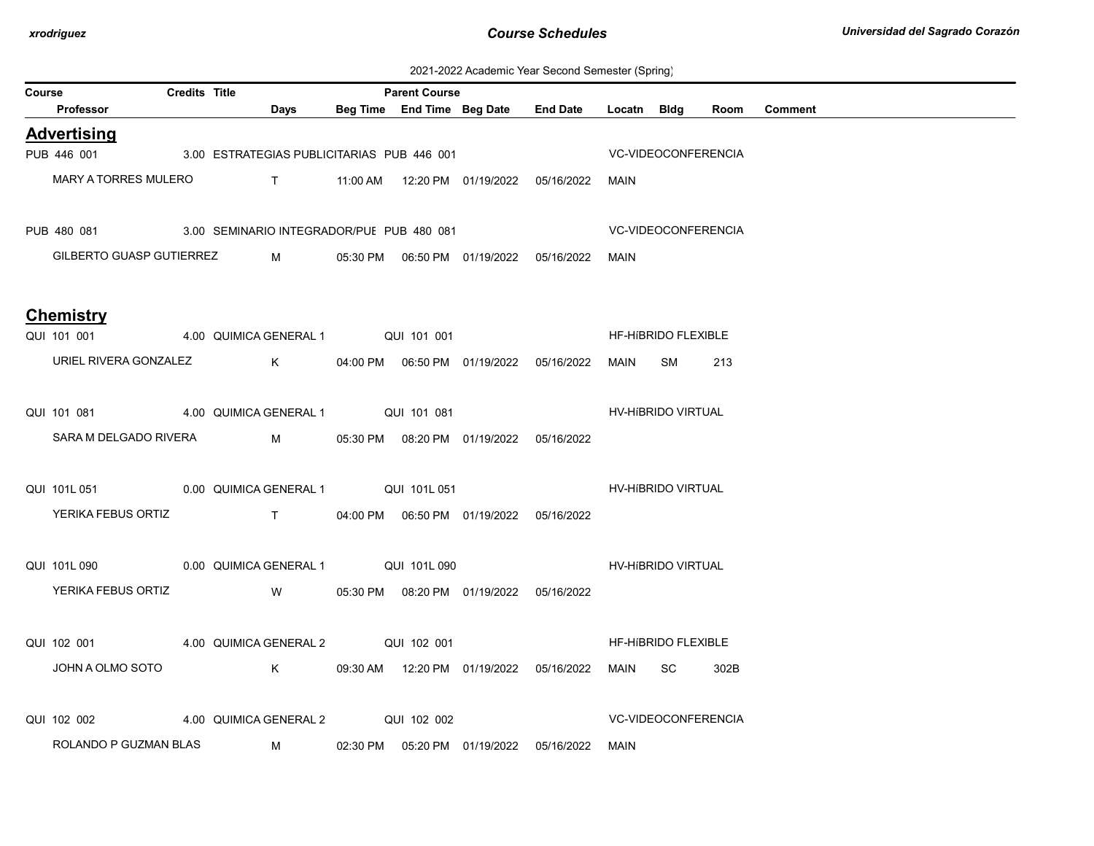2021-2022 Academic Year Second Semester (Spring)

| Course |                                                       | <b>Credits Title</b> |                                            | <b>Parent Course</b> |                                            |                                                  |                     | ັບ                         |      |         |
|--------|-------------------------------------------------------|----------------------|--------------------------------------------|----------------------|--------------------------------------------|--------------------------------------------------|---------------------|----------------------------|------|---------|
|        | Professor                                             |                      | Days                                       |                      |                                            | Beg Time End Time Beg Date End Date              | Locatn Bldg         |                            | Room | Comment |
|        | <b>Advertising</b>                                    |                      |                                            |                      |                                            |                                                  |                     |                            |      |         |
|        | PUB 446 001                                           |                      | 3.00 ESTRATEGIAS PUBLICITARIAS PUB 446 001 |                      |                                            |                                                  |                     | <b>VC-VIDEOCONFERENCIA</b> |      |         |
|        | <b>MARY A TORRES MULERO</b>                           |                      |                                            |                      |                                            |                                                  | MAIN                |                            |      |         |
|        | PUB 480 081 3.00 SEMINARIO INTEGRADOR/PUE PUB 480 081 |                      |                                            |                      |                                            |                                                  | VC-VIDEOCONFERENCIA |                            |      |         |
|        | GILBERTO GUASP GUTIERREZ                              |                      | $M \sim 1$                                 |                      |                                            | 05:30 PM  06:50 PM  01/19/2022  05/16/2022  MAIN |                     |                            |      |         |
|        | <b>Chemistry</b>                                      |                      |                                            |                      |                                            |                                                  |                     |                            |      |         |
|        | QUI 101 001 4.00 QUIMICA GENERAL 1 QUI 101 001        |                      |                                            |                      |                                            |                                                  |                     | HF-HIBRIDO FLEXIBLE        |      |         |
|        | URIEL RIVERA GONZALEZ                                 |                      |                                            |                      |                                            |                                                  | MAIN                | SM                         | 213  |         |
|        | QUI 101 081 4.00 QUIMICA GENERAL 1 QUI 101 081        |                      |                                            |                      |                                            |                                                  |                     | HV-HIBRIDO VIRTUAL         |      |         |
|        | SARA M DELGADO RIVERA                                 |                      | $M_{\rm 1}$                                |                      | 05:30 PM  08:20 PM  01/19/2022  05/16/2022 |                                                  |                     |                            |      |         |
|        | QUI 101L 051 0.00 QUIMICA GENERAL 1 QUI 101L 051      |                      |                                            |                      |                                            |                                                  |                     | HV-HIBRIDO VIRTUAL         |      |         |
|        | YERIKA FEBUS ORTIZ T                                  |                      |                                            |                      |                                            | 04:00 PM  06:50 PM  01/19/2022  05/16/2022       |                     |                            |      |         |
|        | QUI 101L 090 0.00 QUIMICA GENERAL 1 QUI 101L 090      |                      |                                            |                      |                                            |                                                  |                     | HV-HIBRIDO VIRTUAL         |      |         |
|        | YERIKA FEBUS ORTIZ W                                  |                      |                                            |                      | 05:30 PM  08:20 PM  01/19/2022  05/16/2022 |                                                  |                     |                            |      |         |
|        | QUI 102 001 4.00 QUIMICA GENERAL 2 QUI 102 001        |                      |                                            |                      |                                            |                                                  |                     | HF-HIBRIDO FLEXIBLE        |      |         |
|        | JOHN A OLMO SOTO                                      |                      | $K$ and $K$                                |                      |                                            | 09:30 AM  12:20 PM  01/19/2022  05/16/2022       | MAIN                | SC.                        | 302B |         |
|        | QUI 102 002                                           |                      | 4.00 QUIMICA GENERAL 2 QUI 102 002         |                      |                                            |                                                  |                     | VC-VIDEOCONFERENCIA        |      |         |
|        | ROLANDO P GUZMAN BLAS                                 |                      | $M \sim 1$                                 |                      | 02:30 PM  05:20 PM  01/19/2022  05/16/2022 |                                                  | MAIN                |                            |      |         |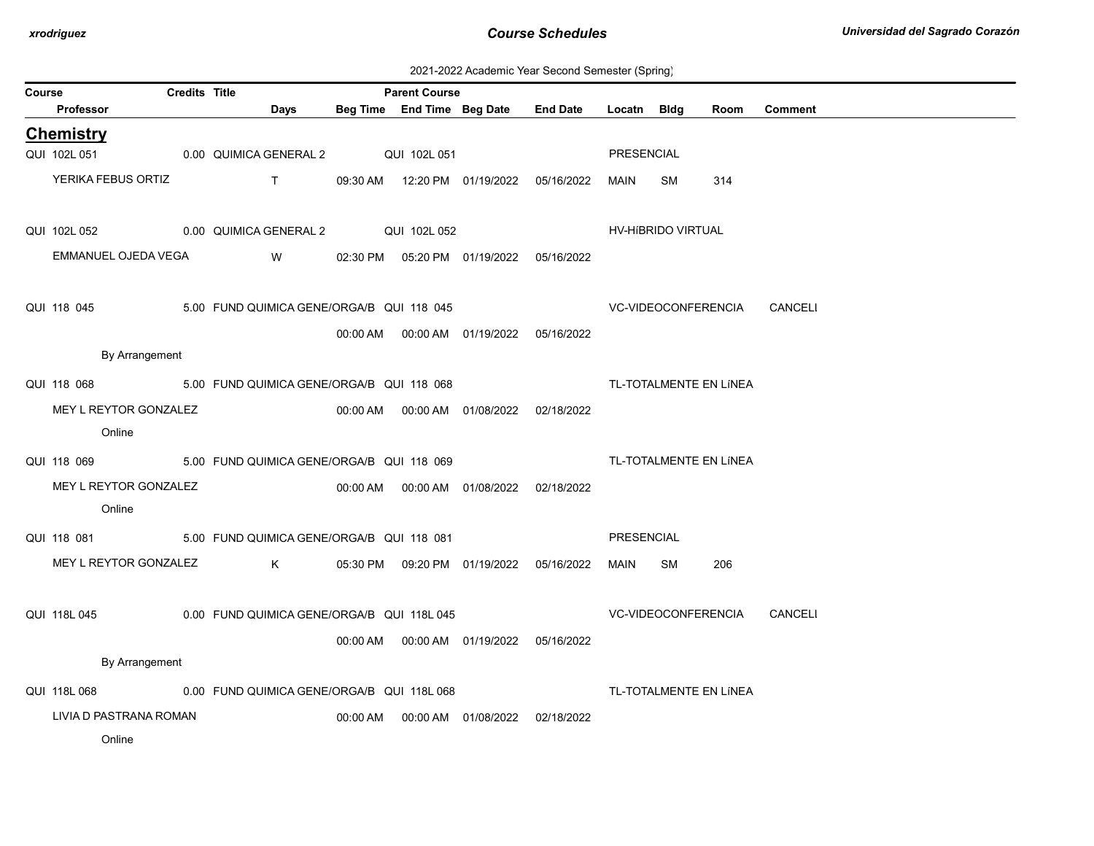| 2021-2022 Academic Year Second Semester (Spring) |  |  |  |
|--------------------------------------------------|--|--|--|
|--------------------------------------------------|--|--|--|

| Course |                                                       | Credits Title |                                            |          | <b>Parent Course</b> |                                            |                                            |             |                     |                        |                |
|--------|-------------------------------------------------------|---------------|--------------------------------------------|----------|----------------------|--------------------------------------------|--------------------------------------------|-------------|---------------------|------------------------|----------------|
|        | Professor                                             |               | Days                                       |          |                      | Beg Time End Time Beg Date                 | <b>End Date</b>                            | Locatn Bldg |                     | Room                   | <b>Comment</b> |
|        | <b>Chemistry</b>                                      |               |                                            |          |                      |                                            |                                            |             |                     |                        |                |
|        | QUI 102L 051                                          |               | 0.00 QUIMICA GENERAL 2                     |          | QUI 102L 051         |                                            |                                            | PRESENCIAL  |                     |                        |                |
|        | YERIKA FEBUS ORTIZ                                    |               | $T \sim 1$                                 |          |                      |                                            | 09:30 AM  12:20 PM  01/19/2022  05/16/2022 | MAIN        | SM                  | 314                    |                |
|        |                                                       |               |                                            |          |                      |                                            |                                            |             |                     |                        |                |
|        | QUI 102L 052                                          |               | 0.00 QUIMICA GENERAL 2 QUI 102L 052        |          |                      |                                            |                                            |             | HV-HIBRIDO VIRTUAL  |                        |                |
|        | EMMANUEL OJEDA VEGA                                   |               | W                                          |          |                      | 02:30 PM  05:20 PM  01/19/2022  05/16/2022 |                                            |             |                     |                        |                |
|        |                                                       |               |                                            |          |                      |                                            |                                            |             |                     |                        |                |
|        | QUI 118 045                                           |               | 5.00 FUND QUIMICA GENE/ORGA/B QUI 118 045  |          |                      |                                            | <b>VC-VIDEOCONFERENCIA</b>                 |             |                     |                        | CANCELI        |
|        |                                                       |               |                                            |          |                      | 00:00 AM  00:00 AM  01/19/2022  05/16/2022 |                                            |             |                     |                        |                |
|        | By Arrangement                                        |               |                                            |          |                      |                                            |                                            |             |                     |                        |                |
|        | QUI 118 068                                           |               | 5.00 FUND QUIMICA GENE/ORGA/B QUI 118 068  |          |                      |                                            |                                            |             |                     | TL-TOTALMENTE EN LÍNEA |                |
|        | MEY L REYTOR GONZALEZ                                 |               |                                            |          |                      | 00:00 AM  00:00 AM  01/08/2022  02/18/2022 |                                            |             |                     |                        |                |
|        | Online                                                |               |                                            |          |                      |                                            |                                            |             |                     |                        |                |
|        | QUI 118 069                                           |               | 5.00 FUND QUIMICA GENE/ORGA/B QUI 118 069  |          |                      |                                            |                                            |             |                     | TL-TOTALMENTE EN LÍNEA |                |
|        | MEY L REYTOR GONZALEZ                                 |               |                                            |          |                      | 00:00 AM  00:00 AM  01/08/2022  02/18/2022 |                                            |             |                     |                        |                |
|        | Online                                                |               |                                            |          |                      |                                            |                                            |             |                     |                        |                |
|        | QUI 118 081 5.00 FUND QUIMICA GENE/ORGA/B QUI 118 081 |               |                                            |          |                      |                                            |                                            | PRESENCIAL  |                     |                        |                |
|        | MEY L REYTOR GONZALEZ                                 |               | $K$ and $K$                                |          |                      |                                            | 05:30 PM  09:20 PM  01/19/2022  05/16/2022 | MAIN        | SM                  | 206                    |                |
|        |                                                       |               |                                            |          |                      |                                            |                                            |             |                     |                        |                |
|        | QUI 118L 045                                          |               | 0.00 FUND QUIMICA GENE/ORGA/B QUI 118L 045 |          |                      |                                            |                                            |             | VC-VIDEOCONFERENCIA |                        | CANCELI        |
|        |                                                       |               |                                            |          |                      | 00:00 AM   00:00 AM   01/19/2022           | 05/16/2022                                 |             |                     |                        |                |
|        | By Arrangement                                        |               |                                            |          |                      |                                            |                                            |             |                     |                        |                |
|        | QUI 118L 068                                          |               | 0.00 FUND QUIMICA GENE/ORGA/B QUI 118L 068 |          |                      |                                            |                                            |             |                     | TL-TOTALMENTE EN LÍNEA |                |
|        | LIVIA D PASTRANA ROMAN                                |               |                                            | 00:00 AM |                      | 00:00 AM  01/08/2022                       | 02/18/2022                                 |             |                     |                        |                |
|        | Online                                                |               |                                            |          |                      |                                            |                                            |             |                     |                        |                |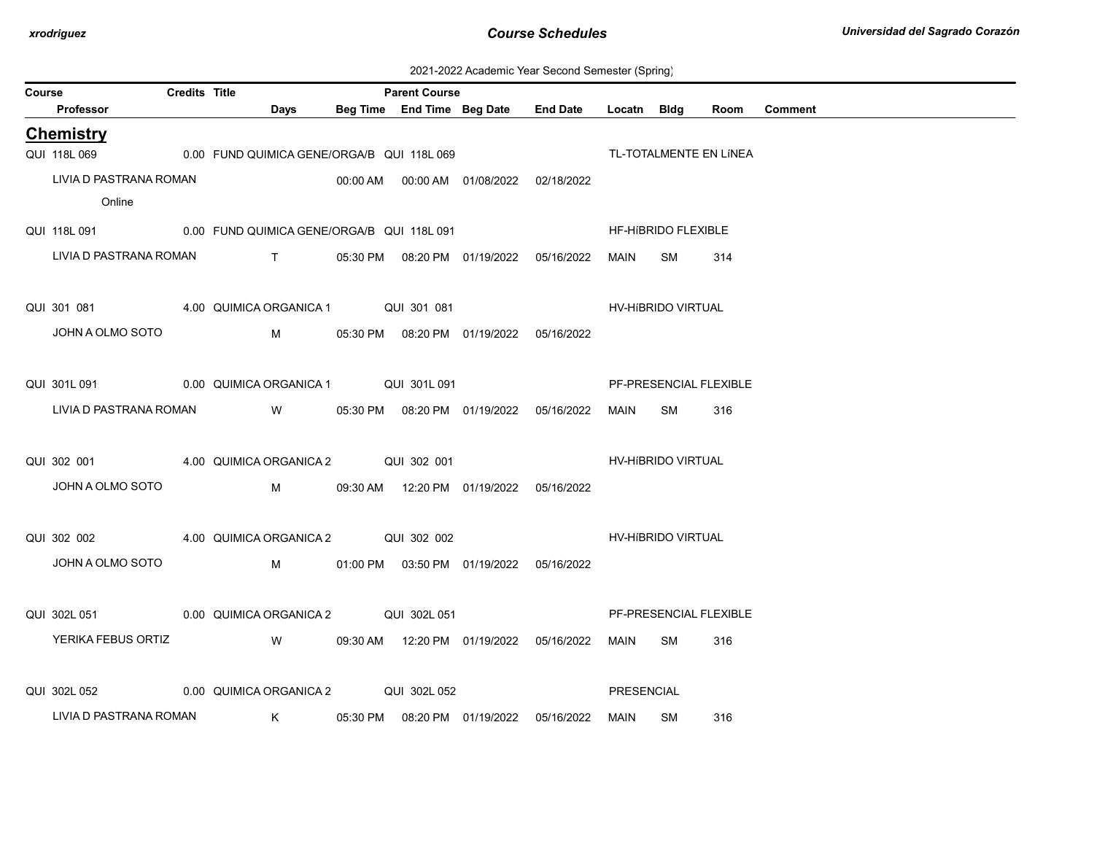| 2021-2022 Academic Year Second Semester (Spring) |  |  |  |  |  |
|--------------------------------------------------|--|--|--|--|--|
|--------------------------------------------------|--|--|--|--|--|

| Course |                        | <b>Credits Title</b> |                                                         | <b>Parent Course</b> |                                           |             |                            |                        |         |
|--------|------------------------|----------------------|---------------------------------------------------------|----------------------|-------------------------------------------|-------------|----------------------------|------------------------|---------|
|        | Professor              |                      | <b>Days</b>                                             |                      | Beg Time End Time Beg Date End Date       | Locatn Bldg |                            | Room                   | Comment |
|        | <b>Chemistry</b>       |                      |                                                         |                      |                                           |             |                            |                        |         |
|        |                        |                      | QUI 118L 069 0.00 FUND QUIMICA GENE/ORGA/B QUI 118L 069 |                      |                                           |             |                            | TL-TOTALMENTE EN LÍNEA |         |
|        | LIVIA D PASTRANA ROMAN |                      |                                                         |                      |                                           |             |                            |                        |         |
|        | Online                 |                      |                                                         |                      |                                           |             |                            |                        |         |
|        |                        |                      | QUI 118L 091 0.00 FUND QUIMICA GENE/ORGA/B QUI 118L 091 |                      |                                           |             | <b>HF-HIBRIDO FLEXIBLE</b> |                        |         |
|        | LIVIA D PASTRANA ROMAN |                      | T 05:30 PM 08:20 PM 01/19/2022 05/16/2022               |                      |                                           | <b>MAIN</b> | <b>SM</b>                  | 314                    |         |
|        |                        |                      |                                                         |                      |                                           |             |                            |                        |         |
|        |                        |                      | QUI 301 081 4.00 QUIMICA ORGANICA 1 QUI 301 081         |                      |                                           |             | HV-HIBRIDO VIRTUAL         |                        |         |
|        | JOHN A OLMO SOTO       |                      |                                                         |                      |                                           |             |                            |                        |         |
|        |                        |                      |                                                         |                      |                                           |             |                            |                        |         |
|        |                        |                      | QUI 301L 091 0.00 QUIMICA ORGANICA 1 QUI 301L 091       |                      |                                           |             |                            | PF-PRESENCIAL FLEXIBLE |         |
|        |                        |                      |                                                         |                      |                                           |             |                            |                        |         |
|        | LIVIA D PASTRANA ROMAN |                      |                                                         |                      |                                           | MAIN        | SM                         | 316                    |         |
|        |                        |                      |                                                         |                      |                                           |             |                            |                        |         |
|        |                        |                      | QUI 302 001 4.00 QUIMICA ORGANICA 2 QUI 302 001         |                      |                                           |             | HV-HíBRIDO VIRTUAL         |                        |         |
|        | JOHN A OLMO SOTO       |                      |                                                         |                      | M 09:30 AM 12:20 PM 01/19/2022 05/16/2022 |             |                            |                        |         |
|        |                        |                      |                                                         |                      |                                           |             |                            |                        |         |
|        | QUI 302 002            |                      | 4.00 QUIMICA ORGANICA 2 QUI 302 002                     |                      |                                           |             | <b>HV-HIBRIDO VIRTUAL</b>  |                        |         |
|        | JOHN A OLMO SOTO       |                      |                                                         |                      |                                           |             |                            |                        |         |
|        |                        |                      |                                                         |                      |                                           |             |                            |                        |         |
|        |                        |                      | QUI 302L 051 0.00 QUIMICA ORGANICA 2 QUI 302L 051       |                      |                                           |             |                            | PF-PRESENCIAL FLEXIBLE |         |
|        | YERIKA FEBUS ORTIZ     |                      | W 09:30 AM 12:20 PM 01/19/2022 05/16/2022               |                      |                                           | MAIN        | SM                         | 316                    |         |
|        |                        |                      |                                                         |                      |                                           |             |                            |                        |         |
|        | QUI 302L 052           |                      | 0.00 QUIMICA ORGANICA 2 QUI 302L 052                    |                      |                                           | PRESENCIAL  |                            |                        |         |
|        | LIVIA D PASTRANA ROMAN |                      |                                                         |                      |                                           | MAIN        | SM                         | 316                    |         |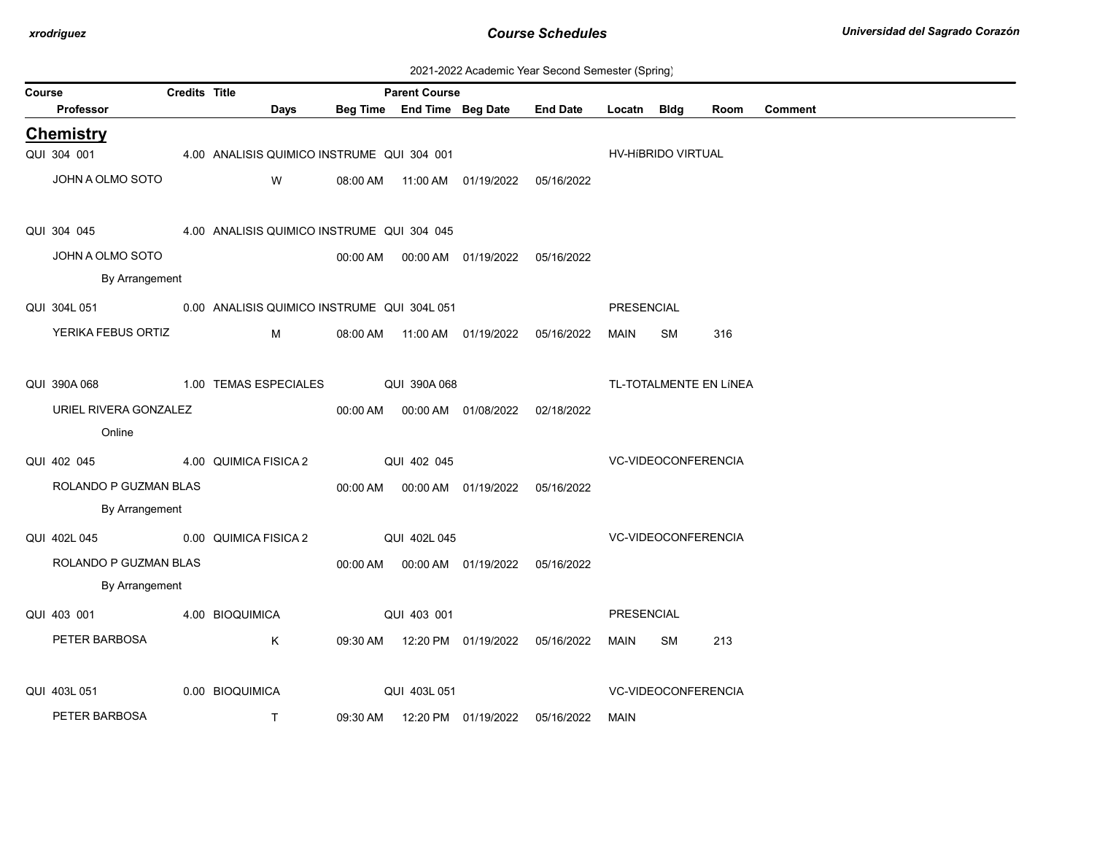| 2021-2022 Academic Year Second Semester (Spring) |  |  |  |
|--------------------------------------------------|--|--|--|
|--------------------------------------------------|--|--|--|

| Course |                                                          | <b>Credits Title</b> |                                            | <b>Parent Course</b> |              |                                            |                                            |             |                            |                        |                |
|--------|----------------------------------------------------------|----------------------|--------------------------------------------|----------------------|--------------|--------------------------------------------|--------------------------------------------|-------------|----------------------------|------------------------|----------------|
|        | Professor                                                |                      | Days                                       |                      |              | Beg Time End Time Beg Date                 | <b>End Date</b>                            | Locatn Bldg |                            | Room                   | <b>Comment</b> |
|        | <b>Chemistry</b>                                         |                      |                                            |                      |              |                                            |                                            |             |                            |                        |                |
|        | QUI 304 001                                              |                      | 4.00 ANALISIS QUIMICO INSTRUME QUI 304 001 |                      |              |                                            |                                            |             | HV-HIBRIDO VIRTUAL         |                        |                |
|        | JOHN A OLMO SOTO                                         |                      | W                                          |                      |              | 08:00 AM  11:00 AM  01/19/2022  05/16/2022 |                                            |             |                            |                        |                |
|        | QUI 304 045                                              |                      | 4.00 ANALISIS QUIMICO INSTRUME QUI 304 045 |                      |              |                                            |                                            |             |                            |                        |                |
|        | JOHN A OLMO SOTO                                         |                      |                                            |                      |              | 00:00 AM  00:00 AM  01/19/2022  05/16/2022 |                                            |             |                            |                        |                |
|        | By Arrangement                                           |                      |                                            |                      |              |                                            |                                            |             |                            |                        |                |
|        | QUI 304L 051 0.00 ANALISIS QUIMICO INSTRUME QUI 304L 051 |                      |                                            |                      |              |                                            |                                            | PRESENCIAL  |                            |                        |                |
|        | YERIKA FEBUS ORTIZ                                       |                      | M                                          |                      |              |                                            | 08:00 AM  11:00 AM  01/19/2022  05/16/2022 | MAIN        | SM                         | 316                    |                |
|        | QUI 390A 068                                             |                      | 1.00 TEMAS ESPECIALES                      |                      | QUI 390A 068 |                                            |                                            |             |                            | TL-TOTALMENTE EN LÍNEA |                |
|        | URIEL RIVERA GONZALEZ                                    |                      |                                            |                      |              | 00:00 AM  00:00 AM  01/08/2022  02/18/2022 |                                            |             |                            |                        |                |
|        | Online                                                   |                      |                                            |                      |              |                                            |                                            |             |                            |                        |                |
|        | QUI 402 045                                              |                      | 4.00 QUIMICA FISICA 2                      | QUI 402 045          |              |                                            |                                            |             | VC-VIDEOCONFERENCIA        |                        |                |
|        | ROLANDO P GUZMAN BLAS                                    |                      |                                            |                      |              | 00:00 AM  00:00 AM  01/19/2022  05/16/2022 |                                            |             |                            |                        |                |
|        | By Arrangement                                           |                      |                                            |                      |              |                                            |                                            |             |                            |                        |                |
|        | QUI 402L 045                                             |                      | 0.00 QUIMICA FISICA 2                      |                      | QUI 402L 045 |                                            |                                            |             | VC-VIDEOCONFERENCIA        |                        |                |
|        | ROLANDO P GUZMAN BLAS                                    |                      |                                            |                      |              | 00:00 AM  00:00 AM  01/19/2022  05/16/2022 |                                            |             |                            |                        |                |
|        | By Arrangement                                           |                      |                                            |                      |              |                                            |                                            |             |                            |                        |                |
|        | QUI 403 001                                              |                      | 4.00 BIOQUIMICA                            |                      | QUI 403 001  |                                            |                                            | PRESENCIAL  |                            |                        |                |
|        | PETER BARBOSA                                            |                      | K                                          |                      |              | 09:30 AM  12:20 PM  01/19/2022  05/16/2022 |                                            | MAIN        | SM                         | 213                    |                |
|        | QUI 403L 051                                             |                      | 0.00 BIOQUIMICA                            |                      | QUI 403L 051 |                                            |                                            |             | <b>VC-VIDEOCONFERENCIA</b> |                        |                |
|        | PETER BARBOSA                                            |                      | T.                                         | 09:30 AM             |              | 12:20 PM 01/19/2022                        | 05/16/2022                                 | MAIN        |                            |                        |                |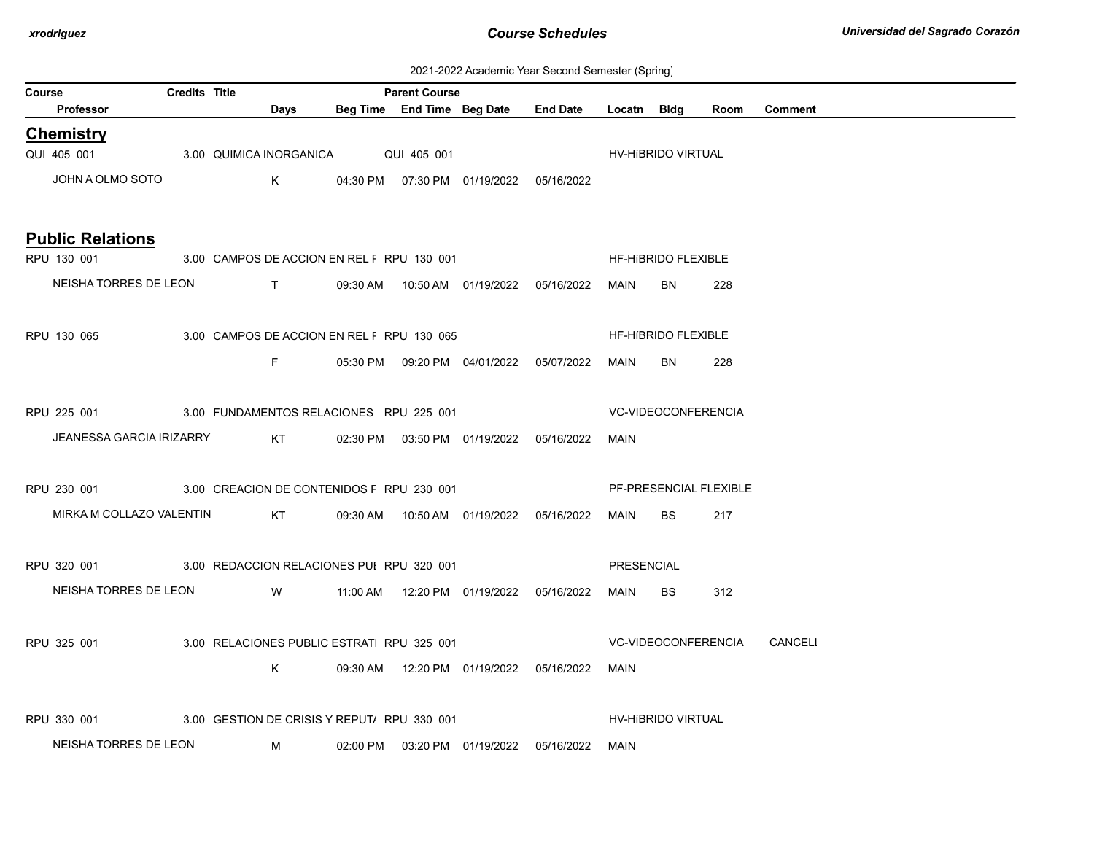| 2021-2022 Academic Year Second Semester (Spring) |  |  |  |  |  |
|--------------------------------------------------|--|--|--|--|--|
|--------------------------------------------------|--|--|--|--|--|

| Course |                                                       | <b>Credits Title</b> |             |                                             | <b>Parent Course</b> |                                            |                                     |                   |                            |      |                             |
|--------|-------------------------------------------------------|----------------------|-------------|---------------------------------------------|----------------------|--------------------------------------------|-------------------------------------|-------------------|----------------------------|------|-----------------------------|
|        | Professor                                             |                      | Days        |                                             |                      |                                            | Beg Time End Time Beg Date End Date | Locatn Bldg       |                            | Room | Comment                     |
|        | <b>Chemistry</b>                                      |                      |             |                                             |                      |                                            |                                     |                   |                            |      |                             |
|        | QUI 405 001                                           |                      |             | 3.00 QUIMICA INORGANICA QUI 405 001         |                      |                                            |                                     |                   | HV-HIBRIDO VIRTUAL         |      |                             |
|        | JOHN A OLMO SOTO                                      |                      | $K$ and $K$ |                                             |                      | 04:30 PM  07:30 PM  01/19/2022  05/16/2022 |                                     |                   |                            |      |                             |
|        |                                                       |                      |             |                                             |                      |                                            |                                     |                   |                            |      |                             |
|        | <b>Public Relations</b>                               |                      |             |                                             |                      |                                            |                                     |                   |                            |      |                             |
|        | RPU 130 001                                           |                      |             | 3.00 CAMPOS DE ACCION EN REL F RPU 130 001  |                      |                                            |                                     |                   | HF-HIBRIDO FLEXIBLE        |      |                             |
|        | NEISHA TORRES DE LEON T                               |                      |             |                                             |                      | 09:30 AM  10:50 AM  01/19/2022  05/16/2022 |                                     | MAIN              | <b>BN</b>                  | 228  |                             |
|        |                                                       |                      |             |                                             |                      |                                            |                                     |                   |                            |      |                             |
|        | RPU 130 065                                           |                      |             | 3.00 CAMPOS DE ACCION EN REL F RPU 130 065  |                      |                                            |                                     |                   | <b>HF-HIBRIDO FLEXIBLE</b> |      |                             |
|        |                                                       |                      | F           |                                             |                      | 05:30 PM  09:20 PM  04/01/2022  05/07/2022 |                                     | MAIN              | <b>BN</b>                  | 228  |                             |
|        |                                                       |                      |             |                                             |                      |                                            |                                     |                   |                            |      |                             |
|        | RPU 225 001                                           |                      |             | 3.00 FUNDAMENTOS RELACIONES RPU 225 001     |                      |                                            |                                     |                   | <b>VC-VIDEOCONFERENCIA</b> |      |                             |
|        | JEANESSA GARCIA IRIZARRY                              |                      | KT          |                                             |                      | 02:30 PM  03:50 PM  01/19/2022  05/16/2022 |                                     | MAIN              |                            |      |                             |
|        |                                                       |                      |             |                                             |                      |                                            |                                     |                   |                            |      |                             |
|        | RPU 230 001 3.00 CREACION DE CONTENIDOS F RPU 230 001 |                      |             |                                             |                      |                                            |                                     |                   | PF-PRESENCIAL FLEXIBLE     |      |                             |
|        | MIRKA M COLLAZO VALENTIN                              |                      | KT          |                                             |                      | 09:30 AM  10:50 AM  01/19/2022  05/16/2022 |                                     | MAIN              | BS.                        | 217  |                             |
|        |                                                       |                      |             |                                             |                      |                                            |                                     |                   |                            |      |                             |
|        | RPU 320 001 3.00 REDACCION RELACIONES PUI RPU 320 001 |                      |             |                                             |                      |                                            |                                     | <b>PRESENCIAL</b> |                            |      |                             |
|        | NEISHA TORRES DE LEON W                               |                      |             |                                             |                      |                                            |                                     | MAIN              | BS.                        | 312  |                             |
|        |                                                       |                      |             |                                             |                      |                                            |                                     |                   |                            |      |                             |
|        | RPU 325 001                                           |                      |             | 3.00 RELACIONES PUBLIC ESTRAT RPU 325 001   |                      |                                            |                                     |                   |                            |      | VC-VIDEOCONFERENCIA CANCELI |
|        |                                                       |                      |             |                                             |                      |                                            |                                     |                   |                            |      |                             |
|        |                                                       |                      | K.          |                                             |                      | 09:30 AM  12:20 PM  01/19/2022  05/16/2022 |                                     | MAIN              |                            |      |                             |
|        |                                                       |                      |             |                                             |                      |                                            |                                     |                   |                            |      |                             |
|        | RPU 330 001                                           |                      |             | 3.00 GESTION DE CRISIS Y REPUT/ RPU 330 001 |                      |                                            |                                     |                   | HV-HIBRIDO VIRTUAL         |      |                             |
|        | NEISHA TORRES DE LEON                                 |                      | M           |                                             |                      | 02:00 PM  03:20 PM  01/19/2022  05/16/2022 |                                     | MAIN              |                            |      |                             |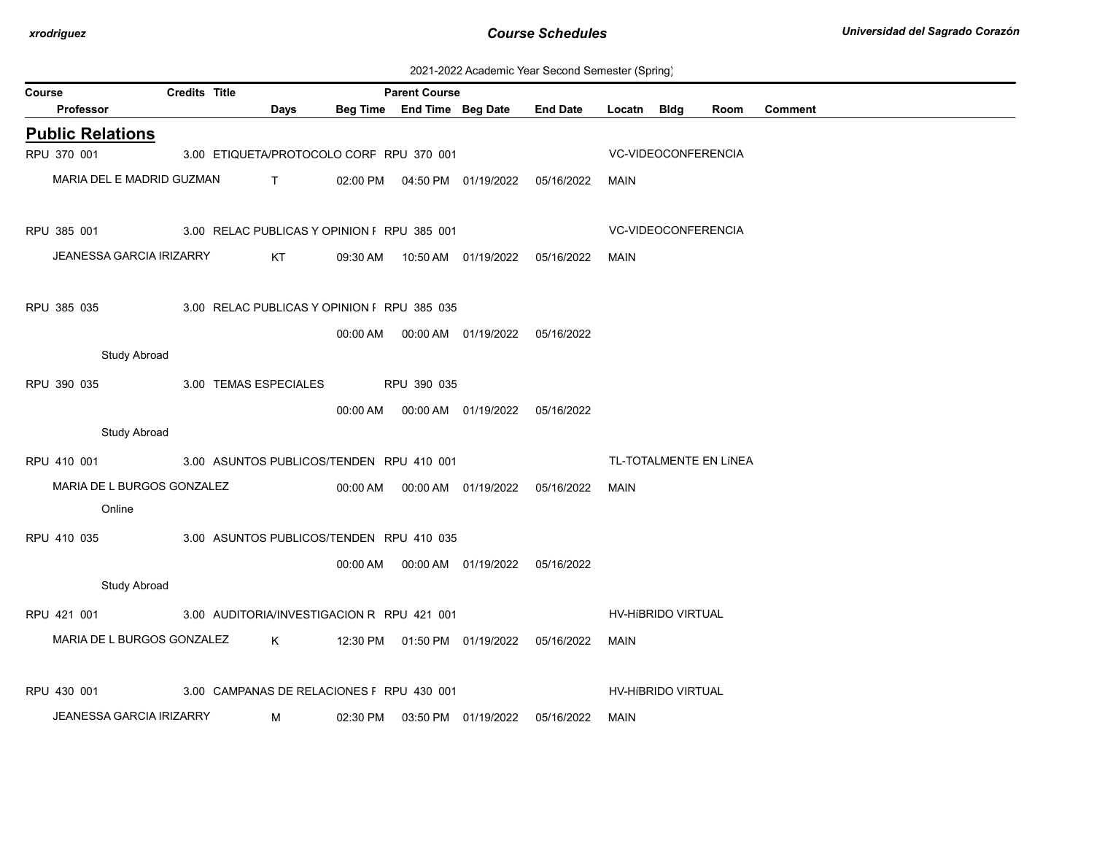| 2021-2022 Academic Year Second Semester (Spring) |  |  |  |
|--------------------------------------------------|--|--|--|
|--------------------------------------------------|--|--|--|

| Course |                                 | <b>Credits Title</b> |                                             |          | <b>Parent Course</b>       |                                            |                                  |                     |                            |                        |                |
|--------|---------------------------------|----------------------|---------------------------------------------|----------|----------------------------|--------------------------------------------|----------------------------------|---------------------|----------------------------|------------------------|----------------|
|        | <b>Professor</b>                |                      | Days                                        |          | Beg Time End Time Beg Date |                                            | <b>End Date</b>                  | Locatn              | Bldg                       | Room                   | <b>Comment</b> |
|        | <b>Public Relations</b>         |                      |                                             |          |                            |                                            |                                  |                     |                            |                        |                |
|        | RPU 370 001                     |                      | 3.00 ETIQUETA/PROTOCOLO CORF RPU 370 001    |          |                            |                                            |                                  | VC-VIDEOCONFERENCIA |                            |                        |                |
|        | MARIA DEL E MADRID GUZMAN       |                      | $\mathsf{T}$ and $\mathsf{T}$               | 02:00 PM |                            |                                            | 04:50 PM  01/19/2022  05/16/2022 | MAIN                |                            |                        |                |
|        | RPU 385 001                     |                      | 3.00 RELAC PUBLICAS Y OPINION F RPU 385 001 |          |                            |                                            |                                  |                     | <b>VC-VIDEOCONFERENCIA</b> |                        |                |
|        | JEANESSA GARCIA IRIZARRY        |                      | KT                                          |          |                            |                                            |                                  | MAIN                |                            |                        |                |
|        | RPU 385 035                     |                      | 3.00 RELAC PUBLICAS Y OPINION F RPU 385 035 |          |                            |                                            |                                  |                     |                            |                        |                |
|        |                                 |                      |                                             | 00:00 AM |                            | 00:00 AM  01/19/2022  05/16/2022           |                                  |                     |                            |                        |                |
|        | <b>Study Abroad</b>             |                      |                                             |          |                            |                                            |                                  |                     |                            |                        |                |
|        | RPU 390 035                     |                      | 3.00 TEMAS ESPECIALES                       |          | RPU 390 035                |                                            |                                  |                     |                            |                        |                |
|        |                                 |                      |                                             | 00:00 AM |                            | 00:00 AM  01/19/2022  05/16/2022           |                                  |                     |                            |                        |                |
|        | <b>Study Abroad</b>             |                      |                                             |          |                            |                                            |                                  |                     |                            |                        |                |
|        | RPU 410 001                     |                      | 3.00 ASUNTOS PUBLICOS/TENDEN RPU 410 001    |          |                            |                                            |                                  |                     |                            | TL-TOTALMENTE EN LÍNEA |                |
|        | MARIA DE L BURGOS GONZALEZ      |                      |                                             |          |                            |                                            |                                  | MAIN                |                            |                        |                |
|        | Online                          |                      |                                             |          |                            |                                            |                                  |                     |                            |                        |                |
|        | RPU 410 035                     |                      | 3.00 ASUNTOS PUBLICOS/TENDEN RPU 410 035    |          |                            |                                            |                                  |                     |                            |                        |                |
|        |                                 |                      |                                             |          |                            | 00:00 AM  00:00 AM  01/19/2022  05/16/2022 |                                  |                     |                            |                        |                |
|        | <b>Study Abroad</b>             |                      |                                             |          |                            |                                            |                                  |                     |                            |                        |                |
|        | RPU 421 001                     |                      | 3.00 AUDITORIA/INVESTIGACION R RPU 421 001  |          |                            |                                            |                                  | HV-HIBRIDO VIRTUAL  |                            |                        |                |
|        | MARIA DE L BURGOS GONZALEZ      |                      | $K$ and $K$                                 |          |                            | 12:30 PM  01:50 PM  01/19/2022  05/16/2022 |                                  | MAIN                |                            |                        |                |
|        |                                 |                      |                                             |          |                            |                                            |                                  |                     |                            |                        |                |
|        | RPU 430 001                     |                      | 3.00 CAMPANAS DE RELACIONES F RPU 430 001   |          |                            |                                            |                                  |                     | HV-HIBRIDO VIRTUAL         |                        |                |
|        | <b>JEANESSA GARCIA IRIZARRY</b> |                      | M                                           | 02:30 PM |                            | 03:50 PM 01/19/2022                        | 05/16/2022                       | <b>MAIN</b>         |                            |                        |                |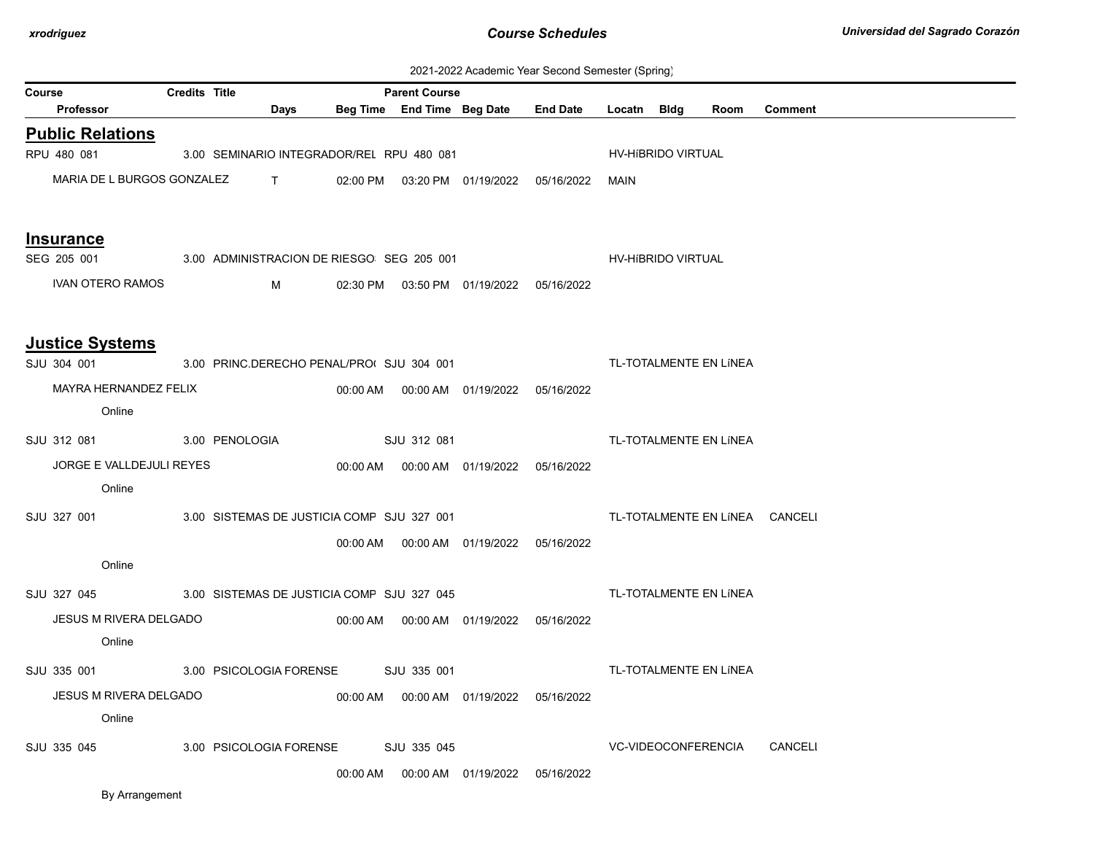| 2021-2022 Academic Year Second Semester (Spring) |  |  |  |
|--------------------------------------------------|--|--|--|
|--------------------------------------------------|--|--|--|

| Course                                                 | <b>Credits Title</b> |                                            |             | <b>Parent Course</b> |                                            |                                            |             |                           |                        |         |
|--------------------------------------------------------|----------------------|--------------------------------------------|-------------|----------------------|--------------------------------------------|--------------------------------------------|-------------|---------------------------|------------------------|---------|
| <b>Professor</b>                                       |                      | Days                                       |             |                      | Beg Time End Time Beg Date End Date        |                                            | Locatn Bldg |                           | Room                   | Comment |
| <b>Public Relations</b>                                |                      |                                            |             |                      |                                            |                                            |             |                           |                        |         |
| RPU 480 081                                            |                      | 3.00 SEMINARIO INTEGRADOR/REL RPU 480 081  |             |                      |                                            |                                            |             | HV-HIBRIDO VIRTUAL        |                        |         |
|                                                        |                      | MARIA DE L BURGOS GONZALEZ T               |             |                      |                                            | 02:00 PM  03:20 PM  01/19/2022  05/16/2022 | MAIN        |                           |                        |         |
| <b>Insurance</b>                                       |                      |                                            |             |                      |                                            |                                            |             |                           |                        |         |
| SEG 205 001                                            |                      | 3.00 ADMINISTRACION DE RIESGO SEG 205 001  |             |                      |                                            |                                            |             | <b>HV-HIBRIDO VIRTUAL</b> |                        |         |
| <b>IVAN OTERO RAMOS</b>                                |                      | M                                          |             |                      | 02:30 PM  03:50 PM  01/19/2022  05/16/2022 |                                            |             |                           |                        |         |
| <b>Justice Systems</b>                                 |                      |                                            |             |                      |                                            |                                            |             |                           |                        |         |
| SJU 304 001                                            |                      | 3.00 PRINC.DERECHO PENAL/PROI SJU 304 001  |             |                      |                                            |                                            |             |                           | TL-TOTALMENTE EN LÍNEA |         |
| MAYRA HERNANDEZ FELIX                                  |                      |                                            |             |                      | 00:00 AM  00:00 AM  01/19/2022  05/16/2022 |                                            |             |                           |                        |         |
| Online                                                 |                      |                                            |             |                      |                                            |                                            |             |                           |                        |         |
| SJU 312 081                                            |                      | 3.00 PENOLOGIA                             | SJU 312 081 |                      |                                            |                                            |             |                           | TL-TOTALMENTE EN LÍNEA |         |
| JORGE E VALLDEJULI REYES                               |                      |                                            |             |                      | 00:00 AM  00:00 AM  01/19/2022  05/16/2022 |                                            |             |                           |                        |         |
| Online                                                 |                      |                                            |             |                      |                                            |                                            |             |                           |                        |         |
| SJU 327 001                                            |                      | 3.00 SISTEMAS DE JUSTICIA COMP SJU 327 001 |             |                      |                                            | TL-TOTALMENTE EN LÍNEA CANCELI             |             |                           |                        |         |
|                                                        |                      |                                            |             |                      |                                            |                                            |             |                           |                        |         |
| Online                                                 |                      |                                            |             |                      |                                            |                                            |             |                           |                        |         |
| SJU 327 045 3.00 SISTEMAS DE JUSTICIA COMP SJU 327 045 |                      |                                            |             |                      |                                            |                                            |             |                           | TL-TOTALMENTE EN LÍNEA |         |
| JESUS M RIVERA DELGADO                                 |                      |                                            |             |                      |                                            |                                            |             |                           |                        |         |
| Online                                                 |                      |                                            |             |                      |                                            |                                            |             |                           |                        |         |
| SJU 335 001                                            |                      | 3.00 PSICOLOGIA FORENSE                    |             | SJU 335 001          |                                            |                                            |             |                           | TL-TOTALMENTE EN LÍNEA |         |
| JESUS M RIVERA DELGADO                                 |                      |                                            |             |                      | 00:00 AM  00:00 AM  01/19/2022  05/16/2022 |                                            |             |                           |                        |         |
| Online                                                 |                      |                                            |             |                      |                                            |                                            |             |                           |                        |         |
| SJU 335 045                                            |                      | 3.00 PSICOLOGIA FORENSE                    |             | SJU 335 045          |                                            |                                            |             | VC-VIDEOCONFERENCIA       |                        | CANCELI |
|                                                        |                      |                                            | 00:00 AM    |                      | 00:00 AM 01/19/2022                        | 05/16/2022                                 |             |                           |                        |         |
| By Arrangement                                         |                      |                                            |             |                      |                                            |                                            |             |                           |                        |         |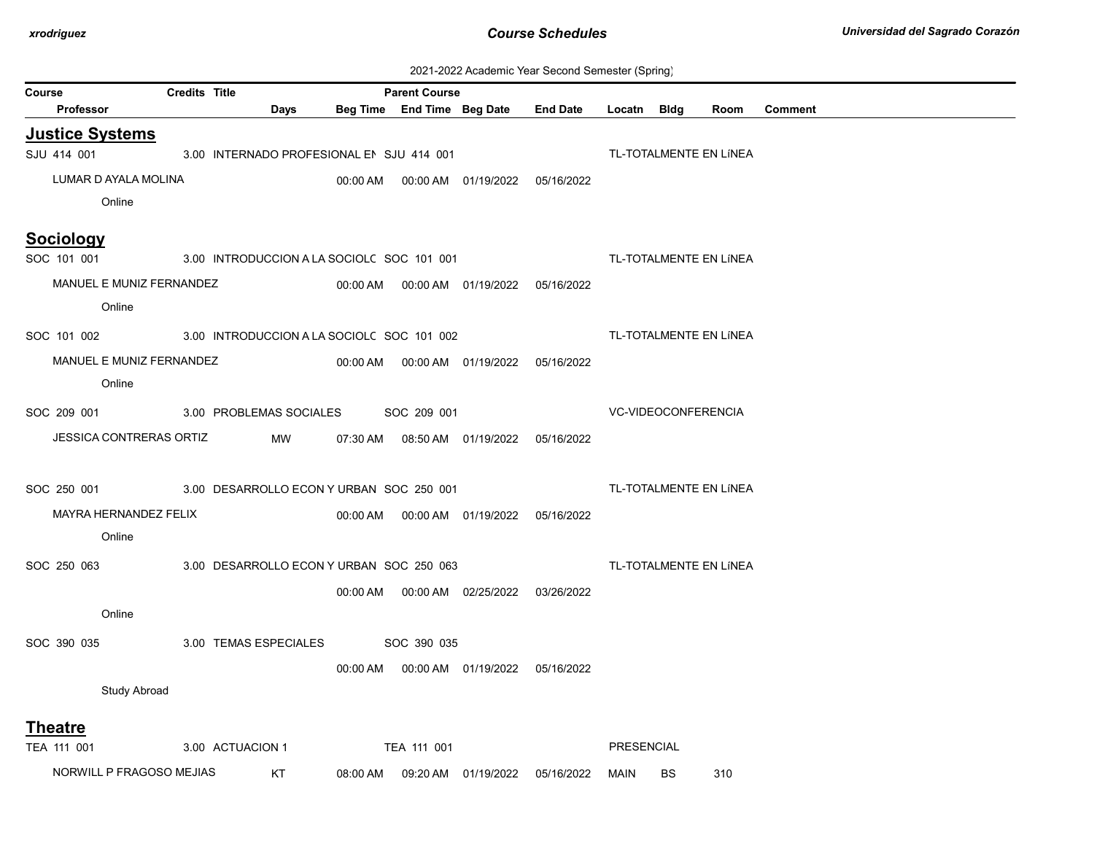| 2021-2022 Academic Year Second Semester (Spring) |  |  |  |
|--------------------------------------------------|--|--|--|
|--------------------------------------------------|--|--|--|

|        |                                       |                      |                                            |                      |                                            | 2021-2022 Academic Teal Second Semester (Spring) |                     |           |                        |                |
|--------|---------------------------------------|----------------------|--------------------------------------------|----------------------|--------------------------------------------|--------------------------------------------------|---------------------|-----------|------------------------|----------------|
| Course | Professor                             | <b>Credits Title</b> | Days                                       | <b>Parent Course</b> | Beg Time End Time Beg Date End Date        |                                                  | Locatn Bldg         |           | Room                   | <b>Comment</b> |
|        |                                       |                      |                                            |                      |                                            |                                                  |                     |           |                        |                |
|        | <b>Justice Systems</b><br>SJU 414 001 |                      | 3.00 INTERNADO PROFESIONAL EN SJU 414 001  |                      |                                            |                                                  |                     |           | TL-TOTALMENTE EN LÍNEA |                |
|        | LUMAR D AYALA MOLINA                  |                      |                                            |                      | 00:00 AM  00:00 AM  01/19/2022  05/16/2022 |                                                  |                     |           |                        |                |
|        | Online                                |                      |                                            |                      |                                            |                                                  |                     |           |                        |                |
|        |                                       |                      |                                            |                      |                                            |                                                  |                     |           |                        |                |
|        | <b>Sociology</b>                      |                      |                                            |                      |                                            |                                                  |                     |           |                        |                |
|        | SOC 101 001                           |                      | 3.00 INTRODUCCION A LA SOCIOL( SOC 101 001 |                      |                                            |                                                  |                     |           | TL-TOTALMENTE EN LÍNEA |                |
|        | MANUEL E MUNIZ FERNANDEZ              |                      |                                            |                      | 00:00 AM  00:00 AM  01/19/2022  05/16/2022 |                                                  |                     |           |                        |                |
|        | Online                                |                      |                                            |                      |                                            |                                                  |                     |           |                        |                |
|        | SOC 101 002                           |                      | 3.00 INTRODUCCION A LA SOCIOL( SOC 101 002 |                      |                                            |                                                  |                     |           | TL-TOTALMENTE EN LÍNEA |                |
|        | MANUEL E MUNIZ FERNANDEZ              |                      |                                            |                      | 00:00 AM  00:00 AM  01/19/2022  05/16/2022 |                                                  |                     |           |                        |                |
|        | Online                                |                      |                                            |                      |                                            |                                                  |                     |           |                        |                |
|        | SOC 209 001                           |                      | 3.00 PROBLEMAS SOCIALES SOC 209 001        |                      |                                            |                                                  | VC-VIDEOCONFERENCIA |           |                        |                |
|        | <b>JESSICA CONTRERAS ORTIZ</b>        |                      | MW                                         |                      | 07:30 AM  08:50 AM  01/19/2022  05/16/2022 |                                                  |                     |           |                        |                |
|        |                                       |                      |                                            |                      |                                            |                                                  |                     |           |                        |                |
|        |                                       |                      |                                            |                      |                                            |                                                  |                     |           |                        |                |
|        | SOC 250 001                           |                      | 3.00 DESARROLLO ECON Y URBAN SOC 250 001   |                      |                                            |                                                  |                     |           | TL-TOTALMENTE EN LÍNEA |                |
|        | MAYRA HERNANDEZ FELIX                 |                      |                                            |                      | 00:00 AM  00:00 AM  01/19/2022  05/16/2022 |                                                  |                     |           |                        |                |
|        | Online                                |                      |                                            |                      |                                            |                                                  |                     |           |                        |                |
|        | SOC 250 063                           |                      | 3.00 DESARROLLO ECON Y URBAN SOC 250 063   |                      |                                            |                                                  |                     |           | TL-TOTALMENTE EN LÍNEA |                |
|        |                                       |                      |                                            |                      | 00:00 AM  00:00 AM  02/25/2022  03/26/2022 |                                                  |                     |           |                        |                |
|        | Online                                |                      |                                            |                      |                                            |                                                  |                     |           |                        |                |
|        | SOC 390 035                           |                      | 3.00 TEMAS ESPECIALES SOC 390 035          |                      |                                            |                                                  |                     |           |                        |                |
|        |                                       |                      |                                            |                      | 00:00 AM  00:00 AM  01/19/2022  05/16/2022 |                                                  |                     |           |                        |                |
|        | <b>Study Abroad</b>                   |                      |                                            |                      |                                            |                                                  |                     |           |                        |                |
|        |                                       |                      |                                            |                      |                                            |                                                  |                     |           |                        |                |
|        | <b>Theatre</b>                        |                      |                                            |                      |                                            |                                                  |                     |           |                        |                |
|        | TEA 111 001                           |                      | 3.00 ACTUACION 1                           | TEA 111 001          |                                            |                                                  | PRESENCIAL          |           |                        |                |
|        | NORWILL P FRAGOSO MEJIAS              |                      | <b>KT</b>                                  |                      |                                            | 08:00 AM  09:20 AM  01/19/2022  05/16/2022       | MAIN                | <b>BS</b> | 310                    |                |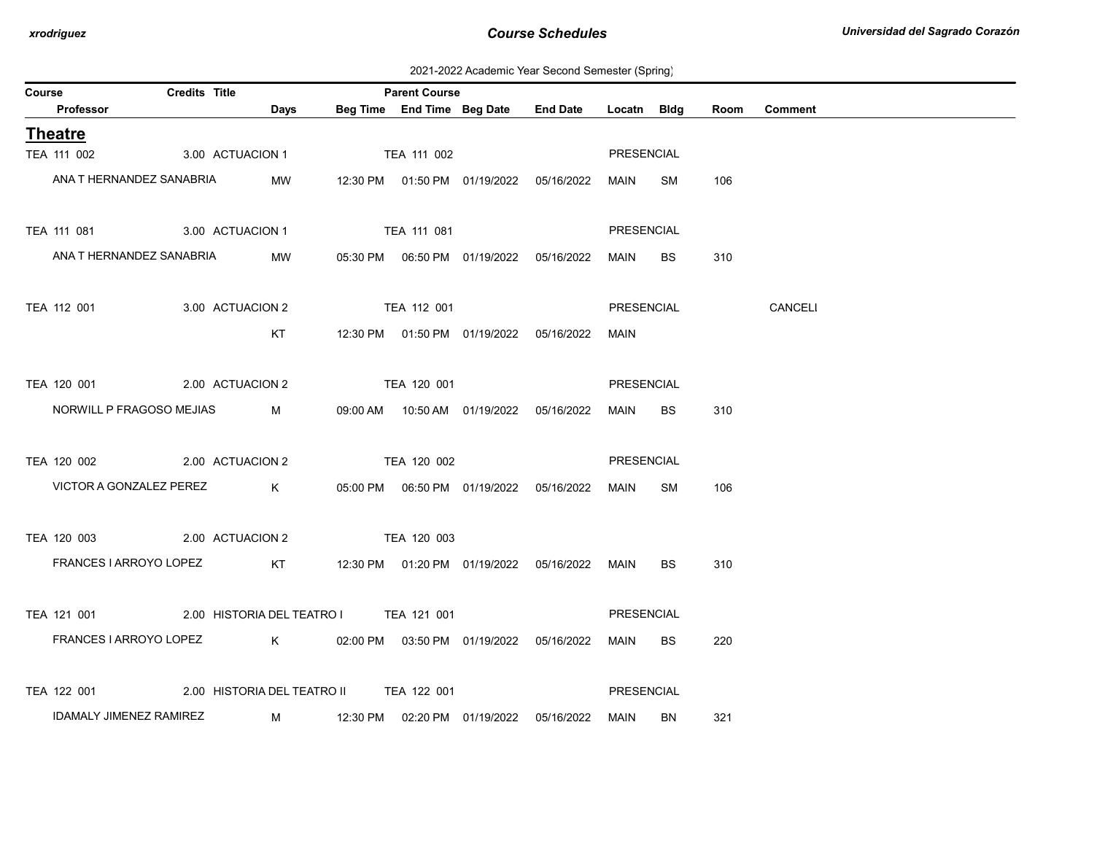2021-2022 Academic Year Second Semester (Spring)

| Course |                            | Credits Title |                                                    | <b>Parent Course</b> |                                            |                                                 |            |           |      |                |
|--------|----------------------------|---------------|----------------------------------------------------|----------------------|--------------------------------------------|-------------------------------------------------|------------|-----------|------|----------------|
|        | Professor                  |               | <b>Days</b>                                        |                      |                                            | Beg Time End Time Beg Date End Date Locatn Bldg |            |           | Room | <b>Comment</b> |
|        | <b>Theatre</b>             |               |                                                    |                      |                                            |                                                 |            |           |      |                |
|        | TEA 111 002                |               | 3.00 ACTUACION 1                                   | TEA 111 002          |                                            |                                                 | PRESENCIAL |           |      |                |
|        | ANA T HERNANDEZ SANABRIA   |               | MW                                                 |                      | 12:30 PM  01:50 PM  01/19/2022  05/16/2022 |                                                 | MAIN SM    |           | 106  |                |
|        | TEA 111 081                |               | 3.00 ACTUACION 1                                   | TEA 111 081          |                                            |                                                 | PRESENCIAL |           |      |                |
|        | ANA T HERNANDEZ SANABRIA   |               | MW                                                 |                      |                                            |                                                 | MAIN       | BS        | 310  |                |
|        | TEA 112 001                |               | 3.00 ACTUACION 2                                   | <b>TEA 112 001</b>   |                                            |                                                 | PRESENCIAL |           |      | <b>CANCELI</b> |
|        |                            |               | KT                                                 |                      | 12:30 PM  01:50 PM  01/19/2022  05/16/2022 |                                                 | MAIN       |           |      |                |
|        | TEA 120 001                |               | 2.00 ACTUACION 2                                   | TEA 120 001          |                                            |                                                 | PRESENCIAL |           |      |                |
|        | NORWILL P FRAGOSO MEJIAS M |               |                                                    |                      | 09:00 AM  10:50 AM  01/19/2022  05/16/2022 |                                                 | MAIN       | BS        | 310  |                |
|        | TEA 120 002                |               | 2.00 ACTUACION 2                                   | TEA 120 002          |                                            |                                                 | PRESENCIAL |           |      |                |
|        |                            |               | VICTOR A GONZALEZ PEREZ K                          |                      |                                            |                                                 | MAIN SM    |           | 106  |                |
|        | TEA 120 003                |               | 2.00 ACTUACION 2                                   | TEA 120 003          |                                            |                                                 |            |           |      |                |
|        | FRANCES I ARROYO LOPEZ     |               | KT    12:30 PM  01:20 PM  01/19/2022  05/16/2022   |                      |                                            |                                                 | MAIN       | BS        | 310  |                |
|        |                            |               | TEA 121 001 2.00 HISTORIA DEL TEATRO I TEA 121 001 |                      |                                            |                                                 | PRESENCIAL |           |      |                |
|        | FRANCES I ARROYO LOPEZ     |               | K 02:00 PM 03:50 PM 01/19/2022 05/16/2022          |                      |                                            |                                                 | MAIN       | <b>BS</b> | 220  |                |
|        | TEA 122 001                |               | 2.00 HISTORIA DEL TEATRO II                        | TEA 122 001          |                                            |                                                 | PRESENCIAL |           |      |                |
|        | IDAMALY JIMENEZ RAMIREZ    |               | M                                                  |                      |                                            |                                                 | MAIN       | BN        | 321  |                |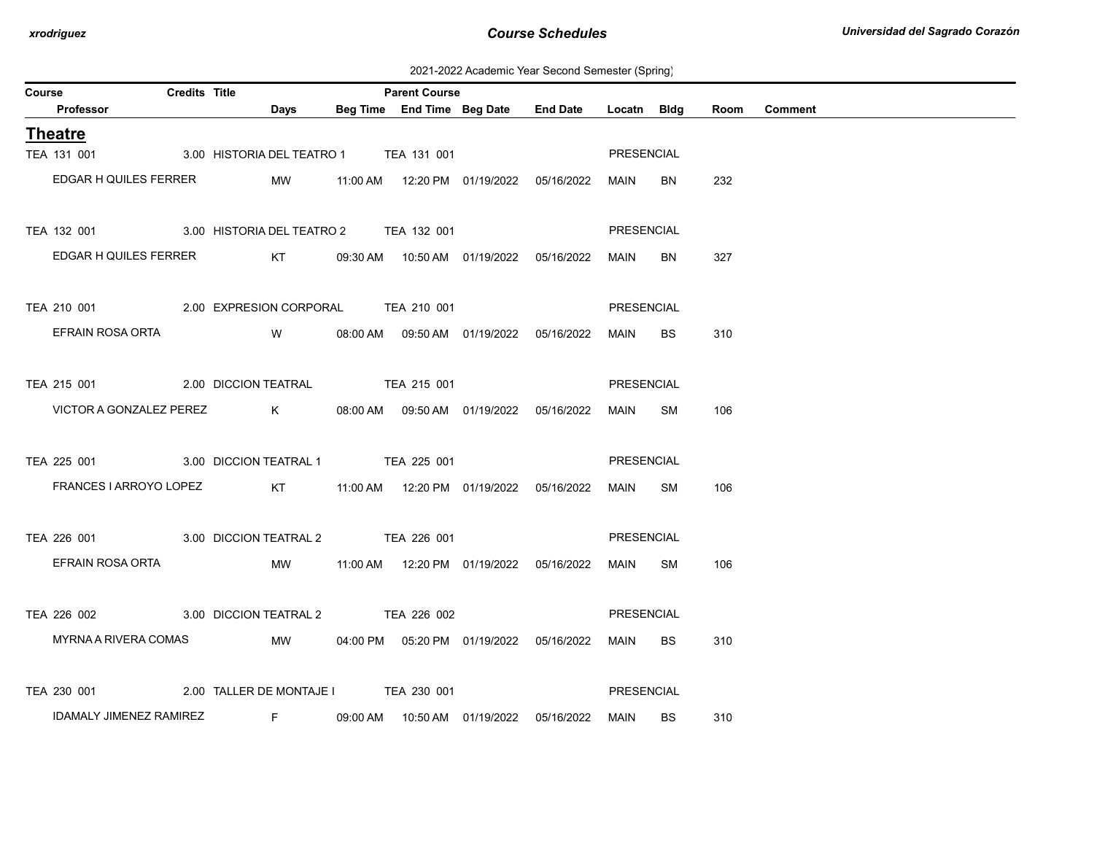2021-2022 Academic Year Second Semester (Spring)

| Course |                                                 | <b>Credits Title</b> |                                           | <b>Parent Course</b> |                                           |                                                 |             |           |      |                |
|--------|-------------------------------------------------|----------------------|-------------------------------------------|----------------------|-------------------------------------------|-------------------------------------------------|-------------|-----------|------|----------------|
|        | Professor                                       |                      | Days                                      |                      |                                           | Beg Time End Time Beg Date End Date Locatn Bldg |             |           | Room | <b>Comment</b> |
|        | <b>Theatre</b>                                  |                      |                                           |                      |                                           |                                                 |             |           |      |                |
|        | TEA 131 001                                     |                      | 3.00 HISTORIA DEL TEATRO 1 TEA 131 001    |                      |                                           |                                                 | PRESENCIAL  |           |      |                |
|        | EDGAR H QUILES FERRER                           |                      | MW                                        |                      |                                           |                                                 | MAIN        | <b>BN</b> | 232  |                |
|        |                                                 |                      |                                           |                      |                                           |                                                 |             |           |      |                |
|        | TEA 132 001                                     |                      | 3.00 HISTORIA DEL TEATRO 2 TEA 132 001    |                      |                                           |                                                 | PRESENCIAL  |           |      |                |
|        | EDGAR H QUILES FERRER                           |                      |                                           |                      |                                           | KT 09:30 AM 10:50 AM 01/19/2022 05/16/2022      | <b>MAIN</b> | <b>BN</b> | 327  |                |
|        |                                                 |                      |                                           |                      |                                           |                                                 |             |           |      |                |
|        | TEA 210 001 2.00 EXPRESION CORPORAL TEA 210 001 |                      |                                           |                      |                                           |                                                 | PRESENCIAL  |           |      |                |
|        | EFRAIN ROSA ORTA                                |                      | W 08:00 AM 09:50 AM 01/19/2022 05/16/2022 |                      |                                           |                                                 | MAIN        | <b>BS</b> | 310  |                |
|        |                                                 |                      |                                           |                      |                                           |                                                 |             |           |      |                |
|        | TEA 215 001                                     |                      | 2.00 DICCION TEATRAL TEA 215 001          |                      |                                           |                                                 | PRESENCIAL  |           |      |                |
|        | VICTOR A GONZALEZ PEREZ                         |                      |                                           |                      | K 08:00 AM 09:50 AM 01/19/2022 05/16/2022 |                                                 | MAIN        | SM        | 106  |                |
|        |                                                 |                      |                                           |                      |                                           |                                                 |             |           |      |                |
|        | TEA 225 001                                     |                      | 3.00 DICCION TEATRAL 1 TEA 225 001        |                      |                                           |                                                 | PRESENCIAL  |           |      |                |
|        | FRANCES I ARROYO LOPEZ                          |                      |                                           |                      |                                           |                                                 | MAIN SM     |           | 106  |                |
|        |                                                 |                      |                                           |                      |                                           |                                                 |             |           |      |                |
|        | TEA 226 001                                     |                      | 3.00 DICCION TEATRAL 2 TEA 226 001        |                      |                                           |                                                 | PRESENCIAL  |           |      |                |
|        | EFRAIN ROSA ORTA                                |                      | MW                                        |                      |                                           |                                                 | MAIN SM     |           | 106  |                |
|        |                                                 |                      |                                           |                      |                                           |                                                 |             |           |      |                |
|        | TEA 226 002 3.00 DICCION TEATRAL 2 TEA 226 002  |                      |                                           |                      |                                           |                                                 | PRESENCIAL  |           |      |                |
|        | MYRNA A RIVERA COMAS                            |                      |                                           |                      |                                           | MW 04:00 PM 05:20 PM 01/19/2022 05/16/2022      | MAIN BS     |           | 310  |                |
|        |                                                 |                      |                                           |                      |                                           |                                                 |             |           |      |                |
|        | TEA 230 001                                     |                      | 2.00 TALLER DE MONTAJE I TEA 230 001      |                      |                                           |                                                 | PRESENCIAL  |           |      |                |
|        | IDAMALY JIMENEZ RAMIREZ                         |                      | Fig. 1997                                 |                      |                                           | 09:00 AM  10:50 AM  01/19/2022  05/16/2022      | MAIN        | BS.       | 310  |                |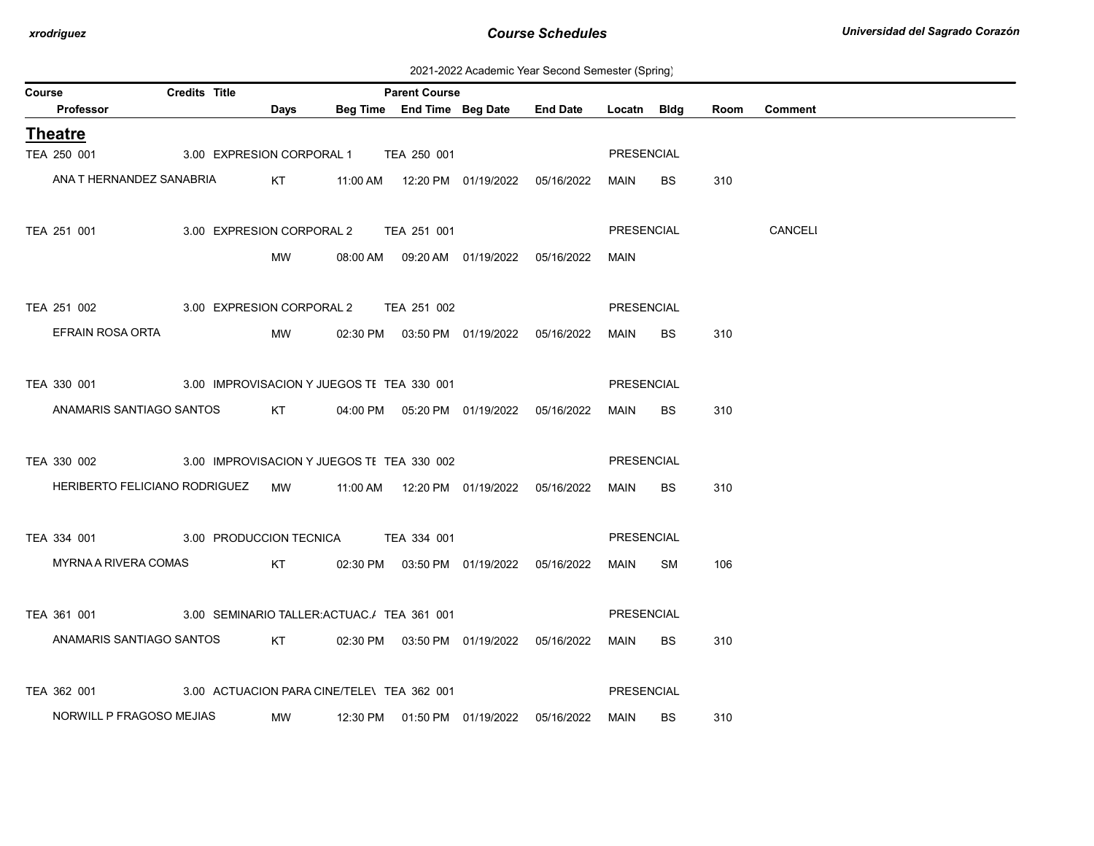2021-2022 Academic Year Second Semester (Spring)

| <b>Course</b>                                            | <b>Credits Title</b> |                           |                                            | <b>Parent Course</b> |                                            |                 |                   |           |      |                |
|----------------------------------------------------------|----------------------|---------------------------|--------------------------------------------|----------------------|--------------------------------------------|-----------------|-------------------|-----------|------|----------------|
| Professor                                                |                      | Days                      |                                            |                      | Beg Time End Time Beg Date                 | <b>End Date</b> | Locatn Bldg       |           | Room | <b>Comment</b> |
| <b>Theatre</b>                                           |                      |                           |                                            |                      |                                            |                 |                   |           |      |                |
| TEA 250 001                                              |                      |                           | 3.00 EXPRESION CORPORAL 1 TEA 250 001      |                      |                                            |                 | PRESENCIAL        |           |      |                |
| ANA T HERNANDEZ SANABRIA                                 |                      | KT                        |                                            |                      | 11:00 AM  12:20 PM  01/19/2022  05/16/2022 |                 | MAIN              | <b>BS</b> | 310  |                |
|                                                          |                      |                           |                                            |                      |                                            |                 |                   |           |      |                |
| TEA 251 001                                              |                      | 3.00 EXPRESION CORPORAL 2 |                                            | TEA 251 001          |                                            |                 | <b>PRESENCIAL</b> |           |      | CANCELI        |
|                                                          |                      | MW                        |                                            |                      | 08:00 AM  09:20 AM  01/19/2022  05/16/2022 |                 | MAIN              |           |      |                |
|                                                          |                      |                           |                                            |                      |                                            |                 |                   |           |      |                |
| TEA 251 002                                              |                      | 3.00 EXPRESION CORPORAL 2 |                                            | TEA 251 002          |                                            |                 | PRESENCIAL        |           |      |                |
| EFRAIN ROSA ORTA                                         |                      | MW                        |                                            |                      | 02:30 PM  03:50 PM  01/19/2022  05/16/2022 |                 | MAIN              | <b>BS</b> | 310  |                |
|                                                          |                      |                           |                                            |                      |                                            |                 |                   |           |      |                |
| TEA 330 001                                              |                      |                           | 3.00 IMPROVISACION Y JUEGOS TE TEA 330 001 |                      |                                            |                 | PRESENCIAL        |           |      |                |
| ANAMARIS SANTIAGO SANTOS                                 |                      | KT                        |                                            |                      | 04:00 PM  05:20 PM  01/19/2022  05/16/2022 |                 | MAIN              | <b>BS</b> | 310  |                |
|                                                          |                      |                           |                                            |                      |                                            |                 |                   |           |      |                |
| TEA 330 002                                              |                      |                           | 3.00 IMPROVISACION Y JUEGOS TI TEA 330 002 |                      |                                            |                 | PRESENCIAL        |           |      |                |
| HERIBERTO FELICIANO RODRIGUEZ MW                         |                      |                           |                                            |                      |                                            |                 | MAIN              | <b>BS</b> | 310  |                |
|                                                          |                      |                           |                                            |                      |                                            |                 |                   |           |      |                |
| TEA 334 001                                              |                      |                           | 3.00 PRODUCCION TECNICA TEA 334 001        |                      |                                            |                 | PRESENCIAL        |           |      |                |
| MYRNA A RIVERA COMAS                                     |                      | KT                        |                                            |                      | 02:30 PM  03:50 PM  01/19/2022  05/16/2022 |                 | MAIN              | SM        | 106  |                |
|                                                          |                      |                           |                                            |                      |                                            |                 |                   |           |      |                |
| TEA 361 001 3.00 SEMINARIO TALLER: ACTUAC. / TEA 361 001 |                      |                           |                                            |                      |                                            |                 | PRESENCIAL        |           |      |                |
| ANAMARIS SANTIAGO SANTOS                                 |                      | KT                        |                                            |                      | 02:30 PM  03:50 PM  01/19/2022  05/16/2022 |                 | MAIN              | <b>BS</b> | 310  |                |
|                                                          |                      |                           |                                            |                      |                                            |                 |                   |           |      |                |
| TEA 362 001                                              |                      |                           | 3.00 ACTUACION PARA CINE/TELE\ TEA 362 001 |                      |                                            |                 | PRESENCIAL        |           |      |                |
| NORWILL P FRAGOSO MEJIAS                                 |                      | MW                        |                                            |                      | 12:30 PM  01:50 PM  01/19/2022  05/16/2022 |                 | MAIN              | <b>BS</b> | 310  |                |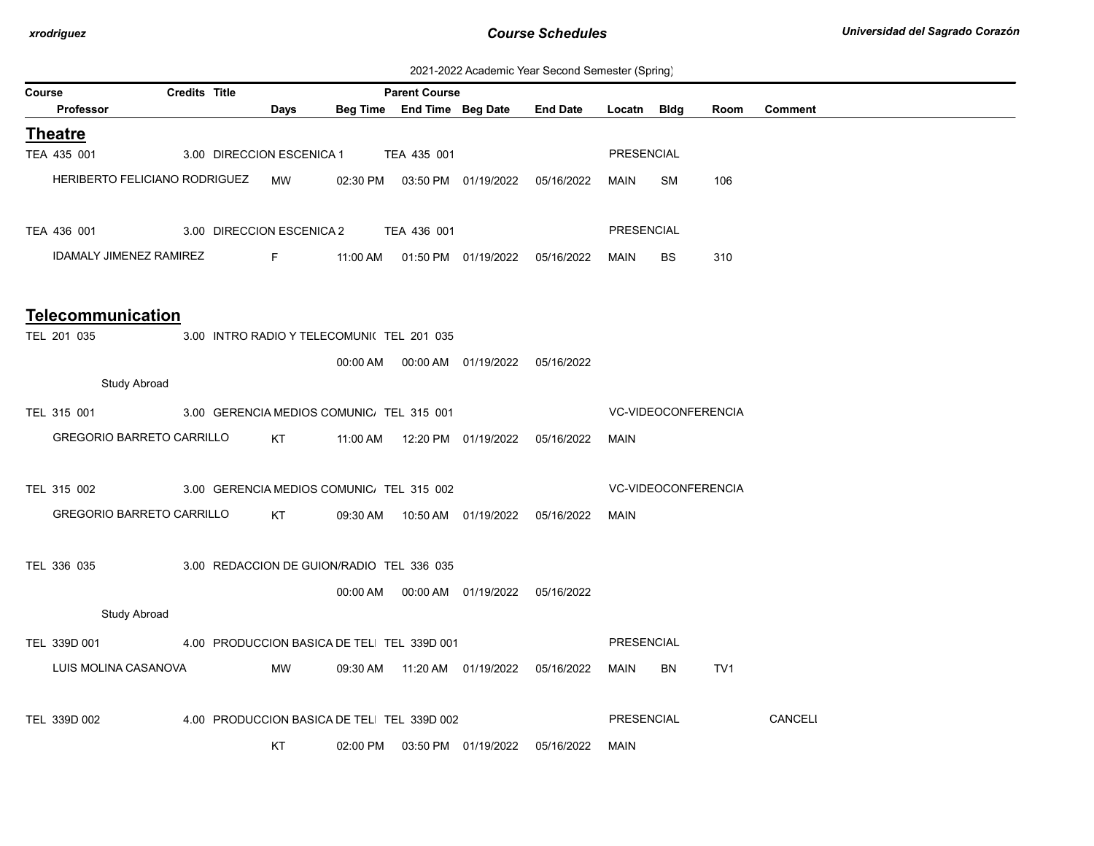| 2021-2022 Academic Year Second Semester (Spring) |  |  |  |
|--------------------------------------------------|--|--|--|
|--------------------------------------------------|--|--|--|

|        |                                  |                      |                           |                                            |                      |                                            |                 |                   | $\ddot{\phantom{0}}$ |                 |                |
|--------|----------------------------------|----------------------|---------------------------|--------------------------------------------|----------------------|--------------------------------------------|-----------------|-------------------|----------------------|-----------------|----------------|
| Course | <b>Professor</b>                 | <b>Credits Title</b> | Days                      |                                            | <b>Parent Course</b> | Beg Time End Time Beg Date                 | <b>End Date</b> | Locatn Bldg       |                      | Room            | <b>Comment</b> |
|        |                                  |                      |                           |                                            |                      |                                            |                 |                   |                      |                 |                |
|        | <b>Theatre</b>                   |                      |                           |                                            |                      |                                            |                 |                   |                      |                 |                |
|        | TEA 435 001                      |                      | 3.00 DIRECCION ESCENICA 1 |                                            | TEA 435 001          |                                            |                 | PRESENCIAL        |                      |                 |                |
|        | HERIBERTO FELICIANO RODRIGUEZ    |                      | MW                        | 02:30 PM                                   |                      |                                            | 05/16/2022      | MAIN              | SM                   | 106             |                |
|        |                                  |                      |                           |                                            |                      |                                            |                 |                   |                      |                 |                |
|        | TEA 436 001                      |                      | 3.00 DIRECCION ESCENICA 2 |                                            | TEA 436 001          |                                            |                 | <b>PRESENCIAL</b> |                      |                 |                |
|        | <b>IDAMALY JIMENEZ RAMIREZ</b>   |                      | $F -$                     | 11:00 AM                                   |                      | 01:50 PM 01/19/2022 05/16/2022             |                 | <b>MAIN</b>       | <b>BS</b>            | 310             |                |
|        |                                  |                      |                           |                                            |                      |                                            |                 |                   |                      |                 |                |
|        |                                  |                      |                           |                                            |                      |                                            |                 |                   |                      |                 |                |
|        | <b>Telecommunication</b>         |                      |                           |                                            |                      |                                            |                 |                   |                      |                 |                |
|        | TEL 201 035                      |                      |                           | 3.00 INTRO RADIO Y TELECOMUNI( TEL 201 035 |                      |                                            |                 |                   |                      |                 |                |
|        |                                  |                      |                           |                                            |                      |                                            |                 |                   |                      |                 |                |
|        | <b>Study Abroad</b>              |                      |                           |                                            |                      |                                            |                 |                   |                      |                 |                |
|        | TEL 315 001                      |                      |                           | 3.00 GERENCIA MEDIOS COMUNIC. TEL 315 001  |                      |                                            |                 |                   | VC-VIDEOCONFERENCIA  |                 |                |
|        | <b>GREGORIO BARRETO CARRILLO</b> |                      |                           |                                            |                      |                                            |                 |                   |                      |                 |                |
|        |                                  |                      | KT                        | 11:00 AM                                   |                      | 12:20 PM  01/19/2022  05/16/2022           |                 | <b>MAIN</b>       |                      |                 |                |
|        |                                  |                      |                           |                                            |                      |                                            |                 |                   |                      |                 |                |
|        | TEL 315 002                      |                      |                           | 3.00 GERENCIA MEDIOS COMUNIC. TEL 315 002  |                      |                                            |                 |                   | VC-VIDEOCONFERENCIA  |                 |                |
|        | <b>GREGORIO BARRETO CARRILLO</b> |                      | KT                        |                                            |                      | 09:30 AM  10:50 AM  01/19/2022  05/16/2022 |                 | MAIN              |                      |                 |                |
|        |                                  |                      |                           |                                            |                      |                                            |                 |                   |                      |                 |                |
|        | TEL 336 035                      |                      |                           | 3.00 REDACCION DE GUION/RADIO TEL 336 035  |                      |                                            |                 |                   |                      |                 |                |
|        |                                  |                      |                           |                                            |                      | 00:00 AM  00:00 AM  01/19/2022  05/16/2022 |                 |                   |                      |                 |                |
|        | <b>Study Abroad</b>              |                      |                           |                                            |                      |                                            |                 |                   |                      |                 |                |
|        |                                  |                      |                           |                                            |                      |                                            |                 |                   |                      |                 |                |
|        | TEL 339D 001                     |                      |                           | 4.00 PRODUCCION BASICA DE TEL TEL 339D 001 |                      |                                            |                 | <b>PRESENCIAL</b> |                      |                 |                |
|        | LUIS MOLINA CASANOVA             |                      | MW                        | 09:30 AM                                   |                      |                                            |                 | MAIN              | <b>BN</b>            | TV <sub>1</sub> |                |
|        |                                  |                      |                           |                                            |                      |                                            |                 |                   |                      |                 |                |
|        | TEL 339D 002                     |                      |                           | 4.00 PRODUCCION BASICA DE TEL TEL 339D 002 |                      |                                            |                 | <b>PRESENCIAL</b> |                      |                 | <b>CANCELI</b> |
|        |                                  |                      | KT                        | 02:00 PM                                   |                      | 03:50 PM 01/19/2022                        | 05/16/2022      | MAIN              |                      |                 |                |
|        |                                  |                      |                           |                                            |                      |                                            |                 |                   |                      |                 |                |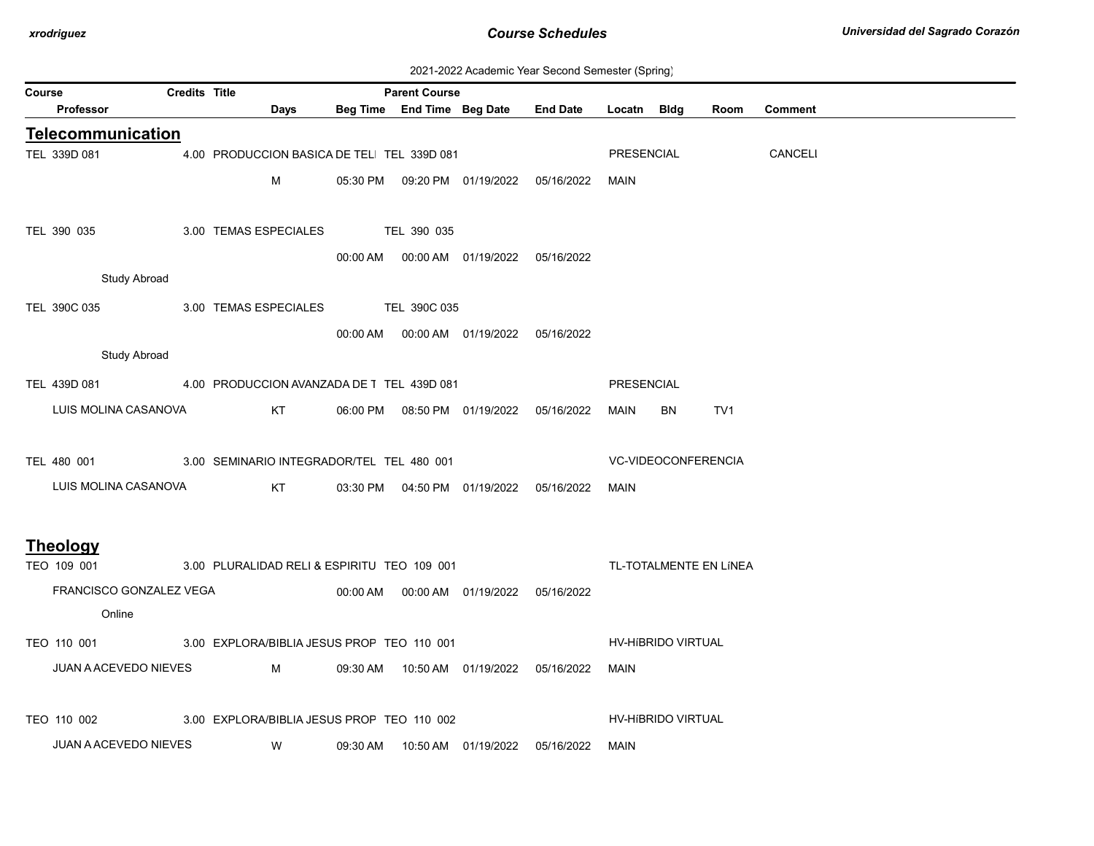| 2021-2022 Academic Year Second Semester (Spring) |  |  |  |
|--------------------------------------------------|--|--|--|
|--------------------------------------------------|--|--|--|

| <b>Course</b>                                           | <b>Credits Title</b> |                                                                                                                                                                                                                                     |          | <b>Parent Course</b> |                                            |                                            |                   |                     |                        |                |
|---------------------------------------------------------|----------------------|-------------------------------------------------------------------------------------------------------------------------------------------------------------------------------------------------------------------------------------|----------|----------------------|--------------------------------------------|--------------------------------------------|-------------------|---------------------|------------------------|----------------|
| Professor                                               |                      | Days                                                                                                                                                                                                                                |          |                      | Beg Time End Time Beg Date                 | <b>End Date</b>                            | Locatn Bldg       |                     | Room                   | <b>Comment</b> |
| <b>Telecommunication</b>                                |                      |                                                                                                                                                                                                                                     |          |                      |                                            |                                            |                   |                     |                        |                |
| TEL 339D 081                                            |                      | 4.00 PRODUCCION BASICA DE TEL TEL 339D 081                                                                                                                                                                                          |          |                      |                                            |                                            | PRESENCIAL        |                     |                        | <b>CANCELI</b> |
|                                                         |                      | М                                                                                                                                                                                                                                   |          |                      | 05:30 PM  09:20 PM  01/19/2022  05/16/2022 |                                            | MAIN              |                     |                        |                |
|                                                         |                      |                                                                                                                                                                                                                                     |          |                      |                                            |                                            |                   |                     |                        |                |
| TEL 390 035                                             |                      | 3.00 TEMAS ESPECIALES                                                                                                                                                                                                               |          | TEL 390 035          |                                            |                                            |                   |                     |                        |                |
|                                                         |                      |                                                                                                                                                                                                                                     |          |                      | 00:00 AM  00:00 AM  01/19/2022  05/16/2022 |                                            |                   |                     |                        |                |
| <b>Study Abroad</b>                                     |                      |                                                                                                                                                                                                                                     |          |                      |                                            |                                            |                   |                     |                        |                |
| TEL 390C 035                                            |                      | 3.00 TEMAS ESPECIALES TEL 390C 035                                                                                                                                                                                                  |          |                      |                                            |                                            |                   |                     |                        |                |
|                                                         |                      |                                                                                                                                                                                                                                     |          |                      | 00:00 AM  00:00 AM  01/19/2022  05/16/2022 |                                            |                   |                     |                        |                |
| <b>Study Abroad</b>                                     |                      |                                                                                                                                                                                                                                     |          |                      |                                            |                                            |                   |                     |                        |                |
| TEL 439D 081 4.00 PRODUCCION AVANZADA DE T TEL 439D 081 |                      |                                                                                                                                                                                                                                     |          |                      |                                            |                                            | <b>PRESENCIAL</b> |                     |                        |                |
| LUIS MOLINA CASANOVA                                    |                      | KT                                                                                                                                                                                                                                  |          |                      |                                            |                                            | MAIN              | BN                  | TV1                    |                |
|                                                         |                      |                                                                                                                                                                                                                                     |          |                      | 06:00 PM  08:50 PM  01/19/2022  05/16/2022 |                                            |                   |                     |                        |                |
| TEL 480 001                                             |                      | 3.00 SEMINARIO INTEGRADOR/TEL TEL 480 001                                                                                                                                                                                           |          |                      |                                            |                                            |                   | VC-VIDEOCONFERENCIA |                        |                |
|                                                         |                      |                                                                                                                                                                                                                                     |          |                      |                                            |                                            |                   |                     |                        |                |
| LUIS MOLINA CASANOVA                                    |                      | KT                                                                                                                                                                                                                                  |          |                      | 03:30 PM  04:50 PM  01/19/2022  05/16/2022 |                                            | MAIN              |                     |                        |                |
|                                                         |                      |                                                                                                                                                                                                                                     |          |                      |                                            |                                            |                   |                     |                        |                |
| <b>Theology</b>                                         |                      |                                                                                                                                                                                                                                     |          |                      |                                            |                                            |                   |                     |                        |                |
| TEO 109 001                                             |                      | 3.00 PLURALIDAD RELI & ESPIRITU TEO 109 001                                                                                                                                                                                         |          |                      |                                            |                                            |                   |                     | TL-TOTALMENTE EN LÍNEA |                |
| FRANCISCO GONZALEZ VEGA                                 |                      |                                                                                                                                                                                                                                     |          |                      | 00:00 AM  00:00 AM  01/19/2022  05/16/2022 |                                            |                   |                     |                        |                |
| Online                                                  |                      |                                                                                                                                                                                                                                     |          |                      |                                            |                                            |                   |                     |                        |                |
| TEO 110 001                                             |                      | 3.00 EXPLORA/BIBLIA JESUS PROF TEO 110 001                                                                                                                                                                                          |          |                      |                                            |                                            |                   | HV-HIBRIDO VIRTUAL  |                        |                |
| JUAN A ACEVEDO NIEVES                                   |                      | <b>M</b> and the state of the state of the state of the state of the state of the state of the state of the state of the state of the state of the state of the state of the state of the state of the state of the state of the st |          |                      |                                            | 09:30 AM  10:50 AM  01/19/2022  05/16/2022 | MAIN              |                     |                        |                |
|                                                         |                      |                                                                                                                                                                                                                                     |          |                      |                                            |                                            |                   |                     |                        |                |
| TEO 110 002                                             |                      | 3.00 EXPLORA/BIBLIA JESUS PROF TEO 110 002                                                                                                                                                                                          |          |                      |                                            |                                            |                   | HV-HIBRIDO VIRTUAL  |                        |                |
| <b>JUAN A ACEVEDO NIEVES</b>                            |                      | W                                                                                                                                                                                                                                   | 09:30 AM |                      | 10:50 AM  01/19/2022                       | 05/16/2022                                 | MAIN              |                     |                        |                |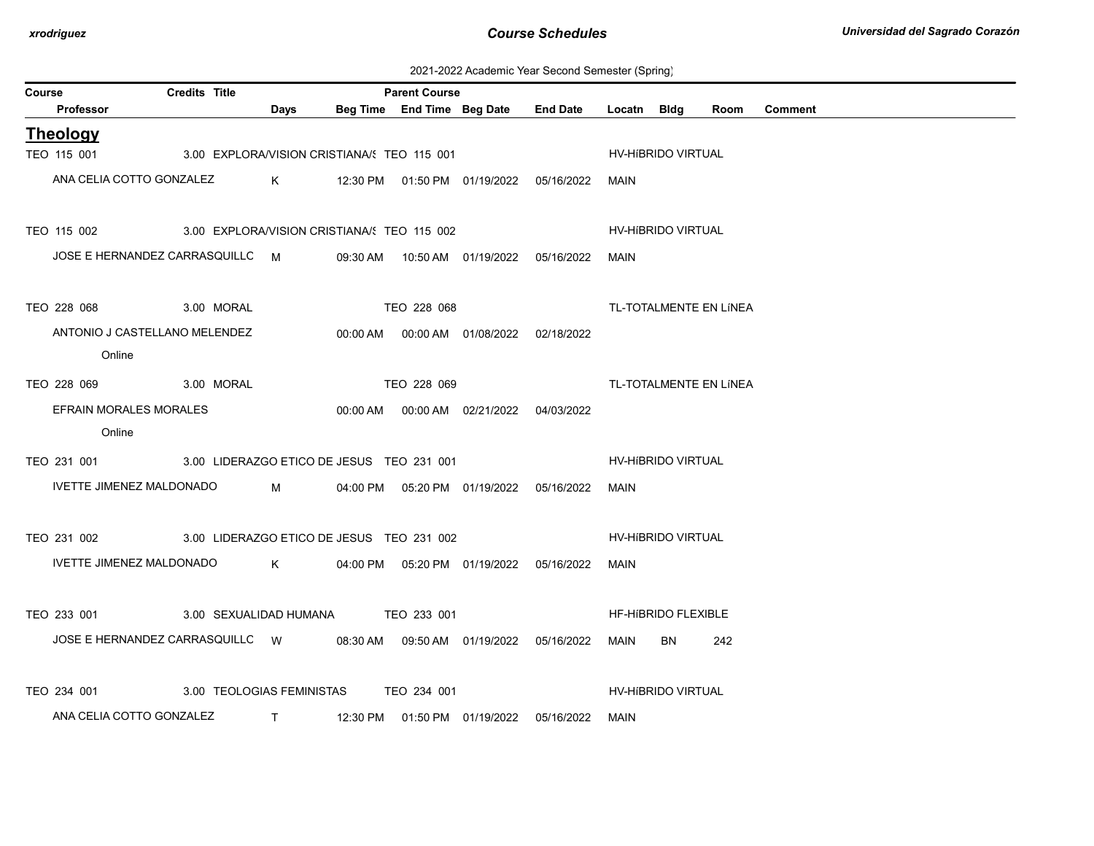| 2021-2022 Academic Year Second Semester (Spring) |  |  |  |  |  |
|--------------------------------------------------|--|--|--|--|--|
|--------------------------------------------------|--|--|--|--|--|

| Course |                                                                         | <b>Credits Title</b>                        | <b>Parent Course</b> |                    |             |                                            |  |             |                            |                        |                |  |
|--------|-------------------------------------------------------------------------|---------------------------------------------|----------------------|--------------------|-------------|--------------------------------------------|--|-------------|----------------------------|------------------------|----------------|--|
|        | Professor                                                               |                                             | Days                 |                    |             | Beg Time End Time Beg Date End Date        |  | Locatn Bldg |                            | Room                   | <b>Comment</b> |  |
|        | <b>Theology</b>                                                         |                                             |                      |                    |             |                                            |  |             |                            |                        |                |  |
|        | TEO 115 001                                                             | 3.00 EXPLORA/VISION CRISTIANA/: TEO 115 001 |                      |                    |             |                                            |  |             | HV-HIBRIDO VIRTUAL         |                        |                |  |
|        | ANA CELIA COTTO GONZALEZ                                                |                                             | $K$ and $K$          |                    |             | 12:30 PM  01:50 PM  01/19/2022  05/16/2022 |  | MAIN        |                            |                        |                |  |
|        | TEO 115 002                                                             | 3.00 EXPLORA/VISION CRISTIANA/: TEO 115 002 |                      |                    |             |                                            |  |             | <b>HV-HIBRIDO VIRTUAL</b>  |                        |                |  |
|        | JOSE E HERNANDEZ CARRASQUILLC M                                         |                                             |                      |                    |             | 09:30 AM  10:50 AM  01/19/2022  05/16/2022 |  | MAIN        |                            |                        |                |  |
|        | TEO 228 068                                                             | 3.00 MORAL                                  |                      | <b>TEO 228 068</b> |             |                                            |  |             |                            | TL-TOTALMENTE EN LÍNEA |                |  |
|        | ANTONIO J CASTELLANO MELENDEZ<br>Online                                 |                                             |                      |                    |             | 00:00 AM  00:00 AM  01/08/2022  02/18/2022 |  |             |                            |                        |                |  |
|        | TEO 228 069 3.00 MORAL                                                  |                                             |                      |                    | TEO 228 069 |                                            |  |             |                            | TL-TOTALMENTE EN LÍNEA |                |  |
|        | EFRAIN MORALES MORALES<br>Online                                        |                                             |                      |                    |             | 00:00 AM  00:00 AM  02/21/2022  04/03/2022 |  |             |                            |                        |                |  |
|        | TEO 231 001 3.00 LIDERAZGO ETICO DE JESUS TEO 231 001                   |                                             |                      |                    |             |                                            |  |             | HV-HIBRIDO VIRTUAL         |                        |                |  |
|        | IVETTE JIMENEZ MALDONADO                                                |                                             | $M \sim 1$           |                    |             | 04:00 PM  05:20 PM  01/19/2022  05/16/2022 |  | MAIN        |                            |                        |                |  |
|        | TEO 231 002 3.00 LIDERAZGO ETICO DE JESUS TEO 231 002                   |                                             |                      |                    |             |                                            |  |             | HV-HIBRIDO VIRTUAL         |                        |                |  |
|        | IVETTE JIMENEZ MALDONADO K                                              |                                             |                      |                    |             | 04:00 PM  05:20 PM  01/19/2022  05/16/2022 |  | MAIN        |                            |                        |                |  |
|        | TEO 233 001 3.00 SEXUALIDAD HUMANA TEO 233 001                          |                                             |                      |                    |             |                                            |  |             | <b>HF-HIBRIDO FLEXIBLE</b> |                        |                |  |
|        | JOSE E HERNANDEZ CARRASQUILLC W 08:30 AM 09:50 AM 01/19/2022 05/16/2022 |                                             |                      |                    |             |                                            |  | MAIN BN     |                            | 242                    |                |  |
|        | TEO 234 001                                                             | 3.00 TEOLOGIAS FEMINISTAS                   |                      |                    | TEO 234 001 |                                            |  |             | <b>HV-HIBRIDO VIRTUAL</b>  |                        |                |  |
|        | ANA CELIA COTTO GONZALEZ                                                |                                             |                      |                    |             | T 12:30 PM 01:50 PM 01/19/2022 05/16/2022  |  | MAIN        |                            |                        |                |  |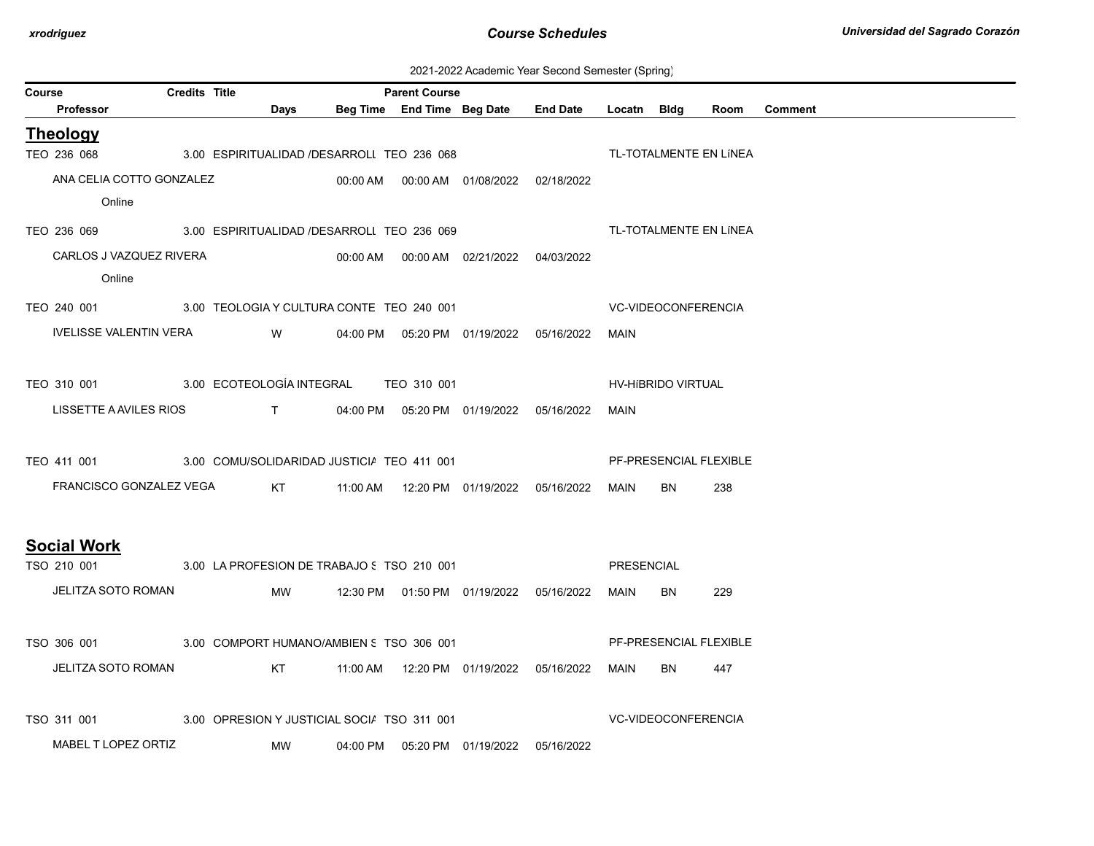| 2021-2022 Academic Year Second Semester (Spring) |  |  |  |  |  |
|--------------------------------------------------|--|--|--|--|--|
|--------------------------------------------------|--|--|--|--|--|

| Course                                                                       | <b>Credits Title</b> |                                             | <b>Parent Course</b> |                                            |                                            |             |                     |                        |                |
|------------------------------------------------------------------------------|----------------------|---------------------------------------------|----------------------|--------------------------------------------|--------------------------------------------|-------------|---------------------|------------------------|----------------|
| Professor                                                                    |                      | Days                                        |                      |                                            | Beg Time End Time Beg Date End Date        | Locatn Bidg |                     | Room                   | <b>Comment</b> |
| <b>Theology</b>                                                              |                      |                                             |                      |                                            |                                            |             |                     |                        |                |
| TEO 236 068                                                                  |                      | 3.00 ESPIRITUALIDAD /DESARROLI TEO 236 068  |                      |                                            |                                            |             |                     | TL-TOTALMENTE EN LÍNEA |                |
| ANA CELIA COTTO GONZALEZ                                                     |                      |                                             |                      |                                            | 02/18/2022                                 |             |                     |                        |                |
| Online                                                                       |                      |                                             |                      |                                            |                                            |             |                     |                        |                |
| TEO 236 069 3.00 ESPIRITUALIDAD /DESARROLI TEO 236 069                       |                      |                                             |                      |                                            |                                            |             |                     | TL-TOTALMENTE EN LÍNEA |                |
| CARLOS J VAZQUEZ RIVERA                                                      |                      |                                             |                      | 00:00 AM  00:00 AM  02/21/2022  04/03/2022 |                                            |             |                     |                        |                |
| Online                                                                       |                      |                                             |                      |                                            |                                            |             |                     |                        |                |
| TEO 240 001 3.00 TEOLOGIA Y CULTURA CONTE TEO 240 001                        |                      |                                             |                      |                                            |                                            |             | VC-VIDEOCONFERENCIA |                        |                |
| IVELISSE VALENTIN VERA WWW.                                                  |                      |                                             |                      |                                            | 04:00 PM  05:20 PM  01/19/2022  05/16/2022 | MAIN        |                     |                        |                |
|                                                                              |                      |                                             |                      |                                            |                                            |             |                     |                        |                |
| TEO 310 001 3.00 ECOTEOLOGÍA INTEGRAL TEO 310 001                            |                      |                                             |                      |                                            |                                            |             | HV-HIBRIDO VIRTUAL  |                        |                |
| LISSETTE A AVILES RIOS                                                       |                      | T 04:00 PM 05:20 PM 01/19/2022 05/16/2022   |                      |                                            |                                            | MAIN        |                     |                        |                |
|                                                                              |                      |                                             |                      |                                            |                                            |             |                     |                        |                |
| TEO 411 001 3.00 COMU/SOLIDARIDAD JUSTICIA TEO 411 001                       |                      |                                             |                      |                                            |                                            |             |                     | PF-PRESENCIAL FLEXIBLE |                |
| FRANCISCO GONZALEZ VEGA                                                      |                      | KT                                          |                      |                                            | 11:00 AM  12:20 PM  01/19/2022  05/16/2022 | MAIN        | BN                  | 238                    |                |
|                                                                              |                      |                                             |                      |                                            |                                            |             |                     |                        |                |
|                                                                              |                      |                                             |                      |                                            |                                            |             |                     |                        |                |
| <b>Social Work</b><br>TSO 210 001 3.00 LA PROFESION DE TRABAJO 5 TSO 210 001 |                      |                                             |                      |                                            |                                            | PRESENCIAL  |                     |                        |                |
|                                                                              |                      |                                             |                      |                                            |                                            |             |                     |                        |                |
| JELITZA SOTO ROMAN                                                           |                      | MW                                          |                      |                                            | 12:30 PM  01:50 PM  01/19/2022  05/16/2022 | MAIN        | <b>BN</b>           | 229                    |                |
|                                                                              |                      |                                             |                      |                                            |                                            |             |                     |                        |                |
| TSO 306 001 3.00 COMPORT HUMANO/AMBIEN S TSO 306 001                         |                      |                                             |                      |                                            |                                            |             |                     | PF-PRESENCIAL FLEXIBLE |                |
| JELITZA SOTO ROMAN                                                           |                      | KT                                          |                      |                                            | 11:00 AM  12:20 PM  01/19/2022  05/16/2022 | MAIN        | BN                  | 447                    |                |
|                                                                              |                      |                                             |                      |                                            |                                            |             |                     |                        |                |
| TSO 311 001                                                                  |                      | 3.00 OPRESION Y JUSTICIAL SOCIA TSO 311 001 |                      |                                            |                                            |             | VC-VIDEOCONFERENCIA |                        |                |
| MABEL T LOPEZ ORTIZ                                                          |                      | MW                                          |                      | 04:00 PM  05:20 PM  01/19/2022             | 05/16/2022                                 |             |                     |                        |                |